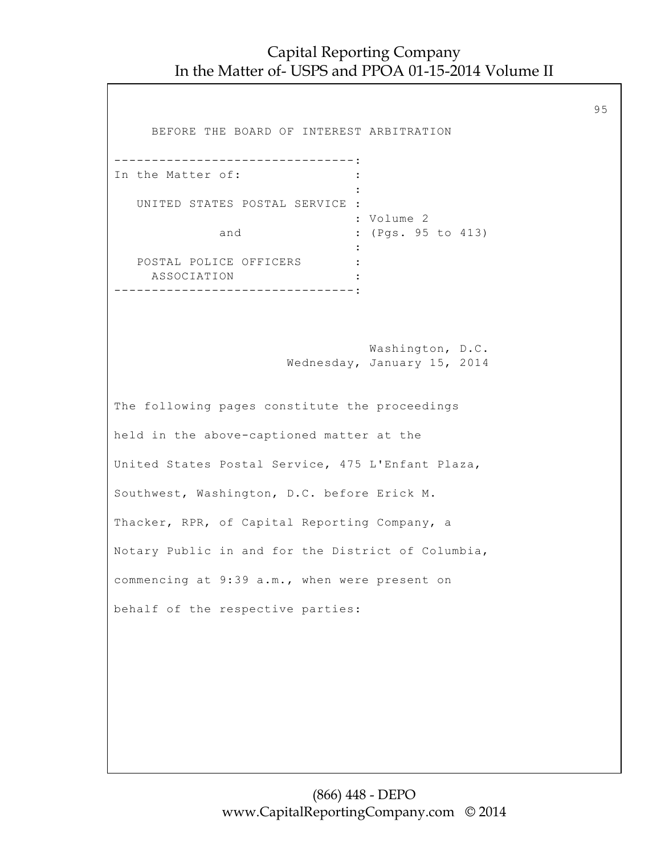95

 BEFORE THE BOARD OF INTEREST ARBITRATION --------------------------------: In the Matter of:  $\cdot$  : **Example 2008** The Company of the Company of the Company of the Company of the Company of the Company of the Company UNITED STATES POSTAL SERVICE : : Volume 2 and : (Pgs. 95 to 413) **Example 2008** The Company of the Company of the Company of the Company of the Company of the Company of the Company POSTAL POLICE OFFICERS : ASSOCIATION : --------------------------------: Washington, D.C. Wednesday, January 15, 2014 The following pages constitute the proceedings held in the above-captioned matter at the United States Postal Service, 475 L'Enfant Plaza, Southwest, Washington, D.C. before Erick M. Thacker, RPR, of Capital Reporting Company, a Notary Public in and for the District of Columbia, commencing at 9:39 a.m., when were present on behalf of the respective parties: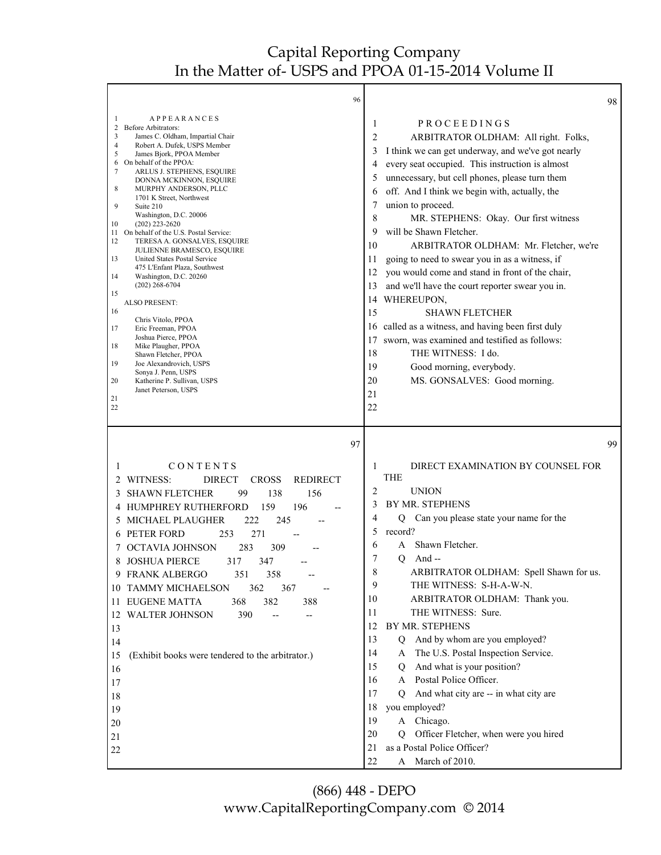|                                                                                                                                               | 96                                                                                                                                                                                                                                                                                                                                                                                                                                                                                                                                                                                                                                                                                                                                                                                                           |                                                                                                                         |                                                                                                                                                                                                                                                                                                                                                                                                                                                                                                                                                                                                                                                                                                                                                                                        | 98 |
|-----------------------------------------------------------------------------------------------------------------------------------------------|--------------------------------------------------------------------------------------------------------------------------------------------------------------------------------------------------------------------------------------------------------------------------------------------------------------------------------------------------------------------------------------------------------------------------------------------------------------------------------------------------------------------------------------------------------------------------------------------------------------------------------------------------------------------------------------------------------------------------------------------------------------------------------------------------------------|-------------------------------------------------------------------------------------------------------------------------|----------------------------------------------------------------------------------------------------------------------------------------------------------------------------------------------------------------------------------------------------------------------------------------------------------------------------------------------------------------------------------------------------------------------------------------------------------------------------------------------------------------------------------------------------------------------------------------------------------------------------------------------------------------------------------------------------------------------------------------------------------------------------------------|----|
| 1<br>$\overline{\mathbf{c}}$<br>3<br>4<br>5<br>6<br>7<br>8<br>9<br>10<br>11<br>12<br>13<br>14<br>15<br>16<br>17<br>18<br>19<br>20<br>21<br>22 | APPEARANCES<br>Before Arbitrators:<br>James C. Oldham, Impartial Chair<br>Robert A. Dufek, USPS Member<br>James Bjork, PPOA Member<br>On behalf of the PPOA:<br>ARLUS J. STEPHENS, ESQUIRE<br>DONNA MCKINNON, ESQUIRE<br>MURPHY ANDERSON, PLLC<br>1701 K Street, Northwest<br>Suite 210<br>Washington, D.C. 20006<br>$(202)$ 223-2620<br>On behalf of the U.S. Postal Service:<br>TERESA A. GONSALVES, ESQUIRE<br>JULIENNE BRAMESCO, ESQUIRE<br>United States Postal Service<br>475 L'Enfant Plaza, Southwest<br>Washington, D.C. 20260<br>(202) 268-6704<br><b>ALSO PRESENT:</b><br>Chris Vitolo, PPOA<br>Eric Freeman, PPOA<br>Joshua Pierce, PPOA<br>Mike Plaugher, PPOA<br>Shawn Fletcher, PPOA<br>Joe Alexandrovich, USPS<br>Sonya J. Penn, USPS<br>Katherine P. Sullivan, USPS<br>Janet Peterson, USPS | 1<br>2<br>3<br>4<br>5<br>6<br>7<br>8<br>9<br>10<br>11<br>12<br>13<br>14<br>15<br>16<br>17<br>18<br>19<br>20<br>21<br>22 | PROCEEDINGS<br>ARBITRATOR OLDHAM: All right. Folks,<br>I think we can get underway, and we've got nearly<br>every seat occupied. This instruction is almost<br>unnecessary, but cell phones, please turn them<br>off. And I think we begin with, actually, the<br>union to proceed.<br>MR. STEPHENS: Okay. Our first witness<br>will be Shawn Fletcher.<br>ARBITRATOR OLDHAM: Mr. Fletcher, we're<br>going to need to swear you in as a witness, if<br>you would come and stand in front of the chair,<br>and we'll have the court reporter swear you in.<br>WHEREUPON,<br><b>SHAWN FLETCHER</b><br>called as a witness, and having been first duly<br>sworn, was examined and testified as follows:<br>THE WITNESS: I do.<br>Good morning, everybody.<br>MS. GONSALVES: Good morning. |    |
| 1<br>2<br>3<br>4<br>5<br>8<br>10<br>13<br>14<br>15<br>16<br>17<br>18<br>19<br>20                                                              | 97<br>CONTENTS<br>WITNESS:<br><b>DIRECT</b><br><b>CROSS</b><br><b>REDIRECT</b><br><b>SHAWN FLETCHER</b><br>99<br>138<br>156<br>HUMPHREY RUTHERFORD<br>196<br>159<br>245<br>MICHAEL PLAUGHER<br>222<br>6 PETER FORD<br>253<br>271<br>283<br>309<br>OCTAVIA JOHNSON<br><b>JOSHUA PIERCE</b><br>317<br>347<br>9 FRANK ALBERGO<br>351<br>358<br><b>TAMMY MICHAELSON</b><br>362<br>367<br>11 EUGENE MATTA<br>382<br>368<br>388<br>12 WALTER JOHNSON<br>390<br>$-$<br>--<br>(Exhibit books were tendered to the arbitrator.)                                                                                                                                                                                                                                                                                       | 1<br>2<br>3<br>4<br>5<br>6<br>7<br>8<br>9<br>10<br>11<br>12<br>13<br>14<br>15<br>16<br>17<br>18<br>19                   | DIRECT EXAMINATION BY COUNSEL FOR<br><b>THE</b><br><b>UNION</b><br>BY MR. STEPHENS<br>Can you please state your name for the<br>Q<br>record?<br>Shawn Fletcher.<br>A<br>And $-$<br>Q<br>ARBITRATOR OLDHAM: Spell Shawn for us.<br>THE WITNESS: S-H-A-W-N.<br>ARBITRATOR OLDHAM: Thank you.<br>THE WITNESS: Sure.<br>BY MR. STEPHENS<br>And by whom are you employed?<br>Q<br>The U.S. Postal Inspection Service.<br>A<br>And what is your position?<br>Q<br>A Postal Police Officer.<br>And what city are -- in what city are<br>O<br>you employed?<br>A Chicago.                                                                                                                                                                                                                      | 99 |
| 21                                                                                                                                            |                                                                                                                                                                                                                                                                                                                                                                                                                                                                                                                                                                                                                                                                                                                                                                                                              | 20                                                                                                                      | Officer Fletcher, when were you hired<br>O.                                                                                                                                                                                                                                                                                                                                                                                                                                                                                                                                                                                                                                                                                                                                            |    |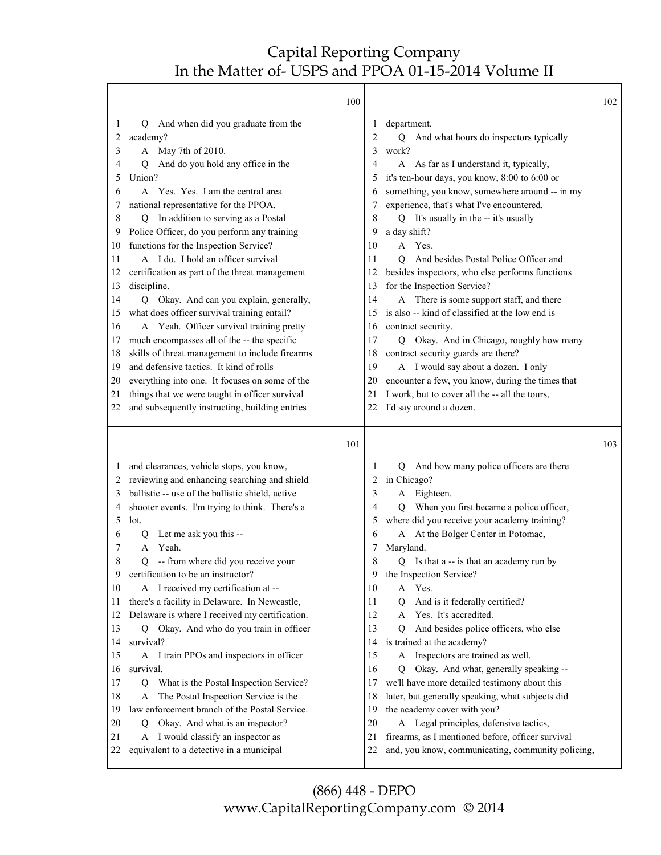|          | 100                                                                                      |          |                                                                                                        | 102 |
|----------|------------------------------------------------------------------------------------------|----------|--------------------------------------------------------------------------------------------------------|-----|
| 1        | And when did you graduate from the<br>Q                                                  | 1        | department.                                                                                            |     |
| 2        | academy?                                                                                 | 2        | And what hours do inspectors typically<br>Q                                                            |     |
| 3        | A May 7th of 2010.                                                                       | 3        | work?                                                                                                  |     |
| 4        | And do you hold any office in the<br>O                                                   | 4        | A As far as I understand it, typically,                                                                |     |
| 5        | Union?                                                                                   | 5        | it's ten-hour days, you know, 8:00 to 6:00 or                                                          |     |
| 6        | A Yes. Yes. I am the central area                                                        | 6        | something, you know, somewhere around -- in my                                                         |     |
| 7        | national representative for the PPOA.                                                    | 7        | experience, that's what I've encountered.                                                              |     |
| 8        | Q In addition to serving as a Postal                                                     | 8        | Q It's usually in the -- it's usually                                                                  |     |
| 9        | Police Officer, do you perform any training                                              | 9        | a day shift?                                                                                           |     |
| 10       | functions for the Inspection Service?                                                    | 10       | A Yes.                                                                                                 |     |
| 11       | A I do. I hold an officer survival                                                       | 11       | And besides Postal Police Officer and<br>O                                                             |     |
| 12       | certification as part of the threat management                                           | 12       | besides inspectors, who else performs functions                                                        |     |
| 13       | discipline.                                                                              | 13       | for the Inspection Service?                                                                            |     |
| 14       | Q Okay. And can you explain, generally,                                                  | 14       | A There is some support staff, and there                                                               |     |
| 15       | what does officer survival training entail?                                              | 15       | is also -- kind of classified at the low end is                                                        |     |
| 16       | A Yeah. Officer survival training pretty                                                 | 16       | contract security.                                                                                     |     |
| 17       | much encompasses all of the -- the specific                                              | 17       | Okay. And in Chicago, roughly how many<br>Q                                                            |     |
| 18       | skills of threat management to include firearms                                          | 18       | contract security guards are there?                                                                    |     |
| 19       | and defensive tactics. It kind of rolls                                                  | 19       | A I would say about a dozen. I only                                                                    |     |
| 20       | everything into one. It focuses on some of the                                           | 20       | encounter a few, you know, during the times that                                                       |     |
| 21       | things that we were taught in officer survival                                           | 21       | I work, but to cover all the -- all the tours,                                                         |     |
| 22       | and subsequently instructing, building entries                                           | 22       | I'd say around a dozen.                                                                                |     |
|          |                                                                                          |          |                                                                                                        |     |
|          | 101                                                                                      |          |                                                                                                        | 103 |
| $\perp$  |                                                                                          | 1        | Q                                                                                                      |     |
| 2        | and clearances, vehicle stops, you know,<br>reviewing and enhancing searching and shield | 2        | And how many police officers are there<br>in Chicago?                                                  |     |
| 3        | ballistic -- use of the ballistic shield, active                                         | 3        | A Eighteen.                                                                                            |     |
| 4        | shooter events. I'm trying to think. There's a                                           | 4        | Q When you first became a police officer,                                                              |     |
| 5        | lot.                                                                                     | 5        | where did you receive your academy training?                                                           |     |
| 6        | Let me ask you this --<br>Q                                                              | 6        | At the Bolger Center in Potomac,<br>A                                                                  |     |
| 7        | Yeah.<br>A                                                                               | 7        | Maryland.                                                                                              |     |
| 8        | -- from where did you receive your<br>Q                                                  | 8        | Is that a -- is that an academy run by<br>Q                                                            |     |
| 9        | certification to be an instructor?                                                       | 9        | the Inspection Service?                                                                                |     |
| 10       | A I received my certification at --                                                      | 10       | Yes.<br>A                                                                                              |     |
| 11       | there's a facility in Delaware. In Newcastle,                                            | 11       | And is it federally certified?<br>Q                                                                    |     |
| 12       | Delaware is where I received my certification.                                           | 12       | Yes. It's accredited.<br>A                                                                             |     |
| 13       | Q Okay. And who do you train in officer                                                  | 13       | And besides police officers, who else<br>O                                                             |     |
| 14       | survival?                                                                                | 14       | is trained at the academy?                                                                             |     |
| 15       | I train PPOs and inspectors in officer<br>A                                              | 15       | Inspectors are trained as well.<br>A                                                                   |     |
| 16       | survival.                                                                                | 16       | Okay. And what, generally speaking --<br>Q                                                             |     |
| 17       | What is the Postal Inspection Service?<br>Q                                              | 17       | we'll have more detailed testimony about this                                                          |     |
| 18       | The Postal Inspection Service is the<br>А                                                | 18       | later, but generally speaking, what subjects did                                                       |     |
| 19       | law enforcement branch of the Postal Service.                                            | 19       | the academy cover with you?                                                                            |     |
| 20       | Okay. And what is an inspector?<br>Q                                                     | 20       | A Legal principles, defensive tactics,                                                                 |     |
| 21<br>22 | I would classify an inspector as<br>A<br>equivalent to a detective in a municipal        | 21<br>22 | firearms, as I mentioned before, officer survival<br>and, you know, communicating, community policing, |     |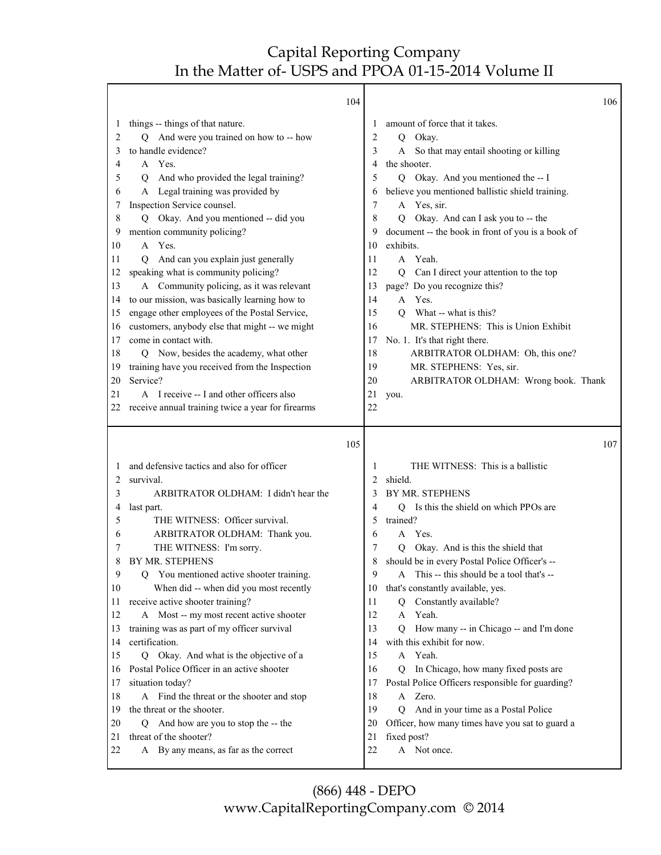Τ

Γ

|                                                                                                                                    | 104                                                                                                                                                                                                                                                                                                                                                                                                                                                                                                                                                                                                                                                                                                                                                                                                                                |                                                                                                                         |                                                                                                                                                                                                                                                                                                                                                                                                                                                                                                                                                                                                                                                                     | 106 |
|------------------------------------------------------------------------------------------------------------------------------------|------------------------------------------------------------------------------------------------------------------------------------------------------------------------------------------------------------------------------------------------------------------------------------------------------------------------------------------------------------------------------------------------------------------------------------------------------------------------------------------------------------------------------------------------------------------------------------------------------------------------------------------------------------------------------------------------------------------------------------------------------------------------------------------------------------------------------------|-------------------------------------------------------------------------------------------------------------------------|---------------------------------------------------------------------------------------------------------------------------------------------------------------------------------------------------------------------------------------------------------------------------------------------------------------------------------------------------------------------------------------------------------------------------------------------------------------------------------------------------------------------------------------------------------------------------------------------------------------------------------------------------------------------|-----|
| $\mathbf{I}$<br>2<br>3<br>4<br>5<br>6<br>7<br>8<br>9<br>10<br>11<br>12<br>13<br>14<br>15<br>16<br>17<br>18<br>19<br>20<br>21<br>22 | things -- things of that nature.<br>Q And were you trained on how to -- how<br>to handle evidence?<br>A Yes.<br>And who provided the legal training?<br>Q<br>A Legal training was provided by<br>Inspection Service counsel.<br>Q Okay. And you mentioned -- did you<br>mention community policing?<br>A Yes.<br>And can you explain just generally<br>0<br>speaking what is community policing?<br>A Community policing, as it was relevant<br>to our mission, was basically learning how to<br>engage other employees of the Postal Service,<br>customers, anybody else that might -- we might<br>come in contact with.<br>Q Now, besides the academy, what other<br>training have you received from the Inspection<br>Service?<br>A I receive -- I and other officers also<br>receive annual training twice a year for firearms | 1<br>2<br>3<br>4<br>5<br>6<br>7<br>8<br>9<br>10<br>11<br>12<br>13<br>14<br>15<br>16<br>17<br>18<br>19<br>20<br>21<br>22 | amount of force that it takes.<br>Okay.<br>Q<br>So that may entail shooting or killing<br>A<br>the shooter.<br>Q Okay. And you mentioned the -- I<br>believe you mentioned ballistic shield training.<br>A Yes, sir.<br>Q Okay. And can I ask you to -- the<br>document -- the book in front of you is a book of<br>exhibits.<br>A Yeah.<br>Can I direct your attention to the top<br>Q<br>page? Do you recognize this?<br>A Yes.<br>What -- what is this?<br>$\overline{Q}$<br>MR. STEPHENS: This is Union Exhibit<br>No. 1. It's that right there.<br>ARBITRATOR OLDHAM: Oh, this one?<br>MR. STEPHENS: Yes, sir.<br>ARBITRATOR OLDHAM: Wrong book. Thank<br>you. |     |
|                                                                                                                                    |                                                                                                                                                                                                                                                                                                                                                                                                                                                                                                                                                                                                                                                                                                                                                                                                                                    |                                                                                                                         |                                                                                                                                                                                                                                                                                                                                                                                                                                                                                                                                                                                                                                                                     |     |
|                                                                                                                                    |                                                                                                                                                                                                                                                                                                                                                                                                                                                                                                                                                                                                                                                                                                                                                                                                                                    |                                                                                                                         |                                                                                                                                                                                                                                                                                                                                                                                                                                                                                                                                                                                                                                                                     |     |
|                                                                                                                                    | 105                                                                                                                                                                                                                                                                                                                                                                                                                                                                                                                                                                                                                                                                                                                                                                                                                                |                                                                                                                         |                                                                                                                                                                                                                                                                                                                                                                                                                                                                                                                                                                                                                                                                     | 107 |
| 1                                                                                                                                  | and defensive tactics and also for officer                                                                                                                                                                                                                                                                                                                                                                                                                                                                                                                                                                                                                                                                                                                                                                                         | 1                                                                                                                       | THE WITNESS: This is a ballistic                                                                                                                                                                                                                                                                                                                                                                                                                                                                                                                                                                                                                                    |     |
| 2                                                                                                                                  | survival.                                                                                                                                                                                                                                                                                                                                                                                                                                                                                                                                                                                                                                                                                                                                                                                                                          | 2                                                                                                                       | shield.                                                                                                                                                                                                                                                                                                                                                                                                                                                                                                                                                                                                                                                             |     |
| 3                                                                                                                                  | ARBITRATOR OLDHAM: I didn't hear the                                                                                                                                                                                                                                                                                                                                                                                                                                                                                                                                                                                                                                                                                                                                                                                               | 3                                                                                                                       | BY MR. STEPHENS                                                                                                                                                                                                                                                                                                                                                                                                                                                                                                                                                                                                                                                     |     |
| 4                                                                                                                                  | last part.                                                                                                                                                                                                                                                                                                                                                                                                                                                                                                                                                                                                                                                                                                                                                                                                                         | 4                                                                                                                       | Q Is this the shield on which PPOs are                                                                                                                                                                                                                                                                                                                                                                                                                                                                                                                                                                                                                              |     |
| 5                                                                                                                                  | THE WITNESS: Officer survival.                                                                                                                                                                                                                                                                                                                                                                                                                                                                                                                                                                                                                                                                                                                                                                                                     | 5                                                                                                                       | trained?                                                                                                                                                                                                                                                                                                                                                                                                                                                                                                                                                                                                                                                            |     |
| 6                                                                                                                                  | ARBITRATOR OLDHAM: Thank you.                                                                                                                                                                                                                                                                                                                                                                                                                                                                                                                                                                                                                                                                                                                                                                                                      | 6                                                                                                                       | Yes.<br>A                                                                                                                                                                                                                                                                                                                                                                                                                                                                                                                                                                                                                                                           |     |
| 7                                                                                                                                  | THE WITNESS: I'm sorry.                                                                                                                                                                                                                                                                                                                                                                                                                                                                                                                                                                                                                                                                                                                                                                                                            | 7                                                                                                                       | Okay. And is this the shield that<br>Q                                                                                                                                                                                                                                                                                                                                                                                                                                                                                                                                                                                                                              |     |
| 8                                                                                                                                  | BY MR. STEPHENS                                                                                                                                                                                                                                                                                                                                                                                                                                                                                                                                                                                                                                                                                                                                                                                                                    | 8                                                                                                                       | should be in every Postal Police Officer's --                                                                                                                                                                                                                                                                                                                                                                                                                                                                                                                                                                                                                       |     |
| 9                                                                                                                                  | You mentioned active shooter training.<br>Q                                                                                                                                                                                                                                                                                                                                                                                                                                                                                                                                                                                                                                                                                                                                                                                        | 9                                                                                                                       | This -- this should be a tool that's --<br>A                                                                                                                                                                                                                                                                                                                                                                                                                                                                                                                                                                                                                        |     |
| 10                                                                                                                                 | When did -- when did you most recently                                                                                                                                                                                                                                                                                                                                                                                                                                                                                                                                                                                                                                                                                                                                                                                             | 10                                                                                                                      | that's constantly available, yes.                                                                                                                                                                                                                                                                                                                                                                                                                                                                                                                                                                                                                                   |     |
| 11                                                                                                                                 | receive active shooter training?                                                                                                                                                                                                                                                                                                                                                                                                                                                                                                                                                                                                                                                                                                                                                                                                   | 11                                                                                                                      | Constantly available?<br>Q<br>A                                                                                                                                                                                                                                                                                                                                                                                                                                                                                                                                                                                                                                     |     |
| 12                                                                                                                                 | A Most -- my most recent active shooter                                                                                                                                                                                                                                                                                                                                                                                                                                                                                                                                                                                                                                                                                                                                                                                            | 12<br>13                                                                                                                | Yeah.<br>O                                                                                                                                                                                                                                                                                                                                                                                                                                                                                                                                                                                                                                                          |     |
| 13<br>14                                                                                                                           | training was as part of my officer survival<br>certification.                                                                                                                                                                                                                                                                                                                                                                                                                                                                                                                                                                                                                                                                                                                                                                      | 14                                                                                                                      | How many -- in Chicago -- and I'm done<br>with this exhibit for now.                                                                                                                                                                                                                                                                                                                                                                                                                                                                                                                                                                                                |     |
| 15                                                                                                                                 |                                                                                                                                                                                                                                                                                                                                                                                                                                                                                                                                                                                                                                                                                                                                                                                                                                    | 15                                                                                                                      | A Yeah.                                                                                                                                                                                                                                                                                                                                                                                                                                                                                                                                                                                                                                                             |     |
| 16                                                                                                                                 | Q Okay. And what is the objective of a<br>Postal Police Officer in an active shooter                                                                                                                                                                                                                                                                                                                                                                                                                                                                                                                                                                                                                                                                                                                                               | 16                                                                                                                      | In Chicago, how many fixed posts are<br>Q                                                                                                                                                                                                                                                                                                                                                                                                                                                                                                                                                                                                                           |     |
| 17                                                                                                                                 | situation today?                                                                                                                                                                                                                                                                                                                                                                                                                                                                                                                                                                                                                                                                                                                                                                                                                   | 17                                                                                                                      | Postal Police Officers responsible for guarding?                                                                                                                                                                                                                                                                                                                                                                                                                                                                                                                                                                                                                    |     |
| 18                                                                                                                                 | A Find the threat or the shooter and stop                                                                                                                                                                                                                                                                                                                                                                                                                                                                                                                                                                                                                                                                                                                                                                                          | 18                                                                                                                      | A Zero.                                                                                                                                                                                                                                                                                                                                                                                                                                                                                                                                                                                                                                                             |     |
| 19                                                                                                                                 | the threat or the shooter.                                                                                                                                                                                                                                                                                                                                                                                                                                                                                                                                                                                                                                                                                                                                                                                                         | 19                                                                                                                      | Q And in your time as a Postal Police                                                                                                                                                                                                                                                                                                                                                                                                                                                                                                                                                                                                                               |     |
| 20                                                                                                                                 | Q And how are you to stop the -- the                                                                                                                                                                                                                                                                                                                                                                                                                                                                                                                                                                                                                                                                                                                                                                                               | 20                                                                                                                      | Officer, how many times have you sat to guard a                                                                                                                                                                                                                                                                                                                                                                                                                                                                                                                                                                                                                     |     |
| 21<br>22                                                                                                                           | threat of the shooter?<br>A By any means, as far as the correct                                                                                                                                                                                                                                                                                                                                                                                                                                                                                                                                                                                                                                                                                                                                                                    | 21<br>22                                                                                                                | fixed post?<br>A Not once.                                                                                                                                                                                                                                                                                                                                                                                                                                                                                                                                                                                                                                          |     |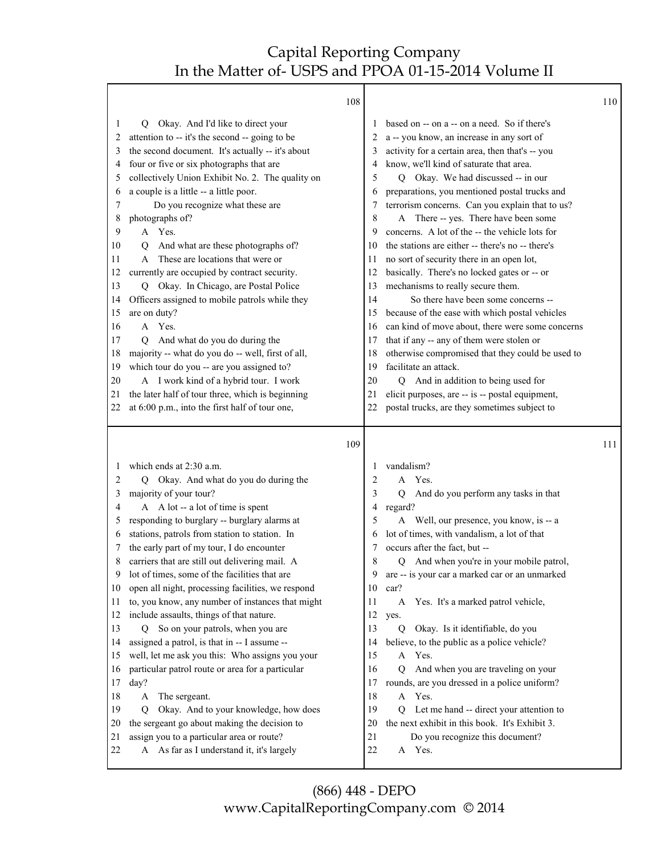Τ

|        | 108                                                                                                   |        |                                                                                           | 110 |
|--------|-------------------------------------------------------------------------------------------------------|--------|-------------------------------------------------------------------------------------------|-----|
| 1      | Okay. And I'd like to direct your<br>Q.                                                               |        | based on -- on a -- on a need. So if there's                                              |     |
| 2      | attention to -- it's the second -- going to be                                                        |        | a -- you know, an increase in any sort of                                                 |     |
| 3      | the second document. It's actually -- it's about                                                      | 3      | activity for a certain area, then that's -- you                                           |     |
| 4      | four or five or six photographs that are                                                              | 4      | know, we'll kind of saturate that area.                                                   |     |
| 5      | collectively Union Exhibit No. 2. The quality on                                                      | 5      | Q Okay. We had discussed -- in our                                                        |     |
| 6      | a couple is a little -- a little poor.                                                                | 6      | preparations, you mentioned postal trucks and                                             |     |
| 7      | Do you recognize what these are                                                                       | 7      | terrorism concerns. Can you explain that to us?                                           |     |
| 8      | photographs of?                                                                                       | 8      | A There -- yes. There have been some                                                      |     |
| 9      | A Yes.                                                                                                | 9      | concerns. A lot of the -- the vehicle lots for                                            |     |
| 10     | And what are these photographs of?<br>О                                                               | 10     | the stations are either -- there's no -- there's                                          |     |
| 11     | These are locations that were or<br>A                                                                 | 11     | no sort of security there in an open lot,                                                 |     |
| 12     | currently are occupied by contract security.                                                          | 12     | basically. There's no locked gates or -- or                                               |     |
| 13     | Okay. In Chicago, are Postal Police<br>Q                                                              | 13     | mechanisms to really secure them.                                                         |     |
| 14     | Officers assigned to mobile patrols while they                                                        | 14     | So there have been some concerns --                                                       |     |
| 15     | are on duty?                                                                                          | 15     | because of the ease with which postal vehicles                                            |     |
| 16     | Yes.<br>A                                                                                             | 16     | can kind of move about, there were some concerns                                          |     |
| 17     | And what do you do during the<br>О                                                                    | 17     | that if any -- any of them were stolen or                                                 |     |
| 18     | majority -- what do you do -- well, first of all,                                                     | 18     | otherwise compromised that they could be used to                                          |     |
| 19     | which tour do you -- are you assigned to?                                                             | 19     | facilitate an attack.                                                                     |     |
| 20     | A I work kind of a hybrid tour. I work                                                                | 20     | Q And in addition to being used for                                                       |     |
| 21     | the later half of tour three, which is beginning                                                      | 21     | elicit purposes, are -- is -- postal equipment,                                           |     |
| 22     | at 6:00 p.m., into the first half of tour one,                                                        | 22     | postal trucks, are they sometimes subject to                                              |     |
|        |                                                                                                       |        |                                                                                           |     |
|        |                                                                                                       |        |                                                                                           |     |
|        | 109                                                                                                   |        |                                                                                           | 111 |
| 1      | which ends at 2:30 a.m.                                                                               | 1      |                                                                                           |     |
|        |                                                                                                       |        | vandalism?<br>A Yes.                                                                      |     |
| 2      | Okay. And what do you do during the<br>О                                                              | 2<br>3 |                                                                                           |     |
| 3<br>4 | majority of your tour?                                                                                | 4      | And do you perform any tasks in that<br>Q                                                 |     |
| 5      | A A lot -- a lot of time is spent                                                                     | 5      | regard?                                                                                   |     |
| 6      | responding to burglary -- burglary alarms at                                                          | 6      | A Well, our presence, you know, is -- a                                                   |     |
| 7      | stations, patrols from station to station. In                                                         | 7      | lot of times, with vandalism, a lot of that<br>occurs after the fact, but --              |     |
| 8      | the early part of my tour, I do encounter<br>carriers that are still out delivering mail. A           | 8      | О                                                                                         |     |
| 9      | lot of times, some of the facilities that are                                                         | 9      | And when you're in your mobile patrol,                                                    |     |
| 10     |                                                                                                       | 10     | are -- is your car a marked car or an unmarked<br>car?                                    |     |
| 11     | open all night, processing facilities, we respond<br>to, you know, any number of instances that might | 11     | A                                                                                         |     |
| 12     |                                                                                                       | 12     | Yes. It's a marked patrol vehicle,<br>yes.                                                |     |
| 13     | include assaults, things of that nature.<br>Q                                                         | 13     | $\overline{Q}$                                                                            |     |
| 14     | So on your patrols, when you are                                                                      | 14     | Okay. Is it identifiable, do you                                                          |     |
| 15     | assigned a patrol, is that in -- I assume --                                                          | 15     | believe, to the public as a police vehicle?<br>A Yes.                                     |     |
| 16     | well, let me ask you this: Who assigns you your                                                       | 16     | $\overline{Q}$                                                                            |     |
| 17     | particular patrol route or area for a particular<br>day?                                              | 17     | And when you are traveling on your<br>rounds, are you dressed in a police uniform?        |     |
| 18     | A                                                                                                     | 18     | A Yes.                                                                                    |     |
| 19     | The sergeant.<br>Okay. And to your knowledge, how does<br>Q                                           | 19     | $\overline{Q}$                                                                            |     |
| 20     | the sergeant go about making the decision to                                                          | 20     | Let me hand -- direct your attention to<br>the next exhibit in this book. It's Exhibit 3. |     |
| 21     |                                                                                                       | 21     |                                                                                           |     |
| 22     | assign you to a particular area or route?<br>A As far as I understand it, it's largely                | 22     | Do you recognize this document?<br>A Yes.                                                 |     |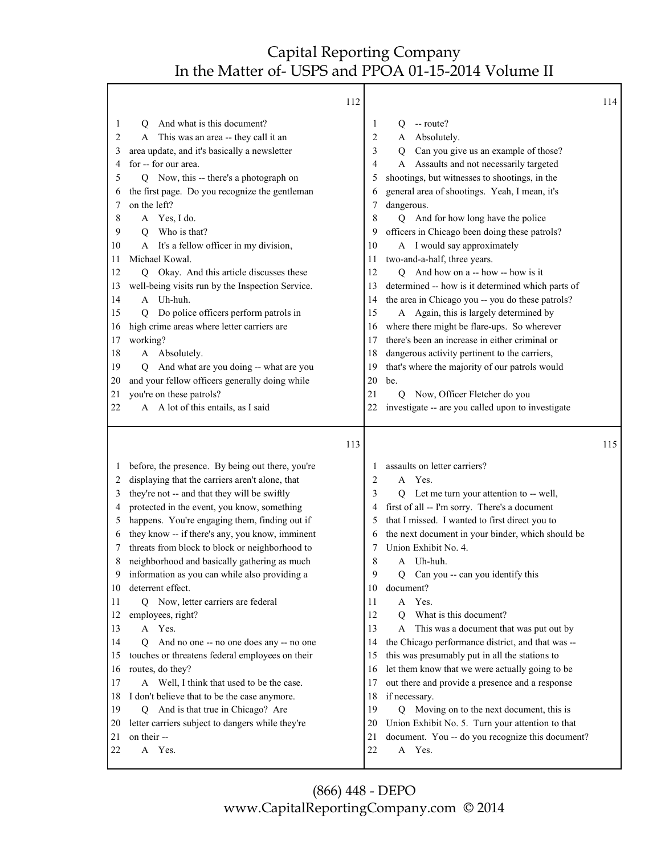|              | 112                                              |    |                                                   | 114 |
|--------------|--------------------------------------------------|----|---------------------------------------------------|-----|
| 1            | And what is this document?<br>Ő                  | 1  | -- route?<br>Q.                                   |     |
| 2            | This was an area -- they call it an<br>A         | 2  | A Absolutely.                                     |     |
| 3            | area update, and it's basically a newsletter     | 3  | Can you give us an example of those?<br>Q         |     |
| 4            | for -- for our area.                             | 4  | A Assaults and not necessarily targeted           |     |
| 5            | Now, this -- there's a photograph on<br>O.       | 5  | shootings, but witnesses to shootings, in the     |     |
| 6            | the first page. Do you recognize the gentleman   | 6  | general area of shootings. Yeah, I mean, it's     |     |
| 7            | on the left?                                     | 7  | dangerous.                                        |     |
| 8            | A Yes, I do.                                     | 8  | Q And for how long have the police                |     |
| 9            | Who is that?<br>О                                | 9  | officers in Chicago been doing these patrols?     |     |
| 10           | A It's a fellow officer in my division,          | 10 | A I would say approximately                       |     |
| 11           | Michael Kowal.                                   | 11 | two-and-a-half, three years.                      |     |
| 12           | Q Okay. And this article discusses these         | 12 | Q And how on a -- how -- how is it                |     |
| 13           | well-being visits run by the Inspection Service. | 13 | determined -- how is it determined which parts of |     |
| 14           | A Uh-huh.                                        | 14 | the area in Chicago you -- you do these patrols?  |     |
| 15           | Do police officers perform patrols in<br>О       | 15 | A Again, this is largely determined by            |     |
| 16           | high crime areas where letter carriers are       | 16 | where there might be flare-ups. So wherever       |     |
| 17           | working?                                         | 17 | there's been an increase in either criminal or    |     |
| 18           | A Absolutely.                                    | 18 | dangerous activity pertinent to the carriers,     |     |
| 19           | And what are you doing -- what are you<br>O      | 19 | that's where the majority of our patrols would    |     |
| 20           | and your fellow officers generally doing while   | 20 | be.                                               |     |
| 21           | you're on these patrols?                         | 21 | Now, Officer Fletcher do you<br>Q                 |     |
| 22           | A A lot of this entails, as I said               | 22 | investigate -- are you called upon to investigate |     |
|              |                                                  |    |                                                   |     |
|              |                                                  |    |                                                   |     |
|              | 113                                              |    |                                                   | 115 |
| $\mathbf{I}$ | before, the presence. By being out there, you're | 1  | assaults on letter carriers?                      |     |
| 2            | displaying that the carriers aren't alone, that  | 2  | A Yes.                                            |     |
| 3            | they're not -- and that they will be swiftly     | 3  | Let me turn your attention to -- well,<br>O.      |     |
| 4            | protected in the event, you know, something      | 4  | first of all -- I'm sorry. There's a document     |     |
| 5            | happens. You're engaging them, finding out if    | 5  | that I missed. I wanted to first direct you to    |     |
| 6            | they know -- if there's any, you know, imminent  | 6  | the next document in your binder, which should be |     |
|              | threats from block to block or neighborhood to   | 7  | Union Exhibit No. 4.                              |     |
| 8            | neighborhood and basically gathering as much     | 8  | Uh-huh.<br>A                                      |     |
| 9            | information as you can while also providing a    | 9  | Can you -- can you identify this<br>Q             |     |
| 10           | deterrent effect.                                | 10 | document?                                         |     |
| 11           | Q Now, letter carriers are federal               | 11 | Yes.<br>A                                         |     |
| 12           | employees, right?                                | 12 | What is this document?<br>О                       |     |
| 13           | A Yes.                                           | 13 | This was a document that was put out by<br>A      |     |
| 14           | And no one -- no one does any -- no one<br>O.    | 14 | the Chicago performance district, and that was -- |     |
| 15           | touches or threatens federal employees on their  | 15 | this was presumably put in all the stations to    |     |
| 16           | routes, do they?                                 | 16 | let them know that we were actually going to be   |     |
| 17           | A Well, I think that used to be the case.        | 17 | out there and provide a presence and a response   |     |
| 18           | I don't believe that to be the case anymore.     | 18 | if necessary.                                     |     |
| 19           | Q And is that true in Chicago? Are               | 19 | Moving on to the next document, this is<br>Q      |     |
| 20           | letter carriers subject to dangers while they're | 20 | Union Exhibit No. 5. Turn your attention to that  |     |
| 21           | on their --                                      | 21 | document. You -- do you recognize this document?  |     |
| 22           | A<br>Yes.                                        | 22 | A Yes.                                            |     |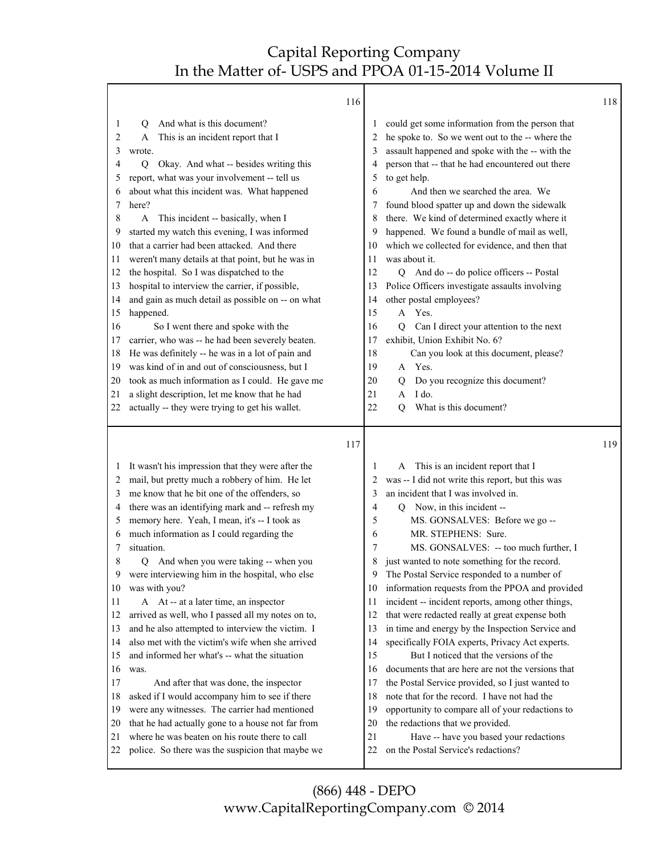|                                                                                                                                                                                                                                                                                                                                                                                                                                                                                                                                                                                                                                                                                                                                                                                                                                                                                                                                                                                                                                                                                                            | 116                                                                                                                      |                                                                                                                                                                                                                                                                                                                                                                                                                                                                                                                                                                                                                                                                                                                                                                                                                                                                                                                                                                          | 118 |
|------------------------------------------------------------------------------------------------------------------------------------------------------------------------------------------------------------------------------------------------------------------------------------------------------------------------------------------------------------------------------------------------------------------------------------------------------------------------------------------------------------------------------------------------------------------------------------------------------------------------------------------------------------------------------------------------------------------------------------------------------------------------------------------------------------------------------------------------------------------------------------------------------------------------------------------------------------------------------------------------------------------------------------------------------------------------------------------------------------|--------------------------------------------------------------------------------------------------------------------------|--------------------------------------------------------------------------------------------------------------------------------------------------------------------------------------------------------------------------------------------------------------------------------------------------------------------------------------------------------------------------------------------------------------------------------------------------------------------------------------------------------------------------------------------------------------------------------------------------------------------------------------------------------------------------------------------------------------------------------------------------------------------------------------------------------------------------------------------------------------------------------------------------------------------------------------------------------------------------|-----|
| And what is this document?<br>1<br>О<br>This is an incident report that I<br>2<br>A<br>3<br>wrote.<br>Okay. And what -- besides writing this<br>$\overline{Q}$<br>4<br>report, what was your involvement -- tell us<br>5<br>about what this incident was. What happened<br>6<br>here?<br>7<br>8<br>This incident -- basically, when I<br>A<br>started my watch this evening, I was informed<br>9<br>that a carrier had been attacked. And there<br>10<br>weren't many details at that point, but he was in<br>11<br>the hospital. So I was dispatched to the<br>12<br>hospital to interview the carrier, if possible,<br>13<br>and gain as much detail as possible on -- on what<br>14<br>happened.<br>15<br>So I went there and spoke with the<br>16<br>carrier, who was -- he had been severely beaten.<br>17<br>He was definitely -- he was in a lot of pain and<br>18<br>was kind of in and out of consciousness, but I<br>19<br>took as much information as I could. He gave me<br>20<br>a slight description, let me know that he had<br>21<br>actually -- they were trying to get his wallet.<br>22 | 1<br>2<br>3<br>4<br>5<br>6<br>7<br>8<br>9<br>10<br>11<br>12<br>13<br>14<br>15<br>16<br>17<br>18<br>19<br>20<br>21<br>22  | could get some information from the person that<br>he spoke to. So we went out to the -- where the<br>assault happened and spoke with the -- with the<br>person that -- that he had encountered out there<br>to get help.<br>And then we searched the area. We<br>found blood spatter up and down the sidewalk<br>there. We kind of determined exactly where it<br>happened. We found a bundle of mail as well,<br>which we collected for evidence, and then that<br>was about it.<br>Q And do -- do police officers -- Postal<br>Police Officers investigate assaults involving<br>other postal employees?<br>Yes.<br>A<br>Can I direct your attention to the next<br>Q<br>exhibit, Union Exhibit No. 6?<br>Can you look at this document, please?<br>A Yes.<br>Do you recognize this document?<br>Q<br>I do.<br>A<br>What is this document?<br>0                                                                                                                       |     |
| It wasn't his impression that they were after the<br>1<br>mail, but pretty much a robbery of him. He let<br>2<br>me know that he bit one of the offenders, so<br>3<br>there was an identifying mark and -- refresh my<br>4<br>memory here. Yeah, I mean, it's -- I took as<br>5<br>much information as I could regarding the<br>6<br>situation.<br>7<br>And when you were taking -- when you<br>8<br>Q<br>Q<br>were interviewing him in the hospital, who else<br>was with you?<br>10<br>A At -- at a later time, an inspector<br>11<br>arrived as well, who I passed all my notes on to,<br>12<br>and he also attempted to interview the victim. I<br>13<br>also met with the victim's wife when she arrived<br>14<br>and informed her what's -- what the situation<br>15<br>16<br>was.<br>And after that was done, the inspector<br>17<br>asked if I would accompany him to see if there<br>18<br>were any witnesses. The carrier had mentioned<br>19<br>that he had actually gone to a house not far from<br>20<br>where he was beaten on his route there to call<br>21                                 | 117<br>1<br>2<br>3<br>4<br>5<br>6<br>7<br>8<br>9<br>10<br>11<br>12<br>13<br>14<br>15<br>16<br>17<br>18<br>19<br>20<br>21 | This is an incident report that I<br>A<br>was -- I did not write this report, but this was<br>an incident that I was involved in.<br>Q Now, in this incident --<br>MS. GONSALVES: Before we go --<br>MR. STEPHENS: Sure.<br>MS. GONSALVES: -- too much further, I<br>just wanted to note something for the record.<br>The Postal Service responded to a number of<br>information requests from the PPOA and provided<br>incident -- incident reports, among other things,<br>that were redacted really at great expense both<br>in time and energy by the Inspection Service and<br>specifically FOIA experts, Privacy Act experts.<br>But I noticed that the versions of the<br>documents that are here are not the versions that<br>the Postal Service provided, so I just wanted to<br>note that for the record. I have not had the<br>opportunity to compare all of your redactions to<br>the redactions that we provided.<br>Have -- have you based your redactions | 119 |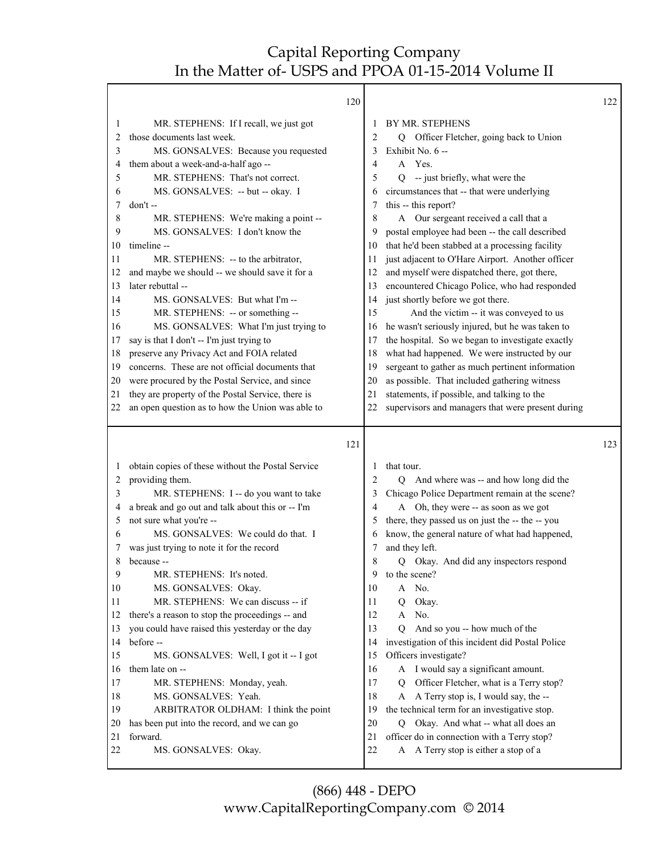|              |                                                           | 120      |                                                                                          | 122 |
|--------------|-----------------------------------------------------------|----------|------------------------------------------------------------------------------------------|-----|
| 1            | MR. STEPHENS: If I recall, we just got                    |          | BY MR. STEPHENS<br>1                                                                     |     |
| 2            | those documents last week.                                |          | 2<br>Officer Fletcher, going back to Union<br>Q                                          |     |
| 3            | MS. GONSALVES: Because you requested                      |          | Exhibit No. 6 --<br>3                                                                    |     |
| 4            | them about a week-and-a-half ago --                       |          | A Yes.<br>4                                                                              |     |
| 5            | MR. STEPHENS: That's not correct.                         |          | 5<br>Q -- just briefly, what were the                                                    |     |
| 6            | MS. GONSALVES: -- but -- okay. I                          |          | circumstances that -- that were underlying<br>6                                          |     |
| 7            | don't-                                                    |          | this -- this report?<br>7                                                                |     |
| 8            | MR. STEPHENS: We're making a point --                     |          | A Our sergeant received a call that a<br>8                                               |     |
| 9            | MS. GONSALVES: I don't know the                           |          | postal employee had been -- the call described<br>9                                      |     |
| 10           | timeline --                                               | 10       | that he'd been stabbed at a processing facility                                          |     |
| 11           | MR. STEPHENS: -- to the arbitrator,                       | 11       | just adjacent to O'Hare Airport. Another officer                                         |     |
| 12           | and maybe we should -- we should save it for a            | 12       | and myself were dispatched there, got there,                                             |     |
| 13           | later rebuttal --                                         | 13       | encountered Chicago Police, who had responded                                            |     |
| 14           | MS. GONSALVES: But what I'm --                            | 14       | just shortly before we got there.                                                        |     |
| 15           | MR. STEPHENS: -- or something --                          | 15       | And the victim -- it was conveyed to us                                                  |     |
| 16           | MS. GONSALVES: What I'm just trying to                    | 16       | he wasn't seriously injured, but he was taken to                                         |     |
| 17           | say is that I don't -- I'm just trying to                 | 17       | the hospital. So we began to investigate exactly                                         |     |
| 18           | preserve any Privacy Act and FOIA related                 | 18       | what had happened. We were instructed by our                                             |     |
| 19           | concerns. These are not official documents that           | 19       | sergeant to gather as much pertinent information                                         |     |
| 20           | were procured by the Postal Service, and since            | 20       | as possible. That included gathering witness                                             |     |
| 21           | they are property of the Postal Service, there is         | 21       | statements, if possible, and talking to the                                              |     |
| 22           | an open question as to how the Union was able to          | 22       | supervisors and managers that were present during                                        |     |
|              |                                                           |          |                                                                                          |     |
|              |                                                           |          |                                                                                          |     |
|              |                                                           | 121      |                                                                                          | 123 |
|              |                                                           |          |                                                                                          |     |
| $\mathbf{I}$ | obtain copies of these without the Postal Service         |          | that tour.<br>1                                                                          |     |
| 2            | providing them.                                           |          | $\overline{2}$<br>And where was -- and how long did the<br>O                             |     |
| 3            | MR. STEPHENS: I -- do you want to take                    |          | Chicago Police Department remain at the scene?<br>3                                      |     |
| 4            | a break and go out and talk about this or -- I'm          |          | A Oh, they were -- as soon as we got<br>4                                                |     |
| 5            | not sure what you're --                                   |          | there, they passed us on just the -- the -- you<br>5                                     |     |
| 6            | MS. GONSALVES: We could do that. I                        |          | know, the general nature of what had happened,<br>6                                      |     |
|              | was just trying to note it for the record                 |          | and they left.<br>7                                                                      |     |
| 8            | because --                                                |          | 8<br>Q Okay. And did any inspectors respond                                              |     |
| 9            | MR. STEPHENS: It's noted.                                 |          | to the scene?<br>9                                                                       |     |
| 10           | MS. GONSALVES: Okay.                                      | 10       | No.<br>A                                                                                 |     |
| 11           | MR. STEPHENS: We can discuss -- if                        | 11       | Okay.<br>Q<br>A                                                                          |     |
| 12           | there's a reason to stop the proceedings -- and           | 12       | No.                                                                                      |     |
| 13           | you could have raised this yesterday or the day           | 13       | And so you -- how much of the<br>0                                                       |     |
| 14<br>15     | before --                                                 | 14<br>15 | investigation of this incident did Postal Police                                         |     |
| 16           | MS. GONSALVES: Well, I got it -- I got<br>them late on -- | 16       | Officers investigate?<br>A                                                               |     |
| 17           |                                                           | 17       | I would say a significant amount.<br>Q                                                   |     |
| 18           | MR. STEPHENS: Monday, yeah.<br>MS. GONSALVES: Yeah.       | 18       | Officer Fletcher, what is a Terry stop?<br>A                                             |     |
| 19           |                                                           | 19       | A Terry stop is, I would say, the --                                                     |     |
| 20           | ARBITRATOR OLDHAM: I think the point                      | 20       | the technical term for an investigative stop.<br>Okay. And what -- what all does an<br>Q |     |
| 21           | has been put into the record, and we can go<br>forward.   | 21       | officer do in connection with a Terry stop?                                              |     |
| 22           | MS. GONSALVES: Okay.                                      | 22       | A A Terry stop is either a stop of a                                                     |     |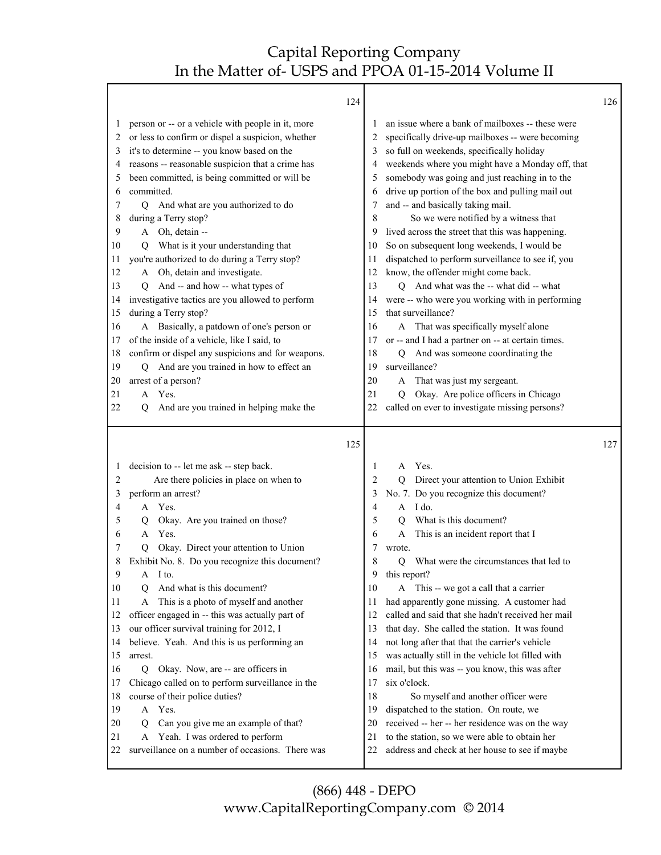|          | 124                                                                                     |                |                                                                                                 | 126 |
|----------|-----------------------------------------------------------------------------------------|----------------|-------------------------------------------------------------------------------------------------|-----|
| 1        | person or -- or a vehicle with people in it, more                                       | 1              | an issue where a bank of mailboxes -- these were                                                |     |
| 2        | or less to confirm or dispel a suspicion, whether                                       | 2              | specifically drive-up mailboxes -- were becoming                                                |     |
| 3        | it's to determine -- you know based on the                                              | 3              | so full on weekends, specifically holiday                                                       |     |
| 4        | reasons -- reasonable suspicion that a crime has                                        | 4              | weekends where you might have a Monday off, that                                                |     |
| 5        | been committed, is being committed or will be                                           | 5              | somebody was going and just reaching in to the                                                  |     |
| 6        | committed.                                                                              | 6              | drive up portion of the box and pulling mail out                                                |     |
| 7        | And what are you authorized to do<br>Q.                                                 | 7              | and -- and basically taking mail.                                                               |     |
| 8        | during a Terry stop?                                                                    | 8              | So we were notified by a witness that                                                           |     |
| 9        | A Oh, detain --                                                                         | 9              | lived across the street that this was happening.                                                |     |
| 10       | What is it your understanding that<br>Q                                                 | 10             | So on subsequent long weekends, I would be                                                      |     |
| 11       | you're authorized to do during a Terry stop?                                            | 11             | dispatched to perform surveillance to see if, you                                               |     |
| 12       | A Oh, detain and investigate.                                                           | 12             | know, the offender might come back.                                                             |     |
| 13       | And -- and how -- what types of<br>O.                                                   | 13             | Q And what was the -- what did -- what                                                          |     |
| 14       | investigative tactics are you allowed to perform                                        | 14             | were -- who were you working with in performing                                                 |     |
| 15       | during a Terry stop?                                                                    | 15             | that surveillance?                                                                              |     |
| 16       | A Basically, a patdown of one's person or                                               | 16             | A That was specifically myself alone                                                            |     |
| 17       | of the inside of a vehicle, like I said, to                                             | 17             | or -- and I had a partner on -- at certain times.                                               |     |
| 18       | confirm or dispel any suspicions and for weapons.                                       | 18             | Q And was someone coordinating the                                                              |     |
| 19       | Q And are you trained in how to effect an                                               | 19             | surveillance?                                                                                   |     |
| 20       | arrest of a person?                                                                     | 20             | A That was just my sergeant.                                                                    |     |
| 21       | A Yes.                                                                                  | 21             | Okay. Are police officers in Chicago<br>Q                                                       |     |
| 22       | And are you trained in helping make the<br>O                                            | 22             | called on ever to investigate missing persons?                                                  |     |
|          |                                                                                         |                |                                                                                                 |     |
|          |                                                                                         |                |                                                                                                 |     |
|          | 125                                                                                     |                |                                                                                                 | 127 |
|          |                                                                                         |                |                                                                                                 |     |
| 1        | decision to -- let me ask -- step back.                                                 | 1              | Yes.<br>A                                                                                       |     |
| 2        | Are there policies in place on when to                                                  | $\overline{2}$ | Q Direct your attention to Union Exhibit                                                        |     |
| 3        | perform an arrest?                                                                      | 3              | No. 7. Do you recognize this document?                                                          |     |
| 4        | Yes.<br>A                                                                               | 4              | A I do.                                                                                         |     |
| 5        | Okay. Are you trained on those?<br>Q                                                    | 5              | What is this document?<br>O                                                                     |     |
| 6        | Yes.<br>A                                                                               | 6              | This is an incident report that I<br>A                                                          |     |
| 7        | Okay. Direct your attention to Union<br>O.                                              | 7              | wrote.                                                                                          |     |
| 8        | Exhibit No. 8. Do you recognize this document?                                          | 8              | What were the circumstances that led to<br>О                                                    |     |
| 9        | A I to.                                                                                 | 9              | this report?                                                                                    |     |
| 10       | And what is this document?<br>Q                                                         | 10             | A This -- we got a call that a carrier                                                          |     |
| 11       | This is a photo of myself and another<br>А                                              | 11             | had apparently gone missing. A customer had                                                     |     |
| 12       | officer engaged in -- this was actually part of                                         | 12             | called and said that she hadn't received her mail                                               |     |
| 13       | our officer survival training for 2012, I                                               | 13             | that day. She called the station. It was found                                                  |     |
| 14       | believe. Yeah. And this is us performing an                                             | 14             | not long after that that the carrier's vehicle                                                  |     |
| 15       | arrest.                                                                                 | 15             | was actually still in the vehicle lot filled with                                               |     |
| 16       | Okay. Now, are -- are officers in<br>Q                                                  | 16             | mail, but this was -- you know, this was after                                                  |     |
| 17       | Chicago called on to perform surveillance in the                                        | 17             | six o'clock.                                                                                    |     |
| 18       | course of their police duties?                                                          | 18             | So myself and another officer were                                                              |     |
| 19       | Yes.<br>A                                                                               | 19             | dispatched to the station. On route, we                                                         |     |
| 20       | Can you give me an example of that?<br>Q                                                | 20             | received -- her -- her residence was on the way                                                 |     |
| 21<br>22 | Yeah. I was ordered to perform<br>A<br>surveillance on a number of occasions. There was | 21<br>22       | to the station, so we were able to obtain her<br>address and check at her house to see if maybe |     |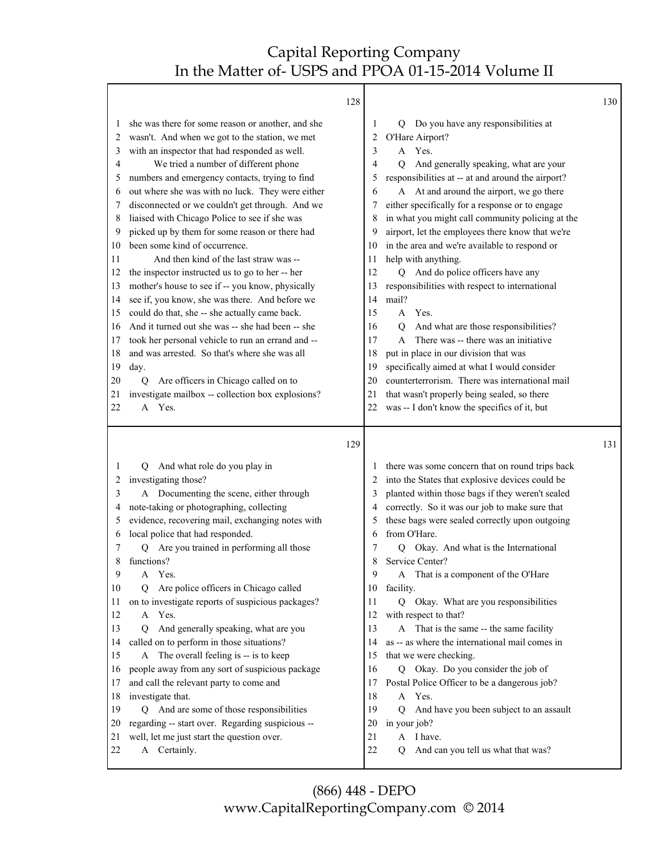| 128 |                                                                                                                                                                                                                                                                                                                                                                                                                                                                                                                                                                                                                                                                                                                                                                                                                                                                                                                                                                                                                                                 | 130 |
|-----|-------------------------------------------------------------------------------------------------------------------------------------------------------------------------------------------------------------------------------------------------------------------------------------------------------------------------------------------------------------------------------------------------------------------------------------------------------------------------------------------------------------------------------------------------------------------------------------------------------------------------------------------------------------------------------------------------------------------------------------------------------------------------------------------------------------------------------------------------------------------------------------------------------------------------------------------------------------------------------------------------------------------------------------------------|-----|
|     | Do you have any responsibilities at<br>1<br>Q<br>O'Hare Airport?<br>2<br>A Yes.<br>3<br>And generally speaking, what are your<br>4<br>$\overline{Q}$<br>responsibilities at -- at and around the airport?<br>5<br>A At and around the airport, we go there<br>6<br>either specifically for a response or to engage<br>7<br>in what you might call community policing at the<br>8<br>airport, let the employees there know that we're<br>9<br>in the area and we're available to respond or<br>10<br>help with anything.<br>11<br>Q And do police officers have any<br>12<br>responsibilities with respect to international<br>13<br>mail?<br>14<br>Yes.<br>15<br>A<br>And what are those responsibilities?<br>16<br>Q<br>There was -- there was an initiative<br>17<br>A<br>put in place in our division that was<br>18<br>specifically aimed at what I would consider<br>19<br>counterterrorism. There was international mail<br>20<br>that wasn't properly being sealed, so there<br>21<br>was -- I don't know the specifics of it, but<br>22 |     |
| 129 |                                                                                                                                                                                                                                                                                                                                                                                                                                                                                                                                                                                                                                                                                                                                                                                                                                                                                                                                                                                                                                                 | 131 |
|     | there was some concern that on round trips back<br>into the States that explosive devices could be<br>planted within those bags if they weren't sealed<br>3<br>correctly. So it was our job to make sure that<br>these bags were sealed correctly upon outgoing<br>5<br>from O'Hare.<br>6<br>Q Okay. And what is the International<br>7<br>Service Center?<br>8<br>A That is a component of the O'Hare<br>10<br>facility.<br>Q Okay. What are you responsibilities<br>11<br>with respect to that?<br>12<br>13<br>That is the same -- the same facility<br>A<br>as -- as where the international mail comes in<br>14<br>that we were checking.<br>15<br>Q Okay. Do you consider the job of<br>16<br>Postal Police Officer to be a dangerous job?<br>17<br>A Yes.<br>18<br>19<br>And have you been subject to an assault<br>Q<br>in your job?<br>20<br>A I have.<br>21<br>22<br>And can you tell us what that was?<br>Q                                                                                                                           |     |
|     |                                                                                                                                                                                                                                                                                                                                                                                                                                                                                                                                                                                                                                                                                                                                                                                                                                                                                                                                                                                                                                                 |     |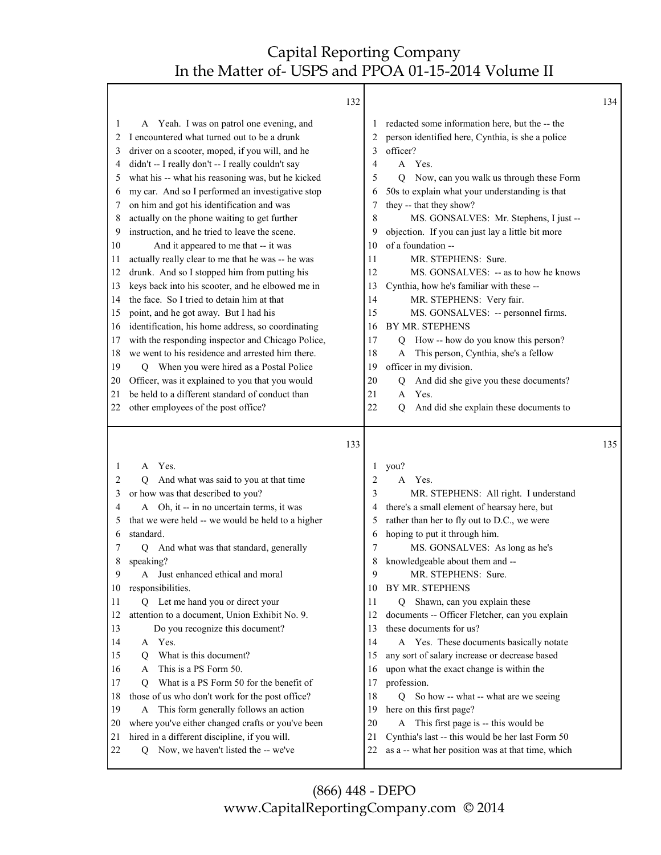|          | 132                                                                                                |          |                                                                                                       | 134 |
|----------|----------------------------------------------------------------------------------------------------|----------|-------------------------------------------------------------------------------------------------------|-----|
| 1        | Yeah. I was on patrol one evening, and<br>A                                                        | 1        | redacted some information here, but the -- the                                                        |     |
| 2        | I encountered what turned out to be a drunk                                                        | 2        | person identified here, Cynthia, is she a police                                                      |     |
| 3        | driver on a scooter, moped, if you will, and he                                                    | 3        | officer?                                                                                              |     |
| 4        | didn't -- I really don't -- I really couldn't say                                                  | 4        | A Yes.                                                                                                |     |
| 5        | what his -- what his reasoning was, but he kicked                                                  | 5        | Now, can you walk us through these Form<br>0                                                          |     |
| 6        | my car. And so I performed an investigative stop                                                   | 6        | 50s to explain what your understanding is that                                                        |     |
| 7        | on him and got his identification and was                                                          | 7        | they -- that they show?                                                                               |     |
| 8        | actually on the phone waiting to get further                                                       | 8        | MS. GONSALVES: Mr. Stephens, I just --                                                                |     |
| 9        | instruction, and he tried to leave the scene.                                                      | 9        | objection. If you can just lay a little bit more                                                      |     |
| 10       | And it appeared to me that -- it was                                                               | 10       | of a foundation --                                                                                    |     |
| 11       | actually really clear to me that he was -- he was                                                  | 11       | MR. STEPHENS: Sure.                                                                                   |     |
| 12       | drunk. And so I stopped him from putting his                                                       | 12       | MS. GONSALVES: -- as to how he knows                                                                  |     |
| 13       | keys back into his scooter, and he elbowed me in                                                   | 13       | Cynthia, how he's familiar with these --                                                              |     |
| 14       | the face. So I tried to detain him at that                                                         | 14       | MR. STEPHENS: Very fair.                                                                              |     |
| 15       | point, and he got away. But I had his                                                              | 15       | MS. GONSALVES: -- personnel firms.                                                                    |     |
| 16       | identification, his home address, so coordinating                                                  | 16       | BY MR. STEPHENS                                                                                       |     |
| 17       | with the responding inspector and Chicago Police,                                                  | 17       | How -- how do you know this person?<br>Q                                                              |     |
| 18       | we went to his residence and arrested him there.                                                   | 18       | This person, Cynthia, she's a fellow<br>A                                                             |     |
| 19       | When you were hired as a Postal Police<br>Q                                                        | 19<br>20 | officer in my division.                                                                               |     |
| 20<br>21 | Officer, was it explained to you that you would<br>be held to a different standard of conduct than | 21       | And did she give you these documents?<br>Q<br>Yes.<br>A                                               |     |
| 22       | other employees of the post office?                                                                | 22       | And did she explain these documents to<br>Q                                                           |     |
|          |                                                                                                    |          |                                                                                                       |     |
|          |                                                                                                    |          |                                                                                                       |     |
|          | 133                                                                                                |          |                                                                                                       | 135 |
| 1        | A Yes.                                                                                             | 1        |                                                                                                       |     |
| 2        | And what was said to you at that time<br>O                                                         | 2        | you?<br>A<br>Yes.                                                                                     |     |
| 3        | or how was that described to you?                                                                  | 3        | MR. STEPHENS: All right. I understand                                                                 |     |
| 4        | A Oh, it -- in no uncertain terms, it was                                                          | 4        | there's a small element of hearsay here, but                                                          |     |
| 5        | that we were held -- we would be held to a higher                                                  | 5        | rather than her to fly out to D.C., we were                                                           |     |
| 6        | standard.                                                                                          | 6        | hoping to put it through him.                                                                         |     |
| 7        | And what was that standard, generally<br>Q                                                         | 7        | MS. GONSALVES: As long as he's                                                                        |     |
| 8        | speaking?                                                                                          | 8        | knowledgeable about them and --                                                                       |     |
| 9        | A Just enhanced ethical and moral                                                                  | 9        | MR. STEPHENS: Sure.                                                                                   |     |
| 10       | responsibilities.                                                                                  | 10       | BY MR. STEPHENS                                                                                       |     |
| 11       | Q Let me hand you or direct your                                                                   | 11       | Q Shawn, can you explain these                                                                        |     |
| 12       | attention to a document, Union Exhibit No. 9.                                                      | 12       | documents -- Officer Fletcher, can you explain                                                        |     |
| 13       | Do you recognize this document?                                                                    | 13       | these documents for us?                                                                               |     |
| 14       | A Yes.                                                                                             | 14       | A Yes. These documents basically notate                                                               |     |
| 15       | What is this document?<br>0                                                                        | 15       | any sort of salary increase or decrease based                                                         |     |
| 16       | This is a PS Form 50.<br>A                                                                         | 16       | upon what the exact change is within the                                                              |     |
| 17       | What is a PS Form 50 for the benefit of<br>Q                                                       | 17       | profession.                                                                                           |     |
| 18       | those of us who don't work for the post office?                                                    | 18       | So how -- what -- what are we seeing<br>O                                                             |     |
| 19       | This form generally follows an action<br>A                                                         | 19       | here on this first page?                                                                              |     |
| 20       | where you've either changed crafts or you've been                                                  | 20       | This first page is -- this would be<br>A                                                              |     |
| 21<br>22 | hired in a different discipline, if you will.<br>Now, we haven't listed the -- we've<br>Q          | 21<br>22 | Cynthia's last -- this would be her last Form 50<br>as a -- what her position was at that time, which |     |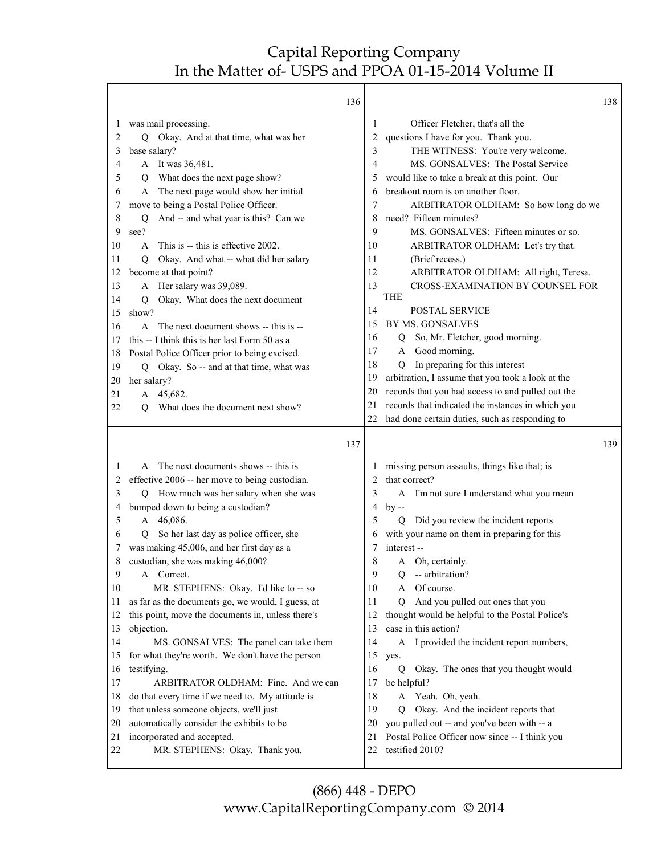Т

|          | 136                                                          |          | 138                                                               |
|----------|--------------------------------------------------------------|----------|-------------------------------------------------------------------|
| 1        | was mail processing.                                         | 1        | Officer Fletcher, that's all the                                  |
| 2        | Q Okay. And at that time, what was her                       | 2        | questions I have for you. Thank you.                              |
| 3        | base salary?                                                 | 3        | THE WITNESS: You're very welcome.                                 |
| 4        | A It was 36,481.                                             | 4        | MS. GONSALVES: The Postal Service                                 |
| 5        | Q What does the next page show?                              | 5        | would like to take a break at this point. Our                     |
| 6        | A The next page would show her initial                       | 6        | breakout room is on another floor.                                |
| 7        | move to being a Postal Police Officer.                       | 7        | ARBITRATOR OLDHAM: So how long do we                              |
| 8        | And -- and what year is this? Can we<br>Q                    | 8        | need? Fifteen minutes?                                            |
| 9        | see?                                                         | 9        | MS. GONSALVES: Fifteen minutes or so.                             |
| 10       | A This is -- this is effective 2002.                         | 10       | ARBITRATOR OLDHAM: Let's try that.                                |
| 11       | Okay. And what -- what did her salary<br>Q                   | 11       | (Brief recess.)                                                   |
| 12       | become at that point?                                        | 12       | ARBITRATOR OLDHAM: All right, Teresa.                             |
| 13       | A Her salary was 39,089.                                     | 13       | CROSS-EXAMINATION BY COUNSEL FOR                                  |
| 14       | Okay. What does the next document<br>Q                       |          | <b>THE</b>                                                        |
| 15       | show?                                                        | 14       | POSTAL SERVICE                                                    |
| 16       | The next document shows -- this is --<br>$\mathsf{A}$        | 15       | BY MS. GONSALVES                                                  |
| 17       | this -- I think this is her last Form 50 as a                | 16       | So, Mr. Fletcher, good morning.<br>Q                              |
| 18       | Postal Police Officer prior to being excised.                | 17       | Good morning.<br>A                                                |
| 19       | Q Okay. So -- and at that time, what was                     | 18       | In preparing for this interest<br>Q                               |
| 20       | her salary?                                                  | 19       | arbitration, I assume that you took a look at the                 |
| 21       | A 45,682.                                                    | 20       | records that you had access to and pulled out the                 |
| 22       |                                                              | 21       | records that indicated the instances in which you                 |
|          | What does the document next show?<br>О                       | 22       | had done certain duties, such as responding to                    |
|          |                                                              |          |                                                                   |
|          |                                                              |          |                                                                   |
|          | 137                                                          |          | 139                                                               |
|          |                                                              |          |                                                                   |
| 1        | A The next documents shows -- this is                        | 1        | missing person assaults, things like that; is                     |
| 2        | effective 2006 -- her move to being custodian.               | 2        | that correct?                                                     |
| 3        | Q How much was her salary when she was                       | 3        | A I'm not sure I understand what you mean                         |
| 4        | bumped down to being a custodian?                            | 4        | $by -$                                                            |
| 5        | A 46,086.                                                    | 5        | Did you review the incident reports<br>$\overline{Q}$             |
| 6        | So her last day as police officer, she<br>O.                 | 6        | with your name on them in preparing for this                      |
| 7        | was making 45,006, and her first day as a                    | 7        | interest-                                                         |
| 8        | custodian, she was making 46,000?                            | 8        | Oh, certainly.<br>A                                               |
| 9        | A Correct.                                                   | 9        | -- arbitration?<br>Q                                              |
| 10       | MR. STEPHENS: Okay. I'd like to -- so                        | 10       | Of course.<br>A                                                   |
| 11       | as far as the documents go, we would, I guess, at            | 11       | And you pulled out ones that you<br>$\overline{Q}$                |
| 12       | this point, move the documents in, unless there's            | 12       | thought would be helpful to the Postal Police's                   |
| 13       | objection.                                                   | 13       | case in this action?                                              |
| 14       | MS. GONSALVES: The panel can take them                       | 14       | A I provided the incident report numbers,                         |
| 15       | for what they're worth. We don't have the person             | 15       | yes.                                                              |
| 16       | testifying.                                                  | 16       | Okay. The ones that you thought would<br>Q                        |
| 17       | ARBITRATOR OLDHAM: Fine. And we can                          | 17       | be helpful?                                                       |
| 18       | do that every time if we need to. My attitude is             | 18       | A Yeah. Oh, yeah.                                                 |
| 19       | that unless someone objects, we'll just                      | 19       | Okay. And the incident reports that<br>O.                         |
| 20       | automatically consider the exhibits to be                    | 20       | you pulled out -- and you've been with -- a                       |
| 21<br>22 | incorporated and accepted.<br>MR. STEPHENS: Okay. Thank you. | 21<br>22 | Postal Police Officer now since -- I think you<br>testified 2010? |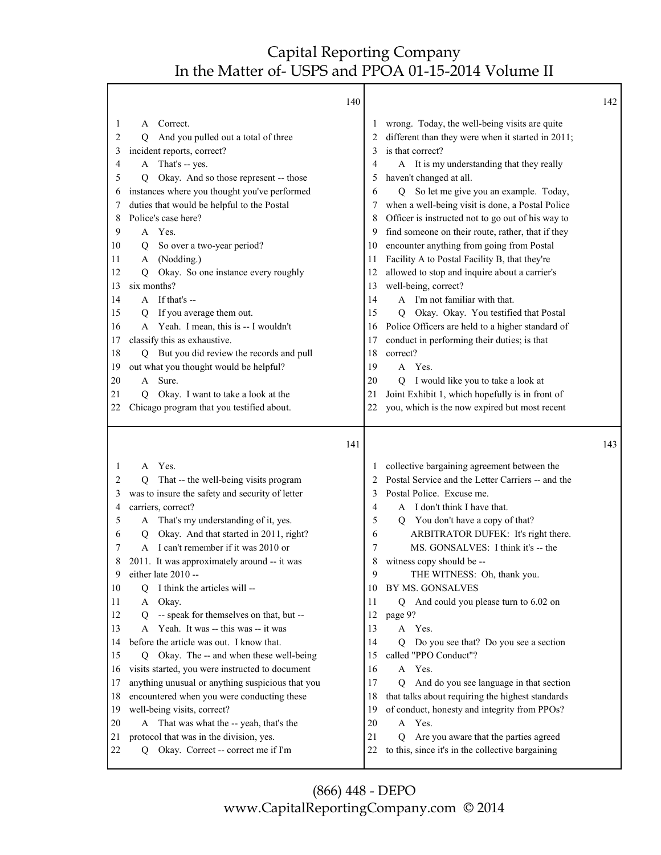Т

|          | 140                                                                                |          |                                                                                                    | 142 |
|----------|------------------------------------------------------------------------------------|----------|----------------------------------------------------------------------------------------------------|-----|
| 1<br>2   | Correct.<br>A<br>And you pulled out a total of three<br>О                          | 1<br>2   | wrong. Today, the well-being visits are quite<br>different than they were when it started in 2011; |     |
| 3        | incident reports, correct?                                                         | 3        | is that correct?                                                                                   |     |
| 4        | A That's -- yes.                                                                   | 4        | A It is my understanding that they really                                                          |     |
| 5        | Okay. And so those represent -- those<br>Q                                         | 5        | haven't changed at all.                                                                            |     |
| 6        | instances where you thought you've performed                                       | 6        | So let me give you an example. Today,<br>$\overline{Q}$                                            |     |
| 7        | duties that would be helpful to the Postal                                         | 7        | when a well-being visit is done, a Postal Police                                                   |     |
| 8        | Police's case here?                                                                | 8        | Officer is instructed not to go out of his way to                                                  |     |
| 9        | A Yes.                                                                             | 9        | find someone on their route, rather, that if they                                                  |     |
| 10       | So over a two-year period?<br>Q                                                    | 10       | encounter anything from going from Postal                                                          |     |
| 11       | A (Nodding.)                                                                       | 11       | Facility A to Postal Facility B, that they're                                                      |     |
| 12       | Okay. So one instance every roughly<br>Q                                           | 12       | allowed to stop and inquire about a carrier's                                                      |     |
| 13       | six months?                                                                        | 13       | well-being, correct?                                                                               |     |
| 14       | A If that's --                                                                     | 14       | A I'm not familiar with that.                                                                      |     |
| 15       | If you average them out.<br>O                                                      | 15       | Okay. Okay. You testified that Postal<br>O                                                         |     |
| 16       | A Yeah. I mean, this is -- I wouldn't                                              | 16       | Police Officers are held to a higher standard of                                                   |     |
| 17       | classify this as exhaustive.                                                       | 17       | conduct in performing their duties; is that                                                        |     |
| 18       | Q But you did review the records and pull                                          | 18       | correct?                                                                                           |     |
| 19       | out what you thought would be helpful?                                             | 19       | A Yes.                                                                                             |     |
| 20       | Sure.<br>A                                                                         | 20       | Q I would like you to take a look at                                                               |     |
| 21       | Okay. I want to take a look at the<br>O                                            | 21       | Joint Exhibit 1, which hopefully is in front of                                                    |     |
| 22       | Chicago program that you testified about.                                          | 22       | you, which is the now expired but most recent                                                      |     |
|          |                                                                                    |          |                                                                                                    |     |
|          | 141                                                                                |          |                                                                                                    | 143 |
|          |                                                                                    |          |                                                                                                    |     |
| 1        | A Yes.                                                                             | 1        | collective bargaining agreement between the                                                        |     |
| 2        | That -- the well-being visits program<br>O                                         | 2        | Postal Service and the Letter Carriers -- and the                                                  |     |
| 3        | was to insure the safety and security of letter                                    | 3        | Postal Police. Excuse me.                                                                          |     |
| 4<br>5   | carriers, correct?                                                                 | 4<br>5   | A I don't think I have that.                                                                       |     |
| 6        | A That's my understanding of it, yes.<br>Q                                         | 6        | You don't have a copy of that?<br>Q                                                                |     |
| 7        | Okay. And that started in 2011, right?<br>A I can't remember if it was 2010 or     | 7        | ARBITRATOR DUFEK: It's right there.<br>MS. GONSALVES: I think it's -- the                          |     |
| 8        | 2011. It was approximately around -- it was                                        | 8        | witness copy should be --                                                                          |     |
| 9        | either late 2010 --                                                                | 9        | THE WITNESS: Oh, thank you.                                                                        |     |
| 10       | I think the articles will --<br>Q                                                  | 10       | BY MS. GONSALVES                                                                                   |     |
| 11       | Okay.<br>A                                                                         | 11       | Q And could you please turn to 6.02 on                                                             |     |
| 12       | -- speak for themselves on that, but --<br>Q                                       | 12       | page 9?                                                                                            |     |
| 13       | Yeah. It was -- this was -- it was<br>A                                            | 13       | A Yes.                                                                                             |     |
| 14       | before the article was out. I know that.                                           | 14       | Do you see that? Do you see a section<br>O                                                         |     |
| 15       | Okay. The -- and when these well-being<br>O.                                       | 15       | called "PPO Conduct"?                                                                              |     |
| 16       | visits started, you were instructed to document                                    | 16       | Yes.<br>A                                                                                          |     |
| 17       | anything unusual or anything suspicious that you                                   | 17       | And do you see language in that section<br>O                                                       |     |
| 18       | encountered when you were conducting these                                         | 18       | that talks about requiring the highest standards                                                   |     |
| 19       | well-being visits, correct?                                                        | 19       | of conduct, honesty and integrity from PPOs?                                                       |     |
| 20       | A That was what the -- yeah, that's the                                            | 20       | A Yes.                                                                                             |     |
| 21<br>22 | protocol that was in the division, yes.<br>Okay. Correct -- correct me if I'm<br>Q | 21<br>22 | Are you aware that the parties agreed<br>Q<br>to this, since it's in the collective bargaining     |     |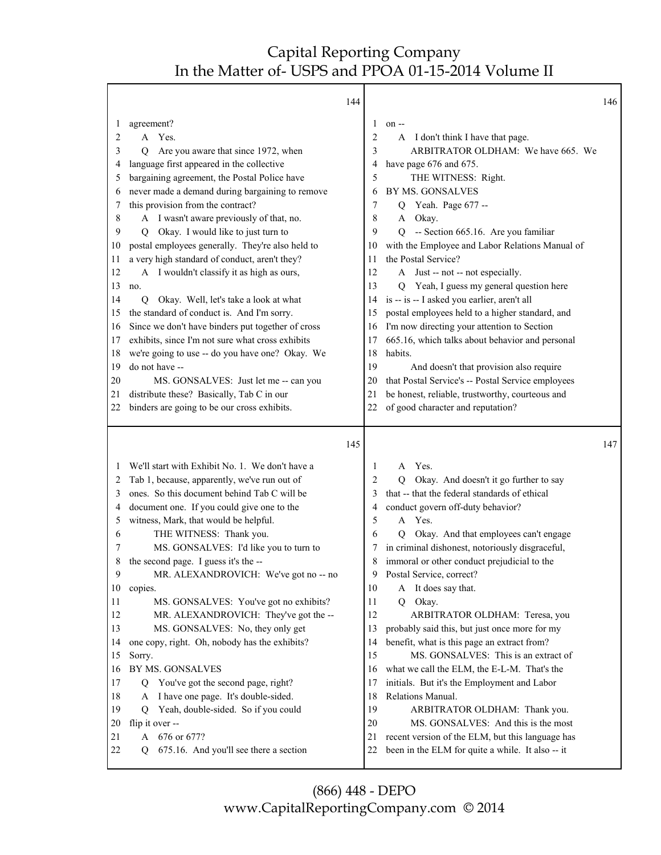|              | 144                                                             |          |                                                                                                      | 146 |
|--------------|-----------------------------------------------------------------|----------|------------------------------------------------------------------------------------------------------|-----|
| 1            | agreement?                                                      | 1        | $on -$                                                                                               |     |
| 2            | A Yes.                                                          | 2        | I don't think I have that page.<br>A                                                                 |     |
| 3            | Are you aware that since 1972, when<br>Q                        | 3        | ARBITRATOR OLDHAM: We have 665. We                                                                   |     |
| 4            | language first appeared in the collective                       | 4        | have page 676 and 675.                                                                               |     |
| 5            | bargaining agreement, the Postal Police have                    | 5        | THE WITNESS: Right.                                                                                  |     |
| 6            | never made a demand during bargaining to remove                 | 6        | BY MS. GONSALVES                                                                                     |     |
| 7            | this provision from the contract?                               | 7        | Yeah. Page 677 --<br>Q                                                                               |     |
| 8            | A I wasn't aware previously of that, no.                        | 8        | Okay.<br>A                                                                                           |     |
| 9            | Okay. I would like to just turn to<br>O                         | 9        | $\overline{O}$<br>-- Section 665.16. Are you familiar                                                |     |
| 10           | postal employees generally. They're also held to                | 10       | with the Employee and Labor Relations Manual of                                                      |     |
| 11           | a very high standard of conduct, aren't they?                   | 11       | the Postal Service?                                                                                  |     |
| 12           | A I wouldn't classify it as high as ours,                       | 12       | A Just -- not -- not especially.                                                                     |     |
| 13           | no.                                                             | 13       | Yeah, I guess my general question here<br>Q                                                          |     |
| 14           | Okay. Well, let's take a look at what<br>$\overline{Q}$         | 14       | is -- is -- I asked you earlier, aren't all                                                          |     |
| 15           | the standard of conduct is. And I'm sorry.                      | 15       | postal employees held to a higher standard, and                                                      |     |
| 16           | Since we don't have binders put together of cross               | 16       | I'm now directing your attention to Section                                                          |     |
| 17           | exhibits, since I'm not sure what cross exhibits                | 17       | 665.16, which talks about behavior and personal                                                      |     |
| 18           | we're going to use -- do you have one? Okay. We                 | 18       | habits.                                                                                              |     |
| 19           | do not have --                                                  | 19       | And doesn't that provision also require                                                              |     |
| 20           | MS. GONSALVES: Just let me -- can you                           | 20       | that Postal Service's -- Postal Service employees                                                    |     |
| 21           | distribute these? Basically, Tab C in our                       | 21       | be honest, reliable, trustworthy, courteous and                                                      |     |
| 22           | binders are going to be our cross exhibits.                     | 22       | of good character and reputation?                                                                    |     |
|              |                                                                 |          |                                                                                                      |     |
|              |                                                                 |          |                                                                                                      |     |
|              | 145                                                             |          |                                                                                                      | 147 |
|              | We'll start with Exhibit No. 1. We don't have a                 | 1        | Yes.<br>A                                                                                            |     |
| 2            | Tab 1, because, apparently, we've run out of                    | 2        | Okay. And doesn't it go further to say<br>Q                                                          |     |
| 3            | ones. So this document behind Tab C will be                     | 3        | that -- that the federal standards of ethical                                                        |     |
| 4            | document one. If you could give one to the                      | 4        | conduct govern off-duty behavior?                                                                    |     |
| 5            | witness, Mark, that would be helpful.                           | 5        | A Yes.                                                                                               |     |
| 6            | THE WITNESS: Thank you.                                         | 6        | Okay. And that employees can't engage<br>$\overline{O}$                                              |     |
|              | MS. GONSALVES: I'd like you to turn to                          | 7        | in criminal dishonest, notoriously disgraceful,                                                      |     |
|              | the second page. I guess it's the --                            | 8        | immoral or other conduct prejudicial to the                                                          |     |
| 9            | MR. ALEXANDROVICH: We've got no -- no                           | 9        | Postal Service, correct?                                                                             |     |
| 10           | copies.                                                         | 10       | It does say that.<br>A                                                                               |     |
| 11           | MS. GONSALVES: You've got no exhibits?                          | 11       | Q<br>Okay.                                                                                           |     |
| 12           | MR. ALEXANDROVICH: They've got the --                           | 12       | ARBITRATOR OLDHAM: Teresa, you                                                                       |     |
| 13           | MS. GONSALVES: No, they only get                                | 13       | probably said this, but just once more for my                                                        |     |
| 14           | one copy, right. Oh, nobody has the exhibits?                   | 14       | benefit, what is this page an extract from?                                                          |     |
| 15           | Sorry.                                                          | 15       | MS. GONSALVES: This is an extract of                                                                 |     |
| 16           | BY MS. GONSALVES                                                | 16       | what we call the ELM, the E-L-M. That's the                                                          |     |
| 17           | You've got the second page, right?<br>Q                         | 17       | initials. But it's the Employment and Labor                                                          |     |
| 18           | I have one page. It's double-sided.<br>A                        | 18       | Relations Manual.                                                                                    |     |
| 19           | Yeah, double-sided. So if you could<br>O                        | 19       | ARBITRATOR OLDHAM: Thank you.                                                                        |     |
| 20           | flip it over --                                                 | 20       | MS. GONSALVES: And this is the most                                                                  |     |
| 21<br>$22\,$ | 676 or 677?<br>A<br>675.16. And you'll see there a section<br>Q | 21<br>22 | recent version of the ELM, but this language has<br>been in the ELM for quite a while. It also -- it |     |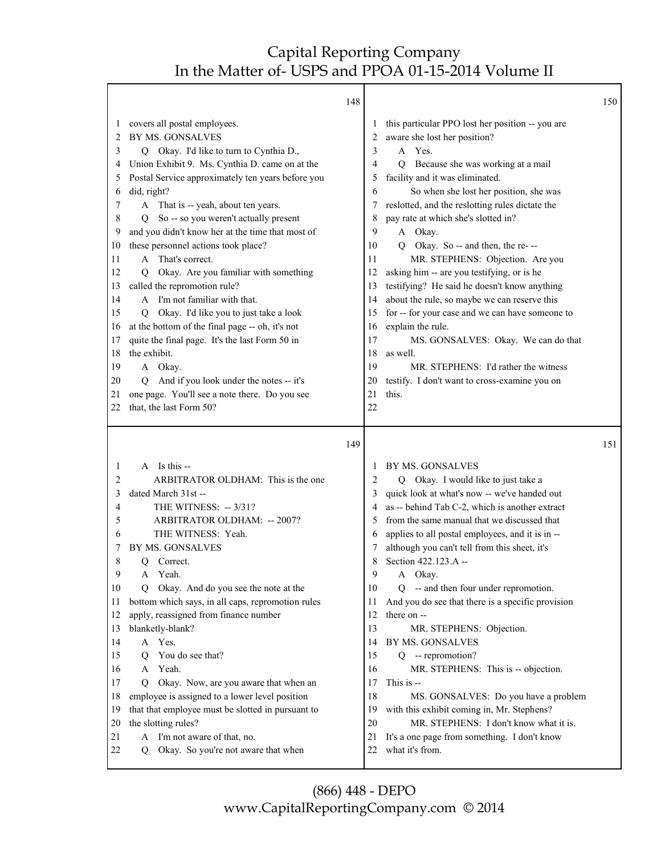|                                                                                                                                                                                                                                                                                                                                                                                                                                                                                                                                                                                                                                                                                                                                                                                                                                                                                                                                                                               | 148 |                                                                                                                                                                                                                                                                                                                                                                                                                                                                                                                                                                                                                                                                                                                                                                                                                                                                                                                        | 150 |
|-------------------------------------------------------------------------------------------------------------------------------------------------------------------------------------------------------------------------------------------------------------------------------------------------------------------------------------------------------------------------------------------------------------------------------------------------------------------------------------------------------------------------------------------------------------------------------------------------------------------------------------------------------------------------------------------------------------------------------------------------------------------------------------------------------------------------------------------------------------------------------------------------------------------------------------------------------------------------------|-----|------------------------------------------------------------------------------------------------------------------------------------------------------------------------------------------------------------------------------------------------------------------------------------------------------------------------------------------------------------------------------------------------------------------------------------------------------------------------------------------------------------------------------------------------------------------------------------------------------------------------------------------------------------------------------------------------------------------------------------------------------------------------------------------------------------------------------------------------------------------------------------------------------------------------|-----|
| covers all postal employees.<br>1<br>BY MS. GONSALVES<br>2<br>Q Okay. I'd like to turn to Cynthia D.,<br>3<br>Union Exhibit 9. Ms. Cynthia D. came on at the<br>4<br>Postal Service approximately ten years before you<br>5<br>did, right?<br>6<br>7<br>A That is -- yeah, about ten years.<br>So -- so you weren't actually present<br>8<br>O.<br>and you didn't know her at the time that most of<br>9<br>these personnel actions took place?<br>10<br>A That's correct.<br>11<br>Okay. Are you familiar with something<br>12<br>O<br>called the repromotion rule?<br>13<br>A I'm not familiar with that.<br>14<br>Okay. I'd like you to just take a look<br>15<br>O<br>at the bottom of the final page -- oh, it's not<br>16<br>quite the final page. It's the last Form 50 in<br>17<br>the exhibit.<br>18<br>19<br>A Okay.<br>And if you look under the notes -- it's<br>20<br>Q.<br>one page. You'll see a note there. Do you see<br>21<br>that, the last Form 50?<br>22 |     | this particular PPO lost her position -- you are<br>1<br>aware she lost her position?<br>2<br>3<br>A Yes.<br>4<br>Because she was working at a mail<br>О<br>facility and it was eliminated.<br>5<br>So when she lost her position, she was<br>6<br>reslotted, and the reslotting rules dictate the<br>7<br>pay rate at which she's slotted in?<br>8<br>9<br>A Okay.<br>Q Okay. So -- and then, the re- --<br>10<br>MR. STEPHENS: Objection. Are you<br>11<br>asking him -- are you testifying, or is he<br>12<br>testifying? He said he doesn't know anything<br>13<br>about the rule, so maybe we can reserve this<br>14<br>for -- for your case and we can have someone to<br>15<br>explain the rule.<br>16<br>17<br>MS. GONSALVES: Okay. We can do that<br>18<br>as well.<br>MR. STEPHENS: I'd rather the witness<br>19<br>testify. I don't want to cross-examine you on<br>20<br>this.<br>21<br>22                 |     |
|                                                                                                                                                                                                                                                                                                                                                                                                                                                                                                                                                                                                                                                                                                                                                                                                                                                                                                                                                                               | 149 |                                                                                                                                                                                                                                                                                                                                                                                                                                                                                                                                                                                                                                                                                                                                                                                                                                                                                                                        | 151 |
| A Is this --<br>1<br>ARBITRATOR OLDHAM: This is the one<br>2<br>3<br>dated March 31st --<br>THE WITNESS: -- 3/31?<br>4<br>ARBITRATOR OLDHAM: -- 2007?<br>5<br>THE WITNESS: Yeah.<br>6<br>BY MS. GONSALVES<br>7<br>8<br>Correct.<br>Q<br>9<br>A Yeah.<br>Okay. And do you see the note at the<br>10<br>Q<br>bottom which says, in all caps, repromotion rules<br>11<br>apply, reassigned from finance number<br>12<br>blanketly-blank?<br>13<br>A Yes.<br>14<br>You do see that?<br>15<br>О<br>Yeah.<br>16<br>A<br>Okay. Now, are you aware that when an<br>17<br>Q<br>employee is assigned to a lower level position<br>18<br>that that employee must be slotted in pursuant to<br>19<br>the slotting rules?<br>20<br>I'm not aware of that, no.<br>21<br>A<br>Okay. So you're not aware that when<br>22<br>Q                                                                                                                                                                 |     | BY MS. GONSALVES<br>1<br>Q Okay. I would like to just take a<br>2<br>quick look at what's now -- we've handed out<br>3<br>as -- behind Tab C-2, which is another extract<br>4<br>from the same manual that we discussed that<br>5<br>applies to all postal employees, and it is in --<br>6<br>although you can't tell from this sheet, it's<br>7<br>Section 422.123.A --<br>8<br>9<br>A Okay.<br>10<br>Q -- and then four under repromotion.<br>And you do see that there is a specific provision<br>11<br>there on --<br>12<br>13<br>MR. STEPHENS: Objection.<br>14<br>BY MS. GONSALVES<br>15<br>$Q -$ repromotion?<br>16<br>MR. STEPHENS: This is -- objection.<br>This is --<br>17<br>18<br>MS. GONSALVES: Do you have a problem<br>with this exhibit coming in, Mr. Stephens?<br>19<br>MR. STEPHENS: I don't know what it is.<br>20<br>It's a one page from something. I don't know<br>21<br>what it's from.<br>22 |     |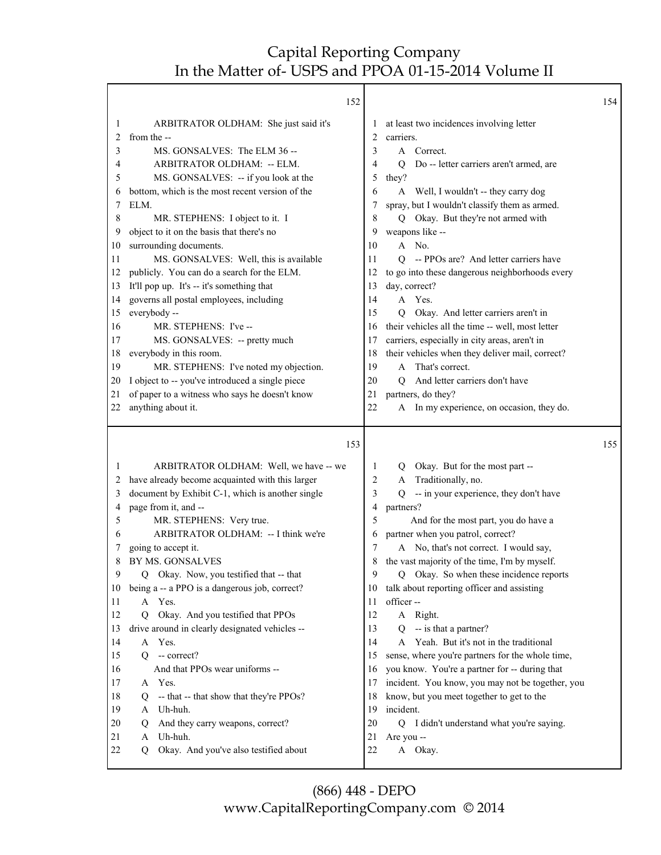|          | 152                                                                                       |          |                                                           | 154 |
|----------|-------------------------------------------------------------------------------------------|----------|-----------------------------------------------------------|-----|
| 1        | ARBITRATOR OLDHAM: She just said it's                                                     | $\bf{l}$ | at least two incidences involving letter                  |     |
| 2        | from the --                                                                               | 2        | carriers.                                                 |     |
| 3        | MS. GONSALVES: The ELM 36 --                                                              | 3        | Correct.<br>A                                             |     |
| 4        | ARBITRATOR OLDHAM: -- ELM.                                                                | 4        | Do -- letter carriers aren't armed, are<br>Q              |     |
| 5        | MS. GONSALVES: -- if you look at the                                                      | 5        | they?                                                     |     |
| 6        | bottom, which is the most recent version of the                                           | 6        | A Well, I wouldn't -- they carry dog                      |     |
| 7        | ELM.                                                                                      | 7        | spray, but I wouldn't classify them as armed.             |     |
| 8        | MR. STEPHENS: I object to it. I                                                           | 8        | Q Okay. But they're not armed with                        |     |
| 9        | object to it on the basis that there's no                                                 | 9        | weapons like --                                           |     |
| 10       | surrounding documents.                                                                    | 10       | No.<br>A                                                  |     |
| 11       | MS. GONSALVES: Well, this is available                                                    | 11       | -- PPOs are? And letter carriers have<br>0                |     |
| 12       | publicly. You can do a search for the ELM.                                                | 12       | to go into these dangerous neighborhoods every            |     |
| 13       | It'll pop up. It's -- it's something that                                                 | 13       | day, correct?                                             |     |
| 14       | governs all postal employees, including                                                   | 14       | A Yes.                                                    |     |
| 15       | everybody --                                                                              | 15       | Okay. And letter carriers aren't in<br>O                  |     |
| 16       | MR. STEPHENS: I've --                                                                     | 16       | their vehicles all the time -- well, most letter          |     |
| 17       | MS. GONSALVES: -- pretty much                                                             | 17       | carriers, especially in city areas, aren't in             |     |
| 18       | everybody in this room.                                                                   | 18       | their vehicles when they deliver mail, correct?           |     |
| 19       | MR. STEPHENS: I've noted my objection.                                                    | 19       | A That's correct.                                         |     |
| 20       | I object to -- you've introduced a single piece                                           | 20       | And letter carriers don't have<br>O.                      |     |
| 21       | of paper to a witness who says he doesn't know                                            | 21       | partners, do they?                                        |     |
| 22       | anything about it.                                                                        | 22       | A In my experience, on occasion, they do.                 |     |
|          |                                                                                           |          |                                                           |     |
|          | 153                                                                                       |          |                                                           | 155 |
| 1        |                                                                                           | 1        | Q                                                         |     |
| 2        | ARBITRATOR OLDHAM: Well, we have -- we<br>have already become acquainted with this larger | 2        | Okay. But for the most part --<br>Traditionally, no.<br>A |     |
| 3        | document by Exhibit C-1, which is another single                                          | 3        | -- in your experience, they don't have<br>Q               |     |
| 4        | page from it, and --                                                                      | 4        | partners?                                                 |     |
| 5        | MR. STEPHENS: Very true.                                                                  | 5        | And for the most part, you do have a                      |     |
| 6        | ARBITRATOR OLDHAM: -- I think we're                                                       | 6        | partner when you patrol, correct?                         |     |
| 7        | going to accept it.                                                                       | 7        | A No, that's not correct. I would say,                    |     |
| 8        | BY MS. GONSALVES                                                                          |          | the vast majority of the time, I'm by myself.             |     |
|          | Q Okay. Now, you testified that -- that                                                   |          | Q Okay. So when these incidence reports                   |     |
| 10       | being a -- a PPO is a dangerous job, correct?                                             | 10       | talk about reporting officer and assisting                |     |
| 11       | A<br>Yes.                                                                                 | 11       | officer-                                                  |     |
| 12       | Okay. And you testified that PPOs<br>$\overline{Q}$                                       | 12       | A Right.                                                  |     |
| 13       | drive around in clearly designated vehicles --                                            | 13       | -- is that a partner?<br>Q                                |     |
| 14       | Yes.<br>A                                                                                 | 14       | A Yeah. But it's not in the traditional                   |     |
| 15       | $Q - correct?$                                                                            | 15       | sense, where you're partners for the whole time,          |     |
| 16       | And that PPOs wear uniforms --                                                            | 16       | you know. You're a partner for -- during that             |     |
| 17       | A Yes.                                                                                    | 17       | incident. You know, you may not be together, you          |     |
| 18       | -- that -- that show that they're PPOs?<br>Q                                              | 18       | know, but you meet together to get to the                 |     |
| 19       | Uh-huh.<br>A                                                                              | 19       | incident.                                                 |     |
| 20       | And they carry weapons, correct?<br>Q                                                     | 20       | Q I didn't understand what you're saying.                 |     |
| 21<br>22 | Uh-huh.<br>A<br>Okay. And you've also testified about<br>O                                | 21<br>22 | Are you --<br>A Okay.                                     |     |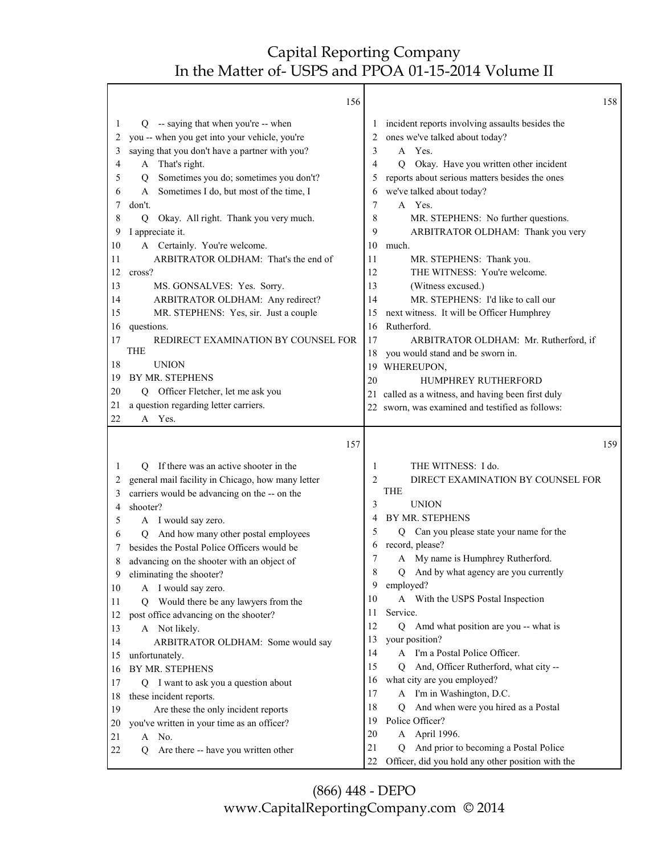Г

|          | 156                                                                    |         |                                                         | 158 |
|----------|------------------------------------------------------------------------|---------|---------------------------------------------------------|-----|
| 1        | -- saying that when you're -- when<br>Q                                | $\perp$ | incident reports involving assaults besides the         |     |
| 2        | you -- when you get into your vehicle, you're                          | 2       | ones we've talked about today?                          |     |
| 3        | saying that you don't have a partner with you?                         | 3       | A Yes.                                                  |     |
| 4        | A That's right.                                                        | 4       | Okay. Have you written other incident<br>Q              |     |
| 5        | Sometimes you do; sometimes you don't?<br>Q                            | 5       | reports about serious matters besides the ones          |     |
| 6        | Sometimes I do, but most of the time, I<br>A                           | 6       | we've talked about today?                               |     |
| 7        | don't.                                                                 | 7       | A Yes.                                                  |     |
| 8        | Okay. All right. Thank you very much.<br>Q                             | 8       | MR. STEPHENS: No further questions.                     |     |
| 9        | I appreciate it.                                                       | 9       | ARBITRATOR OLDHAM: Thank you very                       |     |
| 10       | A Certainly. You're welcome.                                           | 10      | much.                                                   |     |
| 11       | ARBITRATOR OLDHAM: That's the end of                                   | 11      | MR. STEPHENS: Thank you.                                |     |
| 12       | cross?                                                                 | 12      | THE WITNESS: You're welcome.                            |     |
| 13       | MS. GONSALVES: Yes. Sorry.                                             | 13      | (Witness excused.)                                      |     |
| 14       | ARBITRATOR OLDHAM: Any redirect?                                       | 14      | MR. STEPHENS: I'd like to call our                      |     |
| 15       | MR. STEPHENS: Yes, sir. Just a couple                                  | 15      | next witness. It will be Officer Humphrey               |     |
| 16       | questions.                                                             | 16      | Rutherford.                                             |     |
| 17       | REDIRECT EXAMINATION BY COUNSEL FOR                                    | 17      | ARBITRATOR OLDHAM: Mr. Rutherford, if                   |     |
|          | <b>THE</b>                                                             | 18      | you would stand and be sworn in.                        |     |
| 18       | <b>UNION</b>                                                           | 19      | WHEREUPON,                                              |     |
| 19       | BY MR. STEPHENS                                                        | 20      | HUMPHREY RUTHERFORD                                     |     |
| 20       | Q Officer Fletcher, let me ask you                                     |         | 21 called as a witness, and having been first duly      |     |
| 21       | a question regarding letter carriers.                                  |         | 22 sworn, was examined and testified as follows:        |     |
| 22       | A Yes.                                                                 |         |                                                         |     |
|          |                                                                        |         |                                                         |     |
|          | 157                                                                    |         |                                                         | 159 |
| 1        | If there was an active shooter in the<br>O                             | 1       |                                                         |     |
| 2        |                                                                        | 2       | THE WITNESS: I do.<br>DIRECT EXAMINATION BY COUNSEL FOR |     |
| 3        | general mail facility in Chicago, how many letter                      |         | THE                                                     |     |
| 4        | carriers would be advancing on the -- on the<br>shooter?               | 3       | <b>UNION</b>                                            |     |
| 5        |                                                                        | 4       | BY MR. STEPHENS                                         |     |
| 6        | A I would say zero.<br>And how many other postal employees<br>Q        | 5       | Can you please state your name for the<br>Q             |     |
| 7        | besides the Postal Police Officers would be                            | 6       | record, please?                                         |     |
| 8        |                                                                        | 7       | A My name is Humphrey Rutherford.                       |     |
| 9        | advancing on the shooter with an object of<br>eliminating the shooter? | 8       | Q And by what agency are you currently                  |     |
| 10       |                                                                        | 9       | employed?                                               |     |
| 11       | A I would say zero.<br>Q                                               | 10      | A With the USPS Postal Inspection                       |     |
| 12       | Would there be any lawyers from the                                    | 11      | Service.                                                |     |
| 13       | post office advancing on the shooter?<br>A Not likely.                 | 12      | Q Amd what position are you -- what is                  |     |
| 14       |                                                                        | 13      | your position?                                          |     |
| 15       | ARBITRATOR OLDHAM: Some would say<br>unfortunately.                    | 14      | A I'm a Postal Police Officer.                          |     |
| 16       | BY MR. STEPHENS                                                        | 15      | And, Officer Rutherford, what city --<br>O.             |     |
| 17       | Q                                                                      | 16      | what city are you employed?                             |     |
| 18       | I want to ask you a question about                                     | 17      | A I'm in Washington, D.C.                               |     |
| 19       | these incident reports.                                                | 18      | And when were you hired as a Postal<br>Ő                |     |
| 20       | Are these the only incident reports                                    | 19      | Police Officer?                                         |     |
|          | you've written in your time as an officer?                             | 20      | A April 1996.                                           |     |
| 21<br>22 | A No.<br>Are there -- have you written other<br>O                      | 21      | And prior to becoming a Postal Police<br>Q              |     |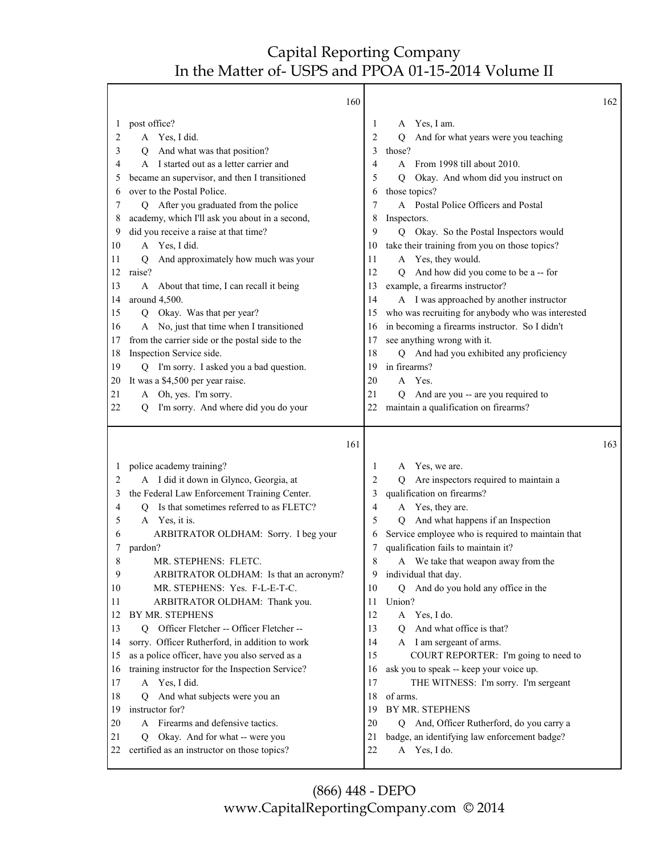|          | 160                                                                                |          |                                                                 | 162 |
|----------|------------------------------------------------------------------------------------|----------|-----------------------------------------------------------------|-----|
| 1        | post office?                                                                       | 1        | Yes, I am.<br>A                                                 |     |
| 2        | A Yes, I did.                                                                      | 2        | And for what years were you teaching<br>Q                       |     |
| 3        | And what was that position?<br>Q                                                   | 3        | those?                                                          |     |
| 4        | A I started out as a letter carrier and                                            | 4        | A From 1998 till about 2010.                                    |     |
| 5        | became an supervisor, and then I transitioned                                      | 5        | Okay. And whom did you instruct on<br>$\overline{Q}$            |     |
| 6        | over to the Postal Police.                                                         | 6        | those topics?                                                   |     |
| 7        | Q After you graduated from the police                                              | 7        | A Postal Police Officers and Postal                             |     |
| 8        | academy, which I'll ask you about in a second,                                     | 8        | Inspectors.                                                     |     |
| 9        | did you receive a raise at that time?                                              | 9        | Q Okay. So the Postal Inspectors would                          |     |
| 10       | A Yes, I did.                                                                      | 10       | take their training from you on those topics?                   |     |
| 11       | And approximately how much was your<br>Q                                           | 11       | A Yes, they would.                                              |     |
| 12       | raise?                                                                             | 12       | And how did you come to be a -- for<br>O                        |     |
| 13       | A About that time, I can recall it being                                           | 13       | example, a firearms instructor?                                 |     |
| 14       | around 4,500.                                                                      | 14       | A I was approached by another instructor                        |     |
| 15       | Q Okay. Was that per year?                                                         | 15       | who was recruiting for anybody who was interested               |     |
| 16       | A No, just that time when I transitioned                                           | 16       | in becoming a firearms instructor. So I didn't                  |     |
| 17       | from the carrier side or the postal side to the                                    | 17       | see anything wrong with it.                                     |     |
| 18       | Inspection Service side.                                                           | 18       | Q And had you exhibited any proficiency                         |     |
| 19       | I'm sorry. I asked you a bad question.<br>О                                        | 19       | in firearms?                                                    |     |
| 20       | It was a \$4,500 per year raise.                                                   | 20       | Yes.<br>A                                                       |     |
| 21       | A Oh, yes. I'm sorry.                                                              | 21       | And are you -- are you required to<br>0                         |     |
| 22       | I'm sorry. And where did you do your<br>Ő                                          | 22       | maintain a qualification on firearms?                           |     |
|          |                                                                                    |          |                                                                 |     |
|          | 161                                                                                |          |                                                                 | 163 |
| 1        | police academy training?                                                           | 1        | Yes, we are.<br>A                                               |     |
| 2        | A I did it down in Glynco, Georgia, at                                             | 2        | Are inspectors required to maintain a<br>Q                      |     |
| 3        | the Federal Law Enforcement Training Center.                                       | 3        | qualification on firearms?                                      |     |
| 4        | Is that sometimes referred to as FLETC?<br>Q                                       | 4        | A Yes, they are.                                                |     |
| 5        | A Yes, it is.                                                                      | 5        | And what happens if an Inspection<br>O                          |     |
| 6        | ARBITRATOR OLDHAM: Sorry. I beg your                                               | 6        | Service employee who is required to maintain that               |     |
| 7        | pardon?                                                                            | 7        | qualification fails to maintain it?                             |     |
| 8        | MR. STEPHENS: FLETC.                                                               | 8        | We take that weapon away from the<br>A                          |     |
| 9        | ARBITRATOR OLDHAM: Is that an acronym?                                             | 9        | individual that day.                                            |     |
| 10       | MR. STEPHENS: Yes. F-L-E-T-C.                                                      | 10       | And do you hold any office in the<br>Q                          |     |
| 11       | ARBITRATOR OLDHAM: Thank you.                                                      | 11       | Union?                                                          |     |
| 12       | BY MR. STEPHENS                                                                    | 12       | A Yes, I do.                                                    |     |
| 13       | Q Officer Fletcher -- Officer Fletcher --                                          | 13       | And what office is that?<br>O                                   |     |
| 14       | sorry. Officer Rutherford, in addition to work                                     | 14       | A I am sergeant of arms.                                        |     |
| 15       | as a police officer, have you also served as a                                     | 15       | COURT REPORTER: I'm going to need to                            |     |
| 16       | training instructor for the Inspection Service?                                    | 16       | ask you to speak -- keep your voice up.                         |     |
| 17       | A Yes, I did.                                                                      | 17       | THE WITNESS: I'm sorry. I'm sergeant                            |     |
| 18       | And what subjects were you an<br>О                                                 | 18       | of arms.                                                        |     |
| 19       | instructor for?                                                                    | 19       | BY MR. STEPHENS                                                 |     |
| 20       | Firearms and defensive tactics.<br>A                                               | 20       | And, Officer Rutherford, do you carry a<br>Q                    |     |
| 21<br>22 | Okay. And for what -- were you<br>Q<br>certified as an instructor on those topics? | 21<br>22 | badge, an identifying law enforcement badge?<br>Yes, I do.<br>A |     |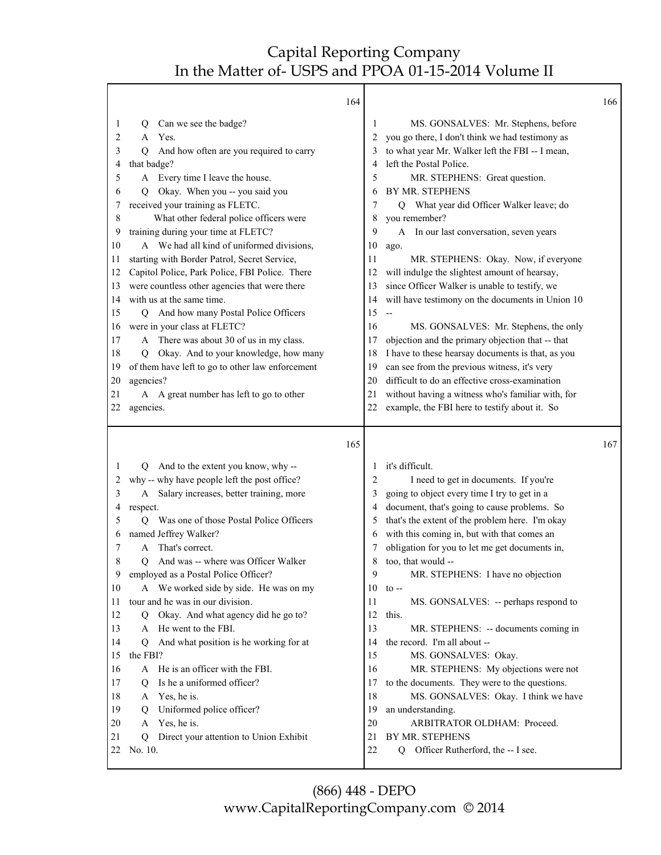|    |                                                        | 164      |                                                                                                     | 166 |
|----|--------------------------------------------------------|----------|-----------------------------------------------------------------------------------------------------|-----|
| 1  | Can we see the badge?<br>Q                             | 1        | MS. GONSALVES: Mr. Stephens, before                                                                 |     |
| 2  | Yes.<br>A                                              | 2        | you go there, I don't think we had testimony as                                                     |     |
| 3  | And how often are you required to carry<br>O           |          | to what year Mr. Walker left the FBI -- I mean,<br>3                                                |     |
| 4  | that badge?                                            | 4        | left the Postal Police.                                                                             |     |
| 5  | A Every time I leave the house.                        | 5        | MR. STEPHENS: Great question.                                                                       |     |
| 6  | Okay. When you -- you said you<br>O                    | 6        | BY MR. STEPHENS                                                                                     |     |
| 7  | received your training as FLETC.                       |          | Q What year did Officer Walker leave; do<br>7                                                       |     |
| 8  | What other federal police officers were                | 8        | you remember?                                                                                       |     |
| 9  | training during your time at FLETC?                    | 9        | A In our last conversation, seven years                                                             |     |
| 10 | A We had all kind of uniformed divisions,              | 10       | ago.                                                                                                |     |
| 11 | starting with Border Patrol, Secret Service,           | 11       | MR. STEPHENS: Okay. Now, if everyone                                                                |     |
| 12 | Capitol Police, Park Police, FBI Police. There         | 12       | will indulge the slightest amount of hearsay,                                                       |     |
| 13 | were countless other agencies that were there          | 13       | since Officer Walker is unable to testify, we                                                       |     |
| 14 | with us at the same time.                              | 14       | will have testimony on the documents in Union 10                                                    |     |
| 15 | And how many Postal Police Officers<br>Q               | 15       | --                                                                                                  |     |
| 16 | were in your class at FLETC?                           | 16       | MS. GONSALVES: Mr. Stephens, the only                                                               |     |
| 17 | A There was about 30 of us in my class.                | 17       | objection and the primary objection that -- that                                                    |     |
| 18 | Okay. And to your knowledge, how many<br>Q             | 18       | I have to these hearsay documents is that, as you                                                   |     |
| 19 | of them have left to go to other law enforcement       | 19       | can see from the previous witness, it's very                                                        |     |
| 20 | agencies?                                              | 20       | difficult to do an effective cross-examination                                                      |     |
| 21 | A A great number has left to go to other               | 21       | without having a witness who's familiar with, for                                                   |     |
| 22 | agencies.                                              | 22       | example, the FBI here to testify about it. So                                                       |     |
|    |                                                        |          |                                                                                                     |     |
|    |                                                        | 165      |                                                                                                     | 167 |
| 1  | $\circ$                                                | 1        | it's difficult.                                                                                     |     |
| 2  | And to the extent you know, why --                     |          | 2                                                                                                   |     |
| 3  | why -- why have people left the post office?<br>A      |          | I need to get in documents. If you're<br>3                                                          |     |
| 4  | Salary increases, better training, more<br>respect.    |          | going to object every time I try to get in a<br>document, that's going to cause problems. So<br>4   |     |
| 5  | Was one of those Postal Police Officers<br>О           | 5        |                                                                                                     |     |
| 6  | named Jeffrey Walker?                                  |          | that's the extent of the problem here. I'm okay<br>with this coming in, but with that comes an<br>6 |     |
| 7  | That's correct.<br>A                                   |          | obligation for you to let me get documents in,                                                      |     |
| 8  | And was -- where was Officer Walker<br>Ő               | 8        | too, that would --                                                                                  |     |
| 9  | employed as a Postal Police Officer?                   |          | 9<br>MR. STEPHENS: I have no objection                                                              |     |
| 10 | A We worked side by side. He was on my                 | 10       | $\tau$ to $-$                                                                                       |     |
| 11 | tour and he was in our division.                       | 11       | MS. GONSALVES: -- perhaps respond to                                                                |     |
| 12 | Q Okay. And what agency did he go to?                  | 12       | this.                                                                                               |     |
| 13 | A He went to the FBI.                                  | 13       | MR. STEPHENS: -- documents coming in                                                                |     |
| 14 | And what position is he working for at<br>Q            | 14       | the record. I'm all about --                                                                        |     |
| 15 | the FBI?                                               | 15       | MS. GONSALVES: Okay.                                                                                |     |
| 16 | He is an officer with the FBI.<br>A                    | 16       | MR. STEPHENS: My objections were not                                                                |     |
| 17 | Is he a uniformed officer?<br>Q                        | 17       | to the documents. They were to the questions.                                                       |     |
| 18 | Yes, he is.<br>A                                       | 18       | MS. GONSALVES: Okay. I think we have                                                                |     |
| 19 | Uniformed police officer?<br>Q                         | 19       | an understanding.                                                                                   |     |
| 20 | Yes, he is.<br>A                                       | 20       | ARBITRATOR OLDHAM: Proceed.                                                                         |     |
| 21 | Direct your attention to Union Exhibit<br>Q<br>No. 10. | 21<br>22 | BY MR. STEPHENS<br>Q Officer Rutherford, the -- I see.                                              |     |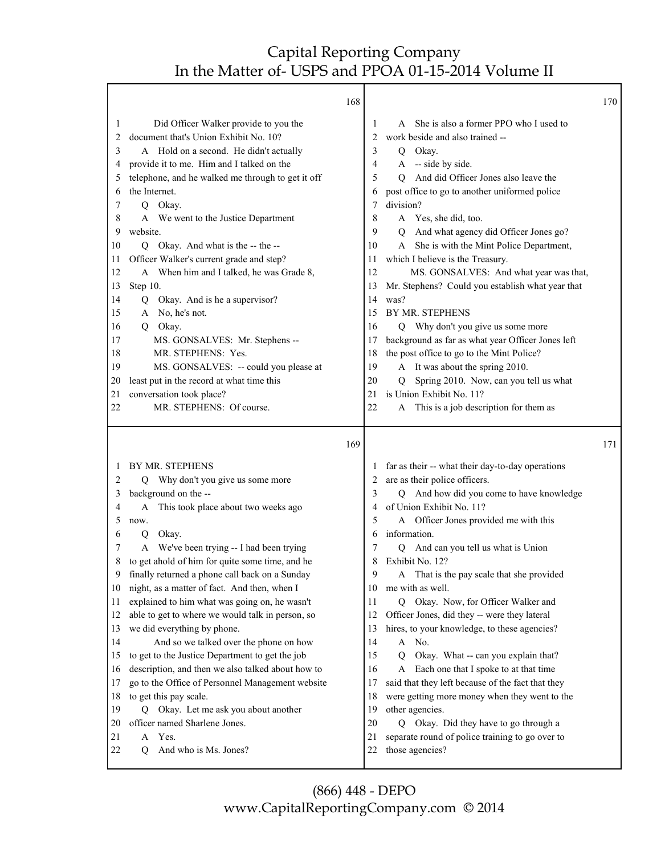|                                                                                                                         | 168                                                                                                                                                                                                                                                                                                                                                                                                                                                                                                                                                                                                                                                                                                                                                                                                                                     |                                                                                                                         |                                                                                                                                                                                                                                                                                                                                                                                                                                                                                                                                                                                                                                                                                                                                                                                                                                            | 170 |
|-------------------------------------------------------------------------------------------------------------------------|-----------------------------------------------------------------------------------------------------------------------------------------------------------------------------------------------------------------------------------------------------------------------------------------------------------------------------------------------------------------------------------------------------------------------------------------------------------------------------------------------------------------------------------------------------------------------------------------------------------------------------------------------------------------------------------------------------------------------------------------------------------------------------------------------------------------------------------------|-------------------------------------------------------------------------------------------------------------------------|--------------------------------------------------------------------------------------------------------------------------------------------------------------------------------------------------------------------------------------------------------------------------------------------------------------------------------------------------------------------------------------------------------------------------------------------------------------------------------------------------------------------------------------------------------------------------------------------------------------------------------------------------------------------------------------------------------------------------------------------------------------------------------------------------------------------------------------------|-----|
| 1<br>2<br>3<br>4<br>5<br>6<br>7<br>8<br>9<br>10<br>11<br>12<br>13<br>14<br>15<br>16<br>17<br>18<br>19<br>20<br>21<br>22 | Did Officer Walker provide to you the<br>document that's Union Exhibit No. 10?<br>A Hold on a second. He didn't actually<br>provide it to me. Him and I talked on the<br>telephone, and he walked me through to get it off<br>the Internet.<br>Q Okay.<br>A We went to the Justice Department<br>website.<br>Q Okay. And what is the -- the --<br>Officer Walker's current grade and step?<br>A When him and I talked, he was Grade 8,<br>Step 10.<br>Q Okay. And is he a supervisor?<br>A No, he's not.<br>Q Okay.<br>MS. GONSALVES: Mr. Stephens --<br>MR. STEPHENS: Yes.<br>MS. GONSALVES: -- could you please at<br>least put in the record at what time this<br>conversation took place?<br>MR. STEPHENS: Of course.                                                                                                               | 1<br>2<br>3<br>4<br>5<br>6<br>7<br>8<br>9<br>10<br>11<br>12<br>13<br>14<br>15<br>16<br>17<br>18<br>19<br>20<br>21<br>22 | A She is also a former PPO who I used to<br>work beside and also trained --<br>Q Okay.<br>A -- side by side.<br>And did Officer Jones also leave the<br>O.<br>post office to go to another uniformed police<br>division?<br>Yes, she did, too.<br>A<br>And what agency did Officer Jones go?<br>Q<br>She is with the Mint Police Department,<br>A<br>which I believe is the Treasury.<br>MS. GONSALVES: And what year was that,<br>Mr. Stephens? Could you establish what year that<br>was?<br>BY MR. STEPHENS<br>Q Why don't you give us some more<br>background as far as what year Officer Jones left<br>the post office to go to the Mint Police?<br>A It was about the spring 2010.<br>Spring 2010. Now, can you tell us what<br>O.<br>is Union Exhibit No. 11?<br>This is a job description for them as<br>A                         |     |
|                                                                                                                         | 169                                                                                                                                                                                                                                                                                                                                                                                                                                                                                                                                                                                                                                                                                                                                                                                                                                     |                                                                                                                         |                                                                                                                                                                                                                                                                                                                                                                                                                                                                                                                                                                                                                                                                                                                                                                                                                                            | 171 |
| 1<br>2<br>3<br>4<br>5<br>6<br>7<br>8<br>9<br>10<br>11<br>12<br>13<br>14<br>15<br>16<br>17<br>18<br>19<br>20<br>21<br>22 | BY MR. STEPHENS<br>Q Why don't you give us some more<br>background on the --<br>This took place about two weeks ago<br>A<br>now.<br>Okay.<br>Q<br>A We've been trying -- I had been trying<br>to get ahold of him for quite some time, and he<br>finally returned a phone call back on a Sunday<br>night, as a matter of fact. And then, when I<br>explained to him what was going on, he wasn't<br>able to get to where we would talk in person, so<br>we did everything by phone.<br>And so we talked over the phone on how<br>to get to the Justice Department to get the job<br>description, and then we also talked about how to<br>go to the Office of Personnel Management website<br>to get this pay scale.<br>Q Okay. Let me ask you about another<br>officer named Sharlene Jones.<br>Yes.<br>A<br>And who is Ms. Jones?<br>Q | 2<br>3<br>4<br>5<br>6<br>7<br>8<br>9<br>10<br>11<br>12<br>13<br>14<br>15<br>16<br>17<br>18<br>19<br>20<br>21<br>22      | far as their -- what their day-to-day operations<br>are as their police officers.<br>Q And how did you come to have knowledge<br>of Union Exhibit No. 11?<br>A Officer Jones provided me with this<br>information.<br>Q And can you tell us what is Union<br>Exhibit No. 12?<br>That is the pay scale that she provided<br>me with as well.<br>Q Okay. Now, for Officer Walker and<br>Officer Jones, did they -- were they lateral<br>hires, to your knowledge, to these agencies?<br>A No.<br>Okay. What -- can you explain that?<br>$\overline{Q}$<br>Each one that I spoke to at that time<br>A<br>said that they left because of the fact that they<br>were getting more money when they went to the<br>other agencies.<br>Q Okay. Did they have to go through a<br>separate round of police training to go over to<br>those agencies? |     |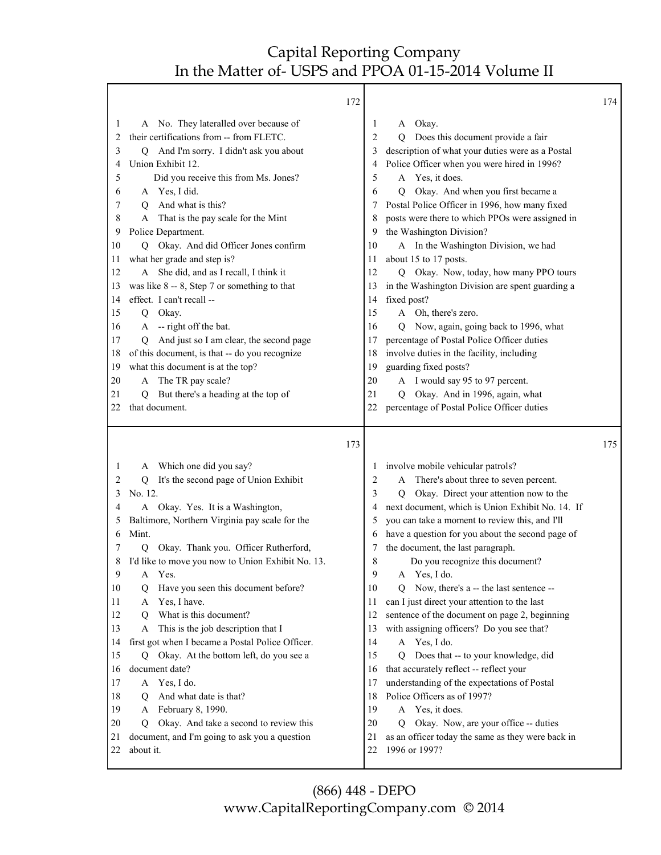Г

|          | 172                                                        |              |                                                                    | 174 |
|----------|------------------------------------------------------------|--------------|--------------------------------------------------------------------|-----|
| 1        | A No. They lateralled over because of                      | 1            | Okay.<br>A                                                         |     |
| 2        | their certifications from -- from FLETC.                   | 2            | Does this document provide a fair<br>O                             |     |
| 3        | Q And I'm sorry. I didn't ask you about                    | 3            | description of what your duties were as a Postal                   |     |
| 4        | Union Exhibit 12.                                          | 4            | Police Officer when you were hired in 1996?                        |     |
| 5        | Did you receive this from Ms. Jones?                       | 5            | A Yes, it does.                                                    |     |
| 6        | A Yes, I did.                                              | 6            | Okay. And when you first became a<br>$\overline{Q}$                |     |
| 7        | And what is this?<br>O                                     | 7            | Postal Police Officer in 1996, how many fixed                      |     |
| 8        | That is the pay scale for the Mint<br>A                    | 8            | posts were there to which PPOs were assigned in                    |     |
| 9        | Police Department.                                         | 9            | the Washington Division?                                           |     |
| 10       | Okay. And did Officer Jones confirm<br>O.                  | 10           | A In the Washington Division, we had                               |     |
| 11       | what her grade and step is?                                | 11           | about 15 to 17 posts.                                              |     |
| 12       | A She did, and as I recall, I think it                     | 12           | Okay. Now, today, how many PPO tours<br>Q                          |     |
| 13       | was like $8 - 8$ , Step 7 or something to that             | 13           | in the Washington Division are spent guarding a                    |     |
| 14       | effect. I can't recall --                                  | 14           | fixed post?                                                        |     |
| 15       | Q Okay.                                                    | 15           | A Oh, there's zero.                                                |     |
| 16       | A -- right off the bat.                                    | 16           | Now, again, going back to 1996, what<br>Q                          |     |
| 17       | And just so I am clear, the second page<br>Q               | 17           | percentage of Postal Police Officer duties                         |     |
| 18       | of this document, is that -- do you recognize              | 18           | involve duties in the facility, including                          |     |
| 19       | what this document is at the top?                          | 19           | guarding fixed posts?                                              |     |
| 20       | A The TR pay scale?                                        | 20           | A I would say 95 to 97 percent.                                    |     |
| 21       | But there's a heading at the top of<br>O                   | 21           | Q Okay. And in 1996, again, what                                   |     |
| 22       | that document.                                             | 22           | percentage of Postal Police Officer duties                         |     |
|          |                                                            |              |                                                                    |     |
|          |                                                            |              |                                                                    |     |
|          | 173                                                        |              |                                                                    | 175 |
| 1        | Which one did you say?<br>A                                | $\mathbf{I}$ | involve mobile vehicular patrols?                                  |     |
| 2        | It's the second page of Union Exhibit<br>Q                 | 2            | There's about three to seven percent.<br>A                         |     |
| 3        | No. 12.                                                    | 3            | Okay. Direct your attention now to the<br>Q                        |     |
| 4        | A Okay. Yes. It is a Washington,                           | 4            | next document, which is Union Exhibit No. 14. If                   |     |
| 5        | Baltimore, Northern Virginia pay scale for the             | 5            | you can take a moment to review this, and I'll                     |     |
| 6        | Mint.                                                      | 6            | have a question for you about the second page of                   |     |
| 7        | Okay. Thank you. Officer Rutherford,<br>Q                  | 7            | the document, the last paragraph.                                  |     |
|          | I'd like to move you now to Union Exhibit No. 13.          | 8            | Do you recognize this document?                                    |     |
| 9        | A Yes.                                                     | 9            | A Yes, I do.                                                       |     |
| 10       | Have you seen this document before?<br>О                   | 10           | Now, there's a -- the last sentence --<br>O                        |     |
| 11       | Yes, I have.<br>A                                          | 11           | can I just direct your attention to the last                       |     |
| 12       | What is this document?<br>О                                | 12           | sentence of the document on page 2, beginning                      |     |
| 13       | This is the job description that I<br>A                    | 13           | with assigning officers? Do you see that?                          |     |
| 14       | first got when I became a Postal Police Officer.           | 14           | A Yes, I do.                                                       |     |
| 15       | Okay. At the bottom left, do you see a<br>Ő                | 15           | Does that -- to your knowledge, did<br>O                           |     |
| 16       | document date?                                             | 16           | that accurately reflect -- reflect your                            |     |
| 17       | Yes, I do.<br>A                                            | 17           | understanding of the expectations of Postal                        |     |
| 18       | And what date is that?<br>$\circ$                          | 18           | Police Officers as of 1997?                                        |     |
| 19       | A February 8, 1990.                                        | 19           | A Yes, it does.                                                    |     |
| 20       | Okay. And take a second to review this<br>O                | 20           | Okay. Now, are your office -- duties<br>O                          |     |
| 21<br>22 | document, and I'm going to ask you a question<br>about it. | 21<br>22     | as an officer today the same as they were back in<br>1996 or 1997? |     |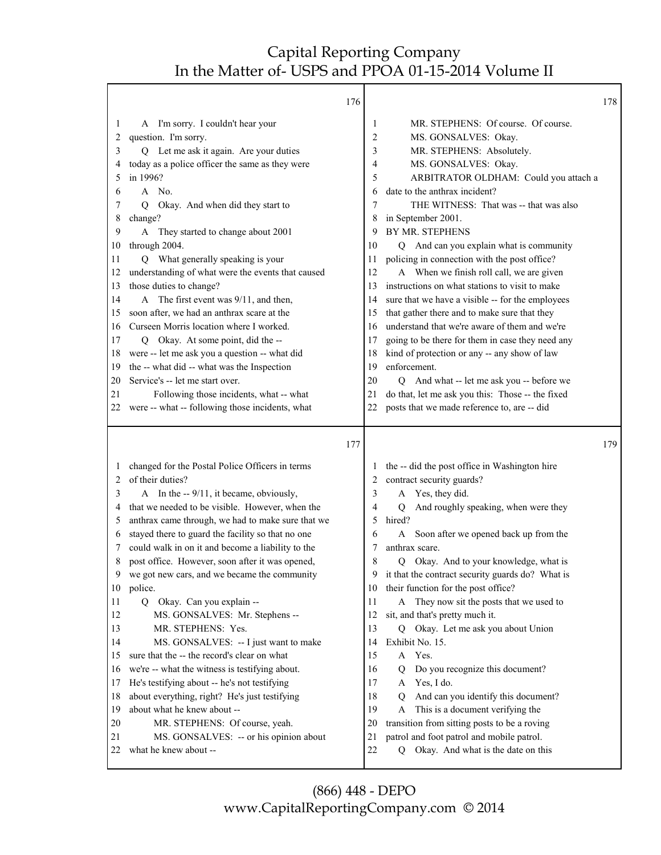|              |                                                                                                        | 176 |    |                                                         | 178 |
|--------------|--------------------------------------------------------------------------------------------------------|-----|----|---------------------------------------------------------|-----|
| 1            | A I'm sorry. I couldn't hear your                                                                      |     | 1  | MR. STEPHENS: Of course. Of course.                     |     |
| 2            | question. I'm sorry.                                                                                   |     | 2  | MS. GONSALVES: Okay.                                    |     |
| 3            | Q Let me ask it again. Are your duties                                                                 |     | 3  | MR. STEPHENS: Absolutely.                               |     |
| 4            | today as a police officer the same as they were                                                        |     | 4  | MS. GONSALVES: Okay.                                    |     |
| 5            | in 1996?                                                                                               |     | 5  | ARBITRATOR OLDHAM: Could you attach a                   |     |
| 6            | A No.                                                                                                  |     | 6  | date to the anthrax incident?                           |     |
| 7            | Okay. And when did they start to<br>Q                                                                  |     | 7  | THE WITNESS: That was -- that was also                  |     |
| 8            | change?                                                                                                |     | 8  | in September 2001.                                      |     |
| 9            | A They started to change about 2001                                                                    |     | 9  | BY MR. STEPHENS                                         |     |
| 10           | through 2004.                                                                                          |     | 10 | Q And can you explain what is community                 |     |
| 11           | Q What generally speaking is your                                                                      |     | 11 | policing in connection with the post office?            |     |
| 12           | understanding of what were the events that caused                                                      |     | 12 | A When we finish roll call, we are given                |     |
| 13           | those duties to change?                                                                                |     | 13 | instructions on what stations to visit to make          |     |
| 14           | A The first event was 9/11, and then,                                                                  |     | 14 | sure that we have a visible -- for the employees        |     |
| 15           | soon after, we had an anthrax scare at the                                                             |     | 15 | that gather there and to make sure that they            |     |
| 16           | Curseen Morris location where I worked.                                                                |     | 16 | understand that we're aware of them and we're           |     |
| 17           | Q Okay. At some point, did the --                                                                      |     | 17 | going to be there for them in case they need any        |     |
| 18           | were -- let me ask you a question -- what did                                                          |     | 18 | kind of protection or any -- any show of law            |     |
| 19           | the -- what did -- what was the Inspection                                                             |     | 19 | enforcement.                                            |     |
| 20           | Service's -- let me start over.                                                                        |     | 20 | Q And what -- let me ask you -- before we               |     |
| 21           | Following those incidents, what -- what                                                                |     | 21 | do that, let me ask you this: Those -- the fixed        |     |
| 22           | were -- what -- following those incidents, what                                                        |     | 22 | posts that we made reference to, are -- did             |     |
|              |                                                                                                        |     |    |                                                         |     |
|              |                                                                                                        |     |    |                                                         |     |
|              |                                                                                                        | 177 |    |                                                         | 179 |
| $\mathbf{I}$ |                                                                                                        |     | 1  |                                                         |     |
| 2            | changed for the Postal Police Officers in terms<br>of their duties?                                    |     | 2  | the -- did the post office in Washington hire           |     |
| 3            |                                                                                                        |     | 3  | contract security guards?<br>A                          |     |
| 4            | A In the -- 9/11, it became, obviously,<br>that we needed to be visible. However, when the             |     | 4  | Yes, they did.<br>Q                                     |     |
| 5            | anthrax came through, we had to make sure that we                                                      |     | 5  | And roughly speaking, when were they<br>hired?          |     |
| 6            |                                                                                                        |     | 6  | A                                                       |     |
| 7            | stayed there to guard the facility so that no one<br>could walk in on it and become a liability to the |     | 7  | Soon after we opened back up from the<br>anthrax scare. |     |
| 8            | post office. However, soon after it was opened,                                                        |     | 8  | Okay. And to your knowledge, what is<br>O.              |     |
| 9            | we got new cars, and we became the community                                                           |     | 9  | it that the contract security guards do? What is        |     |
| 10           | police.                                                                                                |     | 10 | their function for the post office?                     |     |
| 11           | Okay. Can you explain --<br>Q                                                                          |     | 11 | A They now sit the posts that we used to                |     |
| 12           | MS. GONSALVES: Mr. Stephens --                                                                         |     | 12 | sit, and that's pretty much it.                         |     |
| 13           | MR. STEPHENS: Yes.                                                                                     |     | 13 | Q Okay. Let me ask you about Union                      |     |
| 14           | MS. GONSALVES: -- I just want to make                                                                  |     | 14 | Exhibit No. 15.                                         |     |
| 15           | sure that the -- the record's clear on what                                                            |     | 15 | A Yes.                                                  |     |
| 16           | we're -- what the witness is testifying about.                                                         |     | 16 | Do you recognize this document?<br>Q                    |     |
| 17           | He's testifying about -- he's not testifying                                                           |     | 17 | Yes, I do.<br>A                                         |     |
| 18           | about everything, right? He's just testifying                                                          |     | 18 | And can you identify this document?<br>0                |     |
| 19           | about what he knew about --                                                                            |     | 19 | This is a document verifying the<br>A                   |     |
| 20           | MR. STEPHENS: Of course, yeah.                                                                         |     | 20 | transition from sitting posts to be a roving            |     |
| 21           | MS. GONSALVES: -- or his opinion about                                                                 |     | 21 | patrol and foot patrol and mobile patrol.               |     |
| 22           | what he knew about --                                                                                  |     | 22 | Okay. And what is the date on this<br>Q                 |     |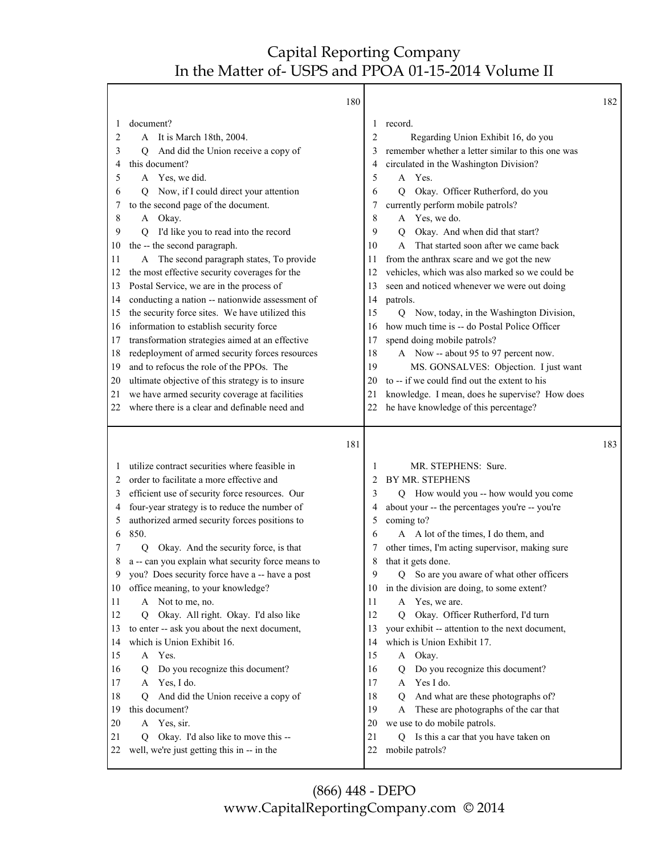Т

Γ

|    | 180                                                     |    |                                                   | 182 |
|----|---------------------------------------------------------|----|---------------------------------------------------|-----|
| 1  | document?                                               | 1  | record.                                           |     |
| 2  | A It is March 18th, 2004.                               | 2  | Regarding Union Exhibit 16, do you                |     |
| 3  | And did the Union receive a copy of<br>Q                | 3  | remember whether a letter similar to this one was |     |
| 4  | this document?                                          | 4  | circulated in the Washington Division?            |     |
| 5  | A Yes, we did.                                          | 5  | A Yes.                                            |     |
| 6  | Now, if I could direct your attention<br>Q              | 6  | Okay. Officer Rutherford, do you<br>Q             |     |
| 7  | to the second page of the document.                     | 7  | currently perform mobile patrols?                 |     |
| 8  | A Okay.                                                 | 8  | A Yes, we do.                                     |     |
| 9  | I'd like you to read into the record<br>O               | 9  | Okay. And when did that start?<br>0               |     |
| 10 | the -- the second paragraph.                            | 10 | That started soon after we came back<br>A         |     |
| 11 | A The second paragraph states, To provide               | 11 | from the anthrax scare and we got the new         |     |
| 12 | the most effective security coverages for the           | 12 | vehicles, which was also marked so we could be    |     |
| 13 | Postal Service, we are in the process of                | 13 | seen and noticed whenever we were out doing       |     |
| 14 | conducting a nation -- nationwide assessment of         | 14 | patrols.                                          |     |
| 15 | the security force sites. We have utilized this         | 15 | Q Now, today, in the Washington Division,         |     |
| 16 | information to establish security force                 | 16 | how much time is -- do Postal Police Officer      |     |
| 17 | transformation strategies aimed at an effective         | 17 | spend doing mobile patrols?                       |     |
| 18 | redeployment of armed security forces resources         | 18 | A Now -- about 95 to 97 percent now.              |     |
| 19 | and to refocus the role of the PPOs. The                | 19 | MS. GONSALVES: Objection. I just want             |     |
| 20 | ultimate objective of this strategy is to insure        | 20 | to -- if we could find out the extent to his      |     |
| 21 | we have armed security coverage at facilities           | 21 | knowledge. I mean, does he supervise? How does    |     |
| 22 | where there is a clear and definable need and           | 22 | he have knowledge of this percentage?             |     |
|    |                                                         |    |                                                   |     |
|    | 181                                                     |    |                                                   | 183 |
| 1  | utilize contract securities where feasible in           | 1  | MR. STEPHENS: Sure.                               |     |
| 2  | order to facilitate a more effective and                | 2  | BY MR. STEPHENS                                   |     |
| 3  | efficient use of security force resources. Our          | 3  | Q How would you -- how would you come             |     |
| 4  | four-year strategy is to reduce the number of           | 4  | about your -- the percentages you're -- you're    |     |
| 5  | authorized armed security forces positions to           | 5  | coming to?                                        |     |
| 6  | 850.                                                    | 6  | A A lot of the times, I do them, and              |     |
| 7  | Okay. And the security force, is that<br>$\overline{Q}$ | 7  | other times, I'm acting supervisor, making sure   |     |
| 8  | a -- can you explain what security force means to       | 8  | that it gets done.                                |     |
| 9  | you? Does security force have a -- have a post          | 9  | Q So are you aware of what other officers         |     |
| 10 | office meaning, to your knowledge?                      | 10 | in the division are doing, to some extent?        |     |
| 11 | A Not to me, no.                                        | 11 | A Yes, we are.                                    |     |
| 12 | Okay. All right. Okay. I'd also like<br>О               | 12 | Okay. Officer Rutherford, I'd turn<br>О           |     |
| 13 | to enter -- ask you about the next document,            | 13 | your exhibit -- attention to the next document,   |     |
| 14 | which is Union Exhibit 16.                              | 14 | which is Union Exhibit 17.                        |     |
| 15 | A Yes.                                                  | 15 | A Okay.                                           |     |
| 16 | Do you recognize this document?<br>Q                    | 16 | Do you recognize this document?<br>Q              |     |
| 17 | A Yes, I do.                                            | 17 | Yes I do.<br>A                                    |     |
| 18 | And did the Union receive a copy of<br>Q                | 18 | And what are these photographs of?<br>Q           |     |
| 19 | this document?                                          | 19 | These are photographs of the car that<br>A        |     |
| 20 | A Yes, sir.                                             | 20 | we use to do mobile patrols.                      |     |
| 21 | Q Okay. I'd also like to move this --                   | 21 | Q Is this a car that you have taken on            |     |
| 22 | well, we're just getting this in -- in the              | 22 | mobile patrols?                                   |     |
|    |                                                         |    |                                                   |     |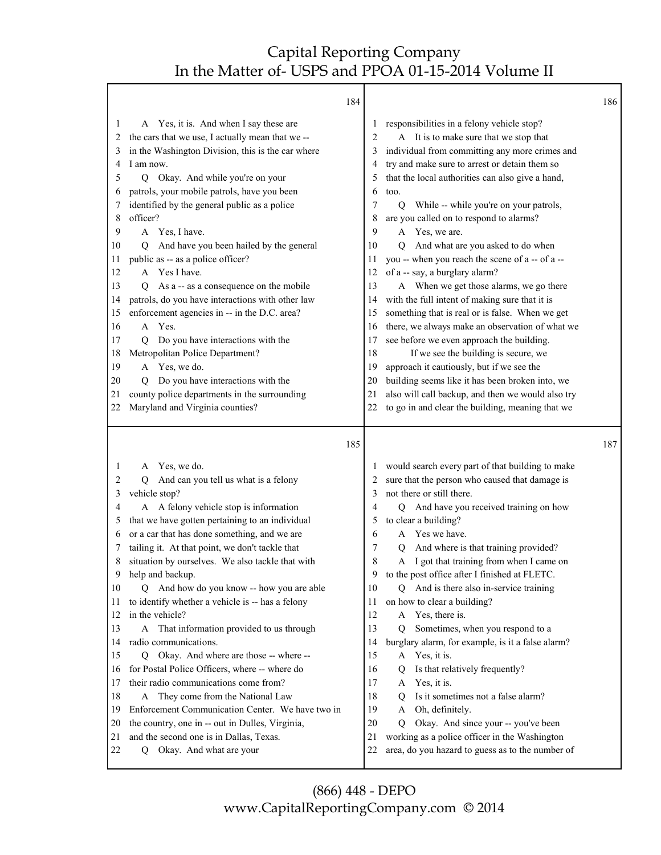|          | 184                                                                  |          |                                                                                                   | 186 |
|----------|----------------------------------------------------------------------|----------|---------------------------------------------------------------------------------------------------|-----|
| 1        | A Yes, it is. And when I say these are                               | 1        | responsibilities in a felony vehicle stop?                                                        |     |
| 2        | the cars that we use, I actually mean that we --                     | 2        | A It is to make sure that we stop that                                                            |     |
| 3        | in the Washington Division, this is the car where                    | 3        | individual from committing any more crimes and                                                    |     |
| 4        | I am now.                                                            | 4        | try and make sure to arrest or detain them so                                                     |     |
| 5        | Q Okay. And while you're on your                                     | 5        | that the local authorities can also give a hand,                                                  |     |
| 6        | patrols, your mobile patrols, have you been                          | 6        | too.                                                                                              |     |
| 7        | identified by the general public as a police                         | 7        | While -- while you're on your patrols,<br>$\overline{Q}$                                          |     |
| 8        | officer?                                                             | 8        | are you called on to respond to alarms?                                                           |     |
| 9        | A Yes, I have.                                                       | 9        | A Yes, we are.                                                                                    |     |
| 10       | And have you been hailed by the general<br>O                         | 10       | And what are you asked to do when<br>O                                                            |     |
| 11       | public as -- as a police officer?                                    | 11       | you -- when you reach the scene of a -- of a --                                                   |     |
| 12       | Yes I have.<br>A                                                     | 12       | of a -- say, a burglary alarm?                                                                    |     |
| 13       | As a -- as a consequence on the mobile<br>Q                          | 13       | A When we get those alarms, we go there                                                           |     |
| 14       | patrols, do you have interactions with other law                     | 14       | with the full intent of making sure that it is                                                    |     |
| 15       | enforcement agencies in -- in the D.C. area?                         | 15       | something that is real or is false. When we get                                                   |     |
| 16       | A Yes.                                                               | 16       | there, we always make an observation of what we                                                   |     |
| 17       | Do you have interactions with the<br>Q                               | 17       | see before we even approach the building.                                                         |     |
| 18       | Metropolitan Police Department?                                      | 18       | If we see the building is secure, we                                                              |     |
| 19       | A Yes, we do.                                                        | 19       | approach it cautiously, but if we see the                                                         |     |
| 20       | Do you have interactions with the<br>O                               | 20       | building seems like it has been broken into, we                                                   |     |
| 21       | county police departments in the surrounding                         | 21       | also will call backup, and then we would also try                                                 |     |
| 22       | Maryland and Virginia counties?                                      | 22       | to go in and clear the building, meaning that we                                                  |     |
|          |                                                                      |          |                                                                                                   |     |
|          | 185                                                                  |          |                                                                                                   | 187 |
| 1        |                                                                      |          |                                                                                                   |     |
| 2        | A Yes, we do.<br>O                                                   | 2        | would search every part of that building to make                                                  |     |
| 3        | And can you tell us what is a felony<br>vehicle stop?                | 3        | sure that the person who caused that damage is<br>not there or still there.                       |     |
| 4        | A A felony vehicle stop is information                               | 4        | Q And have you received training on how                                                           |     |
| 5        | that we have gotten pertaining to an individual                      | 5        | to clear a building?                                                                              |     |
| 6        | or a car that has done something, and we are                         | 6        | Yes we have.<br>A                                                                                 |     |
| 7        | tailing it. At that point, we don't tackle that                      | 7        | And where is that training provided?<br>Q                                                         |     |
| 8        | situation by ourselves. We also tackle that with                     | 8        | A I got that training from when I came on                                                         |     |
| 9        | help and backup.                                                     | 9        | to the post office after I finished at FLETC.                                                     |     |
| 10       | Q And how do you know -- how you are able                            | 10       | Q And is there also in-service training                                                           |     |
| 11       | to identify whether a vehicle is -- has a felony                     | 11       | on how to clear a building?                                                                       |     |
| 12       | in the vehicle?                                                      | 12       | Yes, there is.<br>A                                                                               |     |
| 13       | That information provided to us through<br>A                         | 13       | Sometimes, when you respond to a<br>Q                                                             |     |
| 14       | radio communications.                                                | 14       | burglary alarm, for example, is it a false alarm?                                                 |     |
| 15       | Okay. And where are those -- where --<br>Q                           | 15       | Yes, it is.<br>A                                                                                  |     |
| 16       | for Postal Police Officers, where -- where do                        | 16       | Is that relatively frequently?<br>Q                                                               |     |
| 17       | their radio communications come from?                                | 17       | Yes, it is.<br>A                                                                                  |     |
| 18       | They come from the National Law<br>A                                 | 18       | Is it sometimes not a false alarm?<br>Q                                                           |     |
| 19       | Enforcement Communication Center. We have two in                     | 19       | Oh, definitely.<br>A                                                                              |     |
| 20       | the country, one in -- out in Dulles, Virginia,                      | 20       | Okay. And since your -- you've been<br>Q                                                          |     |
| 21<br>22 | and the second one is in Dallas, Texas.<br>Q Okay. And what are your | 21<br>22 | working as a police officer in the Washington<br>area, do you hazard to guess as to the number of |     |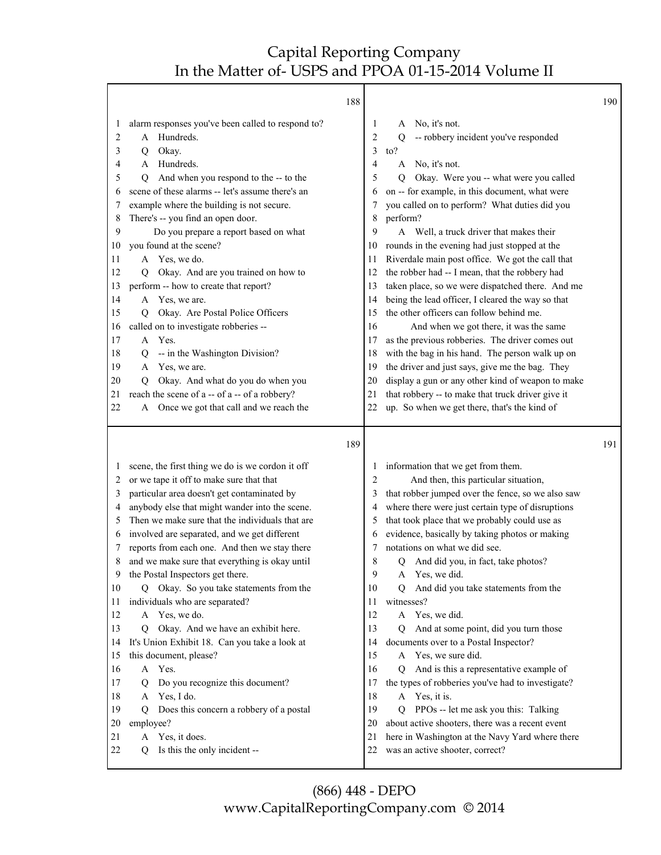|                                                                                                                                                                                                                                                                                                                                                                                                                                                                                                                                                                                                                                                                                                                                                                                                                                                                                                                                                                                        | 188                                                                        |                                                                                                                                                                                                                                                                                                                                                                                                                                                                                                                                                                                                                                                                                                                                                                                                                                                                                                                                                                                                                                | 190 |
|----------------------------------------------------------------------------------------------------------------------------------------------------------------------------------------------------------------------------------------------------------------------------------------------------------------------------------------------------------------------------------------------------------------------------------------------------------------------------------------------------------------------------------------------------------------------------------------------------------------------------------------------------------------------------------------------------------------------------------------------------------------------------------------------------------------------------------------------------------------------------------------------------------------------------------------------------------------------------------------|----------------------------------------------------------------------------|--------------------------------------------------------------------------------------------------------------------------------------------------------------------------------------------------------------------------------------------------------------------------------------------------------------------------------------------------------------------------------------------------------------------------------------------------------------------------------------------------------------------------------------------------------------------------------------------------------------------------------------------------------------------------------------------------------------------------------------------------------------------------------------------------------------------------------------------------------------------------------------------------------------------------------------------------------------------------------------------------------------------------------|-----|
| alarm responses you've been called to respond to?<br>1<br>A Hundreds.<br>2<br>3<br>Okay.<br>Q<br>Hundreds.<br>4<br>A<br>And when you respond to the -- to the<br>5<br>$\mathbf Q$<br>scene of these alarms -- let's assume there's an<br>6<br>example where the building is not secure.<br>7<br>There's -- you find an open door.<br>8<br>Do you prepare a report based on what<br>9<br>you found at the scene?<br>10<br>A Yes, we do.<br>11<br>Okay. And are you trained on how to<br>12<br>О<br>perform -- how to create that report?<br>13<br>A Yes, we are.<br>14<br>Okay. Are Postal Police Officers<br>15<br>Ő<br>called on to investigate robberies --<br>16<br>A Yes.<br>17<br>-- in the Washington Division?<br>18<br>Q<br>Yes, we are.<br>19<br>A<br>Okay. And what do you do when you<br>20<br>О<br>reach the scene of a -- of a -- of a robbery?<br>21<br>Once we got that call and we reach the<br>22<br>A                                                                | 10<br>11<br>12<br>13<br>14<br>15<br>16<br>17<br>18<br>19<br>20<br>21<br>22 | No, it's not.<br>1<br>A<br>2<br>-- robbery incident you've responded<br>О<br>3<br>to?<br>No, it's not.<br>4<br>A<br>5<br>Okay. Were you -- what were you called<br>O<br>on -- for example, in this document, what were<br>6<br>you called on to perform? What duties did you<br>7<br>perform?<br>8<br>Well, a truck driver that makes their<br>9<br>A<br>rounds in the evening had just stopped at the<br>Riverdale main post office. We got the call that<br>the robber had -- I mean, that the robbery had<br>taken place, so we were dispatched there. And me<br>being the lead officer, I cleared the way so that<br>the other officers can follow behind me.<br>And when we got there, it was the same<br>as the previous robberies. The driver comes out<br>with the bag in his hand. The person walk up on<br>the driver and just says, give me the bag. They<br>display a gun or any other kind of weapon to make<br>that robbery -- to make that truck driver give it<br>up. So when we get there, that's the kind of |     |
|                                                                                                                                                                                                                                                                                                                                                                                                                                                                                                                                                                                                                                                                                                                                                                                                                                                                                                                                                                                        | 189                                                                        |                                                                                                                                                                                                                                                                                                                                                                                                                                                                                                                                                                                                                                                                                                                                                                                                                                                                                                                                                                                                                                | 191 |
| scene, the first thing we do is we cordon it off<br>1<br>or we tape it off to make sure that that<br>2<br>particular area doesn't get contaminated by<br>3<br>anybody else that might wander into the scene.<br>4<br>Then we make sure that the individuals that are<br>5<br>involved are separated, and we get different<br>6<br>reports from each one. And then we stay there<br>7<br>and we make sure that everything is okay until<br>8<br>the Postal Inspectors get there.<br>9<br>Okay. So you take statements from the<br>10<br>Q<br>individuals who are separated?<br>11<br>A Yes, we do.<br>12<br>Okay. And we have an exhibit here.<br>13<br>Q<br>It's Union Exhibit 18. Can you take a look at<br>14<br>this document, please?<br>15<br>A Yes.<br>16<br>Do you recognize this document?<br>17<br>Q<br>Yes, I do.<br>18<br>A<br>Does this concern a robbery of a postal<br>19<br>0<br>20<br>employee?<br>Yes, it does.<br>21<br>A<br>Is this the only incident --<br>22<br>Q | 10<br>11<br>12<br>13<br>14<br>15<br>16<br>17<br>18<br>19<br>20<br>21<br>22 | information that we get from them.<br>1<br>And then, this particular situation,<br>2<br>that robber jumped over the fence, so we also saw<br>3<br>where there were just certain type of disruptions<br>4<br>that took place that we probably could use as<br>5<br>evidence, basically by taking photos or making<br>6<br>notations on what we did see.<br>7<br>8<br>And did you, in fact, take photos?<br>Q<br>9<br>A Yes, we did.<br>And did you take statements from the<br>Q<br>witnesses?<br>A Yes, we did.<br>And at some point, did you turn those<br>0<br>documents over to a Postal Inspector?<br>A Yes, we sure did.<br>And is this a representative example of<br>O.<br>the types of robberies you've had to investigate?<br>A Yes, it is.<br>PPOs -- let me ask you this: Talking<br>O.<br>about active shooters, there was a recent event<br>here in Washington at the Navy Yard where there<br>was an active shooter, correct?                                                                                    |     |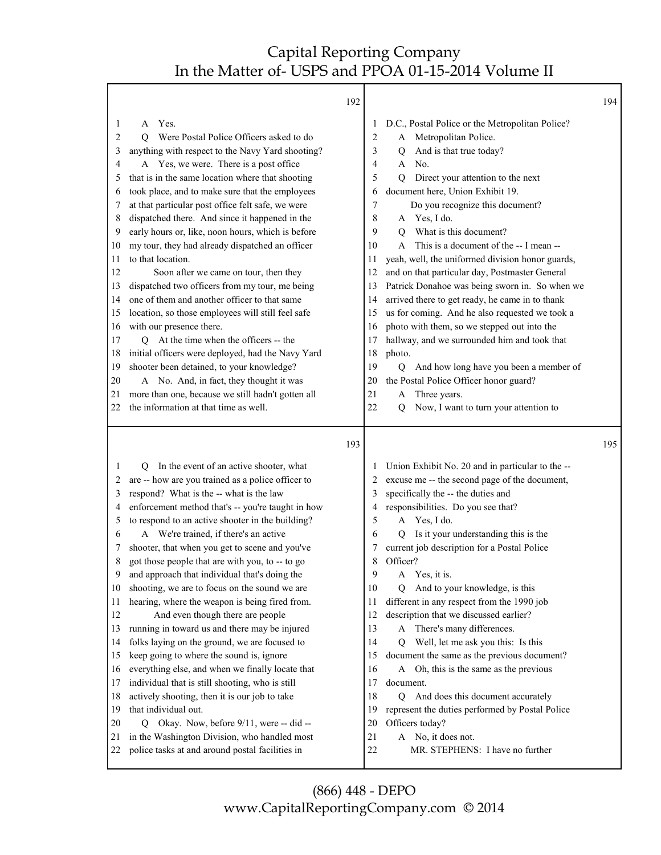|                                                                                                                                                                                                                                                                                                                                                                                                                                                                                                                                                                                                                                                                                                                                                                                                                                                                                                                                                                                                                                                                                                                                                                                                              | 192                                                                  |                                                                                                                                                                                                                                                                                                                                                                                                                                                                                                                                                                                                                                                                                                                                                                                                                                                                                                                                                       | 194 |
|--------------------------------------------------------------------------------------------------------------------------------------------------------------------------------------------------------------------------------------------------------------------------------------------------------------------------------------------------------------------------------------------------------------------------------------------------------------------------------------------------------------------------------------------------------------------------------------------------------------------------------------------------------------------------------------------------------------------------------------------------------------------------------------------------------------------------------------------------------------------------------------------------------------------------------------------------------------------------------------------------------------------------------------------------------------------------------------------------------------------------------------------------------------------------------------------------------------|----------------------------------------------------------------------|-------------------------------------------------------------------------------------------------------------------------------------------------------------------------------------------------------------------------------------------------------------------------------------------------------------------------------------------------------------------------------------------------------------------------------------------------------------------------------------------------------------------------------------------------------------------------------------------------------------------------------------------------------------------------------------------------------------------------------------------------------------------------------------------------------------------------------------------------------------------------------------------------------------------------------------------------------|-----|
| Yes.<br>1<br>A<br>Were Postal Police Officers asked to do<br>2<br>O<br>anything with respect to the Navy Yard shooting?<br>3<br>A Yes, we were. There is a post office<br>4<br>that is in the same location where that shooting<br>5<br>took place, and to make sure that the employees<br>6<br>at that particular post office felt safe, we were<br>7<br>dispatched there. And since it happened in the<br>8<br>early hours or, like, noon hours, which is before<br>9<br>my tour, they had already dispatched an officer<br>10<br>to that location.<br>11<br>12<br>Soon after we came on tour, then they<br>dispatched two officers from my tour, me being<br>13<br>one of them and another officer to that same<br>14<br>location, so those employees will still feel safe<br>15<br>with our presence there.<br>16<br>Q At the time when the officers -- the<br>17<br>initial officers were deployed, had the Navy Yard<br>18<br>shooter been detained, to your knowledge?<br>19<br>A No. And, in fact, they thought it was<br>20<br>more than one, because we still hadn't gotten all<br>21<br>the information at that time as well.<br>22                                                               | 11<br>12<br>13<br>15<br>16<br>17<br>18<br>19<br>20<br>21<br>22       | D.C., Postal Police or the Metropolitan Police?<br>$\perp$<br>A Metropolitan Police.<br>2<br>And is that true today?<br>3<br>Q<br>No.<br>4<br>A<br>5<br>Direct your attention to the next<br>$\overline{Q}$<br>document here, Union Exhibit 19.<br>6<br>Do you recognize this document?<br>7<br>Yes, I do.<br>8<br>A<br>What is this document?<br>9<br>0<br>This is a document of the -- I mean --<br>10<br>A<br>yeah, well, the uniformed division honor guards,<br>and on that particular day, Postmaster General<br>Patrick Donahoe was being sworn in. So when we<br>arrived there to get ready, he came in to thank<br>14<br>us for coming. And he also requested we took a<br>photo with them, so we stepped out into the<br>hallway, and we surrounded him and took that<br>photo.<br>And how long have you been a member of<br>Q<br>the Postal Police Officer honor guard?<br>Three years.<br>A<br>Now, I want to turn your attention to<br>Q |     |
|                                                                                                                                                                                                                                                                                                                                                                                                                                                                                                                                                                                                                                                                                                                                                                                                                                                                                                                                                                                                                                                                                                                                                                                                              | 193                                                                  |                                                                                                                                                                                                                                                                                                                                                                                                                                                                                                                                                                                                                                                                                                                                                                                                                                                                                                                                                       | 195 |
| In the event of an active shooter, what<br>1<br>$\circ$<br>are -- how are you trained as a police officer to<br>2<br>respond? What is the -- what is the law<br>3<br>enforcement method that's -- you're taught in how<br>4<br>to respond to an active shooter in the building?<br>5<br>A We're trained, if there's an active<br>6<br>shooter, that when you get to scene and you've<br>7<br>got those people that are with you, to -- to go<br>8<br>9<br>and approach that individual that's doing the<br>shooting, we are to focus on the sound we are<br>10<br>hearing, where the weapon is being fired from.<br>11<br>12<br>And even though there are people<br>running in toward us and there may be injured<br>13<br>folks laying on the ground, we are focused to<br>14<br>keep going to where the sound is, ignore<br>15<br>everything else, and when we finally locate that<br>16<br>individual that is still shooting, who is still<br>17<br>actively shooting, then it is our job to take<br>18<br>that individual out.<br>19<br>Okay. Now, before 9/11, were -- did --<br>20<br>Q<br>in the Washington Division, who handled most<br>21<br>police tasks at and around postal facilities in<br>22 | 11<br>12<br>13<br>14<br>15<br>16<br>17<br>18<br>19<br>20<br>21<br>22 | Union Exhibit No. 20 and in particular to the --<br>$\perp$<br>excuse me -- the second page of the document,<br>2<br>specifically the -- the duties and<br>3<br>responsibilities. Do you see that?<br>4<br>A Yes, I do.<br>5<br>Is it your understanding this is the<br>6<br>Q<br>current job description for a Postal Police<br>7<br>Officer?<br>8<br>9<br>A Yes, it is<br>10<br>Q And to your knowledge, is this<br>different in any respect from the 1990 job<br>description that we discussed earlier?<br>There's many differences.<br>A<br>Well, let me ask you this: Is this<br>Q<br>document the same as the previous document?<br>A Oh, this is the same as the previous<br>document.<br>And does this document accurately<br>$\overline{Q}$<br>represent the duties performed by Postal Police<br>Officers today?<br>A No, it does not.<br>MR. STEPHENS: I have no further                                                                   |     |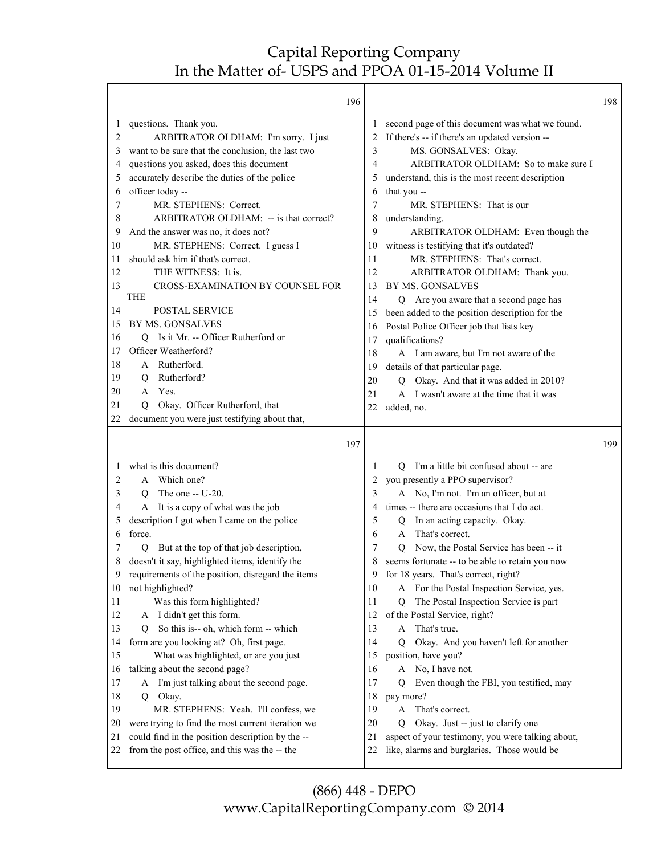Т

|         | 196                                               |              |                                                   | 198 |
|---------|---------------------------------------------------|--------------|---------------------------------------------------|-----|
| 1       | questions. Thank you.                             | $\mathbf{I}$ | second page of this document was what we found.   |     |
| 2       | ARBITRATOR OLDHAM: I'm sorry. I just              |              | If there's -- if there's an updated version --    |     |
| 3       | want to be sure that the conclusion, the last two | 3            | MS. GONSALVES: Okay.                              |     |
| 4       | questions you asked, does this document           | 4            | ARBITRATOR OLDHAM: So to make sure I              |     |
| 5       | accurately describe the duties of the police      | 5            | understand, this is the most recent description   |     |
| 6       | officer today --                                  | 6            | that you --                                       |     |
| 7       | MR. STEPHENS: Correct.                            | 7            | MR. STEPHENS: That is our                         |     |
| 8       | ARBITRATOR OLDHAM: -- is that correct?            | 8            | understanding.                                    |     |
| 9       | And the answer was no, it does not?               | 9            | ARBITRATOR OLDHAM: Even though the                |     |
| 10      | MR. STEPHENS: Correct. I guess I                  | 10           | witness is testifying that it's outdated?         |     |
| 11      | should ask him if that's correct.                 | 11           | MR. STEPHENS: That's correct.                     |     |
| 12      | THE WITNESS: It is.                               | 12           | ARBITRATOR OLDHAM: Thank you.                     |     |
| 13      | CROSS-EXAMINATION BY COUNSEL FOR                  | 13           | BY MS. GONSALVES                                  |     |
|         | <b>THE</b>                                        | 14           | Q Are you aware that a second page has            |     |
| 14      | POSTAL SERVICE                                    | 15           | been added to the position description for the    |     |
| 15      | BY MS. GONSALVES                                  | 16           | Postal Police Officer job that lists key          |     |
| 16      | Q Is it Mr. -- Officer Rutherford or              | 17           | qualifications?                                   |     |
| 17      | Officer Weatherford?                              | 18           | A I am aware, but I'm not aware of the            |     |
| 18      | A Rutherford.                                     | 19           | details of that particular page.                  |     |
| 19      | Rutherford?<br>Q                                  | 20           | Q Okay. And that it was added in 2010?            |     |
| 20      | Yes.<br>A                                         | 21           | A I wasn't aware at the time that it was          |     |
| 21      | Okay. Officer Rutherford, that<br>O               | 22           | added, no.                                        |     |
| 22      | document you were just testifying about that,     |              |                                                   |     |
|         | 197                                               |              |                                                   | 199 |
| $\perp$ | what is this document?                            | 1            | Q I'm a little bit confused about -- are          |     |
| 2       | A Which one?                                      | 2            | you presently a PPO supervisor?                   |     |
| 3       | The one $-$ U-20.<br>Q                            | 3            | A No, I'm not. I'm an officer, but at             |     |
| 4       | A It is a copy of what was the job                | 4            | times -- there are occasions that I do act.       |     |
| 5       | description I got when I came on the police       | 5            | In an acting capacity. Okay.<br>Q                 |     |
| 6       | force.                                            | 6            | That's correct.<br>$\mathsf{A}$                   |     |
| 7       | But at the top of that job description,<br>Q      | 7            | Now, the Postal Service has been -- it<br>Q       |     |
| 8       | doesn't it say, highlighted items, identify the   | 8            | seems fortunate -- to be able to retain you now   |     |
| 9       | requirements of the position, disregard the items | 9            | for 18 years. That's correct, right?              |     |
| 10      | not highlighted?                                  | 10           | A For the Postal Inspection Service, yes.         |     |
| 11      | Was this form highlighted?                        | 11           | The Postal Inspection Service is part<br>Q        |     |
| 12      | I didn't get this form.<br>A                      | 12           | of the Postal Service, right?                     |     |
| 13      | So this is-- oh, which form -- which<br>O         | 13           | That's true.<br>A                                 |     |
| 14      | form are you looking at? Oh, first page.          | 14           | Okay. And you haven't left for another<br>О       |     |
| 15      | What was highlighted, or are you just             | 15           | position, have you?                               |     |
| 16      | talking about the second page?                    | 16           | A No, I have not.                                 |     |
|         | A I'm just talking about the second page.         | 17           | Even though the FBI, you testified, may<br>Q      |     |
| 17      |                                                   |              |                                                   |     |
| 18      | Okay.<br>Q                                        | 18           | pay more?                                         |     |
| 19      | MR. STEPHENS: Yeah. I'll confess, we              | 19           | That's correct.<br>A                              |     |
| 20      | were trying to find the most current iteration we | 20           | Okay. Just -- just to clarify one<br>0            |     |
| 21      | could find in the position description by the --  | 21           | aspect of your testimony, you were talking about, |     |
| 22      | from the post office, and this was the -- the     | 22           | like, alarms and burglaries. Those would be       |     |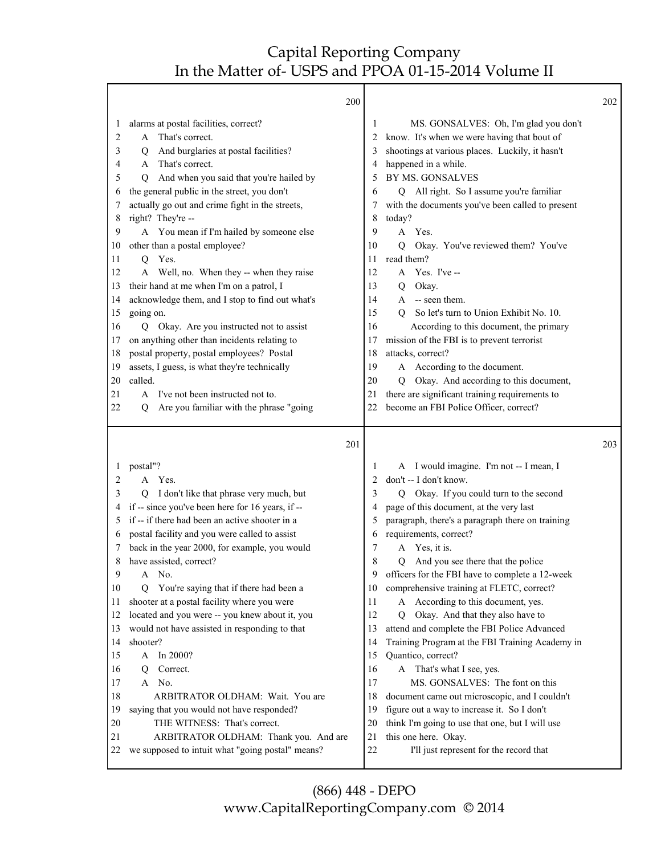| 200                                                                                                                                                                                                                                                                                                                                                                                                                                                                                                                                                                                                                                                                                                                                                                  |                                                                                                                   |                                                                                                                                                                                                                                                                                                                                                                                                                                                                                                                                                                                                                                                                                                                                                                                                                                                          | 202                                                                               |
|----------------------------------------------------------------------------------------------------------------------------------------------------------------------------------------------------------------------------------------------------------------------------------------------------------------------------------------------------------------------------------------------------------------------------------------------------------------------------------------------------------------------------------------------------------------------------------------------------------------------------------------------------------------------------------------------------------------------------------------------------------------------|-------------------------------------------------------------------------------------------------------------------|----------------------------------------------------------------------------------------------------------------------------------------------------------------------------------------------------------------------------------------------------------------------------------------------------------------------------------------------------------------------------------------------------------------------------------------------------------------------------------------------------------------------------------------------------------------------------------------------------------------------------------------------------------------------------------------------------------------------------------------------------------------------------------------------------------------------------------------------------------|-----------------------------------------------------------------------------------|
| alarms at postal facilities, correct?<br>That's correct.<br>A<br>And burglaries at postal facilities?<br>Q<br>That's correct.<br>A<br>And when you said that you're hailed by<br>Q<br>the general public in the street, you don't<br>actually go out and crime fight in the streets,<br>right? They're --<br>A You mean if I'm hailed by someone else<br>other than a postal employee?<br>Yes.<br>Q<br>A Well, no. When they -- when they raise<br>their hand at me when I'm on a patrol, I<br>acknowledge them, and I stop to find out what's<br>going on.<br>Okay. Are you instructed not to assist<br>$\overline{Q}$<br>on anything other than incidents relating to<br>postal property, postal employees? Postal<br>assets, I guess, is what they're technically | 1<br>2<br>3<br>4<br>5<br>6<br>7<br>8<br>9<br>10<br>11<br>12<br>13<br>14<br>15<br>16<br>17<br>18<br>19             | MS. GONSALVES: Oh, I'm glad you don't<br>know. It's when we were having that bout of<br>shootings at various places. Luckily, it hasn't<br>happened in a while.<br>BY MS. GONSALVES<br>Q All right. So I assume you're familiar<br>with the documents you've been called to present<br>today?<br>Yes.<br>A<br>Okay. You've reviewed them? You've<br>O<br>read them?<br>$Yes.$ I've $-$<br>A<br>Okay.<br>Q<br>-- seen them.<br>A<br>So let's turn to Union Exhibit No. 10.<br>$\overline{O}$<br>According to this document, the primary<br>mission of the FBI is to prevent terrorist<br>attacks, correct?<br>A According to the document.                                                                                                                                                                                                                |                                                                                   |
| called.                                                                                                                                                                                                                                                                                                                                                                                                                                                                                                                                                                                                                                                                                                                                                              | 20                                                                                                                | Okay. And according to this document,<br>Q                                                                                                                                                                                                                                                                                                                                                                                                                                                                                                                                                                                                                                                                                                                                                                                                               |                                                                                   |
| I've not been instructed not to.<br>A                                                                                                                                                                                                                                                                                                                                                                                                                                                                                                                                                                                                                                                                                                                                | 21                                                                                                                | there are significant training requirements to                                                                                                                                                                                                                                                                                                                                                                                                                                                                                                                                                                                                                                                                                                                                                                                                           |                                                                                   |
|                                                                                                                                                                                                                                                                                                                                                                                                                                                                                                                                                                                                                                                                                                                                                                      |                                                                                                                   |                                                                                                                                                                                                                                                                                                                                                                                                                                                                                                                                                                                                                                                                                                                                                                                                                                                          |                                                                                   |
| 201                                                                                                                                                                                                                                                                                                                                                                                                                                                                                                                                                                                                                                                                                                                                                                  |                                                                                                                   |                                                                                                                                                                                                                                                                                                                                                                                                                                                                                                                                                                                                                                                                                                                                                                                                                                                          | 203                                                                               |
| postal"?<br>A Yes.<br>I don't like that phrase very much, but<br>Q<br>if -- since you've been here for 16 years, if --<br>if -- if there had been an active shooter in a<br>postal facility and you were called to assist<br>back in the year 2000, for example, you would<br>have assisted, correct?<br>No.<br>A<br>You're saying that if there had been a<br>Ő<br>shooter at a postal facility where you were<br>located and you were -- you knew about it, you<br>would not have assisted in responding to that<br>shooter?<br>In 2000?<br>A<br>Correct.<br>Q<br>No.<br>A<br>ARBITRATOR OLDHAM: Wait. You are<br>saying that you would not have responded?<br>THE WITNESS: That's correct.<br>ARBITRATOR OLDHAM: Thank you. And are                               | 1<br>2<br>3<br>4<br>5<br>6<br>7<br>8<br>9<br>10<br>11<br>12<br>13<br>14<br>15<br>16<br>17<br>18<br>19<br>20<br>21 | A I would imagine. I'm not -- I mean, I<br>don't -- I don't know.<br>Okay. If you could turn to the second<br>Q<br>page of this document, at the very last<br>paragraph, there's a paragraph there on training<br>requirements, correct?<br>Yes, it is.<br>A<br>Q<br>And you see there that the police<br>officers for the FBI have to complete a 12-week<br>comprehensive training at FLETC, correct?<br>A According to this document, yes.<br>Okay. And that they also have to<br>О<br>attend and complete the FBI Police Advanced<br>Training Program at the FBI Training Academy in<br>Quantico, correct?<br>A That's what I see, yes.<br>MS. GONSALVES: The font on this<br>document came out microscopic, and I couldn't<br>figure out a way to increase it. So I don't<br>think I'm going to use that one, but I will use<br>this one here. Okay. |                                                                                   |
|                                                                                                                                                                                                                                                                                                                                                                                                                                                                                                                                                                                                                                                                                                                                                                      | Are you familiar with the phrase "going<br>Q<br>we supposed to intuit what "going postal" means?                  | 22<br>22                                                                                                                                                                                                                                                                                                                                                                                                                                                                                                                                                                                                                                                                                                                                                                                                                                                 | become an FBI Police Officer, correct?<br>I'll just represent for the record that |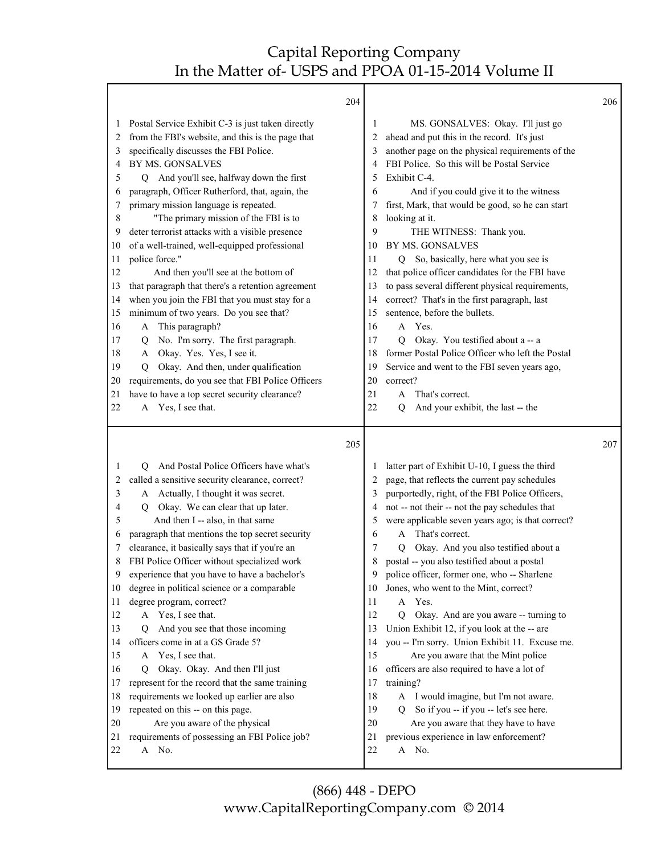|          | 204                                                                                      |          |                                                                                 | 206 |
|----------|------------------------------------------------------------------------------------------|----------|---------------------------------------------------------------------------------|-----|
| 1        | Postal Service Exhibit C-3 is just taken directly                                        | 1        | MS. GONSALVES: Okay. I'll just go                                               |     |
| 2        | from the FBI's website, and this is the page that                                        | 2        | ahead and put this in the record. It's just                                     |     |
| 3        | specifically discusses the FBI Police.                                                   | 3        | another page on the physical requirements of the                                |     |
| 4        | BY MS. GONSALVES                                                                         | 4        | FBI Police. So this will be Postal Service                                      |     |
| 5        | Q And you'll see, halfway down the first                                                 | 5        | Exhibit C-4.                                                                    |     |
| 6        | paragraph, Officer Rutherford, that, again, the                                          | 6        | And if you could give it to the witness                                         |     |
| 7        | primary mission language is repeated.                                                    | 7        | first, Mark, that would be good, so he can start                                |     |
| 8        | "The primary mission of the FBI is to                                                    | 8        | looking at it.                                                                  |     |
| 9        | deter terrorist attacks with a visible presence                                          | 9        | THE WITNESS: Thank you.                                                         |     |
| 10       | of a well-trained, well-equipped professional                                            | 10       | BY MS. GONSALVES                                                                |     |
| 11       | police force."                                                                           | 11       | Q So, basically, here what you see is                                           |     |
| 12       | And then you'll see at the bottom of                                                     | 12       | that police officer candidates for the FBI have                                 |     |
| 13       | that paragraph that there's a retention agreement                                        | 13       | to pass several different physical requirements,                                |     |
| 14       | when you join the FBI that you must stay for a<br>minimum of two years. Do you see that? | 14<br>15 | correct? That's in the first paragraph, last<br>sentence, before the bullets.   |     |
| 15<br>16 | This paragraph?<br>A                                                                     | 16       | A Yes.                                                                          |     |
| 17       | No. I'm sorry. The first paragraph.<br>Q                                                 | 17       | Okay. You testified about a -- a<br>0                                           |     |
| 18       | Okay. Yes. Yes, I see it.<br>A                                                           | 18       | former Postal Police Officer who left the Postal                                |     |
| 19       | Okay. And then, under qualification<br>Q                                                 | 19       | Service and went to the FBI seven years ago,                                    |     |
| 20       | requirements, do you see that FBI Police Officers                                        | 20       | correct?                                                                        |     |
| 21       | have to have a top secret security clearance?                                            | 21       | That's correct.<br>A                                                            |     |
| 22       | A Yes, I see that.                                                                       | 22       | And your exhibit, the last -- the<br>O                                          |     |
|          |                                                                                          |          |                                                                                 |     |
|          |                                                                                          |          |                                                                                 |     |
|          | 205                                                                                      |          |                                                                                 | 207 |
| 1        | And Postal Police Officers have what's<br>О                                              |          | latter part of Exhibit U-10, I guess the third                                  |     |
| 2        | called a sensitive security clearance, correct?                                          | 2        | page, that reflects the current pay schedules                                   |     |
| 3        | A Actually, I thought it was secret.                                                     | 3        | purportedly, right, of the FBI Police Officers,                                 |     |
| 4        | Okay. We can clear that up later.<br>$\circ$                                             | 4        | not -- not their -- not the pay schedules that                                  |     |
| 5        | And then I -- also, in that same                                                         | 5        | were applicable seven years ago; is that correct?                               |     |
| 6        | paragraph that mentions the top secret security                                          | 6        | That's correct.<br>A                                                            |     |
| 7        | clearance, it basically says that if you're an                                           | 7        | Okay. And you also testified about a<br>O                                       |     |
| 8        | FBI Police Officer without specialized work                                              | 8        | postal -- you also testified about a postal                                     |     |
| 9        | experience that you have to have a bachelor's                                            | 9        | police officer, former one, who -- Sharlene                                     |     |
| 10       | degree in political science or a comparable                                              | 10       | Jones, who went to the Mint, correct?                                           |     |
| 11       | degree program, correct?                                                                 | 11       | A Yes.                                                                          |     |
| 12       | A Yes, I see that.                                                                       | 12       | Q Okay. And are you aware -- turning to                                         |     |
| 13       | And you see that those incoming<br>O.                                                    | 13       | Union Exhibit 12, if you look at the -- are                                     |     |
| 14       | officers come in at a GS Grade 5?                                                        | 14       | you -- I'm sorry. Union Exhibit 11. Excuse me.                                  |     |
| 15       | A Yes, I see that.                                                                       | 15       | Are you aware that the Mint police                                              |     |
| 16       | Okay. Okay. And then I'll just<br>Q                                                      | 16       | officers are also required to have a lot of                                     |     |
| 17       | represent for the record that the same training                                          | 17       | training?                                                                       |     |
| 18<br>19 | requirements we looked up earlier are also                                               | 18<br>19 | A I would imagine, but I'm not aware.<br>Q                                      |     |
| 20       | repeated on this -- on this page.                                                        | 20       | So if you -- if you -- let's see here.                                          |     |
| 21       | Are you aware of the physical<br>requirements of possessing an FBI Police job?           | 21       | Are you aware that they have to have<br>previous experience in law enforcement? |     |
| 22       | A No.                                                                                    | 22       | A No.                                                                           |     |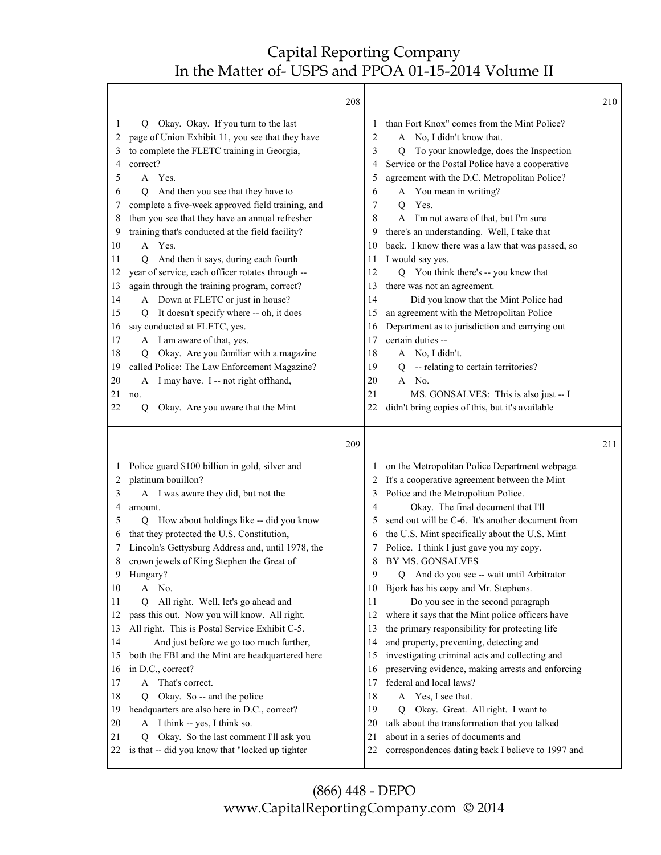|                            |                                                                                                                                                                                                             | 208 |                                                                                                                                                                                                                                                                                    | 210 |
|----------------------------|-------------------------------------------------------------------------------------------------------------------------------------------------------------------------------------------------------------|-----|------------------------------------------------------------------------------------------------------------------------------------------------------------------------------------------------------------------------------------------------------------------------------------|-----|
| 1<br>2<br>3<br>4<br>5<br>6 | Okay. Okay. If you turn to the last<br>Q<br>page of Union Exhibit 11, you see that they have<br>to complete the FLETC training in Georgia,<br>correct?<br>A Yes.<br>And then you see that they have to<br>О |     | than Fort Knox" comes from the Mint Police?<br>1<br>A No, I didn't know that.<br>2<br>To your knowledge, does the Inspection<br>3<br>Q<br>Service or the Postal Police have a cooperative<br>4<br>agreement with the D.C. Metropolitan Police?<br>5<br>A You mean in writing?<br>6 |     |
| 7                          | complete a five-week approved field training, and                                                                                                                                                           |     | Yes.<br>7<br>Q                                                                                                                                                                                                                                                                     |     |
| 8                          | then you see that they have an annual refresher                                                                                                                                                             |     | 8<br>A<br>I'm not aware of that, but I'm sure                                                                                                                                                                                                                                      |     |
| 9<br>10                    | training that's conducted at the field facility?<br>A Yes.                                                                                                                                                  |     | there's an understanding. Well, I take that<br>9<br>back. I know there was a law that was passed, so<br>10                                                                                                                                                                         |     |
| 11                         | And then it says, during each fourth<br>О                                                                                                                                                                   |     | I would say yes.<br>11                                                                                                                                                                                                                                                             |     |
| 12                         | year of service, each officer rotates through --                                                                                                                                                            |     | Q You think there's -- you knew that<br>12                                                                                                                                                                                                                                         |     |
| 13                         | again through the training program, correct?                                                                                                                                                                |     | 13<br>there was not an agreement.                                                                                                                                                                                                                                                  |     |
| 14                         | A Down at FLETC or just in house?                                                                                                                                                                           |     | Did you know that the Mint Police had<br>14                                                                                                                                                                                                                                        |     |
| 15                         | It doesn't specify where -- oh, it does<br>O                                                                                                                                                                |     | an agreement with the Metropolitan Police<br>15                                                                                                                                                                                                                                    |     |
| 16                         | say conducted at FLETC, yes.                                                                                                                                                                                |     | Department as to jurisdiction and carrying out<br>16                                                                                                                                                                                                                               |     |
| 17                         | A I am aware of that, yes.                                                                                                                                                                                  |     | 17<br>certain duties --                                                                                                                                                                                                                                                            |     |
| 18                         | Okay. Are you familiar with a magazine<br>Q.                                                                                                                                                                |     | 18<br>A No, I didn't.                                                                                                                                                                                                                                                              |     |
| 19<br>20                   | called Police: The Law Enforcement Magazine?<br>I may have. I -- not right offhand,                                                                                                                         |     | -- relating to certain territories?<br>19<br>Q<br>20<br>A No.                                                                                                                                                                                                                      |     |
| 21                         | A<br>no.                                                                                                                                                                                                    |     | 21<br>MS. GONSALVES: This is also just -- I                                                                                                                                                                                                                                        |     |
| 22                         | Okay. Are you aware that the Mint<br>Q                                                                                                                                                                      |     | 22<br>didn't bring copies of this, but it's available                                                                                                                                                                                                                              |     |
|                            |                                                                                                                                                                                                             |     |                                                                                                                                                                                                                                                                                    |     |
|                            |                                                                                                                                                                                                             |     |                                                                                                                                                                                                                                                                                    |     |
|                            |                                                                                                                                                                                                             | 209 |                                                                                                                                                                                                                                                                                    | 211 |
| $\perp$                    | Police guard \$100 billion in gold, silver and                                                                                                                                                              |     | on the Metropolitan Police Department webpage.<br>1                                                                                                                                                                                                                                |     |
| 2                          | platinum bouillon?                                                                                                                                                                                          |     | It's a cooperative agreement between the Mint<br>2                                                                                                                                                                                                                                 |     |
| 3                          | A I was aware they did, but not the                                                                                                                                                                         |     | Police and the Metropolitan Police.<br>3                                                                                                                                                                                                                                           |     |
| 4                          | amount.                                                                                                                                                                                                     |     | Okay. The final document that I'll<br>4                                                                                                                                                                                                                                            |     |
| 5                          | How about holdings like -- did you know<br>Q                                                                                                                                                                |     | send out will be C-6. It's another document from<br>5                                                                                                                                                                                                                              |     |
| 6                          | that they protected the U.S. Constitution,                                                                                                                                                                  |     | the U.S. Mint specifically about the U.S. Mint<br>6                                                                                                                                                                                                                                |     |
| 7                          | Lincoln's Gettysburg Address and, until 1978, the                                                                                                                                                           |     | Police. I think I just gave you my copy.<br>7                                                                                                                                                                                                                                      |     |
| 8<br>9                     | crown jewels of King Stephen the Great of                                                                                                                                                                   |     | 8<br>BY MS. GONSALVES<br>9                                                                                                                                                                                                                                                         |     |
| 10                         | Hungary?<br>No.<br>A                                                                                                                                                                                        |     | And do you see -- wait until Arbitrator<br>Q<br>Bjork has his copy and Mr. Stephens.<br>10                                                                                                                                                                                         |     |
| 11                         | All right. Well, let's go ahead and<br>О                                                                                                                                                                    |     | Do you see in the second paragraph<br>11                                                                                                                                                                                                                                           |     |
| 12                         | pass this out. Now you will know. All right.                                                                                                                                                                |     | 12<br>where it says that the Mint police officers have                                                                                                                                                                                                                             |     |
| 13                         | All right. This is Postal Service Exhibit C-5.                                                                                                                                                              |     | the primary responsibility for protecting life<br>13                                                                                                                                                                                                                               |     |
| 14                         | And just before we go too much further,                                                                                                                                                                     |     | and property, preventing, detecting and<br>14                                                                                                                                                                                                                                      |     |
| 15                         | both the FBI and the Mint are headquartered here                                                                                                                                                            |     | investigating criminal acts and collecting and<br>15                                                                                                                                                                                                                               |     |
| 16                         | in D.C., correct?                                                                                                                                                                                           |     | preserving evidence, making arrests and enforcing<br>16                                                                                                                                                                                                                            |     |
| 17                         | A That's correct.                                                                                                                                                                                           |     | federal and local laws?<br>17                                                                                                                                                                                                                                                      |     |
| 18                         | Okay. So -- and the police<br>О                                                                                                                                                                             |     | 18<br>A Yes, I see that.                                                                                                                                                                                                                                                           |     |
| 19                         | headquarters are also here in D.C., correct?                                                                                                                                                                |     | 19<br>Okay. Great. All right. I want to<br>Q                                                                                                                                                                                                                                       |     |
| 20                         | I think -- yes, I think so.<br>A                                                                                                                                                                            |     | talk about the transformation that you talked<br>20                                                                                                                                                                                                                                |     |
| 21<br>22                   | Okay. So the last comment I'll ask you<br>Q<br>is that -- did you know that "locked up tighter                                                                                                              |     | about in a series of documents and<br>21<br>22<br>correspondences dating back I believe to 1997 and                                                                                                                                                                                |     |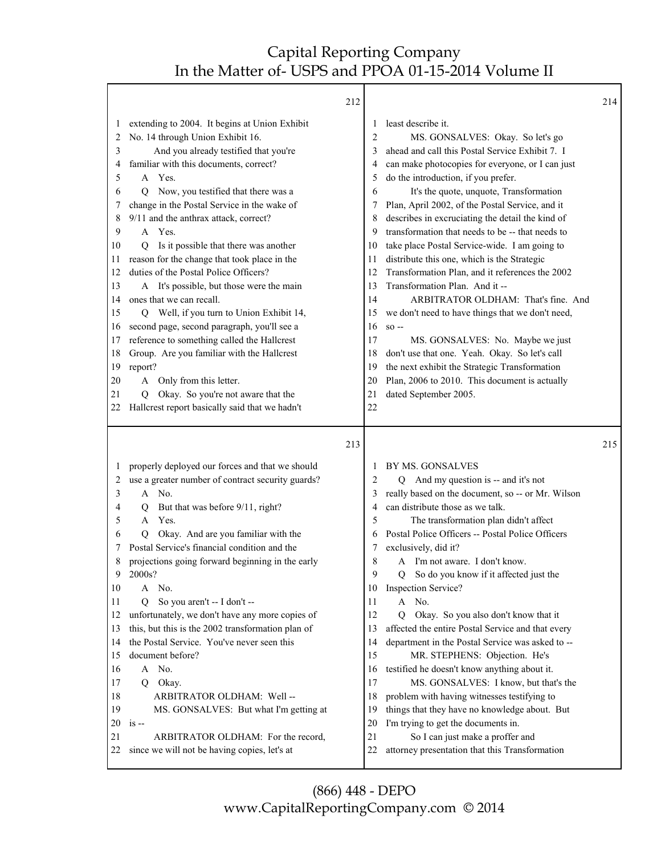|                                                                                                                         | 212                                                                                                                                                                                                                                                                                                                                                                                                                                                                                                                                                                                                                                                                                                                                                                                                                                                                         |                                                                                                                         |                                                                                                                                                                                                                                                                                                                                                                                                                                                                                                                                                                                                                                                                                                                                                                                                                                                                                                                      | 214 |
|-------------------------------------------------------------------------------------------------------------------------|-----------------------------------------------------------------------------------------------------------------------------------------------------------------------------------------------------------------------------------------------------------------------------------------------------------------------------------------------------------------------------------------------------------------------------------------------------------------------------------------------------------------------------------------------------------------------------------------------------------------------------------------------------------------------------------------------------------------------------------------------------------------------------------------------------------------------------------------------------------------------------|-------------------------------------------------------------------------------------------------------------------------|----------------------------------------------------------------------------------------------------------------------------------------------------------------------------------------------------------------------------------------------------------------------------------------------------------------------------------------------------------------------------------------------------------------------------------------------------------------------------------------------------------------------------------------------------------------------------------------------------------------------------------------------------------------------------------------------------------------------------------------------------------------------------------------------------------------------------------------------------------------------------------------------------------------------|-----|
| 1<br>2<br>3<br>4<br>5<br>6<br>7<br>8<br>9<br>10<br>11<br>12<br>13<br>14<br>15<br>16<br>17<br>18<br>19<br>20<br>21<br>22 | extending to 2004. It begins at Union Exhibit<br>No. 14 through Union Exhibit 16.<br>And you already testified that you're<br>familiar with this documents, correct?<br>A Yes.<br>Now, you testified that there was a<br>Q<br>change in the Postal Service in the wake of<br>9/11 and the anthrax attack, correct?<br>A Yes.<br>Is it possible that there was another<br>Q<br>reason for the change that took place in the<br>duties of the Postal Police Officers?<br>A It's possible, but those were the main<br>ones that we can recall.<br>Q Well, if you turn to Union Exhibit 14,<br>second page, second paragraph, you'll see a<br>reference to something called the Hallcrest<br>Group. Are you familiar with the Hallcrest<br>report?<br>Only from this letter.<br>A<br>Okay. So you're not aware that the<br>Q.<br>Hallcrest report basically said that we hadn't | 1<br>2<br>3<br>4<br>5<br>6<br>7<br>8<br>9<br>10<br>11<br>12<br>13<br>14<br>15<br>16<br>17<br>18<br>19<br>20<br>21<br>22 | least describe it.<br>MS. GONSALVES: Okay. So let's go<br>ahead and call this Postal Service Exhibit 7. I<br>can make photocopies for everyone, or I can just<br>do the introduction, if you prefer.<br>It's the quote, unquote, Transformation<br>Plan, April 2002, of the Postal Service, and it<br>describes in excruciating the detail the kind of<br>transformation that needs to be -- that needs to<br>take place Postal Service-wide. I am going to<br>distribute this one, which is the Strategic<br>Transformation Plan, and it references the 2002<br>Transformation Plan. And it --<br>ARBITRATOR OLDHAM: That's fine. And<br>we don't need to have things that we don't need,<br>$SO -$<br>MS. GONSALVES: No. Maybe we just<br>don't use that one. Yeah. Okay. So let's call<br>the next exhibit the Strategic Transformation<br>Plan, 2006 to 2010. This document is actually<br>dated September 2005. |     |
|                                                                                                                         | 213                                                                                                                                                                                                                                                                                                                                                                                                                                                                                                                                                                                                                                                                                                                                                                                                                                                                         |                                                                                                                         |                                                                                                                                                                                                                                                                                                                                                                                                                                                                                                                                                                                                                                                                                                                                                                                                                                                                                                                      | 215 |
| 1<br>2<br>3<br>4<br>5<br>6<br>7<br>8<br>9<br>10<br>11<br>12<br>13<br>14<br>15<br>16<br>17<br>18<br>19<br>20<br>21<br>22 | properly deployed our forces and that we should<br>use a greater number of contract security guards?<br>A No.<br>But that was before 9/11, right?<br>Q<br>Yes.<br>$\mathsf{A}$<br>Okay. And are you familiar with the<br>O<br>Postal Service's financial condition and the<br>projections going forward beginning in the early<br>2000s?<br>No.<br>A<br>So you aren't -- I don't --<br>О<br>unfortunately, we don't have any more copies of<br>this, but this is the 2002 transformation plan of<br>the Postal Service. You've never seen this<br>document before?<br>A No.<br>Okay.<br>Q<br>ARBITRATOR OLDHAM: Well-<br>MS. GONSALVES: But what I'm getting at<br>$is -$<br>ARBITRATOR OLDHAM: For the record,<br>since we will not be having copies, let's at                                                                                                             | 1<br>2<br>3<br>4<br>5<br>6<br>7<br>8<br>9<br>10<br>11<br>12<br>13<br>14<br>15<br>16<br>17<br>18<br>19<br>20<br>21<br>22 | BY MS. GONSALVES<br>Q And my question is -- and it's not<br>really based on the document, so -- or Mr. Wilson<br>can distribute those as we talk.<br>The transformation plan didn't affect<br>Postal Police Officers -- Postal Police Officers<br>exclusively, did it?<br>A I'm not aware. I don't know.<br>Q So do you know if it affected just the<br><b>Inspection Service?</b><br>No.<br>A<br>Okay. So you also don't know that it<br>Q<br>affected the entire Postal Service and that every<br>department in the Postal Service was asked to --<br>MR. STEPHENS: Objection. He's<br>testified he doesn't know anything about it.<br>MS. GONSALVES: I know, but that's the<br>problem with having witnesses testifying to<br>things that they have no knowledge about. But<br>I'm trying to get the documents in.<br>So I can just make a proffer and<br>attorney presentation that this Transformation          |     |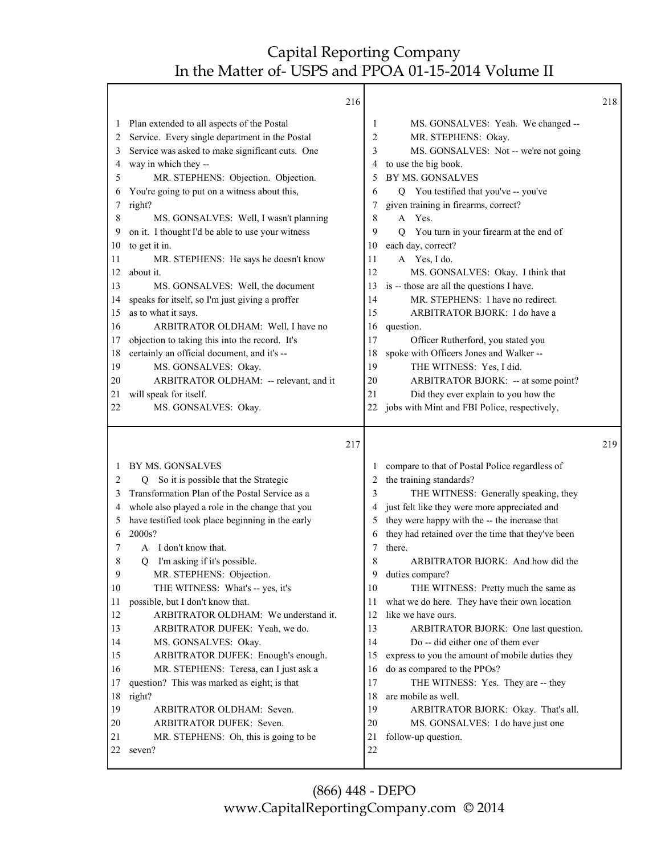|                                                                                                       |                                                                                                                                                                                                                                                                                                                                                                                                                                                                                                                                                                                                                                                                                                     | 216 |                                                                                                 |                                                                                                                                                                                                                                                                                                                                                                                                                                                                                                                                                                                         | 218 |
|-------------------------------------------------------------------------------------------------------|-----------------------------------------------------------------------------------------------------------------------------------------------------------------------------------------------------------------------------------------------------------------------------------------------------------------------------------------------------------------------------------------------------------------------------------------------------------------------------------------------------------------------------------------------------------------------------------------------------------------------------------------------------------------------------------------------------|-----|-------------------------------------------------------------------------------------------------|-----------------------------------------------------------------------------------------------------------------------------------------------------------------------------------------------------------------------------------------------------------------------------------------------------------------------------------------------------------------------------------------------------------------------------------------------------------------------------------------------------------------------------------------------------------------------------------------|-----|
| $\perp$<br>2<br>3<br>4<br>5<br>6<br>7<br>8<br>9<br>10<br>11<br>12<br>13<br>14<br>15<br>16<br>17<br>18 | Plan extended to all aspects of the Postal<br>Service. Every single department in the Postal<br>Service was asked to make significant cuts. One<br>way in which they --<br>MR. STEPHENS: Objection. Objection.<br>You're going to put on a witness about this,<br>right?<br>MS. GONSALVES: Well, I wasn't planning<br>on it. I thought I'd be able to use your witness<br>to get it in.<br>MR. STEPHENS: He says he doesn't know<br>about it.<br>MS. GONSALVES: Well, the document<br>speaks for itself, so I'm just giving a proffer<br>as to what it says.<br>ARBITRATOR OLDHAM: Well, I have no<br>objection to taking this into the record. It's<br>certainly an official document, and it's -- |     | 1<br>2<br>3<br>4<br>5<br>6<br>7<br>8<br>9<br>10<br>11<br>12<br>13<br>14<br>15<br>16<br>17<br>18 | MS. GONSALVES: Yeah. We changed --<br>MR. STEPHENS: Okay.<br>MS. GONSALVES: Not -- we're not going<br>to use the big book.<br>BY MS. GONSALVES<br>Q You testified that you've -- you've<br>given training in firearms, correct?<br>Yes.<br>A<br>You turn in your firearm at the end of<br>Q<br>each day, correct?<br>A Yes, I do.<br>MS. GONSALVES: Okay. I think that<br>is -- those are all the questions I have.<br>MR. STEPHENS: I have no redirect.<br>ARBITRATOR BJORK: I do have a<br>question.<br>Officer Rutherford, you stated you<br>spoke with Officers Jones and Walker -- |     |
| 19                                                                                                    | MS. GONSALVES: Okay.<br>ARBITRATOR OLDHAM: -- relevant, and it                                                                                                                                                                                                                                                                                                                                                                                                                                                                                                                                                                                                                                      |     | 19<br>20                                                                                        | THE WITNESS: Yes, I did.<br>ARBITRATOR BJORK: -- at some point?                                                                                                                                                                                                                                                                                                                                                                                                                                                                                                                         |     |
| 20<br>21                                                                                              | will speak for itself.                                                                                                                                                                                                                                                                                                                                                                                                                                                                                                                                                                                                                                                                              |     | 21                                                                                              | Did they ever explain to you how the                                                                                                                                                                                                                                                                                                                                                                                                                                                                                                                                                    |     |
| 22                                                                                                    | MS. GONSALVES: Okay.                                                                                                                                                                                                                                                                                                                                                                                                                                                                                                                                                                                                                                                                                |     | 22                                                                                              | jobs with Mint and FBI Police, respectively,                                                                                                                                                                                                                                                                                                                                                                                                                                                                                                                                            |     |
|                                                                                                       |                                                                                                                                                                                                                                                                                                                                                                                                                                                                                                                                                                                                                                                                                                     |     |                                                                                                 |                                                                                                                                                                                                                                                                                                                                                                                                                                                                                                                                                                                         |     |
|                                                                                                       |                                                                                                                                                                                                                                                                                                                                                                                                                                                                                                                                                                                                                                                                                                     | 217 |                                                                                                 |                                                                                                                                                                                                                                                                                                                                                                                                                                                                                                                                                                                         | 219 |
| 2<br>3<br>4<br>5<br>6<br>7<br>8                                                                       | BY MS. GONSALVES<br>So it is possible that the Strategic<br>Q<br>Transformation Plan of the Postal Service as a<br>whole also played a role in the change that you<br>have testified took place beginning in the early<br>2000s?<br>A I don't know that.<br>I'm asking if it's possible.<br>O                                                                                                                                                                                                                                                                                                                                                                                                       |     | $\perp$<br>2<br>3<br>4<br>5<br>6<br>7<br>8                                                      | compare to that of Postal Police regardless of<br>the training standards?<br>THE WITNESS: Generally speaking, they<br>just felt like they were more appreciated and<br>they were happy with the -- the increase that<br>they had retained over the time that they've been<br>there.<br>ARBITRATOR BJORK: And how did the                                                                                                                                                                                                                                                                |     |
| 9<br>10                                                                                               | MR. STEPHENS: Objection.                                                                                                                                                                                                                                                                                                                                                                                                                                                                                                                                                                                                                                                                            |     | 9.<br>10                                                                                        | duties compare?<br>THE WITNESS: Pretty much the same as                                                                                                                                                                                                                                                                                                                                                                                                                                                                                                                                 |     |
| 11<br>12<br>13<br>14                                                                                  | THE WITNESS: What's -- yes, it's<br>possible, but I don't know that.<br>ARBITRATOR OLDHAM: We understand it.<br>ARBITRATOR DUFEK: Yeah, we do.<br>MS. GONSALVES: Okay.                                                                                                                                                                                                                                                                                                                                                                                                                                                                                                                              |     | 11<br>12<br>13<br>14                                                                            | what we do here. They have their own location<br>like we have ours.<br>ARBITRATOR BJORK: One last question.<br>Do -- did either one of them ever                                                                                                                                                                                                                                                                                                                                                                                                                                        |     |
| 15                                                                                                    | ARBITRATOR DUFEK: Enough's enough.                                                                                                                                                                                                                                                                                                                                                                                                                                                                                                                                                                                                                                                                  |     | 15                                                                                              | express to you the amount of mobile duties they                                                                                                                                                                                                                                                                                                                                                                                                                                                                                                                                         |     |
| 16<br>17                                                                                              | MR. STEPHENS: Teresa, can I just ask a<br>question? This was marked as eight; is that                                                                                                                                                                                                                                                                                                                                                                                                                                                                                                                                                                                                               |     | 16<br>17                                                                                        | do as compared to the PPOs?                                                                                                                                                                                                                                                                                                                                                                                                                                                                                                                                                             |     |
| 18                                                                                                    | right?                                                                                                                                                                                                                                                                                                                                                                                                                                                                                                                                                                                                                                                                                              |     | 18                                                                                              | THE WITNESS: Yes. They are -- they<br>are mobile as well.                                                                                                                                                                                                                                                                                                                                                                                                                                                                                                                               |     |
| 19                                                                                                    | ARBITRATOR OLDHAM: Seven.                                                                                                                                                                                                                                                                                                                                                                                                                                                                                                                                                                                                                                                                           |     | 19                                                                                              | ARBITRATOR BJORK: Okay. That's all.                                                                                                                                                                                                                                                                                                                                                                                                                                                                                                                                                     |     |
| 20<br>21                                                                                              | ARBITRATOR DUFEK: Seven.<br>MR. STEPHENS: Oh, this is going to be                                                                                                                                                                                                                                                                                                                                                                                                                                                                                                                                                                                                                                   |     | 20<br>21                                                                                        | MS. GONSALVES: I do have just one<br>follow-up question.                                                                                                                                                                                                                                                                                                                                                                                                                                                                                                                                |     |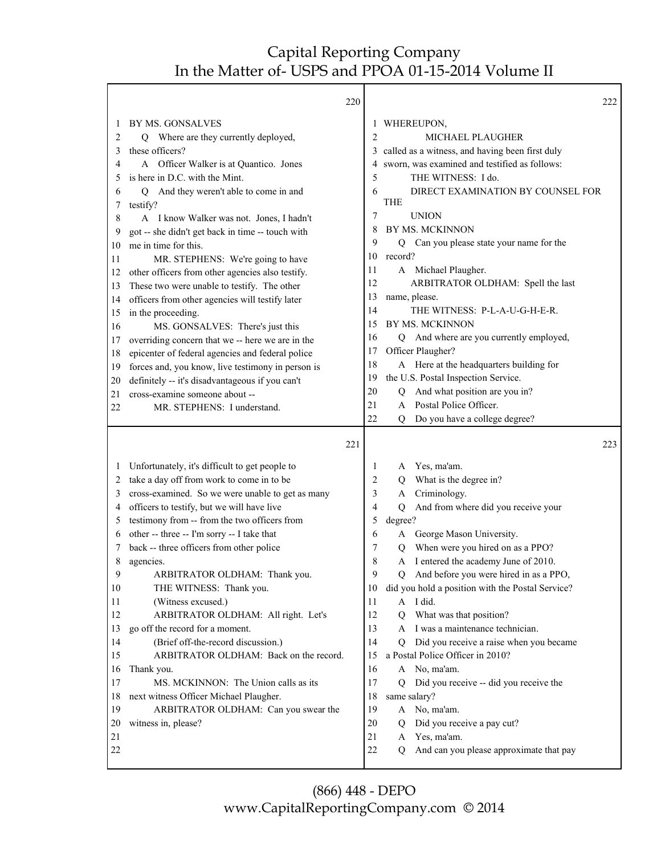Т

|              | 220                                               |                | 222                                                       |
|--------------|---------------------------------------------------|----------------|-----------------------------------------------------------|
| 1            | BY MS. GONSALVES                                  | 1              | WHEREUPON,                                                |
| 2            | Q Where are they currently deployed,              | $\overline{2}$ | MICHAEL PLAUGHER                                          |
| 3            | these officers?                                   | 3              | called as a witness, and having been first duly           |
| 4            | A Officer Walker is at Quantico. Jones            | 4              | sworn, was examined and testified as follows:             |
| 5            | is here in D.C. with the Mint.                    | 5              | THE WITNESS: I do.                                        |
| 6            | And they weren't able to come in and<br>Q         | 6              | DIRECT EXAMINATION BY COUNSEL FOR                         |
| 7            | testify?                                          |                | <b>THE</b>                                                |
| 8            | A I know Walker was not. Jones, I hadn't          | 7              | <b>UNION</b>                                              |
| 9            | got -- she didn't get back in time -- touch with  | 8              | BY MS. MCKINNON                                           |
| 10           | me in time for this.                              | 9              | Q Can you please state your name for the                  |
| 11           | MR. STEPHENS: We're going to have                 | 10             | record?                                                   |
| 12           | other officers from other agencies also testify.  | 11             | A Michael Plaugher.                                       |
| 13           | These two were unable to testify. The other       | 12             | ARBITRATOR OLDHAM: Spell the last                         |
| 14           | officers from other agencies will testify later   | 13             | name, please.                                             |
| 15           | in the proceeding.                                | 14             | THE WITNESS: P-L-A-U-G-H-E-R.                             |
| 16           | MS. GONSALVES: There's just this                  | 15             | BY MS. MCKINNON                                           |
| 17           | overriding concern that we -- here we are in the  | 16             | Q And where are you currently employed,                   |
| 18           | epicenter of federal agencies and federal police  | 17             | Officer Plaugher?                                         |
| 19           | forces and, you know, live testimony in person is | 18             | A Here at the headquarters building for                   |
| 20           | definitely -- it's disadvantageous if you can't   | 19             | the U.S. Postal Inspection Service.                       |
| 21           | cross-examine someone about --                    | 20             | And what position are you in?<br>Q                        |
| 22           | MR. STEPHENS: I understand.                       | 21             | Postal Police Officer.<br>A                               |
|              |                                                   | 22             | Do you have a college degree?<br>$\overline{Q}$           |
|              |                                                   |                |                                                           |
|              |                                                   |                |                                                           |
|              | 221                                               |                | 223                                                       |
|              |                                                   |                |                                                           |
| $\mathbf{I}$ | Unfortunately, it's difficult to get people to    | 1              | Yes, ma'am.<br>A                                          |
| 2            | take a day off from work to come in to be         | 2              | What is the degree in?<br>Q                               |
| 3            | cross-examined. So we were unable to get as many  | 3              | Criminology.<br>A                                         |
| 4            | officers to testify, but we will have live        | 4              | And from where did you receive your<br>Q                  |
| 5            | testimony from -- from the two officers from      | 5              | degree?                                                   |
| 6            | other -- three -- I'm sorry -- I take that        | 6              | George Mason University.<br>A                             |
| 7            | back -- three officers from other police          | 7              | When were you hired on as a PPO?<br>Q                     |
| 8            | agencies.                                         | 8              | I entered the academy June of 2010.<br>A                  |
| 9            | ARBITRATOR OLDHAM: Thank you.                     | 9              | And before you were hired in as a PPO,<br>Q               |
| 10           | THE WITNESS: Thank you.                           | 10             | did you hold a position with the Postal Service?          |
| 11           | (Witness excused.)                                | 11             | A I did.                                                  |
| 12           | ARBITRATOR OLDHAM: All right. Let's               | 12             | What was that position?<br>$\overline{Q}$                 |
| 13           | go off the record for a moment.                   | 13             | A I was a maintenance technician.                         |
| 14           | (Brief off-the-record discussion.)                | 14             | Did you receive a raise when you became<br>O              |
| 15           | ARBITRATOR OLDHAM: Back on the record.            | 15             | a Postal Police Officer in 2010?                          |
| 16           | Thank you.                                        | 16             | A No, ma'am.                                              |
| 17           | MS. MCKINNON: The Union calls as its              | 17             | Did you receive -- did you receive the<br>O               |
| 18           | next witness Officer Michael Plaugher.            | 18             | same salary?                                              |
| 19           | ARBITRATOR OLDHAM: Can you swear the              | 19             | A No, ma'am.                                              |
| 20           | witness in, please?                               | 20             | Did you receive a pay cut?<br>Q                           |
| 21           |                                                   | 21             | Yes, ma'am.<br>A                                          |
| 22           |                                                   | 22             | And can you please approximate that pay<br>$\overline{Q}$ |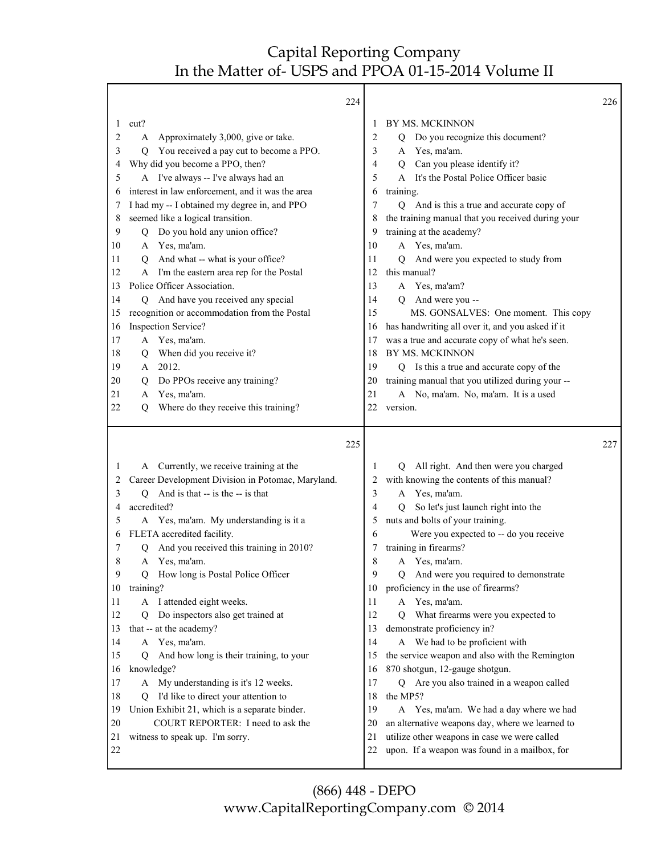|          |                                                                                    | 224    |                                                                                               | 226 |
|----------|------------------------------------------------------------------------------------|--------|-----------------------------------------------------------------------------------------------|-----|
| 1        | cut?                                                                               | 1      | BY MS. MCKINNON                                                                               |     |
| 2        | Approximately 3,000, give or take.<br>A                                            | 2      | Do you recognize this document?<br>Q                                                          |     |
| 3        | You received a pay cut to become a PPO.<br>Q                                       | 3      | Yes, ma'am.<br>A                                                                              |     |
| 4        | Why did you become a PPO, then?                                                    | 4      | Can you please identify it?<br>Q                                                              |     |
| 5        | A I've always -- I've always had an                                                | 5      | It's the Postal Police Officer basic<br>A                                                     |     |
| 6        | interest in law enforcement, and it was the area                                   | 6      | training.                                                                                     |     |
| 7        | I had my -- I obtained my degree in, and PPO                                       | 7      | Q And is this a true and accurate copy of                                                     |     |
| 8        | seemed like a logical transition.                                                  | 8      | the training manual that you received during your                                             |     |
| 9        | Do you hold any union office?<br>Q                                                 | 9      | training at the academy?                                                                      |     |
| 10       | Yes, ma'am.<br>A                                                                   | 10     | A Yes, ma'am.                                                                                 |     |
| 11       | And what -- what is your office?<br>O                                              | 11     | And were you expected to study from<br>O.                                                     |     |
| 12       | A I'm the eastern area rep for the Postal                                          | 12     | this manual?                                                                                  |     |
| 13       | Police Officer Association.                                                        | 13     | A Yes, ma'am?                                                                                 |     |
| 14       | And have you received any special<br>O                                             | 14     | And were you --<br>O                                                                          |     |
| 15       | recognition or accommodation from the Postal                                       | 15     | MS. GONSALVES: One moment. This copy                                                          |     |
| 16       | Inspection Service?                                                                | 16     | has handwriting all over it, and you asked if it                                              |     |
| 17       | A Yes, ma'am.                                                                      | 17     | was a true and accurate copy of what he's seen.                                               |     |
| 18       | When did you receive it?<br>Q                                                      | 18     | BY MS. MCKINNON                                                                               |     |
| 19       | 2012.<br>A                                                                         | 19     | Is this a true and accurate copy of the<br>Q                                                  |     |
| 20       | Do PPOs receive any training?<br>Q                                                 | 20     | training manual that you utilized during your --                                              |     |
| 21       | Yes, ma'am.<br>A                                                                   | 21     | A No, ma'am. No, ma'am. It is a used                                                          |     |
| 22       | Where do they receive this training?<br>Q                                          | 22     | version.                                                                                      |     |
|          |                                                                                    |        |                                                                                               |     |
|          |                                                                                    | 225    |                                                                                               | 227 |
| 1        |                                                                                    |        |                                                                                               |     |
|          |                                                                                    |        |                                                                                               |     |
|          | A Currently, we receive training at the                                            | 1      | All right. And then were you charged<br>Q                                                     |     |
| 2        | Career Development Division in Potomac, Maryland.                                  | 2<br>3 | with knowing the contents of this manual?<br>A                                                |     |
| 3<br>4   | And is that -- is the -- is that<br>Q                                              | 4      | Yes, ma'am.<br>O                                                                              |     |
|          | accredited?                                                                        |        | So let's just launch right into the                                                           |     |
| 5<br>6   | A Yes, ma'am. My understanding is it a                                             | 5<br>6 | nuts and bolts of your training.                                                              |     |
| 7        | FLETA accredited facility.<br>Q                                                    | 7      | Were you expected to -- do you receive                                                        |     |
| 8        | And you received this training in 2010?<br>A                                       | 8      | training in firearms?                                                                         |     |
| 9        | Yes, ma'am.                                                                        | 9      | A Yes, ma'am.                                                                                 |     |
|          | How long is Postal Police Officer<br>Q                                             | 10     | And were you required to demonstrate<br>Q                                                     |     |
| 10<br>11 | training?                                                                          | 11     | proficiency in the use of firearms?                                                           |     |
| 12       | A I attended eight weeks.<br>Ő                                                     | 12     | A Yes, ma'am.<br>О                                                                            |     |
|          | Do inspectors also get trained at                                                  | 13     | What firearms were you expected to                                                            |     |
| 13<br>14 | that -- at the academy?<br>A Yes, ma'am.                                           | 14     | demonstrate proficiency in?                                                                   |     |
| 15       | O                                                                                  | 15     | A We had to be proficient with                                                                |     |
| 16       | And how long is their training, to your                                            | 16     | the service weapon and also with the Remington                                                |     |
| 17       | knowledge?                                                                         | 17     | 870 shotgun, 12-gauge shotgun.                                                                |     |
|          | A My understanding is it's 12 weeks.<br>O                                          | 18     | Q Are you also trained in a weapon called                                                     |     |
| 18       | I'd like to direct your attention to                                               | 19     | the MP5?                                                                                      |     |
| 19<br>20 | Union Exhibit 21, which is a separate binder.<br>COURT REPORTER: I need to ask the | 20     | A Yes, ma'am. We had a day where we had                                                       |     |
| 21       |                                                                                    | 21     | an alternative weapons day, where we learned to                                               |     |
| 22       | witness to speak up. I'm sorry.                                                    | 22     | utilize other weapons in case we were called<br>upon. If a weapon was found in a mailbox, for |     |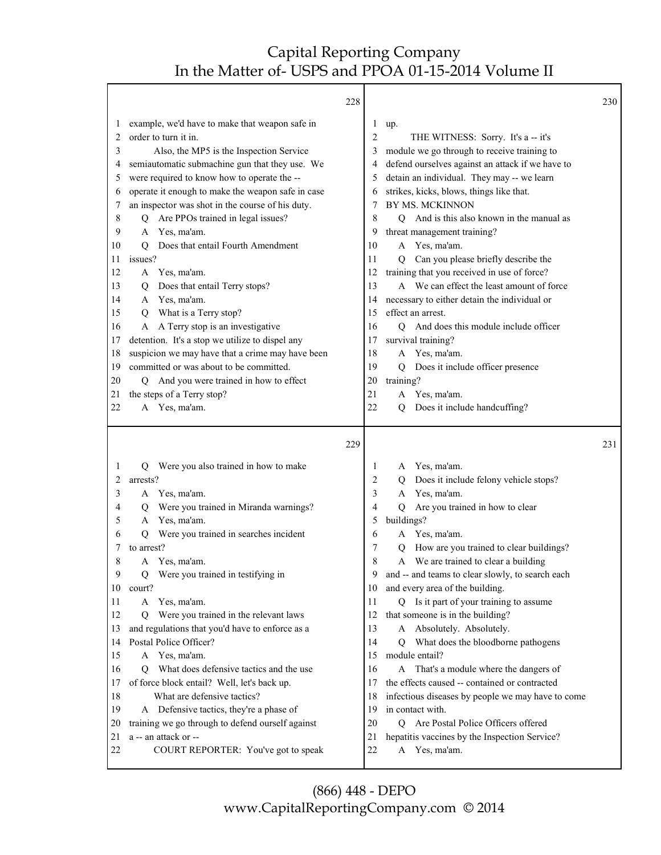|          | 228                                                         |          |                                                                | 230 |
|----------|-------------------------------------------------------------|----------|----------------------------------------------------------------|-----|
| $\perp$  | example, we'd have to make that weapon safe in              | 1        | up.                                                            |     |
| 2        | order to turn it in.                                        | 2        | THE WITNESS: Sorry. It's a -- it's                             |     |
| 3        | Also, the MP5 is the Inspection Service                     | 3        | module we go through to receive training to                    |     |
| 4        | semiautomatic submachine gun that they use. We              | 4        | defend ourselves against an attack if we have to               |     |
| 5        | were required to know how to operate the --                 | 5        | detain an individual. They may -- we learn                     |     |
| 6        | operate it enough to make the weapon safe in case           | 6        | strikes, kicks, blows, things like that.                       |     |
| 7        | an inspector was shot in the course of his duty.            | 7        | BY MS. MCKINNON                                                |     |
| 8        | Are PPOs trained in legal issues?<br>O                      | 8        | And is this also known in the manual as<br>O.                  |     |
| 9        | Yes, ma'am.<br>A                                            | 9        | threat management training?                                    |     |
| 10       | Does that entail Fourth Amendment<br>O                      | 10       | A Yes, ma'am.                                                  |     |
| 11       | issues?                                                     | 11       | Can you please briefly describe the<br>$\overline{O}$          |     |
| 12       | A Yes, ma'am.                                               | 12       | training that you received in use of force?                    |     |
| 13       | Does that entail Terry stops?<br>Q                          | 13       | A We can effect the least amount of force                      |     |
| 14       | Yes, ma'am.<br>A                                            | 14       | necessary to either detain the individual or                   |     |
| 15       | What is a Terry stop?<br>Q                                  | 15       | effect an arrest.                                              |     |
| 16       | A Terry stop is an investigative<br>A                       | 16       | And does this module include officer<br>О                      |     |
| 17       | detention. It's a stop we utilize to dispel any             | 17       | survival training?                                             |     |
| 18       | suspicion we may have that a crime may have been            | 18       | Yes, ma'am.<br>A                                               |     |
| 19       | committed or was about to be committed.                     | 19       | Does it include officer presence<br>Q                          |     |
| 20       | And you were trained in how to effect<br>Q                  | 20       | training?                                                      |     |
| 21       | the steps of a Terry stop?                                  | 21       | A Yes, ma'am.                                                  |     |
| 22       | A Yes, ma'am.                                               | 22       | Does it include handcuffing?<br>$\overline{Q}$                 |     |
|          |                                                             |          |                                                                |     |
|          | 229                                                         |          |                                                                | 231 |
|          |                                                             |          |                                                                |     |
| 1<br>2   | Were you also trained in how to make<br>Q<br>arrests?       | 1        | Yes, ma'am.<br>A                                               |     |
|          |                                                             | 2<br>3   | Does it include felony vehicle stops?<br>Q<br>A                |     |
| 3<br>4   | A Yes, ma'am.<br>Q                                          | 4        | Yes, ma'am.<br>Q                                               |     |
| 5        | Were you trained in Miranda warnings?<br>Yes, ma'am.<br>A   | 5        | Are you trained in how to clear                                |     |
| 6        | Were you trained in searches incident<br>Q                  | 6        | buildings?<br>Yes, ma'am.<br>A                                 |     |
| 7        | to arrest?                                                  | 7        | How are you trained to clear buildings?<br>Q                   |     |
| 8        | Yes, ma'am.<br>A                                            | 8        | A We are trained to clear a building                           |     |
| 9        | Q Were you trained in testifying in                         | Q        | and -- and teams to clear slowly, to search each               |     |
| 10       | court?                                                      | 10       | and every area of the building.                                |     |
| 11       | Yes, ma'am.<br>A                                            | 11       | Q Is it part of your training to assume                        |     |
| 12       | Were you trained in the relevant laws<br>O                  | 12       | that someone is in the building?                               |     |
| 13       | and regulations that you'd have to enforce as a             | 13       | A Absolutely. Absolutely.                                      |     |
| 14       | Postal Police Officer?                                      | 14       | What does the bloodborne pathogens<br>О                        |     |
| 15       | Yes, ma'am.<br>A                                            | 15       | module entail?                                                 |     |
| 16       | What does defensive tactics and the use<br>O                | 16       | That's a module where the dangers of<br>A                      |     |
| 17       | of force block entail? Well, let's back up.                 | 17       | the effects caused -- contained or contracted                  |     |
| 18       | What are defensive tactics?                                 | 18       | infectious diseases by people we may have to come              |     |
| 19       | A Defensive tactics, they're a phase of                     | 19       | in contact with.                                               |     |
| 20       | training we go through to defend ourself against            | 20       | Are Postal Police Officers offered<br>Q                        |     |
| 21<br>22 | a -- an attack or --<br>COURT REPORTER: You've got to speak | 21<br>22 | hepatitis vaccines by the Inspection Service?<br>A Yes, ma'am. |     |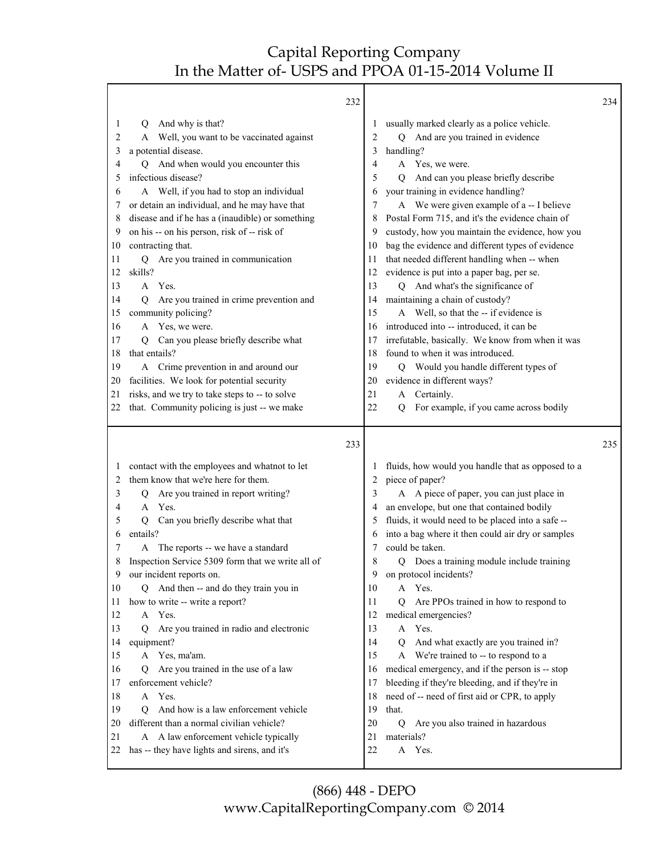Т

|                   | 232                                                                                    |    |                                                                      | 234 |
|-------------------|----------------------------------------------------------------------------------------|----|----------------------------------------------------------------------|-----|
| 1                 | And why is that?<br>Q                                                                  | 1  | usually marked clearly as a police vehicle.                          |     |
| 2                 | A Well, you want to be vaccinated against                                              | 2  | And are you trained in evidence<br>О                                 |     |
| 3                 | a potential disease.                                                                   | 3  | handling?                                                            |     |
| 4                 | And when would you encounter this<br>О                                                 | 4  | Yes, we were.<br>A                                                   |     |
| 5                 | infectious disease?                                                                    | 5  | And can you please briefly describe<br>Q                             |     |
| 6                 | A Well, if you had to stop an individual                                               | 6  | your training in evidence handling?                                  |     |
| 7                 | or detain an individual, and he may have that                                          | 7  | A We were given example of a -- I believe                            |     |
| 8                 | disease and if he has a (inaudible) or something                                       | 8  | Postal Form 715, and it's the evidence chain of                      |     |
| 9                 | on his -- on his person, risk of -- risk of                                            | 9  | custody, how you maintain the evidence, how you                      |     |
| 10                | contracting that.                                                                      | 10 | bag the evidence and different types of evidence                     |     |
| 11                | Q Are you trained in communication                                                     | 11 | that needed different handling when -- when                          |     |
| 12                | skills?                                                                                | 12 | evidence is put into a paper bag, per se.                            |     |
| 13                | A Yes.                                                                                 | 13 | Q And what's the significance of                                     |     |
| 14                | Are you trained in crime prevention and<br>O                                           | 14 | maintaining a chain of custody?                                      |     |
| 15                | community policing?                                                                    | 15 | A Well, so that the -- if evidence is                                |     |
| 16                | A Yes, we were.                                                                        | 16 | introduced into -- introduced, it can be                             |     |
| 17                | Can you please briefly describe what<br>O                                              | 17 | irrefutable, basically. We know from when it was                     |     |
| 18                | that entails?                                                                          | 18 | found to when it was introduced.                                     |     |
| 19                | A Crime prevention in and around our                                                   | 19 | Q Would you handle different types of                                |     |
| 20                | facilities. We look for potential security                                             | 20 | evidence in different ways?                                          |     |
| 21                | risks, and we try to take steps to -- to solve                                         | 21 | A Certainly.                                                         |     |
| 22                | that. Community policing is just -- we make                                            | 22 | For example, if you came across bodily<br>O.                         |     |
|                   |                                                                                        |    |                                                                      |     |
|                   | 233                                                                                    |    |                                                                      | 235 |
|                   |                                                                                        | 1  |                                                                      |     |
| $\mathbf{I}$<br>2 | contact with the employees and whatnot to let<br>them know that we're here for them.   | 2  | fluids, how would you handle that as opposed to a                    |     |
| 3                 |                                                                                        | 3  | piece of paper?                                                      |     |
| 4                 | Are you trained in report writing?<br>Q<br>A Yes.                                      | 4  | A A piece of paper, you can just place in                            |     |
| 5                 | Q                                                                                      | 5  | an envelope, but one that contained bodily                           |     |
| 6                 | Can you briefly describe what that<br>entails?                                         | 6  | fluids, it would need to be placed into a safe --                    |     |
| 7                 | A                                                                                      | 7  | into a bag where it then could air dry or samples<br>could be taken. |     |
| 8                 | The reports -- we have a standard<br>Inspection Service 5309 form that we write all of | 8  | Does a training module include training<br>О                         |     |
| 9                 | our incident reports on.                                                               | 9  | on protocol incidents?                                               |     |
| 10                | And then -- and do they train you in<br>Q                                              | 10 | A Yes.                                                               |     |
| 11                | how to write -- write a report?                                                        | 11 | Are PPOs trained in how to respond to<br>О                           |     |
| 12                | Yes.<br>A                                                                              | 12 | medical emergencies?                                                 |     |
| 13                | Are you trained in radio and electronic<br>0                                           | 13 | Yes.<br>$\mathbf{A}$                                                 |     |
| 14                | equipment?                                                                             | 14 | And what exactly are you trained in?<br>О                            |     |
| 15                | A Yes, ma'am.                                                                          | 15 | A We're trained to -- to respond to a                                |     |
| 16                | Are you trained in the use of a law<br>Ő                                               | 16 | medical emergency, and if the person is -- stop                      |     |
| 17                | enforcement vehicle?                                                                   | 17 | bleeding if they're bleeding, and if they're in                      |     |
| 18                | A Yes.                                                                                 | 18 | need of -- need of first aid or CPR, to apply                        |     |
| 19                | And how is a law enforcement vehicle<br>Q                                              | 19 | that.                                                                |     |
| 20                | different than a normal civilian vehicle?                                              | 20 | Are you also trained in hazardous<br>$\overline{Q}$                  |     |
| 21                | A A law enforcement vehicle typically                                                  | 21 | materials?                                                           |     |
| 22                | has -- they have lights and sirens, and it's                                           | 22 | A Yes.                                                               |     |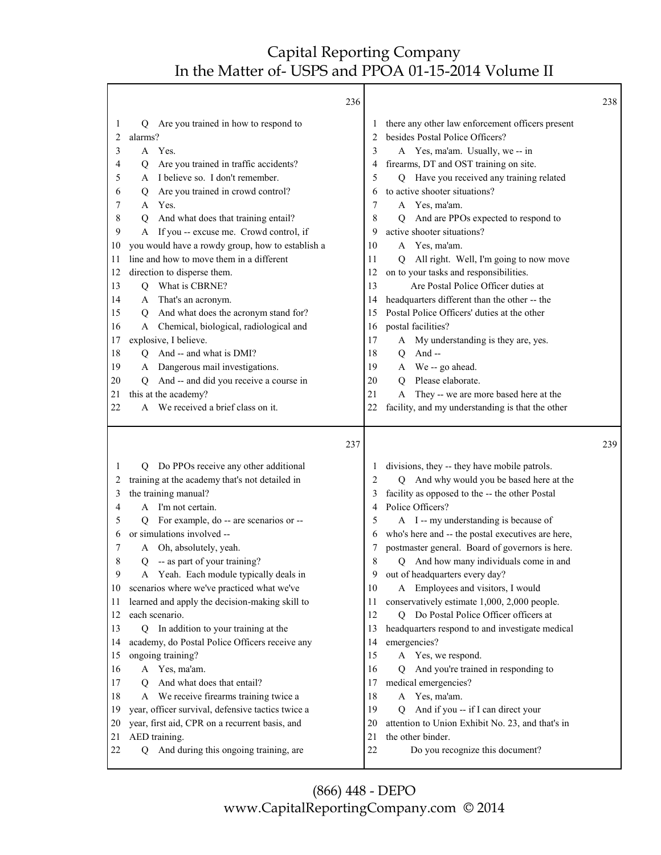|          | 236                                                                    |          |                                                                                          | 238 |
|----------|------------------------------------------------------------------------|----------|------------------------------------------------------------------------------------------|-----|
| 1        | Are you trained in how to respond to<br>Q.                             |          | there any other law enforcement officers present                                         |     |
| 2        | alarms?                                                                | 2        | besides Postal Police Officers?                                                          |     |
| 3        | A Yes.                                                                 | 3        | A Yes, ma'am. Usually, we-- in                                                           |     |
| 4        | Are you trained in traffic accidents?<br>Q                             | 4        | firearms, DT and OST training on site.                                                   |     |
| 5        | I believe so. I don't remember.<br>A                                   | 5        | Q Have you received any training related                                                 |     |
| 6        | Are you trained in crowd control?<br>Q                                 | 6        | to active shooter situations?                                                            |     |
| 7        | Yes.<br>A                                                              | 7        | A Yes, ma'am.                                                                            |     |
| 8        | And what does that training entail?<br>Q                               | 8        | And are PPOs expected to respond to<br>Q                                                 |     |
| 9        | A If you -- excuse me. Crowd control, if                               | 9        | active shooter situations?                                                               |     |
| 10       | you would have a rowdy group, how to establish a                       | 10       | A Yes, ma'am.                                                                            |     |
| 11       | line and how to move them in a different                               | 11       | All right. Well, I'm going to now move<br>O.                                             |     |
| 12       | direction to disperse them.                                            | 12       | on to your tasks and responsibilities.                                                   |     |
| 13       | What is CBRNE?<br>Q                                                    | 13       | Are Postal Police Officer duties at                                                      |     |
| 14       | A That's an acronym.                                                   | 14       | headquarters different than the other -- the                                             |     |
| 15       | And what does the acronym stand for?<br>Q                              | 15       | Postal Police Officers' duties at the other                                              |     |
| 16       | Chemical, biological, radiological and<br>A                            | 16       | postal facilities?                                                                       |     |
| 17       | explosive, I believe.                                                  | 17       | My understanding is they are, yes.<br>A                                                  |     |
| 18       | And -- and what is DMI?<br>Q                                           | 18       | And-<br>Q                                                                                |     |
| 19       | A Dangerous mail investigations.                                       | 19       | A We -- go ahead.<br>Please elaborate.                                                   |     |
| 20<br>21 | And -- and did you receive a course in<br>Q<br>this at the academy?    | 20<br>21 | $\mathbf Q$<br>They -- we are more based here at the<br>A                                |     |
| 22       | A We received a brief class on it.                                     | 22       | facility, and my understanding is that the other                                         |     |
|          |                                                                        |          |                                                                                          |     |
|          |                                                                        |          |                                                                                          |     |
|          | 237                                                                    |          |                                                                                          | 239 |
| 1        | O                                                                      |          |                                                                                          |     |
| 2        | Do PPOs receive any other additional                                   | 2        | divisions, they -- they have mobile patrols.<br>Q                                        |     |
| 3        | training at the academy that's not detailed in<br>the training manual? |          | And why would you be based here at the<br>facility as opposed to the -- the other Postal |     |
| 4        | A I'm not certain.                                                     | 4        | Police Officers?                                                                         |     |
| 5        | For example, do -- are scenarios or --<br>O.                           | 5        | A I -- my understanding is because of                                                    |     |
| 6        | or simulations involved --                                             | 6        | who's here and -- the postal executives are here,                                        |     |
| 7        | Oh, absolutely, yeah.<br>A                                             | 7        | postmaster general. Board of governors is here.                                          |     |
| 8        | Q -- as part of your training?                                         | 8        | Q And how many individuals come in and                                                   |     |
| 9        | A Yeah. Each module typically deals in                                 | 9        | out of headquarters every day?                                                           |     |
| 10       | scenarios where we've practiced what we've                             | 10       | A Employees and visitors, I would                                                        |     |
| 11       | learned and apply the decision-making skill to                         | 11       | conservatively estimate 1,000, 2,000 people.                                             |     |
| 12       | each scenario.                                                         | 12       | Q Do Postal Police Officer officers at                                                   |     |
| 13       | Q In addition to your training at the                                  | 13       | headquarters respond to and investigate medical                                          |     |
| 14       | academy, do Postal Police Officers receive any                         | 14       | emergencies?                                                                             |     |
| 15       | ongoing training?                                                      | 15       | A Yes, we respond.                                                                       |     |
| 16       | Yes, ma'am.<br>A                                                       | 16       | And you're trained in responding to<br>Q                                                 |     |
| 17       | And what does that entail?<br>O                                        | 17       | medical emergencies?                                                                     |     |
| 18       | A We receive firearms training twice a                                 | 18       | Yes, ma'am.<br>A                                                                         |     |
| 19       | year, officer survival, defensive tactics twice a                      | 19       | And if you -- if I can direct your<br>Q                                                  |     |
| 20       | year, first aid, CPR on a recurrent basis, and                         | 20       | attention to Union Exhibit No. 23, and that's in                                         |     |
| 21<br>22 | AED training.<br>And during this ongoing training, are<br>O            | 21<br>22 | the other binder.<br>Do you recognize this document?                                     |     |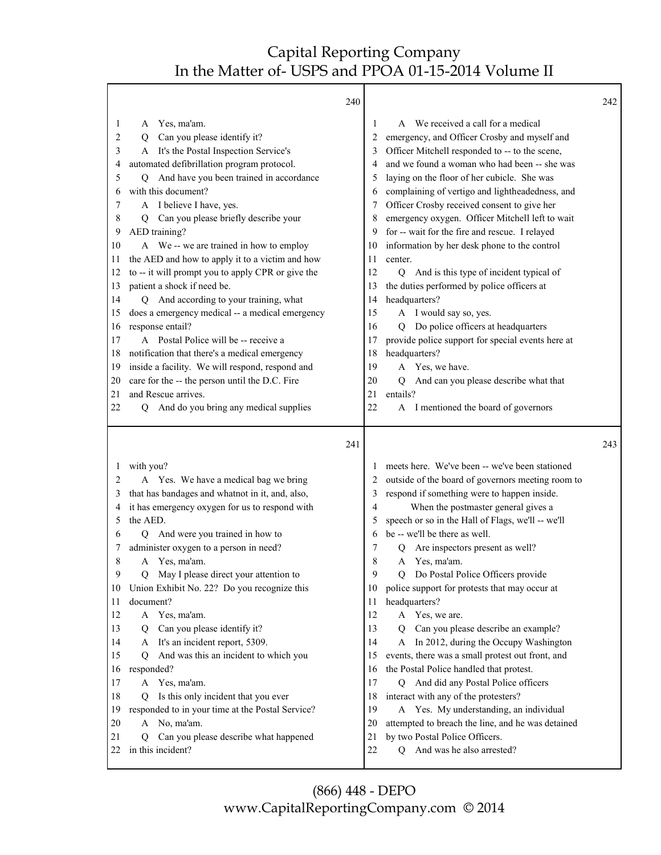|          |                                                                 | 240 |                                                                              | 242 |
|----------|-----------------------------------------------------------------|-----|------------------------------------------------------------------------------|-----|
| 1        | Yes, ma'am.<br>A                                                |     | A We received a call for a medical<br>1                                      |     |
| 2        | Can you please identify it?<br>Q                                |     | emergency, and Officer Crosby and myself and<br>2                            |     |
| 3        | A It's the Postal Inspection Service's                          |     | Officer Mitchell responded to -- to the scene,<br>3                          |     |
| 4        | automated defibrillation program protocol.                      |     | and we found a woman who had been -- she was<br>4                            |     |
| 5        | And have you been trained in accordance<br>$\circ$              |     | laying on the floor of her cubicle. She was<br>5                             |     |
| 6        | with this document?                                             |     | complaining of vertigo and lightheadedness, and<br>6                         |     |
| 7        | A I believe I have, yes.                                        |     | Officer Crosby received consent to give her<br>7                             |     |
| 8        | Can you please briefly describe your<br>Q                       |     | emergency oxygen. Officer Mitchell left to wait<br>8                         |     |
| 9        | AED training?                                                   |     | for -- wait for the fire and rescue. I relayed<br>9                          |     |
| 10       | A We -- we are trained in how to employ                         |     | information by her desk phone to the control<br>10                           |     |
| 11       | the AED and how to apply it to a victim and how                 |     | center.<br>11                                                                |     |
| 12       | to -- it will prompt you to apply CPR or give the               |     | 12<br>And is this type of incident typical of<br>$\overline{Q}$              |     |
| 13       | patient a shock if need be.                                     |     | the duties performed by police officers at<br>13                             |     |
| 14       | Q And according to your training, what                          |     | headquarters?<br>14                                                          |     |
| 15       | does a emergency medical -- a medical emergency                 |     | A I would say so, yes.<br>15                                                 |     |
| 16       | response entail?                                                |     | Do police officers at headquarters<br>16<br>O                                |     |
| 17       | A Postal Police will be -- receive a                            |     | provide police support for special events here at<br>17                      |     |
| 18       | notification that there's a medical emergency                   |     | headquarters?<br>18                                                          |     |
| 19       | inside a facility. We will respond, respond and                 |     | Yes, we have.<br>19<br>A                                                     |     |
| 20       | care for the -- the person until the D.C. Fire                  |     | And can you please describe what that<br>20<br>Q                             |     |
| 21       | and Rescue arrives.                                             |     | 21<br>entails?                                                               |     |
| 22       | And do you bring any medical supplies<br>Q                      |     | 22<br>A I mentioned the board of governors                                   |     |
|          |                                                                 |     |                                                                              |     |
|          |                                                                 |     |                                                                              |     |
|          |                                                                 | 241 |                                                                              | 243 |
| 1        |                                                                 |     | meets here. We've been -- we've been stationed<br>1                          |     |
| 2        | with you?                                                       |     | 2                                                                            |     |
| 3        | A Yes. We have a medical bag we bring                           |     | outside of the board of governors meeting room to<br>3                       |     |
| 4        | that has bandages and whatnot in it, and, also,                 |     | respond if something were to happen inside.<br>4                             |     |
| 5        | it has emergency oxygen for us to respond with<br>the AED.      |     | When the postmaster general gives a<br>5                                     |     |
| 6        | О                                                               |     | speech or so in the Hall of Flags, we'll -- we'll<br>6                       |     |
| 7        | And were you trained in how to                                  |     | be -- we'll be there as well.<br>7                                           |     |
| 8        | administer oxygen to a person in need?<br>Yes, ma'am.<br>A      |     | Are inspectors present as well?<br>8<br>Yes, ma'am.<br>A                     |     |
| 9        | Q                                                               |     | 9<br>Q                                                                       |     |
| 10       | May I please direct your attention to                           |     | Do Postal Police Officers provide<br>10                                      |     |
| 11       | Union Exhibit No. 22? Do you recognize this                     |     | police support for protests that may occur at<br>11                          |     |
| 12       | document?<br>A                                                  |     | headquarters?<br>12                                                          |     |
| 13       | Yes, ma'am.<br>Q                                                |     | A Yes, we are.<br>13<br>O                                                    |     |
| 14       | Can you please identify it?<br>A                                |     | Can you please describe an example?<br>14                                    |     |
|          | It's an incident report, 5309.                                  |     | A In 2012, during the Occupy Washington<br>15                                |     |
| 15       | And was this an incident to which you<br>Q                      |     | events, there was a small protest out front, and                             |     |
| 16       | responded?                                                      |     | the Postal Police handled that protest.<br>16                                |     |
| 17       | A Yes, ma'am.                                                   |     | And did any Postal Police officers<br>17<br>Q                                |     |
| 18       | Is this only incident that you ever<br>O                        |     | interact with any of the protesters?<br>18                                   |     |
| 19       | responded to in your time at the Postal Service?                |     | 19<br>A Yes. My understanding, an individual                                 |     |
| 20       | No, ma'am.<br>A                                                 |     | attempted to breach the line, and he was detained<br>20                      |     |
| 21<br>22 | Can you please describe what happened<br>Q<br>in this incident? |     | by two Postal Police Officers.<br>21<br>22<br>And was he also arrested?<br>Q |     |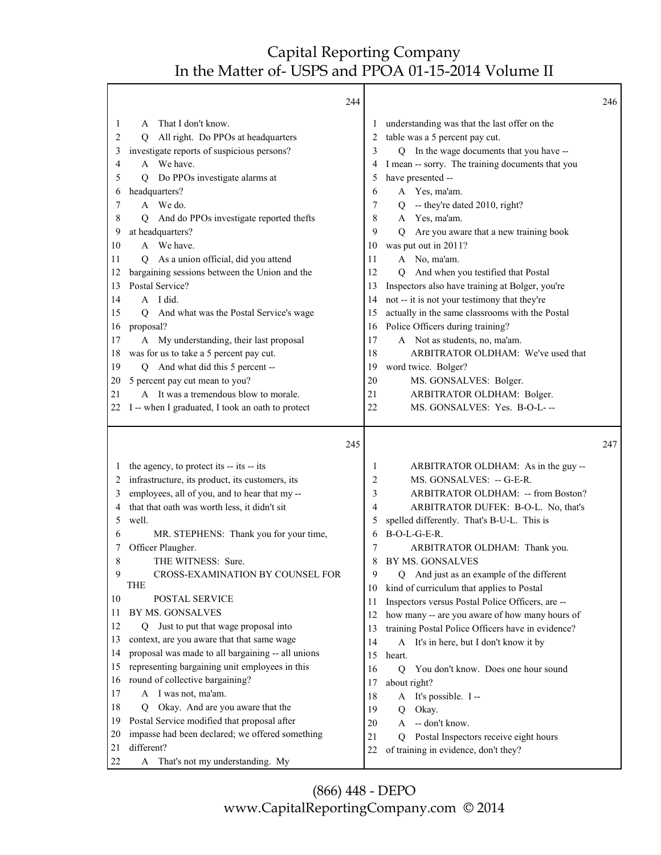|          | 244                                                     |    |                                                       | 246 |
|----------|---------------------------------------------------------|----|-------------------------------------------------------|-----|
| 1        | That I don't know.<br>A                                 | 1  | understanding was that the last offer on the          |     |
| 2        | All right. Do PPOs at headquarters<br>Q                 | 2  | table was a 5 percent pay cut.                        |     |
| 3        | investigate reports of suspicious persons?              | 3  | In the wage documents that you have --<br>O.          |     |
| 4        | A We have.                                              | 4  | I mean -- sorry. The training documents that you      |     |
| 5        | Do PPOs investigate alarms at<br>Q                      | 5  | have presented --                                     |     |
| 6        | headquarters?                                           | 6  | A Yes, ma'am.                                         |     |
| 7        | A We do.                                                | 7  | -- they're dated 2010, right?<br>Q                    |     |
| 8        | And do PPOs investigate reported thefts<br>О            | 8  | A Yes, ma'am.                                         |     |
| 9        | at headquarters?                                        | 9  | Are you aware that a new training book<br>O           |     |
| 10       | A We have.                                              | 10 | was put out in 2011?                                  |     |
| 11       | As a union official, did you attend<br>O.               | 11 | A No, ma'am.                                          |     |
| 12       | bargaining sessions between the Union and the           | 12 | And when you testified that Postal<br>O               |     |
| 13       | Postal Service?                                         | 13 | Inspectors also have training at Bolger, you're       |     |
| 14       | $A$ I did.                                              | 14 | not -- it is not your testimony that they're          |     |
| 15       | And what was the Postal Service's wage<br>$\mathcal{O}$ | 15 | actually in the same classrooms with the Postal       |     |
| 16       | proposal?                                               | 16 | Police Officers during training?                      |     |
| 17       | A My understanding, their last proposal                 | 17 | A Not as students, no, ma'am.                         |     |
| 18       | was for us to take a 5 percent pay cut.                 | 18 | ARBITRATOR OLDHAM: We've used that                    |     |
| 19       | Q And what did this 5 percent --                        | 19 | word twice. Bolger?                                   |     |
| 20       | 5 percent pay cut mean to you?                          | 20 | MS. GONSALVES: Bolger.                                |     |
| 21       | A It was a tremendous blow to morale.                   | 21 | ARBITRATOR OLDHAM: Bolger.                            |     |
| 22       | I -- when I graduated, I took an oath to protect        | 22 | MS. GONSALVES: Yes. B-O-L---                          |     |
|          |                                                         |    |                                                       |     |
|          |                                                         |    |                                                       |     |
|          | 245                                                     |    |                                                       | 247 |
|          | 1 the agency, to protect its -- its -- its              | 1  | ARBITRATOR OLDHAM: As in the guy --                   |     |
| 2        | infrastructure, its product, its customers, its         | 2  | MS. GONSALVES: -- G-E-R.                              |     |
| 3        | employees, all of you, and to hear that my --           | 3  | ARBITRATOR OLDHAM: -- from Boston?                    |     |
| 4        | that that oath was worth less, it didn't sit            | 4  | ARBITRATOR DUFEK: B-O-L. No, that's                   |     |
| 5        | well.                                                   | 5  | spelled differently. That's B-U-L. This is            |     |
| 6        | MR. STEPHENS: Thank you for your time,                  | 6  | $B-O-L-G-E-R$ .                                       |     |
| 7        | Officer Plaugher.                                       | 7  | ARBITRATOR OLDHAM: Thank you.                         |     |
| 8        | THE WITNESS: Sure.                                      | 8  | BY MS. GONSALVES                                      |     |
| 9        | CROSS-EXAMINATION BY COUNSEL FOR                        | 9  | And just as an example of the different<br>Q          |     |
|          | <b>THE</b>                                              | 10 | kind of curriculum that applies to Postal             |     |
| 10       | POSTAL SERVICE                                          | 11 | Inspectors versus Postal Police Officers, are --      |     |
| 11       | BY MS. GONSALVES                                        | 12 | how many -- are you aware of how many hours of        |     |
| 12       | Just to put that wage proposal into<br>О                | 13 | training Postal Police Officers have in evidence?     |     |
| 13       | context, are you aware that that same wage              | 14 | A It's in here, but I don't know it by                |     |
| 14       | proposal was made to all bargaining -- all unions       | 15 | heart.                                                |     |
| 15       | representing bargaining unit employees in this          | 16 | $\overline{Q}$<br>You don't know. Does one hour sound |     |
| 16       | round of collective bargaining?                         | 17 | about right?                                          |     |
| 17       | A I was not, ma'am.                                     | 18 | A It's possible. I--                                  |     |
| 18       | Okay. And are you aware that the<br>Q                   | 19 | Okay.<br>Q                                            |     |
| 19       | Postal Service modified that proposal after             | 20 | -- don't know.<br>A                                   |     |
| 20       | impasse had been declared; we offered something         | 21 | Postal Inspectors receive eight hours<br>О            |     |
| 21<br>22 | different?<br>That's not my understanding. My<br>A      | 22 | of training in evidence, don't they?                  |     |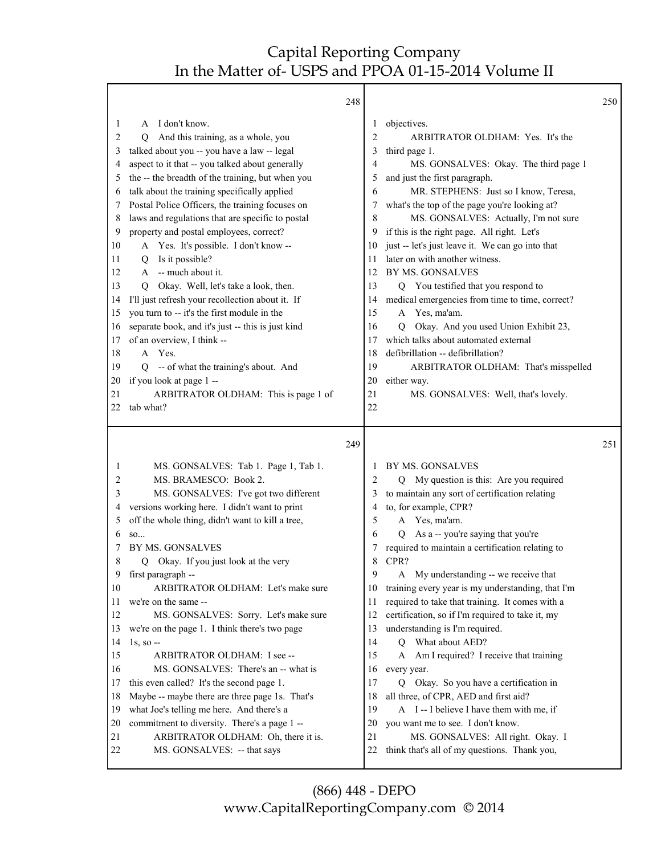Τ

Г

|                                                                                                       |                                                                                                                                                                                                                                                                                                                                                                                                                                                                                                                                                                                                                                                                                                                                                                                                      | 248                                                      |                                                                                                                                                                                                                                                                                                                                                                                                                                                                                                                                                                                                                                                                                                                                                                                  | 250 |
|-------------------------------------------------------------------------------------------------------|------------------------------------------------------------------------------------------------------------------------------------------------------------------------------------------------------------------------------------------------------------------------------------------------------------------------------------------------------------------------------------------------------------------------------------------------------------------------------------------------------------------------------------------------------------------------------------------------------------------------------------------------------------------------------------------------------------------------------------------------------------------------------------------------------|----------------------------------------------------------|----------------------------------------------------------------------------------------------------------------------------------------------------------------------------------------------------------------------------------------------------------------------------------------------------------------------------------------------------------------------------------------------------------------------------------------------------------------------------------------------------------------------------------------------------------------------------------------------------------------------------------------------------------------------------------------------------------------------------------------------------------------------------------|-----|
| 1<br>2<br>3<br>4<br>5<br>6<br>7<br>8<br>9<br>10<br>11<br>12<br>13<br>14<br>15<br>16<br>17<br>18<br>19 | A I don't know.<br>And this training, as a whole, you<br>Q<br>talked about you -- you have a law -- legal<br>aspect to it that -- you talked about generally<br>the -- the breadth of the training, but when you<br>talk about the training specifically applied<br>Postal Police Officers, the training focuses on<br>laws and regulations that are specific to postal<br>property and postal employees, correct?<br>A Yes. It's possible. I don't know --<br>Is it possible?<br>Q<br>-- much about it.<br>A<br>Okay. Well, let's take a look, then.<br>O<br>I'll just refresh your recollection about it. If<br>you turn to -- it's the first module in the<br>separate book, and it's just -- this is just kind<br>of an overview, I think --<br>A Yes.<br>Q -- of what the training's about. And | 10<br>11<br>12<br>13<br>14<br>15<br>16<br>17<br>18<br>19 | objectives.<br>1<br>$\overline{2}$<br>ARBITRATOR OLDHAM: Yes. It's the<br>3<br>third page 1.<br>MS. GONSALVES: Okay. The third page 1<br>4<br>and just the first paragraph.<br>5<br>MR. STEPHENS: Just so I know, Teresa,<br>6<br>what's the top of the page you're looking at?<br>7<br>MS. GONSALVES: Actually, I'm not sure<br>8<br>if this is the right page. All right. Let's<br>9<br>just -- let's just leave it. We can go into that<br>later on with another witness.<br>BY MS. GONSALVES<br>Q You testified that you respond to<br>medical emergencies from time to time, correct?<br>Yes, ma'am.<br>A<br>Okay. And you used Union Exhibit 23,<br>O<br>which talks about automated external<br>defibrillation -- defibrillation?<br>ARBITRATOR OLDHAM: That's misspelled |     |
| 20                                                                                                    | if you look at page 1 --                                                                                                                                                                                                                                                                                                                                                                                                                                                                                                                                                                                                                                                                                                                                                                             | 20                                                       | either way.                                                                                                                                                                                                                                                                                                                                                                                                                                                                                                                                                                                                                                                                                                                                                                      |     |
| 21                                                                                                    | ARBITRATOR OLDHAM: This is page 1 of                                                                                                                                                                                                                                                                                                                                                                                                                                                                                                                                                                                                                                                                                                                                                                 | 21                                                       | MS. GONSALVES: Well, that's lovely.                                                                                                                                                                                                                                                                                                                                                                                                                                                                                                                                                                                                                                                                                                                                              |     |
| 22                                                                                                    | tab what?                                                                                                                                                                                                                                                                                                                                                                                                                                                                                                                                                                                                                                                                                                                                                                                            | 22                                                       |                                                                                                                                                                                                                                                                                                                                                                                                                                                                                                                                                                                                                                                                                                                                                                                  |     |
|                                                                                                       |                                                                                                                                                                                                                                                                                                                                                                                                                                                                                                                                                                                                                                                                                                                                                                                                      |                                                          |                                                                                                                                                                                                                                                                                                                                                                                                                                                                                                                                                                                                                                                                                                                                                                                  |     |
|                                                                                                       |                                                                                                                                                                                                                                                                                                                                                                                                                                                                                                                                                                                                                                                                                                                                                                                                      | 249                                                      |                                                                                                                                                                                                                                                                                                                                                                                                                                                                                                                                                                                                                                                                                                                                                                                  | 251 |
| 1                                                                                                     | MS. GONSALVES: Tab 1. Page 1, Tab 1.                                                                                                                                                                                                                                                                                                                                                                                                                                                                                                                                                                                                                                                                                                                                                                 |                                                          | BY MS. GONSALVES<br>1                                                                                                                                                                                                                                                                                                                                                                                                                                                                                                                                                                                                                                                                                                                                                            |     |
| 2                                                                                                     | MS. BRAMESCO: Book 2.                                                                                                                                                                                                                                                                                                                                                                                                                                                                                                                                                                                                                                                                                                                                                                                |                                                          | Q My question is this: Are you required<br>$\overline{2}$                                                                                                                                                                                                                                                                                                                                                                                                                                                                                                                                                                                                                                                                                                                        |     |
| 3                                                                                                     | MS. GONSALVES: I've got two different                                                                                                                                                                                                                                                                                                                                                                                                                                                                                                                                                                                                                                                                                                                                                                |                                                          | to maintain any sort of certification relating<br>3                                                                                                                                                                                                                                                                                                                                                                                                                                                                                                                                                                                                                                                                                                                              |     |
| 4                                                                                                     | versions working here. I didn't want to print                                                                                                                                                                                                                                                                                                                                                                                                                                                                                                                                                                                                                                                                                                                                                        |                                                          | to, for example, CPR?<br>4                                                                                                                                                                                                                                                                                                                                                                                                                                                                                                                                                                                                                                                                                                                                                       |     |
| 5                                                                                                     | off the whole thing, didn't want to kill a tree,                                                                                                                                                                                                                                                                                                                                                                                                                                                                                                                                                                                                                                                                                                                                                     |                                                          | A Yes, ma'am.<br>5                                                                                                                                                                                                                                                                                                                                                                                                                                                                                                                                                                                                                                                                                                                                                               |     |
| 6                                                                                                     | SO                                                                                                                                                                                                                                                                                                                                                                                                                                                                                                                                                                                                                                                                                                                                                                                                   |                                                          | As a -- you're saying that you're<br>6<br>$\overline{Q}$                                                                                                                                                                                                                                                                                                                                                                                                                                                                                                                                                                                                                                                                                                                         |     |
| 7                                                                                                     | BY MS. GONSALVES                                                                                                                                                                                                                                                                                                                                                                                                                                                                                                                                                                                                                                                                                                                                                                                     |                                                          | required to maintain a certification relating to<br>7                                                                                                                                                                                                                                                                                                                                                                                                                                                                                                                                                                                                                                                                                                                            |     |
| 8<br>9                                                                                                | Okay. If you just look at the very<br>O<br>first paragraph --                                                                                                                                                                                                                                                                                                                                                                                                                                                                                                                                                                                                                                                                                                                                        |                                                          | CPR?<br>8<br>9<br>My understanding -- we receive that<br>A                                                                                                                                                                                                                                                                                                                                                                                                                                                                                                                                                                                                                                                                                                                       |     |
| 10                                                                                                    | ARBITRATOR OLDHAM: Let's make sure                                                                                                                                                                                                                                                                                                                                                                                                                                                                                                                                                                                                                                                                                                                                                                   | 10                                                       | training every year is my understanding, that I'm                                                                                                                                                                                                                                                                                                                                                                                                                                                                                                                                                                                                                                                                                                                                |     |
| 11                                                                                                    | we're on the same --                                                                                                                                                                                                                                                                                                                                                                                                                                                                                                                                                                                                                                                                                                                                                                                 | 11                                                       | required to take that training. It comes with a                                                                                                                                                                                                                                                                                                                                                                                                                                                                                                                                                                                                                                                                                                                                  |     |
| 12                                                                                                    | MS. GONSALVES: Sorry. Let's make sure                                                                                                                                                                                                                                                                                                                                                                                                                                                                                                                                                                                                                                                                                                                                                                | 12                                                       | certification, so if I'm required to take it, my                                                                                                                                                                                                                                                                                                                                                                                                                                                                                                                                                                                                                                                                                                                                 |     |
| 13                                                                                                    | we're on the page 1. I think there's two page                                                                                                                                                                                                                                                                                                                                                                                                                                                                                                                                                                                                                                                                                                                                                        | 13                                                       | understanding is I'm required.                                                                                                                                                                                                                                                                                                                                                                                                                                                                                                                                                                                                                                                                                                                                                   |     |
| 14                                                                                                    | $1s$ , so $-$                                                                                                                                                                                                                                                                                                                                                                                                                                                                                                                                                                                                                                                                                                                                                                                        | 14                                                       | Q What about AED?                                                                                                                                                                                                                                                                                                                                                                                                                                                                                                                                                                                                                                                                                                                                                                |     |
| 15                                                                                                    | ARBITRATOR OLDHAM: I see --                                                                                                                                                                                                                                                                                                                                                                                                                                                                                                                                                                                                                                                                                                                                                                          | 15                                                       | Am I required? I receive that training<br>A                                                                                                                                                                                                                                                                                                                                                                                                                                                                                                                                                                                                                                                                                                                                      |     |
| 16                                                                                                    | MS. GONSALVES: There's an -- what is                                                                                                                                                                                                                                                                                                                                                                                                                                                                                                                                                                                                                                                                                                                                                                 | 16                                                       | every year.                                                                                                                                                                                                                                                                                                                                                                                                                                                                                                                                                                                                                                                                                                                                                                      |     |
| 17                                                                                                    | this even called? It's the second page 1.                                                                                                                                                                                                                                                                                                                                                                                                                                                                                                                                                                                                                                                                                                                                                            | 17                                                       | Q Okay. So you have a certification in                                                                                                                                                                                                                                                                                                                                                                                                                                                                                                                                                                                                                                                                                                                                           |     |
| 18                                                                                                    | Maybe -- maybe there are three page 1s. That's                                                                                                                                                                                                                                                                                                                                                                                                                                                                                                                                                                                                                                                                                                                                                       | 18                                                       | all three, of CPR, AED and first aid?                                                                                                                                                                                                                                                                                                                                                                                                                                                                                                                                                                                                                                                                                                                                            |     |
| 19                                                                                                    | what Joe's telling me here. And there's a                                                                                                                                                                                                                                                                                                                                                                                                                                                                                                                                                                                                                                                                                                                                                            | 19                                                       | A I-I believe I have them with me, if                                                                                                                                                                                                                                                                                                                                                                                                                                                                                                                                                                                                                                                                                                                                            |     |
| 20                                                                                                    | commitment to diversity. There's a page 1 --                                                                                                                                                                                                                                                                                                                                                                                                                                                                                                                                                                                                                                                                                                                                                         | 20                                                       | you want me to see. I don't know.                                                                                                                                                                                                                                                                                                                                                                                                                                                                                                                                                                                                                                                                                                                                                |     |
| 21<br>22                                                                                              | ARBITRATOR OLDHAM: Oh, there it is.<br>MS. GONSALVES: -- that says                                                                                                                                                                                                                                                                                                                                                                                                                                                                                                                                                                                                                                                                                                                                   | 21<br>22                                                 | MS. GONSALVES: All right. Okay. I<br>think that's all of my questions. Thank you,                                                                                                                                                                                                                                                                                                                                                                                                                                                                                                                                                                                                                                                                                                |     |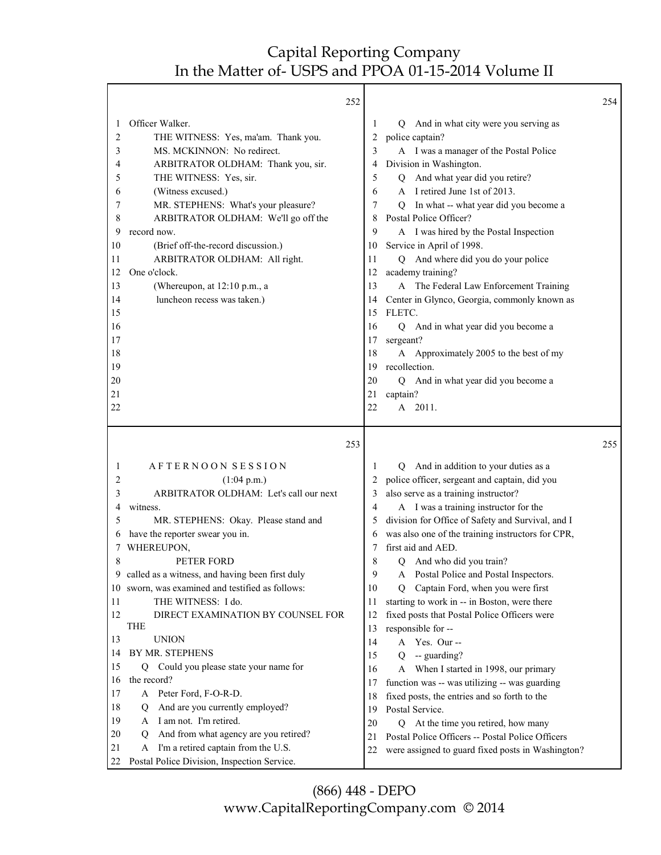|                                                                         | 252                                                                                                                                                                                                                                                                                                                                                                                                                           |                                                                         |                                                                                                                                                                                                                                                                                                                                                                                                                                                                                                                                                   | 254 |
|-------------------------------------------------------------------------|-------------------------------------------------------------------------------------------------------------------------------------------------------------------------------------------------------------------------------------------------------------------------------------------------------------------------------------------------------------------------------------------------------------------------------|-------------------------------------------------------------------------|---------------------------------------------------------------------------------------------------------------------------------------------------------------------------------------------------------------------------------------------------------------------------------------------------------------------------------------------------------------------------------------------------------------------------------------------------------------------------------------------------------------------------------------------------|-----|
| 1<br>2<br>3<br>4<br>5<br>6<br>7<br>8<br>9<br>10<br>11<br>12<br>13<br>14 | Officer Walker.<br>THE WITNESS: Yes, ma'am. Thank you.<br>MS. MCKINNON: No redirect.<br>ARBITRATOR OLDHAM: Thank you, sir.<br>THE WITNESS: Yes, sir.<br>(Witness excused.)<br>MR. STEPHENS: What's your pleasure?<br>ARBITRATOR OLDHAM: We'll go off the<br>record now.<br>(Brief off-the-record discussion.)<br>ARBITRATOR OLDHAM: All right.<br>One o'clock.<br>(Whereupon, at 12:10 p.m., a<br>luncheon recess was taken.) | 1<br>2<br>3<br>4<br>5<br>6<br>7<br>8<br>9<br>10<br>11<br>12<br>13<br>14 | And in what city were you serving as<br>Q<br>police captain?<br>A I was a manager of the Postal Police<br>Division in Washington.<br>Q And what year did you retire?<br>A I retired June 1st of 2013.<br>In what -- what year did you become a<br>O.<br>Postal Police Officer?<br>A I was hired by the Postal Inspection<br>Service in April of 1998.<br>Q And where did you do your police<br>academy training?<br>A The Federal Law Enforcement Training<br>Center in Glynco, Georgia, commonly known as                                        |     |
| 15<br>16<br>17<br>18<br>19<br>20<br>21<br>22                            | 253                                                                                                                                                                                                                                                                                                                                                                                                                           | 15<br>16<br>17<br>18<br>19<br>20<br>21<br>22                            | FLETC.<br>And in what year did you become a<br>O<br>sergeant?<br>A Approximately 2005 to the best of my<br>recollection.<br>And in what year did you become a<br>Q<br>captain?<br>A 2011.                                                                                                                                                                                                                                                                                                                                                         | 255 |
| 1<br>2<br>3<br>4<br>5<br>6<br>7<br>8<br>9<br>10<br>11<br>12             | AFTERNOON SESSION<br>(1:04 p.m.)<br>ARBITRATOR OLDHAM: Let's call our next<br>witness.<br>MR. STEPHENS: Okay. Please stand and<br>have the reporter swear you in.<br>WHEREUPON,<br>PETER FORD<br>called as a witness, and having been first duly<br>sworn, was examined and testified as follows:<br>THE WITNESS: I do.<br>DIRECT EXAMINATION BY COUNSEL FOR<br><b>THE</b>                                                    | 1<br>2<br>3<br>4<br>5<br>6<br>7<br>8<br>9<br>10<br>11<br>12<br>13       | And in addition to your duties as a<br>Q<br>police officer, sergeant and captain, did you<br>also serve as a training instructor?<br>A I was a training instructor for the<br>division for Office of Safety and Survival, and I<br>was also one of the training instructors for CPR,<br>first aid and AED.<br>And who did you train?<br>О<br>Postal Police and Postal Inspectors.<br>Captain Ford, when you were first<br>Q<br>starting to work in -- in Boston, were there<br>fixed posts that Postal Police Officers were<br>responsible for -- |     |
| 13<br>14<br>15<br>16<br>17<br>18<br>19<br>20<br>21<br>22                | <b>UNION</b><br>BY MR. STEPHENS<br>Could you please state your name for<br>Q.<br>the record?<br>A Peter Ford, F-O-R-D.<br>And are you currently employed?<br>Q<br>I am not. I'm retired.<br>A<br>And from what agency are you retired?<br>Q<br>I'm a retired captain from the U.S.<br>A<br>Postal Police Division, Inspection Service.                                                                                        | 14<br>15<br>16<br>17<br>18<br>19<br>20<br>21<br>22                      | A Yes. Our --<br>-- guarding?<br>Q<br>When I started in 1998, our primary<br>A<br>function was -- was utilizing -- was guarding<br>fixed posts, the entries and so forth to the<br>Postal Service.<br>At the time you retired, how many<br>Q<br>Postal Police Officers -- Postal Police Officers<br>were assigned to guard fixed posts in Washington?                                                                                                                                                                                             |     |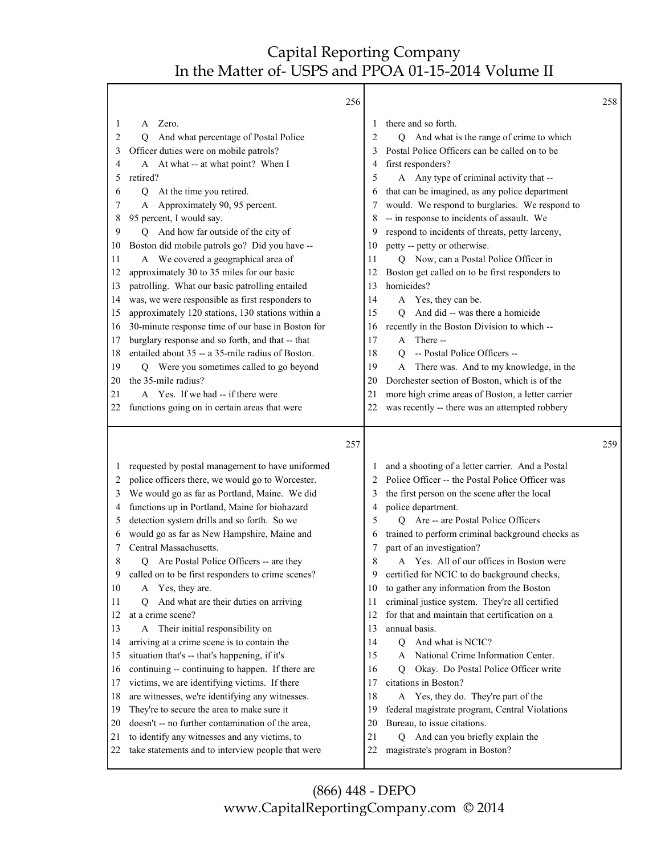Τ

|              | 256                                                                                                |          |                                                                         | 258 |
|--------------|----------------------------------------------------------------------------------------------------|----------|-------------------------------------------------------------------------|-----|
| 1            | Zero.<br>A                                                                                         | 1        | there and so forth.                                                     |     |
| 2            | And what percentage of Postal Police<br>О                                                          | 2        | And what is the range of crime to which<br>Q                            |     |
| 3            | Officer duties were on mobile patrols?                                                             | 3        | Postal Police Officers can be called on to be                           |     |
| 4            | A At what -- at what point? When I                                                                 | 4        | first responders?                                                       |     |
| 5            | retired?                                                                                           | 5        | A Any type of criminal activity that --                                 |     |
| 6            | At the time you retired.<br>Q                                                                      | 6        | that can be imagined, as any police department                          |     |
| 7            | Approximately 90, 95 percent.                                                                      | 7        | would. We respond to burglaries. We respond to                          |     |
| 8            | 95 percent, I would say.                                                                           | 8        | -- in response to incidents of assault. We                              |     |
| 9            | And how far outside of the city of<br>О                                                            | 9        | respond to incidents of threats, petty larceny,                         |     |
| 10           | Boston did mobile patrols go? Did you have --                                                      | 10       | petty -- petty or otherwise.                                            |     |
| 11           | A We covered a geographical area of                                                                | 11       | Q Now, can a Postal Police Officer in                                   |     |
| 12           | approximately 30 to 35 miles for our basic                                                         | 12       | Boston get called on to be first responders to                          |     |
| 13           | patrolling. What our basic patrolling entailed                                                     | 13       | homicides?                                                              |     |
| 14           | was, we were responsible as first responders to                                                    | 14       | A Yes, they can be.                                                     |     |
| 15           | approximately 120 stations, 130 stations within a                                                  | 15       | And did -- was there a homicide<br>O                                    |     |
| 16           | 30-minute response time of our base in Boston for                                                  | 16       | recently in the Boston Division to which --                             |     |
| 17           | burglary response and so forth, and that -- that                                                   | 17       | There --<br>A                                                           |     |
| 18           | entailed about 35 -- a 35-mile radius of Boston.                                                   | 18       | -- Postal Police Officers --<br>$\overline{O}$                          |     |
| 19           | Q Were you sometimes called to go beyond                                                           | 19       | There was. And to my knowledge, in the<br>A                             |     |
| 20           | the 35-mile radius?                                                                                | 20       | Dorchester section of Boston, which is of the                           |     |
| 21           | A Yes. If we had -- if there were                                                                  | 21       | more high crime areas of Boston, a letter carrier                       |     |
| 22           | functions going on in certain areas that were                                                      | 22       | was recently -- there was an attempted robbery                          |     |
|              |                                                                                                    |          |                                                                         |     |
|              |                                                                                                    |          |                                                                         |     |
|              | 257                                                                                                |          |                                                                         | 259 |
|              |                                                                                                    |          |                                                                         |     |
| $\mathbf{I}$ | requested by postal management to have uniformed                                                   | 1        | and a shooting of a letter carrier. And a Postal                        |     |
| 2            | police officers there, we would go to Worcester.                                                   | 2        | Police Officer -- the Postal Police Officer was                         |     |
| 3            | We would go as far as Portland, Maine. We did                                                      | 3        | the first person on the scene after the local                           |     |
| 4            | functions up in Portland, Maine for biohazard                                                      | 4        | police department.                                                      |     |
| 5            | detection system drills and so forth. So we                                                        | 5        | Q Are -- are Postal Police Officers                                     |     |
| 6            | would go as far as New Hampshire, Maine and                                                        | 6        | trained to perform criminal background checks as                        |     |
| 7            | Central Massachusetts.                                                                             | 7        | part of an investigation?                                               |     |
| 8            | Are Postal Police Officers -- are they<br>0                                                        | 8        | Yes. All of our offices in Boston were<br>A                             |     |
| 9            | called on to be first responders to crime scenes?                                                  | 9        | certified for NCIC to do background checks,                             |     |
| 10           | A Yes, they are.                                                                                   | 10       | to gather any information from the Boston                               |     |
| 11           | And what are their duties on arriving<br>О                                                         | 11       | criminal justice system. They're all certified                          |     |
| 12           | at a crime scene?                                                                                  | 12       | for that and maintain that certification on a                           |     |
| 13           | A Their initial responsibility on                                                                  | 13       | annual basis.                                                           |     |
| 14           | arriving at a crime scene is to contain the                                                        | 14       | And what is NCIC?<br>Q                                                  |     |
| 15           | situation that's -- that's happening, if it's                                                      | 15       | National Crime Information Center.<br>A                                 |     |
| 16           | continuing -- continuing to happen. If there are                                                   | 16       | Okay. Do Postal Police Officer write<br>O.                              |     |
| 17           | victims, we are identifying victims. If there                                                      | 17       | citations in Boston?                                                    |     |
| 18           | are witnesses, we're identifying any witnesses.                                                    | 18       | A Yes, they do. They're part of the                                     |     |
| 19           | They're to secure the area to make sure it                                                         | 19       | federal magistrate program, Central Violations                          |     |
| 20           | doesn't -- no further contamination of the area,                                                   | 20       | Bureau, to issue citations.                                             |     |
| 21<br>22     | to identify any witnesses and any victims, to<br>take statements and to interview people that were | 21<br>22 | And can you briefly explain the<br>О<br>magistrate's program in Boston? |     |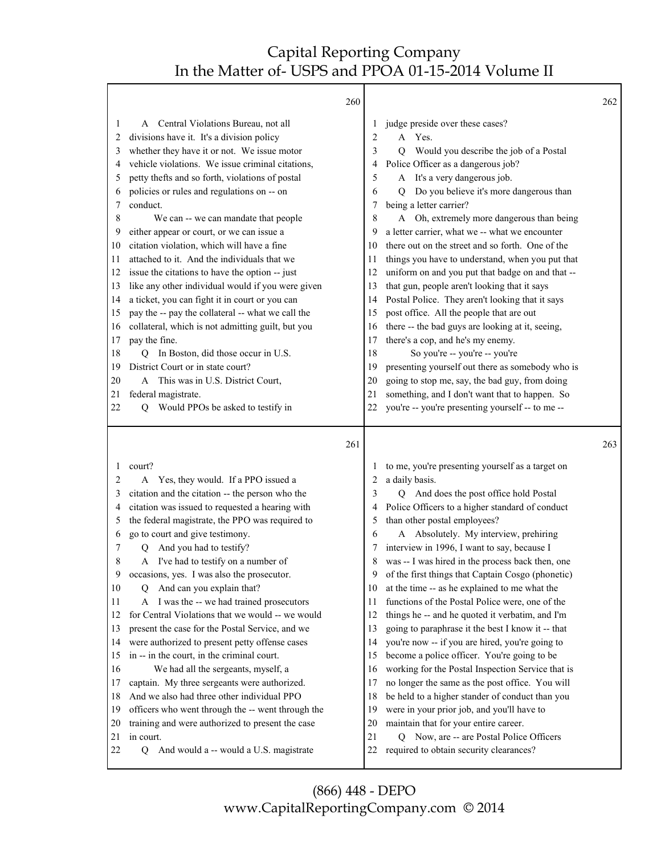|    |                                                   | 260 |    |                                                   | 262 |
|----|---------------------------------------------------|-----|----|---------------------------------------------------|-----|
| 1  | A Central Violations Bureau, not all              |     | 1  | judge preside over these cases?                   |     |
| 2  | divisions have it. It's a division policy         |     | 2  | Yes.<br>A                                         |     |
| 3  | whether they have it or not. We issue motor       |     | 3  | Would you describe the job of a Postal<br>О       |     |
| 4  | vehicle violations. We issue criminal citations,  |     | 4  | Police Officer as a dangerous job?                |     |
| 5  | petty thefts and so forth, violations of postal   |     | 5  | A It's a very dangerous job.                      |     |
| 6  | policies or rules and regulations on -- on        |     | 6  | Do you believe it's more dangerous than<br>O.     |     |
| 7  | conduct.                                          |     | 7  | being a letter carrier?                           |     |
| 8  | We can -- we can mandate that people              |     | 8  | A Oh, extremely more dangerous than being         |     |
| 9  | either appear or court, or we can issue a         |     | 9  | a letter carrier, what we -- what we encounter    |     |
| 10 | citation violation, which will have a fine        |     | 10 | there out on the street and so forth. One of the  |     |
| 11 | attached to it. And the individuals that we       |     | 11 | things you have to understand, when you put that  |     |
| 12 | issue the citations to have the option -- just    |     | 12 | uniform on and you put that badge on and that --  |     |
| 13 | like any other individual would if you were given |     | 13 | that gun, people aren't looking that it says      |     |
| 14 | a ticket, you can fight it in court or you can    |     | 14 | Postal Police. They aren't looking that it says   |     |
| 15 | pay the -- pay the collateral -- what we call the |     | 15 | post office. All the people that are out          |     |
| 16 | collateral, which is not admitting guilt, but you |     | 16 | there -- the bad guys are looking at it, seeing,  |     |
| 17 | pay the fine.                                     |     | 17 | there's a cop, and he's my enemy.                 |     |
| 18 | In Boston, did those occur in U.S.<br>О           |     | 18 | So you're -- you're -- you're                     |     |
| 19 | District Court or in state court?                 |     | 19 | presenting yourself out there as somebody who is  |     |
| 20 | This was in U.S. District Court,<br>A             |     | 20 | going to stop me, say, the bad guy, from doing    |     |
| 21 | federal magistrate.                               |     | 21 | something, and I don't want that to happen. So    |     |
| 22 | Would PPOs be asked to testify in<br>О            |     | 22 | you're -- you're presenting yourself -- to me --  |     |
|    |                                                   |     |    |                                                   |     |
|    |                                                   | 261 |    |                                                   | 263 |
| 1  | court?                                            |     | 1  | to me, you're presenting yourself as a target on  |     |
| 2  | Yes, they would. If a PPO issued a<br>A           |     | 2  | a daily basis.                                    |     |
| 3  | citation and the citation -- the person who the   |     | 3  | And does the post office hold Postal<br>0         |     |
| 4  | citation was issued to requested a hearing with   |     | 4  | Police Officers to a higher standard of conduct   |     |
| 5  | the federal magistrate, the PPO was required to   |     | 5  | than other postal employees?                      |     |
| 6  | go to court and give testimony.                   |     | 6  | Absolutely. My interview, prehiring<br>A          |     |
| 7  | And you had to testify?<br>O.                     |     |    |                                                   |     |
| 8  |                                                   |     | 7  | interview in 1996, I want to say, because I       |     |
| 9  | I've had to testify on a number of<br>A           |     | 8  | was -- I was hired in the process back then, one  |     |
| 10 | occasions, yes. I was also the prosecutor.        |     | 9  | of the first things that Captain Cosgo (phonetic) |     |
|    | And can you explain that?<br>Ő                    |     | 10 | at the time -- as he explained to me what the     |     |
| 11 | A I was the -- we had trained prosecutors         |     | 11 | functions of the Postal Police were, one of the   |     |
| 12 | for Central Violations that we would -- we would  |     | 12 | things he -- and he quoted it verbatim, and I'm   |     |
| 13 | present the case for the Postal Service, and we   |     | 13 | going to paraphrase it the best I know it -- that |     |
| 14 | were authorized to present petty offense cases    |     | 14 | you're now -- if you are hired, you're going to   |     |
| 15 | in -- in the court, in the criminal court.        |     | 15 | become a police officer. You're going to be       |     |
| 16 | We had all the sergeants, myself, a               |     | 16 | working for the Postal Inspection Service that is |     |
| 17 | captain. My three sergeants were authorized.      |     | 17 | no longer the same as the post office. You will   |     |
| 18 | And we also had three other individual PPO        |     | 18 | be held to a higher stander of conduct than you   |     |
| 19 | officers who went through the -- went through the |     | 19 | were in your prior job, and you'll have to        |     |
| 20 | training and were authorized to present the case  |     | 20 | maintain that for your entire career.             |     |
| 21 | in court.                                         |     | 21 | Now, are -- are Postal Police Officers<br>Q       |     |
| 22 | And would a -- would a U.S. magistrate<br>Q       |     | 22 | required to obtain security clearances?           |     |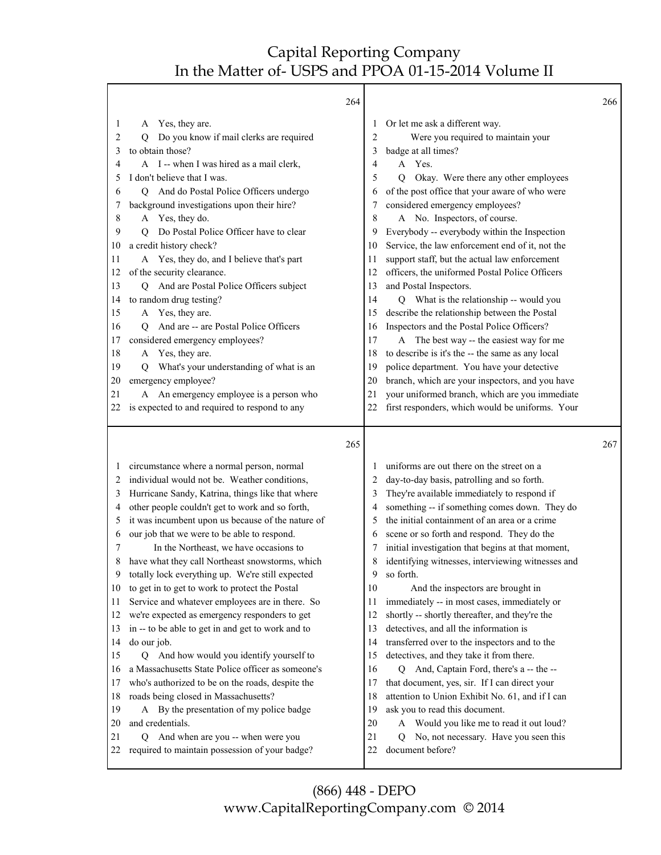| 264                                                                                                                                                                                                                                                                                                                                                                                                                                                                                                                                                                                                                                                                                                                                                                                                                                                                                                                                                                                                                                                                                                                                                                         | 266                                                                                                                                                                                                                                                                                                                                                                                                                                                                                                                                                                                                                                                                                                                                                                                                                                                                                                                                                                                                                                                                                                                              |
|-----------------------------------------------------------------------------------------------------------------------------------------------------------------------------------------------------------------------------------------------------------------------------------------------------------------------------------------------------------------------------------------------------------------------------------------------------------------------------------------------------------------------------------------------------------------------------------------------------------------------------------------------------------------------------------------------------------------------------------------------------------------------------------------------------------------------------------------------------------------------------------------------------------------------------------------------------------------------------------------------------------------------------------------------------------------------------------------------------------------------------------------------------------------------------|----------------------------------------------------------------------------------------------------------------------------------------------------------------------------------------------------------------------------------------------------------------------------------------------------------------------------------------------------------------------------------------------------------------------------------------------------------------------------------------------------------------------------------------------------------------------------------------------------------------------------------------------------------------------------------------------------------------------------------------------------------------------------------------------------------------------------------------------------------------------------------------------------------------------------------------------------------------------------------------------------------------------------------------------------------------------------------------------------------------------------------|
| Yes, they are.<br>1<br>A<br>Do you know if mail clerks are required<br>2<br>O<br>to obtain those?<br>3<br>A I -- when I was hired as a mail clerk,<br>4<br>I don't believe that I was.<br>5<br>Q And do Postal Police Officers undergo<br>6<br>background investigations upon their hire?<br>7<br>A Yes, they do.<br>8<br>Do Postal Police Officer have to clear<br>9<br>О<br>a credit history check?<br>10<br>A Yes, they do, and I believe that's part<br>11<br>of the security clearance.<br>12<br>Q And are Postal Police Officers subject<br>13<br>to random drug testing?<br>14<br>A Yes, they are.<br>15<br>And are -- are Postal Police Officers<br>16<br>0<br>considered emergency employees?<br>17<br>A Yes, they are.<br>18<br>What's your understanding of what is an<br>19<br>$\circ$<br>emergency employee?<br>20<br>A An emergency employee is a person who<br>21<br>is expected to and required to respond to any<br>22                                                                                                                                                                                                                                     | Or let me ask a different way.<br>$\overline{2}$<br>Were you required to maintain your<br>badge at all times?<br>3<br>A Yes.<br>4<br>5<br>Okay. Were there any other employees<br>О<br>of the post office that your aware of who were<br>6<br>considered emergency employees?<br>7<br>A No. Inspectors, of course.<br>8<br>Everybody -- everybody within the Inspection<br>9<br>Service, the law enforcement end of it, not the<br>10<br>support staff, but the actual law enforcement<br>11<br>officers, the uniformed Postal Police Officers<br>12<br>13<br>and Postal Inspectors.<br>Q What is the relationship -- would you<br>14<br>describe the relationship between the Postal<br>15<br>Inspectors and the Postal Police Officers?<br>16<br>The best way -- the easiest way for me<br>17<br>A<br>to describe is it's the -- the same as any local<br>18<br>police department. You have your detective<br>19<br>branch, which are your inspectors, and you have<br>20<br>your uniformed branch, which are you immediate<br>21<br>first responders, which would be uniforms. Your<br>22                                     |
| 265<br>circumstance where a normal person, normal<br>1<br>individual would not be. Weather conditions,<br>2<br>Hurricane Sandy, Katrina, things like that where<br>3<br>other people couldn't get to work and so forth,<br>4<br>it was incumbent upon us because of the nature of<br>5<br>our job that we were to be able to respond.<br>6<br>In the Northeast, we have occasions to<br>7<br>have what they call Northeast snowstorms, which<br>8<br>9<br>totally lock everything up. We're still expected<br>to get in to get to work to protect the Postal<br>10<br>Service and whatever employees are in there. So<br>11<br>we're expected as emergency responders to get<br>12<br>in -- to be able to get in and get to work and to<br>13<br>14<br>do our job.<br>Q And how would you identify yourself to<br>15<br>a Massachusetts State Police officer as someone's<br>16<br>who's authorized to be on the roads, despite the<br>17<br>roads being closed in Massachusetts?<br>18<br>A By the presentation of my police badge<br>19<br>and credentials.<br>20<br>And when are you -- when were you<br>21<br>Q<br>required to maintain possession of your badge?<br>22 | 267<br>uniforms are out there on the street on a<br>1<br>day-to-day basis, patrolling and so forth.<br>2<br>They're available immediately to respond if<br>3<br>something -- if something comes down. They do<br>4<br>the initial containment of an area or a crime<br>5<br>scene or so forth and respond. They do the<br>6<br>initial investigation that begins at that moment,<br>7<br>identifying witnesses, interviewing witnesses and<br>8<br>9<br>so forth.<br>10<br>And the inspectors are brought in<br>immediately -- in most cases, immediately or<br>11<br>shortly -- shortly thereafter, and they're the<br>12<br>detectives, and all the information is<br>13<br>transferred over to the inspectors and to the<br>14<br>15<br>detectives, and they take it from there.<br>Q And, Captain Ford, there's a -- the --<br>16<br>that document, yes, sir. If I can direct your<br>17<br>attention to Union Exhibit No. 61, and if I can<br>18<br>ask you to read this document.<br>19<br>Would you like me to read it out loud?<br>20<br>A<br>21<br>No, not necessary. Have you seen this<br>Q<br>document before?<br>22 |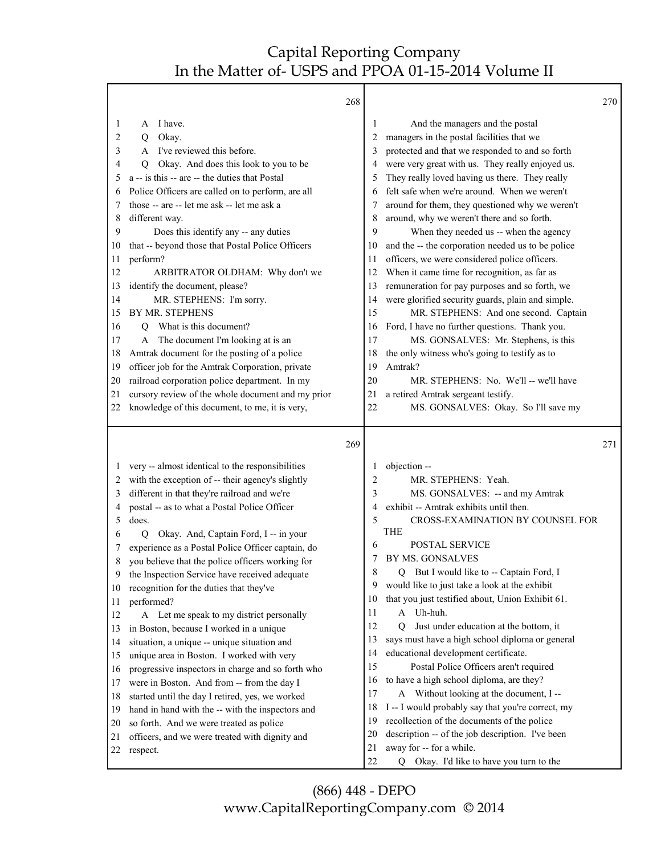|    |                                                   | 268 |          |                                                                      | 270 |
|----|---------------------------------------------------|-----|----------|----------------------------------------------------------------------|-----|
| 1  | I have.<br>А                                      |     | 1        | And the managers and the postal                                      |     |
| 2  | Okay.<br>Q                                        |     | 2        | managers in the postal facilities that we                            |     |
| 3  | I've reviewed this before.<br>A                   |     | 3        | protected and that we responded to and so forth                      |     |
| 4  | Okay. And does this look to you to be<br>Q        |     | 4        | were very great with us. They really enjoyed us.                     |     |
| 5  | a -- is this -- are -- the duties that Postal     |     | 5        | They really loved having us there. They really                       |     |
| 6  | Police Officers are called on to perform, are all |     | 6        | felt safe when we're around. When we weren't                         |     |
| 7  | those -- are -- let me ask -- let me ask a        |     | 7        | around for them, they questioned why we weren't                      |     |
| 8  | different way.                                    |     | 8        | around, why we weren't there and so forth.                           |     |
| 9  | Does this identify any -- any duties              |     | 9        | When they needed us -- when the agency                               |     |
| 10 | that -- beyond those that Postal Police Officers  |     | 10       | and the -- the corporation needed us to be police                    |     |
| 11 | perform?                                          |     | 11       | officers, we were considered police officers.                        |     |
| 12 | ARBITRATOR OLDHAM: Why don't we                   |     | 12       | When it came time for recognition, as far as                         |     |
| 13 | identify the document, please?                    |     | 13       | remuneration for pay purposes and so forth, we                       |     |
| 14 | MR. STEPHENS: I'm sorry.                          |     | 14       | were glorified security guards, plain and simple.                    |     |
| 15 | BY MR. STEPHENS                                   |     | 15       | MR. STEPHENS: And one second. Captain                                |     |
| 16 | What is this document?<br>Q                       |     | 16       | Ford, I have no further questions. Thank you.                        |     |
| 17 | The document I'm looking at is an<br>A            |     | 17       | MS. GONSALVES: Mr. Stephens, is this                                 |     |
| 18 | Amtrak document for the posting of a police       |     | 18       | the only witness who's going to testify as to                        |     |
| 19 | officer job for the Amtrak Corporation, private   |     | 19       | Amtrak?                                                              |     |
| 20 | railroad corporation police department. In my     |     | 20       | MR. STEPHENS: No. We'll -- we'll have                                |     |
| 21 | cursory review of the whole document and my prior |     | 21       | a retired Amtrak sergeant testify.                                   |     |
| 22 | knowledge of this document, to me, it is very,    |     | 22       | MS. GONSALVES: Okay. So I'll save my                                 |     |
|    |                                                   |     |          |                                                                      |     |
|    |                                                   | 269 |          |                                                                      | 271 |
| 1  | very -- almost identical to the responsibilities  |     | 1        | objection --                                                         |     |
| 2  | with the exception of -- their agency's slightly  |     | 2        | MR. STEPHENS: Yeah.                                                  |     |
| 3  | different in that they're railroad and we're      |     | 3        | MS. GONSALVES: -- and my Amtrak                                      |     |
| 4  | postal -- as to what a Postal Police Officer      |     | 4        | exhibit -- Amtrak exhibits until then.                               |     |
| 5  | does.                                             |     | 5        | CROSS-EXAMINATION BY COUNSEL FOR                                     |     |
| 6  | Okay. And, Captain Ford, I -- in your<br>Q        |     |          | <b>THE</b>                                                           |     |
|    | experience as a Postal Police Officer captain, do |     | 6        | POSTAL SERVICE                                                       |     |
| 8  | you believe that the police officers working for  |     | 7        | BY MS. GONSALVES                                                     |     |
| 9  | the Inspection Service have received adequate     |     | 8        | But I would like to -- Captain Ford, I<br>Q.                         |     |
| 10 | recognition for the duties that they've           |     | 9        | would like to just take a look at the exhibit                        |     |
| 11 | performed?                                        |     | 10       | that you just testified about, Union Exhibit 61.                     |     |
| 12 | A Let me speak to my district personally          |     | 11       | A Uh-huh.                                                            |     |
| 13 | in Boston, because I worked in a unique           |     | 12       | Just under education at the bottom, it<br>0                          |     |
| 14 | situation, a unique -- unique situation and       |     | 13       | says must have a high school diploma or general                      |     |
| 15 | unique area in Boston. I worked with very         |     | 14       | educational development certificate.                                 |     |
| 16 | progressive inspectors in charge and so forth who |     | 15       | Postal Police Officers aren't required                               |     |
| 17 | were in Boston. And from -- from the day I        |     | 16       | to have a high school diploma, are they?                             |     |
| 18 | started until the day I retired, yes, we worked   |     | 17       | A Without looking at the document, I --                              |     |
| 19 | hand in hand with the -- with the inspectors and  |     | 18       | I -- I would probably say that you're correct, my                    |     |
| 20 | so forth. And we were treated as police           |     | 19       | recollection of the documents of the police                          |     |
| 21 | officers, and we were treated with dignity and    |     | 20       | description -- of the job description. I've been                     |     |
| 22 | respect.                                          |     | 21<br>22 | away for -- for a while.<br>Q Okay. I'd like to have you turn to the |     |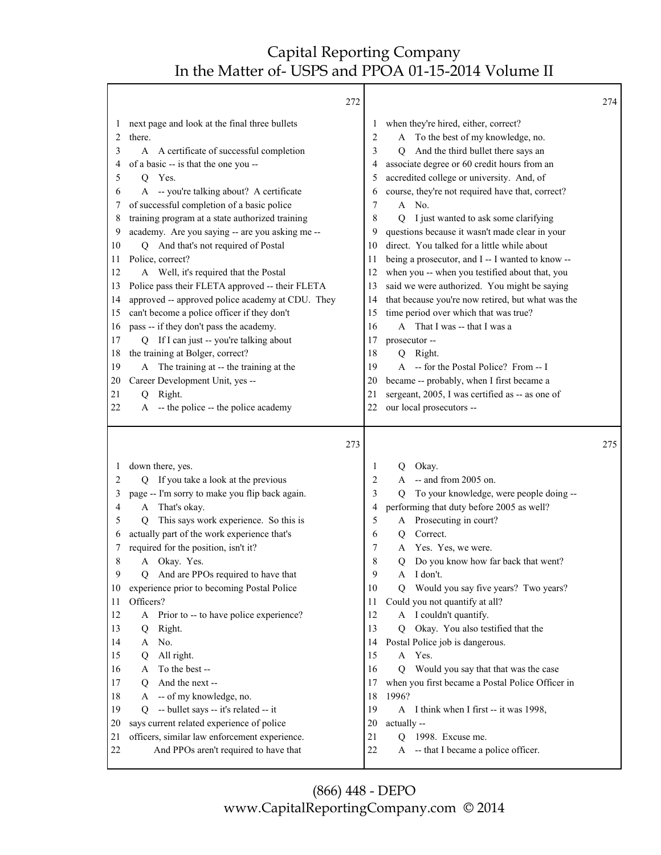|                | 272                                                                                                                                                                                                                                                                                                                                                    |                                      |                                                                                                                                                                                                                                                                                                                                           | 274 |
|----------------|--------------------------------------------------------------------------------------------------------------------------------------------------------------------------------------------------------------------------------------------------------------------------------------------------------------------------------------------------------|--------------------------------------|-------------------------------------------------------------------------------------------------------------------------------------------------------------------------------------------------------------------------------------------------------------------------------------------------------------------------------------------|-----|
|                | next page and look at the final three bullets<br>$\perp$<br>2<br>there.<br>3<br>A certificate of successful completion<br>A<br>of a basic -- is that the one you --<br>4<br>5<br>Yes.<br>Q<br>A -- you're talking about? A certificate<br>6<br>of successful completion of a basic police<br>7<br>training program at a state authorized training<br>8 | 1<br>2<br>3<br>4<br>5<br>6<br>7<br>8 | when they're hired, either, correct?<br>A To the best of my knowledge, no.<br>And the third bullet there says an<br>O<br>associate degree or 60 credit hours from an<br>accredited college or university. And, of<br>course, they're not required have that, correct?<br>$\mathbf{A}$<br>No.<br>I just wanted to ask some clarifying<br>О |     |
|                | academy. Are you saying -- are you asking me --<br>9                                                                                                                                                                                                                                                                                                   | 9                                    | questions because it wasn't made clear in your                                                                                                                                                                                                                                                                                            |     |
|                | Q And that's not required of Postal<br>10                                                                                                                                                                                                                                                                                                              | 10                                   | direct. You talked for a little while about                                                                                                                                                                                                                                                                                               |     |
| 11<br>13<br>14 | Police, correct?<br>A Well, it's required that the Postal<br>12<br>Police pass their FLETA approved -- their FLETA<br>approved -- approved police academy at CDU. They                                                                                                                                                                                 | 11<br>12<br>13<br>14                 | being a prosecutor, and I -- I wanted to know --<br>when you -- when you testified about that, you<br>said we were authorized. You might be saying<br>that because you're now retired, but what was the                                                                                                                                   |     |
| 15             | can't become a police officer if they don't                                                                                                                                                                                                                                                                                                            | 15                                   | time period over which that was true?                                                                                                                                                                                                                                                                                                     |     |
|                | pass -- if they don't pass the academy.<br>16                                                                                                                                                                                                                                                                                                          | 16                                   | A That I was -- that I was a                                                                                                                                                                                                                                                                                                              |     |
| 17             | Q If I can just -- you're talking about                                                                                                                                                                                                                                                                                                                | 17                                   | prosecutor --                                                                                                                                                                                                                                                                                                                             |     |
| 18             | the training at Bolger, correct?                                                                                                                                                                                                                                                                                                                       | 18                                   | Q Right.                                                                                                                                                                                                                                                                                                                                  |     |
| 19<br>20       | The training at -- the training at the<br>A<br>Career Development Unit, yes --                                                                                                                                                                                                                                                                         | 19<br>20                             | A -- for the Postal Police? From -- I<br>became -- probably, when I first became a                                                                                                                                                                                                                                                        |     |
| 21             | Right.<br>$\overline{Q}$                                                                                                                                                                                                                                                                                                                               | 21                                   | sergeant, 2005, I was certified as -- as one of                                                                                                                                                                                                                                                                                           |     |
| 22             | -- the police -- the police academy<br>A                                                                                                                                                                                                                                                                                                               | 22                                   | our local prosecutors --                                                                                                                                                                                                                                                                                                                  |     |
|                | 273                                                                                                                                                                                                                                                                                                                                                    |                                      |                                                                                                                                                                                                                                                                                                                                           | 275 |
|                | down there, yes.<br>$\perp$<br>If you take a look at the previous<br>2<br>0                                                                                                                                                                                                                                                                            | 1<br>2                               | Okay.<br>Q<br>-- and from 2005 on.<br>A                                                                                                                                                                                                                                                                                                   |     |
|                | page -- I'm sorry to make you flip back again.<br>3                                                                                                                                                                                                                                                                                                    | 3                                    | To your knowledge, were people doing --<br>О                                                                                                                                                                                                                                                                                              |     |
|                | That's okay.<br>4<br>A                                                                                                                                                                                                                                                                                                                                 | 4                                    | performing that duty before 2005 as well?                                                                                                                                                                                                                                                                                                 |     |
|                | This says work experience. So this is<br>5<br>Q                                                                                                                                                                                                                                                                                                        | 5                                    | Prosecuting in court?<br>A                                                                                                                                                                                                                                                                                                                |     |
|                | actually part of the work experience that's<br>6                                                                                                                                                                                                                                                                                                       | 6                                    | Correct.<br>Q                                                                                                                                                                                                                                                                                                                             |     |
|                | required for the position, isn't it?<br>7<br>A Okay. Yes.                                                                                                                                                                                                                                                                                              | 7<br>8                               | Yes. Yes, we were.<br>A                                                                                                                                                                                                                                                                                                                   |     |
|                | 8<br>9<br>And are PPOs required to have that<br>Q                                                                                                                                                                                                                                                                                                      | 9                                    | О<br>Do you know how far back that went?<br>I don't.<br>A                                                                                                                                                                                                                                                                                 |     |
| 10             | experience prior to becoming Postal Police                                                                                                                                                                                                                                                                                                             | 10                                   | Would you say five years? Two years?<br>Q                                                                                                                                                                                                                                                                                                 |     |
| 11             | Officers?                                                                                                                                                                                                                                                                                                                                              | 11                                   | Could you not quantify at all?                                                                                                                                                                                                                                                                                                            |     |
| 12             | Prior to -- to have police experience?<br>A                                                                                                                                                                                                                                                                                                            | 12                                   | A I couldn't quantify.                                                                                                                                                                                                                                                                                                                    |     |
|                | Right.<br>Q                                                                                                                                                                                                                                                                                                                                            |                                      |                                                                                                                                                                                                                                                                                                                                           |     |
| 13             |                                                                                                                                                                                                                                                                                                                                                        | 13                                   | Okay. You also testified that the<br>О                                                                                                                                                                                                                                                                                                    |     |
| 14             | No.<br>A                                                                                                                                                                                                                                                                                                                                               | 14                                   | Postal Police job is dangerous.                                                                                                                                                                                                                                                                                                           |     |
| 15             | All right.<br>Q                                                                                                                                                                                                                                                                                                                                        | 15                                   | Yes.<br>A                                                                                                                                                                                                                                                                                                                                 |     |
|                | To the best --<br>16<br>A                                                                                                                                                                                                                                                                                                                              | 16                                   | Would you say that that was the case<br>O                                                                                                                                                                                                                                                                                                 |     |
| 17             | And the next --<br>Q                                                                                                                                                                                                                                                                                                                                   | 17                                   | when you first became a Postal Police Officer in                                                                                                                                                                                                                                                                                          |     |
| 18             | -- of my knowledge, no.<br>A                                                                                                                                                                                                                                                                                                                           | 18                                   | 1996?                                                                                                                                                                                                                                                                                                                                     |     |
| 19<br>20       | -- bullet says -- it's related -- it<br>Q                                                                                                                                                                                                                                                                                                              | 19<br>20                             | A I think when I first -- it was 1998,                                                                                                                                                                                                                                                                                                    |     |
| 21             | says current related experience of police<br>officers, similar law enforcement experience.                                                                                                                                                                                                                                                             | 21                                   | actually --<br>1998. Excuse me.<br>Q                                                                                                                                                                                                                                                                                                      |     |
| 22             | And PPOs aren't required to have that                                                                                                                                                                                                                                                                                                                  | 22                                   | -- that I became a police officer.<br>A                                                                                                                                                                                                                                                                                                   |     |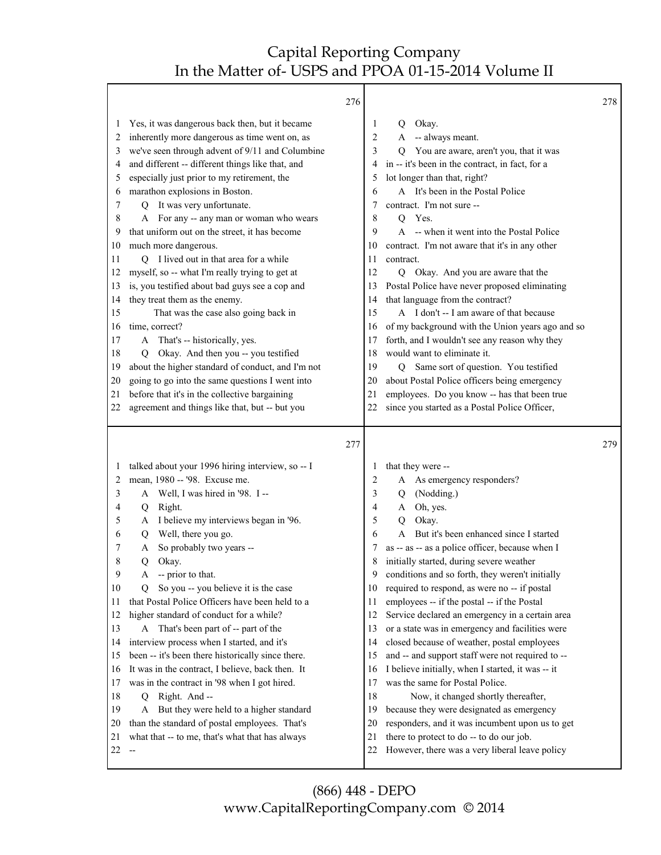#### $276$

|                                                                                                                                                                                                                                                                                                                                                                                                                                                                                                                                                                                                                                                                                                                                                                                                                                                                                                                                                                                                                                                                                                      | 276 |                                                                                                                                                                                                                                                                                                                                                                                                                                                                                                                                                                                                                                                                                                                                                                                                                                                                                                                                                                                                                              | 278 |
|------------------------------------------------------------------------------------------------------------------------------------------------------------------------------------------------------------------------------------------------------------------------------------------------------------------------------------------------------------------------------------------------------------------------------------------------------------------------------------------------------------------------------------------------------------------------------------------------------------------------------------------------------------------------------------------------------------------------------------------------------------------------------------------------------------------------------------------------------------------------------------------------------------------------------------------------------------------------------------------------------------------------------------------------------------------------------------------------------|-----|------------------------------------------------------------------------------------------------------------------------------------------------------------------------------------------------------------------------------------------------------------------------------------------------------------------------------------------------------------------------------------------------------------------------------------------------------------------------------------------------------------------------------------------------------------------------------------------------------------------------------------------------------------------------------------------------------------------------------------------------------------------------------------------------------------------------------------------------------------------------------------------------------------------------------------------------------------------------------------------------------------------------------|-----|
| Yes, it was dangerous back then, but it became<br>1<br>inherently more dangerous as time went on, as<br>2<br>we've seen through advent of 9/11 and Columbine<br>3<br>and different -- different things like that, and<br>4<br>especially just prior to my retirement, the<br>5<br>marathon explosions in Boston.<br>6<br>Q It was very unfortunate.<br>7<br>For any -- any man or woman who wears<br>8<br>that uniform out on the street, it has become<br>9<br>much more dangerous.<br>10<br>Q I lived out in that area for a while<br>11<br>myself, so -- what I'm really trying to get at<br>12<br>is, you testified about bad guys see a cop and<br>13<br>they treat them as the enemy.<br>14<br>That was the case also going back in<br>15<br>time, correct?<br>16<br>A That's -- historically, yes.<br>17<br>Okay. And then you -- you testified<br>18<br>Q<br>about the higher standard of conduct, and I'm not<br>19<br>going to go into the same questions I went into<br>20<br>before that it's in the collective bargaining<br>21<br>agreement and things like that, but -- but you<br>22 |     | Okay.<br>1<br>Q<br>-- always meant.<br>2<br>A<br>3<br>You are aware, aren't you, that it was<br>Q<br>in -- it's been in the contract, in fact, for a<br>4<br>lot longer than that, right?<br>5<br>A It's been in the Postal Police<br>6<br>contract. I'm not sure --<br>7<br>8<br>Yes.<br>Q<br>-- when it went into the Postal Police<br>9<br>$\mathsf{A}$<br>contract. I'm not aware that it's in any other<br>10<br>contract.<br>11<br>12<br>Q Okay. And you are aware that the<br>Postal Police have never proposed eliminating<br>13<br>that language from the contract?<br>14<br>A I don't -- I am aware of that because<br>15<br>of my background with the Union years ago and so<br>16<br>forth, and I wouldn't see any reason why they<br>17<br>would want to eliminate it.<br>18<br>Same sort of question. You testified<br>19<br>$\overline{Q}$<br>about Postal Police officers being emergency<br>20<br>employees. Do you know -- has that been true<br>21<br>since you started as a Postal Police Officer,<br>22 |     |
| talked about your 1996 hiring interview, so -- I<br>1<br>mean, 1980 -- '98. Excuse me.<br>2<br>A Well, I was hired in '98. I --<br>3<br>Q Right.<br>4<br>A I believe my interviews began in '96.<br>5<br>Well, there you go.<br>6<br>Q.<br>So probably two years --<br>7<br>A<br>8<br>Okay.<br>Q<br>9<br>-- prior to that.<br>A<br>10<br>So you -- you believe it is the case<br>Q<br>that Postal Police Officers have been held to a<br>11<br>higher standard of conduct for a while?<br>12<br>A That's been part of -- part of the<br>13<br>interview process when I started, and it's<br>14<br>been -- it's been there historically since there.<br>15<br>It was in the contract, I believe, back then. It<br>16<br>was in the contract in '98 when I got hired.<br>17<br>18<br>Right. And --<br>Q<br>19<br>But they were held to a higher standard<br>A<br>than the standard of postal employees. That's<br>20<br>what that -- to me, that's what that has always<br>21                                                                                                                          | 277 | that they were --<br>$\perp$<br>A As emergency responders?<br>2<br>(Nodding.)<br>3<br>Q<br>Oh, yes.<br>4<br>A<br>5<br>Okay.<br>$\mathbf Q$<br>But it's been enhanced since I started<br>A<br>6<br>as -- as -- as a police officer, because when I<br>initially started, during severe weather<br>8<br>conditions and so forth, they weren't initially<br>9<br>required to respond, as were no -- if postal<br>10<br>employees -- if the postal -- if the Postal<br>11<br>Service declared an emergency in a certain area<br>12<br>or a state was in emergency and facilities were<br>13<br>closed because of weather, postal employees<br>14<br>and -- and support staff were not required to --<br>15<br>I believe initially, when I started, it was -- it<br>16<br>was the same for Postal Police.<br>17<br>18<br>Now, it changed shortly thereafter,<br>19<br>because they were designated as emergency<br>responders, and it was incumbent upon us to get<br>20<br>there to protect to do -- to do our job.<br>21        | 279 |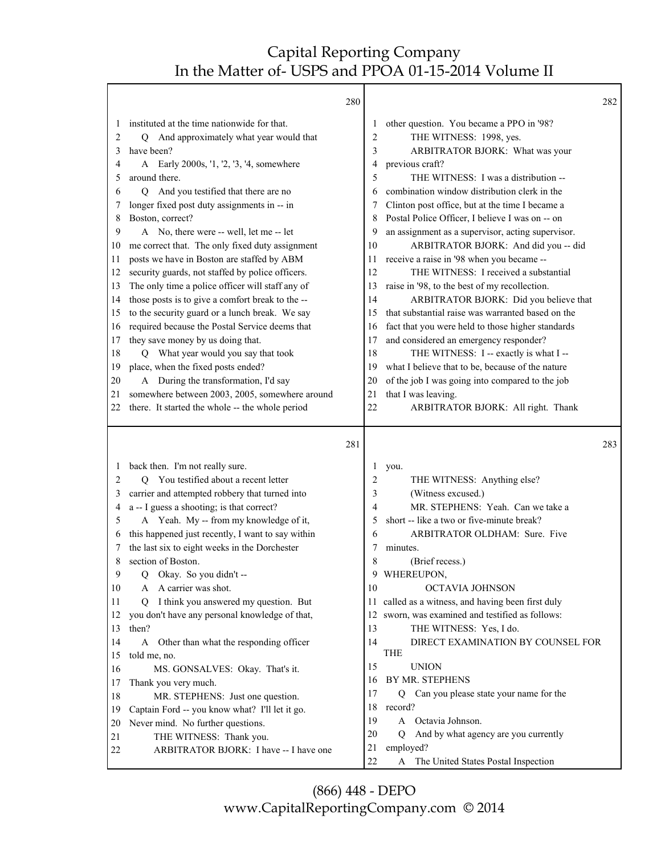|    |                                                   | 280 |          |                                                    | 282 |
|----|---------------------------------------------------|-----|----------|----------------------------------------------------|-----|
| 1  | instituted at the time nationwide for that.       |     |          | other question. You became a PPO in '98?           |     |
| 2  | Q And approximately what year would that          |     | 2        | THE WITNESS: 1998, yes.                            |     |
| 3  | have been?                                        |     | 3        | ARBITRATOR BJORK: What was your                    |     |
| 4  | A Early 2000s, '1, '2, '3, '4, somewhere          |     | 4        | previous craft?                                    |     |
| 5  | around there.                                     |     | 5        | THE WITNESS: I was a distribution --               |     |
| 6  | Q And you testified that there are no             |     | 6        | combination window distribution clerk in the       |     |
| 7  | longer fixed post duty assignments in -- in       |     |          | Clinton post office, but at the time I became a    |     |
| 8  | Boston, correct?                                  |     | 8        | Postal Police Officer, I believe I was on -- on    |     |
| 9  | A No, there were -- well, let me -- let           |     | 9        | an assignment as a supervisor, acting supervisor.  |     |
| 10 | me correct that. The only fixed duty assignment   |     | 10       | ARBITRATOR BJORK: And did you -- did               |     |
| 11 | posts we have in Boston are staffed by ABM        |     | 11       | receive a raise in '98 when you became --          |     |
| 12 | security guards, not staffed by police officers.  |     | 12       | THE WITNESS: I received a substantial              |     |
| 13 | The only time a police officer will staff any of  |     | 13       | raise in '98, to the best of my recollection.      |     |
| 14 | those posts is to give a comfort break to the --  |     | 14       | ARBITRATOR BJORK: Did you believe that             |     |
| 15 | to the security guard or a lunch break. We say    |     | 15       | that substantial raise was warranted based on the  |     |
| 16 | required because the Postal Service deems that    |     | 16       | fact that you were held to those higher standards  |     |
| 17 | they save money by us doing that.                 |     | 17       | and considered an emergency responder?             |     |
| 18 | What year would you say that took<br>Q            |     | 18       | THE WITNESS: I -- exactly is what I --             |     |
| 19 | place, when the fixed posts ended?                |     | 19       | what I believe that to be, because of the nature   |     |
| 20 | A During the transformation, I'd say              |     | 20       | of the job I was going into compared to the job    |     |
| 21 | somewhere between 2003, 2005, somewhere around    |     | 21       | that I was leaving.                                |     |
| 22 | there. It started the whole -- the whole period   |     | 22       | ARBITRATOR BJORK: All right. Thank                 |     |
|    |                                                   | 281 |          |                                                    | 283 |
| 1  | back then. I'm not really sure.                   |     | 1        | you.                                               |     |
| 2  | You testified about a recent letter<br>О          |     | 2        | THE WITNESS: Anything else?                        |     |
| 3  | carrier and attempted robbery that turned into    |     | 3        | (Witness excused.)                                 |     |
| 4  | a -- I guess a shooting; is that correct?         |     | 4        | MR. STEPHENS: Yeah. Can we take a                  |     |
| 5  | A Yeah. My -- from my knowledge of it,            |     | 5        | short -- like a two or five-minute break?          |     |
| 6  | this happened just recently, I want to say within |     | 6        | ARBITRATOR OLDHAM: Sure. Five                      |     |
| 7  | the last six to eight weeks in the Dorchester     |     | 7        | minutes.                                           |     |
| 8  | section of Boston.                                |     | 8        | (Brief recess.)                                    |     |
| 9  | O Okay. So you didn't --                          |     | 9        | WHEREUPON,                                         |     |
| 10 |                                                   |     |          |                                                    |     |
| 11 | A A carrier was shot.                             |     | 10       | OCTAVIA JOHNSON                                    |     |
|    | I think you answered my question. But<br>$\circ$  |     |          | 11 called as a witness, and having been first duly |     |
| 12 | you don't have any personal knowledge of that,    |     | 12       | sworn, was examined and testified as follows:      |     |
| 13 | then?                                             |     | 13       | THE WITNESS: Yes, I do.                            |     |
| 14 | A Other than what the responding officer          |     | 14       | DIRECT EXAMINATION BY COUNSEL FOR                  |     |
| 15 | told me, no.                                      |     |          | <b>THE</b>                                         |     |
| 16 | MS. GONSALVES: Okay. That's it.                   |     | 15       | <b>UNION</b>                                       |     |
| 17 | Thank you very much.                              |     | 16       | BY MR. STEPHENS                                    |     |
| 18 | MR. STEPHENS: Just one question.                  |     | 17       | Q Can you please state your name for the           |     |
| 19 | Captain Ford -- you know what? I'll let it go.    |     | 18       | record?                                            |     |
| 20 | Never mind. No further questions.                 |     | 19       | A Octavia Johnson.                                 |     |
| 21 | THE WITNESS: Thank you.                           |     | 20       | And by what agency are you currently<br>O          |     |
| 22 | ARBITRATOR BJORK: I have -- I have one            |     | 21<br>22 | employed?<br>A The United States Postal Inspection |     |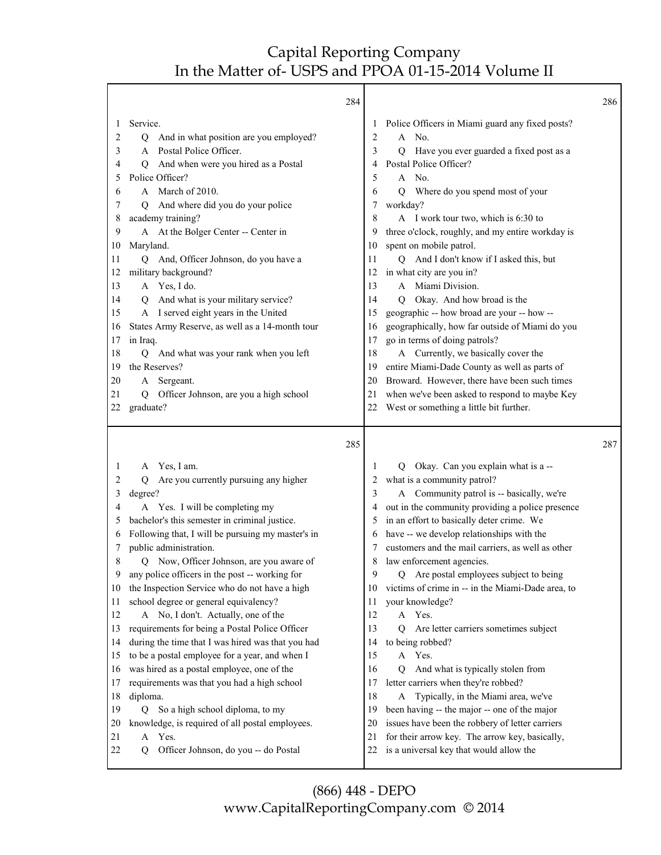|                                                                                                                         | 284                                                                                                                                                                                                                                                                                                                                                                                                                                                                                                                                                                                                                                                                                                                                                                                                                                                                                                              |                                                                                                                    |                                                                                                                                                                                                                                                                                                                                                                                                                                                                                                                                                                                                                                                                                                                                                                                                                                                                                             | 286 |
|-------------------------------------------------------------------------------------------------------------------------|------------------------------------------------------------------------------------------------------------------------------------------------------------------------------------------------------------------------------------------------------------------------------------------------------------------------------------------------------------------------------------------------------------------------------------------------------------------------------------------------------------------------------------------------------------------------------------------------------------------------------------------------------------------------------------------------------------------------------------------------------------------------------------------------------------------------------------------------------------------------------------------------------------------|--------------------------------------------------------------------------------------------------------------------|---------------------------------------------------------------------------------------------------------------------------------------------------------------------------------------------------------------------------------------------------------------------------------------------------------------------------------------------------------------------------------------------------------------------------------------------------------------------------------------------------------------------------------------------------------------------------------------------------------------------------------------------------------------------------------------------------------------------------------------------------------------------------------------------------------------------------------------------------------------------------------------------|-----|
| 1<br>2<br>3<br>4<br>5<br>6<br>7<br>8<br>9<br>10<br>11<br>12<br>13<br>14<br>15<br>16<br>17<br>18<br>19<br>20<br>21       | Service.<br>And in what position are you employed?<br>Q<br>A Postal Police Officer.<br>And when were you hired as a Postal<br>Q<br>Police Officer?<br>A March of 2010.<br>And where did you do your police<br>$\circ$<br>academy training?<br>A At the Bolger Center -- Center in<br>Maryland.<br>Q And, Officer Johnson, do you have a<br>military background?<br>A Yes, I do.<br>And what is your military service?<br>$\overline{O}$<br>A I served eight years in the United<br>States Army Reserve, as well as a 14-month tour<br>in Iraq.<br>And what was your rank when you left<br>Q<br>the Reserves?<br>A Sergeant.<br>Officer Johnson, are you a high school<br>Q                                                                                                                                                                                                                                       | 2<br>3<br>4<br>5<br>6<br>8<br>9<br>10<br>11<br>12<br>13<br>14<br>15<br>16<br>17<br>18<br>19<br>20<br>21            | Police Officers in Miami guard any fixed posts?<br>No.<br>A<br>Have you ever guarded a fixed post as a<br>Q<br>Postal Police Officer?<br>A No.<br>Where do you spend most of your<br>Q<br>workday?<br>A I work tour two, which is 6:30 to<br>three o'clock, roughly, and my entire workday is<br>spent on mobile patrol.<br>Q And I don't know if I asked this, but<br>in what city are you in?<br>A Miami Division.<br>Okay. And how broad is the<br>O<br>geographic -- how broad are your -- how --<br>geographically, how far outside of Miami do you<br>go in terms of doing patrols?<br>A Currently, we basically cover the<br>entire Miami-Dade County as well as parts of<br>Broward. However, there have been such times<br>when we've been asked to respond to maybe Key                                                                                                           |     |
| 22                                                                                                                      | graduate?                                                                                                                                                                                                                                                                                                                                                                                                                                                                                                                                                                                                                                                                                                                                                                                                                                                                                                        | 22                                                                                                                 | West or something a little bit further.                                                                                                                                                                                                                                                                                                                                                                                                                                                                                                                                                                                                                                                                                                                                                                                                                                                     |     |
|                                                                                                                         | 285                                                                                                                                                                                                                                                                                                                                                                                                                                                                                                                                                                                                                                                                                                                                                                                                                                                                                                              |                                                                                                                    |                                                                                                                                                                                                                                                                                                                                                                                                                                                                                                                                                                                                                                                                                                                                                                                                                                                                                             | 287 |
| 1<br>2<br>3<br>4<br>5<br>6<br>7<br>8<br>9<br>10<br>11<br>12<br>13<br>14<br>15<br>16<br>17<br>18<br>19<br>20<br>21<br>22 | Yes, I am.<br>A<br>Are you currently pursuing any higher<br>Q<br>degree?<br>A Yes. I will be completing my<br>bachelor's this semester in criminal justice.<br>Following that, I will be pursuing my master's in<br>public administration.<br>Now, Officer Johnson, are you aware of<br>O<br>any police officers in the post -- working for<br>the Inspection Service who do not have a high<br>school degree or general equivalency?<br>A No, I don't. Actually, one of the<br>requirements for being a Postal Police Officer<br>during the time that I was hired was that you had<br>to be a postal employee for a year, and when I<br>was hired as a postal employee, one of the<br>requirements was that you had a high school<br>diploma.<br>So a high school diploma, to my<br>$\overline{Q}$<br>knowledge, is required of all postal employees.<br>Yes.<br>A<br>Officer Johnson, do you -- do Postal<br>Q | 1<br>2<br>3<br>4<br>5<br>6<br>8<br>9<br>10<br>11<br>12<br>13<br>14<br>15<br>16<br>17<br>18<br>19<br>20<br>21<br>22 | Okay. Can you explain what is a --<br>O.<br>what is a community patrol?<br>A Community patrol is -- basically, we're<br>out in the community providing a police presence<br>in an effort to basically deter crime. We<br>have -- we develop relationships with the<br>customers and the mail carriers, as well as other<br>law enforcement agencies.<br>Are postal employees subject to being<br>Q<br>victims of crime in -- in the Miami-Dade area, to<br>your knowledge?<br>A Yes.<br>Are letter carriers sometimes subject<br>О<br>to being robbed?<br>A Yes.<br>And what is typically stolen from<br>Q<br>letter carriers when they're robbed?<br>A Typically, in the Miami area, we've<br>been having -- the major -- one of the major<br>issues have been the robbery of letter carriers<br>for their arrow key. The arrow key, basically,<br>is a universal key that would allow the |     |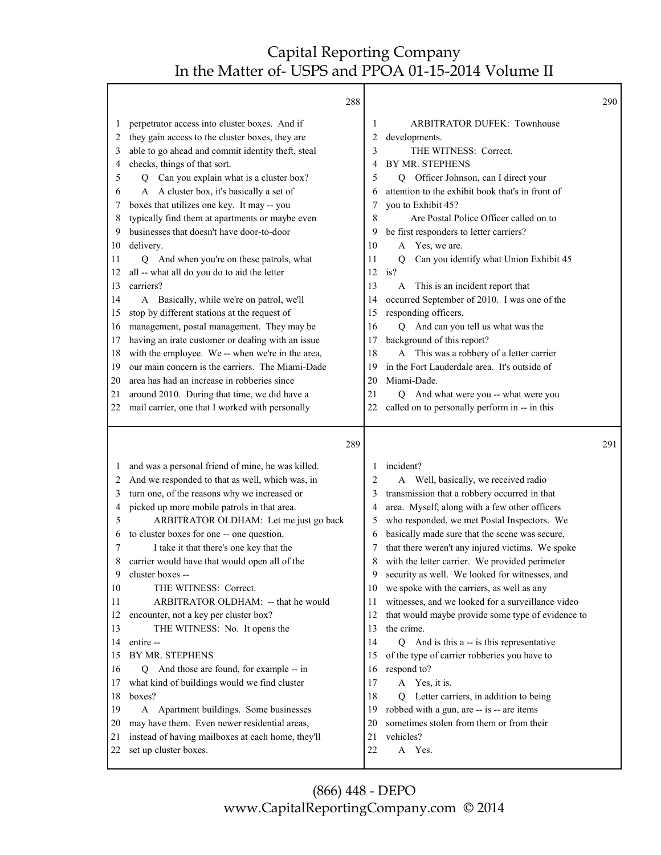|              | 288                                                                                             |          |                                                          | 290 |
|--------------|-------------------------------------------------------------------------------------------------|----------|----------------------------------------------------------|-----|
| 1            | perpetrator access into cluster boxes. And if                                                   | 1        | <b>ARBITRATOR DUFEK: Townhouse</b>                       |     |
| 2            | they gain access to the cluster boxes, they are                                                 | 2        | developments.                                            |     |
| 3            | able to go ahead and commit identity theft, steal                                               | 3        | THE WITNESS: Correct.                                    |     |
| 4            | checks, things of that sort.                                                                    | 4        | BY MR. STEPHENS                                          |     |
| 5            | Can you explain what is a cluster box?<br>Q                                                     | 5        | Q Officer Johnson, can I direct your                     |     |
| 6            | A A cluster box, it's basically a set of                                                        | 6        | attention to the exhibit book that's in front of         |     |
| 7            | boxes that utilizes one key. It may -- you                                                      | 7        | you to Exhibit 45?                                       |     |
| 8            | typically find them at apartments or maybe even                                                 | 8        | Are Postal Police Officer called on to                   |     |
| 9            | businesses that doesn't have door-to-door                                                       | 9        | be first responders to letter carriers?                  |     |
| 10           | delivery.                                                                                       | 10       | A Yes, we are.                                           |     |
| 11           | And when you're on these patrols, what<br>0                                                     | 11       | $\overline{O}$<br>Can you identify what Union Exhibit 45 |     |
| 12           | all -- what all do you do to aid the letter                                                     | 12       | is?                                                      |     |
| 13           | carriers?                                                                                       | 13       | This is an incident report that<br>A                     |     |
| 14           | A Basically, while we're on patrol, we'll                                                       | 14       | occurred September of 2010. I was one of the             |     |
| 15           | stop by different stations at the request of                                                    | 15       | responding officers.                                     |     |
| 16           | management, postal management. They may be                                                      | 16       | And can you tell us what was the<br>Q                    |     |
| 17           | having an irate customer or dealing with an issue                                               | 17       | background of this report?                               |     |
| 18           | with the employee. We -- when we're in the area,                                                | 18       | This was a robbery of a letter carrier<br>A              |     |
| 19           | our main concern is the carriers. The Miami-Dade                                                | 19       | in the Fort Lauderdale area. It's outside of             |     |
| 20           | area has had an increase in robberies since                                                     | 20       | Miami-Dade.                                              |     |
| 21           | around 2010. During that time, we did have a                                                    | 21       | Q And what were you -- what were you                     |     |
| 22           | mail carrier, one that I worked with personally                                                 | 22       | called on to personally perform in -- in this            |     |
|              |                                                                                                 |          |                                                          |     |
|              | 289                                                                                             |          |                                                          | 291 |
| $\mathbf{I}$ |                                                                                                 | 1        | incident?                                                |     |
| 2            | and was a personal friend of mine, he was killed.                                               | 2        | Well, basically, we received radio<br>A                  |     |
| 3            | And we responded to that as well, which was, in<br>turn one, of the reasons why we increased or | 3        | transmission that a robbery occurred in that             |     |
| 4            | picked up more mobile patrols in that area.                                                     | 4        | area. Myself, along with a few other officers            |     |
| 5            | ARBITRATOR OLDHAM: Let me just go back                                                          | 5        | who responded, we met Postal Inspectors. We              |     |
| 6            | to cluster boxes for one -- one question.                                                       | 6        | basically made sure that the scene was secure,           |     |
| 7            | I take it that there's one key that the                                                         | 7        | that there weren't any injured victims. We spoke         |     |
| 8            | carrier would have that would open all of the                                                   |          | with the letter carrier. We provided perimeter           |     |
| 9            | cluster boxes --                                                                                | 9        | security as well. We looked for witnesses, and           |     |
| 10           | THE WITNESS: Correct.                                                                           | 10       | we spoke with the carriers, as well as any               |     |
| 11           | ARBITRATOR OLDHAM: -- that he would                                                             | 11       | witnesses, and we looked for a surveillance video        |     |
| 12           | encounter, not a key per cluster box?                                                           | 12       | that would maybe provide some type of evidence to        |     |
| 13           | THE WITNESS: No. It opens the                                                                   | 13       | the crime.                                               |     |
| 14           | entire --                                                                                       | 14       | Q And is this a -- is this representative                |     |
| 15           | BY MR. STEPHENS                                                                                 | 15       | of the type of carrier robberies you have to             |     |
| 16           | And those are found, for example -- in<br>Q                                                     | 16       | respond to?                                              |     |
| 17           | what kind of buildings would we find cluster                                                    | 17       | A Yes, it is.                                            |     |
| 18           | boxes?                                                                                          | 18       | Letter carriers, in addition to being<br>Q               |     |
| 19           | A Apartment buildings. Some businesses                                                          | 19       | robbed with a gun, are -- is -- are items                |     |
| 20           | may have them. Even newer residential areas,                                                    | 20       | sometimes stolen from them or from their                 |     |
| 21<br>22     | instead of having mailboxes at each home, they'll<br>set up cluster boxes.                      | 21<br>22 | vehicles?<br>A Yes.                                      |     |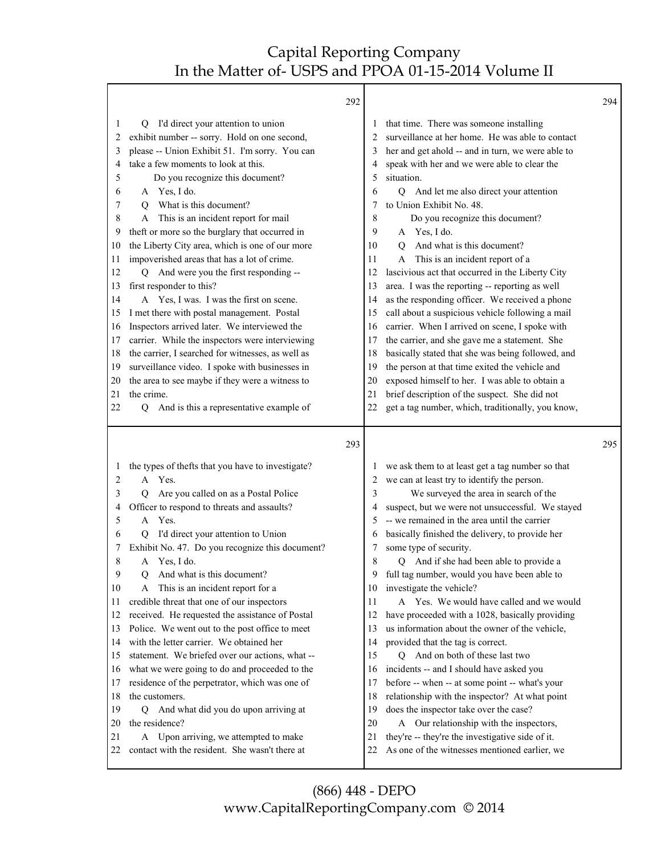|          | 292                                                                                        |          |                                                                                                   | 294 |
|----------|--------------------------------------------------------------------------------------------|----------|---------------------------------------------------------------------------------------------------|-----|
| 1        | I'd direct your attention to union<br>Q                                                    | 1        | that time. There was someone installing                                                           |     |
| 2        | exhibit number -- sorry. Hold on one second,                                               | 2        | surveillance at her home. He was able to contact                                                  |     |
| 3        | please -- Union Exhibit 51. I'm sorry. You can                                             | 3        | her and get ahold -- and in turn, we were able to                                                 |     |
| 4        | take a few moments to look at this.                                                        | 4        | speak with her and we were able to clear the                                                      |     |
| 5        | Do you recognize this document?                                                            | 5        | situation.                                                                                        |     |
| 6        | A Yes, I do.                                                                               | 6        | Q And let me also direct your attention                                                           |     |
| 7        | What is this document?<br>O                                                                | 7        | to Union Exhibit No. 48.                                                                          |     |
| 8        | A This is an incident report for mail                                                      | 8        | Do you recognize this document?                                                                   |     |
| 9        | theft or more so the burglary that occurred in                                             | 9        | A Yes, I do.                                                                                      |     |
| 10       | the Liberty City area, which is one of our more                                            | 10       | And what is this document?<br>O                                                                   |     |
| 11       | impoverished areas that has a lot of crime.                                                | 11       | This is an incident report of a<br>A                                                              |     |
| 12       | And were you the first responding --<br>O                                                  | 12       | lascivious act that occurred in the Liberty City                                                  |     |
| 13       | first responder to this?                                                                   | 13       | area. I was the reporting -- reporting as well                                                    |     |
| 14       | A Yes, I was. I was the first on scene.                                                    | 14       | as the responding officer. We received a phone                                                    |     |
| 15       | I met there with postal management. Postal                                                 | 15       | call about a suspicious vehicle following a mail                                                  |     |
| 16       | Inspectors arrived later. We interviewed the                                               | 16       | carrier. When I arrived on scene, I spoke with                                                    |     |
| 17       | carrier. While the inspectors were interviewing                                            | 17       | the carrier, and she gave me a statement. She                                                     |     |
| 18       | the carrier, I searched for witnesses, as well as                                          | 18       | basically stated that she was being followed, and                                                 |     |
| 19       | surveillance video. I spoke with businesses in                                             | 19       | the person at that time exited the vehicle and<br>exposed himself to her. I was able to obtain a  |     |
| 20<br>21 | the area to see maybe if they were a witness to<br>the crime.                              | 20<br>21 | brief description of the suspect. She did not                                                     |     |
| 22       | And is this a representative example of                                                    | 22       | get a tag number, which, traditionally, you know,                                                 |     |
|          | Q                                                                                          |          |                                                                                                   |     |
|          |                                                                                            |          |                                                                                                   |     |
|          | 293                                                                                        |          |                                                                                                   | 295 |
| 1        |                                                                                            | 1        |                                                                                                   |     |
| 2        | the types of thefts that you have to investigate?<br>A Yes.                                | 2        | we ask them to at least get a tag number so that<br>we can at least try to identify the person.   |     |
| 3        | Are you called on as a Postal Police<br>Q                                                  | 3        | We surveyed the area in search of the                                                             |     |
| 4        | Officer to respond to threats and assaults?                                                | 4        | suspect, but we were not unsuccessful. We stayed                                                  |     |
| 5        | Yes.<br>A                                                                                  | 5        | -- we remained in the area until the carrier                                                      |     |
| 6        | I'd direct your attention to Union                                                         | 6        | basically finished the delivery, to provide her                                                   |     |
| 7        | Exhibit No. 47. Do you recognize this document?                                            | 7        | some type of security.                                                                            |     |
| 8        | A Yes, I do.                                                                               | 8        | Q And if she had been able to provide a                                                           |     |
| 9        | And what is this document?<br>Q.                                                           | 9        | full tag number, would you have been able to                                                      |     |
| 10       | A This is an incident report for a                                                         | 10       | investigate the vehicle?                                                                          |     |
| 11       | credible threat that one of our inspectors                                                 | 11       | A Yes. We would have called and we would                                                          |     |
| 12       | received. He requested the assistance of Postal                                            | 12       | have proceeded with a 1028, basically providing                                                   |     |
| 13       | Police. We went out to the post office to meet                                             | 13       | us information about the owner of the vehicle,                                                    |     |
| 14       | with the letter carrier. We obtained her                                                   | 14       | provided that the tag is correct.                                                                 |     |
| 15       | statement. We briefed over our actions, what --                                            | 15       | Q And on both of these last two                                                                   |     |
| 16       | what we were going to do and proceeded to the                                              | 16       | incidents -- and I should have asked you                                                          |     |
| 17       | residence of the perpetrator, which was one of                                             | 17       | before -- when -- at some point -- what's your                                                    |     |
| 18       | the customers.                                                                             | 18       | relationship with the inspector? At what point                                                    |     |
| 19       | And what did you do upon arriving at<br>Q                                                  | 19       | does the inspector take over the case?                                                            |     |
| 20       | the residence?                                                                             | 20       | Our relationship with the inspectors,<br>A                                                        |     |
| 21<br>22 | Upon arriving, we attempted to make<br>A<br>contact with the resident. She wasn't there at | 21<br>22 | they're -- they're the investigative side of it.<br>As one of the witnesses mentioned earlier, we |     |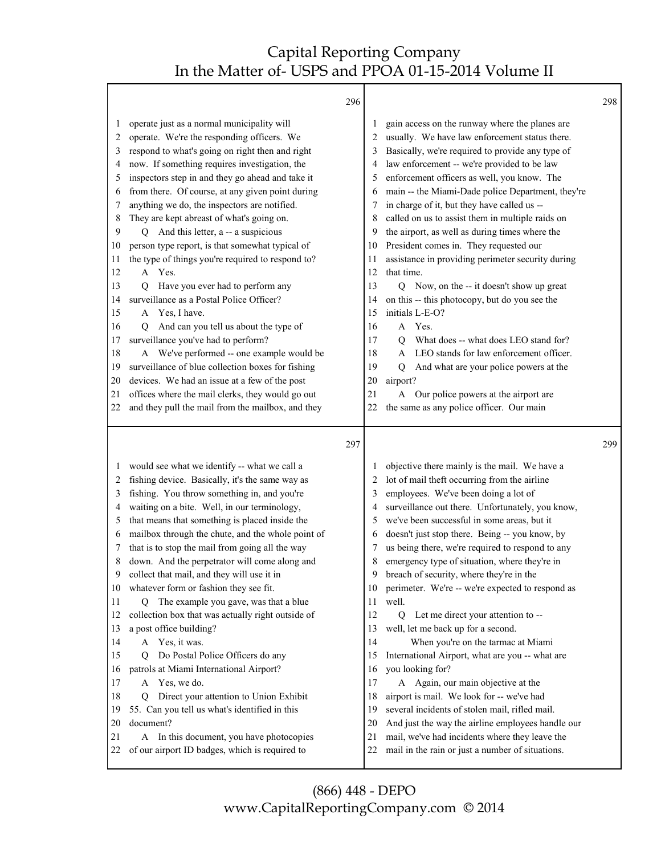Т

|                                                                                                                                                                                                                                                                                                                                                                                                                                                                                                                                                                                                                                                                                                                                                                                                                                                                                                                                                                                                                                                                                                           | 296 |                                                                                                                    |                                                                                                                                                                                                                                                                                                                                                                                                                                                                                                                                                                                                                                                                                                                                                                                                                                                                                                                                                                                                        | 298 |
|-----------------------------------------------------------------------------------------------------------------------------------------------------------------------------------------------------------------------------------------------------------------------------------------------------------------------------------------------------------------------------------------------------------------------------------------------------------------------------------------------------------------------------------------------------------------------------------------------------------------------------------------------------------------------------------------------------------------------------------------------------------------------------------------------------------------------------------------------------------------------------------------------------------------------------------------------------------------------------------------------------------------------------------------------------------------------------------------------------------|-----|--------------------------------------------------------------------------------------------------------------------|--------------------------------------------------------------------------------------------------------------------------------------------------------------------------------------------------------------------------------------------------------------------------------------------------------------------------------------------------------------------------------------------------------------------------------------------------------------------------------------------------------------------------------------------------------------------------------------------------------------------------------------------------------------------------------------------------------------------------------------------------------------------------------------------------------------------------------------------------------------------------------------------------------------------------------------------------------------------------------------------------------|-----|
| operate just as a normal municipality will<br>1<br>operate. We're the responding officers. We<br>2<br>respond to what's going on right then and right<br>3<br>now. If something requires investigation, the<br>4<br>inspectors step in and they go ahead and take it<br>5<br>from there. Of course, at any given point during<br>6<br>anything we do, the inspectors are notified.<br>7<br>They are kept abreast of what's going on.<br>8<br>And this letter, a -- a suspicious<br>9<br>О<br>person type report, is that somewhat typical of<br>10<br>the type of things you're required to respond to?<br>11<br>A Yes.<br>12<br>Have you ever had to perform any<br>13<br>$\overline{Q}$<br>surveillance as a Postal Police Officer?<br>14<br>A Yes, I have.<br>15<br>And can you tell us about the type of<br>16<br>$\circ$<br>surveillance you've had to perform?<br>17<br>A We've performed -- one example would be<br>18<br>surveillance of blue collection boxes for fishing<br>19<br>devices. We had an issue at a few of the post<br>20<br>offices where the mail clerks, they would go out<br>21 |     | 1<br>2<br>3<br>4<br>5<br>6<br>7<br>8<br>9<br>10<br>11<br>12<br>13<br>14<br>15<br>16<br>17<br>18<br>19<br>20<br>21  | gain access on the runway where the planes are<br>usually. We have law enforcement status there.<br>Basically, we're required to provide any type of<br>law enforcement -- we're provided to be law<br>enforcement officers as well, you know. The<br>main -- the Miami-Dade police Department, they're<br>in charge of it, but they have called us --<br>called on us to assist them in multiple raids on<br>the airport, as well as during times where the<br>President comes in. They requested our<br>assistance in providing perimeter security during<br>that time.<br>Q Now, on the -- it doesn't show up great<br>on this -- this photocopy, but do you see the<br>initials L-E-O?<br>A Yes.<br>What does -- what does LEO stand for?<br>O<br>LEO stands for law enforcement officer.<br>$\mathsf{A}$<br>And what are your police powers at the<br>$\mathbf Q$<br>airport?<br>Our police powers at the airport are<br>A                                                                        |     |
| and they pull the mail from the mailbox, and they<br>22                                                                                                                                                                                                                                                                                                                                                                                                                                                                                                                                                                                                                                                                                                                                                                                                                                                                                                                                                                                                                                                   |     | 22                                                                                                                 | the same as any police officer. Our main                                                                                                                                                                                                                                                                                                                                                                                                                                                                                                                                                                                                                                                                                                                                                                                                                                                                                                                                                               |     |
|                                                                                                                                                                                                                                                                                                                                                                                                                                                                                                                                                                                                                                                                                                                                                                                                                                                                                                                                                                                                                                                                                                           | 297 |                                                                                                                    |                                                                                                                                                                                                                                                                                                                                                                                                                                                                                                                                                                                                                                                                                                                                                                                                                                                                                                                                                                                                        | 299 |
| would see what we identify -- what we call a<br>1<br>fishing device. Basically, it's the same way as<br>2<br>fishing. You throw something in, and you're<br>3<br>waiting on a bite. Well, in our terminology,<br>4<br>that means that something is placed inside the<br>5<br>mailbox through the chute, and the whole point of<br>6<br>that is to stop the mail from going all the way<br>7<br>down. And the perpetrator will come along and<br>8<br>collect that mail, and they will use it in<br>9<br>whatever form or fashion they see fit.<br>10<br>The example you gave, was that a blue<br>11<br>Q.<br>collection box that was actually right outside of<br>12<br>a post office building?<br>13<br>A Yes, it was.<br>14<br>Do Postal Police Officers do any<br>15<br>О<br>patrols at Miami International Airport?<br>16<br>A Yes, we do.<br>17<br>Direct your attention to Union Exhibit<br>18<br>Q<br>55. Can you tell us what's identified in this<br>19<br>document?<br>20<br>A In this document, you have photocopies<br>21<br>of our airport ID badges, which is required to<br>22             |     | 2<br>3<br>4<br>5<br>6<br>7<br>8<br>9<br>10<br>11<br>12<br>13<br>14<br>15<br>16<br>17<br>18<br>19<br>20<br>21<br>22 | objective there mainly is the mail. We have a<br>lot of mail theft occurring from the airline<br>employees. We've been doing a lot of<br>surveillance out there. Unfortunately, you know,<br>we've been successful in some areas, but it<br>doesn't just stop there. Being -- you know, by<br>us being there, we're required to respond to any<br>emergency type of situation, where they're in<br>breach of security, where they're in the<br>perimeter. We're -- we're expected to respond as<br>well.<br>Q<br>Let me direct your attention to --<br>well, let me back up for a second.<br>When you're on the tarmac at Miami<br>International Airport, what are you -- what are<br>you looking for?<br>A Again, our main objective at the<br>airport is mail. We look for -- we've had<br>several incidents of stolen mail, rifled mail.<br>And just the way the airline employees handle our<br>mail, we've had incidents where they leave the<br>mail in the rain or just a number of situations. |     |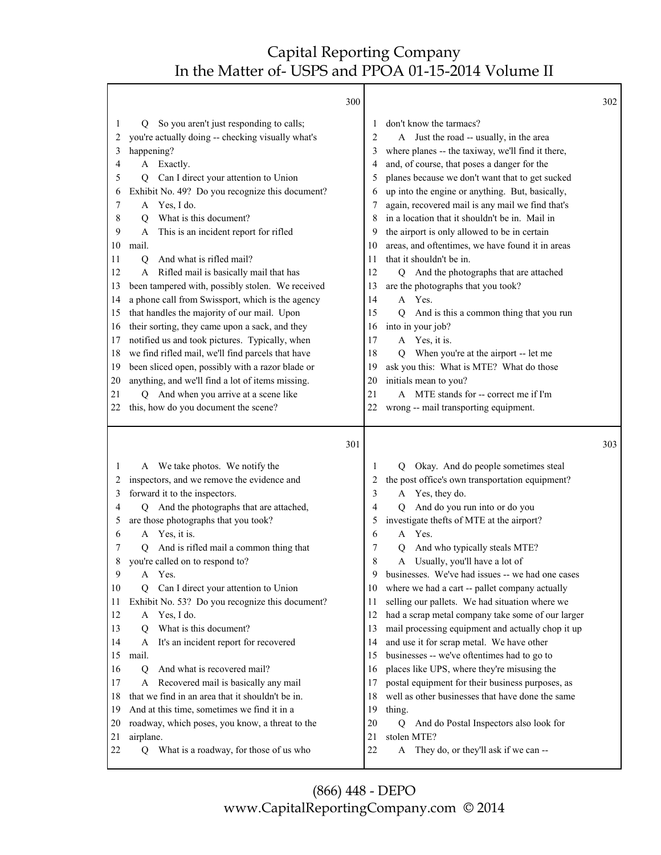|          |                                                                                          | 300 |                                                                                 | 302 |
|----------|------------------------------------------------------------------------------------------|-----|---------------------------------------------------------------------------------|-----|
| 1        | So you aren't just responding to calls;<br>Q                                             |     | don't know the tarmacs?<br>1                                                    |     |
| 2        | you're actually doing -- checking visually what's                                        |     | A Just the road -- usually, in the area<br>2                                    |     |
| 3        | happening?                                                                               |     | where planes -- the taxiway, we'll find it there,<br>3                          |     |
| 4        | A Exactly.                                                                               |     | and, of course, that poses a danger for the<br>4                                |     |
| 5        | Can I direct your attention to Union<br>Q                                                |     | planes because we don't want that to get sucked<br>5                            |     |
| 6        | Exhibit No. 49? Do you recognize this document?                                          |     | up into the engine or anything. But, basically,<br>6                            |     |
| 7        | A Yes, I do.                                                                             |     | again, recovered mail is any mail we find that's<br>7                           |     |
| 8        | What is this document?<br>О                                                              |     | in a location that it shouldn't be in. Mail in<br>8                             |     |
| 9        | This is an incident report for rifled<br>А                                               |     | the airport is only allowed to be in certain<br>9                               |     |
| 10       | mail.                                                                                    |     | areas, and oftentimes, we have found it in areas<br>10                          |     |
| 11       | And what is rifled mail?<br>O                                                            |     | that it shouldn't be in.<br>11                                                  |     |
| 12       | A Rifled mail is basically mail that has                                                 |     | 12<br>And the photographs that are attached<br>Q                                |     |
| 13       | been tampered with, possibly stolen. We received                                         |     | are the photographs that you took?<br>13                                        |     |
| 14       | a phone call from Swissport, which is the agency                                         |     | A Yes.<br>14                                                                    |     |
| 15       | that handles the majority of our mail. Upon                                              |     | 15<br>$\overline{O}$<br>And is this a common thing that you run                 |     |
| 16       | their sorting, they came upon a sack, and they                                           |     | into in your job?<br>16                                                         |     |
| 17       | notified us and took pictures. Typically, when                                           |     | 17<br>A Yes, it is.                                                             |     |
| 18       | we find rifled mail, we'll find parcels that have                                        |     | 18<br>When you're at the airport -- let me<br>Q                                 |     |
| 19       | been sliced open, possibly with a razor blade or                                         |     | ask you this: What is MTE? What do those<br>19                                  |     |
| 20       | anything, and we'll find a lot of items missing.                                         |     | initials mean to you?<br>20                                                     |     |
| 21       | And when you arrive at a scene like<br>О                                                 |     | 21<br>A MTE stands for -- correct me if I'm                                     |     |
| 22       | this, how do you document the scene?                                                     |     | 22<br>wrong -- mail transporting equipment.                                     |     |
|          |                                                                                          |     |                                                                                 |     |
|          |                                                                                          |     |                                                                                 |     |
|          |                                                                                          | 301 |                                                                                 | 303 |
| 1        | A We take photos. We notify the                                                          |     | Okay. And do people sometimes steal<br>1<br>O.                                  |     |
| 2        | inspectors, and we remove the evidence and                                               |     | the post office's own transportation equipment?<br>2                            |     |
| 3        |                                                                                          |     | 3<br>A                                                                          |     |
| 4        | forward it to the inspectors.<br>And the photographs that are attached,<br>О             |     | Yes, they do.<br>4<br>O                                                         |     |
| 5        | are those photographs that you took?                                                     |     | And do you run into or do you<br>investigate thefts of MTE at the airport?<br>5 |     |
| 6        | A Yes, it is.                                                                            |     | Yes.<br>6<br>A                                                                  |     |
| 7        | And is rifled mail a common thing that<br>О                                              |     | And who typically steals MTE?<br>7<br>O                                         |     |
|          | you're called on to respond to?                                                          |     | 8<br>A<br>Usually, you'll have a lot of                                         |     |
| 9        | Yes.<br>A                                                                                |     | businesses. We've had issues -- we had one cases<br>9                           |     |
| 10       | Q                                                                                        |     | 10                                                                              |     |
| 11       | Can I direct your attention to Union                                                     |     | where we had a cart -- pallet company actually<br>11                            |     |
| 12       | Exhibit No. 53? Do you recognize this document?<br>Yes, I do.<br>A                       |     | selling our pallets. We had situation where we<br>12                            |     |
| 13       | What is this document?<br>О                                                              |     | had a scrap metal company take some of our larger<br>13                         |     |
| 14       | A                                                                                        |     | mail processing equipment and actually chop it up<br>14                         |     |
|          | It's an incident report for recovered                                                    |     | and use it for scrap metal. We have other<br>15                                 |     |
| 15<br>16 | mail.<br>$\overline{Q}$                                                                  |     | businesses -- we've oftentimes had to go to<br>16                               |     |
|          | And what is recovered mail?<br>A                                                         |     | places like UPS, where they're misusing the<br>17                               |     |
| 17<br>18 | Recovered mail is basically any mail<br>that we find in an area that it shouldn't be in. |     | postal equipment for their business purposes, as<br>18                          |     |
|          |                                                                                          |     | well as other businesses that have done the same                                |     |
| 19       | And at this time, sometimes we find it in a                                              |     | 19<br>thing.                                                                    |     |
| 20       | roadway, which poses, you know, a threat to the                                          |     | 20<br>And do Postal Inspectors also look for<br>Q<br>21                         |     |
| 21<br>22 | airplane.<br>What is a roadway, for those of us who<br>Q                                 |     | stolen MTE?<br>22<br>They do, or they'll ask if we can --<br>A                  |     |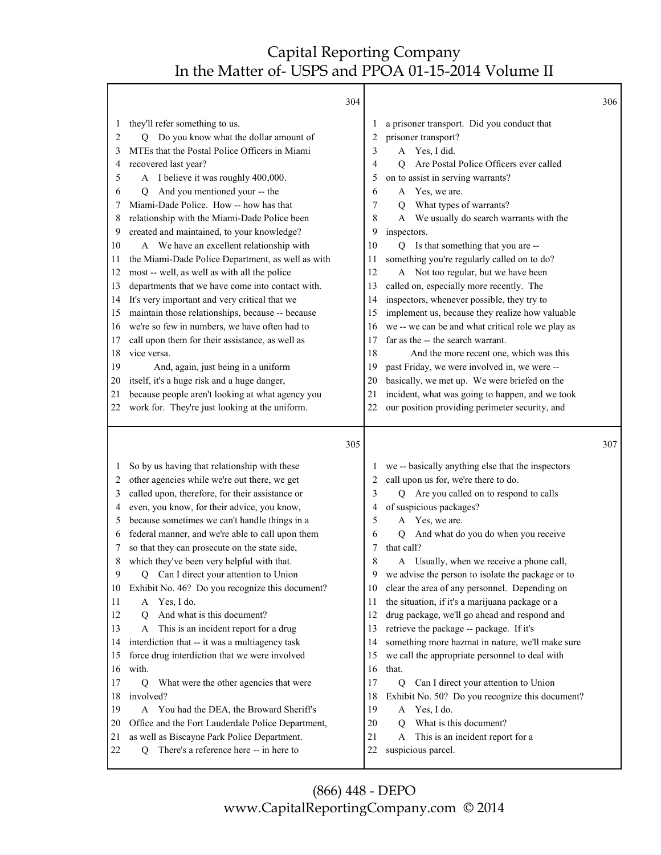|          |                                                                                            | 304 |          |                                                        | 306 |
|----------|--------------------------------------------------------------------------------------------|-----|----------|--------------------------------------------------------|-----|
| 1        | they'll refer something to us.                                                             |     | 1        | a prisoner transport. Did you conduct that             |     |
| 2        | Do you know what the dollar amount of<br>О                                                 |     | 2        | prisoner transport?                                    |     |
| 3        | MTEs that the Postal Police Officers in Miami                                              |     | 3        | A Yes, I did.                                          |     |
| 4        | recovered last year?                                                                       |     | 4        | Are Postal Police Officers ever called<br>0            |     |
| 5        | A I believe it was roughly 400,000.                                                        |     | 5        | on to assist in serving warrants?                      |     |
| 6        | And you mentioned your -- the<br>О                                                         |     | 6        | Yes, we are.<br>A                                      |     |
| 7        | Miami-Dade Police. How -- how has that                                                     |     | 7        | What types of warrants?<br>O                           |     |
| 8        | relationship with the Miami-Dade Police been                                               |     | 8        | We usually do search warrants with the<br>A            |     |
| 9        | created and maintained, to your knowledge?                                                 |     | 9        | inspectors.                                            |     |
| 10       | A We have an excellent relationship with                                                   |     | 10       | Q Is that something that you are --                    |     |
| 11       | the Miami-Dade Police Department, as well as with                                          |     | 11       | something you're regularly called on to do?            |     |
| 12       | most -- well, as well as with all the police                                               |     | 12       | A Not too regular, but we have been                    |     |
| 13       | departments that we have come into contact with.                                           |     | 13       | called on, especially more recently. The               |     |
| 14       | It's very important and very critical that we                                              |     | 14       | inspectors, whenever possible, they try to             |     |
| 15       | maintain those relationships, because -- because                                           |     | 15       | implement us, because they realize how valuable        |     |
| 16       | we're so few in numbers, we have often had to                                              |     | 16       | we -- we can be and what critical role we play as      |     |
| 17       | call upon them for their assistance, as well as                                            |     | 17       | far as the -- the search warrant.                      |     |
| 18       | vice versa.                                                                                |     | 18       | And the more recent one, which was this                |     |
| 19       | And, again, just being in a uniform                                                        |     | 19       | past Friday, we were involved in, we were --           |     |
| 20       | itself, it's a huge risk and a huge danger,                                                |     | 20       | basically, we met up. We were briefed on the           |     |
| 21       | because people aren't looking at what agency you                                           |     | 21       | incident, what was going to happen, and we took        |     |
| 22       | work for. They're just looking at the uniform.                                             |     | 22       | our position providing perimeter security, and         |     |
|          |                                                                                            |     |          |                                                        |     |
|          |                                                                                            |     |          |                                                        |     |
|          |                                                                                            | 305 |          |                                                        | 307 |
| 1        |                                                                                            |     | 1        |                                                        |     |
| 2        | So by us having that relationship with these                                               |     | 2        | we -- basically anything else that the inspectors      |     |
| 3        | other agencies while we're out there, we get                                               |     | 3        | call upon us for, we're there to do.                   |     |
| 4        | called upon, therefore, for their assistance or                                            |     | 4        | Q Are you called on to respond to calls                |     |
| 5        | even, you know, for their advice, you know,                                                |     | 5        | of suspicious packages?<br>A                           |     |
| 6        | because sometimes we can't handle things in a                                              |     | 6        | Yes, we are.<br>$\overline{Q}$                         |     |
| 7        | federal manner, and we're able to call upon them                                           |     | 7        | And what do you do when you receive<br>that call?      |     |
| 8        | so that they can prosecute on the state side,                                              |     |          | A                                                      |     |
|          | which they've been very helpful with that.                                                 |     | 8<br>9   | Usually, when we receive a phone call,                 |     |
| 9<br>10  | Can I direct your attention to Union<br>Q                                                  |     | 10       | we advise the person to isolate the package or to      |     |
| 11       | Exhibit No. 46? Do you recognize this document?<br>A                                       |     | 11       | clear the area of any personnel. Depending on          |     |
| 12       | Yes, I do.<br>О                                                                            |     | 12       | the situation, if it's a marijuana package or a        |     |
| 13       | And what is this document?<br>A                                                            |     | 13       | drug package, we'll go ahead and respond and           |     |
| 14       | This is an incident report for a drug                                                      |     | 14       | retrieve the package -- package. If it's               |     |
| 15       | interdiction that -- it was a multiagency task                                             |     | 15       | something more hazmat in nature, we'll make sure       |     |
| 16       | force drug interdiction that we were involved                                              |     | 16       | we call the appropriate personnel to deal with         |     |
|          | with.                                                                                      |     |          | that.                                                  |     |
| 17       | $\overline{Q}$<br>What were the other agencies that were                                   |     | 17       | Can I direct your attention to Union<br>$\overline{Q}$ |     |
| 18       | involved?                                                                                  |     | 18       | Exhibit No. 50? Do you recognize this document?        |     |
| 19       | You had the DEA, the Broward Sheriff's<br>A                                                |     | 19       | Yes, I do.<br>A                                        |     |
| 20<br>21 | Office and the Fort Lauderdale Police Department,                                          |     | 20       | What is this document?<br>0<br>A                       |     |
| 22       | as well as Biscayne Park Police Department.<br>There's a reference here -- in here to<br>Q |     | 21<br>22 | This is an incident report for a<br>suspicious parcel. |     |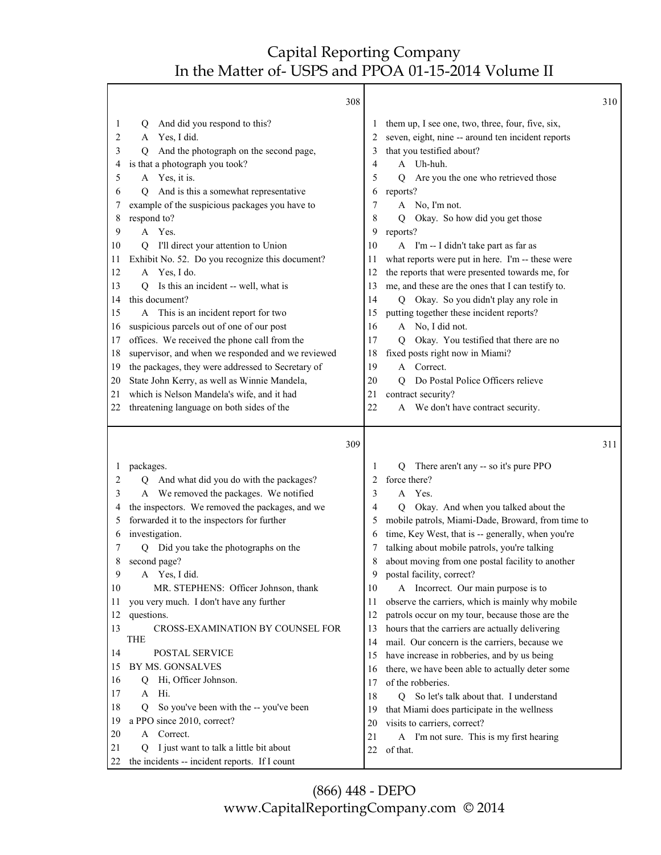|              | 308                                                          |          |                                                       | 310 |
|--------------|--------------------------------------------------------------|----------|-------------------------------------------------------|-----|
| 1            | And did you respond to this?<br>Q                            |          | them up, I see one, two, three, four, five, six,      |     |
| 2            | Yes, I did.<br>A                                             | 2        | seven, eight, nine -- around ten incident reports     |     |
| 3            | And the photograph on the second page,<br>О                  | 3        | that you testified about?                             |     |
| 4            | is that a photograph you took?                               | 4        | A Uh-huh.                                             |     |
| 5            | A Yes, it is.                                                | 5        | Are you the one who retrieved those<br>$\overline{Q}$ |     |
| 6            | And is this a somewhat representative<br>O                   | 6        | reports?                                              |     |
| 7            | example of the suspicious packages you have to               | 7        | A No, I'm not.                                        |     |
| 8            | respond to?                                                  | 8        | Okay. So how did you get those<br>O                   |     |
| 9            | A Yes.                                                       | 9        | reports?                                              |     |
| 10           | I'll direct your attention to Union<br>O                     | 10       | A I'm -- I didn't take part as far as                 |     |
| 11           | Exhibit No. 52. Do you recognize this document?              | 11       | what reports were put in here. I'm -- these were      |     |
| 12           | A Yes, I do.                                                 | 12       | the reports that were presented towards me, for       |     |
| 13           | Is this an incident -- well, what is<br>Q                    | 13       | me, and these are the ones that I can testify to.     |     |
| 14           | this document?                                               | 14       | Q Okay. So you didn't play any role in                |     |
| 15           | A This is an incident report for two                         | 15       | putting together these incident reports?              |     |
| 16           | suspicious parcels out of one of our post                    | 16       | A No, I did not.                                      |     |
| 17           | offices. We received the phone call from the                 | 17       | Okay. You testified that there are no<br>Q            |     |
| 18           | supervisor, and when we responded and we reviewed            | 18       | fixed posts right now in Miami?                       |     |
| 19           | the packages, they were addressed to Secretary of            | 19       | A Correct.                                            |     |
| 20           | State John Kerry, as well as Winnie Mandela,                 | 20       | Do Postal Police Officers relieve<br>O.               |     |
| 21           | which is Nelson Mandela's wife, and it had                   | 21       | contract security?                                    |     |
| 22           | threatening language on both sides of the                    | 22       | A We don't have contract security.                    |     |
|              |                                                              |          |                                                       |     |
|              | 309                                                          |          |                                                       | 311 |
| $\mathbf{I}$ | packages.                                                    | 1        | There aren't any -- so it's pure PPO<br>Q             |     |
| 2            | And what did you do with the packages?                       | 2        | force there?                                          |     |
| 3            | A We removed the packages. We notified                       | 3        | Yes.<br>A                                             |     |
| 4            | the inspectors. We removed the packages, and we              | 4        | Okay. And when you talked about the<br>Q              |     |
| 5            | forwarded it to the inspectors for further                   | 5        | mobile patrols, Miami-Dade, Broward, from time to     |     |
| 6            | investigation.                                               | 6        | time, Key West, that is -- generally, when you're     |     |
| 7            | Q Did you take the photographs on the                        | 7        | talking about mobile patrols, you're talking          |     |
| 8            | second page?                                                 |          | about moving from one postal facility to another      |     |
| 9            | A Yes, I did.                                                | 9        | postal facility, correct?                             |     |
| 10           | MR. STEPHENS: Officer Johnson, thank                         | 10       | A Incorrect. Our main purpose is to                   |     |
| 11           | you very much. I don't have any further                      | 11       | observe the carriers, which is mainly why mobile      |     |
| 12           | questions.                                                   | 12       | patrols occur on my tour, because those are the       |     |
| 13           | CROSS-EXAMINATION BY COUNSEL FOR                             | 13       | hours that the carriers are actually delivering       |     |
|              | THE                                                          | 14       | mail. Our concern is the carriers, because we         |     |
| 14           | POSTAL SERVICE                                               | 15       | have increase in robberies, and by us being           |     |
| 15           | BY MS. GONSALVES                                             | 16       | there, we have been able to actually deter some       |     |
| 16           | Hi, Officer Johnson.<br>Q                                    | 17       | of the robberies.                                     |     |
| 17           | Hi.<br>A                                                     | 18       | So let's talk about that. I understand<br>Q           |     |
| 18           | So you've been with the -- you've been<br>Q                  | 19       | that Miami does participate in the wellness           |     |
| 19           | a PPO since 2010, correct?                                   | 20       | visits to carriers, correct?                          |     |
| 20<br>21     | Correct.<br>A<br>I just want to talk a little bit about<br>Q | 21<br>22 | A I'm not sure. This is my first hearing<br>of that.  |     |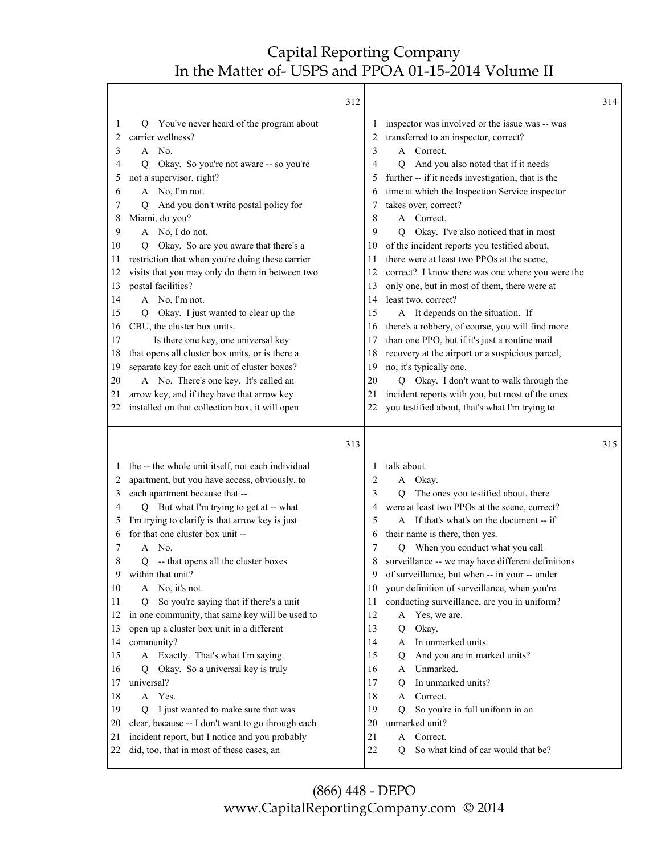Г

|              | 312                                                                                         |              |                                                                                      | 314 |
|--------------|---------------------------------------------------------------------------------------------|--------------|--------------------------------------------------------------------------------------|-----|
| 1            | Q You've never heard of the program about                                                   | 1            | inspector was involved or the issue was -- was                                       |     |
| 2            | carrier wellness?                                                                           | 2            | transferred to an inspector, correct?                                                |     |
| 3            | A No.                                                                                       | 3            | A Correct.                                                                           |     |
| 4            | Okay. So you're not aware -- so you're<br>O.                                                | 4            | And you also noted that if it needs<br>Q                                             |     |
| 5            | not a supervisor, right?                                                                    | 5            | further -- if it needs investigation, that is the                                    |     |
| 6            | A No, I'm not.                                                                              | 6            | time at which the Inspection Service inspector                                       |     |
| 7            | And you don't write postal policy for<br>O                                                  | 7            | takes over, correct?                                                                 |     |
| 8            | Miami, do you?                                                                              | 8            | A Correct.                                                                           |     |
| 9            | A No, I do not.                                                                             | 9            | Okay. I've also noticed that in most<br>O                                            |     |
| 10           | Okay. So are you aware that there's a<br>Q.                                                 | 10           | of the incident reports you testified about,                                         |     |
| 11           | restriction that when you're doing these carrier                                            | 11           | there were at least two PPOs at the scene,                                           |     |
| 12           | visits that you may only do them in between two                                             | 12           | correct? I know there was one where you were the                                     |     |
| 13           | postal facilities?                                                                          | 13           | only one, but in most of them, there were at                                         |     |
| 14           | A No, I'm not.                                                                              | 14           | least two, correct?                                                                  |     |
| 15           | Okay. I just wanted to clear up the<br>Q.                                                   | 15           | A It depends on the situation. If                                                    |     |
| 16           | CBU, the cluster box units.                                                                 | 16           | there's a robbery, of course, you will find more                                     |     |
| 17           | Is there one key, one universal key                                                         | 17           | than one PPO, but if it's just a routine mail                                        |     |
| 18           | that opens all cluster box units, or is there a                                             | 18           | recovery at the airport or a suspicious parcel,                                      |     |
| 19           | separate key for each unit of cluster boxes?                                                | 19           | no, it's typically one.                                                              |     |
| 20           | A No. There's one key. It's called an                                                       | 20           | Q Okay. I don't want to walk through the                                             |     |
| 21           | arrow key, and if they have that arrow key                                                  | 21           | incident reports with you, but most of the ones                                      |     |
| 22           | installed on that collection box, it will open                                              | 22           | you testified about, that's what I'm trying to                                       |     |
|              |                                                                                             |              |                                                                                      |     |
|              | 313                                                                                         |              |                                                                                      | 315 |
|              |                                                                                             | $\mathbf{I}$ | talk about.                                                                          |     |
| $\mathbf{I}$ | the -- the whole unit itself, not each individual                                           | 2            | A                                                                                    |     |
| 2<br>3       | apartment, but you have access, obviously, to                                               | 3            | Okay.<br>Q                                                                           |     |
| 4            | each apartment because that --<br>Q But what I'm trying to get at -- what                   | 4            | The ones you testified about, there<br>were at least two PPOs at the scene, correct? |     |
| 5            | I'm trying to clarify is that arrow key is just                                             | 5            | A If that's what's on the document -- if                                             |     |
| 6            | for that one cluster box unit --                                                            | 6            | their name is there, then yes.                                                       |     |
| 7            | A No.                                                                                       | 7            | When you conduct what you call<br>Q                                                  |     |
| 8            | -- that opens all the cluster boxes<br>Q                                                    | 8            | surveillance -- we may have different definitions                                    |     |
| 9            | within that unit?                                                                           |              | of surveillance, but when -- in your -- under                                        |     |
| 10           | A No, it's not.                                                                             | 10           | your definition of surveillance, when you're                                         |     |
| 11           | So you're saying that if there's a unit<br>Q                                                | 11           | conducting surveillance, are you in uniform?                                         |     |
| 12           | in one community, that same key will be used to                                             | 12           | Yes, we are.<br>A                                                                    |     |
| 13           | open up a cluster box unit in a different                                                   | 13           | Okay.<br>Q                                                                           |     |
| 14           | community?                                                                                  | 14           | In unmarked units.<br>A                                                              |     |
| 15           | A Exactly. That's what I'm saying.                                                          | 15           | And you are in marked units?<br>Q                                                    |     |
| 16           | Okay. So a universal key is truly<br>Q                                                      | 16           | Unmarked.<br>A                                                                       |     |
| 17           | universal?                                                                                  | 17           | In unmarked units?<br>Q                                                              |     |
| 18           | A Yes.                                                                                      | 18           | Correct.<br>A                                                                        |     |
| 19           | I just wanted to make sure that was<br>Q                                                    | 19           | So you're in full uniform in an<br>Q                                                 |     |
| 20           | clear, because -- I don't want to go through each                                           | 20           | unmarked unit?                                                                       |     |
| 21<br>22     | incident report, but I notice and you probably<br>did, too, that in most of these cases, an | 21<br>$22\,$ | A Correct.<br>So what kind of car would that be?<br>0                                |     |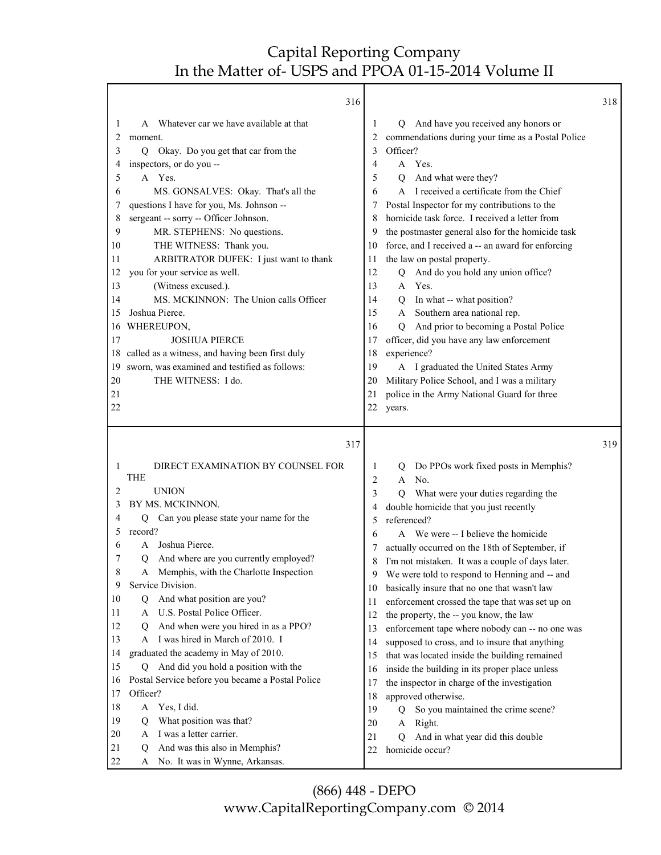٦

|                                                                                                                         | 316                                                                                                                                                                                                                                                                                                                                                                                                                                                                                                                                                                                                                                                        |                                                                                                                         |                                                                                                                                                                                                                                                                                                                                                                                                                                                                                                                                                                                                                                                                                                                                                                                                                                                                      | 318 |
|-------------------------------------------------------------------------------------------------------------------------|------------------------------------------------------------------------------------------------------------------------------------------------------------------------------------------------------------------------------------------------------------------------------------------------------------------------------------------------------------------------------------------------------------------------------------------------------------------------------------------------------------------------------------------------------------------------------------------------------------------------------------------------------------|-------------------------------------------------------------------------------------------------------------------------|----------------------------------------------------------------------------------------------------------------------------------------------------------------------------------------------------------------------------------------------------------------------------------------------------------------------------------------------------------------------------------------------------------------------------------------------------------------------------------------------------------------------------------------------------------------------------------------------------------------------------------------------------------------------------------------------------------------------------------------------------------------------------------------------------------------------------------------------------------------------|-----|
| 1<br>2<br>3<br>4<br>5<br>6<br>7<br>8<br>9<br>10<br>11<br>12<br>13<br>14<br>15<br>16<br>17<br>18<br>19<br>20<br>21<br>22 | Whatever car we have available at that<br>A<br>moment.<br>Okay. Do you get that car from the<br>Q<br>inspectors, or do you --<br>A Yes.<br>MS. GONSALVES: Okay. That's all the<br>questions I have for you, Ms. Johnson --<br>sergeant -- sorry -- Officer Johnson.<br>MR. STEPHENS: No questions.<br>THE WITNESS: Thank you.<br>ARBITRATOR DUFEK: I just want to thank<br>you for your service as well.<br>(Witness excused.).<br>MS. MCKINNON: The Union calls Officer<br>Joshua Pierce.<br>WHEREUPON,<br><b>JOSHUA PIERCE</b><br>called as a witness, and having been first duly<br>sworn, was examined and testified as follows:<br>THE WITNESS: I do. | 1<br>2<br>3<br>4<br>5<br>6<br>7<br>8<br>9<br>10<br>11<br>12<br>13<br>14<br>15<br>16<br>17<br>18<br>19<br>20<br>21<br>22 | And have you received any honors or<br>Q<br>commendations during your time as a Postal Police<br>Officer?<br>A Yes.<br>And what were they?<br>Q<br>I received a certificate from the Chief<br>$\mathsf{A}$<br>Postal Inspector for my contributions to the<br>homicide task force. I received a letter from<br>the postmaster general also for the homicide task<br>force, and I received a -- an award for enforcing<br>the law on postal property.<br>And do you hold any union office?<br>$\overline{Q}$<br>Yes.<br>$\mathsf{A}$<br>In what -- what position?<br>$\mathbf Q$<br>Southern area national rep.<br>A<br>And prior to becoming a Postal Police<br>O<br>officer, did you have any law enforcement<br>experience?<br>A I graduated the United States Army<br>Military Police School, and I was a military<br>police in the Army National Guard for three |     |
|                                                                                                                         |                                                                                                                                                                                                                                                                                                                                                                                                                                                                                                                                                                                                                                                            |                                                                                                                         | years.                                                                                                                                                                                                                                                                                                                                                                                                                                                                                                                                                                                                                                                                                                                                                                                                                                                               |     |
|                                                                                                                         |                                                                                                                                                                                                                                                                                                                                                                                                                                                                                                                                                                                                                                                            |                                                                                                                         |                                                                                                                                                                                                                                                                                                                                                                                                                                                                                                                                                                                                                                                                                                                                                                                                                                                                      |     |
|                                                                                                                         | 317                                                                                                                                                                                                                                                                                                                                                                                                                                                                                                                                                                                                                                                        |                                                                                                                         |                                                                                                                                                                                                                                                                                                                                                                                                                                                                                                                                                                                                                                                                                                                                                                                                                                                                      | 319 |
| 1                                                                                                                       | DIRECT EXAMINATION BY COUNSEL FOR<br><b>THE</b>                                                                                                                                                                                                                                                                                                                                                                                                                                                                                                                                                                                                            | 1<br>2                                                                                                                  | Do PPOs work fixed posts in Memphis?<br>Q<br>No.<br>$\mathsf{A}$                                                                                                                                                                                                                                                                                                                                                                                                                                                                                                                                                                                                                                                                                                                                                                                                     |     |
| 2                                                                                                                       | <b>UNION</b>                                                                                                                                                                                                                                                                                                                                                                                                                                                                                                                                                                                                                                               | 3                                                                                                                       | What were your duties regarding the<br>O                                                                                                                                                                                                                                                                                                                                                                                                                                                                                                                                                                                                                                                                                                                                                                                                                             |     |
| 3                                                                                                                       | BY MS. MCKINNON.                                                                                                                                                                                                                                                                                                                                                                                                                                                                                                                                                                                                                                           | 4                                                                                                                       | double homicide that you just recently                                                                                                                                                                                                                                                                                                                                                                                                                                                                                                                                                                                                                                                                                                                                                                                                                               |     |
| 4                                                                                                                       | Can you please state your name for the<br>Q                                                                                                                                                                                                                                                                                                                                                                                                                                                                                                                                                                                                                | 5                                                                                                                       | referenced?                                                                                                                                                                                                                                                                                                                                                                                                                                                                                                                                                                                                                                                                                                                                                                                                                                                          |     |
| 5<br>6                                                                                                                  | record?<br>Joshua Pierce.<br>A                                                                                                                                                                                                                                                                                                                                                                                                                                                                                                                                                                                                                             | 6                                                                                                                       | A We were -- I believe the homicide                                                                                                                                                                                                                                                                                                                                                                                                                                                                                                                                                                                                                                                                                                                                                                                                                                  |     |
| 7                                                                                                                       | And where are you currently employed?<br>Q                                                                                                                                                                                                                                                                                                                                                                                                                                                                                                                                                                                                                 | 7                                                                                                                       | actually occurred on the 18th of September, if                                                                                                                                                                                                                                                                                                                                                                                                                                                                                                                                                                                                                                                                                                                                                                                                                       |     |
| 8                                                                                                                       | Memphis, with the Charlotte Inspection<br>A                                                                                                                                                                                                                                                                                                                                                                                                                                                                                                                                                                                                                | 8<br>9                                                                                                                  | I'm not mistaken. It was a couple of days later.<br>We were told to respond to Henning and -- and                                                                                                                                                                                                                                                                                                                                                                                                                                                                                                                                                                                                                                                                                                                                                                    |     |
| 9                                                                                                                       | Service Division.                                                                                                                                                                                                                                                                                                                                                                                                                                                                                                                                                                                                                                          | 10                                                                                                                      | basically insure that no one that wasn't law                                                                                                                                                                                                                                                                                                                                                                                                                                                                                                                                                                                                                                                                                                                                                                                                                         |     |
| 10                                                                                                                      | And what position are you?<br>Q                                                                                                                                                                                                                                                                                                                                                                                                                                                                                                                                                                                                                            | 11                                                                                                                      | enforcement crossed the tape that was set up on                                                                                                                                                                                                                                                                                                                                                                                                                                                                                                                                                                                                                                                                                                                                                                                                                      |     |
| 11                                                                                                                      | U.S. Postal Police Officer.<br>A                                                                                                                                                                                                                                                                                                                                                                                                                                                                                                                                                                                                                           | 12                                                                                                                      | the property, the -- you know, the law                                                                                                                                                                                                                                                                                                                                                                                                                                                                                                                                                                                                                                                                                                                                                                                                                               |     |
| 12                                                                                                                      | And when were you hired in as a PPO?<br>Q                                                                                                                                                                                                                                                                                                                                                                                                                                                                                                                                                                                                                  | 13                                                                                                                      | enforcement tape where nobody can -- no one was                                                                                                                                                                                                                                                                                                                                                                                                                                                                                                                                                                                                                                                                                                                                                                                                                      |     |
| 13                                                                                                                      | A I was hired in March of 2010. I                                                                                                                                                                                                                                                                                                                                                                                                                                                                                                                                                                                                                          | 14                                                                                                                      | supposed to cross, and to insure that anything                                                                                                                                                                                                                                                                                                                                                                                                                                                                                                                                                                                                                                                                                                                                                                                                                       |     |
| 14                                                                                                                      | graduated the academy in May of 2010.                                                                                                                                                                                                                                                                                                                                                                                                                                                                                                                                                                                                                      | 15                                                                                                                      | that was located inside the building remained                                                                                                                                                                                                                                                                                                                                                                                                                                                                                                                                                                                                                                                                                                                                                                                                                        |     |
| 15                                                                                                                      | Q And did you hold a position with the                                                                                                                                                                                                                                                                                                                                                                                                                                                                                                                                                                                                                     | 16                                                                                                                      | inside the building in its proper place unless                                                                                                                                                                                                                                                                                                                                                                                                                                                                                                                                                                                                                                                                                                                                                                                                                       |     |
| 16<br>17                                                                                                                | Postal Service before you became a Postal Police<br>Officer?                                                                                                                                                                                                                                                                                                                                                                                                                                                                                                                                                                                               | 17                                                                                                                      | the inspector in charge of the investigation                                                                                                                                                                                                                                                                                                                                                                                                                                                                                                                                                                                                                                                                                                                                                                                                                         |     |
| 18                                                                                                                      | Yes, I did.<br>A                                                                                                                                                                                                                                                                                                                                                                                                                                                                                                                                                                                                                                           | 18                                                                                                                      | approved otherwise.                                                                                                                                                                                                                                                                                                                                                                                                                                                                                                                                                                                                                                                                                                                                                                                                                                                  |     |
| 19                                                                                                                      | What position was that?<br>Q                                                                                                                                                                                                                                                                                                                                                                                                                                                                                                                                                                                                                               | 19                                                                                                                      | So you maintained the crime scene?<br>$\overline{Q}$<br>$\mathbf{A}$                                                                                                                                                                                                                                                                                                                                                                                                                                                                                                                                                                                                                                                                                                                                                                                                 |     |
| 20                                                                                                                      | I was a letter carrier.<br>A                                                                                                                                                                                                                                                                                                                                                                                                                                                                                                                                                                                                                               | 20<br>21                                                                                                                | Right.<br>$\mathbf Q$                                                                                                                                                                                                                                                                                                                                                                                                                                                                                                                                                                                                                                                                                                                                                                                                                                                |     |
| 21<br>$22\,$                                                                                                            | And was this also in Memphis?<br>$\mathbf Q$                                                                                                                                                                                                                                                                                                                                                                                                                                                                                                                                                                                                               | 22                                                                                                                      | And in what year did this double<br>homicide occur?                                                                                                                                                                                                                                                                                                                                                                                                                                                                                                                                                                                                                                                                                                                                                                                                                  |     |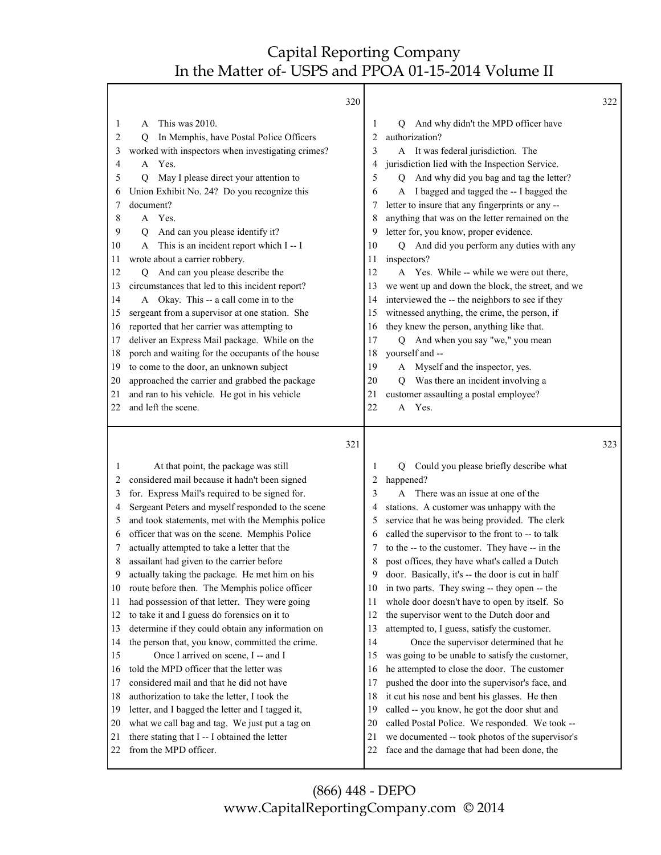Τ

Γ

|                                                                                                       | 320                                                                                                                                                                                                                                                                                                                                                                                                                                                                                                                                                                                                                                                                                                                                                           |                                                                                                       |                                                                                                                                                                                                                                                                                                                                                                                                                                                                                                                                                                                                                                                                                                                                                                                                                   | 322 |
|-------------------------------------------------------------------------------------------------------|---------------------------------------------------------------------------------------------------------------------------------------------------------------------------------------------------------------------------------------------------------------------------------------------------------------------------------------------------------------------------------------------------------------------------------------------------------------------------------------------------------------------------------------------------------------------------------------------------------------------------------------------------------------------------------------------------------------------------------------------------------------|-------------------------------------------------------------------------------------------------------|-------------------------------------------------------------------------------------------------------------------------------------------------------------------------------------------------------------------------------------------------------------------------------------------------------------------------------------------------------------------------------------------------------------------------------------------------------------------------------------------------------------------------------------------------------------------------------------------------------------------------------------------------------------------------------------------------------------------------------------------------------------------------------------------------------------------|-----|
| 1<br>2<br>3<br>4<br>5<br>6<br>7<br>8<br>9<br>10<br>11<br>12<br>13<br>14<br>15<br>16<br>17<br>18<br>19 | This was 2010.<br>A<br>In Memphis, have Postal Police Officers<br>Q<br>worked with inspectors when investigating crimes?<br>A Yes.<br>May I please direct your attention to<br>Q<br>Union Exhibit No. 24? Do you recognize this<br>document?<br>A Yes.<br>And can you please identify it?<br>Q<br>This is an incident report which I -- I<br>wrote about a carrier robbery.<br>Q And can you please describe the<br>circumstances that led to this incident report?<br>A Okay. This -- a call come in to the<br>sergeant from a supervisor at one station. She<br>reported that her carrier was attempting to<br>deliver an Express Mail package. While on the<br>porch and waiting for the occupants of the house<br>to come to the door, an unknown subject | 1<br>2<br>3<br>4<br>5<br>6<br>7<br>8<br>9<br>10<br>11<br>12<br>13<br>14<br>15<br>16<br>17<br>18<br>19 | And why didn't the MPD officer have<br>O<br>authorization?<br>A It was federal jurisdiction. The<br>jurisdiction lied with the Inspection Service.<br>And why did you bag and tag the letter?<br>Q<br>I bagged and tagged the -- I bagged the<br>A<br>letter to insure that any fingerprints or any --<br>anything that was on the letter remained on the<br>letter for, you know, proper evidence.<br>Q And did you perform any duties with any<br>inspectors?<br>A Yes. While -- while we were out there,<br>we went up and down the block, the street, and we<br>interviewed the -- the neighbors to see if they<br>witnessed anything, the crime, the person, if<br>they knew the person, anything like that.<br>And when you say "we," you mean<br>O.<br>yourself and --<br>A Myself and the inspector, yes. |     |
| 20                                                                                                    | approached the carrier and grabbed the package                                                                                                                                                                                                                                                                                                                                                                                                                                                                                                                                                                                                                                                                                                                | 20                                                                                                    | Q Was there an incident involving a                                                                                                                                                                                                                                                                                                                                                                                                                                                                                                                                                                                                                                                                                                                                                                               |     |
| 21                                                                                                    | and ran to his vehicle. He got in his vehicle                                                                                                                                                                                                                                                                                                                                                                                                                                                                                                                                                                                                                                                                                                                 | 21                                                                                                    | customer assaulting a postal employee?                                                                                                                                                                                                                                                                                                                                                                                                                                                                                                                                                                                                                                                                                                                                                                            |     |
| 22                                                                                                    | and left the scene.                                                                                                                                                                                                                                                                                                                                                                                                                                                                                                                                                                                                                                                                                                                                           | 22                                                                                                    | Yes.<br>A                                                                                                                                                                                                                                                                                                                                                                                                                                                                                                                                                                                                                                                                                                                                                                                                         |     |
|                                                                                                       |                                                                                                                                                                                                                                                                                                                                                                                                                                                                                                                                                                                                                                                                                                                                                               |                                                                                                       |                                                                                                                                                                                                                                                                                                                                                                                                                                                                                                                                                                                                                                                                                                                                                                                                                   |     |
|                                                                                                       | 321                                                                                                                                                                                                                                                                                                                                                                                                                                                                                                                                                                                                                                                                                                                                                           |                                                                                                       |                                                                                                                                                                                                                                                                                                                                                                                                                                                                                                                                                                                                                                                                                                                                                                                                                   | 323 |
| 1                                                                                                     | At that point, the package was still                                                                                                                                                                                                                                                                                                                                                                                                                                                                                                                                                                                                                                                                                                                          | 1                                                                                                     | Could you please briefly describe what<br>Q                                                                                                                                                                                                                                                                                                                                                                                                                                                                                                                                                                                                                                                                                                                                                                       |     |
| 2                                                                                                     | considered mail because it hadn't been signed                                                                                                                                                                                                                                                                                                                                                                                                                                                                                                                                                                                                                                                                                                                 | 2                                                                                                     | happened?                                                                                                                                                                                                                                                                                                                                                                                                                                                                                                                                                                                                                                                                                                                                                                                                         |     |
| 3                                                                                                     | for. Express Mail's required to be signed for.                                                                                                                                                                                                                                                                                                                                                                                                                                                                                                                                                                                                                                                                                                                | 3                                                                                                     | A There was an issue at one of the                                                                                                                                                                                                                                                                                                                                                                                                                                                                                                                                                                                                                                                                                                                                                                                |     |
| 4                                                                                                     | Sergeant Peters and myself responded to the scene                                                                                                                                                                                                                                                                                                                                                                                                                                                                                                                                                                                                                                                                                                             | 4                                                                                                     | stations. A customer was unhappy with the                                                                                                                                                                                                                                                                                                                                                                                                                                                                                                                                                                                                                                                                                                                                                                         |     |
| 5                                                                                                     | and took statements, met with the Memphis police                                                                                                                                                                                                                                                                                                                                                                                                                                                                                                                                                                                                                                                                                                              | 5                                                                                                     | service that he was being provided. The clerk                                                                                                                                                                                                                                                                                                                                                                                                                                                                                                                                                                                                                                                                                                                                                                     |     |
| 6<br>7                                                                                                | officer that was on the scene. Memphis Police                                                                                                                                                                                                                                                                                                                                                                                                                                                                                                                                                                                                                                                                                                                 | 6<br>7                                                                                                | called the supervisor to the front to -- to talk                                                                                                                                                                                                                                                                                                                                                                                                                                                                                                                                                                                                                                                                                                                                                                  |     |
| 8                                                                                                     | actually attempted to take a letter that the<br>assailant had given to the carrier before                                                                                                                                                                                                                                                                                                                                                                                                                                                                                                                                                                                                                                                                     | 8                                                                                                     | to the -- to the customer. They have -- in the<br>post offices, they have what's called a Dutch                                                                                                                                                                                                                                                                                                                                                                                                                                                                                                                                                                                                                                                                                                                   |     |
| 9                                                                                                     | actually taking the package. He met him on his                                                                                                                                                                                                                                                                                                                                                                                                                                                                                                                                                                                                                                                                                                                | 9                                                                                                     | door. Basically, it's -- the door is cut in half                                                                                                                                                                                                                                                                                                                                                                                                                                                                                                                                                                                                                                                                                                                                                                  |     |
| 10                                                                                                    | route before then. The Memphis police officer                                                                                                                                                                                                                                                                                                                                                                                                                                                                                                                                                                                                                                                                                                                 | 10                                                                                                    | in two parts. They swing -- they open -- the                                                                                                                                                                                                                                                                                                                                                                                                                                                                                                                                                                                                                                                                                                                                                                      |     |
| 11                                                                                                    | had possession of that letter. They were going                                                                                                                                                                                                                                                                                                                                                                                                                                                                                                                                                                                                                                                                                                                | 11                                                                                                    | whole door doesn't have to open by itself. So                                                                                                                                                                                                                                                                                                                                                                                                                                                                                                                                                                                                                                                                                                                                                                     |     |
| 12                                                                                                    | to take it and I guess do forensics on it to                                                                                                                                                                                                                                                                                                                                                                                                                                                                                                                                                                                                                                                                                                                  | 12                                                                                                    | the supervisor went to the Dutch door and                                                                                                                                                                                                                                                                                                                                                                                                                                                                                                                                                                                                                                                                                                                                                                         |     |
| 13                                                                                                    | determine if they could obtain any information on                                                                                                                                                                                                                                                                                                                                                                                                                                                                                                                                                                                                                                                                                                             | 13                                                                                                    | attempted to, I guess, satisfy the customer.                                                                                                                                                                                                                                                                                                                                                                                                                                                                                                                                                                                                                                                                                                                                                                      |     |
| 14                                                                                                    | the person that, you know, committed the crime.                                                                                                                                                                                                                                                                                                                                                                                                                                                                                                                                                                                                                                                                                                               | 14                                                                                                    | Once the supervisor determined that he                                                                                                                                                                                                                                                                                                                                                                                                                                                                                                                                                                                                                                                                                                                                                                            |     |
| 15                                                                                                    | Once I arrived on scene, I -- and I                                                                                                                                                                                                                                                                                                                                                                                                                                                                                                                                                                                                                                                                                                                           | 15                                                                                                    | was going to be unable to satisfy the customer,                                                                                                                                                                                                                                                                                                                                                                                                                                                                                                                                                                                                                                                                                                                                                                   |     |
| 16                                                                                                    | told the MPD officer that the letter was                                                                                                                                                                                                                                                                                                                                                                                                                                                                                                                                                                                                                                                                                                                      | 16                                                                                                    | he attempted to close the door. The customer                                                                                                                                                                                                                                                                                                                                                                                                                                                                                                                                                                                                                                                                                                                                                                      |     |
| 17                                                                                                    | considered mail and that he did not have                                                                                                                                                                                                                                                                                                                                                                                                                                                                                                                                                                                                                                                                                                                      | 17                                                                                                    | pushed the door into the supervisor's face, and                                                                                                                                                                                                                                                                                                                                                                                                                                                                                                                                                                                                                                                                                                                                                                   |     |
| 18                                                                                                    | authorization to take the letter, I took the                                                                                                                                                                                                                                                                                                                                                                                                                                                                                                                                                                                                                                                                                                                  | 18                                                                                                    | it cut his nose and bent his glasses. He then                                                                                                                                                                                                                                                                                                                                                                                                                                                                                                                                                                                                                                                                                                                                                                     |     |
| 19<br>20                                                                                              | letter, and I bagged the letter and I tagged it,                                                                                                                                                                                                                                                                                                                                                                                                                                                                                                                                                                                                                                                                                                              | 19<br>20                                                                                              | called -- you know, he got the door shut and                                                                                                                                                                                                                                                                                                                                                                                                                                                                                                                                                                                                                                                                                                                                                                      |     |
| 21                                                                                                    | what we call bag and tag. We just put a tag on<br>there stating that I -- I obtained the letter                                                                                                                                                                                                                                                                                                                                                                                                                                                                                                                                                                                                                                                               | 21                                                                                                    | called Postal Police. We responded. We took --<br>we documented -- took photos of the supervisor's                                                                                                                                                                                                                                                                                                                                                                                                                                                                                                                                                                                                                                                                                                                |     |
| 22                                                                                                    | from the MPD officer.                                                                                                                                                                                                                                                                                                                                                                                                                                                                                                                                                                                                                                                                                                                                         | 22                                                                                                    | face and the damage that had been done, the                                                                                                                                                                                                                                                                                                                                                                                                                                                                                                                                                                                                                                                                                                                                                                       |     |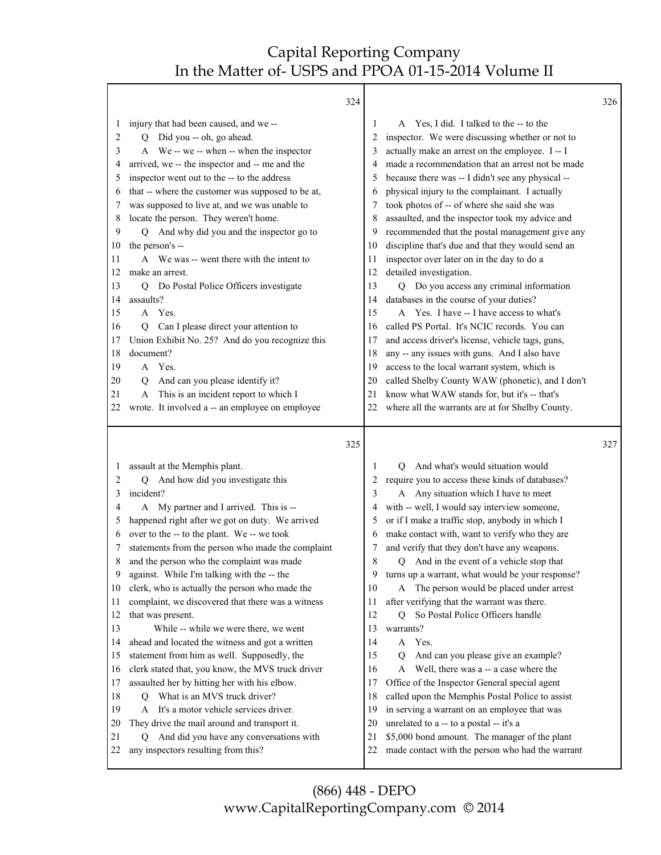|                                                                                                                   |                                                                                                                                                                                                                                                                                                                                                                                                                                                                                                                                                                                                                                                                                                                                                                                                        | 324                                                                                                     |                                                                                                                                                                                                                                                                                                                                                                                                                                                                                                                                                                                                                                                                                                                                                                                                                                                                                                                                                                                                                                         | 326 |
|-------------------------------------------------------------------------------------------------------------------|--------------------------------------------------------------------------------------------------------------------------------------------------------------------------------------------------------------------------------------------------------------------------------------------------------------------------------------------------------------------------------------------------------------------------------------------------------------------------------------------------------------------------------------------------------------------------------------------------------------------------------------------------------------------------------------------------------------------------------------------------------------------------------------------------------|---------------------------------------------------------------------------------------------------------|-----------------------------------------------------------------------------------------------------------------------------------------------------------------------------------------------------------------------------------------------------------------------------------------------------------------------------------------------------------------------------------------------------------------------------------------------------------------------------------------------------------------------------------------------------------------------------------------------------------------------------------------------------------------------------------------------------------------------------------------------------------------------------------------------------------------------------------------------------------------------------------------------------------------------------------------------------------------------------------------------------------------------------------------|-----|
| 1<br>2<br>3<br>4<br>5<br>6<br>7<br>8<br>9<br>10<br>11<br>12<br>13<br>14<br>15<br>16<br>17<br>18<br>19<br>20<br>21 | injury that had been caused, and we --<br>Q Did you -- oh, go ahead.<br>A We -- we -- when -- when the inspector<br>arrived, we -- the inspector and -- me and the<br>inspector went out to the -- to the address<br>that -- where the customer was supposed to be at,<br>was supposed to live at, and we was unable to<br>locate the person. They weren't home.<br>And why did you and the inspector go to<br>O.<br>the person's --<br>A We was -- went there with the intent to<br>make an arrest.<br>Do Postal Police Officers investigate<br>O.<br>assaults?<br>Yes.<br>$\mathsf{A}$<br>Can I please direct your attention to<br>0<br>Union Exhibit No. 25? And do you recognize this<br>document?<br>A Yes.<br>And can you please identify it?<br>Q<br>This is an incident report to which I<br>A | 1<br>2<br>3<br>5<br>6<br>8<br>9<br>10<br>11<br>12<br>13<br>14<br>15<br>16<br>17<br>18<br>19<br>20<br>21 | Yes, I did. I talked to the -- to the<br>A<br>inspector. We were discussing whether or not to<br>actually make an arrest on the employee. I--I<br>made a recommendation that an arrest not be made<br>because there was -- I didn't see any physical --<br>physical injury to the complainant. I actually<br>took photos of -- of where she said she was<br>assaulted, and the inspector took my advice and<br>recommended that the postal management give any<br>discipline that's due and that they would send an<br>inspector over later on in the day to do a<br>detailed investigation.<br>Q Do you access any criminal information<br>databases in the course of your duties?<br>A Yes. I have -- I have access to what's<br>called PS Portal. It's NCIC records. You can<br>and access driver's license, vehicle tags, guns,<br>any -- any issues with guns. And I also have<br>access to the local warrant system, which is<br>called Shelby County WAW (phonetic), and I don't<br>know what WAW stands for, but it's -- that's |     |
| 22                                                                                                                | wrote. It involved a -- an employee on employee                                                                                                                                                                                                                                                                                                                                                                                                                                                                                                                                                                                                                                                                                                                                                        | 22                                                                                                      | where all the warrants are at for Shelby County.                                                                                                                                                                                                                                                                                                                                                                                                                                                                                                                                                                                                                                                                                                                                                                                                                                                                                                                                                                                        |     |
|                                                                                                                   |                                                                                                                                                                                                                                                                                                                                                                                                                                                                                                                                                                                                                                                                                                                                                                                                        |                                                                                                         |                                                                                                                                                                                                                                                                                                                                                                                                                                                                                                                                                                                                                                                                                                                                                                                                                                                                                                                                                                                                                                         |     |
|                                                                                                                   |                                                                                                                                                                                                                                                                                                                                                                                                                                                                                                                                                                                                                                                                                                                                                                                                        | 325                                                                                                     |                                                                                                                                                                                                                                                                                                                                                                                                                                                                                                                                                                                                                                                                                                                                                                                                                                                                                                                                                                                                                                         | 327 |
| 1                                                                                                                 | assault at the Memphis plant.                                                                                                                                                                                                                                                                                                                                                                                                                                                                                                                                                                                                                                                                                                                                                                          | 1                                                                                                       | And what's would situation would<br>O                                                                                                                                                                                                                                                                                                                                                                                                                                                                                                                                                                                                                                                                                                                                                                                                                                                                                                                                                                                                   |     |
| 2                                                                                                                 | And how did you investigate this<br>О                                                                                                                                                                                                                                                                                                                                                                                                                                                                                                                                                                                                                                                                                                                                                                  | 2                                                                                                       | require you to access these kinds of databases?                                                                                                                                                                                                                                                                                                                                                                                                                                                                                                                                                                                                                                                                                                                                                                                                                                                                                                                                                                                         |     |
| 3                                                                                                                 | incident?                                                                                                                                                                                                                                                                                                                                                                                                                                                                                                                                                                                                                                                                                                                                                                                              | 3                                                                                                       | A Any situation which I have to meet                                                                                                                                                                                                                                                                                                                                                                                                                                                                                                                                                                                                                                                                                                                                                                                                                                                                                                                                                                                                    |     |
| 4<br>5                                                                                                            | A My partner and I arrived. This is --                                                                                                                                                                                                                                                                                                                                                                                                                                                                                                                                                                                                                                                                                                                                                                 | 5                                                                                                       | with -- well, I would say interview someone,                                                                                                                                                                                                                                                                                                                                                                                                                                                                                                                                                                                                                                                                                                                                                                                                                                                                                                                                                                                            |     |
| 6                                                                                                                 | happened right after we got on duty. We arrived<br>over to the -- to the plant. We -- we took                                                                                                                                                                                                                                                                                                                                                                                                                                                                                                                                                                                                                                                                                                          | 6                                                                                                       | or if I make a traffic stop, anybody in which I<br>make contact with, want to verify who they are                                                                                                                                                                                                                                                                                                                                                                                                                                                                                                                                                                                                                                                                                                                                                                                                                                                                                                                                       |     |
| 7                                                                                                                 | statements from the person who made the complaint                                                                                                                                                                                                                                                                                                                                                                                                                                                                                                                                                                                                                                                                                                                                                      |                                                                                                         | and verify that they don't have any weapons.                                                                                                                                                                                                                                                                                                                                                                                                                                                                                                                                                                                                                                                                                                                                                                                                                                                                                                                                                                                            |     |
| 8                                                                                                                 | and the person who the complaint was made                                                                                                                                                                                                                                                                                                                                                                                                                                                                                                                                                                                                                                                                                                                                                              | 8                                                                                                       | And in the event of a vehicle stop that<br>Q                                                                                                                                                                                                                                                                                                                                                                                                                                                                                                                                                                                                                                                                                                                                                                                                                                                                                                                                                                                            |     |
| 9                                                                                                                 | against. While I'm talking with the -- the                                                                                                                                                                                                                                                                                                                                                                                                                                                                                                                                                                                                                                                                                                                                                             | 9                                                                                                       | turns up a warrant, what would be your response?                                                                                                                                                                                                                                                                                                                                                                                                                                                                                                                                                                                                                                                                                                                                                                                                                                                                                                                                                                                        |     |
| 10                                                                                                                | clerk, who is actually the person who made the                                                                                                                                                                                                                                                                                                                                                                                                                                                                                                                                                                                                                                                                                                                                                         | 10                                                                                                      | A The person would be placed under arrest                                                                                                                                                                                                                                                                                                                                                                                                                                                                                                                                                                                                                                                                                                                                                                                                                                                                                                                                                                                               |     |
| 11                                                                                                                | complaint, we discovered that there was a witness                                                                                                                                                                                                                                                                                                                                                                                                                                                                                                                                                                                                                                                                                                                                                      | 11                                                                                                      | after verifying that the warrant was there.                                                                                                                                                                                                                                                                                                                                                                                                                                                                                                                                                                                                                                                                                                                                                                                                                                                                                                                                                                                             |     |
| 12                                                                                                                | that was present.                                                                                                                                                                                                                                                                                                                                                                                                                                                                                                                                                                                                                                                                                                                                                                                      | 12                                                                                                      | So Postal Police Officers handle<br>Q                                                                                                                                                                                                                                                                                                                                                                                                                                                                                                                                                                                                                                                                                                                                                                                                                                                                                                                                                                                                   |     |
| 13                                                                                                                | While -- while we were there, we went                                                                                                                                                                                                                                                                                                                                                                                                                                                                                                                                                                                                                                                                                                                                                                  | 13                                                                                                      | warrants?                                                                                                                                                                                                                                                                                                                                                                                                                                                                                                                                                                                                                                                                                                                                                                                                                                                                                                                                                                                                                               |     |
| 14                                                                                                                | ahead and located the witness and got a written                                                                                                                                                                                                                                                                                                                                                                                                                                                                                                                                                                                                                                                                                                                                                        | 14                                                                                                      | A Yes.                                                                                                                                                                                                                                                                                                                                                                                                                                                                                                                                                                                                                                                                                                                                                                                                                                                                                                                                                                                                                                  |     |
| 15<br>16                                                                                                          | statement from him as well. Supposedly, the<br>clerk stated that, you know, the MVS truck driver                                                                                                                                                                                                                                                                                                                                                                                                                                                                                                                                                                                                                                                                                                       | 15<br>16                                                                                                | And can you please give an example?<br>Q<br>Well, there was a -- a case where the<br>A                                                                                                                                                                                                                                                                                                                                                                                                                                                                                                                                                                                                                                                                                                                                                                                                                                                                                                                                                  |     |
| 17                                                                                                                | assaulted her by hitting her with his elbow.                                                                                                                                                                                                                                                                                                                                                                                                                                                                                                                                                                                                                                                                                                                                                           | 17                                                                                                      | Office of the Inspector General special agent                                                                                                                                                                                                                                                                                                                                                                                                                                                                                                                                                                                                                                                                                                                                                                                                                                                                                                                                                                                           |     |
| 18                                                                                                                | What is an MVS truck driver?<br>Q                                                                                                                                                                                                                                                                                                                                                                                                                                                                                                                                                                                                                                                                                                                                                                      | 18                                                                                                      | called upon the Memphis Postal Police to assist                                                                                                                                                                                                                                                                                                                                                                                                                                                                                                                                                                                                                                                                                                                                                                                                                                                                                                                                                                                         |     |
| 19                                                                                                                | A It's a motor vehicle services driver.                                                                                                                                                                                                                                                                                                                                                                                                                                                                                                                                                                                                                                                                                                                                                                | 19                                                                                                      | in serving a warrant on an employee that was                                                                                                                                                                                                                                                                                                                                                                                                                                                                                                                                                                                                                                                                                                                                                                                                                                                                                                                                                                                            |     |
| 20                                                                                                                | They drive the mail around and transport it.                                                                                                                                                                                                                                                                                                                                                                                                                                                                                                                                                                                                                                                                                                                                                           | 20                                                                                                      | unrelated to a -- to a postal -- it's a                                                                                                                                                                                                                                                                                                                                                                                                                                                                                                                                                                                                                                                                                                                                                                                                                                                                                                                                                                                                 |     |
| 21<br>22                                                                                                          | And did you have any conversations with<br>Q<br>any inspectors resulting from this?                                                                                                                                                                                                                                                                                                                                                                                                                                                                                                                                                                                                                                                                                                                    | 21<br>22                                                                                                | \$5,000 bond amount. The manager of the plant<br>made contact with the person who had the warrant                                                                                                                                                                                                                                                                                                                                                                                                                                                                                                                                                                                                                                                                                                                                                                                                                                                                                                                                       |     |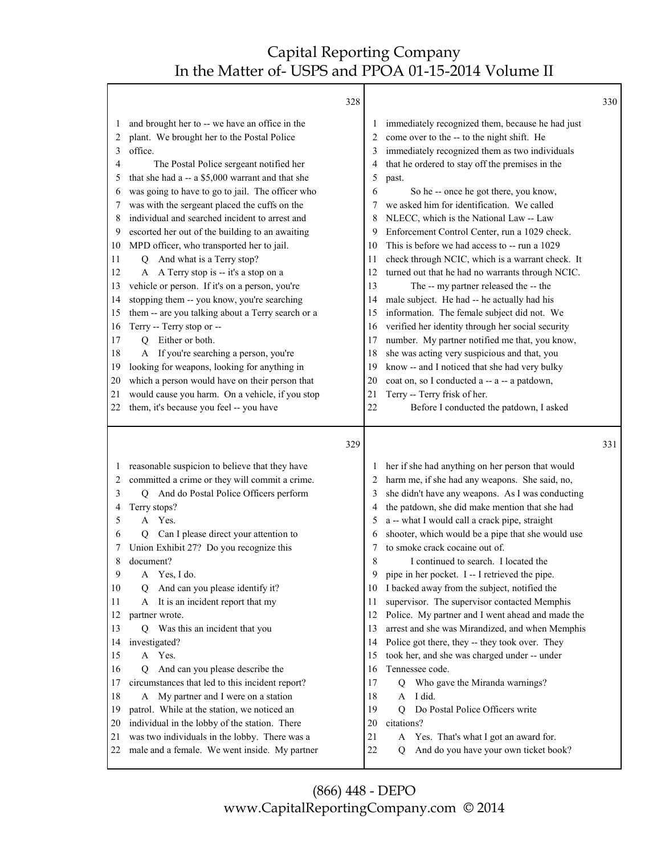Т

|                                                                                                       | 328                                                                                                                                                                                                                                                                                                                                                                                                                                                                                                                                                                                                                                                                                                                                                                                                                                                        |                                                                                                  |                                                                                                                                                                                                                                                                                                                                                                                                                                                                                                                                                                                                                                                                                                                                                                                                                                                                                                         | 330 |
|-------------------------------------------------------------------------------------------------------|------------------------------------------------------------------------------------------------------------------------------------------------------------------------------------------------------------------------------------------------------------------------------------------------------------------------------------------------------------------------------------------------------------------------------------------------------------------------------------------------------------------------------------------------------------------------------------------------------------------------------------------------------------------------------------------------------------------------------------------------------------------------------------------------------------------------------------------------------------|--------------------------------------------------------------------------------------------------|---------------------------------------------------------------------------------------------------------------------------------------------------------------------------------------------------------------------------------------------------------------------------------------------------------------------------------------------------------------------------------------------------------------------------------------------------------------------------------------------------------------------------------------------------------------------------------------------------------------------------------------------------------------------------------------------------------------------------------------------------------------------------------------------------------------------------------------------------------------------------------------------------------|-----|
| 1<br>2<br>3<br>4<br>5<br>6<br>7<br>8<br>9<br>10<br>11<br>12<br>13<br>14<br>15<br>16<br>17<br>18<br>19 | and brought her to -- we have an office in the<br>plant. We brought her to the Postal Police<br>office.<br>The Postal Police sergeant notified her<br>that she had a -- a \$5,000 warrant and that she<br>was going to have to go to jail. The officer who<br>was with the sergeant placed the cuffs on the<br>individual and searched incident to arrest and<br>escorted her out of the building to an awaiting<br>MPD officer, who transported her to jail.<br>And what is a Terry stop?<br>0<br>A A Terry stop is -- it's a stop on a<br>vehicle or person. If it's on a person, you're<br>stopping them -- you know, you're searching<br>them -- are you talking about a Terry search or a<br>Terry -- Terry stop or --<br>Either or both.<br>$\overline{O}$<br>A If you're searching a person, you're<br>looking for weapons, looking for anything in | 2<br>3<br>4<br>5<br>6<br>7<br>8<br>9<br>10<br>11<br>12<br>13<br>14<br>15<br>16<br>17<br>18<br>19 | immediately recognized them, because he had just<br>come over to the -- to the night shift. He<br>immediately recognized them as two individuals<br>that he ordered to stay off the premises in the<br>past.<br>So he -- once he got there, you know,<br>we asked him for identification. We called<br>NLECC, which is the National Law -- Law<br>Enforcement Control Center, run a 1029 check.<br>This is before we had access to -- run a 1029<br>check through NCIC, which is a warrant check. It<br>turned out that he had no warrants through NCIC.<br>The -- my partner released the -- the<br>male subject. He had -- he actually had his<br>information. The female subject did not. We<br>verified her identity through her social security<br>number. My partner notified me that, you know,<br>she was acting very suspicious and that, you<br>know -- and I noticed that she had very bulky |     |
| 20                                                                                                    | which a person would have on their person that                                                                                                                                                                                                                                                                                                                                                                                                                                                                                                                                                                                                                                                                                                                                                                                                             | 20                                                                                               | coat on, so I conducted a -- a -- a patdown,                                                                                                                                                                                                                                                                                                                                                                                                                                                                                                                                                                                                                                                                                                                                                                                                                                                            |     |
| 21                                                                                                    | would cause you harm. On a vehicle, if you stop                                                                                                                                                                                                                                                                                                                                                                                                                                                                                                                                                                                                                                                                                                                                                                                                            | 21                                                                                               | Terry -- Terry frisk of her.                                                                                                                                                                                                                                                                                                                                                                                                                                                                                                                                                                                                                                                                                                                                                                                                                                                                            |     |
| 22                                                                                                    | them, it's because you feel -- you have                                                                                                                                                                                                                                                                                                                                                                                                                                                                                                                                                                                                                                                                                                                                                                                                                    | 22                                                                                               | Before I conducted the patdown, I asked                                                                                                                                                                                                                                                                                                                                                                                                                                                                                                                                                                                                                                                                                                                                                                                                                                                                 |     |
|                                                                                                       |                                                                                                                                                                                                                                                                                                                                                                                                                                                                                                                                                                                                                                                                                                                                                                                                                                                            |                                                                                                  |                                                                                                                                                                                                                                                                                                                                                                                                                                                                                                                                                                                                                                                                                                                                                                                                                                                                                                         |     |
|                                                                                                       | 329                                                                                                                                                                                                                                                                                                                                                                                                                                                                                                                                                                                                                                                                                                                                                                                                                                                        |                                                                                                  |                                                                                                                                                                                                                                                                                                                                                                                                                                                                                                                                                                                                                                                                                                                                                                                                                                                                                                         | 331 |
| 1<br>2                                                                                                | reasonable suspicion to believe that they have<br>committed a crime or they will commit a crime.                                                                                                                                                                                                                                                                                                                                                                                                                                                                                                                                                                                                                                                                                                                                                           |                                                                                                  | her if she had anything on her person that would<br>harm me, if she had any weapons. She said, no,                                                                                                                                                                                                                                                                                                                                                                                                                                                                                                                                                                                                                                                                                                                                                                                                      |     |
| 3                                                                                                     | And do Postal Police Officers perform<br>Q                                                                                                                                                                                                                                                                                                                                                                                                                                                                                                                                                                                                                                                                                                                                                                                                                 | 3                                                                                                | she didn't have any weapons. As I was conducting                                                                                                                                                                                                                                                                                                                                                                                                                                                                                                                                                                                                                                                                                                                                                                                                                                                        |     |
| 4<br>5                                                                                                | Terry stops?<br>Yes.<br>A                                                                                                                                                                                                                                                                                                                                                                                                                                                                                                                                                                                                                                                                                                                                                                                                                                  | 4<br>5                                                                                           | the patdown, she did make mention that she had                                                                                                                                                                                                                                                                                                                                                                                                                                                                                                                                                                                                                                                                                                                                                                                                                                                          |     |
| 6                                                                                                     | Can I please direct your attention to<br>Q                                                                                                                                                                                                                                                                                                                                                                                                                                                                                                                                                                                                                                                                                                                                                                                                                 | 6                                                                                                | a -- what I would call a crack pipe, straight<br>shooter, which would be a pipe that she would use                                                                                                                                                                                                                                                                                                                                                                                                                                                                                                                                                                                                                                                                                                                                                                                                      |     |
|                                                                                                       | Union Exhibit 27? Do you recognize this                                                                                                                                                                                                                                                                                                                                                                                                                                                                                                                                                                                                                                                                                                                                                                                                                    | 7                                                                                                | to smoke crack cocaine out of.                                                                                                                                                                                                                                                                                                                                                                                                                                                                                                                                                                                                                                                                                                                                                                                                                                                                          |     |
| 8                                                                                                     | document?                                                                                                                                                                                                                                                                                                                                                                                                                                                                                                                                                                                                                                                                                                                                                                                                                                                  | 8                                                                                                | I continued to search. I located the                                                                                                                                                                                                                                                                                                                                                                                                                                                                                                                                                                                                                                                                                                                                                                                                                                                                    |     |
| 9                                                                                                     | Yes, I do.<br>A                                                                                                                                                                                                                                                                                                                                                                                                                                                                                                                                                                                                                                                                                                                                                                                                                                            | 9                                                                                                | pipe in her pocket. I -- I retrieved the pipe.                                                                                                                                                                                                                                                                                                                                                                                                                                                                                                                                                                                                                                                                                                                                                                                                                                                          |     |
| 10                                                                                                    | And can you please identify it?<br>Ő                                                                                                                                                                                                                                                                                                                                                                                                                                                                                                                                                                                                                                                                                                                                                                                                                       | 10                                                                                               | I backed away from the subject, notified the                                                                                                                                                                                                                                                                                                                                                                                                                                                                                                                                                                                                                                                                                                                                                                                                                                                            |     |
| 11                                                                                                    | It is an incident report that my<br>A                                                                                                                                                                                                                                                                                                                                                                                                                                                                                                                                                                                                                                                                                                                                                                                                                      | 11                                                                                               | supervisor. The supervisor contacted Memphis                                                                                                                                                                                                                                                                                                                                                                                                                                                                                                                                                                                                                                                                                                                                                                                                                                                            |     |
| 12                                                                                                    | partner wrote.                                                                                                                                                                                                                                                                                                                                                                                                                                                                                                                                                                                                                                                                                                                                                                                                                                             | 12                                                                                               | Police. My partner and I went ahead and made the                                                                                                                                                                                                                                                                                                                                                                                                                                                                                                                                                                                                                                                                                                                                                                                                                                                        |     |
| 13                                                                                                    | Q Was this an incident that you                                                                                                                                                                                                                                                                                                                                                                                                                                                                                                                                                                                                                                                                                                                                                                                                                            | 13                                                                                               | arrest and she was Mirandized, and when Memphis                                                                                                                                                                                                                                                                                                                                                                                                                                                                                                                                                                                                                                                                                                                                                                                                                                                         |     |
| 14                                                                                                    | investigated?                                                                                                                                                                                                                                                                                                                                                                                                                                                                                                                                                                                                                                                                                                                                                                                                                                              | 14                                                                                               | Police got there, they -- they took over. They                                                                                                                                                                                                                                                                                                                                                                                                                                                                                                                                                                                                                                                                                                                                                                                                                                                          |     |
| 15<br>16                                                                                              | A Yes.                                                                                                                                                                                                                                                                                                                                                                                                                                                                                                                                                                                                                                                                                                                                                                                                                                                     | 15<br>16                                                                                         | took her, and she was charged under -- under                                                                                                                                                                                                                                                                                                                                                                                                                                                                                                                                                                                                                                                                                                                                                                                                                                                            |     |
| 17                                                                                                    | And can you please describe the<br>Q                                                                                                                                                                                                                                                                                                                                                                                                                                                                                                                                                                                                                                                                                                                                                                                                                       | 17                                                                                               | Tennessee code.<br>Q                                                                                                                                                                                                                                                                                                                                                                                                                                                                                                                                                                                                                                                                                                                                                                                                                                                                                    |     |
| 18                                                                                                    | circumstances that led to this incident report?<br>A My partner and I were on a station                                                                                                                                                                                                                                                                                                                                                                                                                                                                                                                                                                                                                                                                                                                                                                    | 18                                                                                               | Who gave the Miranda warnings?<br>I did.<br>A                                                                                                                                                                                                                                                                                                                                                                                                                                                                                                                                                                                                                                                                                                                                                                                                                                                           |     |
| 19                                                                                                    | patrol. While at the station, we noticed an                                                                                                                                                                                                                                                                                                                                                                                                                                                                                                                                                                                                                                                                                                                                                                                                                | 19                                                                                               | $\overline{O}$<br>Do Postal Police Officers write                                                                                                                                                                                                                                                                                                                                                                                                                                                                                                                                                                                                                                                                                                                                                                                                                                                       |     |
| 20                                                                                                    | individual in the lobby of the station. There                                                                                                                                                                                                                                                                                                                                                                                                                                                                                                                                                                                                                                                                                                                                                                                                              | 20                                                                                               | citations?                                                                                                                                                                                                                                                                                                                                                                                                                                                                                                                                                                                                                                                                                                                                                                                                                                                                                              |     |
| 21                                                                                                    | was two individuals in the lobby. There was a                                                                                                                                                                                                                                                                                                                                                                                                                                                                                                                                                                                                                                                                                                                                                                                                              | 21                                                                                               | Yes. That's what I got an award for.<br>A<br>And do you have your own ticket book?                                                                                                                                                                                                                                                                                                                                                                                                                                                                                                                                                                                                                                                                                                                                                                                                                      |     |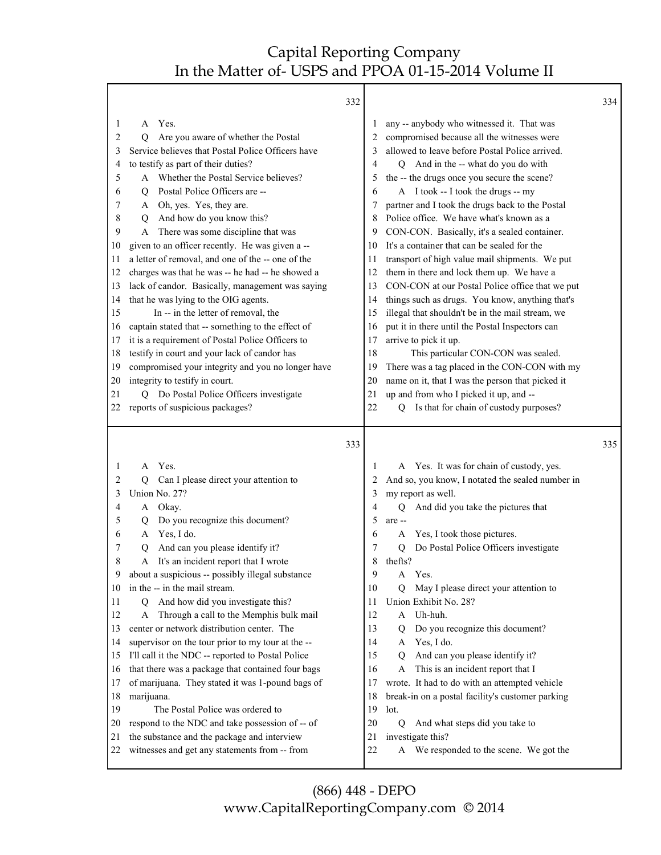Τ

| 1<br>2<br>3<br>4<br>5<br>6<br>7<br>8<br>9 | 332<br>Yes.<br>A<br>Are you aware of whether the Postal<br>О<br>Service believes that Postal Police Officers have<br>to testify as part of their duties?<br>Whether the Postal Service believes?<br>Postal Police Officers are --<br>Q<br>A Oh, yes. Yes, they are.<br>And how do you know this?<br>Q<br>There was some discipline that was<br>A | 1<br>2<br>3<br>4<br>5<br>6<br>7<br>8<br>9 | any -- anybody who witnessed it. That was<br>compromised because all the witnesses were<br>allowed to leave before Postal Police arrived.<br>Q And in the -- what do you do with<br>the -- the drugs once you secure the scene?<br>A I took -- I took the drugs -- my<br>partner and I took the drugs back to the Postal<br>Police office. We have what's known as a<br>CON-CON. Basically, it's a sealed container. | 334 |
|-------------------------------------------|--------------------------------------------------------------------------------------------------------------------------------------------------------------------------------------------------------------------------------------------------------------------------------------------------------------------------------------------------|-------------------------------------------|----------------------------------------------------------------------------------------------------------------------------------------------------------------------------------------------------------------------------------------------------------------------------------------------------------------------------------------------------------------------------------------------------------------------|-----|
| 10                                        | given to an officer recently. He was given a --                                                                                                                                                                                                                                                                                                  | 10                                        | It's a container that can be sealed for the                                                                                                                                                                                                                                                                                                                                                                          |     |
| 11<br>12                                  | a letter of removal, and one of the -- one of the<br>charges was that he was -- he had -- he showed a                                                                                                                                                                                                                                            | 11<br>12                                  | transport of high value mail shipments. We put<br>them in there and lock them up. We have a                                                                                                                                                                                                                                                                                                                          |     |
| 13                                        | lack of candor. Basically, management was saying                                                                                                                                                                                                                                                                                                 | 13                                        | CON-CON at our Postal Police office that we put                                                                                                                                                                                                                                                                                                                                                                      |     |
| 14                                        | that he was lying to the OIG agents.                                                                                                                                                                                                                                                                                                             | 14                                        | things such as drugs. You know, anything that's                                                                                                                                                                                                                                                                                                                                                                      |     |
| 15                                        | In -- in the letter of removal, the                                                                                                                                                                                                                                                                                                              | 15                                        | illegal that shouldn't be in the mail stream, we                                                                                                                                                                                                                                                                                                                                                                     |     |
| 16                                        | captain stated that -- something to the effect of                                                                                                                                                                                                                                                                                                | 16                                        | put it in there until the Postal Inspectors can                                                                                                                                                                                                                                                                                                                                                                      |     |
| 17                                        | it is a requirement of Postal Police Officers to                                                                                                                                                                                                                                                                                                 | 17                                        | arrive to pick it up.                                                                                                                                                                                                                                                                                                                                                                                                |     |
| 18                                        | testify in court and your lack of candor has                                                                                                                                                                                                                                                                                                     | 18                                        | This particular CON-CON was sealed.                                                                                                                                                                                                                                                                                                                                                                                  |     |
| 19                                        | compromised your integrity and you no longer have                                                                                                                                                                                                                                                                                                | 19                                        | There was a tag placed in the CON-CON with my                                                                                                                                                                                                                                                                                                                                                                        |     |
| 20                                        | integrity to testify in court.                                                                                                                                                                                                                                                                                                                   | 20                                        | name on it, that I was the person that picked it                                                                                                                                                                                                                                                                                                                                                                     |     |
| 21                                        | Q Do Postal Police Officers investigate                                                                                                                                                                                                                                                                                                          | 21                                        | up and from who I picked it up, and --                                                                                                                                                                                                                                                                                                                                                                               |     |
| 22                                        | reports of suspicious packages?                                                                                                                                                                                                                                                                                                                  | 22                                        | Is that for chain of custody purposes?<br>O.                                                                                                                                                                                                                                                                                                                                                                         |     |
|                                           | 333                                                                                                                                                                                                                                                                                                                                              |                                           |                                                                                                                                                                                                                                                                                                                                                                                                                      | 335 |
| 1                                         | Yes.<br>A                                                                                                                                                                                                                                                                                                                                        | 1                                         | A Yes. It was for chain of custody, yes.                                                                                                                                                                                                                                                                                                                                                                             |     |
| 2                                         | Can I please direct your attention to<br>О                                                                                                                                                                                                                                                                                                       | 2                                         | And so, you know, I notated the sealed number in                                                                                                                                                                                                                                                                                                                                                                     |     |
| 3                                         | Union No. 27?                                                                                                                                                                                                                                                                                                                                    | 3                                         | my report as well.                                                                                                                                                                                                                                                                                                                                                                                                   |     |
| 4                                         | Okay.<br>A                                                                                                                                                                                                                                                                                                                                       | 4                                         | And did you take the pictures that<br>$\overline{Q}$                                                                                                                                                                                                                                                                                                                                                                 |     |
| 5<br>6                                    | Do you recognize this document?<br>Q<br>Yes, I do.<br>A                                                                                                                                                                                                                                                                                          | 5<br>6                                    | are --<br>Yes, I took those pictures.<br>A                                                                                                                                                                                                                                                                                                                                                                           |     |
| 7                                         | And can you please identify it?<br>Q                                                                                                                                                                                                                                                                                                             | 7                                         | Do Postal Police Officers investigate<br>Q                                                                                                                                                                                                                                                                                                                                                                           |     |
| 8                                         | It's an incident report that I wrote<br>A                                                                                                                                                                                                                                                                                                        | 8                                         | thefts?                                                                                                                                                                                                                                                                                                                                                                                                              |     |
| 9                                         | about a suspicious -- possibly illegal substance                                                                                                                                                                                                                                                                                                 | 9                                         | A Yes.                                                                                                                                                                                                                                                                                                                                                                                                               |     |
| 10                                        | in the -- in the mail stream.                                                                                                                                                                                                                                                                                                                    | 10                                        | May I please direct your attention to<br>Q                                                                                                                                                                                                                                                                                                                                                                           |     |
| 11                                        | And how did you investigate this?<br>Q                                                                                                                                                                                                                                                                                                           | 11                                        | Union Exhibit No. 28?                                                                                                                                                                                                                                                                                                                                                                                                |     |
| 12                                        | Through a call to the Memphis bulk mail<br>A                                                                                                                                                                                                                                                                                                     | 12                                        | Uh-huh.<br>A                                                                                                                                                                                                                                                                                                                                                                                                         |     |
| 13                                        | center or network distribution center. The                                                                                                                                                                                                                                                                                                       | 13                                        | Do you recognize this document?<br>Q                                                                                                                                                                                                                                                                                                                                                                                 |     |
| 14                                        | supervisor on the tour prior to my tour at the --                                                                                                                                                                                                                                                                                                | 14                                        | Yes, I do.<br>A                                                                                                                                                                                                                                                                                                                                                                                                      |     |
| 15                                        | I'll call it the NDC -- reported to Postal Police                                                                                                                                                                                                                                                                                                | 15                                        | And can you please identify it?<br>Q                                                                                                                                                                                                                                                                                                                                                                                 |     |
| 16                                        | that there was a package that contained four bags                                                                                                                                                                                                                                                                                                | 16                                        | This is an incident report that I<br>A                                                                                                                                                                                                                                                                                                                                                                               |     |
| 17                                        | of marijuana. They stated it was 1-pound bags of                                                                                                                                                                                                                                                                                                 | 17                                        | wrote. It had to do with an attempted vehicle                                                                                                                                                                                                                                                                                                                                                                        |     |
| 18                                        | marijuana.                                                                                                                                                                                                                                                                                                                                       | 18                                        | break-in on a postal facility's customer parking                                                                                                                                                                                                                                                                                                                                                                     |     |
| 19                                        |                                                                                                                                                                                                                                                                                                                                                  |                                           |                                                                                                                                                                                                                                                                                                                                                                                                                      |     |
|                                           | The Postal Police was ordered to                                                                                                                                                                                                                                                                                                                 | 19                                        | lot.                                                                                                                                                                                                                                                                                                                                                                                                                 |     |
| 20                                        | respond to the NDC and take possession of -- of                                                                                                                                                                                                                                                                                                  | 20                                        | $\overline{Q}$<br>And what steps did you take to                                                                                                                                                                                                                                                                                                                                                                     |     |
| 21<br>22                                  | the substance and the package and interview<br>witnesses and get any statements from -- from                                                                                                                                                                                                                                                     | 21<br>22                                  | investigate this?<br>A We responded to the scene. We got the                                                                                                                                                                                                                                                                                                                                                         |     |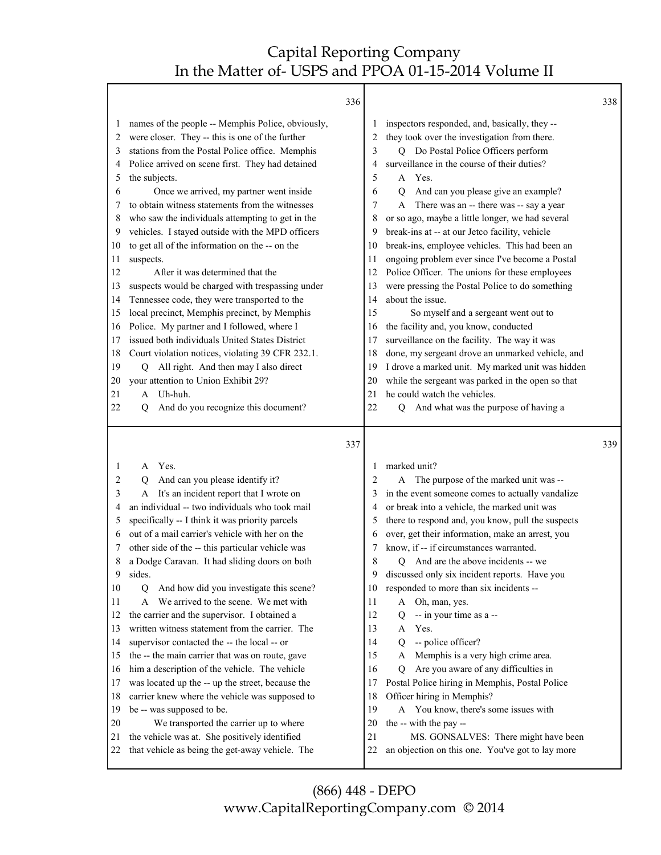|                                                                                                                                                                                                                                                                                                                                                                                                                                                                                                                                                                                                                                                                                                                                                                                                                                                                                                                                                                                                                                                                                                                                         | 336 | 338                                                                                                                                                                                                                                                                                                                                                                                                                                                                                                                                                                                                                                                                                                                                                                                                                                                                                                                                                                                                                                                                                                                                          |  |
|-----------------------------------------------------------------------------------------------------------------------------------------------------------------------------------------------------------------------------------------------------------------------------------------------------------------------------------------------------------------------------------------------------------------------------------------------------------------------------------------------------------------------------------------------------------------------------------------------------------------------------------------------------------------------------------------------------------------------------------------------------------------------------------------------------------------------------------------------------------------------------------------------------------------------------------------------------------------------------------------------------------------------------------------------------------------------------------------------------------------------------------------|-----|----------------------------------------------------------------------------------------------------------------------------------------------------------------------------------------------------------------------------------------------------------------------------------------------------------------------------------------------------------------------------------------------------------------------------------------------------------------------------------------------------------------------------------------------------------------------------------------------------------------------------------------------------------------------------------------------------------------------------------------------------------------------------------------------------------------------------------------------------------------------------------------------------------------------------------------------------------------------------------------------------------------------------------------------------------------------------------------------------------------------------------------------|--|
| names of the people -- Memphis Police, obviously,<br>$\mathbf{I}$<br>were closer. They -- this is one of the further<br>2<br>stations from the Postal Police office. Memphis<br>3<br>Police arrived on scene first. They had detained<br>4<br>the subjects.<br>5<br>Once we arrived, my partner went inside<br>6<br>to obtain witness statements from the witnesses<br>7<br>who saw the individuals attempting to get in the<br>8<br>vehicles. I stayed outside with the MPD officers<br>9<br>to get all of the information on the -- on the<br>10<br>suspects.<br>11<br>After it was determined that the<br>12<br>suspects would be charged with trespassing under<br>13<br>Tennessee code, they were transported to the<br>14<br>local precinct, Memphis precinct, by Memphis<br>15<br>Police. My partner and I followed, where I<br>16<br>issued both individuals United States District<br>17<br>Court violation notices, violating 39 CFR 232.1.<br>18<br>Q All right. And then may I also direct<br>19<br>your attention to Union Exhibit 29?<br>20<br>A Uh-huh.<br>21<br>And do you recognize this document?<br>22<br>О          |     | inspectors responded, and, basically, they--<br>1<br>they took over the investigation from there.<br>2<br>Q Do Postal Police Officers perform<br>3<br>surveillance in the course of their duties?<br>4<br>A Yes.<br>5<br>And can you please give an example?<br>6<br>$\overline{Q}$<br>There was an -- there was -- say a year<br>7<br>A<br>or so ago, maybe a little longer, we had several<br>8<br>break-ins at -- at our Jetco facility, vehicle<br>9<br>break-ins, employee vehicles. This had been an<br>10<br>ongoing problem ever since I've become a Postal<br>11<br>Police Officer. The unions for these employees<br>12<br>were pressing the Postal Police to do something<br>13<br>about the issue.<br>14<br>15<br>So myself and a sergeant went out to<br>the facility and, you know, conducted<br>16<br>surveillance on the facility. The way it was<br>17<br>done, my sergeant drove an unmarked vehicle, and<br>18<br>I drove a marked unit. My marked unit was hidden<br>19<br>while the sergeant was parked in the open so that<br>20<br>he could watch the vehicles.<br>21<br>Q And what was the purpose of having a<br>22 |  |
|                                                                                                                                                                                                                                                                                                                                                                                                                                                                                                                                                                                                                                                                                                                                                                                                                                                                                                                                                                                                                                                                                                                                         | 337 | 339                                                                                                                                                                                                                                                                                                                                                                                                                                                                                                                                                                                                                                                                                                                                                                                                                                                                                                                                                                                                                                                                                                                                          |  |
| Yes.<br>1<br>A<br>And can you please identify it?<br>2<br>Q<br>It's an incident report that I wrote on<br>3<br>A<br>an individual -- two individuals who took mail<br>4<br>specifically -- I think it was priority parcels<br>5<br>out of a mail carrier's vehicle with her on the<br>6<br>other side of the -- this particular vehicle was<br>7<br>a Dodge Caravan. It had sliding doors on both<br>8<br>sides.<br>9<br>10<br>And how did you investigate this scene?<br>Q<br>We arrived to the scene. We met with<br>11<br>A<br>the carrier and the supervisor. I obtained a<br>12<br>written witness statement from the carrier. The<br>13<br>supervisor contacted the -- the local -- or<br>14<br>the -- the main carrier that was on route, gave<br>15<br>him a description of the vehicle. The vehicle<br>16<br>was located up the -- up the street, because the<br>17<br>carrier knew where the vehicle was supposed to<br>18<br>be -- was supposed to be.<br>19<br>We transported the carrier up to where<br>20<br>the vehicle was at. She positively identified<br>21<br>that vehicle as being the get-away vehicle. The<br>22 |     | marked unit?<br>1<br>The purpose of the marked unit was --<br>2<br>A<br>in the event someone comes to actually vandalize<br>3<br>or break into a vehicle, the marked unit was<br>4<br>there to respond and, you know, pull the suspects<br>5<br>over, get their information, make an arrest, you<br>6<br>know, if -- if circumstances warranted.<br>7<br>8<br>Q And are the above incidents -- we<br>9<br>discussed only six incident reports. Have you<br>responded to more than six incidents --<br>10<br>Oh, man, yes.<br>11<br>A<br>12<br>-- in your time as a --<br>Q<br>13<br>Yes.<br>A<br>-- police officer?<br>14<br>Q<br>15<br>Memphis is a very high crime area.<br>A<br>Are you aware of any difficulties in<br>16<br>Q<br>Postal Police hiring in Memphis, Postal Police<br>17<br>Officer hiring in Memphis?<br>18<br>19<br>A You know, there's some issues with<br>the -- with the pay --<br>20<br>21<br>MS. GONSALVES: There might have been<br>an objection on this one. You've got to lay more<br>22                                                                                                                         |  |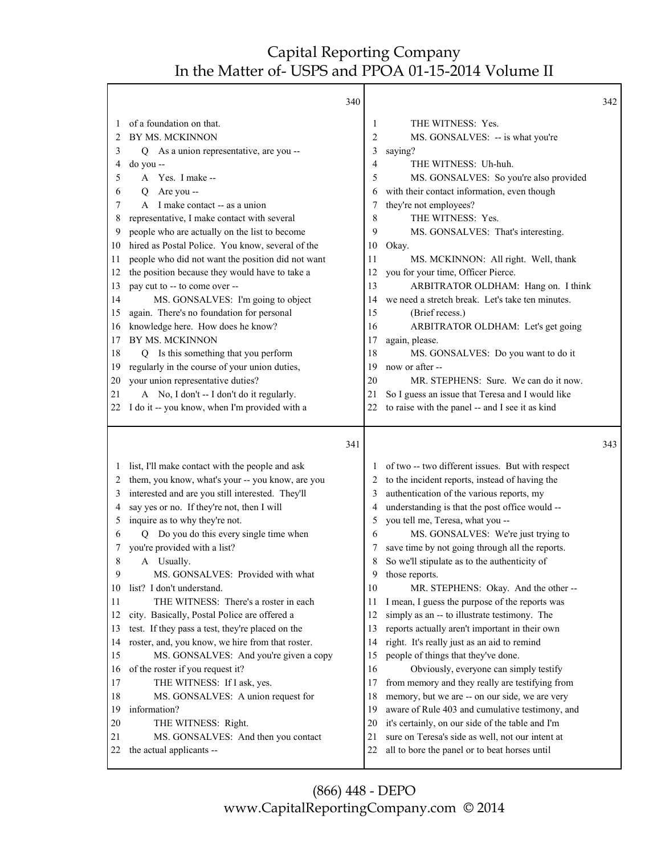٦

|    | 340                                                             |          |                                                                                                   | 342 |
|----|-----------------------------------------------------------------|----------|---------------------------------------------------------------------------------------------------|-----|
| 1  | of a foundation on that.                                        | 1        | THE WITNESS: Yes.                                                                                 |     |
| 2  | BY MS. MCKINNON                                                 | 2        | MS. GONSALVES: -- is what you're                                                                  |     |
| 3  | Q As a union representative, are you --                         | 3        | saying?                                                                                           |     |
| 4  | do you --                                                       | 4        | THE WITNESS: Uh-huh.                                                                              |     |
| 5  | A Yes. I make --                                                | 5        | MS. GONSALVES: So you're also provided                                                            |     |
| 6  | Are you --<br>O                                                 | 6        | with their contact information, even though                                                       |     |
| 7  | A I make contact -- as a union                                  | 7        | they're not employees?                                                                            |     |
| 8  | representative, I make contact with several                     | 8        | THE WITNESS: Yes.                                                                                 |     |
| 9  | people who are actually on the list to become                   | 9        | MS. GONSALVES: That's interesting.                                                                |     |
| 10 | hired as Postal Police. You know, several of the                | 10       | Okay.                                                                                             |     |
| 11 | people who did not want the position did not want               | 11       | MS. MCKINNON: All right. Well, thank                                                              |     |
| 12 | the position because they would have to take a                  | 12       | you for your time, Officer Pierce.                                                                |     |
| 13 | pay cut to -- to come over --                                   | 13       | ARBITRATOR OLDHAM: Hang on. I think                                                               |     |
| 14 | MS. GONSALVES: I'm going to object                              | 14       | we need a stretch break. Let's take ten minutes.                                                  |     |
| 15 | again. There's no foundation for personal                       | 15       | (Brief recess.)                                                                                   |     |
| 16 | knowledge here. How does he know?                               | 16       | ARBITRATOR OLDHAM: Let's get going                                                                |     |
| 17 | BY MS. MCKINNON                                                 | 17       | again, please.                                                                                    |     |
| 18 | Q Is this something that you perform                            | 18       | MS. GONSALVES: Do you want to do it                                                               |     |
| 19 | regularly in the course of your union duties,                   | 19       | now or after --                                                                                   |     |
| 20 | your union representative duties?                               | 20       | MR. STEPHENS: Sure. We can do it now.                                                             |     |
| 21 | A No, I don't -- I don't do it regularly.                       | 21       | So I guess an issue that Teresa and I would like                                                  |     |
| 22 | I do it -- you know, when I'm provided with a                   | 22       | to raise with the panel -- and I see it as kind                                                   |     |
|    |                                                                 |          |                                                                                                   |     |
|    |                                                                 |          |                                                                                                   |     |
|    | 341                                                             |          |                                                                                                   | 343 |
| 1  | list, I'll make contact with the people and ask                 |          | of two -- two different issues. But with respect                                                  |     |
| 2  | them, you know, what's your -- you know, are you                | 2        | to the incident reports, instead of having the                                                    |     |
| 3  | interested and are you still interested. They'll                | 3        | authentication of the various reports, my                                                         |     |
| 4  | say yes or no. If they're not, then I will                      | 4        | understanding is that the post office would --                                                    |     |
| 5  | inquire as to why they're not.                                  | 5        | you tell me, Teresa, what you --                                                                  |     |
| 6  | Q Do you do this every single time when                         | 6        | MS. GONSALVES: We're just trying to                                                               |     |
| 7  | you're provided with a list?                                    | 7        | save time by not going through all the reports.                                                   |     |
| 8  | A Usually.                                                      | 8        | So we'll stipulate as to the authenticity of                                                      |     |
| 9  | MS. GONSALVES: Provided with what                               | 9        | those reports.                                                                                    |     |
| 10 | list? I don't understand.                                       | 10       | MR. STEPHENS: Okay. And the other --                                                              |     |
| 11 | THE WITNESS: There's a roster in each                           | 11       | I mean, I guess the purpose of the reports was                                                    |     |
| 12 | city. Basically, Postal Police are offered a                    | 12       | simply as an -- to illustrate testimony. The                                                      |     |
| 13 | test. If they pass a test, they're placed on the                | 13       | reports actually aren't important in their own                                                    |     |
| 14 | roster, and, you know, we hire from that roster.                | 14       | right. It's really just as an aid to remind                                                       |     |
| 15 | MS. GONSALVES: And you're given a copy                          | 15       | people of things that they've done.                                                               |     |
| 16 | of the roster if you request it?                                | 16       | Obviously, everyone can simply testify                                                            |     |
| 17 | THE WITNESS: If I ask, yes.                                     | 17       | from memory and they really are testifying from                                                   |     |
| 18 | MS. GONSALVES: A union request for                              | 18       | memory, but we are -- on our side, we are very                                                    |     |
| 19 | information?                                                    | 19       | aware of Rule 403 and cumulative testimony, and                                                   |     |
| 20 | THE WITNESS: Right.                                             | 20       | it's certainly, on our side of the table and I'm                                                  |     |
| 21 | MS. GONSALVES: And then you contact<br>the actual applicants -- | 21<br>22 | sure on Teresa's side as well, not our intent at<br>all to bore the panel or to beat horses until |     |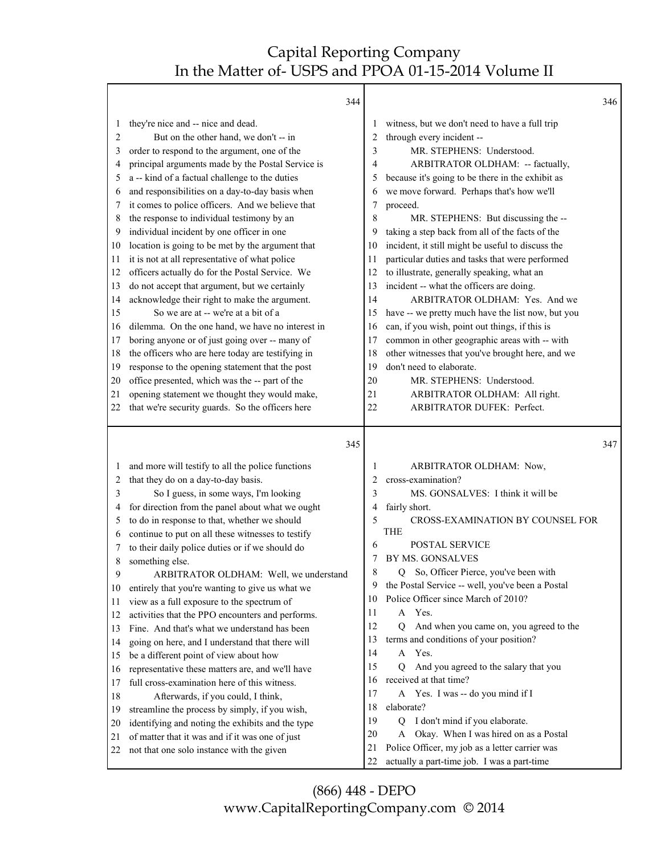|                      | 344                                               |          |                                                                                               | 346 |
|----------------------|---------------------------------------------------|----------|-----------------------------------------------------------------------------------------------|-----|
| 1                    | they're nice and -- nice and dead.                | 1        | witness, but we don't need to have a full trip                                                |     |
| 2                    | But on the other hand, we don't -- in             | 2        | through every incident --                                                                     |     |
| 3                    | order to respond to the argument, one of the      | 3        | MR. STEPHENS: Understood.                                                                     |     |
| 4                    | principal arguments made by the Postal Service is | 4        | ARBITRATOR OLDHAM: -- factually,                                                              |     |
| 5                    | a -- kind of a factual challenge to the duties    | 5        | because it's going to be there in the exhibit as                                              |     |
| 6                    | and responsibilities on a day-to-day basis when   | 6        | we move forward. Perhaps that's how we'll                                                     |     |
| 7                    | it comes to police officers. And we believe that  | 7        | proceed.                                                                                      |     |
| 8                    | the response to individual testimony by an        | 8        | MR. STEPHENS: But discussing the --                                                           |     |
| 9                    | individual incident by one officer in one         | 9        | taking a step back from all of the facts of the                                               |     |
| 10                   | location is going to be met by the argument that  | 10       | incident, it still might be useful to discuss the                                             |     |
| 11                   | it is not at all representative of what police    | 11       | particular duties and tasks that were performed                                               |     |
| 12                   | officers actually do for the Postal Service. We   | 12       | to illustrate, generally speaking, what an                                                    |     |
| 13                   | do not accept that argument, but we certainly     | 13       | incident -- what the officers are doing.                                                      |     |
| 14                   | acknowledge their right to make the argument.     | 14       | ARBITRATOR OLDHAM: Yes. And we                                                                |     |
| 15                   | So we are at -- we're at a bit of a               | 15       | have -- we pretty much have the list now, but you                                             |     |
| 16                   | dilemma. On the one hand, we have no interest in  | 16       | can, if you wish, point out things, if this is                                                |     |
| 17                   | boring anyone or of just going over -- many of    | 17       | common in other geographic areas with -- with                                                 |     |
| 18                   | the officers who are here today are testifying in | 18       | other witnesses that you've brought here, and we                                              |     |
| 19                   | response to the opening statement that the post   | 19       | don't need to elaborate.                                                                      |     |
| 20                   | office presented, which was the -- part of the    | 20       | MR. STEPHENS: Understood.                                                                     |     |
| 21                   | opening statement we thought they would make,     | 21       | ARBITRATOR OLDHAM: All right.                                                                 |     |
| 22                   | that we're security guards. So the officers here  | 22       | ARBITRATOR DUFEK: Perfect.                                                                    |     |
|                      | 345                                               |          |                                                                                               | 347 |
| 1                    | and more will testify to all the police functions | 1        | ARBITRATOR OLDHAM: Now,                                                                       |     |
| 2                    | that they do on a day-to-day basis.               | 2        | cross-examination?                                                                            |     |
| 3                    | So I guess, in some ways, I'm looking             | 3        | MS. GONSALVES: I think it will be                                                             |     |
| 4                    | for direction from the panel about what we ought  | 4        | fairly short.                                                                                 |     |
| 5                    | to do in response to that, whether we should      | 5        | <b>CROSS-EXAMINATION BY COUNSEL FOR</b>                                                       |     |
| 6                    | continue to put on all these witnesses to testify |          | <b>THE</b>                                                                                    |     |
| 7                    | to their daily police duties or if we should do   | 6        | <b>POSTAL SERVICE</b>                                                                         |     |
| 8                    | something else.                                   |          | BY MS. GONSALVES                                                                              |     |
| 9                    | ARBITRATOR OLDHAM: Well, we understand            | 8        | So, Officer Pierce, you've been with<br>Q                                                     |     |
| 10                   | entirely that you're wanting to give us what we   | 9        | the Postal Service -- well, you've been a Postal                                              |     |
| 11                   | view as a full exposure to the spectrum of        | 10       | Police Officer since March of 2010?                                                           |     |
| 12                   | activities that the PPO encounters and performs.  | 11       | A Yes.                                                                                        |     |
| 13                   | Fine. And that's what we understand has been      | 12       | And when you came on, you agreed to the<br>Q                                                  |     |
| 14                   | going on here, and I understand that there will   | 13       | terms and conditions of your position?                                                        |     |
| 15                   | be a different point of view about how            | 14       | A Yes.                                                                                        |     |
| 16                   | representative these matters are, and we'll have  | 15       | And you agreed to the salary that you<br>$\overline{Q}$                                       |     |
| 17                   | full cross-examination here of this witness.      | 16       | received at that time?                                                                        |     |
|                      |                                                   |          | Yes. I was -- do you mind if I<br>A                                                           |     |
|                      | Afterwards, if you could, I think,                | 17       |                                                                                               |     |
|                      | streamline the process by simply, if you wish,    | 18       | elaborate?                                                                                    |     |
|                      | identifying and noting the exhibits and the type  | 19       | I don't mind if you elaborate.<br>Q                                                           |     |
| 18<br>19<br>20<br>21 | of matter that it was and if it was one of just   | 20       | Okay. When I was hired on as a Postal<br>A                                                    |     |
| 22                   | not that one solo instance with the given         | 21<br>22 | Police Officer, my job as a letter carrier was<br>actually a part-time job. I was a part-time |     |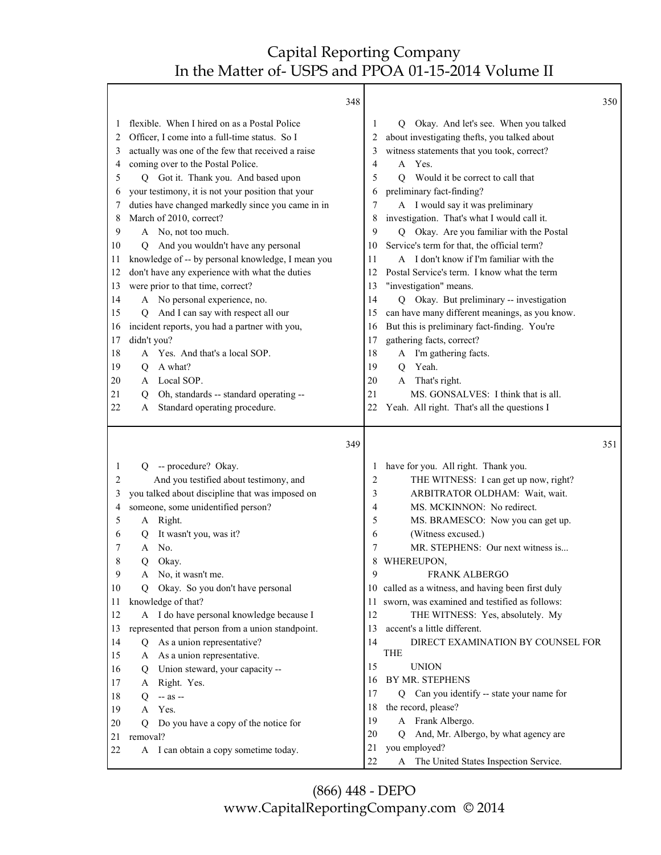Г

| flexible. When I hired on as a Postal Police<br>Q Okay. And let's see. When you talked<br>1<br>1<br>Officer, I come into a full-time status. So I<br>about investigating thefts, you talked about<br>2<br>2<br>witness statements that you took, correct?<br>actually was one of the few that received a raise<br>3<br>3<br>coming over to the Postal Police.<br>A Yes.<br>4<br>4<br>Q Got it. Thank you. And based upon<br>5<br>Would it be correct to call that<br>5<br>0<br>your testimony, it is not your position that your<br>preliminary fact-finding?<br>6<br>6<br>duties have changed markedly since you came in in<br>A I would say it was preliminary<br>7<br>7<br>investigation. That's what I would call it.<br>March of 2010, correct?<br>8<br>8<br>A No, not too much.<br>9<br>Q Okay. Are you familiar with the Postal<br>9<br>And you wouldn't have any personal<br>Service's term for that, the official term?<br>10<br>10<br>Q<br>knowledge of -- by personal knowledge, I mean you<br>A I don't know if I'm familiar with the<br>11<br>11<br>don't have any experience with what the duties<br>Postal Service's term. I know what the term<br>12<br>12<br>were prior to that time, correct?<br>"investigation" means.<br>13<br>13<br>A No personal experience, no.<br>Okay. But preliminary -- investigation<br>14<br>14<br>O.<br>And I can say with respect all our<br>can have many different meanings, as you know.<br>15<br>15<br>Q<br>incident reports, you had a partner with you,<br>But this is preliminary fact-finding. You're<br>16<br>16<br>gathering facts, correct?<br>didn't you?<br>17<br>17<br>A Yes. And that's a local SOP.<br>A I'm gathering facts.<br>18<br>18<br>Yeah.<br>A what?<br>19<br>Q<br>19<br>$\overline{Q}$<br>A Local SOP.<br>A That's right.<br>20<br>20<br>21<br>MS. GONSALVES: I think that is all.<br>21<br>Oh, standards -- standard operating --<br>O<br>Standard operating procedure.<br>22<br>22<br>Yeah. All right. That's all the questions I<br>A<br>349<br>351<br>Q -- procedure? Okay.<br>have for you. All right. Thank you.<br>1<br>1<br>And you testified about testimony, and<br>THE WITNESS: I can get up now, right?<br>2<br>2<br>you talked about discipline that was imposed on<br>ARBITRATOR OLDHAM: Wait, wait.<br>3<br>3<br>someone, some unidentified person?<br>MS. MCKINNON: No redirect.<br>4<br>4<br>5<br>A Right.<br>MS. BRAMESCO: Now you can get up.<br>5<br>It wasn't you, was it?<br>(Witness excused.)<br>6<br>6<br>Q<br>A No.<br>MR. STEPHENS: Our next witness is<br>7<br>7<br>8<br>Okay.<br>WHEREUPON,<br>8<br>Q<br>9<br>FRANK ALBERGO<br>9<br>No, it wasn't me.<br>A<br>10 called as a witness, and having been first duly<br>Q Okay. So you don't have personal<br>10<br>11 sworn, was examined and testified as follows:<br>knowledge of that?<br>11<br>A I do have personal knowledge because I<br>12<br>THE WITNESS: Yes, absolutely. My<br>12<br>represented that person from a union standpoint.<br>13<br>accent's a little different.<br>13<br>As a union representative?<br>14<br>DIRECT EXAMINATION BY COUNSEL FOR<br>14<br>Q<br>THE<br>As a union representative.<br>15<br>A<br>15<br><b>UNION</b><br>Union steward, your capacity --<br>16<br>Q<br>BY MR. STEPHENS<br>16<br>17<br>A Right. Yes.<br>Q Can you identify -- state your name for<br>17<br>18<br>-- as --<br>Q<br>the record, please?<br>18<br>Yes.<br>19<br>A<br>A Frank Albergo.<br>19<br>Do you have a copy of the notice for<br>20<br>$\circ$<br>And, Mr. Albergo, by what agency are<br>20<br>O<br>removal?<br>21<br>you employed?<br>21<br>22<br>A I can obtain a copy sometime today.<br>22 |  | 348 |                                         | 350 |
|----------------------------------------------------------------------------------------------------------------------------------------------------------------------------------------------------------------------------------------------------------------------------------------------------------------------------------------------------------------------------------------------------------------------------------------------------------------------------------------------------------------------------------------------------------------------------------------------------------------------------------------------------------------------------------------------------------------------------------------------------------------------------------------------------------------------------------------------------------------------------------------------------------------------------------------------------------------------------------------------------------------------------------------------------------------------------------------------------------------------------------------------------------------------------------------------------------------------------------------------------------------------------------------------------------------------------------------------------------------------------------------------------------------------------------------------------------------------------------------------------------------------------------------------------------------------------------------------------------------------------------------------------------------------------------------------------------------------------------------------------------------------------------------------------------------------------------------------------------------------------------------------------------------------------------------------------------------------------------------------------------------------------------------------------------------------------------------------------------------------------------------------------------------------------------------------------------------------------------------------------------------------------------------------------------------------------------------------------------------------------------------------------------------------------------------------------------------------------------------------------------------------------------------------------------------------------------------------------------------------------------------------------------------------------------------------------------------------------------------------------------------------------------------------------------------------------------------------------------------------------------------------------------------------------------------------------------------------------------------------------------------------------------------------------------------------------------------------------------------------------------------------------------------------------------------------------------------------------------------------------------------------------------------------------------------------------------------------------------------------------------------------------------------------------------------------------------------------------------------------------------------------------------------------------------------------------------------------------------------------------------------------------------------------|--|-----|-----------------------------------------|-----|
|                                                                                                                                                                                                                                                                                                                                                                                                                                                                                                                                                                                                                                                                                                                                                                                                                                                                                                                                                                                                                                                                                                                                                                                                                                                                                                                                                                                                                                                                                                                                                                                                                                                                                                                                                                                                                                                                                                                                                                                                                                                                                                                                                                                                                                                                                                                                                                                                                                                                                                                                                                                                                                                                                                                                                                                                                                                                                                                                                                                                                                                                                                                                                                                                                                                                                                                                                                                                                                                                                                                                                                                                                                                                      |  |     |                                         |     |
|                                                                                                                                                                                                                                                                                                                                                                                                                                                                                                                                                                                                                                                                                                                                                                                                                                                                                                                                                                                                                                                                                                                                                                                                                                                                                                                                                                                                                                                                                                                                                                                                                                                                                                                                                                                                                                                                                                                                                                                                                                                                                                                                                                                                                                                                                                                                                                                                                                                                                                                                                                                                                                                                                                                                                                                                                                                                                                                                                                                                                                                                                                                                                                                                                                                                                                                                                                                                                                                                                                                                                                                                                                                                      |  |     |                                         |     |
|                                                                                                                                                                                                                                                                                                                                                                                                                                                                                                                                                                                                                                                                                                                                                                                                                                                                                                                                                                                                                                                                                                                                                                                                                                                                                                                                                                                                                                                                                                                                                                                                                                                                                                                                                                                                                                                                                                                                                                                                                                                                                                                                                                                                                                                                                                                                                                                                                                                                                                                                                                                                                                                                                                                                                                                                                                                                                                                                                                                                                                                                                                                                                                                                                                                                                                                                                                                                                                                                                                                                                                                                                                                                      |  |     |                                         |     |
|                                                                                                                                                                                                                                                                                                                                                                                                                                                                                                                                                                                                                                                                                                                                                                                                                                                                                                                                                                                                                                                                                                                                                                                                                                                                                                                                                                                                                                                                                                                                                                                                                                                                                                                                                                                                                                                                                                                                                                                                                                                                                                                                                                                                                                                                                                                                                                                                                                                                                                                                                                                                                                                                                                                                                                                                                                                                                                                                                                                                                                                                                                                                                                                                                                                                                                                                                                                                                                                                                                                                                                                                                                                                      |  |     |                                         |     |
|                                                                                                                                                                                                                                                                                                                                                                                                                                                                                                                                                                                                                                                                                                                                                                                                                                                                                                                                                                                                                                                                                                                                                                                                                                                                                                                                                                                                                                                                                                                                                                                                                                                                                                                                                                                                                                                                                                                                                                                                                                                                                                                                                                                                                                                                                                                                                                                                                                                                                                                                                                                                                                                                                                                                                                                                                                                                                                                                                                                                                                                                                                                                                                                                                                                                                                                                                                                                                                                                                                                                                                                                                                                                      |  |     |                                         |     |
|                                                                                                                                                                                                                                                                                                                                                                                                                                                                                                                                                                                                                                                                                                                                                                                                                                                                                                                                                                                                                                                                                                                                                                                                                                                                                                                                                                                                                                                                                                                                                                                                                                                                                                                                                                                                                                                                                                                                                                                                                                                                                                                                                                                                                                                                                                                                                                                                                                                                                                                                                                                                                                                                                                                                                                                                                                                                                                                                                                                                                                                                                                                                                                                                                                                                                                                                                                                                                                                                                                                                                                                                                                                                      |  |     |                                         |     |
|                                                                                                                                                                                                                                                                                                                                                                                                                                                                                                                                                                                                                                                                                                                                                                                                                                                                                                                                                                                                                                                                                                                                                                                                                                                                                                                                                                                                                                                                                                                                                                                                                                                                                                                                                                                                                                                                                                                                                                                                                                                                                                                                                                                                                                                                                                                                                                                                                                                                                                                                                                                                                                                                                                                                                                                                                                                                                                                                                                                                                                                                                                                                                                                                                                                                                                                                                                                                                                                                                                                                                                                                                                                                      |  |     |                                         |     |
|                                                                                                                                                                                                                                                                                                                                                                                                                                                                                                                                                                                                                                                                                                                                                                                                                                                                                                                                                                                                                                                                                                                                                                                                                                                                                                                                                                                                                                                                                                                                                                                                                                                                                                                                                                                                                                                                                                                                                                                                                                                                                                                                                                                                                                                                                                                                                                                                                                                                                                                                                                                                                                                                                                                                                                                                                                                                                                                                                                                                                                                                                                                                                                                                                                                                                                                                                                                                                                                                                                                                                                                                                                                                      |  |     |                                         |     |
|                                                                                                                                                                                                                                                                                                                                                                                                                                                                                                                                                                                                                                                                                                                                                                                                                                                                                                                                                                                                                                                                                                                                                                                                                                                                                                                                                                                                                                                                                                                                                                                                                                                                                                                                                                                                                                                                                                                                                                                                                                                                                                                                                                                                                                                                                                                                                                                                                                                                                                                                                                                                                                                                                                                                                                                                                                                                                                                                                                                                                                                                                                                                                                                                                                                                                                                                                                                                                                                                                                                                                                                                                                                                      |  |     |                                         |     |
|                                                                                                                                                                                                                                                                                                                                                                                                                                                                                                                                                                                                                                                                                                                                                                                                                                                                                                                                                                                                                                                                                                                                                                                                                                                                                                                                                                                                                                                                                                                                                                                                                                                                                                                                                                                                                                                                                                                                                                                                                                                                                                                                                                                                                                                                                                                                                                                                                                                                                                                                                                                                                                                                                                                                                                                                                                                                                                                                                                                                                                                                                                                                                                                                                                                                                                                                                                                                                                                                                                                                                                                                                                                                      |  |     |                                         |     |
|                                                                                                                                                                                                                                                                                                                                                                                                                                                                                                                                                                                                                                                                                                                                                                                                                                                                                                                                                                                                                                                                                                                                                                                                                                                                                                                                                                                                                                                                                                                                                                                                                                                                                                                                                                                                                                                                                                                                                                                                                                                                                                                                                                                                                                                                                                                                                                                                                                                                                                                                                                                                                                                                                                                                                                                                                                                                                                                                                                                                                                                                                                                                                                                                                                                                                                                                                                                                                                                                                                                                                                                                                                                                      |  |     |                                         |     |
|                                                                                                                                                                                                                                                                                                                                                                                                                                                                                                                                                                                                                                                                                                                                                                                                                                                                                                                                                                                                                                                                                                                                                                                                                                                                                                                                                                                                                                                                                                                                                                                                                                                                                                                                                                                                                                                                                                                                                                                                                                                                                                                                                                                                                                                                                                                                                                                                                                                                                                                                                                                                                                                                                                                                                                                                                                                                                                                                                                                                                                                                                                                                                                                                                                                                                                                                                                                                                                                                                                                                                                                                                                                                      |  |     |                                         |     |
|                                                                                                                                                                                                                                                                                                                                                                                                                                                                                                                                                                                                                                                                                                                                                                                                                                                                                                                                                                                                                                                                                                                                                                                                                                                                                                                                                                                                                                                                                                                                                                                                                                                                                                                                                                                                                                                                                                                                                                                                                                                                                                                                                                                                                                                                                                                                                                                                                                                                                                                                                                                                                                                                                                                                                                                                                                                                                                                                                                                                                                                                                                                                                                                                                                                                                                                                                                                                                                                                                                                                                                                                                                                                      |  |     |                                         |     |
|                                                                                                                                                                                                                                                                                                                                                                                                                                                                                                                                                                                                                                                                                                                                                                                                                                                                                                                                                                                                                                                                                                                                                                                                                                                                                                                                                                                                                                                                                                                                                                                                                                                                                                                                                                                                                                                                                                                                                                                                                                                                                                                                                                                                                                                                                                                                                                                                                                                                                                                                                                                                                                                                                                                                                                                                                                                                                                                                                                                                                                                                                                                                                                                                                                                                                                                                                                                                                                                                                                                                                                                                                                                                      |  |     |                                         |     |
|                                                                                                                                                                                                                                                                                                                                                                                                                                                                                                                                                                                                                                                                                                                                                                                                                                                                                                                                                                                                                                                                                                                                                                                                                                                                                                                                                                                                                                                                                                                                                                                                                                                                                                                                                                                                                                                                                                                                                                                                                                                                                                                                                                                                                                                                                                                                                                                                                                                                                                                                                                                                                                                                                                                                                                                                                                                                                                                                                                                                                                                                                                                                                                                                                                                                                                                                                                                                                                                                                                                                                                                                                                                                      |  |     |                                         |     |
|                                                                                                                                                                                                                                                                                                                                                                                                                                                                                                                                                                                                                                                                                                                                                                                                                                                                                                                                                                                                                                                                                                                                                                                                                                                                                                                                                                                                                                                                                                                                                                                                                                                                                                                                                                                                                                                                                                                                                                                                                                                                                                                                                                                                                                                                                                                                                                                                                                                                                                                                                                                                                                                                                                                                                                                                                                                                                                                                                                                                                                                                                                                                                                                                                                                                                                                                                                                                                                                                                                                                                                                                                                                                      |  |     |                                         |     |
|                                                                                                                                                                                                                                                                                                                                                                                                                                                                                                                                                                                                                                                                                                                                                                                                                                                                                                                                                                                                                                                                                                                                                                                                                                                                                                                                                                                                                                                                                                                                                                                                                                                                                                                                                                                                                                                                                                                                                                                                                                                                                                                                                                                                                                                                                                                                                                                                                                                                                                                                                                                                                                                                                                                                                                                                                                                                                                                                                                                                                                                                                                                                                                                                                                                                                                                                                                                                                                                                                                                                                                                                                                                                      |  |     |                                         |     |
|                                                                                                                                                                                                                                                                                                                                                                                                                                                                                                                                                                                                                                                                                                                                                                                                                                                                                                                                                                                                                                                                                                                                                                                                                                                                                                                                                                                                                                                                                                                                                                                                                                                                                                                                                                                                                                                                                                                                                                                                                                                                                                                                                                                                                                                                                                                                                                                                                                                                                                                                                                                                                                                                                                                                                                                                                                                                                                                                                                                                                                                                                                                                                                                                                                                                                                                                                                                                                                                                                                                                                                                                                                                                      |  |     |                                         |     |
|                                                                                                                                                                                                                                                                                                                                                                                                                                                                                                                                                                                                                                                                                                                                                                                                                                                                                                                                                                                                                                                                                                                                                                                                                                                                                                                                                                                                                                                                                                                                                                                                                                                                                                                                                                                                                                                                                                                                                                                                                                                                                                                                                                                                                                                                                                                                                                                                                                                                                                                                                                                                                                                                                                                                                                                                                                                                                                                                                                                                                                                                                                                                                                                                                                                                                                                                                                                                                                                                                                                                                                                                                                                                      |  |     |                                         |     |
|                                                                                                                                                                                                                                                                                                                                                                                                                                                                                                                                                                                                                                                                                                                                                                                                                                                                                                                                                                                                                                                                                                                                                                                                                                                                                                                                                                                                                                                                                                                                                                                                                                                                                                                                                                                                                                                                                                                                                                                                                                                                                                                                                                                                                                                                                                                                                                                                                                                                                                                                                                                                                                                                                                                                                                                                                                                                                                                                                                                                                                                                                                                                                                                                                                                                                                                                                                                                                                                                                                                                                                                                                                                                      |  |     |                                         |     |
|                                                                                                                                                                                                                                                                                                                                                                                                                                                                                                                                                                                                                                                                                                                                                                                                                                                                                                                                                                                                                                                                                                                                                                                                                                                                                                                                                                                                                                                                                                                                                                                                                                                                                                                                                                                                                                                                                                                                                                                                                                                                                                                                                                                                                                                                                                                                                                                                                                                                                                                                                                                                                                                                                                                                                                                                                                                                                                                                                                                                                                                                                                                                                                                                                                                                                                                                                                                                                                                                                                                                                                                                                                                                      |  |     |                                         |     |
|                                                                                                                                                                                                                                                                                                                                                                                                                                                                                                                                                                                                                                                                                                                                                                                                                                                                                                                                                                                                                                                                                                                                                                                                                                                                                                                                                                                                                                                                                                                                                                                                                                                                                                                                                                                                                                                                                                                                                                                                                                                                                                                                                                                                                                                                                                                                                                                                                                                                                                                                                                                                                                                                                                                                                                                                                                                                                                                                                                                                                                                                                                                                                                                                                                                                                                                                                                                                                                                                                                                                                                                                                                                                      |  |     |                                         |     |
|                                                                                                                                                                                                                                                                                                                                                                                                                                                                                                                                                                                                                                                                                                                                                                                                                                                                                                                                                                                                                                                                                                                                                                                                                                                                                                                                                                                                                                                                                                                                                                                                                                                                                                                                                                                                                                                                                                                                                                                                                                                                                                                                                                                                                                                                                                                                                                                                                                                                                                                                                                                                                                                                                                                                                                                                                                                                                                                                                                                                                                                                                                                                                                                                                                                                                                                                                                                                                                                                                                                                                                                                                                                                      |  |     |                                         |     |
|                                                                                                                                                                                                                                                                                                                                                                                                                                                                                                                                                                                                                                                                                                                                                                                                                                                                                                                                                                                                                                                                                                                                                                                                                                                                                                                                                                                                                                                                                                                                                                                                                                                                                                                                                                                                                                                                                                                                                                                                                                                                                                                                                                                                                                                                                                                                                                                                                                                                                                                                                                                                                                                                                                                                                                                                                                                                                                                                                                                                                                                                                                                                                                                                                                                                                                                                                                                                                                                                                                                                                                                                                                                                      |  |     |                                         |     |
|                                                                                                                                                                                                                                                                                                                                                                                                                                                                                                                                                                                                                                                                                                                                                                                                                                                                                                                                                                                                                                                                                                                                                                                                                                                                                                                                                                                                                                                                                                                                                                                                                                                                                                                                                                                                                                                                                                                                                                                                                                                                                                                                                                                                                                                                                                                                                                                                                                                                                                                                                                                                                                                                                                                                                                                                                                                                                                                                                                                                                                                                                                                                                                                                                                                                                                                                                                                                                                                                                                                                                                                                                                                                      |  |     |                                         |     |
|                                                                                                                                                                                                                                                                                                                                                                                                                                                                                                                                                                                                                                                                                                                                                                                                                                                                                                                                                                                                                                                                                                                                                                                                                                                                                                                                                                                                                                                                                                                                                                                                                                                                                                                                                                                                                                                                                                                                                                                                                                                                                                                                                                                                                                                                                                                                                                                                                                                                                                                                                                                                                                                                                                                                                                                                                                                                                                                                                                                                                                                                                                                                                                                                                                                                                                                                                                                                                                                                                                                                                                                                                                                                      |  |     |                                         |     |
|                                                                                                                                                                                                                                                                                                                                                                                                                                                                                                                                                                                                                                                                                                                                                                                                                                                                                                                                                                                                                                                                                                                                                                                                                                                                                                                                                                                                                                                                                                                                                                                                                                                                                                                                                                                                                                                                                                                                                                                                                                                                                                                                                                                                                                                                                                                                                                                                                                                                                                                                                                                                                                                                                                                                                                                                                                                                                                                                                                                                                                                                                                                                                                                                                                                                                                                                                                                                                                                                                                                                                                                                                                                                      |  |     | A The United States Inspection Service. |     |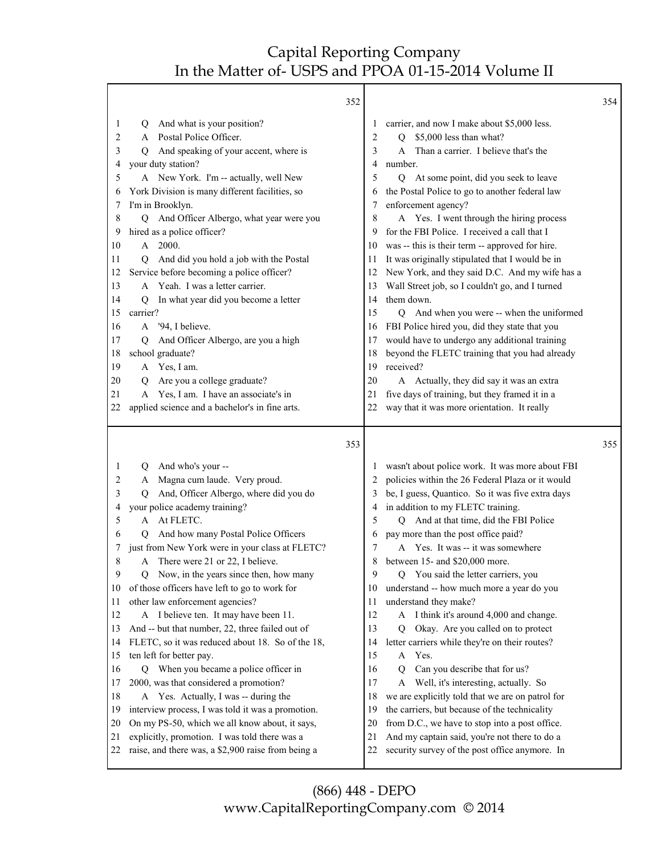|                                                                                                                         | 352                                                                                                                                                                                                                                                                                                                                                                                                                                                                                                                                                                                                                                                                                                                                                                                                                                                                                                                                                  |                                                                                                                         |                                                                                                                                                                                                                                                                                                                                                                                                                                                                                                                                                                                                                                                                                                                                                                                                                                                                                                                                                                        | 354 |
|-------------------------------------------------------------------------------------------------------------------------|------------------------------------------------------------------------------------------------------------------------------------------------------------------------------------------------------------------------------------------------------------------------------------------------------------------------------------------------------------------------------------------------------------------------------------------------------------------------------------------------------------------------------------------------------------------------------------------------------------------------------------------------------------------------------------------------------------------------------------------------------------------------------------------------------------------------------------------------------------------------------------------------------------------------------------------------------|-------------------------------------------------------------------------------------------------------------------------|------------------------------------------------------------------------------------------------------------------------------------------------------------------------------------------------------------------------------------------------------------------------------------------------------------------------------------------------------------------------------------------------------------------------------------------------------------------------------------------------------------------------------------------------------------------------------------------------------------------------------------------------------------------------------------------------------------------------------------------------------------------------------------------------------------------------------------------------------------------------------------------------------------------------------------------------------------------------|-----|
| 1<br>2<br>3<br>4<br>5<br>6<br>7<br>8<br>9<br>10<br>11<br>12<br>13<br>14<br>15<br>16<br>17<br>18<br>19<br>20<br>21       | And what is your position?<br>Q<br>A Postal Police Officer.<br>And speaking of your accent, where is<br>O.<br>your duty station?<br>A New York. I'm -- actually, well New<br>York Division is many different facilities, so<br>I'm in Brooklyn.<br>Q And Officer Albergo, what year were you<br>hired as a police officer?<br>A 2000.<br>And did you hold a job with the Postal<br>O<br>Service before becoming a police officer?<br>A Yeah. I was a letter carrier.<br>In what year did you become a letter<br>O<br>carrier?<br>A '94, I believe.<br>And Officer Albergo, are you a high<br>Q<br>school graduate?<br>A Yes, I am.<br>Are you a college graduate?<br>Q<br>A Yes, I am. I have an associate's in                                                                                                                                                                                                                                      | 1<br>2<br>3<br>4<br>5<br>6<br>7<br>8<br>9<br>10<br>11<br>12<br>13<br>14<br>15<br>16<br>17<br>18<br>19<br>20<br>21       | carrier, and now I make about \$5,000 less.<br>Q \$5,000 less than what?<br>Than a carrier. I believe that's the<br>A<br>number.<br>Q At some point, did you seek to leave<br>the Postal Police to go to another federal law<br>enforcement agency?<br>A Yes. I went through the hiring process<br>for the FBI Police. I received a call that I<br>was -- this is their term -- approved for hire.<br>It was originally stipulated that I would be in<br>New York, and they said D.C. And my wife has a<br>Wall Street job, so I couldn't go, and I turned<br>them down.<br>Q And when you were -- when the uniformed<br>FBI Police hired you, did they state that you<br>would have to undergo any additional training<br>beyond the FLETC training that you had already<br>received?<br>A Actually, they did say it was an extra<br>five days of training, but they framed it in a                                                                                   |     |
| 22                                                                                                                      | applied science and a bachelor's in fine arts.                                                                                                                                                                                                                                                                                                                                                                                                                                                                                                                                                                                                                                                                                                                                                                                                                                                                                                       | 22                                                                                                                      | way that it was more orientation. It really                                                                                                                                                                                                                                                                                                                                                                                                                                                                                                                                                                                                                                                                                                                                                                                                                                                                                                                            |     |
|                                                                                                                         | 353                                                                                                                                                                                                                                                                                                                                                                                                                                                                                                                                                                                                                                                                                                                                                                                                                                                                                                                                                  |                                                                                                                         |                                                                                                                                                                                                                                                                                                                                                                                                                                                                                                                                                                                                                                                                                                                                                                                                                                                                                                                                                                        | 355 |
| 1<br>2<br>3<br>4<br>5<br>6<br>7<br>8<br>9<br>10<br>11<br>12<br>13<br>14<br>15<br>16<br>17<br>18<br>19<br>20<br>21<br>22 | And who's your --<br>Q<br>A Magna cum laude. Very proud.<br>And, Officer Albergo, where did you do<br>O<br>your police academy training?<br>A At FLETC.<br>And how many Postal Police Officers<br>0<br>just from New York were in your class at FLETC?<br>A There were 21 or 22, I believe.<br>Now, in the years since then, how many<br>Q.<br>of those officers have left to go to work for<br>other law enforcement agencies?<br>A I believe ten. It may have been 11.<br>And -- but that number, 22, three failed out of<br>FLETC, so it was reduced about 18. So of the 18,<br>ten left for better pay.<br>Q When you became a police officer in<br>2000, was that considered a promotion?<br>A Yes. Actually, I was -- during the<br>interview process, I was told it was a promotion.<br>On my PS-50, which we all know about, it says,<br>explicitly, promotion. I was told there was a<br>raise, and there was, a \$2,900 raise from being a | 1<br>2<br>3<br>4<br>5<br>6<br>7<br>8<br>9<br>10<br>11<br>12<br>13<br>14<br>15<br>16<br>17<br>18<br>19<br>20<br>21<br>22 | wasn't about police work. It was more about FBI<br>policies within the 26 Federal Plaza or it would<br>be, I guess, Quantico. So it was five extra days<br>in addition to my FLETC training.<br>Q And at that time, did the FBI Police<br>pay more than the post office paid?<br>Yes. It was -- it was somewhere<br>A<br>between 15- and \$20,000 more.<br>Q You said the letter carriers, you<br>understand -- how much more a year do you<br>understand they make?<br>A I think it's around 4,000 and change.<br>Okay. Are you called on to protect<br>Q<br>letter carriers while they're on their routes?<br>Yes.<br>A<br>Can you describe that for us?<br>O<br>Well, it's interesting, actually. So<br>A<br>we are explicitly told that we are on patrol for<br>the carriers, but because of the technicality<br>from D.C., we have to stop into a post office.<br>And my captain said, you're not there to do a<br>security survey of the post office anymore. In |     |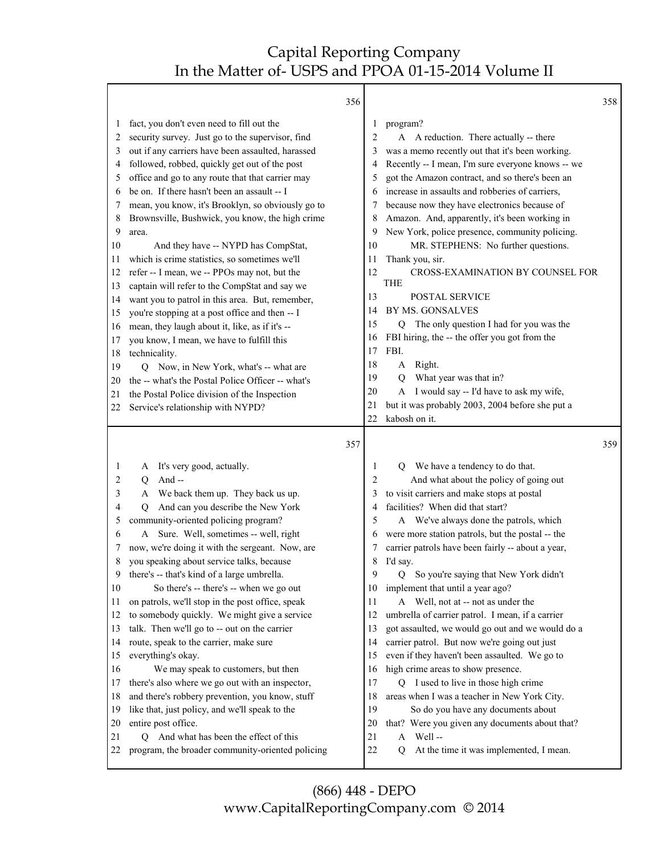|         |                                                                                               | 356 |          |                                                            | 358 |
|---------|-----------------------------------------------------------------------------------------------|-----|----------|------------------------------------------------------------|-----|
| $\perp$ | fact, you don't even need to fill out the                                                     |     | 1        | program?                                                   |     |
| 2       | security survey. Just go to the supervisor, find                                              |     | 2        | A A reduction. There actually -- there                     |     |
| 3       | out if any carriers have been assaulted, harassed                                             |     | 3        | was a memo recently out that it's been working.            |     |
| 4       | followed, robbed, quickly get out of the post                                                 |     | 4        | Recently -- I mean, I'm sure everyone knows -- we          |     |
| 5       | office and go to any route that that carrier may                                              |     | 5        | got the Amazon contract, and so there's been an            |     |
| 6       | be on. If there hasn't been an assault -- I                                                   |     | 6        | increase in assaults and robberies of carriers,            |     |
| 7       | mean, you know, it's Brooklyn, so obviously go to                                             |     |          | because now they have electronics because of               |     |
| 8       | Brownsville, Bushwick, you know, the high crime                                               |     | 8        | Amazon. And, apparently, it's been working in              |     |
| 9       | area.                                                                                         |     | 9        | New York, police presence, community policing.             |     |
| 10      | And they have -- NYPD has CompStat,                                                           |     | 10       | MR. STEPHENS: No further questions.                        |     |
| 11      | which is crime statistics, so sometimes we'll                                                 |     | 11       | Thank you, sir.                                            |     |
| 12      | refer -- I mean, we -- PPOs may not, but the                                                  |     | 12       | CROSS-EXAMINATION BY COUNSEL FOR                           |     |
| 13      | captain will refer to the CompStat and say we                                                 |     |          | <b>THE</b>                                                 |     |
| 14      | want you to patrol in this area. But, remember,                                               |     | 13       | <b>POSTAL SERVICE</b>                                      |     |
| 15      | you're stopping at a post office and then -- I                                                |     | 14       | BY MS. GONSALVES                                           |     |
| 16      | mean, they laugh about it, like, as if it's --                                                |     | 15       | The only question I had for you was the<br>Q               |     |
| 17      | you know, I mean, we have to fulfill this                                                     |     | 16       | FBI hiring, the -- the offer you got from the              |     |
| 18      | technicality.                                                                                 |     | 17       | FBI.                                                       |     |
| 19      | Now, in New York, what's -- what are<br>O                                                     |     | 18       | Right.<br>A                                                |     |
| 20      | the -- what's the Postal Police Officer -- what's                                             |     | 19       | What year was that in?<br>$\overline{Q}$                   |     |
| 21      | the Postal Police division of the Inspection                                                  |     | 20       | A I would say -- I'd have to ask my wife,                  |     |
| 22      | Service's relationship with NYPD?                                                             |     | 21       | but it was probably 2003, 2004 before she put a            |     |
|         |                                                                                               |     | 22       | kabosh on it.                                              |     |
|         |                                                                                               | 357 |          |                                                            | 359 |
| 1       | A It's very good, actually.                                                                   |     | 1        | We have a tendency to do that.<br>O                        |     |
| 2       | And $-$<br>$\overline{Q}$                                                                     |     | 2        | And what about the policy of going out                     |     |
| 3       | We back them up. They back us up.<br>A                                                        |     | 3        | to visit carriers and make stops at postal                 |     |
| 4       | And can you describe the New York<br>O                                                        |     | 4        | facilities? When did that start?                           |     |
| 5       | community-oriented policing program?                                                          |     | 5        | A We've always done the patrols, which                     |     |
| 6       | Sure. Well, sometimes -- well, right<br>A                                                     |     | 6        | were more station patrols, but the postal -- the           |     |
|         | now, we're doing it with the sergeant. Now, are                                               |     |          | carrier patrols have been fairly -- about a year,          |     |
| 8       | you speaking about service talks, because                                                     |     | 8        | I'd say.                                                   |     |
| 9       | there's -- that's kind of a large umbrella.                                                   |     | 9        | So you're saying that New York didn't<br>Q                 |     |
| 10      | So there's -- there's -- when we go out                                                       |     | 10       | implement that until a year ago?                           |     |
| 11      | on patrols, we'll stop in the post office, speak                                              |     | 11       | A Well, not at -- not as under the                         |     |
| 12      | to somebody quickly. We might give a service                                                  |     | 12       | umbrella of carrier patrol. I mean, if a carrier           |     |
| 13      | talk. Then we'll go to -- out on the carrier                                                  |     | 13       | got assaulted, we would go out and we would do a           |     |
| 14      | route, speak to the carrier, make sure                                                        |     | 14       | carrier patrol. But now we're going out just               |     |
| 15      | everything's okay.                                                                            |     | 15       | even if they haven't been assaulted. We go to              |     |
| 16      | We may speak to customers, but then                                                           |     | 16       | high crime areas to show presence.                         |     |
| 17      | there's also where we go out with an inspector,                                               |     | 17       | Q I used to live in those high crime                       |     |
| 18      | and there's robbery prevention, you know, stuff                                               |     | 18       | areas when I was a teacher in New York City.               |     |
| 19      | like that, just policy, and we'll speak to the                                                |     | 19       | So do you have any documents about                         |     |
| 20      | entire post office.                                                                           |     | 20       | that? Were you given any documents about that?             |     |
| 21      |                                                                                               |     |          |                                                            |     |
|         |                                                                                               |     |          |                                                            |     |
| 22      | And what has been the effect of this<br>O<br>program, the broader community-oriented policing |     | 21<br>22 | Well-<br>A<br>At the time it was implemented, I mean.<br>Q |     |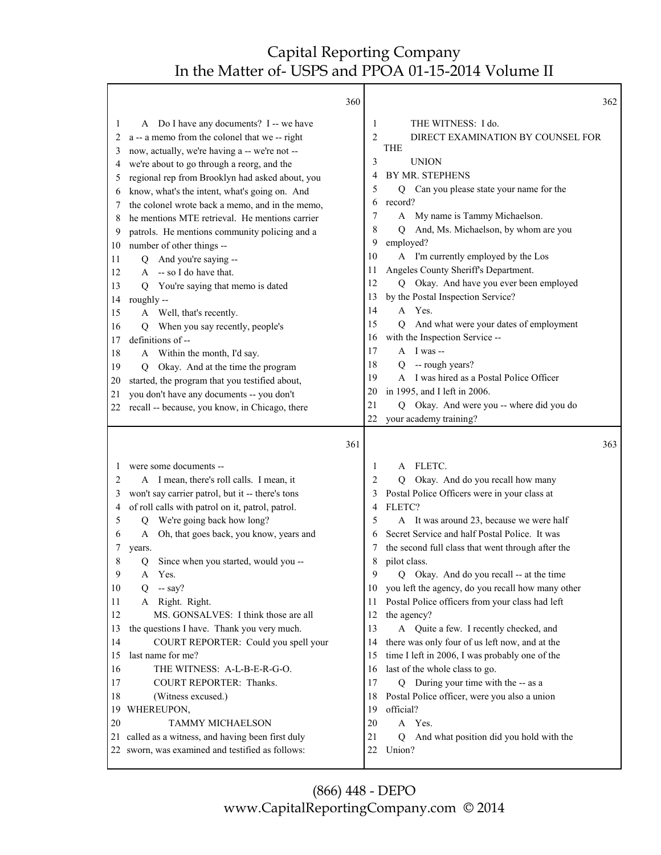٦

|          | 360                                                                                                 |                | 362                                                                             |
|----------|-----------------------------------------------------------------------------------------------------|----------------|---------------------------------------------------------------------------------|
| 1        | A Do I have any documents? I -- we have                                                             | 1              | THE WITNESS: I do.                                                              |
| 2        | a -- a memo from the colonel that we -- right                                                       | $\overline{2}$ | DIRECT EXAMINATION BY COUNSEL FOR                                               |
| 3        | now, actually, we're having a -- we're not --                                                       |                | <b>THE</b>                                                                      |
| 4        | we're about to go through a reorg, and the                                                          | 3              | <b>UNION</b>                                                                    |
| 5        | regional rep from Brooklyn had asked about, you                                                     | 4              | BY MR. STEPHENS                                                                 |
| 6        | know, what's the intent, what's going on. And                                                       | 5              | Can you please state your name for the<br>Q                                     |
| 7        | the colonel wrote back a memo, and in the memo,                                                     | 6              | record?                                                                         |
| 8        | he mentions MTE retrieval. He mentions carrier                                                      | 7              | A My name is Tammy Michaelson.                                                  |
| 9        | patrols. He mentions community policing and a                                                       | 8              | And, Ms. Michaelson, by whom are you<br>Q                                       |
| 10       | number of other things --                                                                           | 9              | employed?                                                                       |
| 11       | And you're saying --<br>O.                                                                          | 10             | A I'm currently employed by the Los                                             |
| 12       | A -- so I do have that.                                                                             | 11<br>12       | Angeles County Sheriff's Department.<br>Q Okay. And have you ever been employed |
| 13       | You're saying that memo is dated<br>O                                                               | 13             | by the Postal Inspection Service?                                               |
| 14       | roughly --                                                                                          | 14             | A Yes.                                                                          |
| 15       | A Well, that's recently.                                                                            | 15             | And what were your dates of employment<br>$\rm O$                               |
| 16<br>17 | When you say recently, people's<br>Q<br>definitions of --                                           | 16             | with the Inspection Service --                                                  |
| 18       |                                                                                                     | 17             | $A$ I was --                                                                    |
| 19       | A Within the month, I'd say.<br>Okay. And at the time the program<br>O                              | 18             | Q -- rough years?                                                               |
| 20       | started, the program that you testified about,                                                      | 19             | A I was hired as a Postal Police Officer                                        |
| 21       | you don't have any documents -- you don't                                                           | 20             | in 1995, and I left in 2006.                                                    |
| 22       | recall -- because, you know, in Chicago, there                                                      | 21             | Q Okay. And were you -- where did you do                                        |
|          |                                                                                                     | 22             | your academy training?                                                          |
|          | 361                                                                                                 |                | 363                                                                             |
| 1        | were some documents --                                                                              | 1              | A FLETC.                                                                        |
|          |                                                                                                     |                |                                                                                 |
| 2        | A I mean, there's roll calls. I mean, it                                                            | 2              | Okay. And do you recall how many<br>0                                           |
| 3        | won't say carrier patrol, but it -- there's tons                                                    | 3              | Postal Police Officers were in your class at                                    |
| 4        | of roll calls with patrol on it, patrol, patrol.                                                    | 4              | FLETC?                                                                          |
| 5        | We're going back how long?<br>Q                                                                     | 5              | A It was around 23, because we were half                                        |
| 6        | Oh, that goes back, you know, years and<br>A                                                        | 6              | Secret Service and half Postal Police. It was                                   |
| 7        | years.                                                                                              | 7              | the second full class that went through after the                               |
| 8        | Since when you started, would you --<br>Q                                                           | 8              | pilot class.                                                                    |
| 9        | Yes.<br>A                                                                                           | 9              | Q Okay. And do you recall -- at the time                                        |
| 10       | $-$ say?<br>O                                                                                       | 10             | you left the agency, do you recall how many other                               |
| 11       | Right. Right.<br>A                                                                                  | 11             | Postal Police officers from your class had left                                 |
| 12       | MS. GONSALVES: I think those are all                                                                | 12             | the agency?                                                                     |
| 13       | the questions I have. Thank you very much.                                                          | 13             | A Quite a few. I recently checked, and                                          |
| 14       | COURT REPORTER: Could you spell your                                                                | 14             | there was only four of us left now, and at the                                  |
| 15       | last name for me?                                                                                   | 15             | time I left in 2006, I was probably one of the                                  |
| 16       | THE WITNESS: A-L-B-E-R-G-O.                                                                         | 16             | last of the whole class to go.                                                  |
| 17       | COURT REPORTER: Thanks.                                                                             | 17             | Q During your time with the -- as a                                             |
| 18       | (Witness excused.)                                                                                  | 18             | Postal Police officer, were you also a union                                    |
| 19       | WHEREUPON,                                                                                          | 19             | official?                                                                       |
| 20       | <b>TAMMY MICHAELSON</b>                                                                             | 20             | A Yes.<br>0                                                                     |
| 21       | called as a witness, and having been first duly<br>22 sworn, was examined and testified as follows: | 21<br>22       | And what position did you hold with the<br>Union?                               |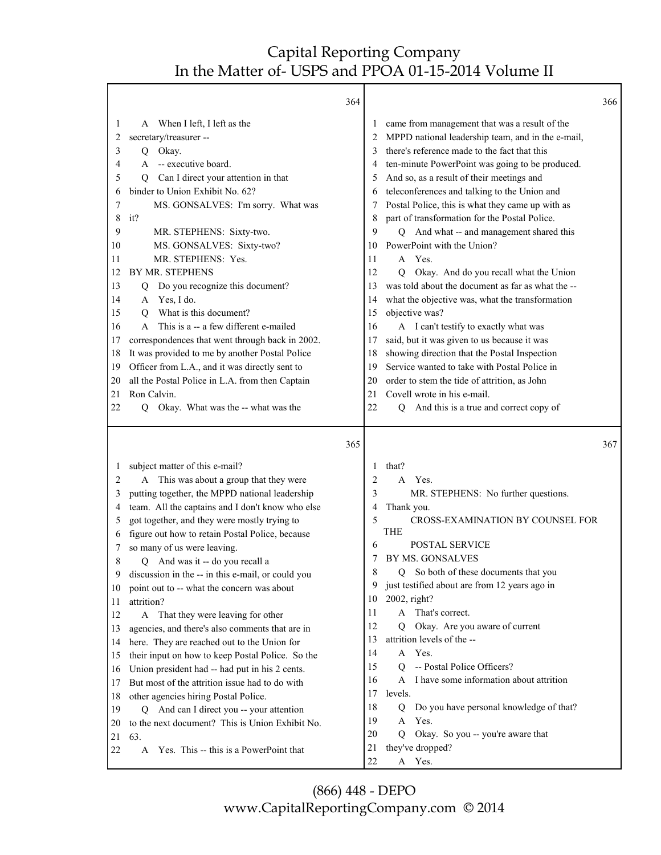Г

|          | 364                                                |          |                                                            | 366 |
|----------|----------------------------------------------------|----------|------------------------------------------------------------|-----|
| 1        | A When I left, I left as the                       | $\perp$  | came from management that was a result of the              |     |
| 2        | secretary/treasurer --                             |          | MPPD national leadership team, and in the e-mail,          |     |
| 3        | Okay.<br>Q                                         | 3        | there's reference made to the fact that this               |     |
| 4        | -- executive board.<br>A                           | 4        | ten-minute PowerPoint was going to be produced.            |     |
| 5        | Can I direct your attention in that<br>O           | 5        | And so, as a result of their meetings and                  |     |
| 6        | binder to Union Exhibit No. 62?                    | 6        | teleconferences and talking to the Union and               |     |
| 7        | MS. GONSALVES: I'm sorry. What was                 | 7        | Postal Police, this is what they came up with as           |     |
| 8        | it?                                                | 8        | part of transformation for the Postal Police.              |     |
| 9        | MR. STEPHENS: Sixty-two.                           | 9        | Q And what -- and management shared this                   |     |
| 10       | MS. GONSALVES: Sixty-two?                          | 10       | PowerPoint with the Union?                                 |     |
| 11       | MR. STEPHENS: Yes.                                 | 11       | A Yes.                                                     |     |
| 12       | BY MR. STEPHENS                                    | 12       | Okay. And do you recall what the Union<br>Q                |     |
| 13       | Do you recognize this document?<br>Q               | 13       | was told about the document as far as what the --          |     |
| 14       | Yes, I do.<br>A                                    | 14       | what the objective was, what the transformation            |     |
| 15       | What is this document?<br>O                        | 15       | objective was?                                             |     |
| 16       | This is a -- a few different e-mailed<br>A         | 16       | A I can't testify to exactly what was                      |     |
| 17       | correspondences that went through back in 2002.    | 17       | said, but it was given to us because it was                |     |
| 18       | It was provided to me by another Postal Police     | 18       | showing direction that the Postal Inspection               |     |
| 19       | Officer from L.A., and it was directly sent to     | 19       | Service wanted to take with Postal Police in               |     |
| 20       | all the Postal Police in L.A. from then Captain    | 20       | order to stem the tide of attrition, as John               |     |
| 21       | Ron Calvin.                                        | 21       | Covell wrote in his e-mail.                                |     |
| 22       | Q Okay. What was the -- what was the               | 22       | Q And this is a true and correct copy of                   |     |
|          | 365                                                |          |                                                            | 367 |
|          |                                                    |          |                                                            |     |
| 1        | subject matter of this e-mail?                     | 1        | that?                                                      |     |
| 2        | This was about a group that they were<br>A         | 2        | Yes.<br>$\mathsf{A}$                                       |     |
| 3        | putting together, the MPPD national leadership     | 3        | MR. STEPHENS: No further questions.                        |     |
| 4        | team. All the captains and I don't know who else   | 4        | Thank you.                                                 |     |
| 5        | got together, and they were mostly trying to       | 5        | CROSS-EXAMINATION BY COUNSEL FOR                           |     |
| 6        | figure out how to retain Postal Police, because    |          | <b>THE</b>                                                 |     |
| 7        | so many of us were leaving.                        | 6        | POSTAL SERVICE                                             |     |
| 8        | Q And was it -- do you recall a                    | 7        | BY MS. GONSALVES                                           |     |
|          | discussion in the -- in this e-mail, or could you  | 8        | Q So both of these documents that you                      |     |
| 10       | point out to -- what the concern was about         | 9        | just testified about are from 12 years ago in              |     |
| 11       | attrition?                                         | 10       | 2002, right?                                               |     |
| 12       | That they were leaving for other<br>A              | 11       | A That's correct.                                          |     |
| 13       | agencies, and there's also comments that are in    | 12       | Okay. Are you aware of current<br>Q                        |     |
| 14       | here. They are reached out to the Union for        | 13       | attrition levels of the --                                 |     |
| 15       | their input on how to keep Postal Police. So the   | 14       | A Yes.                                                     |     |
| 16       | Union president had -- had put in his 2 cents.     | 15       | -- Postal Police Officers?<br>Q                            |     |
| 17       | But most of the attrition issue had to do with     | 16       | I have some information about attrition<br>A               |     |
| 18       | other agencies hiring Postal Police.               | 17       | levels.                                                    |     |
| 19       | Q And can I direct you -- your attention           | 18       | Do you have personal knowledge of that?<br>Q               |     |
| 20       | to the next document? This is Union Exhibit No.    | 19       | Yes.<br>A                                                  |     |
| 21<br>22 | 63.<br>Yes. This -- this is a PowerPoint that<br>A | 20<br>21 | Okay. So you -- you're aware that<br>Q<br>they've dropped? |     |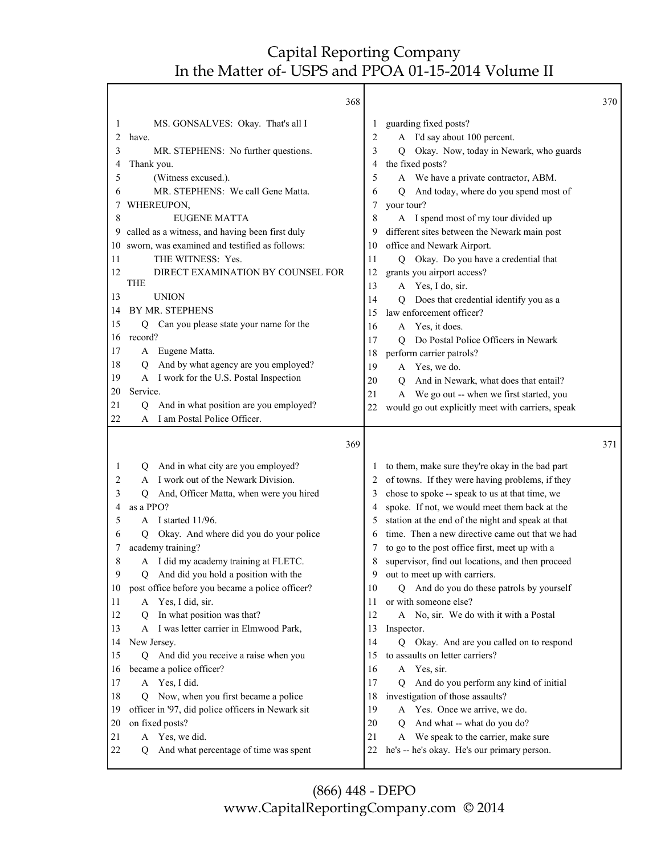|          | 368                                                          |          |                                                                                        | 370 |
|----------|--------------------------------------------------------------|----------|----------------------------------------------------------------------------------------|-----|
| 1        | MS. GONSALVES: Okay. That's all I                            | 1        | guarding fixed posts?                                                                  |     |
| 2        | have.                                                        | 2        | A I'd say about 100 percent.                                                           |     |
| 3        | MR. STEPHENS: No further questions.                          | 3        | Okay. Now, today in Newark, who guards<br>Q                                            |     |
| 4        | Thank you.                                                   | 4        | the fixed posts?                                                                       |     |
| 5        | (Witness excused.).                                          | 5        | A We have a private contractor, ABM.                                                   |     |
| 6        | MR. STEPHENS: We call Gene Matta.                            | 6        | And today, where do you spend most of<br>Q                                             |     |
|          | WHEREUPON,                                                   | 7        | your tour?                                                                             |     |
| 8        | <b>EUGENE MATTA</b>                                          | 8        | A I spend most of my tour divided up                                                   |     |
| 9        | called as a witness, and having been first duly              | 9        | different sites between the Newark main post                                           |     |
| 10       | sworn, was examined and testified as follows:                | 10       | office and Newark Airport.                                                             |     |
| 11       | THE WITNESS: Yes.                                            | 11       | Q Okay. Do you have a credential that                                                  |     |
| 12       | DIRECT EXAMINATION BY COUNSEL FOR                            | 12       | grants you airport access?                                                             |     |
|          | THE                                                          | 13       | A Yes, I do, sir.                                                                      |     |
| 13       | <b>UNION</b>                                                 | 14       | Does that credential identify you as a<br>O.                                           |     |
| 14       | BY MR. STEPHENS                                              | 15       | law enforcement officer?                                                               |     |
| 15       | Q Can you please state your name for the                     | 16       | A Yes, it does.                                                                        |     |
| 16       | record?                                                      | 17       | Do Postal Police Officers in Newark<br>О                                               |     |
| 17       | A Eugene Matta.                                              | 18       | perform carrier patrols?                                                               |     |
| 18       | And by what agency are you employed?<br>Q                    | 19       | Yes, we do.<br>A                                                                       |     |
| 19       | I work for the U.S. Postal Inspection<br>A                   | 20       | And in Newark, what does that entail?<br>O                                             |     |
| 20       | Service.                                                     | 21       | We go out -- when we first started, you<br>A                                           |     |
| 21       | And in what position are you employed?<br>Q                  | 22       | would go out explicitly meet with carriers, speak                                      |     |
| 22       | I am Postal Police Officer.<br>A                             |          |                                                                                        |     |
|          |                                                              |          |                                                                                        |     |
|          | 369                                                          |          |                                                                                        | 371 |
| 1        | And in what city are you employed?<br>Q                      | $\perp$  | to them, make sure they're okay in the bad part                                        |     |
| 2        | I work out of the Newark Division.<br>A                      | 2        | of towns. If they were having problems, if they                                        |     |
| 3        | And, Officer Matta, when were you hired<br>Q                 | 3        | chose to spoke -- speak to us at that time, we                                         |     |
| 4        | as a PPO?                                                    | 4        | spoke. If not, we would meet them back at the                                          |     |
| 5        | A I started 11/96.                                           | 5        | station at the end of the night and speak at that                                      |     |
| 6        | Okay. And where did you do your police<br>О                  | 6        | time. Then a new directive came out that we had                                        |     |
| 7        | academy training?                                            | 7        | to go to the post office first, meet up with a                                         |     |
| 8        | A I did my academy training at FLETC.                        | 8        | supervisor, find out locations, and then proceed                                       |     |
| 9        | Q And did you hold a position with the                       | 9        | out to meet up with carriers.                                                          |     |
| 10       | post office before you became a police officer?              | 10       | Q And do you do these patrols by yourself                                              |     |
| 11       | A Yes, I did, sir.                                           | 11       | or with someone else?                                                                  |     |
| 12       | In what position was that?<br>Ő                              | 12       | A No, sir. We do with it with a Postal                                                 |     |
| 13       | A I was letter carrier in Elmwood Park,                      | 13       | Inspector.                                                                             |     |
| 14       | New Jersey.                                                  | 14       | Q Okay. And are you called on to respond                                               |     |
| 15       | And did you receive a raise when you<br>O.                   | 15       | to assaults on letter carriers?                                                        |     |
| 16       | became a police officer?                                     | 16       | A Yes, sir.                                                                            |     |
| 17       | A Yes, I did.                                                | 17       | And do you perform any kind of initial<br>O.                                           |     |
| 18       | Now, when you first became a police<br>Q                     | 18       | investigation of those assaults?                                                       |     |
| 19       | officer in '97, did police officers in Newark sit            | 19       | Yes. Once we arrive, we do.<br>A                                                       |     |
| 20       | on fixed posts?                                              | 20       | And what -- what do you do?<br>O                                                       |     |
| 21<br>22 | A Yes, we did.<br>And what percentage of time was spent<br>Q | 21<br>22 | We speak to the carrier, make sure<br>A<br>he's -- he's okay. He's our primary person. |     |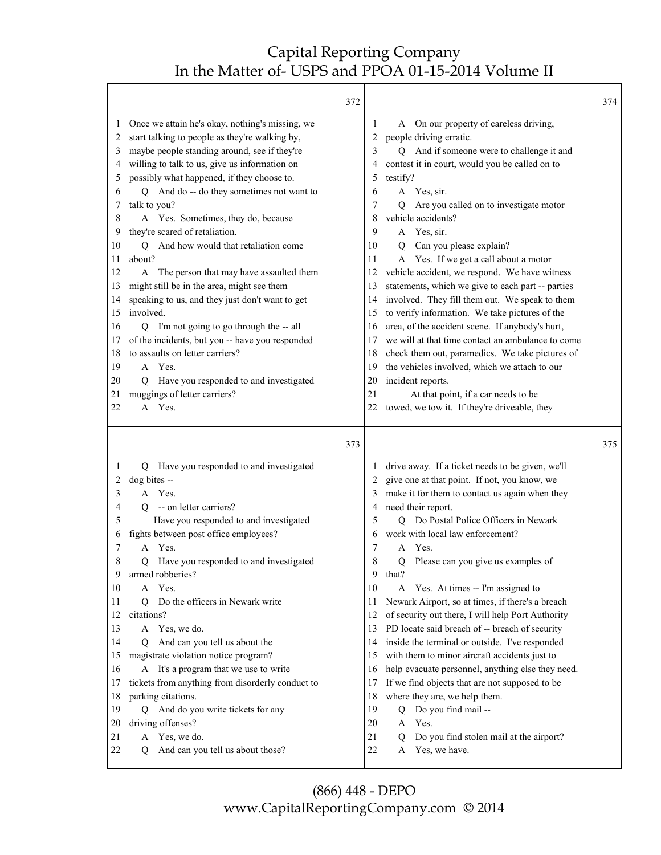| 372                                                                                                                                                                                                                                                                                                                                                                                                                                                                                                                                                                                                                                                                                                                                                                                                                                                                                                                                                                                                   |                                                                                                                                                                                                                                                                                                                                                                                                                                                                                                                                                                                                                                                                                                                                                                                                                                                                                                                                                                                                                          | 374 |
|-------------------------------------------------------------------------------------------------------------------------------------------------------------------------------------------------------------------------------------------------------------------------------------------------------------------------------------------------------------------------------------------------------------------------------------------------------------------------------------------------------------------------------------------------------------------------------------------------------------------------------------------------------------------------------------------------------------------------------------------------------------------------------------------------------------------------------------------------------------------------------------------------------------------------------------------------------------------------------------------------------|--------------------------------------------------------------------------------------------------------------------------------------------------------------------------------------------------------------------------------------------------------------------------------------------------------------------------------------------------------------------------------------------------------------------------------------------------------------------------------------------------------------------------------------------------------------------------------------------------------------------------------------------------------------------------------------------------------------------------------------------------------------------------------------------------------------------------------------------------------------------------------------------------------------------------------------------------------------------------------------------------------------------------|-----|
| Once we attain he's okay, nothing's missing, we<br>$\mathbf{I}$<br>start talking to people as they're walking by,<br>2<br>maybe people standing around, see if they're<br>3<br>willing to talk to us, give us information on<br>4<br>possibly what happened, if they choose to.<br>5<br>Q And do -- do they sometimes not want to<br>6<br>talk to you?<br>7<br>A Yes. Sometimes, they do, because<br>8<br>they're scared of retaliation.<br>9<br>And how would that retaliation come<br>$\overline{O}$<br>10<br>about?<br>11<br>The person that may have assaulted them<br>12<br>A<br>might still be in the area, might see them<br>13<br>speaking to us, and they just don't want to get<br>14<br>involved.<br>15<br>I'm not going to go through the -- all<br>16<br>Q<br>of the incidents, but you -- have you responded<br>17<br>to assaults on letter carriers?<br>18<br>A Yes.<br>19<br>Have you responded to and investigated<br>20<br>O.<br>muggings of letter carriers?<br>21<br>A Yes.<br>22 | A On our property of careless driving,<br>1<br>people driving erratic.<br>2<br>Q And if someone were to challenge it and<br>3<br>contest it in court, would you be called on to<br>4<br>testify?<br>5<br>A Yes, sir.<br>6<br>Are you called on to investigate motor<br>7<br>Q<br>vehicle accidents?<br>8<br>A Yes, sir.<br>9<br>Can you please explain?<br>10<br>Q<br>Yes. If we get a call about a motor<br>11<br>A<br>vehicle accident, we respond. We have witness<br>12<br>statements, which we give to each part -- parties<br>13<br>involved. They fill them out. We speak to them<br>14<br>to verify information. We take pictures of the<br>15<br>area, of the accident scene. If anybody's hurt,<br>16<br>we will at that time contact an ambulance to come<br>17<br>check them out, paramedics. We take pictures of<br>18<br>the vehicles involved, which we attach to our<br>19<br>incident reports.<br>20<br>21<br>At that point, if a car needs to be<br>towed, we tow it. If they're driveable, they<br>22 |     |
| 373                                                                                                                                                                                                                                                                                                                                                                                                                                                                                                                                                                                                                                                                                                                                                                                                                                                                                                                                                                                                   |                                                                                                                                                                                                                                                                                                                                                                                                                                                                                                                                                                                                                                                                                                                                                                                                                                                                                                                                                                                                                          | 375 |
| Have you responded to and investigated<br>Q<br>1<br>dog bites --<br>2<br>A Yes.<br>3<br>Q -- on letter carriers?<br>4<br>Have you responded to and investigated<br>5<br>fights between post office employees?<br>6<br>A Yes.<br>7<br>Q Have you responded to and investigated<br>8<br>armed robberies?<br>9<br>10<br>A Yes.<br>Do the officers in Newark write<br>11<br>0<br>citations?<br>12<br>A Yes, we do.<br>13<br>And can you tell us about the<br>14<br>Q<br>magistrate violation notice program?<br>15<br>A It's a program that we use to write<br>16<br>tickets from anything from disorderly conduct to<br>17<br>parking citations.<br>18<br>Q And do you write tickets for any<br>19<br>driving offenses?<br>20<br>A Yes, we do.<br>21<br>And can you tell us about those?<br>22<br>О                                                                                                                                                                                                      | drive away. If a ticket needs to be given, we'll<br>give one at that point. If not, you know, we<br>2<br>make it for them to contact us again when they<br>need their report.<br>4<br>Do Postal Police Officers in Newark<br>5<br>O.<br>work with local law enforcement?<br>6<br>7<br>A Yes.<br>Please can you give us examples of<br>8<br>Q<br>that?<br>9<br>10<br>A Yes. At times -- I'm assigned to<br>Newark Airport, so at times, if there's a breach<br>11<br>of security out there, I will help Port Authority<br>12<br>PD locate said breach of -- breach of security<br>13<br>inside the terminal or outside. I've responded<br>14<br>with them to minor aircraft accidents just to<br>15<br>help evacuate personnel, anything else they need.<br>16<br>If we find objects that are not supposed to be<br>17<br>where they are, we help them.<br>18<br>Do you find mail --<br>19<br>Q<br>Yes.<br>20<br>A<br>21<br>Do you find stolen mail at the airport?<br>Q<br>Yes, we have.<br>22<br>A                      |     |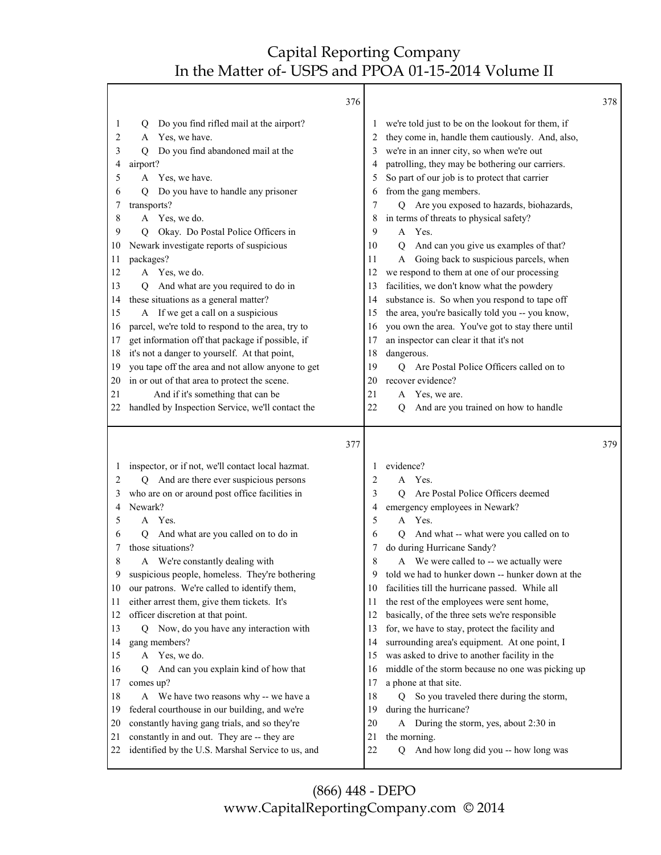|          | 376                                                                                              |                |                                                                                           | 378 |
|----------|--------------------------------------------------------------------------------------------------|----------------|-------------------------------------------------------------------------------------------|-----|
| 1        | Do you find rifled mail at the airport?<br>$\circ$                                               | $\perp$        | we're told just to be on the lookout for them, if                                         |     |
| 2        | Yes, we have.<br>A                                                                               | 2              | they come in, handle them cautiously. And, also,                                          |     |
| 3        | Do you find abandoned mail at the<br>Q                                                           | 3              | we're in an inner city, so when we're out                                                 |     |
| 4        | airport?                                                                                         | 4              | patrolling, they may be bothering our carriers.                                           |     |
| 5        | A Yes, we have.                                                                                  | 5              | So part of our job is to protect that carrier                                             |     |
| 6        | Do you have to handle any prisoner<br>O                                                          | 6              | from the gang members.                                                                    |     |
| 7        | transports?                                                                                      | 7              | Q Are you exposed to hazards, biohazards,                                                 |     |
| 8        | A Yes, we do.                                                                                    | 8              | in terms of threats to physical safety?                                                   |     |
| 9        | Okay. Do Postal Police Officers in<br>O                                                          | 9              | A Yes.                                                                                    |     |
| 10       | Newark investigate reports of suspicious                                                         | 10             | And can you give us examples of that?<br>$\mathbf Q$                                      |     |
| 11       | packages?                                                                                        | 11             | Going back to suspicious parcels, when<br>A                                               |     |
| 12<br>13 | A Yes, we do.                                                                                    | 12<br>13       | we respond to them at one of our processing<br>facilities, we don't know what the powdery |     |
| 14       | And what are you required to do in<br>O<br>these situations as a general matter?                 | 14             | substance is. So when you respond to tape off                                             |     |
| 15       | A If we get a call on a suspicious                                                               | 15             | the area, you're basically told you -- you know,                                          |     |
| 16       | parcel, we're told to respond to the area, try to                                                | 16             | you own the area. You've got to stay there until                                          |     |
| 17       | get information off that package if possible, if                                                 | 17             | an inspector can clear it that it's not                                                   |     |
| 18       | it's not a danger to yourself. At that point,                                                    | 18             | dangerous.                                                                                |     |
| 19       | you tape off the area and not allow anyone to get                                                | 19             | Are Postal Police Officers called on to<br>Q                                              |     |
| 20       | in or out of that area to protect the scene.                                                     | 20             | recover evidence?                                                                         |     |
| 21       | And if it's something that can be                                                                | 21             | Yes, we are.<br>A                                                                         |     |
| 22       | handled by Inspection Service, we'll contact the                                                 | 22             | And are you trained on how to handle<br>Q                                                 |     |
|          |                                                                                                  |                |                                                                                           |     |
|          |                                                                                                  |                |                                                                                           |     |
|          | 377                                                                                              |                |                                                                                           | 379 |
| $\perp$  | inspector, or if not, we'll contact local hazmat.                                                | 1              | evidence?                                                                                 |     |
| 2        | Q And are there ever suspicious persons                                                          | $\overline{2}$ | A Yes.                                                                                    |     |
| 3        | who are on or around post office facilities in                                                   | 3              | Are Postal Police Officers deemed<br>O                                                    |     |
| 4        | Newark?                                                                                          | 4              | emergency employees in Newark?                                                            |     |
| 5        | A Yes.                                                                                           | 5              | Yes.<br>A                                                                                 |     |
| 6        | And what are you called on to do in<br>Q                                                         | 6              | And what -- what were you called on to<br>$\overline{Q}$                                  |     |
| 7        | those situations?                                                                                | 7              | do during Hurricane Sandy?                                                                |     |
| 8        | A We're constantly dealing with                                                                  | 8              | A We were called to -- we actually were                                                   |     |
| 9        | suspicious people, homeless. They're bothering                                                   | 9              | told we had to hunker down -- hunker down at the                                          |     |
| 10       | our patrons. We're called to identify them,                                                      | 10             | facilities till the hurricane passed. While all                                           |     |
| 11       | either arrest them, give them tickets. It's                                                      | 11             | the rest of the employees were sent home,                                                 |     |
| 12       | officer discretion at that point.                                                                | 12             | basically, of the three sets we're responsible                                            |     |
| 13       | Q Now, do you have any interaction with                                                          | 13             | for, we have to stay, protect the facility and                                            |     |
| 14       | gang members?                                                                                    | 14             | surrounding area's equipment. At one point, I                                             |     |
| 15       | A Yes, we do.                                                                                    | 15             | was asked to drive to another facility in the                                             |     |
| 16       | And can you explain kind of how that<br>0                                                        | 16             | middle of the storm because no one was picking up                                         |     |
| 17       | comes up?                                                                                        | 17             | a phone at that site.                                                                     |     |
| 18       | A We have two reasons why -- we have a                                                           | 18             | So you traveled there during the storm,<br>Q                                              |     |
| 19       | federal courthouse in our building, and we're                                                    | 19             | during the hurricane?                                                                     |     |
| 20       | constantly having gang trials, and so they're                                                    | 20             | A During the storm, yes, about 2:30 in                                                    |     |
| 21<br>22 | constantly in and out. They are -- they are<br>identified by the U.S. Marshal Service to us, and | 21<br>22       | the morning.<br>And how long did you -- how long was<br>Q                                 |     |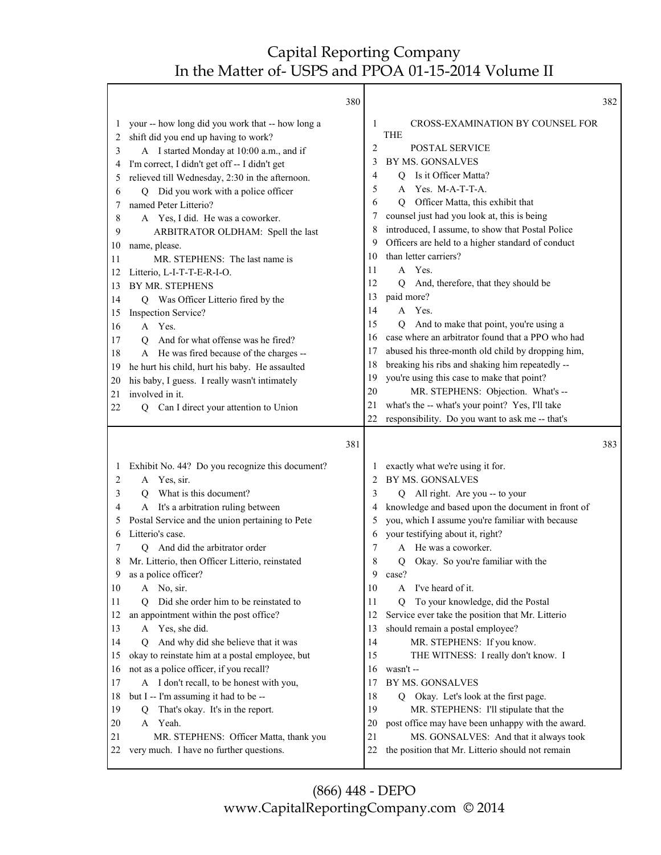٦

|              | 380                                                                               |          |                                                                                            | 382 |
|--------------|-----------------------------------------------------------------------------------|----------|--------------------------------------------------------------------------------------------|-----|
| 1            | your -- how long did you work that -- how long a                                  | 1        | CROSS-EXAMINATION BY COUNSEL FOR                                                           |     |
| 2            | shift did you end up having to work?                                              |          | <b>THE</b>                                                                                 |     |
| 3            | A I started Monday at 10:00 a.m., and if                                          | 2        | POSTAL SERVICE                                                                             |     |
| 4            | I'm correct, I didn't get off -- I didn't get                                     | 3        | BY MS. GONSALVES                                                                           |     |
| 5            | relieved till Wednesday, 2:30 in the afternoon.                                   | 4        | Is it Officer Matta?<br>Q                                                                  |     |
| 6            | Q Did you work with a police officer                                              | 5        | Yes. M-A-T-T-A.<br>A                                                                       |     |
| 7            | named Peter Litterio?                                                             | 6        | Officer Matta, this exhibit that<br>O                                                      |     |
| 8            | A Yes, I did. He was a coworker.                                                  |          | counsel just had you look at, this is being                                                |     |
| 9            | ARBITRATOR OLDHAM: Spell the last                                                 | 8        | introduced, I assume, to show that Postal Police                                           |     |
| 10           | name, please.                                                                     | 9        | Officers are held to a higher standard of conduct                                          |     |
| 11           | MR. STEPHENS: The last name is                                                    | 10       | than letter carriers?                                                                      |     |
| 12           | Litterio, L-I-T-T-E-R-I-O.                                                        | 11       | A Yes.                                                                                     |     |
| 13           | BY MR. STEPHENS                                                                   | 12       | And, therefore, that they should be<br>$\overline{Q}$                                      |     |
| 14           | Q Was Officer Litterio fired by the                                               | 13       | paid more?                                                                                 |     |
| 15           | <b>Inspection Service?</b>                                                        | 14       | A Yes.                                                                                     |     |
| 16           | A Yes.                                                                            | 15       | And to make that point, you're using a<br>$\overline{Q}$                                   |     |
| 17           | And for what offense was he fired?<br>О                                           | 16       | case where an arbitrator found that a PPO who had                                          |     |
| 18           | A He was fired because of the charges --                                          | 17       | abused his three-month old child by dropping him,                                          |     |
| 19           | he hurt his child, hurt his baby. He assaulted                                    | 18       | breaking his ribs and shaking him repeatedly --                                            |     |
| 20           | his baby, I guess. I really wasn't intimately                                     | 19       | you're using this case to make that point?                                                 |     |
| 21           | involved in it.                                                                   | 20       | MR. STEPHENS: Objection. What's --                                                         |     |
| 22           | Can I direct your attention to Union<br>Q                                         | 21<br>22 | what's the -- what's your point? Yes, I'll take                                            |     |
|              |                                                                                   |          | responsibility. Do you want to ask me -- that's                                            |     |
|              | 381                                                                               |          |                                                                                            | 383 |
|              |                                                                                   |          |                                                                                            |     |
| $\mathbf{I}$ | Exhibit No. 44? Do you recognize this document?                                   | 1        | exactly what we're using it for.                                                           |     |
| 2            | Yes, sir.<br>A                                                                    | 2        | BY MS. GONSALVES                                                                           |     |
| 3            | What is this document?<br>O                                                       | 3        | Q All right. Are you -- to your                                                            |     |
| 4            | It's a arbitration ruling between<br>A                                            | 4        | knowledge and based upon the document in front of                                          |     |
| 5            | Postal Service and the union pertaining to Pete                                   | 5        | you, which I assume you're familiar with because                                           |     |
| 6            | Litterio's case.                                                                  | 6        | your testifying about it, right?                                                           |     |
| 7            | And did the arbitrator order<br>О                                                 | 7        | A He was a coworker.                                                                       |     |
|              | Mr. Litterio, then Officer Litterio, reinstated                                   | 8        | Okay. So you're familiar with the<br>0                                                     |     |
| 9            | as a police officer?                                                              | 9        | case?                                                                                      |     |
| 10           | A No, sir.                                                                        | 10       | I've heard of it.<br>A                                                                     |     |
| 11           | Did she order him to be reinstated to<br>О                                        | 11       | To your knowledge, did the Postal<br>$\overline{O}$                                        |     |
| 12           | an appointment within the post office?                                            | 12       | Service ever take the position that Mr. Litterio                                           |     |
| 13           | A Yes, she did.                                                                   | 13       | should remain a postal employee?                                                           |     |
| 14           | And why did she believe that it was<br>O                                          | 14       | MR. STEPHENS: If you know.                                                                 |     |
| 15           | okay to reinstate him at a postal employee, but                                   | 15       | THE WITNESS: I really don't know. I                                                        |     |
| 16           | not as a police officer, if you recall?                                           | 16       | wasn't --                                                                                  |     |
| 17           | A I don't recall, to be honest with you,                                          | 17       | BY MS. GONSALVES                                                                           |     |
| 18           | but I -- I'm assuming it had to be --                                             | 18       | Okay. Let's look at the first page.<br>$\overline{Q}$                                      |     |
| 19           | That's okay. It's in the report.<br>Q                                             | 19       | MR. STEPHENS: I'll stipulate that the                                                      |     |
| 20           | A Yeah.                                                                           | 20       | post office may have been unhappy with the award.                                          |     |
| 21<br>22     | MR. STEPHENS: Officer Matta, thank you<br>very much. I have no further questions. | 21<br>22 | MS. GONSALVES: And that it always took<br>the position that Mr. Litterio should not remain |     |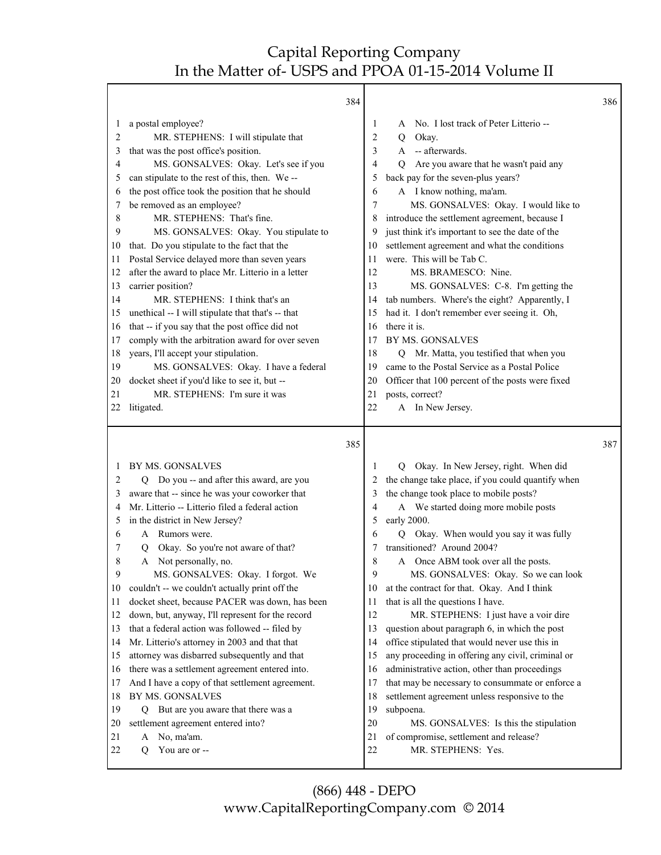Т

Γ

|         |                                                   | 384 |                |                                                   | 386 |
|---------|---------------------------------------------------|-----|----------------|---------------------------------------------------|-----|
| 1       | a postal employee?                                |     | 1              | No. I lost track of Peter Litterio --<br>A        |     |
| 2       | MR. STEPHENS: I will stipulate that               |     | $\overline{c}$ | Okay.<br>Q                                        |     |
| 3       | that was the post office's position.              |     | 3              | -- afterwards.<br>$\mathsf{A}$                    |     |
| 4       | MS. GONSALVES: Okay. Let's see if you             |     | 4              | Are you aware that he wasn't paid any<br>Q        |     |
| 5       | can stipulate to the rest of this, then. We--     |     | 5              | back pay for the seven-plus years?                |     |
| 6       | the post office took the position that he should  |     | 6              | A I know nothing, ma'am.                          |     |
| 7       | be removed as an employee?                        |     | 7              | MS. GONSALVES: Okay. I would like to              |     |
| 8       | MR. STEPHENS: That's fine.                        |     | 8              | introduce the settlement agreement, because I     |     |
| 9       | MS. GONSALVES: Okay. You stipulate to             |     | 9              | just think it's important to see the date of the  |     |
| 10      | that. Do you stipulate to the fact that the       |     | 10             | settlement agreement and what the conditions      |     |
| 11      | Postal Service delayed more than seven years      |     | 11             | were. This will be Tab C.                         |     |
| 12      | after the award to place Mr. Litterio in a letter |     | 12             | MS. BRAMESCO: Nine.                               |     |
| 13      | carrier position?                                 |     | 13             | MS. GONSALVES: C-8. I'm getting the               |     |
| 14      | MR. STEPHENS: I think that's an                   |     | 14             | tab numbers. Where's the eight? Apparently, I     |     |
| 15      | unethical -- I will stipulate that that's -- that |     | 15             | had it. I don't remember ever seeing it. Oh,      |     |
| 16      | that -- if you say that the post office did not   |     | 16             | there it is.                                      |     |
| 17      | comply with the arbitration award for over seven  |     | 17             | BY MS. GONSALVES                                  |     |
| 18      | years, I'll accept your stipulation.              |     | 18             | Q Mr. Matta, you testified that when you          |     |
| 19      | MS. GONSALVES: Okay. I have a federal             |     | 19             | came to the Postal Service as a Postal Police     |     |
| 20      | docket sheet if you'd like to see it, but --      |     | 20             | Officer that 100 percent of the posts were fixed  |     |
| 21      | MR. STEPHENS: I'm sure it was                     |     | 21             | posts, correct?                                   |     |
| 22      | litigated.                                        |     | 22             | A In New Jersey.                                  |     |
|         |                                                   |     |                |                                                   |     |
|         |                                                   | 385 |                |                                                   | 387 |
| $\perp$ | BY MS. GONSALVES                                  |     | 1              | Q Okay. In New Jersey, right. When did            |     |
| 2       | Q Do you -- and after this award, are you         |     | 2              | the change take place, if you could quantify when |     |
| 3       | aware that -- since he was your coworker that     |     | 3              | the change took place to mobile posts?            |     |
| 4       | Mr. Litterio -- Litterio filed a federal action   |     | 4              | A We started doing more mobile posts              |     |
| 5       | in the district in New Jersey?                    |     | 5              | early 2000.                                       |     |
| 6       | Rumors were.<br>A                                 |     | 6              | Q Okay. When would you say it was fully           |     |
| 7       | Okay. So you're not aware of that?<br>Q           |     | 7              | transitioned? Around 2004?                        |     |
| 8       | A Not personally, no.                             |     | 8              | Once ABM took over all the posts.<br>A            |     |
| 9       | MS. GONSALVES: Okay. I forgot. We                 |     | 9              | MS. GONSALVES: Okay. So we can look               |     |
| 10      | couldn't -- we couldn't actually print off the    |     | 10             | at the contract for that. Okay. And I think       |     |
| 11      | docket sheet, because PACER was down, has been    |     | 11             | that is all the questions I have.                 |     |
| 12      | down, but, anyway, I'll represent for the record  |     | 12             | MR. STEPHENS: I just have a voir dire             |     |
| 13      | that a federal action was followed -- filed by    |     | 13             | question about paragraph 6, in which the post     |     |
| 14      | Mr. Litterio's attorney in 2003 and that that     |     | 14             | office stipulated that would never use this in    |     |
| 15      | attorney was disbarred subsequently and that      |     | 15             | any proceeding in offering any civil, criminal or |     |
| 16      | there was a settlement agreement entered into.    |     | 16             | administrative action, other than proceedings     |     |
| 17      | And I have a copy of that settlement agreement.   |     | 17             | that may be necessary to consummate or enforce a  |     |
| 18      | BY MS. GONSALVES                                  |     | 18             | settlement agreement unless responsive to the     |     |
| 19      |                                                   |     | 19             | subpoena.                                         |     |
|         | But are you aware that there was a<br>Q           |     |                |                                                   |     |
| 20      | settlement agreement entered into?                |     | 20             | MS. GONSALVES: Is this the stipulation            |     |
| 21      | No, ma'am.<br>A                                   |     | 21             | of compromise, settlement and release?            |     |
| 22      | О<br>You are or --                                |     | 22             | MR. STEPHENS: Yes.                                |     |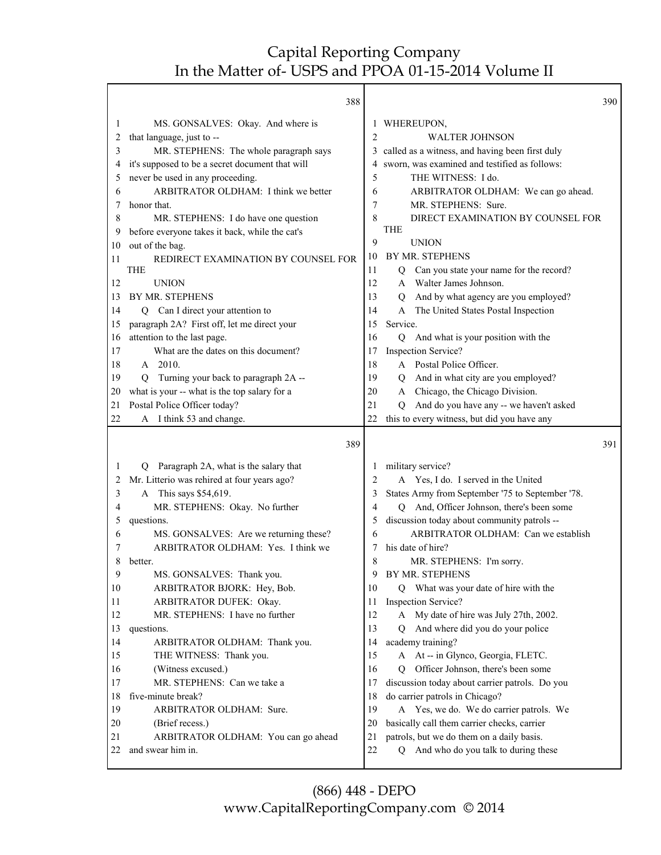|          | 388                                                                                       |                | 390                                                                                      |
|----------|-------------------------------------------------------------------------------------------|----------------|------------------------------------------------------------------------------------------|
| 1        | MS. GONSALVES: Okay. And where is                                                         | 1              | WHEREUPON,                                                                               |
| 2        | that language, just to --                                                                 | $\overline{2}$ | <b>WALTER JOHNSON</b>                                                                    |
| 3        | MR. STEPHENS: The whole paragraph says                                                    | 3              | called as a witness, and having been first duly                                          |
| 4        | it's supposed to be a secret document that will                                           | 4              | sworn, was examined and testified as follows:                                            |
| 5        | never be used in any proceeding.                                                          | 5              | THE WITNESS: I do.                                                                       |
| 6        | ARBITRATOR OLDHAM: I think we better                                                      | 6              | ARBITRATOR OLDHAM: We can go ahead.                                                      |
|          | honor that.                                                                               | 7              | MR. STEPHENS: Sure.                                                                      |
| 8        | MR. STEPHENS: I do have one question                                                      | 8              | DIRECT EXAMINATION BY COUNSEL FOR                                                        |
| 9        | before everyone takes it back, while the cat's                                            |                | THE                                                                                      |
| 10       | out of the bag.                                                                           | 9              | <b>UNION</b>                                                                             |
| 11       | REDIRECT EXAMINATION BY COUNSEL FOR                                                       | 10             | BY MR. STEPHENS                                                                          |
|          | <b>THE</b>                                                                                | 11             | Can you state your name for the record?<br>Q                                             |
| 12       | <b>UNION</b>                                                                              | 12             | Walter James Johnson.<br>A                                                               |
| 13       | BY MR. STEPHENS                                                                           | 13             | And by what agency are you employed?<br>$\overline{Q}$                                   |
| 14       | Q Can I direct your attention to                                                          | 14             | The United States Postal Inspection<br>A<br>Service.                                     |
| 15       | paragraph 2A? First off, let me direct your                                               | 15             |                                                                                          |
| 16       | attention to the last page.                                                               | 16             | And what is your position with the<br>$\overline{Q}$                                     |
| 17<br>18 | What are the dates on this document?<br>A 2010.                                           | 17<br>18       | Inspection Service?<br>A Postal Police Officer.                                          |
| 19       |                                                                                           | 19             |                                                                                          |
| 20       | Turning your back to paragraph 2A --<br>О<br>what is your -- what is the top salary for a | 20             | And in what city are you employed?<br>$\overline{Q}$<br>A Chicago, the Chicago Division. |
| 21       | Postal Police Officer today?                                                              | 21             | And do you have any -- we haven't asked<br>$\overline{O}$                                |
| 22       | I think 53 and change.<br>A                                                               | 22             | this to every witness, but did you have any                                              |
|          |                                                                                           |                |                                                                                          |
|          | 389                                                                                       |                | 391                                                                                      |
| 1        | Paragraph 2A, what is the salary that<br>Q                                                | 1              | military service?                                                                        |
| 2        | Mr. Litterio was rehired at four years ago?                                               | 2              | A Yes, I do. I served in the United                                                      |
| 3        | A This says \$54,619.                                                                     | 3              | States Army from September '75 to September '78.                                         |
| 4        | MR. STEPHENS: Okay. No further                                                            | 4              | And, Officer Johnson, there's been some<br>O                                             |
| 5        | questions.                                                                                | 5              | discussion today about community patrols --                                              |
| 6        | MS. GONSALVES: Are we returning these?                                                    | 6              | ARBITRATOR OLDHAM: Can we establish                                                      |
| 7        | ARBITRATOR OLDHAM: Yes. I think we                                                        | 7              | his date of hire?                                                                        |
| 8        | better.                                                                                   | 8              | MR. STEPHENS: I'm sorry.                                                                 |
| 9        | MS. GONSALVES: Thank you.                                                                 | 9              | BY MR. STEPHENS                                                                          |
| 10       | ARBITRATOR BJORK: Hey, Bob.                                                               | 10             | Q What was your date of hire with the                                                    |
| 11       | ARBITRATOR DUFEK: Okay.                                                                   | 11             | Inspection Service?                                                                      |
| 12       | MR. STEPHENS: I have no further                                                           | 12             | A My date of hire was July 27th, 2002.                                                   |
| 13       | questions.                                                                                | 13             | And where did you do your police<br>O                                                    |
| 14       | ARBITRATOR OLDHAM: Thank you.                                                             | 14             | academy training?                                                                        |
| 15       | THE WITNESS: Thank you.                                                                   | 15             | A At -- in Glynco, Georgia, FLETC.                                                       |
| 16       | (Witness excused.)<br>MR. STEPHENS: Can we take a                                         | 16             | Officer Johnson, there's been some<br>O                                                  |
| 17<br>18 | five-minute break?                                                                        | 17<br>18       | discussion today about carrier patrols. Do you<br>do carrier patrols in Chicago?         |
| 19       | ARBITRATOR OLDHAM: Sure.                                                                  | 19             | A Yes, we do. We do carrier patrols. We                                                  |
| 20       | (Brief recess.)                                                                           | 20             | basically call them carrier checks, carrier                                              |
| 21       | ARBITRATOR OLDHAM: You can go ahead                                                       | 21             | patrols, but we do them on a daily basis.                                                |
| 22       | and swear him in.                                                                         | 22             | And who do you talk to during these<br>Q                                                 |
|          |                                                                                           |                |                                                                                          |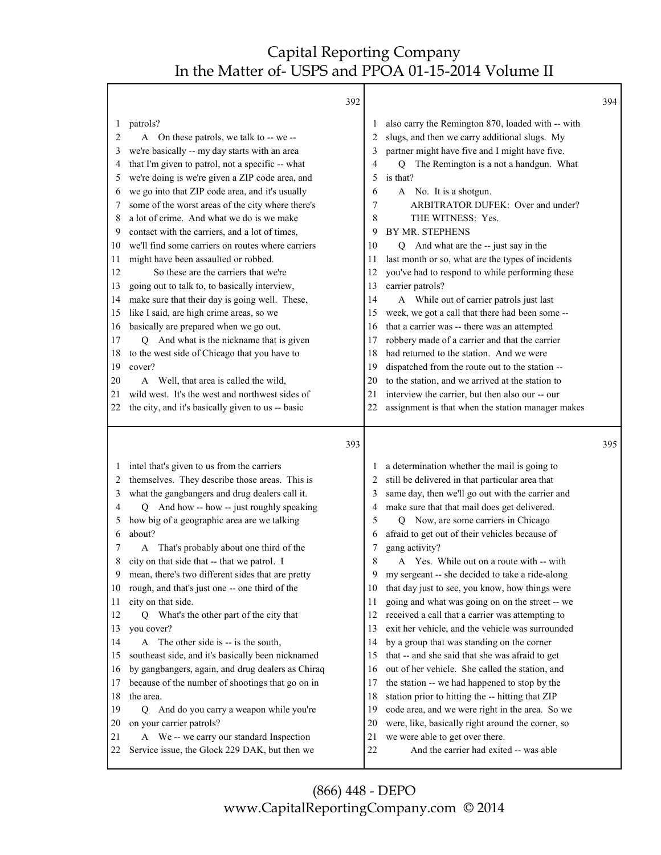Т

|              | 392                                                                                          |          |                                                                                                     | 394 |
|--------------|----------------------------------------------------------------------------------------------|----------|-----------------------------------------------------------------------------------------------------|-----|
| 2            | patrols?<br>On these patrols, we talk to -- we --<br>A                                       | 2        | also carry the Remington 870, loaded with -- with<br>slugs, and then we carry additional slugs. My  |     |
| 3            | we're basically -- my day starts with an area                                                | 3        | partner might have five and I might have five.                                                      |     |
| 4            | that I'm given to patrol, not a specific -- what                                             | 4        | The Remington is a not a handgun. What<br>Q                                                         |     |
| 5            | we're doing is we're given a ZIP code area, and                                              | 5        | is that?                                                                                            |     |
| 6            | we go into that ZIP code area, and it's usually                                              | 6        | A No. It is a shotgun.                                                                              |     |
| 7            | some of the worst areas of the city where there's                                            | 7        | ARBITRATOR DUFEK: Over and under?                                                                   |     |
| 8            | a lot of crime. And what we do is we make                                                    | 8        | THE WITNESS: Yes.                                                                                   |     |
| 9            | contact with the carriers, and a lot of times,                                               | 9        | BY MR. STEPHENS                                                                                     |     |
| 10           | we'll find some carriers on routes where carriers                                            | 10       | Q And what are the -- just say in the                                                               |     |
| 11           | might have been assaulted or robbed.                                                         | 11       | last month or so, what are the types of incidents                                                   |     |
| 12           | So these are the carriers that we're                                                         | 12       | you've had to respond to while performing these                                                     |     |
| 13           | going out to talk to, to basically interview,                                                | 13       | carrier patrols?                                                                                    |     |
| 14           | make sure that their day is going well. These,                                               | 14       | A While out of carrier patrols just last                                                            |     |
| 15           | like I said, are high crime areas, so we                                                     | 15       | week, we got a call that there had been some --                                                     |     |
| 16           | basically are prepared when we go out.                                                       | 16       | that a carrier was -- there was an attempted                                                        |     |
| 17           | Q And what is the nickname that is given                                                     | 17       | robbery made of a carrier and that the carrier<br>had returned to the station. And we were          |     |
| 18           | to the west side of Chicago that you have to<br>cover?                                       | 18<br>19 |                                                                                                     |     |
| 19<br>20     | A Well, that area is called the wild,                                                        | 20       | dispatched from the route out to the station --<br>to the station, and we arrived at the station to |     |
| 21           | wild west. It's the west and northwest sides of                                              | 21       | interview the carrier, but then also our -- our                                                     |     |
| 22           | the city, and it's basically given to us -- basic                                            | 22       | assignment is that when the station manager makes                                                   |     |
|              |                                                                                              |          |                                                                                                     |     |
|              |                                                                                              |          |                                                                                                     |     |
|              | 393                                                                                          |          |                                                                                                     | 395 |
| $\mathbf{I}$ |                                                                                              |          |                                                                                                     |     |
| 2            | intel that's given to us from the carriers<br>themselves. They describe those areas. This is | 2        | a determination whether the mail is going to<br>still be delivered in that particular area that     |     |
| 3            | what the gangbangers and drug dealers call it.                                               | 3        | same day, then we'll go out with the carrier and                                                    |     |
| 4            | And how -- how -- just roughly speaking<br>Q                                                 | 4        | make sure that that mail does get delivered.                                                        |     |
| 5            | how big of a geographic area are we talking                                                  | 5        | Q Now, are some carriers in Chicago                                                                 |     |
| 6            | about?                                                                                       | 6        | afraid to get out of their vehicles because of                                                      |     |
| 7            | That's probably about one third of the<br>A                                                  | 7        | gang activity?                                                                                      |     |
| 8            | city on that side that -- that we patrol. I                                                  | 8        | Yes. While out on a route with -- with<br>A                                                         |     |
| 9            | mean, there's two different sides that are pretty                                            | 9        | my sergeant -- she decided to take a ride-along                                                     |     |
| 10           | rough, and that's just one -- one third of the                                               | 10       | that day just to see, you know, how things were                                                     |     |
| 11           | city on that side.                                                                           | 11       | going and what was going on on the street -- we                                                     |     |
| 12           | What's the other part of the city that<br>0                                                  | 12       | received a call that a carrier was attempting to                                                    |     |
| 13           | you cover?                                                                                   | 13       | exit her vehicle, and the vehicle was surrounded                                                    |     |
| 14           | A The other side is -- is the south,                                                         | 14       | by a group that was standing on the corner                                                          |     |
| 15           | southeast side, and it's basically been nicknamed                                            | 15       | that -- and she said that she was afraid to get                                                     |     |
| 16           | by gangbangers, again, and drug dealers as Chiraq                                            | 16       | out of her vehicle. She called the station, and                                                     |     |
| 17           | because of the number of shootings that go on in                                             | 17       | the station -- we had happened to stop by the                                                       |     |
| 18           | the area.                                                                                    | 18       | station prior to hitting the -- hitting that ZIP                                                    |     |
| 19           | Q And do you carry a weapon while you're                                                     | 19       | code area, and we were right in the area. So we                                                     |     |
| 20           | on your carrier patrols?                                                                     | 20       | were, like, basically right around the corner, so                                                   |     |
| 21<br>22     | A We -- we carry our standard Inspection<br>Service issue, the Glock 229 DAK, but then we    | 21<br>22 | we were able to get over there.<br>And the carrier had exited -- was able                           |     |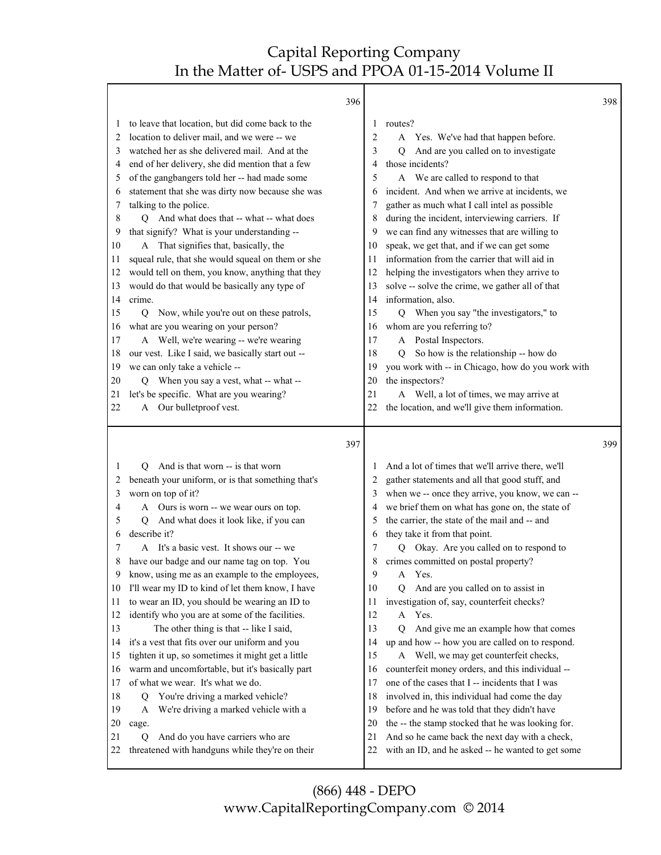|          | 396                                                                                      |                |                                                                                                     | 398 |
|----------|------------------------------------------------------------------------------------------|----------------|-----------------------------------------------------------------------------------------------------|-----|
| $\perp$  | to leave that location, but did come back to the                                         | 1              | routes?                                                                                             |     |
| 2        | location to deliver mail, and we were -- we                                              | $\overline{2}$ | A Yes. We've had that happen before.                                                                |     |
| 3        | watched her as she delivered mail. And at the                                            | 3              | And are you called on to investigate<br>0                                                           |     |
| 4        | end of her delivery, she did mention that a few                                          | 4              | those incidents?                                                                                    |     |
| 5        | of the gangbangers told her -- had made some                                             | 5              | A We are called to respond to that                                                                  |     |
| 6        | statement that she was dirty now because she was                                         | 6              | incident. And when we arrive at incidents, we                                                       |     |
| 7        | talking to the police.                                                                   | 7              | gather as much what I call intel as possible                                                        |     |
| 8        | Q And what does that -- what -- what does                                                | 8              | during the incident, interviewing carriers. If                                                      |     |
| 9        | that signify? What is your understanding --                                              | 9              | we can find any witnesses that are willing to                                                       |     |
| 10       | A That signifies that, basically, the                                                    | 10             | speak, we get that, and if we can get some                                                          |     |
| 11       | squeal rule, that she would squeal on them or she                                        | 11             | information from the carrier that will aid in                                                       |     |
| 12       | would tell on them, you know, anything that they                                         | 12             | helping the investigators when they arrive to                                                       |     |
| 13       | would do that would be basically any type of                                             | 13             | solve -- solve the crime, we gather all of that                                                     |     |
| 14       | crime.                                                                                   | 14             | information, also.                                                                                  |     |
| 15       | Now, while you're out on these patrols,<br>Q                                             | 15             | When you say "the investigators," to<br>Q                                                           |     |
| 16       | what are you wearing on your person?                                                     | 16             | whom are you referring to?                                                                          |     |
| 17       | A Well, we're wearing -- we're wearing                                                   | 17             | Postal Inspectors.<br>$\mathbf{A}$                                                                  |     |
| 18       | our vest. Like I said, we basically start out --                                         | 18             | So how is the relationship -- how do<br>Q                                                           |     |
| 19       | we can only take a vehicle --                                                            | 19             | you work with -- in Chicago, how do you work with                                                   |     |
| 20       | Q When you say a vest, what -- what --                                                   | 20             | the inspectors?                                                                                     |     |
| 21       | let's be specific. What are you wearing?                                                 | 21             | A Well, a lot of times, we may arrive at                                                            |     |
| 22       | A Our bulletproof vest.                                                                  | 22             | the location, and we'll give them information.                                                      |     |
|          |                                                                                          |                |                                                                                                     |     |
|          | 397                                                                                      |                |                                                                                                     | 399 |
| 1        | O                                                                                        | 1              |                                                                                                     |     |
| 2        | And is that worn -- is that worn                                                         | 2              | And a lot of times that we'll arrive there, we'll                                                   |     |
| 3        | beneath your uniform, or is that something that's<br>worn on top of it?                  |                | gather statements and all that good stuff, and<br>when we -- once they arrive, you know, we can --  |     |
| 4        | A Ours is worn -- we wear ours on top.                                                   | 4              | we brief them on what has gone on, the state of                                                     |     |
| 5        | And what does it look like, if you can<br>Q                                              | 5              | the carrier, the state of the mail and -- and                                                       |     |
| 6        | describe it?                                                                             | 6              | they take it from that point.                                                                       |     |
| 7        | A It's a basic vest. It shows our -- we                                                  | 7              | Q Okay. Are you called on to respond to                                                             |     |
| 8        | have our badge and our name tag on top. You                                              | 8              | crimes committed on postal property?                                                                |     |
| 9        | know, using me as an example to the employees,                                           | 9              | A Yes.                                                                                              |     |
| 10       | I'll wear my ID to kind of let them know, I have                                         | 10             | And are you called on to assist in<br>O                                                             |     |
| 11       | to wear an ID, you should be wearing an ID to                                            | 11             | investigation of, say, counterfeit checks?                                                          |     |
| 12       | identify who you are at some of the facilities.                                          | 12             | Yes.<br>A                                                                                           |     |
| 13       | The other thing is that -- like I said,                                                  | 13             | And give me an example how that comes<br>0                                                          |     |
| 14       | it's a vest that fits over our uniform and you                                           | 14             | up and how -- how you are called on to respond.                                                     |     |
| 15       | tighten it up, so sometimes it might get a little                                        | 15             | Well, we may get counterfeit checks,<br>A                                                           |     |
| 16       | warm and uncomfortable, but it's basically part                                          | 16             | counterfeit money orders, and this individual --                                                    |     |
| 17       | of what we wear. It's what we do.                                                        | 17             | one of the cases that I -- incidents that I was                                                     |     |
| 18       | You're driving a marked vehicle?<br>Q                                                    | 18             | involved in, this individual had come the day                                                       |     |
| 19       | We're driving a marked vehicle with a<br>A                                               | 19             | before and he was told that they didn't have                                                        |     |
| 20       | cage.                                                                                    | 20             | the -- the stamp stocked that he was looking for.                                                   |     |
| 21<br>22 | And do you have carriers who are<br>Q<br>threatened with handguns while they're on their | 21<br>22       | And so he came back the next day with a check,<br>with an ID, and he asked -- he wanted to get some |     |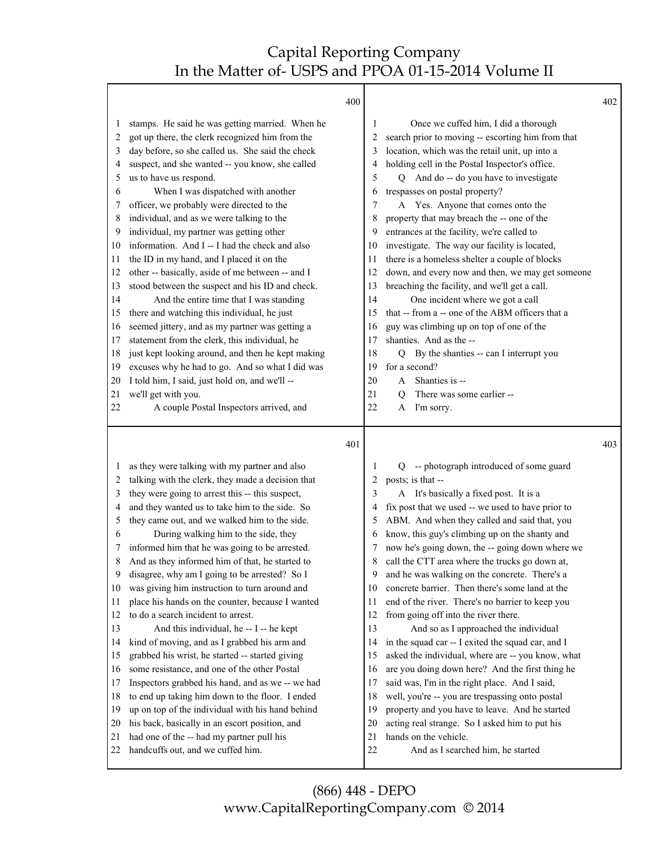|                                                                                                                         | 400                                                                                                                                                                                                                                                                                                                                                                                                                                                                                                                                                                                                                                                                                                                                                                                                                                                                                                                                                                                                                                                                                            |                                                                                                                         |                                                                                                                                                                                                                                                                                                                                                                                                                                                                                                                                                                                                                                                                                                                                                                                                                                                                                                                                                                                                                                                    | 402 |
|-------------------------------------------------------------------------------------------------------------------------|------------------------------------------------------------------------------------------------------------------------------------------------------------------------------------------------------------------------------------------------------------------------------------------------------------------------------------------------------------------------------------------------------------------------------------------------------------------------------------------------------------------------------------------------------------------------------------------------------------------------------------------------------------------------------------------------------------------------------------------------------------------------------------------------------------------------------------------------------------------------------------------------------------------------------------------------------------------------------------------------------------------------------------------------------------------------------------------------|-------------------------------------------------------------------------------------------------------------------------|----------------------------------------------------------------------------------------------------------------------------------------------------------------------------------------------------------------------------------------------------------------------------------------------------------------------------------------------------------------------------------------------------------------------------------------------------------------------------------------------------------------------------------------------------------------------------------------------------------------------------------------------------------------------------------------------------------------------------------------------------------------------------------------------------------------------------------------------------------------------------------------------------------------------------------------------------------------------------------------------------------------------------------------------------|-----|
| 1<br>2<br>3<br>4<br>5<br>6<br>7<br>8<br>9<br>10<br>11<br>12<br>13<br>14<br>15<br>16<br>17<br>18<br>19<br>20<br>21<br>22 | stamps. He said he was getting married. When he<br>got up there, the clerk recognized him from the<br>day before, so she called us. She said the check<br>suspect, and she wanted -- you know, she called<br>us to have us respond.<br>When I was dispatched with another<br>officer, we probably were directed to the<br>individual, and as we were talking to the<br>individual, my partner was getting other<br>information. And I -- I had the check and also<br>the ID in my hand, and I placed it on the<br>other -- basically, aside of me between -- and I<br>stood between the suspect and his ID and check.<br>And the entire time that I was standing<br>there and watching this individual, he just<br>seemed jittery, and as my partner was getting a<br>statement from the clerk, this individual, he<br>just kept looking around, and then he kept making<br>excuses why he had to go. And so what I did was<br>I told him, I said, just hold on, and we'll --<br>we'll get with you.<br>A couple Postal Inspectors arrived, and                                                | 1<br>2<br>3<br>4<br>5<br>6<br>7<br>8<br>9<br>10<br>11<br>12<br>13<br>14<br>15<br>16<br>17<br>18<br>19<br>20<br>21<br>22 | Once we cuffed him, I did a thorough<br>search prior to moving -- escorting him from that<br>location, which was the retail unit, up into a<br>holding cell in the Postal Inspector's office.<br>Q And do -- do you have to investigate<br>trespasses on postal property?<br>A Yes. Anyone that comes onto the<br>property that may breach the -- one of the<br>entrances at the facility, we're called to<br>investigate. The way our facility is located,<br>there is a homeless shelter a couple of blocks<br>down, and every now and then, we may get someone<br>breaching the facility, and we'll get a call.<br>One incident where we got a call<br>that -- from a -- one of the ABM officers that a<br>guy was climbing up on top of one of the<br>shanties. And as the --<br>Q By the shanties -- can I interrupt you<br>for a second?<br>Shanties is --<br>A<br>There was some earlier --<br>O<br>I'm sorry.<br>A                                                                                                                         |     |
|                                                                                                                         | 401                                                                                                                                                                                                                                                                                                                                                                                                                                                                                                                                                                                                                                                                                                                                                                                                                                                                                                                                                                                                                                                                                            |                                                                                                                         |                                                                                                                                                                                                                                                                                                                                                                                                                                                                                                                                                                                                                                                                                                                                                                                                                                                                                                                                                                                                                                                    | 403 |
| 1<br>2<br>3<br>4<br>5<br>6<br>7<br>8<br>9<br>10<br>11<br>12<br>13<br>14<br>15<br>16<br>17<br>18<br>19<br>20<br>21<br>22 | as they were talking with my partner and also<br>talking with the clerk, they made a decision that<br>they were going to arrest this -- this suspect,<br>and they wanted us to take him to the side. So<br>they came out, and we walked him to the side.<br>During walking him to the side, they<br>informed him that he was going to be arrested.<br>And as they informed him of that, he started to<br>disagree, why am I going to be arrested? So I<br>was giving him instruction to turn around and<br>place his hands on the counter, because I wanted<br>to do a search incident to arrest.<br>And this individual, he -- I -- he kept<br>kind of moving, and as I grabbed his arm and<br>grabbed his wrist, he started -- started giving<br>some resistance, and one of the other Postal<br>Inspectors grabbed his hand, and as we -- we had<br>to end up taking him down to the floor. I ended<br>up on top of the individual with his hand behind<br>his back, basically in an escort position, and<br>had one of the -- had my partner pull his<br>handcuffs out, and we cuffed him. | 1<br>2<br>3<br>4<br>5<br>6<br>8<br>9<br>10<br>11<br>12<br>13<br>14<br>15<br>16<br>17<br>18<br>19<br>20<br>21<br>22      | -- photograph introduced of some guard<br>Q<br>posts; is that --<br>A It's basically a fixed post. It is a<br>fix post that we used -- we used to have prior to<br>ABM. And when they called and said that, you<br>know, this guy's climbing up on the shanty and<br>now he's going down, the -- going down where we<br>call the CTT area where the trucks go down at,<br>and he was walking on the concrete. There's a<br>concrete barrier. Then there's some land at the<br>end of the river. There's no barrier to keep you<br>from going off into the river there.<br>And so as I approached the individual<br>in the squad car -- I exited the squad car, and I<br>asked the individual, where are -- you know, what<br>are you doing down here? And the first thing he<br>said was, I'm in the right place. And I said,<br>well, you're -- you are trespassing onto postal<br>property and you have to leave. And he started<br>acting real strange. So I asked him to put his<br>hands on the vehicle.<br>And as I searched him, he started |     |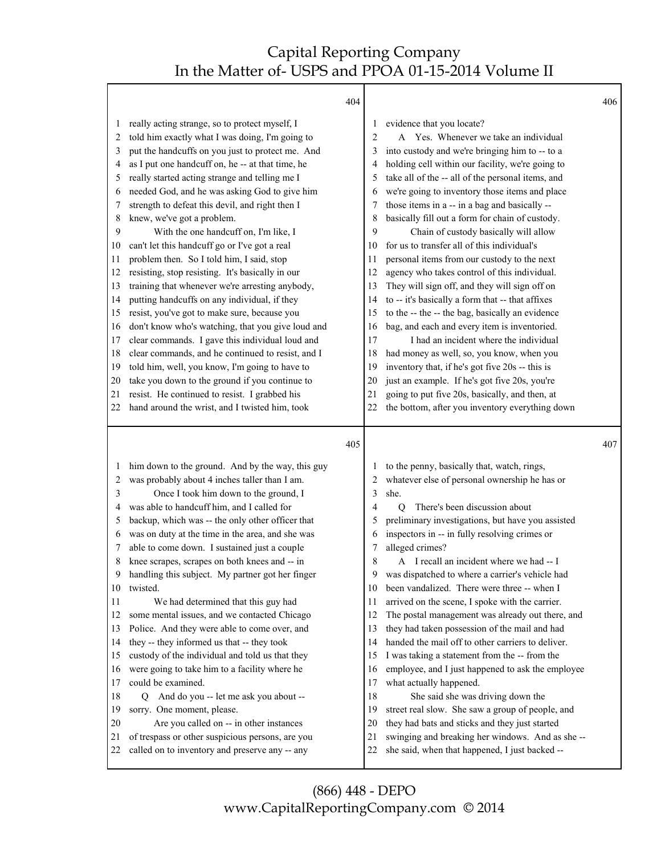|         | 404                                               |                |                                                   | 406 |
|---------|---------------------------------------------------|----------------|---------------------------------------------------|-----|
| $\perp$ | really acting strange, so to protect myself, I    | 1              | evidence that you locate?                         |     |
| 2       | told him exactly what I was doing, I'm going to   | $\overline{2}$ | A Yes. Whenever we take an individual             |     |
| 3       | put the handcuffs on you just to protect me. And  | 3              | into custody and we're bringing him to -- to a    |     |
| 4       | as I put one handcuff on, he -- at that time, he  | 4              | holding cell within our facility, we're going to  |     |
| 5       | really started acting strange and telling me I    | 5              | take all of the -- all of the personal items, and |     |
| 6       | needed God, and he was asking God to give him     | 6              | we're going to inventory those items and place    |     |
| 7       | strength to defeat this devil, and right then I   | 7              | those items in a -- in a bag and basically --     |     |
| 8       | knew, we've got a problem.                        | 8              | basically fill out a form for chain of custody.   |     |
| 9       | With the one handcuff on, I'm like, I             | 9              | Chain of custody basically will allow             |     |
| 10      | can't let this handcuff go or I've got a real     | 10             | for us to transfer all of this individual's       |     |
| 11      | problem then. So I told him, I said, stop         | 11             | personal items from our custody to the next       |     |
| 12      | resisting, stop resisting. It's basically in our  | 12             | agency who takes control of this individual.      |     |
| 13      | training that whenever we're arresting anybody,   | 13             | They will sign off, and they will sign off on     |     |
| 14      | putting handcuffs on any individual, if they      | 14             | to -- it's basically a form that -- that affixes  |     |
| 15      | resist, you've got to make sure, because you      | 15             | to the -- the -- the bag, basically an evidence   |     |
| 16      | don't know who's watching, that you give loud and | 16             | bag, and each and every item is inventoried.      |     |
| 17      | clear commands. I gave this individual loud and   | 17             | I had an incident where the individual            |     |
| 18      | clear commands, and he continued to resist, and I | 18             | had money as well, so, you know, when you         |     |
| 19      | told him, well, you know, I'm going to have to    | 19             | inventory that, if he's got five 20s -- this is   |     |
| 20      | take you down to the ground if you continue to    | 20             | just an example. If he's got five 20s, you're     |     |
| 21      | resist. He continued to resist. I grabbed his     | 21             | going to put five 20s, basically, and then, at    |     |
| 22      | hand around the wrist, and I twisted him, took    | 22             | the bottom, after you inventory everything down   |     |
|         |                                                   |                |                                                   |     |
|         | 405                                               |                |                                                   | 407 |
| 1       | him down to the ground. And by the way, this guy  |                | to the penny, basically that, watch, rings,       |     |
| 2       | was probably about 4 inches taller than I am.     | 2              | whatever else of personal ownership he has or     |     |
| 3       | Once I took him down to the ground, I             | 3              | she.                                              |     |
| 4       | was able to handcuff him, and I called for        | 4              | There's been discussion about<br>$\overline{O}$   |     |
| 5       | backup, which was -- the only other officer that  | 5              | preliminary investigations, but have you assisted |     |
| 6       | was on duty at the time in the area, and she was  | 6              | inspectors in -- in fully resolving crimes or     |     |
| 7       | able to come down. I sustained just a couple      | 7              | alleged crimes?                                   |     |
| 8       | knee scrapes, scrapes on both knees and -- in     | 8              | A I recall an incident where we had -- I          |     |
| 9       | handling this subject. My partner got her finger  | $\mathbf Q$    | was dispatched to where a carrier's vehicle had   |     |
| 10      | twisted.                                          | 10             | been vandalized. There were three -- when I       |     |
| 11      | We had determined that this guy had               | 11             | arrived on the scene, I spoke with the carrier.   |     |
| 12      | some mental issues, and we contacted Chicago      | 12             | The postal management was already out there, and  |     |
| 13      | Police. And they were able to come over, and      | 13             | they had taken possession of the mail and had     |     |
| 14      | they -- they informed us that -- they took        | 14             | handed the mail off to other carriers to deliver. |     |
| 15      | custody of the individual and told us that they   | 15             | I was taking a statement from the -- from the     |     |
| 16      | were going to take him to a facility where he     | 16             | employee, and I just happened to ask the employee |     |
| 17      | could be examined.                                | 17             | what actually happened.                           |     |
| 18      | And do you -- let me ask you about --<br>Q        | 18             | She said she was driving down the                 |     |
| 19      | sorry. One moment, please.                        | 19             | street real slow. She saw a group of people, and  |     |
| 20      | Are you called on -- in other instances           | 20             | they had bats and sticks and they just started    |     |
| 21      | of trespass or other suspicious persons, are you  | 21             | swinging and breaking her windows. And as she-    |     |
|         |                                                   |                |                                                   |     |
| 22      | called on to inventory and preserve any -- any    | 22             | she said, when that happened, I just backed --    |     |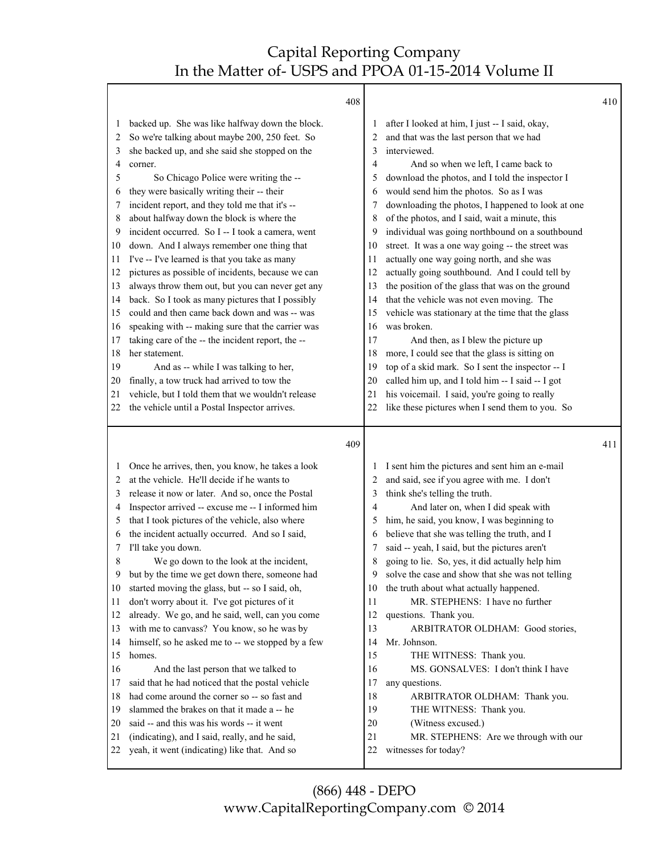|          |                                                                                                | 408      |                                                               | 410 |
|----------|------------------------------------------------------------------------------------------------|----------|---------------------------------------------------------------|-----|
| 1        | backed up. She was like halfway down the block.                                                |          | after I looked at him, I just -- I said, okay,                |     |
| 2        | So we're talking about maybe 200, 250 feet. So                                                 | 2        | and that was the last person that we had                      |     |
| 3        | she backed up, and she said she stopped on the                                                 | 3        | interviewed.                                                  |     |
| 4        | corner.                                                                                        | 4        | And so when we left, I came back to                           |     |
| 5        | So Chicago Police were writing the --                                                          | 5        | download the photos, and I told the inspector I               |     |
| 6        | they were basically writing their -- their                                                     | 6        | would send him the photos. So as I was                        |     |
| 7        | incident report, and they told me that it's --                                                 | 7        | downloading the photos, I happened to look at one             |     |
| 8        | about halfway down the block is where the                                                      | 8        | of the photos, and I said, wait a minute, this                |     |
| 9        | incident occurred. So I -- I took a camera, went                                               | 9        | individual was going northbound on a southbound               |     |
| 10       | down. And I always remember one thing that                                                     | 10       | street. It was a one way going -- the street was              |     |
| 11       | I've -- I've learned is that you take as many                                                  | 11       | actually one way going north, and she was                     |     |
| 12       | pictures as possible of incidents, because we can                                              | 12       | actually going southbound. And I could tell by                |     |
| 13       | always throw them out, but you can never get any                                               | 13       | the position of the glass that was on the ground              |     |
| 14       | back. So I took as many pictures that I possibly                                               | 14       | that the vehicle was not even moving. The                     |     |
| 15       | could and then came back down and was -- was                                                   | 15       | vehicle was stationary at the time that the glass             |     |
| 16       | speaking with -- making sure that the carrier was                                              | 16       | was broken.                                                   |     |
| 17       | taking care of the -- the incident report, the --                                              | 17       | And then, as I blew the picture up                            |     |
| 18       | her statement.                                                                                 | 18       | more, I could see that the glass is sitting on                |     |
| 19       | And as -- while I was talking to her,                                                          | 19       | top of a skid mark. So I sent the inspector -- I              |     |
| 20       | finally, a tow truck had arrived to tow the                                                    | 20       | called him up, and I told him -- I said -- I got              |     |
| 21       | vehicle, but I told them that we wouldn't release                                              | 21       | his voicemail. I said, you're going to really                 |     |
| 22       | the vehicle until a Postal Inspector arrives.                                                  | 22       | like these pictures when I send them to you. So               |     |
|          |                                                                                                |          |                                                               |     |
|          |                                                                                                | 409      |                                                               | 411 |
| 1        | Once he arrives, then, you know, he takes a look                                               |          | I sent him the pictures and sent him an e-mail                |     |
| 2        | at the vehicle. He'll decide if he wants to                                                    |          | and said, see if you agree with me. I don't                   |     |
| 3        | release it now or later. And so, once the Postal                                               | 3        | think she's telling the truth.                                |     |
| 4        | Inspector arrived -- excuse me -- I informed him                                               | 4        | And later on, when I did speak with                           |     |
| 5        | that I took pictures of the vehicle, also where                                                | 5        | him, he said, you know, I was beginning to                    |     |
| 6        | the incident actually occurred. And so I said,                                                 |          | believe that she was telling the truth, and I                 |     |
| 7        | I'll take you down.                                                                            |          | said -- yeah, I said, but the pictures aren't                 |     |
| 8        | We go down to the look at the incident,                                                        | 8        | going to lie. So, yes, it did actually help him               |     |
| 9        | but by the time we get down there, someone had                                                 | 9        | solve the case and show that she was not telling              |     |
| 10       | started moving the glass, but -- so I said, oh,                                                | 10       | the truth about what actually happened.                       |     |
| 11       | don't worry about it. I've got pictures of it                                                  | 11       | MR. STEPHENS: I have no further                               |     |
| 12       | already. We go, and he said, well, can you come                                                | 12       | questions. Thank you.                                         |     |
| 13       | with me to canvass? You know, so he was by                                                     | 13       | ARBITRATOR OLDHAM: Good stories,                              |     |
| 14       | himself, so he asked me to -- we stopped by a few                                              | 14       | Mr. Johnson.                                                  |     |
| 15       | homes.                                                                                         | 15       | THE WITNESS: Thank you.                                       |     |
| 16       | And the last person that we talked to                                                          | 16       | MS. GONSALVES: I don't think I have                           |     |
| 17       | said that he had noticed that the postal vehicle                                               | 17       | any questions.                                                |     |
| 18       | had come around the corner so -- so fast and                                                   | 18       | ARBITRATOR OLDHAM: Thank you.                                 |     |
| 19       | slammed the brakes on that it made a -- he                                                     | 19       | THE WITNESS: Thank you.                                       |     |
| 20       | said -- and this was his words -- it went                                                      | 20       | (Witness excused.)                                            |     |
| 21<br>22 | (indicating), and I said, really, and he said,<br>yeah, it went (indicating) like that. And so | 21<br>22 | MR. STEPHENS: Are we through with our<br>witnesses for today? |     |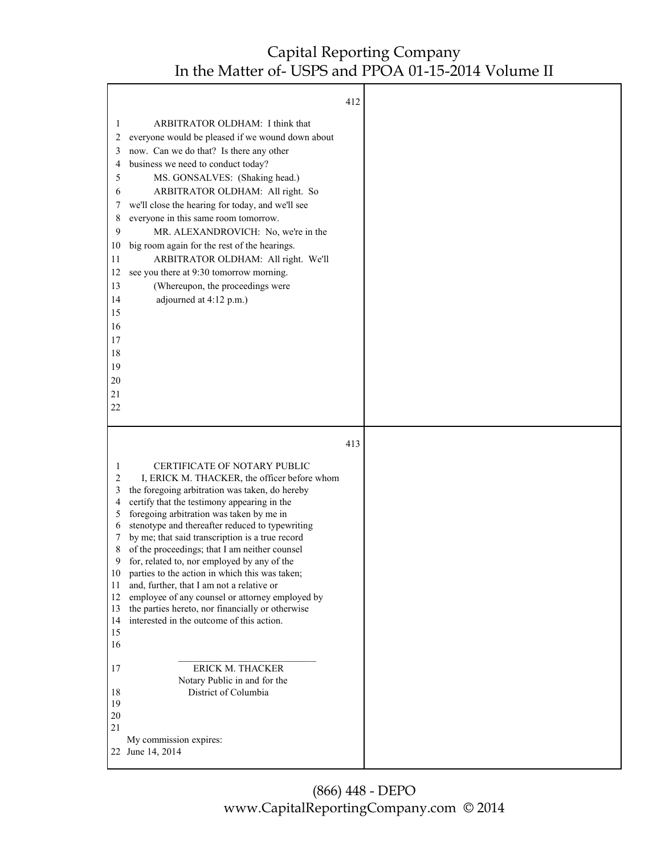|                                                                                                  |                                                                                                                                                                                                                                                                                                                                                                                                                                                                                                                                                                                                                                                                                    | 412 |  |
|--------------------------------------------------------------------------------------------------|------------------------------------------------------------------------------------------------------------------------------------------------------------------------------------------------------------------------------------------------------------------------------------------------------------------------------------------------------------------------------------------------------------------------------------------------------------------------------------------------------------------------------------------------------------------------------------------------------------------------------------------------------------------------------------|-----|--|
| 1<br>2<br>3<br>4<br>5<br>6<br>7<br>8<br>9<br>10<br>11                                            | ARBITRATOR OLDHAM: I think that<br>everyone would be pleased if we wound down about<br>now. Can we do that? Is there any other<br>business we need to conduct today?<br>MS. GONSALVES: (Shaking head.)<br>ARBITRATOR OLDHAM: All right. So<br>we'll close the hearing for today, and we'll see<br>everyone in this same room tomorrow.<br>MR. ALEXANDROVICH: No, we're in the<br>big room again for the rest of the hearings.<br>ARBITRATOR OLDHAM: All right. We'll                                                                                                                                                                                                               |     |  |
| 12<br>13<br>14<br>15<br>16<br>17<br>18<br>19                                                     | see you there at 9:30 tomorrow morning.<br>(Whereupon, the proceedings were<br>adjourned at 4:12 p.m.)                                                                                                                                                                                                                                                                                                                                                                                                                                                                                                                                                                             |     |  |
| 20<br>21<br>22                                                                                   |                                                                                                                                                                                                                                                                                                                                                                                                                                                                                                                                                                                                                                                                                    |     |  |
|                                                                                                  |                                                                                                                                                                                                                                                                                                                                                                                                                                                                                                                                                                                                                                                                                    |     |  |
|                                                                                                  |                                                                                                                                                                                                                                                                                                                                                                                                                                                                                                                                                                                                                                                                                    | 413 |  |
| 1<br>$\overline{2}$<br>3<br>4<br>5<br>6<br>7<br>8<br>9<br>10<br>11<br>12<br>13<br>14<br>15<br>16 | CERTIFICATE OF NOTARY PUBLIC<br>I, ERICK M. THACKER, the officer before whom<br>the foregoing arbitration was taken, do hereby<br>certify that the testimony appearing in the<br>foregoing arbitration was taken by me in<br>stenotype and thereafter reduced to typewriting<br>by me; that said transcription is a true record<br>of the proceedings; that I am neither counsel<br>for, related to, nor employed by any of the<br>parties to the action in which this was taken;<br>and, further, that I am not a relative or<br>employee of any counsel or attorney employed by<br>the parties hereto, nor financially or otherwise<br>interested in the outcome of this action. |     |  |
| 17<br>18<br>19<br>$20\,$<br>21                                                                   | ERICK M. THACKER<br>Notary Public in and for the<br>District of Columbia                                                                                                                                                                                                                                                                                                                                                                                                                                                                                                                                                                                                           |     |  |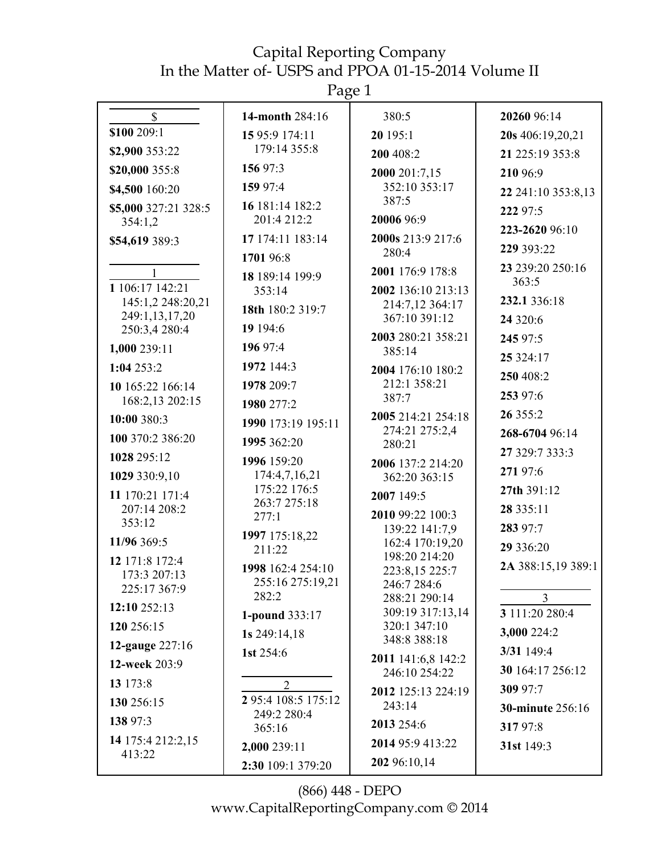Page 1

| $\mathbb{S}$                    | 14-month 284:16               | 380:5                                 | 20260 96:14             |
|---------------------------------|-------------------------------|---------------------------------------|-------------------------|
| \$100 209:1                     | 15 95:9 174:11                | 20 195:1                              | 20s 406:19,20,21        |
| \$2,900 353:22                  | 179:14 355:8                  | 200 408:2                             | 21 225:19 353:8         |
| \$20,000 355:8                  | 156 97:3                      | 2000 201:7,15                         | 210 96:9                |
| \$4,500 160:20                  | 159 97:4                      | 352:10 353:17                         | 22 241:10 353:8,13      |
| \$5,000 327:21 328:5            | 16 181:14 182:2               | 387:5                                 | 222 97:5                |
| 354:1,2                         | 201:4 212:2                   | 20006 96:9                            | 223-2620 96:10          |
| \$54,619 389:3                  | 17 174:11 183:14              | 2000s 213:9 217:6<br>280:4            | 229 393:22              |
|                                 | 1701 96:8                     |                                       | 23 239:20 250:16        |
| $\mathbf{1}$<br>1 106:17 142:21 | 18 189:14 199:9               | 2001 176:9 178:8                      | 363:5                   |
| 145:1,2 248:20,21               | 353:14                        | 2002 136:10 213:13<br>214:7,12 364:17 | 232.1 336:18            |
| 249:1,13,17,20                  | 18th 180:2 319:7              | 367:10 391:12                         | 24 3 20:6               |
| 250:3,4 280:4                   | 19 194:6                      | 2003 280:21 358:21                    | 245 97:5                |
| 1,000 239:11                    | 196 97:4                      | 385:14                                | 25 324:17               |
| 1:04253:2                       | 1972 144:3                    | 2004 176:10 180:2                     | 250 408:2               |
| 10 165:22 166:14                | 1978 209:7                    | 212:1 358:21<br>387:7                 | 253 97:6                |
| 168:2,13 202:15                 | 1980 277:2                    | 2005 214:21 254:18                    | 26 355:2                |
| 10:00 380:3                     | 1990 173:19 195:11            | 274:21 275:2,4                        | 268-6704 96:14          |
| 100 370:2 386:20                | 1995 362:20                   | 280:21                                | 27 329:7 333:3          |
| 1028 295:12                     | 1996 159:20                   | 2006 137:2 214:20                     | 271 97:6                |
| 1029 330:9,10                   | 174:4,7,16,21<br>175:22 176:5 | 362:20 363:15                         | 27th 391:12             |
| 11 170:21 171:4                 | 263:7 275:18                  | 2007 149:5                            |                         |
| 207:14 208:2<br>353:12          | 277:1                         | 2010 99:22 100:3                      | 28 335:11               |
| 11/96 369:5                     | 1997 175:18,22                | 139:22 141:7,9<br>162:4 170:19,20     | 283 97:7                |
| 12 171:8 172:4                  | 211:22                        | 198:20 214:20                         | 29 336:20               |
| 173:3 207:13                    | 1998 162:4 254:10             | 223:8,15 225:7                        | 2A 388:15,19 389:1      |
| 225:17 367:9                    | 255:16 275:19,21<br>282:2     | 246:7 284:6<br>288:21 290:14          | 3                       |
| 12:10 252:13                    | 1-pound 333:17                | 309:19 317:13,14                      | 3 111:20 280:4          |
| 120 256:15                      | 1s $249:14,18$                | 320:1 347:10                          | 3,000 224:2             |
| 12-gauge 227:16                 | 1st 254:6                     | 348:8 388:18                          | 3/31 149:4              |
| 12-week 203:9                   |                               | 2011 141:6,8 142:2<br>246:10 254:22   | 30 164:17 256:12        |
| 13 173:8                        | $\overline{2}$                | 2012 125:13 224:19                    | 309 97:7                |
| 130 256:15                      | 2 95:4 108:5 175:12           | 243:14                                | <b>30-minute 256:16</b> |
| 138 97:3                        | 249:2 280:4<br>365:16         | 2013 254:6                            | 31797:8                 |
| 14 175:4 212:2,15               | 2,000 239:11                  | 2014 95:9 413:22                      | 31st 149:3              |
| 413:22                          | 2:30 109:1 379:20             | 202 96:10,14                          |                         |
|                                 |                               |                                       |                         |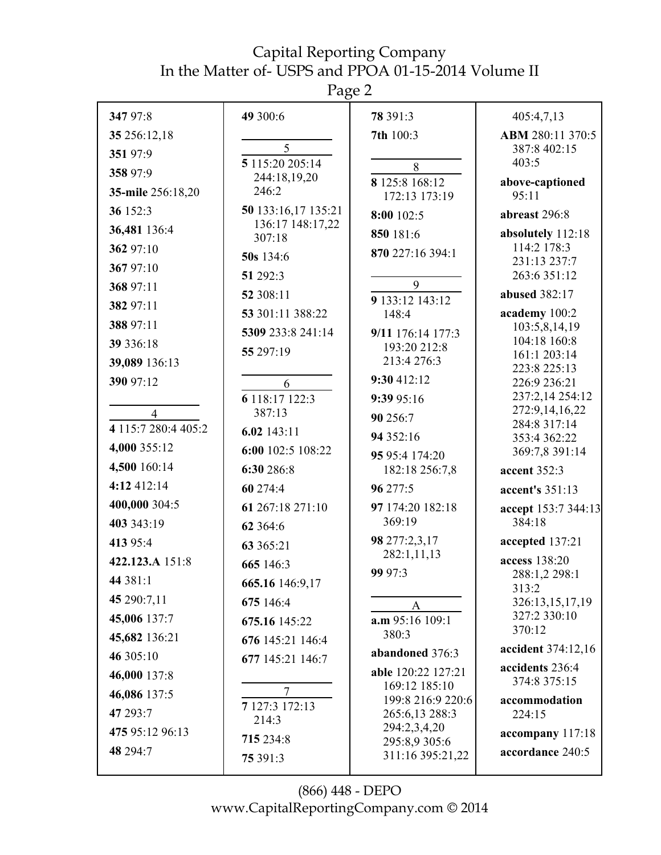Page 2

| 347 97:8                              | 49 300:6                     | 78 391:3                           | 405:4,7,13                        |
|---------------------------------------|------------------------------|------------------------------------|-----------------------------------|
| 35 256:12,18                          |                              | 7th 100:3                          | ABM 280:11 370:5                  |
| 351 97:9                              | 5<br>5 115:20 205:14         |                                    | 387:8 402:15<br>403:5             |
| 358 97:9                              | 244:18,19,20                 | $8\,$<br>8 125:8 168:12            |                                   |
| 35-mile 256:18,20                     | 246:2                        | 172:13 173:19                      | above-captioned<br>95:11          |
| 36 152:3                              | 50 133:16,17 135:21          | 8:00 102:5                         | abreast 296:8                     |
| 36,481 136:4                          | 136:17 148:17,22<br>307:18   | 850 181:6                          | absolutely 112:18                 |
| 362 97:10                             | 50s 134:6                    | 870 227:16 394:1                   | 114:2 178:3                       |
| 367 97:10                             | 51 292:3                     |                                    | 231:13 237:7<br>263:6 351:12      |
| 368 97:11                             | 52 308:11                    | 9                                  | abused 382:17                     |
| 382 97:11                             | 53 301:11 388:22             | 9 133:12 143:12<br>148:4           | academy 100:2                     |
| 388 97:11                             | 5309 233:8 241:14            | 9/11 176:14 177:3                  | 103:5,8,14,19                     |
| 39 336:18                             | 55 297:19                    | 193:20 212:8                       | 104:18 160:8<br>161:1 203:14      |
| 39,089 136:13                         |                              | 213:4 276:3                        | 223:8 225:13                      |
| 390 97:12                             | 6                            | 9:30 412:12                        | 226:9 236:21                      |
|                                       | 6 118:17 122:3               | 9:39 95:16                         | 237:2,14 254:12<br>272:9,14,16,22 |
| $\overline{4}$<br>4 115:7 280:4 405:2 | 387:13                       | 90 256:7                           | 284:8 317:14                      |
| 4,000 355:12                          | $6.02$ 143:11                | 94 352:16                          | 353:4 362:22                      |
| 4,500 160:14                          | 6:00 102:5 108:22            | 95 95:4 174:20                     | 369:7,8 391:14                    |
| 4:12 412:14                           | 6:30 286:8                   | 182:18 256:7,8                     | accent 352:3                      |
| 400,000 304:5                         | 60 274:4<br>61 267:18 271:10 | 96 277:5<br>97 174:20 182:18       | accent's 351:13                   |
| 403 343:19                            | 62 364:6                     | 369:19                             | accept 153:7 344:13<br>384:18     |
| 413 95:4                              | 63 365:21                    | 98 277:2,3,17                      | accepted 137:21                   |
| 422.123.A 151:8                       | 665 146:3                    | 282:1,11,13                        | access 138:20                     |
| 44 381:1                              | 665.16 146:9,17              | 99 97:3                            | 288:1,2 298:1                     |
| 45 290:7,11                           | 675 146:4                    |                                    | 313:2<br>326:13,15,17,19          |
| 45,006 137:7                          | 675.16 145:22                | A<br>a.m 95:16 109:1               | 327:2 330:10                      |
| 45,682 136:21                         | 676 145:21 146:4             | 380:3                              | 370:12                            |
| 46 305:10                             | 677 145:21 146:7             | abandoned 376:3                    | accident 374:12,16                |
| 46,000 137:8                          |                              | able 120:22 127:21                 | accidents 236:4<br>374:8 375:15   |
| 46,086 137:5                          | 7                            | 169:12 185:10<br>199:8 216:9 220:6 | accommodation                     |
| 47 293:7                              | 7 127:3 172:13<br>214:3      | 265:6,13 288:3                     | 224:15                            |
| 475 95:12 96:13                       | 715 234:8                    | 294:2,3,4,20                       | accompany 117:18                  |
| 48 294:7                              | 75 391:3                     | 295:8,9 305:6<br>311:16 395:21,22  | accordance 240:5                  |
|                                       |                              |                                    |                                   |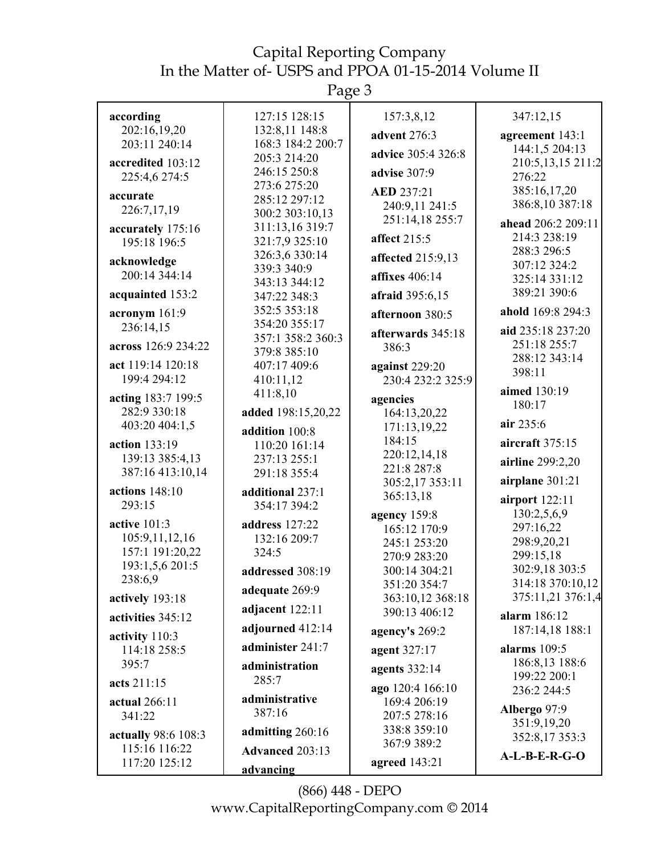Page 3

| according           | 127:15 128:15                | 157:3,8,12                        | 347:12,15                          |
|---------------------|------------------------------|-----------------------------------|------------------------------------|
| 202:16,19,20        | 132:8,11 148:8               | advent 276:3                      | agreement 143:1                    |
| 203:11 240:14       | 168:3 184:2 200:7            |                                   | 144:1,5 204:13                     |
| accredited 103:12   | 205:3 214:20                 | advice 305:4 326:8                | 210:5,13,15 211:2                  |
| 225:4,6 274:5       | 246:15 250:8                 | advise 307:9                      | 276:22                             |
| accurate            | 273:6 275:20                 | <b>AED 237:21</b>                 | 385:16,17,20                       |
| 226:7,17,19         | 285:12 297:12                | 240:9,11 241:5                    | 386:8,10 387:18                    |
|                     | 300:2 303:10,13              | 251:14,18 255:7                   | ahead 206:2 209:11                 |
| accurately 175:16   | 311:13,16 319:7              | affect 215:5                      | 214:3 238:19                       |
| 195:18 196:5        | 321:7,9 325:10               |                                   | 288:3 296:5                        |
| acknowledge         | 326:3,6 330:14               | affected 215:9,13                 | 307:12 324:2                       |
| 200:14 344:14       | 339:3 340:9                  | affixes 406:14                    | 325:14 331:12                      |
| acquainted 153:2    | 343:13 344:12                | afraid 395:6,15                   | 389:21 390:6                       |
|                     | 347:22 348:3<br>352:5 353:18 |                                   |                                    |
| acronym 161:9       | 354:20 355:17                | afternoon 380:5                   | ahold 169:8 294:3                  |
| 236:14,15           | 357:1 358:2 360:3            | afterwards 345:18                 | aid 235:18 237:20                  |
| across 126:9 234:22 | 379:8 385:10                 | 386:3                             | 251:18 255:7                       |
| act 119:14 120:18   | 407:17 409:6                 | against 229:20                    | 288:12 343:14                      |
| 199:4 294:12        | 410:11,12                    | 230:4 232:2 325:9                 | 398:11                             |
|                     | 411:8,10                     |                                   | aimed 130:19                       |
| acting 183:7 199:5  |                              | agencies                          | 180:17                             |
| 282:9 330:18        | added 198:15,20,22           | 164:13,20,22                      | air 235:6                          |
| 403:20 404:1,5      | addition 100:8               | 171:13,19,22                      |                                    |
| action 133:19       | 110:20 161:14                | 184:15                            | aircraft 375:15                    |
| 139:13 385:4,13     | 237:13 255:1                 | 220:12,14,18<br>221:8 287:8       | airline 299:2,20                   |
| 387:16 413:10,14    | 291:18 355:4                 | 305:2,17 353:11                   | airplane 301:21                    |
| actions $148:10$    | additional 237:1             | 365:13,18                         |                                    |
| 293:15              | 354:17 394:2                 |                                   | airport $122:11$                   |
| active $101:3$      | address 127:22               | agency 159:8                      | 130:2,5,6,9                        |
| 105:9,11,12,16      | 132:16 209:7                 | 165:12 170:9                      | 297:16,22                          |
| 157:1 191:20,22     | 324:5                        | 245:1 253:20                      | 298:9,20,21                        |
| 193:1,5,6 201:5     |                              | 270:9 283:20                      | 299:15,18                          |
| 238:6,9             | addressed 308:19             | 300:14 304:21                     | 302:9,18 303:5<br>314:18 370:10,12 |
|                     | adequate 269:9               | 351:20 354:7                      | 375:11,21 376:1,4                  |
| actively 193:18     | adjacent 122:11              | 363:10,12 368:18<br>390:13 406:12 |                                    |
| activities 345:12   |                              |                                   | alarm 186:12                       |
| activity 110:3      | adjourned 412:14             | agency's 269:2                    | 187:14,18 188:1                    |
| 114:18 258:5        | administer 241:7             | agent 327:17                      | alarms $109:5$                     |
| 395:7               | administration               | agents 332:14                     | 186:8,13 188:6                     |
| acts 211:15         | 285:7                        |                                   | 199:22 200:1                       |
|                     |                              | ago 120:4 166:10                  | 236:2 244:5                        |
| actual 266:11       | administrative<br>387:16     | 169:4 206:19                      | Albergo 97:9                       |
| 341:22              |                              | 207:5 278:16                      | 351:9,19,20                        |
| actually 98:6 108:3 | admitting 260:16             | 338:8 359:10                      | 352:8,17353:3                      |
| 115:16 116:22       | Advanced 203:13              | 367:9 389:2                       | $A-L-B-E-R-G-O$                    |
| 117:20 125:12       | advancing                    | agreed 143:21                     |                                    |
|                     |                              |                                   |                                    |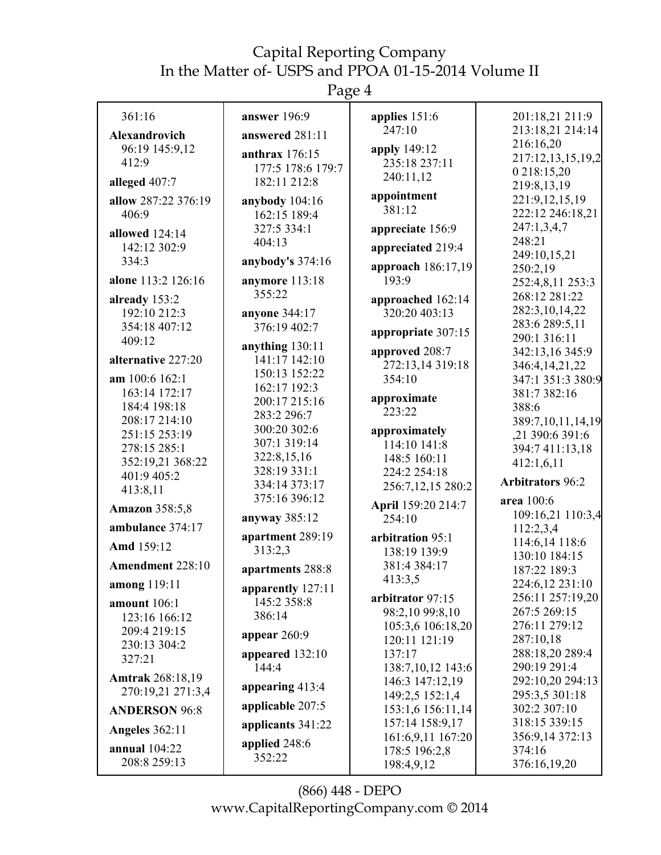Page 4

| 361:16                  | answer 196:9                 | applies 151:6                        | 201:18,21 211:9                    |
|-------------------------|------------------------------|--------------------------------------|------------------------------------|
| <b>Alexandrovich</b>    | answered 281:11              | 247:10                               | 213:18,21 214:14                   |
| 96:19 145:9,12          | anthrax $176:15$             | apply 149:12                         | 216:16,20                          |
| 412:9                   | 177:5 178:6 179:7            | 235:18 237:11                        | 217:12,13,15,19,2                  |
| alleged 407:7           | 182:11 212:8                 | 240:11,12                            | 0 218:15,20                        |
|                         |                              | appointment                          | 219:8,13,19                        |
| allow 287:22 376:19     | anybody $104:16$             | 381:12                               | 221:9,12,15,19<br>222:12 246:18,21 |
| 406:9                   | 162:15 189:4                 |                                      | 247:1,3,4,7                        |
| allowed 124:14          | 327:5 334:1<br>404:13        | appreciate 156:9                     | 248:21                             |
| 142:12 302:9            |                              | appreciated 219:4                    | 249:10,15,21                       |
| 334:3                   | anybody's 374:16             | approach 186:17,19                   | 250:2,19                           |
| alone 113:2 126:16      | anymore 113:18               | 193:9                                | 252:4,8,11 253:3                   |
| already 153:2           | 355:22                       | approached 162:14                    | 268:12 281:22                      |
| 192:10 212:3            | anyone 344:17                | 320:20 403:13                        | 282:3,10,14,22                     |
| 354:18 407:12           | 376:19 402:7                 |                                      | 283:6 289:5,11                     |
| 409:12                  |                              | appropriate 307:15                   | 290:1 316:11                       |
|                         | anything 130:11              | approved 208:7                       | 342:13,16 345:9                    |
| alternative 227:20      | 141:17 142:10                | 272:13,14 319:18                     | 346:4, 14, 21, 22                  |
| am 100:6 162:1          | 150:13 152:22                | 354:10                               | 347:1 351:3 380:9                  |
| 163:14 172:17           | 162:17 192:3                 | approximate                          | 381:7 382:16                       |
| 184:4 198:18            | 200:17 215:16<br>283:2 296:7 | 223:22                               | 388:6                              |
| 208:17 214:10           | 300:20 302:6                 |                                      | 389:7,10,11,14,19                  |
| 251:15 253:19           | 307:1 319:14                 | approximately<br>114:10 141:8        | ,21 390:6 391:6                    |
| 278:15 285:1            | 322:8,15,16                  | 148:5 160:11                         | 394:7 411:13,18                    |
| 352:19,21 368:22        | 328:19 331:1                 | 224:2 254:18                         | 412:1,6,11                         |
| 401:9 405:2             | 334:14 373:17                | 256:7,12,15 280:2                    | <b>Arbitrators 96:2</b>            |
| 413:8,11                | 375:16 396:12                |                                      | area 100:6                         |
| <b>Amazon</b> 358:5,8   |                              | April 159:20 214:7                   | 109:16,21 110:3,4                  |
| ambulance 374:17        | anyway 385:12                | 254:10                               | 112:2,3,4                          |
| Amd 159:12              | apartment 289:19             | arbitration 95:1                     | 114:6,14 118:6                     |
|                         | 313:2,3                      | 138:19 139:9                         | 130:10 184:15                      |
| Amendment 228:10        | apartments 288:8             | 381:4 384:17                         | 187:22 189:3                       |
| <b>among</b> 119:11     | apparently 127:11            | 413:3,5                              | 224:6,12 231:10                    |
| amount 106:1            | 145:2 358:8                  | arbitrator 97:15                     | 256:11 257:19,20                   |
| 123:16 166:12           | 386:14                       | 98:2,10 99:8,10                      | 267:5 269:15                       |
| 209:4 219:15            |                              | 105:3,6 106:18,20                    | 276:11 279:12                      |
| 230:13 304:2            | appear $260:9$               | 120:11 121:19                        | 287:10,18                          |
| 327:21                  | appeared $132:10$            | 137:17                               | 288:18,20 289:4                    |
| <b>Amtrak</b> 268:18,19 | 144:4                        | 138:7, 10, 12 143:6                  | 290:19 291:4                       |
| 270:19,21 271:3,4       | appearing 413:4              | 146:3 147:12,19                      | 292:10,20 294:13                   |
|                         | applicable 207:5             | 149:2,5 152:1,4                      | 295:3,5 301:18<br>302:2 307:10     |
| <b>ANDERSON 96:8</b>    |                              | 153:1,6 156:11,14<br>157:14 158:9,17 | 318:15 339:15                      |
| <b>Angeles</b> 362:11   | applicants 341:22            | 161:6,9,11 167:20                    | 356:9,14 372:13                    |
| <b>annual</b> 104:22    | applied 248:6                | 178:5 196:2,8                        | 374:16                             |
| 208:8 259:13            | 352:22                       | 198:4,9,12                           | 376:16,19,20                       |
|                         |                              |                                      |                                    |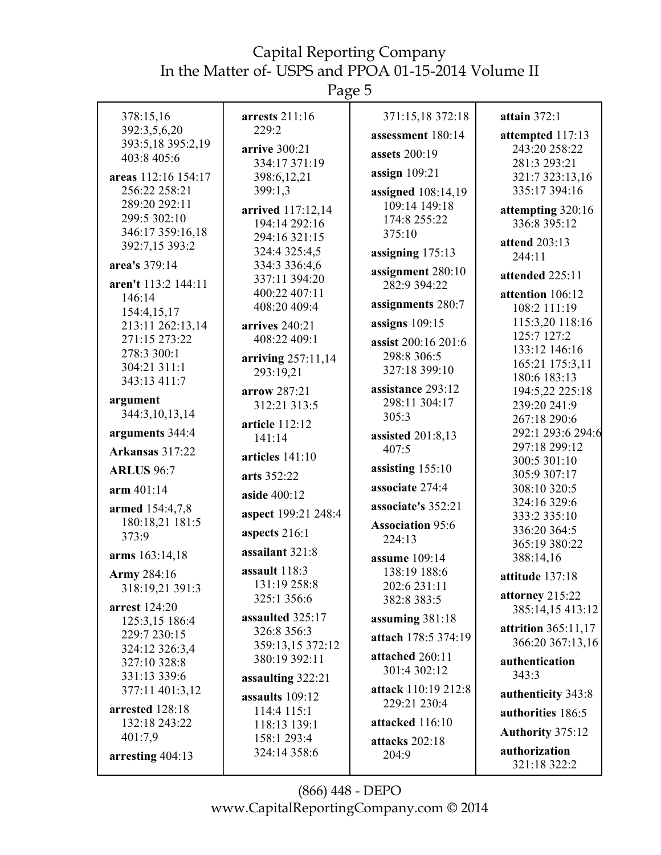Page 5

| 378:15,16                    | arrests $211:16$            | 371:15,18 372:18              | attain $372:1$                  |
|------------------------------|-----------------------------|-------------------------------|---------------------------------|
| 392:3,5,6,20                 | 229:2                       | assessment 180:14             | attempted 117:13                |
| 393:5,18 395:2,19            | arrive 300:21               | assets 200:19                 | 243:20 258:22                   |
| 403:8 405:6                  | 334:17 371:19               |                               | 281:3 293:21                    |
| areas 112:16 154:17          | 398:6,12,21                 | assign $109:21$               | 321:7 323:13,16                 |
| 256:22 258:21                | 399:1,3                     | assigned 108:14,19            | 335:17 394:16                   |
| 289:20 292:11                | arrived 117:12,14           | 109:14 149:18                 | attempting 320:16               |
| 299:5 302:10                 | 194:14 292:16               | 174:8 255:22                  | 336:8 395:12                    |
| 346:17 359:16,18             | 294:16 321:15               | 375:10                        | attend 203:13                   |
| 392:7,15 393:2               | 324:4 325:4,5               | assigning 175:13              | 244:11                          |
| area's 379:14                | 334:3 336:4,6               | assignment 280:10             |                                 |
| aren't 113:2 144:11          | 337:11 394:20               | 282:9 394:22                  | attended 225:11                 |
| 146:14                       | 400:22 407:11               |                               | attention 106:12                |
| 154:4,15,17                  | 408:20 409:4                | assignments 280:7             | 108:2 111:19                    |
| 213:11 262:13,14             | arrives 240:21              | assigns $109:15$              | 115:3,20 118:16                 |
| 271:15 273:22                | 408:22 409:1                | assist 200:16 201:6           | 125:7 127:2                     |
| 278:3 300:1                  | arriving 257:11,14          | 298:8 306:5                   | 133:12 146:16                   |
| 304:21 311:1                 | 293:19,21                   | 327:18 399:10                 | 165:21 175:3,11<br>180:6 183:13 |
| 343:13 411:7                 | arrow 287:21                | assistance 293:12             | 194:5,22 225:18                 |
| argument                     | 312:21 313:5                | 298:11 304:17                 | 239:20 241:9                    |
| 344:3,10,13,14               |                             | 305:3                         | 267:18 290:6                    |
| arguments 344:4              | article 112:12              | assisted $201:8,13$           | 292:1 293:6 294:6               |
| Arkansas 317:22              | 141:14                      | 407:5                         | 297:18 299:12                   |
|                              | articles $141:10$           |                               | 300:5 301:10                    |
| <b>ARLUS</b> 96:7            | arts 352:22                 | assisting $155:10$            | 305:9 307:17                    |
| arm 401:14                   | aside 400:12                | associate 274:4               | 308:10 320:5                    |
| armed 154:4,7,8              |                             | associate's 352:21            | 324:16 329:6                    |
| 180:18,21 181:5              | aspect 199:21 248:4         | <b>Association 95:6</b>       | 333:2 335:10                    |
| 373:9                        | aspects 216:1               | 224:13                        | 336:20 364:5                    |
| arms 163:14,18               | assailant 321:8             |                               | 365:19 380:22                   |
|                              | assault 118:3               | assume 109:14<br>138:19 188:6 | 388:14,16                       |
| Army 284:16                  | 131:19 258:8                | 202:6 231:11                  | attitude 137:18                 |
| 318:19,21 391:3              | 325:1 356:6                 | 382:8 383:5                   | attorney 215:22                 |
| arrest 124:20                | assaulted 325:17            |                               | 385:14,15 413:12                |
| 125:3,15 186:4               | 326:8 356:3                 | assuming 381:18               | attrition 365:11,17             |
| 229:7 230:15                 | 359:13,15 372:12            | attach 178:5 374:19           | 366:20 367:13,16                |
| 324:12 326:3,4               | 380:19 392:11               | attached 260:11               | authentication                  |
| 327:10 328:8<br>331:13 339:6 |                             | 301:4 302:12                  | 343:3                           |
| 377:11 401:3,12              | assaulting 322:21           | attack 110:19 212:8           |                                 |
|                              | assaults 109:12             | 229:21 230:4                  | authenticity 343:8              |
| arrested 128:18              | 114:4 115:1                 | attacked 116:10               | authorities 186:5               |
| 132:18 243:22<br>401:7,9     | 118:13 139:1                |                               | <b>Authority 375:12</b>         |
|                              | 158:1 293:4<br>324:14 358:6 | attacks 202:18                | authorization                   |
| arresting 404:13             |                             | 204:9                         | 321:18 322:2                    |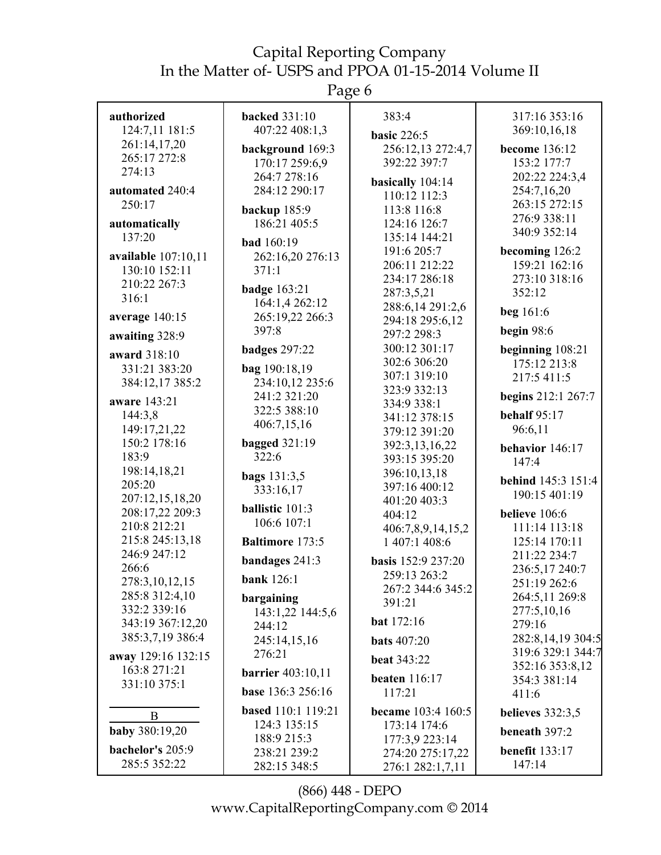Page 6

| authorized          | <b>backed</b> 331:10      | 383:4                          | 317:16 353:16             |
|---------------------|---------------------------|--------------------------------|---------------------------|
| 124:7,11 181:5      | 407:22 408:1,3            |                                | 369:10,16,18              |
| 261:14,17,20        |                           | <b>basic 226:5</b>             |                           |
| 265:17 272:8        | background 169:3          | 256:12,13 272:4,7              | become 136:12             |
| 274:13              | 170:17 259:6,9            | 392:22 397:7                   | 153:2 177:7               |
|                     | 264:7 278:16              | basically 104:14               | 202:22 224:3,4            |
| automated 240:4     | 284:12 290:17             | 110:12 112:3                   | 254:7,16,20               |
| 250:17              | backup 185:9              | 113:8 116:8                    | 263:15 272:15             |
| automatically       | 186:21 405:5              | 124:16 126:7                   | 276:9 338:11              |
| 137:20              | <b>bad</b> 160:19         | 135:14 144:21                  | 340:9 352:14              |
| available 107:10,11 | 262:16,20 276:13          | 191:6 205:7                    | becoming 126:2            |
| 130:10 152:11       | 371:1                     | 206:11 212:22                  | 159:21 162:16             |
| 210:22 267:3        |                           | 234:17 286:18                  | 273:10 318:16             |
| 316:1               | <b>badge</b> 163:21       | 287:3,5,21                     | 352:12                    |
|                     | 164:1,4 262:12            | 288:6,14 291:2,6               | beg 161:6                 |
| average 140:15      | 265:19,22 266:3           | 294:18 295:6,12                |                           |
| awaiting 328:9      | 397:8                     | 297:2 298:3                    | begin 98:6                |
| award 318:10        | badges 297:22             | 300:12 301:17                  | beginning 108:21          |
| 331:21 383:20       | bag 190:18,19             | 302:6 306:20                   | 175:12 213:8              |
| 384:12,17 385:2     | 234:10,12 235:6           | 307:1 319:10                   | 217:5 411:5               |
|                     | 241:2 321:20              | 323:9 332:13                   | begins 212:1 267:7        |
| aware 143:21        | 322:5 388:10              | 334:9 338:1                    |                           |
| 144:3,8             | 406:7,15,16               | 341:12 378:15                  | <b>behalf</b> 95:17       |
| 149:17,21,22        |                           | 379:12 391:20                  | 96:6,11                   |
| 150:2 178:16        | <b>bagged</b> 321:19      | 392:3,13,16,22                 | behavior 146:17           |
| 183:9               | 322:6                     | 393:15 395:20                  | 147:4                     |
| 198:14,18,21        | <b>bags</b> 131:3,5       | 396:10,13,18                   | <b>behind</b> 145:3 151:4 |
| 205:20              | 333:16,17                 | 397:16 400:12                  | 190:15 401:19             |
| 207:12,15,18,20     | ballistic 101:3           | 401:20 403:3                   |                           |
| 208:17,22 209:3     | 106:6 107:1               | 404:12                         | believe 106:6             |
| 210:8 212:21        |                           | 406:7,8,9,14,15,2              | 111:14 113:18             |
| 215:8 245:13,18     | <b>Baltimore 173:5</b>    | 1 407:1 408:6                  | 125:14 170:11             |
| 246:9 247:12        | bandages 241:3            | <b>basis</b> 152:9 237:20      | 211:22 234:7              |
| 266:6               | <b>bank</b> 126:1         | 259:13 263:2                   | 236:5,17 240:7            |
| 278:3, 10, 12, 15   |                           | 267:2 344:6 345:2              | 251:19 262:6              |
| 285:8 312:4,10      | bargaining                | 391:21                         | 264:5,11 269:8            |
| 332:2 339:16        | 143:1,22 144:5,6          |                                | 277:5,10,16               |
| 343:19 367:12,20    | 244:12                    | <b>bat</b> 172:16              | 279:16                    |
| 385:3,7,19 386:4    | 245:14,15,16              | <b>bats</b> 407:20             | 282:8,14,19 304:5         |
| away 129:16 132:15  | 276:21                    | <b>beat 343:22</b>             | 319:6 329:1 344:7         |
| 163:8 271:21        | <b>barrier</b> 403:10,11  |                                | 352:16 353:8,12           |
| 331:10 375:1        | base 136:3 256:16         | <b>beaten</b> 116:17<br>117:21 | 354:3 381:14              |
|                     |                           |                                | 411:6                     |
| B                   | <b>based</b> 110:1 119:21 | became 103:4 160:5             | believes $332:3,5$        |
| baby 380:19,20      | 124:3 135:15              | 173:14 174:6                   | beneath 397:2             |
|                     | 188:9 215:3               | 177:3,9 223:14                 |                           |
| bachelor's 205:9    | 238:21 239:2              | 274:20 275:17,22               | benefit $133:17$          |
| 285:5 352:22        | 282:15 348:5              | 276:1 282:1,7,11               | 147:14                    |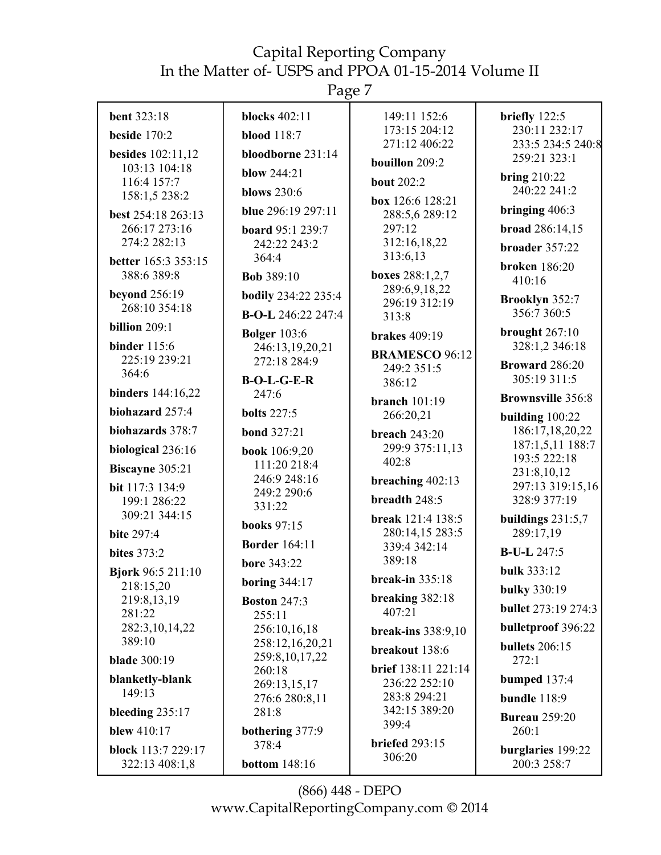Page 7

| <b>bent</b> 323:18                    | <b>blocks</b> 402:11        | 149:11 152:6                   | briefly 122:5                       |
|---------------------------------------|-----------------------------|--------------------------------|-------------------------------------|
| beside $170:2$                        | <b>blood</b> 118:7          | 173:15 204:12                  | 230:11 232:17                       |
| <b>besides</b> 102:11,12              | bloodborne 231:14           | 271:12 406:22                  | 233:5 234:5 240:8<br>259:21 323:1   |
| 103:13 104:18                         | <b>blow</b> 244:21          | bouillon 209:2                 |                                     |
| 116:4 157:7                           | <b>blows</b> 230:6          | <b>bout</b> 202:2              | <b>bring 210:22</b><br>240:22 241:2 |
| 158:1,5 238:2                         |                             | box 126:6 128:21               |                                     |
| best 254:18 263:13                    | blue 296:19 297:11          | 288:5,6 289:12                 | bringing $406:3$                    |
| 266:17 273:16                         | board 95:1 239:7            | 297:12                         | broad 286:14,15                     |
| 274:2 282:13                          | 242:22 243:2                | 312:16,18,22<br>313:6,13       | broader 357:22                      |
| <b>better</b> 165:3 353:15            | 364:4                       |                                | <b>broken</b> 186:20                |
| 388:6 389:8                           | <b>Bob</b> 389:10           | boxes 288:1,2,7                | 410:16                              |
| <b>beyond</b> 256:19                  | <b>bodily</b> 234:22 235:4  | 289:6,9,18,22<br>296:19 312:19 | Brooklyn 352:7                      |
| 268:10 354:18                         | <b>B-O-L</b> 246:22 247:4   | 313:8                          | 356:7 360:5                         |
| billion $209:1$                       | <b>Bolger</b> 103:6         | <b>brakes</b> 409:19           | brought $267:10$                    |
| <b>binder</b> 115:6                   | 246:13,19,20,21             | <b>BRAMESCO 96:12</b>          | 328:1,2 346:18                      |
| 225:19 239:21                         | 272:18 284:9                | 249:2 351:5                    | Broward 286:20                      |
| 364:6                                 | $B-O-L-G-E-R$               | 386:12                         | 305:19 311:5                        |
| binders 144:16,22                     | 247:6                       | branch $101:19$                | <b>Brownsville 356:8</b>            |
| biohazard 257:4                       | <b>bolts</b> 227:5          | 266:20,21                      | building $100:22$                   |
| biohazards 378:7                      | <b>bond</b> 327:21          | <b>breach</b> 243:20           | 186:17,18,20,22                     |
| biological 236:16                     | book 106:9,20               | 299:9 375:11,13                | 187:1,5,11 188:7                    |
| Biscayne 305:21                       | 111:20 218:4                | 402:8                          | 193:5 222:18                        |
| bit 117:3 134:9                       | 246:9 248:16                | breaching 402:13               | 231:8,10,12<br>297:13 319:15,16     |
| 199:1 286:22                          | 249:2 290:6                 | breadth 248:5                  | 328:9 377:19                        |
| 309:21 344:15                         | 331:22                      | break 121:4 138:5              | buildings $231:5,7$                 |
| <b>bite 297:4</b>                     | <b>books</b> 97:15          | 280:14,15 283:5                | 289:17,19                           |
| <b>bites</b> 373:2                    | <b>Border</b> 164:11        | 339:4 342:14                   | <b>B-U-L 247:5</b>                  |
|                                       | <b>bore 343:22</b>          | 389:18                         | <b>bulk 333:12</b>                  |
| <b>Bjork 96:5 211:10</b><br>218:15,20 | <b>boring 344:17</b>        | break-in $335:18$              |                                     |
| 219:8,13,19                           | <b>Boston 247:3</b>         | breaking 382:18                | <b>bulky</b> 330:19                 |
| 281:22                                | 255:11                      | 407:21                         | <b>bullet</b> 273:19 274:3          |
| 282:3, 10, 14, 22                     | 256:10,16,18                | break-ins $338:9,10$           | bulletproof 396:22                  |
| 389:10                                | 258:12,16,20,21             | breakout 138:6                 | <b>bullets</b> 206:15               |
| <b>blade</b> 300:19                   | 259:8, 10, 17, 22<br>260:18 | brief 138:11 221:14            | 272:1                               |
| blanketly-blank                       | 269:13,15,17                | 236:22 252:10                  | bumped 137:4                        |
| 149:13                                | 276:6 280:8,11              | 283:8 294:21                   | bundle $118:9$                      |
| bleeding 235:17                       | 281:8                       | 342:15 389:20                  | <b>Bureau 259:20</b>                |
| <b>blew</b> 410:17                    | bothering 377:9             | 399:4                          | 260:1                               |
| block 113:7 229:17                    | 378:4                       | <b>briefed</b> 293:15          | burglaries 199:22                   |
| 322:13 408:1,8                        | <b>bottom</b> 148:16        | 306:20                         | 200:3 258:7                         |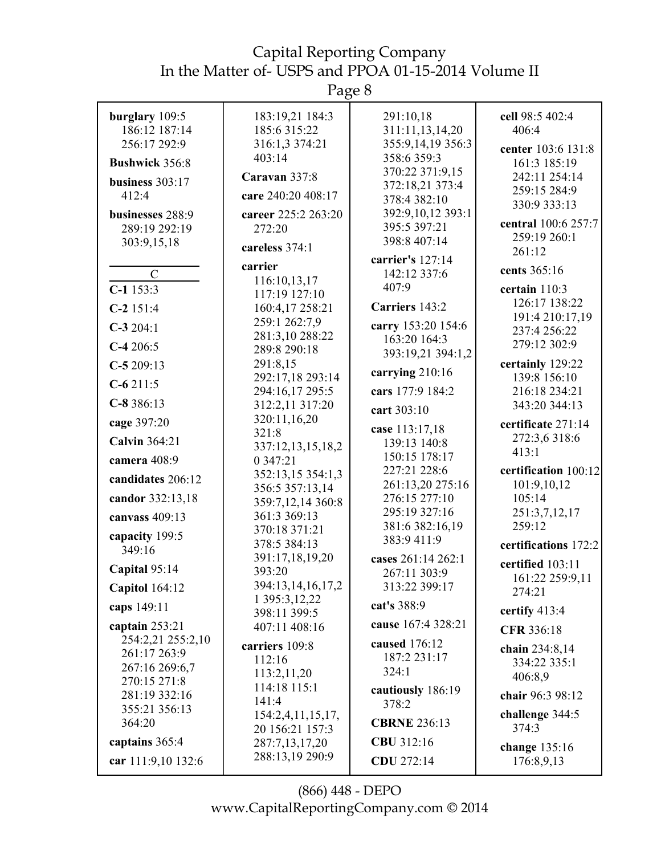Page 8

| burglary 109:5<br>186:12 187:14   | 183:19,21 184:3<br>185:6 315:22    | 291:10,18<br>311:11,13,14,20      | cell 98:5 402:4<br>406:4            |
|-----------------------------------|------------------------------------|-----------------------------------|-------------------------------------|
| 256:17 292:9                      | 316:1,3 374:21<br>403:14           | 355:9,14,19 356:3<br>358:6 359:3  | center 103:6 131:8                  |
| <b>Bushwick 356:8</b>             | Caravan 337:8                      | 370:22 371:9,15                   | 161:3 185:19<br>242:11 254:14       |
| business $303:17$<br>412:4        | care 240:20 408:17                 | 372:18,21 373:4                   | 259:15 284:9                        |
|                                   | career 225:2 263:20                | 378:4 382:10<br>392:9,10,12 393:1 | 330:9 333:13                        |
| businesses 288:9<br>289:19 292:19 | 272:20                             | 395:5 397:21                      | central 100:6 257:7                 |
| 303:9,15,18                       | careless 374:1                     | 398:8 407:14                      | 259:19 260:1                        |
|                                   | carrier                            | carrier's 127:14                  | 261:12                              |
| $\mathcal{C}$                     | 116:10,13,17                       | 142:12 337:6                      | cents 365:16                        |
| $C-1$ 153:3                       | 117:19 127:10                      | 407:9                             | certain 110:3                       |
| $C-2$ 151:4                       | 160:4,17 258:21                    | Carriers 143:2                    | 126:17 138:22<br>191:4 210:17,19    |
| $C-3$ 204:1                       | 259:1 262:7,9<br>281:3,10 288:22   | carry 153:20 154:6                | 237:4 256:22                        |
| $C-4206:5$                        | 289:8 290:18                       | 163:20 164:3<br>393:19,21 394:1,2 | 279:12 302:9                        |
| $C-5209:13$                       | 291:8,15                           |                                   | certainly 129:22                    |
| $C-6211:5$                        | 292:17,18 293:14                   | carrying 210:16                   | 139:8 156:10                        |
| $C-8386:13$                       | 294:16,17 295:5<br>312:2,11 317:20 | cars 177:9 184:2                  | 216:18 234:21<br>343:20 344:13      |
| cage 397:20                       | 320:11,16,20                       | cart 303:10                       |                                     |
|                                   | 321:8                              | case 113:17,18                    | certificate 271:14<br>272:3,6 318:6 |
| <b>Calvin 364:21</b>              | 337:12,13,15,18,2                  | 139:13 140:8<br>150:15 178:17     | 413:1                               |
| camera 408:9                      | 0 347:21<br>352:13,15 354:1,3      | 227:21 228:6                      | certification 100:12                |
| candidates 206:12                 | 356:5 357:13,14                    | 261:13,20 275:16                  | 101:9,10,12                         |
| candor 332:13,18                  | 359:7,12,14 360:8                  | 276:15 277:10                     | 105:14                              |
| canvass 409:13                    | 361:3 369:13                       | 295:19 327:16<br>381:6 382:16,19  | 251:3,7,12,17<br>259:12             |
| capacity 199:5                    | 370:18 371:21<br>378:5 384:13      | 383:9 411:9                       | certifications 172:2                |
| 349:16                            | 391:17,18,19,20                    | cases 261:14 262:1                |                                     |
| Capital 95:14                     | 393:20                             | 267:11 303:9                      | certified 103:11<br>161:22 259:9,11 |
| <b>Capitol</b> 164:12             | 394:13,14,16,17,2                  | 313:22 399:17                     | 274:21                              |
| caps 149:11                       | 1 395:3, 12, 22<br>398:11 399:5    | cat's 388:9                       | certify 413:4                       |
| captain 253:21                    | 407:11 408:16                      | cause 167:4 328:21                | CFR 336:18                          |
| 254:2,21 255:2,10                 | carriers 109:8                     | caused 176:12                     | chain 234:8,14                      |
| 261:17 263:9<br>267:16 269:6,7    | 112:16                             | 187:2 231:17                      | 334:22 335:1                        |
| 270:15 271:8                      | 113:2,11,20                        | 324:1                             | 406:8,9                             |
| 281:19 332:16                     | 114:18 115:1<br>141:4              | cautiously 186:19                 | chair 96:3 98:12                    |
| 355:21 356:13                     | 154:2,4,11,15,17,                  | 378:2                             | challenge 344:5                     |
| 364:20                            | 20 156:21 157:3                    | <b>CBRNE 236:13</b>               | 374:3                               |
| captains 365:4                    | 287:7,13,17,20                     | CBU 312:16                        | change 135:16                       |
| car 111:9,10 132:6                | 288:13,19 290:9                    | CDU 272:14                        | 176:8,9,13                          |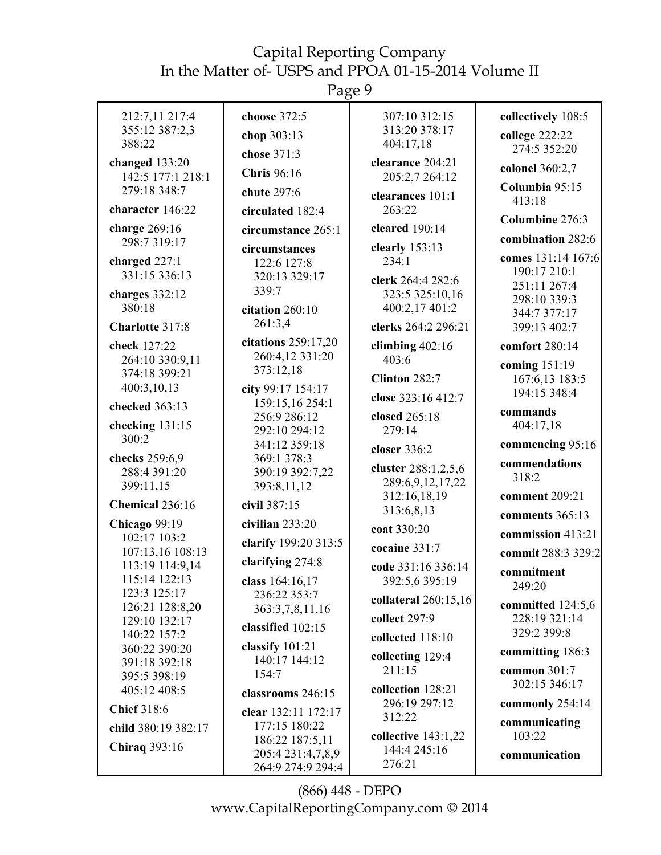Page 9

| 212:7,11 217:4<br>355:12 387:2,3<br>388:22                           | choose 372:5<br>chop 303:13<br>chose 371:3                               | 307:10 312:15<br>313:20 378:17<br>404:17,18                     | collectively 108:5<br>college 222:22<br>274:5 352:20               |
|----------------------------------------------------------------------|--------------------------------------------------------------------------|-----------------------------------------------------------------|--------------------------------------------------------------------|
| changed 133:20<br>142:5 177:1 218:1<br>279:18 348:7                  | <b>Chris</b> 96:16<br>chute 297:6                                        | clearance 204:21<br>205:2,7 264:12<br>clearances 101:1          | colonel 360:2,7<br>Columbia 95:15<br>413:18                        |
| character 146:22                                                     | circulated 182:4                                                         | 263:22                                                          | Columbine 276:3                                                    |
| charge 269:16<br>298:7 319:17                                        | circumstance 265:1                                                       | cleared 190:14<br>clearly 153:13                                | combination 282:6                                                  |
| charged 227:1<br>331:15 336:13<br>charges 332:12<br>380:18           | circumstances<br>122:6 127:8<br>320:13 329:17<br>339:7                   | 234:1<br>clerk 264:4 282:6<br>323:5 325:10,16<br>400:2,17 401:2 | comes 131:14 167:6<br>190:17 210:1<br>251:11 267:4<br>298:10 339:3 |
| Charlotte 317:8                                                      | citation 260:10<br>261:3,4                                               | clerks 264:2 296:21                                             | 344:7 377:17<br>399:13 402:7                                       |
| check 127:22<br>264:10 330:9,11<br>374:18 399:21<br>400:3,10,13      | citations 259:17,20<br>260:4,12 331:20<br>373:12,18<br>city 99:17 154:17 | climbing $402:16$<br>403:6<br><b>Clinton 282:7</b>              | comfort 280:14<br>coming 151:19<br>167:6,13 183:5                  |
| checked 363:13<br>checking 131:15                                    | 159:15,16 254:1<br>256:9 286:12<br>292:10 294:12                         | close 323:16 412:7<br>closed 265:18<br>279:14                   | 194:15 348:4<br>commands<br>404:17,18                              |
| 300:2                                                                | 341:12 359:18                                                            | closer 336:2                                                    | commencing 95:16                                                   |
| checks 259:6,9<br>288:4 391:20<br>399:11,15                          | 369:1 378:3<br>390:19 392:7,22<br>393:8,11,12                            | cluster 288:1,2,5,6<br>289:6,9,12,17,22                         | commendations<br>318:2                                             |
| Chemical 236:16                                                      | civil 387:15                                                             | 312:16,18,19<br>313:6,8,13                                      | comment 209:21<br>comments 365:13                                  |
| <b>Chicago</b> 99:19<br>102:17 103:2                                 | civilian 233:20<br>clarify 199:20 313:5                                  | coat 330:20                                                     | commission 413:21                                                  |
| 107:13,16 108:13<br>113:19 114:9,14<br>115:14 122:13<br>123:3 125:17 | clarifying 274:8<br>class 164:16.17                                      | cocaine 331:7<br>code 331:16 336:14<br>392:5,6 395:19           | commit 288:3 329:2<br>commitment<br>249:20                         |
| 126:21 128:8,20<br>129:10 132:17<br>140:22 157:2                     | 236:22 353:7<br>363:3,7,8,11,16<br>classified 102:15                     | collateral 260:15,16<br>collect 297:9<br>collected 118:10       | committed 124:5,6<br>228:19 321:14<br>329:2 399:8                  |
| 360:22 390:20<br>391:18 392:18<br>395:5 398:19                       | classify 101:21<br>140:17 144:12<br>154:7                                | collecting 129:4<br>211:15                                      | committing 186:3<br>common $301:7$                                 |
| 405:12 408:5                                                         | classrooms 246:15                                                        | collection 128:21<br>296:19 297:12                              | 302:15 346:17<br>commonly 254:14                                   |
| <b>Chief 318:6</b>                                                   | clear 132:11 172:17<br>177:15 180:22                                     | 312:22                                                          | communicating                                                      |
| child 380:19 382:17<br><b>Chiraq 393:16</b>                          | 186:22 187:5,11<br>205:4 231:4,7,8,9<br>264:9 274:9 294:4                | collective $143:1,22$<br>144:4 245:16<br>276:21                 | 103:22<br>communication                                            |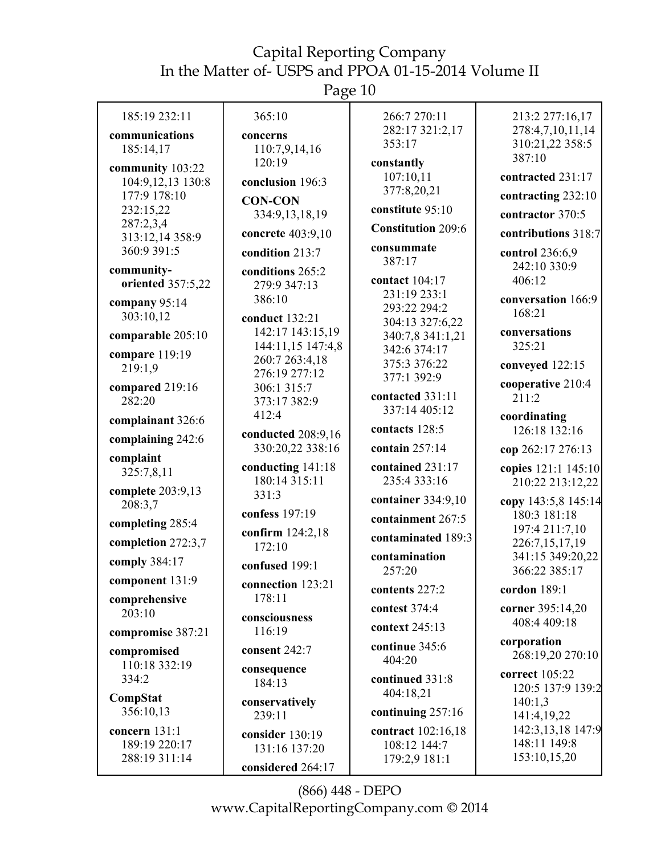# Page 10

| 185:19 232:11                                   | 365:10                                                | 266:7 270:11<br>282:17 321:2,17                     | 213:2 277:16,17<br>278:4,7,10,11,14               |
|-------------------------------------------------|-------------------------------------------------------|-----------------------------------------------------|---------------------------------------------------|
| communications<br>185:14,17                     | concerns<br>110:7,9,14,16<br>120:19                   | 353:17                                              | 310:21,22 358:5<br>387:10                         |
| community 103:22<br>104:9,12,13 130:8           | conclusion 196:3                                      | constantly<br>107:10,11<br>377:8,20,21              | contracted 231:17                                 |
| 177:9 178:10<br>232:15,22                       | <b>CON-CON</b><br>334:9,13,18,19                      | constitute 95:10                                    | contracting 232:10<br>contractor 370:5            |
| 287:2,3,4<br>313:12,14 358:9                    | concrete 403:9,10                                     | <b>Constitution 209:6</b>                           | contributions 318:7                               |
| 360:9 391:5                                     | condition 213:7                                       | consummate<br>387:17                                | control 236:6,9<br>242:10 330:9                   |
| community-<br>oriented 357:5,22                 | conditions 265:2<br>279:9 347:13                      | contact 104:17                                      | 406:12                                            |
| company 95:14<br>303:10,12                      | 386:10<br>conduct 132:21                              | 231:19 233:1<br>293:22 294:2                        | conversation 166:9<br>168:21                      |
| comparable 205:10                               | 142:17 143:15,19<br>144:11,15 147:4,8                 | 304:13 327:6,22<br>340:7,8 341:1,21<br>342:6 374:17 | conversations<br>325:21                           |
| compare 119:19<br>219:1,9                       | 260:7 263:4,18<br>276:19 277:12                       | 375:3 376:22                                        | conveyed 122:15                                   |
| compared 219:16<br>282:20                       | 306:1 315:7<br>373:17 382:9                           | 377:1 392:9<br>contacted 331:11                     | cooperative 210:4<br>211:2                        |
| complainant 326:6                               | 412:4                                                 | 337:14 405:12<br>contacts 128:5                     | coordinating<br>126:18 132:16                     |
| complaining 242:6                               | conducted 208:9,16<br>330:20,22 338:16                | contain 257:14                                      | cop 262:17 276:13                                 |
| complaint<br>325:7,8,11                         | conducting 141:18<br>180:14 315:11                    | contained 231:17<br>235:4 333:16                    | copies 121:1 145:10<br>210:22 213:12,22           |
| complete 203:9,13<br>208:3,7                    | 331:3<br>confess 197:19                               | container 334:9,10                                  | copy 143:5,8 145:14                               |
| completing 285:4                                | confirm 124:2,18                                      | containment 267:5                                   | 180:3 181:18<br>197:4 211:7,10                    |
| completion 272:3,7                              | 172:10                                                | contaminated 189:3<br>contamination                 | 226:7,15,17,19<br>341:15 349:20,22                |
| comply 384:17<br>component 131:9                | confused 199:1                                        | 257:20                                              | 366:22 385:17                                     |
| comprehensive                                   | connection 123:21<br>178:11                           | contents 227:2                                      | cordon $189:1$                                    |
| 203:10<br>compromise 387:21                     | consciousness<br>116:19                               | contest 374:4<br>context 245:13                     | corner 395:14,20<br>408:4 409:18                  |
| compromised<br>110:18 332:19                    | consent 242:7                                         | continue 345:6<br>404:20                            | corporation<br>268:19,20 270:10                   |
| 334:2                                           | consequence<br>184:13                                 | continued 331:8<br>404:18,21                        | correct 105:22<br>120:5 137:9 139:2               |
| CompStat<br>356:10,13                           | conservatively<br>239:11                              | continuing 257:16                                   | 140:1,3<br>141:4,19,22                            |
| concern 131:1<br>189:19 220:17<br>288:19 311:14 | consider 130:19<br>131:16 137:20<br>considered 264:17 | contract 102:16,18<br>108:12 144:7<br>179:2,9 181:1 | 142:3,13,18 147:9<br>148:11 149:8<br>153:10,15,20 |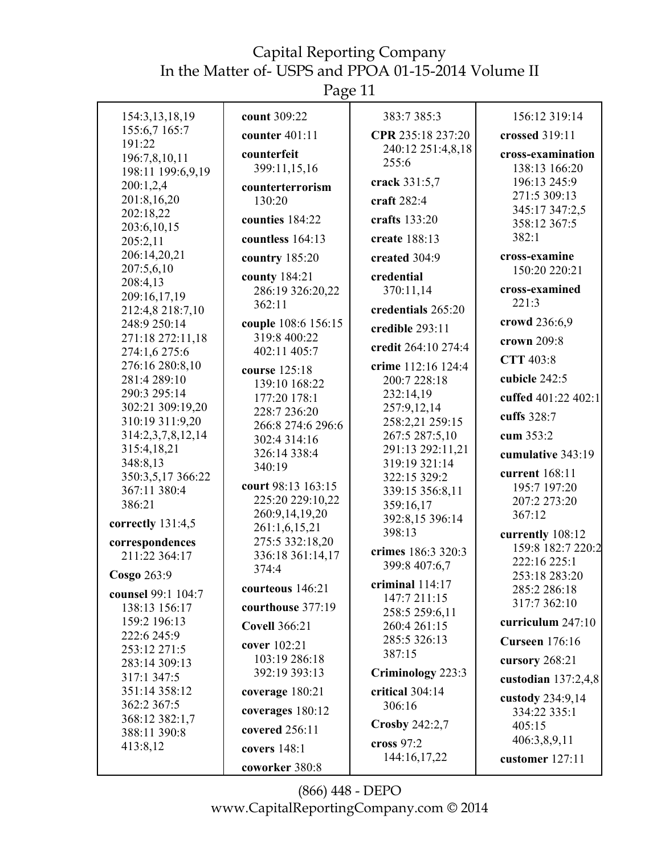Page 11

| 154:3,13,18,19                   | count 309:22         | 383:7 385:3               | 156:12 319:14                         |
|----------------------------------|----------------------|---------------------------|---------------------------------------|
| 155:6,7 165:7                    | counter $401:11$     | CPR 235:18 237:20         | crossed 319:11                        |
| 191:22<br>196:7,8,10,11          | counterfeit          | 240:12 251:4,8,18         | cross-examination                     |
| 198:11 199:6,9,19                | 399:11,15,16         | 255:6                     | 138:13 166:20                         |
| 200:1,2,4                        | counterterrorism     | crack 331:5,7             | 196:13 245:9                          |
| 201:8,16,20                      | 130:20               | craft 282:4               | 271:5 309:13                          |
| 202:18,22                        |                      |                           | 345:17 347:2,5                        |
| 203:6,10,15                      | counties 184:22      | crafts 133:20             | 358:12 367:5                          |
| 205:2,11                         | countless 164:13     | create 188:13             | 382:1                                 |
| 206:14,20,21                     | country 185:20       | created 304:9             | cross-examine                         |
| 207:5,6,10                       | county 184:21        | credential                | 150:20 220:21                         |
| 208:4,13                         | 286:19 326:20,22     | 370:11,14                 | cross-examined                        |
| 209:16,17,19<br>212:4,8 218:7,10 | 362:11               | credentials 265:20        | 221:3                                 |
| 248:9 250:14                     | couple 108:6 156:15  |                           | crowd 236:6,9                         |
| 271:18 272:11,18                 | 319:8 400:22         | credible 293:11           |                                       |
| 274:1,6 275:6                    | 402:11 405:7         | credit 264:10 274:4       | crown 209:8                           |
| 276:16 280:8,10                  | course 125:18        | crime 112:16 124:4        | CTT 403:8                             |
| 281:4 289:10                     | 139:10 168:22        | 200:7 228:18              | cubicle 242:5                         |
| 290:3 295:14                     | 177:20 178:1         | 232:14,19                 | cuffed 401:22 402:1                   |
| 302:21 309:19,20                 | 228:7 236:20         | 257:9,12,14               |                                       |
| 310:19 311:9,20                  | 266:8 274:6 296:6    | 258:2,21 259:15           | cuffs 328:7                           |
| 314:2,3,7,8,12,14                | 302:4 314:16         | 267:5 287:5,10            | cum 353:2                             |
| 315:4,18,21                      | 326:14 338:4         | 291:13 292:11,21          | cumulative 343:19                     |
| 348:8,13                         | 340:19               | 319:19 321:14             | current 168:11                        |
| 350:3,5,17 366:22                | court 98:13 163:15   | 322:15 329:2              | 195:7 197:20                          |
| 367:11 380:4                     | 225:20 229:10,22     | 339:15 356:8,11           | 207:2 273:20                          |
| 386:21                           | 260:9,14,19,20       | 359:16,17                 | 367:12                                |
| correctly 131:4,5                | 261:1,6,15,21        | 392:8,15 396:14<br>398:13 |                                       |
| correspondences                  | 275:5 332:18,20      |                           | currently 108:12<br>159:8 182:7 220:2 |
| 211:22 364:17                    | 336:18 361:14,17     | crimes 186:3 320:3        | 222:16 225:1                          |
| Cosgo 263:9                      | 374:4                | 399:8 407:6,7             | 253:18 283:20                         |
|                                  | courteous 146:21     | criminal 114:17           | 285:2 286:18                          |
| counsel 99:1 104:7               |                      | 147:7 211:15              | 317:7 362:10                          |
| 138:13 156:17                    | courthouse 377:19    | 258:5 259:6,11            |                                       |
| 159:2 196:13<br>222:6 245:9      | <b>Covell 366:21</b> | 260:4 261:15              | curriculum 247:10                     |
| 253:12 271:5                     | cover 102:21         | 285:5 326:13              | <b>Curseen</b> 176:16                 |
| 283:14 309:13                    | 103:19 286:18        | 387:15                    | cursory 268:21                        |
| 317:1 347:5                      | 392:19 393:13        | Criminology 223:3         | custodian $137:2,4,8$                 |
| 351:14 358:12                    | coverage 180:21      | critical 304:14           |                                       |
| 362:2 367:5                      |                      | 306:16                    | custody 234:9,14                      |
| 368:12 382:1,7                   | coverages 180:12     | Crosby $242:2,7$          | 334:22 335:1                          |
| 388:11 390:8                     | covered 256:11       |                           | 405:15                                |
| 413:8,12                         | covers 148:1         | cross 97:2                | 406:3,8,9,11                          |
|                                  | coworker 380:8       | 144:16,17,22              | customer 127:11                       |
|                                  |                      |                           |                                       |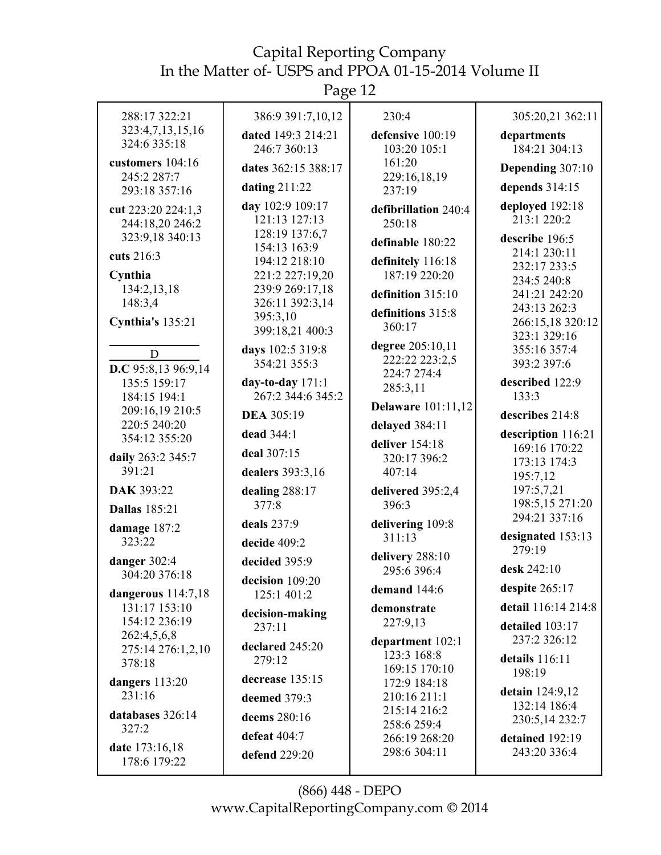| 288:17 322:21                         | 386:9 391:7,10,12                  | 230:4                              | 305:20,21 362:11                      |
|---------------------------------------|------------------------------------|------------------------------------|---------------------------------------|
| 323:4,7,13,15,16<br>324:6 335:18      | dated 149:3 214:21<br>246:7 360:13 | defensive 100:19<br>103:20 105:1   | departments<br>184:21 304:13          |
| customers 104:16                      | dates 362:15 388:17                | 161:20                             | Depending 307:10                      |
| 245:2 287:7<br>293:18 357:16          | dating 211:22                      | 229:16,18,19<br>237:19             | depends 314:15                        |
| cut 223:20 224:1,3                    | day 102:9 109:17                   | defibrillation 240:4               | deployed 192:18                       |
| 244:18,20 246:2                       | 121:13 127:13<br>128:19 137:6,7    | 250:18                             | 213:1 220:2                           |
| 323:9,18 340:13                       | 154:13 163:9                       | definable 180:22                   | describe 196:5<br>214:1 230:11        |
| cuts 216:3                            | 194:12 218:10                      | definitely 116:18<br>187:19 220:20 | 232:17 233:5                          |
| Cynthia<br>134:2,13,18                | 221:2 227:19,20<br>239:9 269:17,18 | definition 315:10                  | 234:5 240:8<br>241:21 242:20          |
| 148:3,4                               | 326:11 392:3,14                    | definitions 315:8                  | 243:13 262:3                          |
| Cynthia's 135:21                      | 395:3,10<br>399:18,21 400:3        | 360:17                             | 266:15,18 320:12                      |
|                                       | days 102:5 319:8                   | degree 205:10,11                   | 323:1 329:16<br>355:16 357:4          |
| D<br>D.C 95:8,13 96:9,14              | 354:21 355:3                       | 222:22 223:2,5                     | 393:2 397:6                           |
| 135:5 159:17                          | day-to-day $171:1$                 | 224:7 274:4<br>285:3,11            | described 122:9                       |
| 184:15 194:1<br>209:16,19 210:5       | 267:2 344:6 345:2                  | <b>Delaware</b> 101:11,12          | 133:3                                 |
| 220:5 240:20                          | <b>DEA 305:19</b>                  | delayed 384:11                     | describes 214:8                       |
| 354:12 355:20                         | dead 344:1                         | deliver 154:18                     | description 116:21<br>169:16 170:22   |
| daily 263:2 345:7                     | deal 307:15                        | 320:17 396:2                       | 173:13 174:3                          |
| 391:21                                | dealers 393:3,16                   | 407:14                             | 195:7,12                              |
| DAK 393:22<br><b>Dallas</b> 185:21    | dealing 288:17<br>377:8            | delivered 395:2,4<br>396:3         | 197:5,7,21<br>198:5,15 271:20         |
| damage 187:2                          | deals 237:9                        | delivering 109:8                   | 294:21 337:16                         |
| 323:22                                | decide 409:2                       | 311:13                             | designated 153:13                     |
| danger 302:4                          | decided 395:9                      | delivery 288:10                    | 279:19                                |
| 304:20 376:18                         | decision 109:20                    | 295:6 396:4                        | desk 242:10                           |
| dangerous $114:7,18$<br>131:17 153:10 | 125:1 401:2                        | demand 144:6                       | despite 265:17<br>detail 116:14 214:8 |
| 154:12 236:19                         | decision-making<br>237:11          | demonstrate<br>227:9,13            | detailed 103:17                       |
| 262:4,5,6,8                           | declared 245:20                    | department 102:1                   | 237:2 326:12                          |
| 275:14 276:1,2,10<br>378:18           | 279:12                             | 123:3 168:8                        | details $116:11$                      |
| dangers 113:20                        | decrease 135:15                    | 169:15 170:10<br>172:9 184:18      | 198:19                                |
| 231:16                                | deemed 379:3                       | 210:16 211:1                       | detain 124:9,12<br>132:14 186:4       |
| databases 326:14                      | deems 280:16                       | 215:14 216:2<br>258:6 259:4        | 230:5,14 232:7                        |
| 327:2                                 | defeat 404:7                       | 266:19 268:20                      | detained 192:19                       |
| date 173:16,18<br>178:6 179:22        | defend 229:20                      | 298:6 304:11                       | 243:20 336:4                          |
|                                       |                                    |                                    |                                       |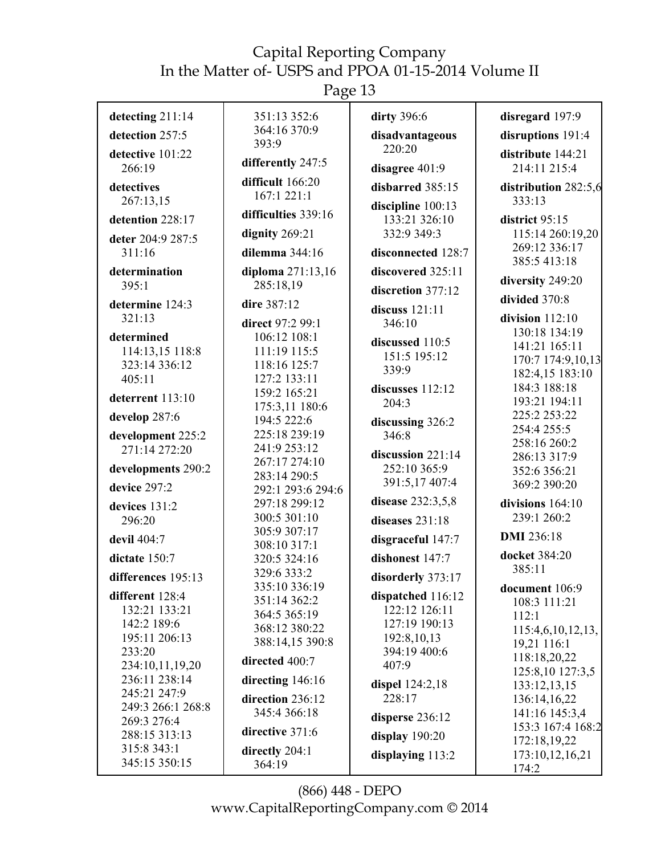| detecting 211:14          | 351:13 352:6                 | dirty 396:6                        | disregard 197:9                |
|---------------------------|------------------------------|------------------------------------|--------------------------------|
| detection 257:5           | 364:16 370:9                 | disadvantageous                    | disruptions 191:4              |
| detective 101:22          | 393:9                        | 220:20                             | distribute 144:21              |
| 266:19                    | differently 247:5            | disagree 401:9                     | 214:11 215:4                   |
| detectives                | difficult 166:20             | disbarred 385:15                   | distribution 282:5,6           |
| 267:13,15                 | 167:1 221:1                  |                                    | 333:13                         |
| detention 228:17          | difficulties 339:16          | discipline 100:13<br>133:21 326:10 | district 95:15                 |
|                           | dignity 269:21               | 332:9 349:3                        | 115:14 260:19,20               |
| deter 204:9 287:5         |                              |                                    | 269:12 336:17                  |
| 311:16                    | dilemma $344:16$             | disconnected 128:7                 | 385:5 413:18                   |
| determination             | diploma 271:13,16            | discovered 325:11                  | diversity 249:20               |
| 395:1                     | 285:18,19                    | discretion 377:12                  | divided 370:8                  |
| determine 124:3           | dire 387:12                  | discuss 121:11                     |                                |
| 321:13                    | direct 97:2 99:1             | 346:10                             | division $112:10$              |
| determined                | 106:12 108:1                 | discussed 110:5                    | 130:18 134:19<br>141:21 165:11 |
| 114:13,15 118:8           | 111:19 115:5                 | 151:5 195:12                       | 170:7 174:9,10,13              |
| 323:14 336:12             | 118:16 125:7                 | 339:9                              | 182:4,15 183:10                |
| 405:11                    | 127:2 133:11                 | discusses 112:12                   | 184:3 188:18                   |
| deterrent 113:10          | 159:2 165:21                 | 204:3                              | 193:21 194:11                  |
|                           | 175:3,11 180:6               |                                    | 225:2 253:22                   |
| develop 287:6             | 194:5 222:6                  | discussing 326:2                   | 254:4 255:5                    |
| development 225:2         | 225:18 239:19                | 346:8                              | 258:16 260:2                   |
| 271:14 272:20             | 241:9 253:12                 | discussion 221:14                  | 286:13 317:9                   |
| developments 290:2        | 267:17 274:10                | 252:10 365:9                       | 352:6 356:21                   |
| device 297:2              | 283:14 290:5                 | 391:5,17 407:4                     | 369:2 390:20                   |
|                           | 292:1 293:6 294:6            | disease 232:3,5,8                  |                                |
| devices 131:2             | 297:18 299:12                |                                    | divisions 164:10               |
| 296:20                    | 300:5 301:10<br>305:9 307:17 | diseases $231:18$                  | 239:1 260:2                    |
| devil 404:7               | 308:10 317:1                 | disgraceful 147:7                  | <b>DMI</b> 236:18              |
| dictate 150:7             | 320:5 324:16                 | dishonest 147:7                    | docket 384:20                  |
| differences 195:13        | 329:6 333:2                  | disorderly 373:17                  | 385:11                         |
|                           | 335:10 336:19                |                                    | document 106:9                 |
| different 128:4           | 351:14 362:2                 | dispatched 116:12<br>122:12 126:11 | 108:3 111:21                   |
| 132:21 133:21             | 364:5 365:19                 |                                    | 112:1                          |
| 142:2 189:6               | 368:12 380:22                | 127:19 190:13                      | 115:4,6,10,12,13,              |
| 195:11 206:13             | 388:14,15 390:8              | 192:8,10,13                        | 19,21 116:1                    |
| 233:20<br>234:10,11,19,20 | directed 400:7               | 394:19 400:6<br>407:9              | 118:18,20,22                   |
| 236:11 238:14             |                              |                                    | 125:8,10 127:3,5               |
| 245:21 247:9              | directing 146:16             | dispel $124:2,18$                  | 133:12,13,15                   |
| 249:3 266:1 268:8         | direction 236:12             | 228:17                             | 136:14,16,22                   |
| 269:3 276:4               | 345:4 366:18                 | disperse 236:12                    | 141:16 145:3,4                 |
| 288:15 313:13             | directive 371:6              | display 190:20                     | 153:3 167:4 168:2              |
| 315:8 343:1               | directly 204:1               |                                    | 172:18,19,22                   |
| 345:15 350:15             | 364:19                       | displaying $113:2$                 | 173:10,12,16,21                |
|                           |                              |                                    | 174:2                          |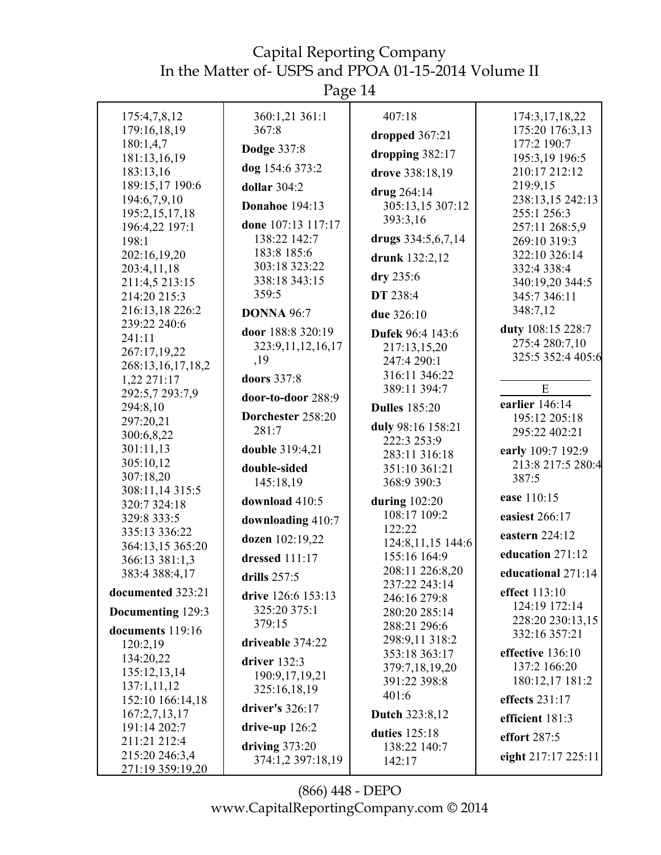| 175:4,7,8,12                       | 360:1,21 361:1         | 407:18                          | 174:3,17,18,22                         |
|------------------------------------|------------------------|---------------------------------|----------------------------------------|
| 179:16,18,19                       | 367:8                  | dropped 367:21                  | 175:20 176:3,13                        |
| 180:1,4,7                          | <b>Dodge 337:8</b>     | dropping 382:17                 | 177:2 190:7                            |
| 181:13,16,19<br>183:13,16          | dog 154:6 373:2        |                                 | 195:3,19 196:5<br>210:17 212:12        |
| 189:15,17 190:6                    | dollar $304:2$         | drove 338:18,19                 | 219:9,15                               |
| 194:6,7,9,10                       |                        | drug 264:14                     | 238:13,15 242:13                       |
| 195:2,15,17,18                     | <b>Donahoe</b> 194:13  | 305:13,15 307:12                | 255:1 256:3                            |
| 196:4,22 197:1                     | done 107:13 117:17     | 393:3,16                        | 257:11 268:5,9                         |
| 198:1                              | 138:22 142:7           | drugs 334:5,6,7,14              | 269:10 319:3                           |
| 202:16,19,20                       | 183:8 185:6            | drunk 132:2,12                  | 322:10 326:14                          |
| 203:4,11,18                        | 303:18 323:22          | dry 235:6                       | 332:4 338:4                            |
| 211:4,5 213:15                     | 338:18 343:15<br>359:5 | DT 238:4                        | 340:19,20 344:5                        |
| 214:20 215:3                       |                        |                                 | 345:7 346:11<br>348:7,12               |
| 216:13,18 226:2<br>239:22 240:6    | <b>DONNA 96:7</b>      | due 326:10                      |                                        |
| 241:11                             | door 188:8 320:19      | Dufek 96:4 143:6                | duty 108:15 228:7                      |
| 267:17,19,22                       | 323:9,11,12,16,17      | 217:13,15,20                    | 275:4 280:7,10<br>325:5 352:4 405:6    |
| 268:13,16,17,18,2                  | ,19                    | 247:4 290:1                     |                                        |
| 1,22 271:17                        | doors 337:8            | 316:11 346:22                   |                                        |
| 292:5,7 293:7,9                    | door-to-door 288:9     | 389:11 394:7                    | ${\bf E}$                              |
| 294:8,10                           | Dorchester 258:20      | <b>Dulles</b> 185:20            | earlier $146:14$<br>195:12 205:18      |
| 297:20,21                          | 281:7                  | duly 98:16 158:21               | 295:22 402:21                          |
| 300:6,8,22<br>301:11,13            |                        | 222:3 253:9                     |                                        |
| 305:10,12                          | <b>double</b> 319:4,21 | 283:11 316:18                   | early 109:7 192:9<br>213:8 217:5 280:4 |
| 307:18,20                          | double-sided           | 351:10 361:21                   | 387:5                                  |
| 308:11,14 315:5                    | 145:18,19              | 368:9 390:3                     |                                        |
| 320:7 324:18                       | download 410:5         | during $102:20$                 | ease 110:15                            |
| 329:8 333:5                        | downloading 410:7      | 108:17 109:2                    | easiest 266:17                         |
| 335:13 336:22                      | dozen 102:19,22        | 122:22<br>124:8, 11, 15 144:6   | eastern 224:12                         |
| 364:13,15 365:20<br>366:13 381:1,3 | dressed $111:17$       | 155:16 164:9                    | education 271:12                       |
| 383:4 388:4,17                     |                        | 208:11 226:8,20                 | educational 271:14                     |
| documented 323:21                  | drills 257:5           | 237:22 243:14                   | effect 113:10                          |
|                                    | drive 126:6 153:13     | 246:16 279:8                    | 124:19 172:14                          |
| Documenting 129:3                  | 325:20 375:1           | 280:20 285:14                   | 228:20 230:13,15                       |
| documents 119:16                   | 379:15                 | 288:21 296:6                    | 332:16 357:21                          |
| 120:2,19                           | driveable 374:22       | 298:9,11 318:2<br>353:18 363:17 | effective 136:10                       |
| 134:20,22                          | driver $132:3$         | 379:7,18,19,20                  | 137:2 166:20                           |
| 135:12,13,14                       | 190:9, 17, 19, 21      | 391:22 398:8                    | 180:12,17 181:2                        |
| 137:1,11,12<br>152:10 166:14,18    | 325:16,18,19           | 401:6                           | effects 231:17                         |
| 167:2,7,13,17                      | driver's 326:17        | <b>Dutch 323:8,12</b>           |                                        |
| 191:14 202:7                       | drive-up $126:2$       |                                 | efficient 181:3                        |
| 211:21 212:4                       | driving $373:20$       | duties 125:18                   | effort 287:5                           |
| 215:20 246:3,4                     | 374:1,2 397:18,19      | 138:22 140:7<br>142:17          | eight 217:17 225:11                    |
| 271:19 359:19,20                   |                        |                                 |                                        |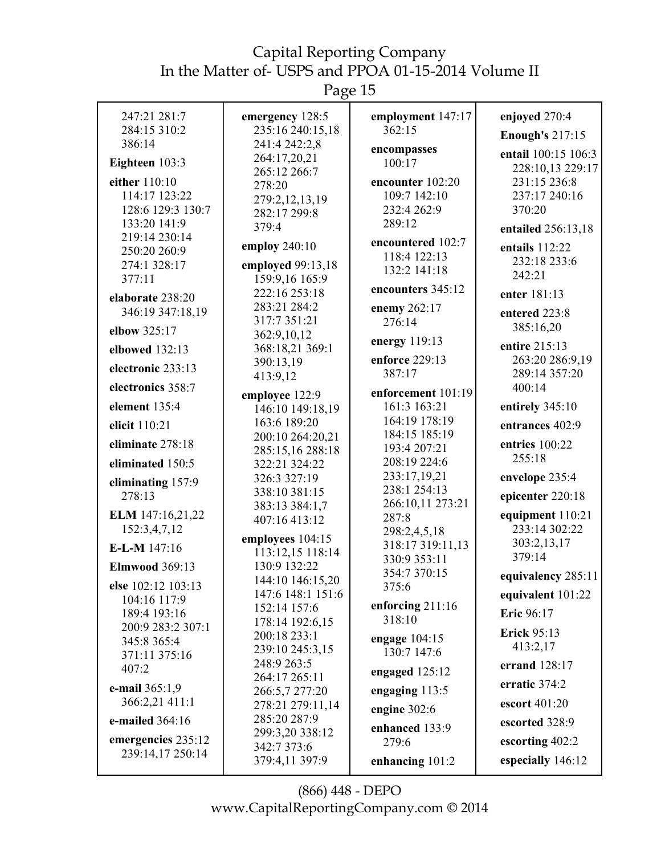Page 15

| 247:21 281:7<br>284:15 310:2       | emergency 128:5<br>235:16 240:15,18 | employment 147:17<br>362:15       | enjoyed 270:4            |
|------------------------------------|-------------------------------------|-----------------------------------|--------------------------|
| 386:14                             | 241:4 242:2,8                       |                                   | <b>Enough's 217:15</b>   |
| Eighteen 103:3                     | 264:17,20,21                        | encompasses<br>100:17             | entail 100:15 106:3      |
|                                    | 265:12 266:7                        |                                   | 228:10,13 229:17         |
| either 110:10                      | 278:20                              | encounter 102:20                  | 231:15 236:8             |
| 114:17 123:22<br>128:6 129:3 130:7 | 279:2,12,13,19                      | 109:7 142:10<br>232:4 262:9       | 237:17 240:16<br>370:20  |
| 133:20 141:9                       | 282:17 299:8                        | 289:12                            |                          |
| 219:14 230:14                      | 379:4                               |                                   | entailed 256:13,18       |
| 250:20 260:9                       | employ 240:10                       | encountered 102:7<br>118:4 122:13 | entails 112:22           |
| 274:1 328:17                       | employed 99:13,18                   | 132:2 141:18                      | 232:18 233:6             |
| 377:11                             | 159:9,16 165:9                      |                                   | 242:21                   |
| elaborate 238:20                   | 222:16 253:18                       | encounters 345:12                 | enter 181:13             |
| 346:19 347:18,19                   | 283:21 284:2                        | enemy 262:17                      | entered 223:8            |
| elbow 325:17                       | 317:7 351:21                        | 276:14                            | 385:16,20                |
|                                    | 362:9,10,12<br>368:18,21 369:1      | energy 119:13                     | entire 215:13            |
| elbowed 132:13                     | 390:13,19                           | enforce 229:13                    | 263:20 286:9,19          |
| electronic 233:13                  | 413:9,12                            | 387:17                            | 289:14 357:20            |
| electronics 358:7                  | employee 122:9                      | enforcement 101:19                | 400:14                   |
| element 135:4                      | 146:10 149:18,19                    | 161:3 163:21                      | entirely 345:10          |
| elicit 110:21                      | 163:6 189:20                        | 164:19 178:19                     | entrances 402:9          |
|                                    | 200:10 264:20,21                    | 184:15 185:19                     |                          |
| eliminate 278:18                   | 285:15,16 288:18                    | 193:4 207:21                      | entries 100:22<br>255:18 |
| eliminated 150:5                   | 322:21 324:22                       | 208:19 224:6                      |                          |
| eliminating 157:9                  | 326:3 327:19                        | 233:17,19,21<br>238:1 254:13      | envelope 235:4           |
| 278:13                             | 338:10 381:15                       | 266:10,11 273:21                  | epicenter 220:18         |
| ELM 147:16,21,22                   | 383:13 384:1,7<br>407:16 413:12     | 287:8                             | equipment 110:21         |
| 152:3,4,7,12                       |                                     | 298:2,4,5,18                      | 233:14 302:22            |
| E-L-M 147:16                       | employees 104:15                    | 318:17 319:11,13                  | 303:2,13,17              |
| <b>Elmwood</b> 369:13              | 113:12,15 118:14<br>130:9 132:22    | 330:9 353:11                      | 379:14                   |
|                                    | 144:10 146:15,20                    | 354:7 370:15                      | equivalency 285:11       |
| else 102:12 103:13                 | 147:6 148:1 151:6                   | 375:6                             | equivalent 101:22        |
| 104:16 117:9<br>189:4 193:16       | 152:14 157:6                        | enforcing $211:16$                | Eric 96:17               |
| 200:9 283:2 307:1                  | 178:14 192:6,15                     | 318:10                            |                          |
| 345:8 365:4                        | 200:18 233:1                        | engage 104:15                     | <b>Erick 95:13</b>       |
| 371:11 375:16                      | 239:10 245:3,15                     | 130:7 147:6                       | 413:2,17                 |
| 407:2                              | 248:9 263:5<br>264:17 265:11        | engaged $125:12$                  | errand 128:17            |
| e-mail 365:1,9                     | 266:5,7 277:20                      | engaging $113:5$                  | erratic 374:2            |
| 366:2,21 411:1                     | 278:21 279:11,14                    | engine 302:6                      | escort 401:20            |
| e-mailed 364:16                    | 285:20 287:9                        | enhanced 133:9                    | escorted 328:9           |
| emergencies 235:12                 | 299:3,20 338:12                     | 279:6                             | escorting 402:2          |
| 239:14,17 250:14                   | 342:7 373:6                         |                                   | especially 146:12        |
|                                    | 379:4,11 397:9                      | enhancing 101:2                   |                          |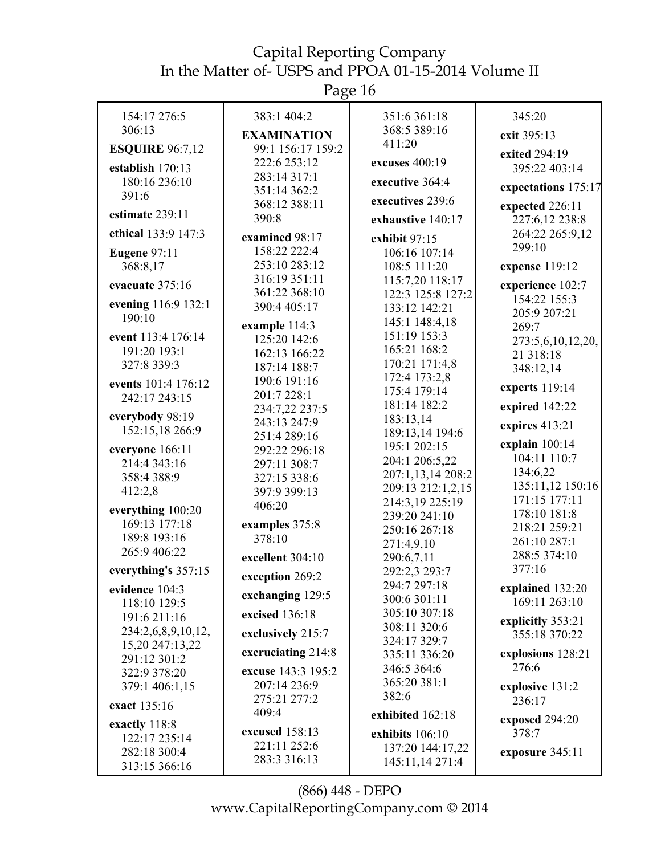| 154:17 276:5                  | 383:1 404:2                    | 351:6 361:18                    | 345:20                            |
|-------------------------------|--------------------------------|---------------------------------|-----------------------------------|
| 306:13                        | <b>EXAMINATION</b>             | 368:5 389:16                    | exit 395:13                       |
| <b>ESQUIRE 96:7,12</b>        | 99:1 156:17 159:2              | 411:20                          | exited 294:19                     |
| establish $170:13$            | 222:6 253:12                   | excuses 400:19                  | 395:22 403:14                     |
| 180:16 236:10                 | 283:14 317:1                   | executive 364:4                 |                                   |
| 391:6                         | 351:14 362:2                   |                                 | expectations 175:17               |
| estimate 239:11               | 368:12 388:11                  | executives 239:6                | expected 226:11                   |
|                               | 390:8                          | exhaustive 140:17               | 227:6,12 238:8                    |
| ethical 133:9 147:3           | examined 98:17                 | exhibit 97:15                   | 264:22 265:9,12                   |
| <b>Eugene 97:11</b>           | 158:22 222:4                   | 106:16 107:14                   | 299:10                            |
| 368:8,17                      | 253:10 283:12                  | 108:5 111:20                    | expense 119:12                    |
| evacuate 375:16               | 316:19 351:11                  | 115:7,20 118:17                 | experience 102:7                  |
| evening 116:9 132:1           | 361:22 368:10                  | 122:3 125:8 127:2               | 154:22 155:3                      |
| 190:10                        | 390:4 405:17                   | 133:12 142:21                   | 205:9 207:21                      |
|                               | example 114:3                  | 145:1 148:4,18                  | 269:7                             |
| event 113:4 176:14            | 125:20 142:6                   | 151:19 153:3                    | 273:5,6,10,12,20,                 |
| 191:20 193:1                  | 162:13 166:22                  | 165:21 168:2                    | 21 318:18                         |
| 327:8 339:3                   | 187:14 188:7                   | 170:21 171:4,8<br>172:4 173:2,8 | 348:12,14                         |
| events 101:4 176:12           | 190:6 191:16                   | 175:4 179:14                    | experts 119:14                    |
| 242:17 243:15                 | 201:7 228:1                    | 181:14 182:2                    | expired 142:22                    |
| everybody 98:19               | 234:7,22 237:5<br>243:13 247:9 | 183:13,14                       |                                   |
| 152:15,18 266:9               | 251:4 289:16                   | 189:13,14 194:6                 | expires 413:21                    |
| everyone 166:11               | 292:22 296:18                  | 195:1 202:15                    | explain 100:14                    |
| 214:4 343:16                  | 297:11 308:7                   | 204:1 206:5,22                  | 104:11 110:7                      |
| 358:4 388:9                   | 327:15 338:6                   | 207:1,13,14 208:2               | 134:6,22                          |
| 412:2,8                       | 397:9 399:13                   | 209:13 212:1,2,15               | 135:11,12 150:16                  |
| everything 100:20             | 406:20                         | 214:3,19 225:19                 | 171:15 177:11                     |
| 169:13 177:18                 | examples 375:8                 | 239:20 241:10                   | 178:10 181:8<br>218:21 259:21     |
| 189:8 193:16                  | 378:10                         | 250:16 267:18                   | 261:10 287:1                      |
| 265:9 406:22                  |                                | 271:4,9,10                      | 288:5 374:10                      |
| everything's 357:15           | excellent 304:10               | 290:6,7,11<br>292:2,3 293:7     | 377:16                            |
|                               | exception 269:2                | 294:7 297:18                    |                                   |
| evidence 104:3                | exchanging 129:5               | 300:6 301:11                    | explained 132:20<br>169:11 263:10 |
| 118:10 129:5<br>191:6 211:16  | excised 136:18                 | 305:10 307:18                   |                                   |
| 234:2,6,8,9,10,12,            |                                | 308:11 320:6                    | explicitly 353:21                 |
| 15,20 247:13,22               | exclusively 215:7              | 324:17 329:7                    | 355:18 370:22                     |
| 291:12 301:2                  | excruciating 214:8             | 335:11 336:20                   | explosions 128:21                 |
| 322:9 378:20                  | excuse 143:3 195:2             | 346:5 364:6                     | 276:6                             |
| 379:1 406:1,15                | 207:14 236:9                   | 365:20 381:1                    | explosive 131:2                   |
| exact 135:16                  | 275:21 277:2                   | 382:6                           | 236:17                            |
|                               | 409:4                          | exhibited 162:18                | exposed 294:20                    |
| exactly 118:8                 | excused 158:13                 | exhibits 106:10                 | 378:7                             |
| 122:17 235:14<br>282:18 300:4 | 221:11 252:6                   | 137:20 144:17,22                |                                   |
| 313:15 366:16                 | 283:3 316:13                   | 145:11,14 271:4                 | exposure 345:11                   |
|                               |                                |                                 |                                   |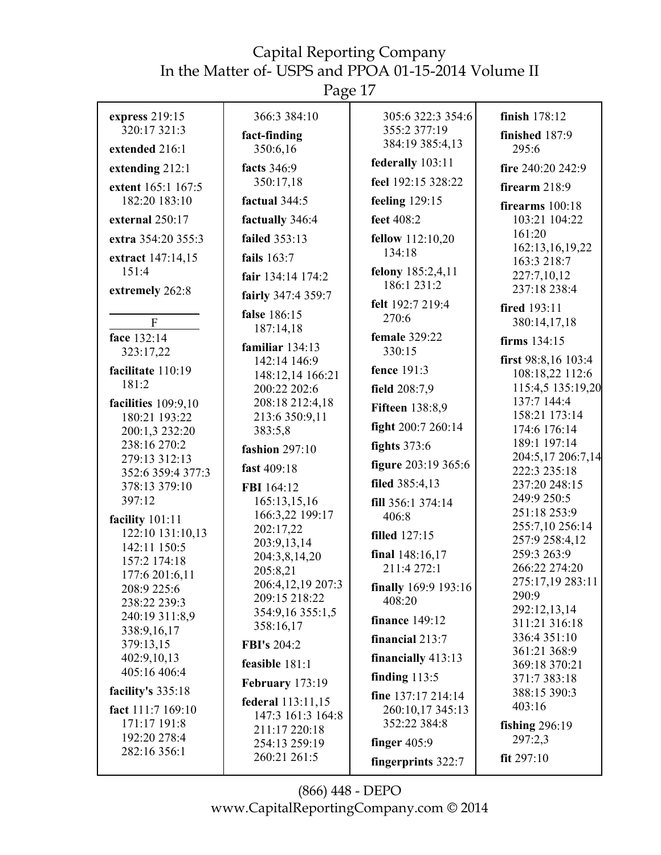Page 17

| express 219:15<br>320:17 321:3   | 366:3 384:10<br>fact-finding           | 305:6 322:3 354:6<br>355:2 377:19<br>384:19 385:4,13 | finish 178:12<br>finished 187:9 |
|----------------------------------|----------------------------------------|------------------------------------------------------|---------------------------------|
| extended 216:1                   | 350:6,16                               | federally 103:11                                     | 295:6                           |
| extending 212:1                  | facts 346:9                            |                                                      | fire 240:20 242:9               |
| extent 165:1 167:5               | 350:17,18                              | feel 192:15 328:22                                   | firearm $218:9$                 |
| 182:20 183:10                    | factual 344:5                          | feeling 129:15                                       | firearms 100:18                 |
| external 250:17                  | factually 346:4                        | feet 408:2                                           | 103:21 104:22                   |
| extra 354:20 355:3               | failed 353:13                          | fellow 112:10,20                                     | 161:20                          |
| extract 147:14,15                | fails $163:7$                          | 134:18                                               | 162:13,16,19,22<br>163:3 218:7  |
| 151:4                            | fair 134:14 174:2                      | felony 185:2,4,11                                    | 227:7,10,12                     |
| extremely 262:8                  | fairly 347:4 359:7                     | 186:1 231:2                                          | 237:18 238:4                    |
|                                  | false 186:15                           | felt 192:7 219:4                                     | fired 193:11                    |
| $\mathbf{F}$                     | 187:14,18                              | 270:6                                                | 380:14,17,18                    |
| face 132:14                      | familiar 134:13                        | female 329:22                                        | firms 134:15                    |
| 323:17,22                        | 142:14 146:9                           | 330:15                                               | first 98:8,16 103:4             |
| facilitate 110:19                | 148:12,14 166:21                       | fence 191:3                                          | 108:18,22 112:6                 |
| 181:2                            | 200:22 202:6                           | field 208:7,9                                        | 115:4,5 135:19,20               |
| facilities 109:9,10              | 208:18 212:4,18                        | <b>Fifteen 138:8,9</b>                               | 137:7 144:4<br>158:21 173:14    |
| 180:21 193:22<br>200:1,3 232:20  | 213:6 350:9,11<br>383:5,8              | fight 200:7 260:14                                   | 174:6 176:14                    |
| 238:16 270:2                     |                                        | fights $373:6$                                       | 189:1 197:14                    |
| 279:13 312:13                    | fashion 297:10                         | figure 203:19 365:6                                  | 204:5,17 206:7,14               |
| 352:6 359:4 377:3                | fast 409:18                            |                                                      | 222:3 235:18                    |
| 378:13 379:10                    | FBI 164:12                             | filed 385:4,13                                       | 237:20 248:15                   |
| 397:12                           | 165:13,15,16                           | fill 356:1 374:14                                    | 249:9 250:5<br>251:18 253:9     |
| facility 101:11                  | 166:3,22 199:17<br>202:17,22           | 406:8                                                | 255:7,10 256:14                 |
| 122:10 131:10,13<br>142:11 150:5 | 203:9,13,14                            | <b>filled</b> 127:15                                 | 257:9 258:4,12                  |
| 157:2 174:18                     | 204:3,8,14,20                          | final 148:16,17                                      | 259:3 263:9                     |
| 177:6 201:6,11                   | 205:8,21                               | 211:4 272:1                                          | 266:22 274:20                   |
| 208:9 225:6                      | 206:4,12,19 207:3                      | finally 169:9 193:16                                 | 275:17,19 283:11<br>290:9       |
| 238:22 239:3                     | 209:15 218:22<br>354:9,16 355:1,5      | 408:20                                               | 292:12,13,14                    |
| 240:19 311:8,9<br>338:9,16,17    | 358:16,17                              | <b>finance</b> 149:12                                | 311:21 316:18                   |
| 379:13,15                        | <b>FBI's 204:2</b>                     | financial $213:7$                                    | 336:4 351:10                    |
| 402:9,10,13                      | feasible 181:1                         | financially 413:13                                   | 361:21 368:9<br>369:18 370:21   |
| 405:16 406:4                     |                                        | finding $113:5$                                      | 371:7 383:18                    |
| facility's 335:18                | <b>February</b> 173:19                 | fine 137:17 214:14                                   | 388:15 390:3                    |
| fact 111:7 169:10                | federal 113:11,15<br>147:3 161:3 164:8 | 260:10,17 345:13                                     | 403:16                          |
| 171:17 191:8                     | 211:17 220:18                          | 352:22 384:8                                         | fishing $296:19$                |
| 192:20 278:4                     | 254:13 259:19                          | finger $405:9$                                       | 297:2,3                         |
| 282:16 356:1                     | 260:21 261:5                           | fingerprints 322:7                                   | fit 297:10                      |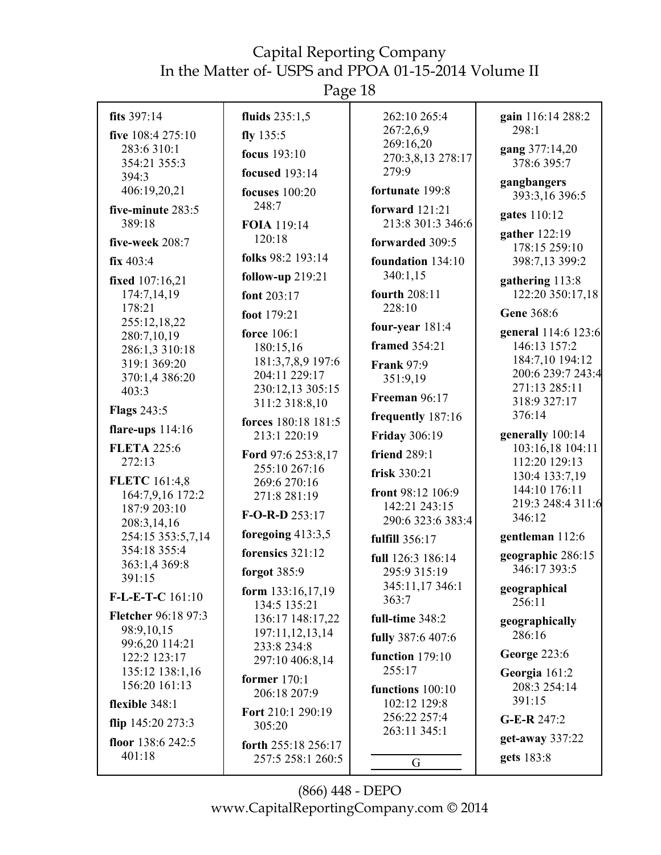Page 18

| fits 397:14                 | fluids 235:1,5                    | 262:10 265:4                     | gain 116:14 288:2                    |
|-----------------------------|-----------------------------------|----------------------------------|--------------------------------------|
| five 108:4 275:10           | fly $135:5$                       | 267:2,6,9                        | 298:1                                |
| 283:6 310:1                 | focus 193:10                      | 269:16,20                        | gang 377:14,20                       |
| 354:21 355:3                |                                   | 270:3,8,13 278:17                | 378:6 395:7                          |
| 394:3                       | <b>focused</b> 193:14             | 279:9                            | gangbangers                          |
| 406:19,20,21                | focuses $100:20$                  | fortunate 199:8                  | 393:3,16 396:5                       |
| five-minute 283:5           | 248:7                             | forward $121:21$                 |                                      |
| 389:18                      | FOIA 119:14                       | 213:8 301:3 346:6                | gates 110:12                         |
|                             | 120:18                            |                                  | gather 122:19                        |
| five-week 208:7             |                                   | forwarded 309:5                  | 178:15 259:10                        |
| fix 403:4                   | folks 98:2 193:14                 | foundation 134:10                | 398:7,13 399:2                       |
| fixed 107:16,21             | follow-up $219:21$                | 340:1,15                         | gathering 113:8                      |
| 174:7,14,19                 | font 203:17                       | fourth 208:11                    | 122:20 350:17,18                     |
| 178:21                      | foot 179:21                       | 228:10                           | Gene 368:6                           |
| 255:12,18,22                |                                   | four-year $181:4$                |                                      |
| 280:7,10,19                 | force 106:1                       | framed 354:21                    | general 114:6 123:6                  |
| 286:1,3 310:18              | 180:15,16                         |                                  | 146:13 157:2<br>184:7,10 194:12      |
| 319:1 369:20                | 181:3,7,8,9 197:6                 | <b>Frank 97:9</b>                | 200:6 239:7 243:4                    |
| 370:1,4 386:20              | 204:11 229:17<br>230:12,13 305:15 | 351:9,19                         | 271:13 285:11                        |
| 403:3                       | 311:2 318:8,10                    | Freeman 96:17                    | 318:9 327:17                         |
| <b>Flags 243:5</b>          |                                   | frequently 187:16                | 376:14                               |
| flare-ups $114:16$          | forces 180:18 181:5               |                                  |                                      |
| <b>FLETA 225:6</b>          | 213:1 220:19                      | <b>Friday 306:19</b>             | generally 100:14<br>103:16,18 104:11 |
| 272:13                      | Ford 97:6 253:8,17                | <b>friend 289:1</b>              | 112:20 129:13                        |
|                             | 255:10 267:16                     | frisk 330:21                     | 130:4 133:7,19                       |
| <b>FLETC</b> 161:4,8        | 269:6 270:16                      | front 98:12 106:9                | 144:10 176:11                        |
| 164:7,9,16 172:2            | 271:8 281:19                      | 142:21 243:15                    | 219:3 248:4 311:6                    |
| 187:9 203:10<br>208:3,14,16 | $F-O-R-D$ 253:17                  | 290:6 323:6 383:4                | 346:12                               |
| 254:15 353:5,7,14           | foregoing 413:3,5                 | fulfill 356:17                   | gentleman 112:6                      |
| 354:18 355:4                | forensics 321:12                  |                                  | geographic 286:15                    |
| 363:1,4 369:8               |                                   | full 126:3 186:14                | 346:17 393:5                         |
| 391:15                      | forgot 385:9                      | 295:9 315:19<br>345:11,17 346:1  |                                      |
| $F-L-E-T-C$ 161:10          | form $133:16,17,19$               | 363:7                            | geographical                         |
| Fletcher 96:18 97:3         | 134:5 135:21                      |                                  | 256:11                               |
| 98:9,10,15                  | 136:17 148:17,22                  | full-time 348:2                  | geographically                       |
| 99:6,20 114:21              | 197:11,12,13,14                   | fully 387:6 407:6                | 286:16                               |
| 122:2 123:17                | 233:8 234:8                       | function 179:10                  | <b>George 223:6</b>                  |
| 135:12 138:1,16             | 297:10 406:8,14                   | 255:17                           | Georgia 161:2                        |
| 156:20 161:13               | former $170:1$                    |                                  | 208:3 254:14                         |
| flexible 348:1              | 206:18 207:9                      | functions 100:10<br>102:12 129:8 | 391:15                               |
|                             | Fort 210:1 290:19                 | 256:22 257:4                     |                                      |
| flip $145:20273:3$          | 305:20                            | 263:11 345:1                     | G-E-R 247:2                          |
| floor 138:6 242:5           | forth 255:18 256:17               |                                  | get-away 337:22                      |
| 401:18                      | 257:5 258:1 260:5                 | G                                | gets 183:8                           |
|                             |                                   |                                  |                                      |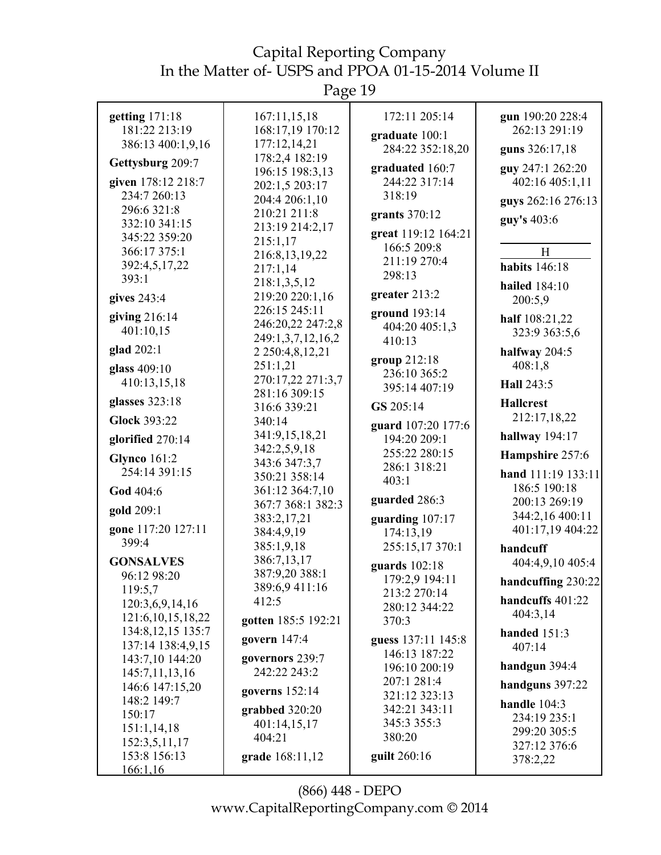Page 19

| getting 171:18<br>181:22 213:19<br>386:13 400:1,9,16<br>Gettysburg 209:7<br>given 178:12 218:7<br>234:7 260:13<br>296:6 321:8<br>332:10 341:15<br>345:22 359:20 | 167:11,15,18<br>168:17,19 170:12<br>177:12,14,21<br>178:2,4 182:19<br>196:15 198:3,13<br>202:1,5 203:17<br>204:4 206:1,10<br>210:21 211:8<br>213:19 214:2,17<br>215:1,17 | 172:11 205:14<br>graduate 100:1<br>284:22 352:18,20<br>graduated 160:7<br>244:22 317:14<br>318:19<br>grants $370:12$<br>great 119:12 164:21<br>166:5 209:8 | gun 190:20 228:4<br>262:13 291:19<br>guns 326:17,18<br>guy 247:1 262:20<br>402:16 405:1,11<br>guys 262:16 276:13<br>guy's 403:6 |
|-----------------------------------------------------------------------------------------------------------------------------------------------------------------|--------------------------------------------------------------------------------------------------------------------------------------------------------------------------|------------------------------------------------------------------------------------------------------------------------------------------------------------|---------------------------------------------------------------------------------------------------------------------------------|
| 366:17 375:1<br>392:4,5,17,22<br>393:1<br>gives 243:4                                                                                                           | 216:8,13,19,22<br>217:1,14<br>218:1,3,5,12<br>219:20 220:1,16<br>226:15 245:11                                                                                           | 211:19 270:4<br>298:13<br>greater 213:2<br>ground 193:14                                                                                                   | H<br><b>habits</b> 146:18<br><b>hailed</b> 184:10<br>200:5,9                                                                    |
| giving $216:14$<br>401:10,15<br>glad 202:1<br>glass 409:10                                                                                                      | 246:20,22 247:2,8<br>249:1,3,7,12,16,2<br>2 2 5 0 : 4, 8, 12, 21<br>251:1,21<br>270:17,22 271:3,7                                                                        | 404:20 405:1,3<br>410:13<br>group 212:18<br>236:10 365:2                                                                                                   | half 108:21,22<br>323:9 363:5,6<br>halfway 204:5<br>408:1,8                                                                     |
| 410:13,15,18<br>glasses 323:18<br><b>Glock 393:22</b><br>glorified 270:14                                                                                       | 281:16 309:15<br>316:6 339:21<br>340:14<br>341:9,15,18,21<br>342:2,5,9,18                                                                                                | 395:14 407:19<br>GS 205:14<br>guard 107:20 177:6<br>194:20 209:1                                                                                           | Hall 243:5<br><b>Hallcrest</b><br>212:17,18,22<br>hallway 194:17                                                                |
| <b>Glynco</b> 161:2<br>254:14 391:15<br>God 404:6<br>gold 209:1                                                                                                 | 343:6 347:3,7<br>350:21 358:14<br>361:12 364:7,10<br>367:7 368:1 382:3<br>383:2,17,21                                                                                    | 255:22 280:15<br>286:1 318:21<br>403:1<br>guarded 286:3<br>guarding 107:17                                                                                 | Hampshire 257:6<br>hand 111:19 133:11<br>186:5 190:18<br>200:13 269:19<br>344:2,16 400:11                                       |
| gone 117:20 127:11<br>399:4<br><b>GONSALVES</b><br>96:12 98:20<br>119:5,7                                                                                       | 384:4,9,19<br>385:1,9,18<br>386:7,13,17<br>387:9,20 388:1<br>389:6,9 411:16                                                                                              | 174:13,19<br>255:15,17 370:1<br>guards 102:18<br>179:2,9 194:11                                                                                            | 401:17,19 404:22<br>handcuff<br>404:4,9,10 405:4<br>handcuffing 230:22                                                          |
| 120:3,6,9,14,16<br>121:6, 10, 15, 18, 22<br>134:8,12,15 135:7<br>137:14 138:4,9,15<br>143:7,10 144:20                                                           | 412:5<br>gotten 185:5 192:21<br>govern $147:4$<br>governors 239:7                                                                                                        | 213:2 270:14<br>280:12 344:22<br>370:3<br>guess 137:11 145:8<br>146:13 187:22                                                                              | handcuffs 401:22<br>404:3,14<br>handed 151:3<br>407:14                                                                          |
| 145:7,11,13,16<br>146:6 147:15,20<br>148:2 149:7<br>150:17<br>151:1,14,18<br>152:3,5,11,17<br>153:8 156:13                                                      | 242:22 243:2<br>governs 152:14<br>grabbed 320:20<br>401:14,15,17<br>404:21<br>grade 168:11,12                                                                            | 196:10 200:19<br>207:1 281:4<br>321:12 323:13<br>342:21 343:11<br>345:3 355:3<br>380:20<br>guilt 260:16                                                    | handgun 394:4<br>handguns 397:22<br>handle $104:3$<br>234:19 235:1<br>299:20 305:5<br>327:12 376:6                              |
| 166:1,16                                                                                                                                                        |                                                                                                                                                                          |                                                                                                                                                            | 378:2,22                                                                                                                        |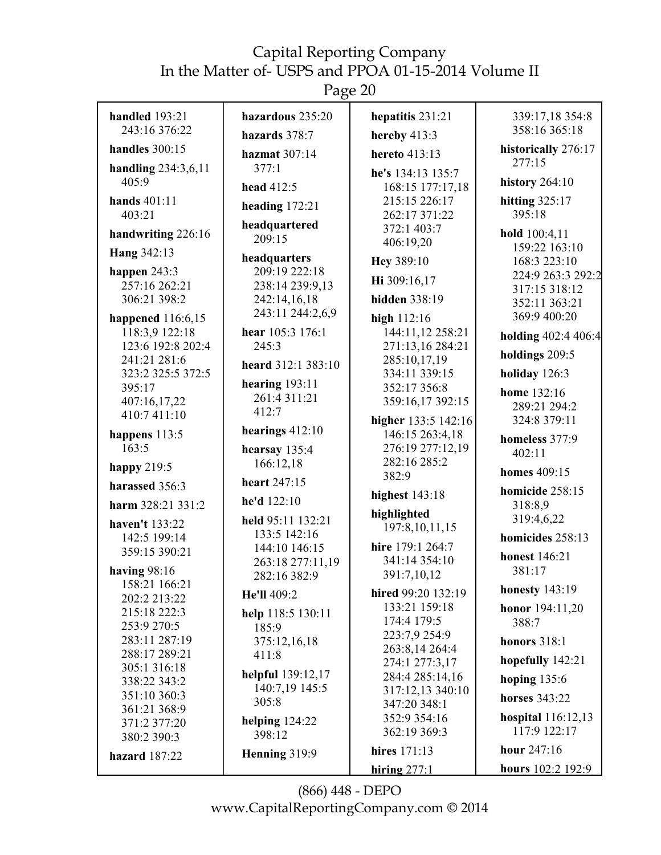Page 20

| handled $193:21$                  | hazardous 235:20                    | hepatitis $231:21$                  | 339:17,18 354:8                |
|-----------------------------------|-------------------------------------|-------------------------------------|--------------------------------|
| 243:16 376:22                     | hazards 378:7                       | hereby 413:3                        | 358:16 365:18                  |
| handles 300:15                    | hazmat 307:14                       | hereto 413:13                       | historically 276:17<br>277:15  |
| handling 234:3,6,11<br>405:9      | 377:1                               | he's 134:13 135:7                   |                                |
|                                   | head 412:5                          | 168:15 177:17,18                    | <b>history</b> 264:10          |
| hands 401:11<br>403:21            | heading $172:21$                    | 215:15 226:17<br>262:17 371:22      | hitting $325:17$<br>395:18     |
| handwriting 226:16                | headquartered                       | 372:1 403:7                         | hold 100:4,11                  |
|                                   | 209:15                              | 406:19,20                           | 159:22 163:10                  |
| Hang 342:13                       | headquarters                        | Hey 389:10                          | 168:3 223:10                   |
| happen 243:3<br>257:16 262:21     | 209:19 222:18<br>238:14 239:9,13    | Hi 309:16,17                        | 224:9 263:3 292:2              |
| 306:21 398:2                      | 242:14,16,18                        | hidden 338:19                       | 317:15 318:12<br>352:11 363:21 |
| happened 116:6,15                 | 243:11 244:2,6,9                    | high $112:16$                       | 369:9 400:20                   |
| 118:3,9 122:18                    | hear 105:3 176:1                    | 144:11,12 258:21                    | holding 402:4 406:4            |
| 123:6 192:8 202:4                 | 245:3                               | 271:13,16 284:21                    | holdings 209:5                 |
| 241:21 281:6<br>323:2 325:5 372:5 | heard 312:1 383:10                  | 285:10,17,19<br>334:11 339:15       | holiday $126:3$                |
| 395:17                            | hearing $193:11$                    | 352:17 356:8                        | home 132:16                    |
| 407:16,17,22                      | 261:4 311:21                        | 359:16,17 392:15                    | 289:21 294:2                   |
| 410:7 411:10                      | 412:7                               | higher 133:5 142:16                 | 324:8 379:11                   |
| happens 113:5                     | hearings $412:10$                   | 146:15 263:4,18                     | homeless 377:9                 |
| 163:5                             | hearsay 135:4                       | 276:19 277:12,19<br>282:16 285:2    | 402:11                         |
| happy $219:5$                     | 166:12,18                           | 382:9                               | <b>homes</b> 409:15            |
| harassed 356:3                    | heart 247:15                        | highest 143:18                      | homicide 258:15                |
| harm 328:21 331:2                 | he'd 122:10                         | highlighted                         | 318:8,9                        |
| haven't 133:22                    | held 95:11 132:21<br>133:5 142:16   | 197:8, 10, 11, 15                   | 319:4,6,22                     |
| 142:5 199:14<br>359:15 390:21     | 144:10 146:15                       | hire 179:1 264:7                    | homicides 258:13               |
|                                   | 263:18 277:11,19                    | 341:14 354:10                       | <b>honest</b> 146:21           |
| having $98:16$<br>158:21 166:21   | 282:16 382:9                        | 391:7,10,12                         | 381:17                         |
| 202:2 213:22                      | He'll 409:2                         | hired 99:20 132:19                  | <b>honesty</b> 143:19          |
| 215:18 222:3                      | help 118:5 130:11                   | 133:21 159:18<br>174:4 179:5        | honor 194:11,20                |
| 253:9 270:5                       | 185:9                               | 223:7,9 254:9                       | 388:7                          |
| 283:11 287:19<br>288:17 289:21    | 375:12,16,18<br>411:8               | 263:8,14 264:4                      | <b>honors</b> 318:1            |
| 305:1 316:18                      |                                     | 274:1 277:3,17                      | hopefully 142:21               |
| 338:22 343:2                      | helpful 139:12,17<br>140:7,19 145:5 | 284:4 285:14,16<br>317:12,13 340:10 | hoping 135:6                   |
| 351:10 360:3<br>361:21 368:9      | 305:8                               | 347:20 348:1                        | horses 343:22                  |
| 371:2 377:20                      | helping $124:22$                    | 352:9 354:16                        | hospital $116:12,13$           |
| 380:2 390:3                       | 398:12                              | 362:19 369:3                        | 117:9 122:17                   |
| hazard 187:22                     | Henning 319:9                       | hires 171:13                        | hour 247:16                    |
|                                   |                                     | hiring $277·1$                      | hours $102:2 192:9$            |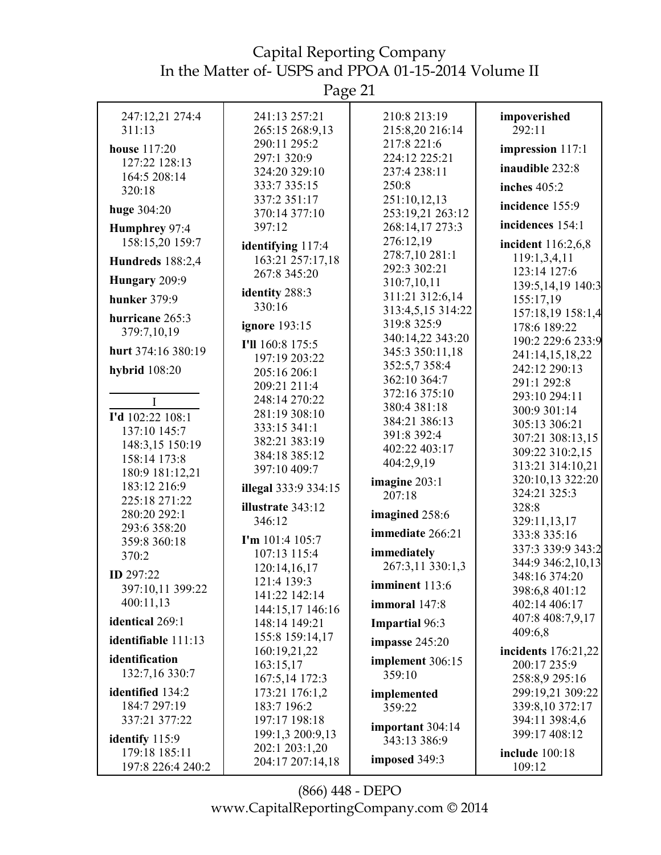Page 21

| 247:12,21 274:4      | 241:13 257:21                     | 210:8 213:19                     | impoverished          |
|----------------------|-----------------------------------|----------------------------------|-----------------------|
| 311:13               | 265:15 268:9,13                   | 215:8,20 216:14                  | 292:11                |
| <b>house</b> 117:20  | 290:11 295:2                      | 217:8 221:6                      | impression 117:1      |
| 127:22 128:13        | 297:1 320:9                       | 224:12 225:21                    | inaudible 232:8       |
| 164:5 208:14         | 324:20 329:10                     | 237:4 238:11                     |                       |
| 320:18               | 333:7 335:15                      | 250:8                            | inches $405:2$        |
| huge 304:20          | 337:2 351:17<br>370:14 377:10     | 251:10,12,13<br>253:19,21 263:12 | incidence 155:9       |
| Humphrey 97:4        | 397:12                            | 268:14,17 273:3                  | incidences 154:1      |
| 158:15,20 159:7      |                                   | 276:12,19                        | incident 116:2,6,8    |
|                      | identifying 117:4                 | 278:7,10 281:1                   | 119:1,3,4,11          |
| Hundreds 188:2,4     | 163:21 257:17,18<br>267:8 345:20  | 292:3 302:21                     | 123:14 127:6          |
| Hungary 209:9        |                                   | 310:7,10,11                      | 139:5, 14, 19 140:3   |
| <b>hunker</b> 379:9  | identity 288:3                    | 311:21 312:6,14                  | 155:17,19             |
| hurricane 265:3      | 330:16                            | 313:4,5,15 314:22                | 157:18,19 158:1,4     |
| 379:7,10,19          | <b>ignore</b> 193:15              | 319:8 325:9                      | 178:6 189:22          |
|                      | I'll 160:8 175:5                  | 340:14,22 343:20                 | 190:2 229:6 233:9     |
| hurt 374:16 380:19   | 197:19 203:22                     | 345:3 350:11,18                  | 241:14,15,18,22       |
| <b>hybrid</b> 108:20 | 205:16 206:1                      | 352:5,7 358:4                    | 242:12 290:13         |
|                      | 209:21 211:4                      | 362:10 364:7                     | 291:1 292:8           |
| $\mathbf I$          | 248:14 270:22                     | 372:16 375:10                    | 293:10 294:11         |
| I'd 102:22 108:1     | 281:19 308:10                     | 380:4 381:18                     | 300:9 301:14          |
| 137:10 145:7         | 333:15 341:1                      | 384:21 386:13                    | 305:13 306:21         |
| 148:3,15 150:19      | 382:21 383:19                     | 391:8 392:4                      | 307:21 308:13,15      |
| 158:14 173:8         | 384:18 385:12                     | 402:22 403:17<br>404:2,9,19      | 309:22 310:2,15       |
| 180:9 181:12,21      | 397:10 409:7                      |                                  | 313:21 314:10,21      |
| 183:12 216:9         | illegal 333:9 334:15              | imagine 203:1                    | 320:10,13 322:20      |
| 225:18 271:22        | illustrate 343:12                 | 207:18                           | 324:21 325:3<br>328:8 |
| 280:20 292:1         | 346:12                            | imagined 258:6                   | 329:11,13,17          |
| 293:6 358:20         |                                   | immediate 266:21                 | 333:8 335:16          |
| 359:8 360:18         | I'm 101:4 105:7                   |                                  | 337:3 339:9 343:2     |
| 370:2                | 107:13 115:4                      | immediately                      | 344:9 346:2,10,13     |
| ID 297:22            | 120:14,16,17                      | 267:3,11 330:1,3                 | 348:16 374:20         |
| 397:10,11 399:22     | 121:4 139:3                       | imminent 113:6                   | 398:6,8 401:12        |
| 400:11,13            | 141:22 142:14                     | immoral 147:8                    | 402:14 406:17         |
| identical 269:1      | 144:15,17 146:16<br>148:14 149:21 | <b>Impartial 96:3</b>            | 407:8 408:7,9,17      |
|                      | 155:8 159:14,17                   |                                  | 409:6,8               |
| identifiable 111:13  | 160:19,21,22                      | impasse $245:20$                 | incidents 176:21,22   |
| identification       | 163:15,17                         | implement 306:15                 | 200:17 235:9          |
| 132:7,16 330:7       | 167:5,14 172:3                    | 359:10                           | 258:8,9 295:16        |
| identified 134:2     | 173:21 176:1,2                    | implemented                      | 299:19,21 309:22      |
| 184:7 297:19         | 183:7 196:2                       | 359:22                           | 339:8,10 372:17       |
| 337:21 377:22        | 197:17 198:18                     | important 304:14                 | 394:11 398:4,6        |
| identify 115:9       | 199:1,3 200:9,13                  | 343:13 386:9                     | 399:17 408:12         |
| 179:18 185:11        | 202:1 203:1,20                    |                                  | <b>include</b> 100:18 |
| 197:8 226:4 240:2    | 204:17 207:14,18                  | imposed 349:3                    | 109:12                |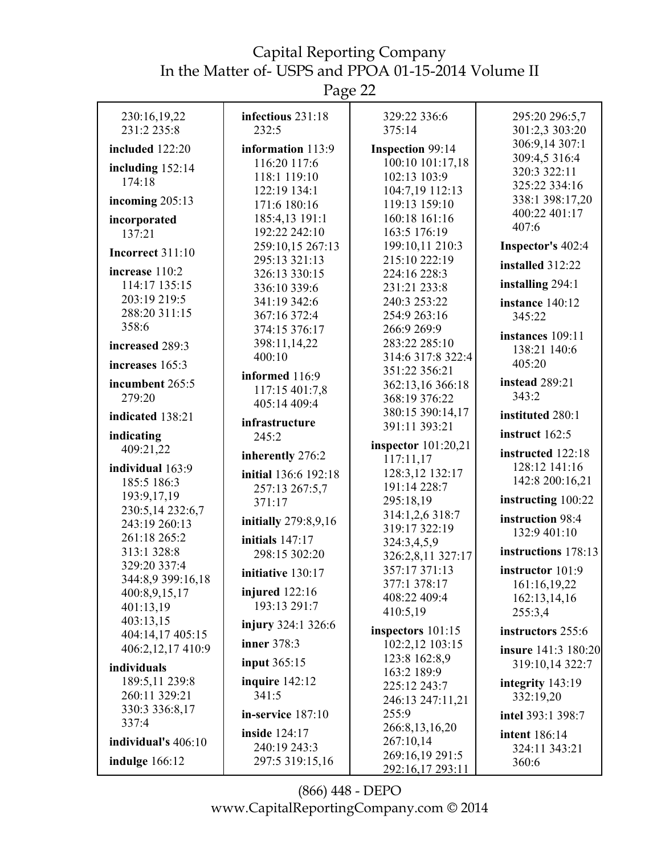Page 22

| 230:16,19,22            | infectious 231:18               | 329:22 336:6                     | 295:20 296:5,7          |
|-------------------------|---------------------------------|----------------------------------|-------------------------|
| 231:2 235:8             | 232:5                           | 375:14                           | 301:2,3 303:20          |
| included 122:20         | information 113:9               | <b>Inspection 99:14</b>          | 306:9,14 307:1          |
|                         | 116:20 117:6                    | 100:10 101:17,18                 | 309:4,5 316:4           |
| including $152:14$      | 118:1 119:10                    | 102:13 103:9                     | 320:3 322:11            |
| 174:18                  | 122:19 134:1                    | 104:7,19 112:13                  | 325:22 334:16           |
| incoming 205:13         | 171:6 180:16                    | 119:13 159:10                    | 338:1 398:17,20         |
| incorporated            | 185:4,13 191:1                  | 160:18 161:16                    | 400:22 401:17           |
| 137:21                  | 192:22 242:10                   | 163:5 176:19                     | 407:6                   |
| <b>Incorrect 311:10</b> | 259:10,15 267:13                | 199:10,11 210:3                  | Inspector's 402:4       |
|                         | 295:13 321:13                   | 215:10 222:19                    | installed 312:22        |
| increase 110:2          | 326:13 330:15                   | 224:16 228:3                     |                         |
| 114:17 135:15           | 336:10 339:6                    | 231:21 233:8                     | installing 294:1        |
| 203:19 219:5            | 341:19 342:6                    | 240:3 253:22                     | instance 140:12         |
| 288:20 311:15           | 367:16 372:4                    | 254:9 263:16                     | 345:22                  |
| 358:6                   | 374:15 376:17                   | 266:9 269:9                      | instances 109:11        |
| increased 289:3         | 398:11,14,22                    | 283:22 285:10                    | 138:21 140:6            |
| increases 165:3         | 400:10                          | 314:6 317:8 322:4                | 405:20                  |
|                         | informed 116:9                  | 351:22 356:21                    |                         |
| incumbent 265:5         | 117:15 401:7,8                  | 362:13,16 366:18                 | instead 289:21<br>343:2 |
| 279:20                  | 405:14 409:4                    | 368:19 376:22                    |                         |
| indicated 138:21        | infrastructure                  | 380:15 390:14,17                 | instituted 280:1        |
| indicating              | 245:2                           | 391:11 393:21                    | instruct 162:5          |
| 409:21,22               |                                 | inspector $101:20,21$            | instructed 122:18       |
| individual 163:9        | inherently 276:2                | 117:11,17                        | 128:12 141:16           |
| 185:5 186:3             | initial 136:6 192:18            | 128:3,12 132:17                  | 142:8 200:16,21         |
| 193:9,17,19             | 257:13 267:5,7                  | 191:14 228:7                     |                         |
| 230:5,14 232:6,7        | 371:17                          | 295:18,19                        | instructing 100:22      |
| 243:19 260:13           | initially 279:8,9,16            | 314:1,2,6 318:7                  | instruction 98:4        |
| 261:18 265:2            | initials $147:17$               | 319:17 322:19                    | 132:9 401:10            |
| 313:1 328:8             | 298:15 302:20                   | 324:3,4,5,9<br>326:2,8,11 327:17 | instructions 178:13     |
| 329:20 337:4            |                                 | 357:17 371:13                    | instructor 101:9        |
| 344:8,9 399:16,18       | initiative 130:17               | 377:1 378:17                     | 161:16,19,22            |
| 400:8,9,15,17           | injured $122:16$                | 408:22 409:4                     | 162:13,14,16            |
| 401:13,19               | 193:13 291:7                    | 410:5,19                         | 255:3,4                 |
| 403:13,15               | <b>injury</b> 324:1 326:6       |                                  |                         |
| 404:14,17 405:15        | inner 378:3                     | inspectors $101:15$              | instructors 255:6       |
| 406:2,12,17 410:9       |                                 | 102:2,12 103:15<br>123:8 162:8,9 | insure 141:3 180:20     |
| individuals             | <b>input</b> 365:15             | 163:2 189:9                      | 319:10,14 322:7         |
| 189:5,11 239:8          | inquire $142:12$                | 225:12 243:7                     | integrity 143:19        |
| 260:11 329:21           | 341:5                           | 246:13 247:11,21                 | 332:19,20               |
| 330:3 336:8,17          | in-service 187:10               | 255:9                            | intel 393:1 398:7       |
| 337:4                   |                                 | 266:8, 13, 16, 20                |                         |
| individual's 406:10     | inside 124:17                   | 267:10,14                        | <b>intent</b> 186:14    |
|                         | 240:19 243:3<br>297:5 319:15,16 | 269:16,19 291:5                  | 324:11 343:21           |
| indulge $166:12$        |                                 | 292:16,17 293:11                 | 360:6                   |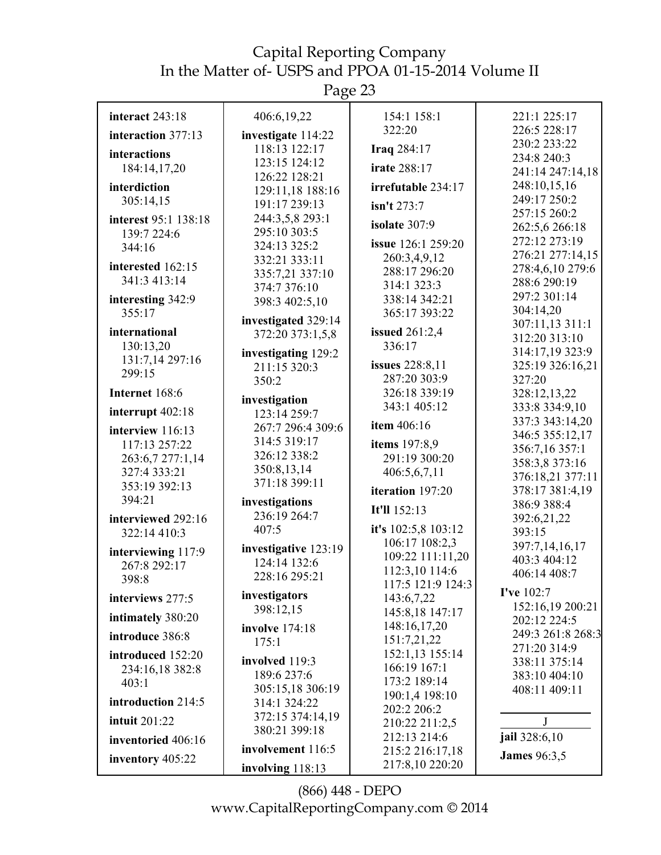Page 23

| interact 243:18      | 406:6,19,22          | 154:1 158:1                     | 221:1 225:17                     |
|----------------------|----------------------|---------------------------------|----------------------------------|
| interaction 377:13   | investigate 114:22   | 322:20                          | 226:5 228:17                     |
| interactions         | 118:13 122:17        | Iraq 284:17                     | 230:2 233:22                     |
|                      | 123:15 124:12        | <b>irate 288:17</b>             | 234:8 240:3                      |
| 184:14,17,20         | 126:22 128:21        |                                 | 241:14 247:14,18                 |
| interdiction         | 129:11,18 188:16     | irrefutable 234:17              | 248:10,15,16                     |
| 305:14,15            | 191:17 239:13        | isn't 273:7                     | 249:17 250:2                     |
| interest 95:1 138:18 | 244:3,5,8 293:1      | isolate 307:9                   | 257:15 260:2                     |
| 139:7 224:6          | 295:10 303:5         |                                 | 262:5,6 266:18                   |
| 344:16               | 324:13 325:2         | issue 126:1 259:20              | 272:12 273:19                    |
| interested 162:15    | 332:21 333:11        | 260:3,4,9,12                    | 276:21 277:14,15                 |
| 341:3 413:14         | 335:7,21 337:10      | 288:17 296:20                   | 278:4,6,10 279:6<br>288:6 290:19 |
|                      | 374:7 376:10         | 314:1 323:3                     | 297:2 301:14                     |
| interesting 342:9    | 398:3 402:5,10       | 338:14 342:21                   | 304:14,20                        |
| 355:17               | investigated 329:14  | 365:17 393:22                   | 307:11,13 311:1                  |
| international        | 372:20 373:1,5,8     | issued $261:2,4$                | 312:20 313:10                    |
| 130:13,20            | investigating 129:2  | 336:17                          | 314:17,19 323:9                  |
| 131:7,14 297:16      | 211:15 320:3         | <b>issues</b> 228:8,11          | 325:19 326:16,21                 |
| 299:15               | 350:2                | 287:20 303:9                    | 327:20                           |
| Internet 168:6       |                      | 326:18 339:19                   | 328:12,13,22                     |
|                      | investigation        | 343:1 405:12                    | 333:8 334:9,10                   |
| interrupt 402:18     | 123:14 259:7         |                                 | 337:3 343:14,20                  |
| interview 116:13     | 267:7 296:4 309:6    | item 406:16                     | 346:5 355:12,17                  |
| 117:13 257:22        | 314:5 319:17         | items 197:8,9                   | 356:7,16 357:1                   |
| 263:6,7 277:1,14     | 326:12 338:2         | 291:19 300:20                   | 358:3,8 373:16                   |
| 327:4 333:21         | 350:8,13,14          | 406:5,6,7,11                    | 376:18,21 377:11                 |
| 353:19 392:13        | 371:18 399:11        | iteration 197:20                | 378:17 381:4,19                  |
| 394:21               | investigations       | It'll 152:13                    | 386:9 388:4                      |
| interviewed 292:16   | 236:19 264:7         |                                 | 392:6,21,22                      |
| 322:14 410:3         | 407:5                | it's 102:5,8 103:12             | 393:15                           |
| interviewing 117:9   | investigative 123:19 | 106:17 108:2,3                  | 397:7,14,16,17                   |
| 267:8 292:17         | 124:14 132:6         | 109:22 111:11,20                | 403:3 404:12                     |
| 398:8                | 228:16 295:21        | 112:3,10 114:6                  | 406:14 408:7                     |
|                      | investigators        | 117:5 121:9 124:3               | I've 102:7                       |
| interviews 277:5     | 398:12,15            | 143:6,7,22                      | 152:16,19 200:21                 |
| intimately 380:20    |                      | 145:8,18 147:17                 | 202:12 224:5                     |
| introduce 386:8      | involve 174:18       | 148:16,17,20                    | 249:3 261:8 268:3                |
|                      | 175:1                | 151:7,21,22                     | 271:20 314:9                     |
| introduced 152:20    | involved 119:3       | 152:1,13 155:14<br>166:19 167:1 | 338:11 375:14                    |
| 234:16,18 382:8      | 189:6 237:6          | 173:2 189:14                    | 383:10 404:10                    |
| 403:1                | 305:15,18 306:19     | 190:1,4 198:10                  | 408:11 409:11                    |
| introduction 214:5   | 314:1 324:22         | 202:2 206:2                     |                                  |
| <b>intuit 201:22</b> | 372:15 374:14,19     | 210:22 211:2,5                  | J                                |
|                      | 380:21 399:18        | 212:13 214:6                    | jail 328:6,10                    |
| inventoried 406:16   | involvement 116:5    | 215:2 216:17,18                 |                                  |
| inventory 405:22     | involving 118:13     | 217:8,10 220:20                 | <b>James</b> 96:3,5              |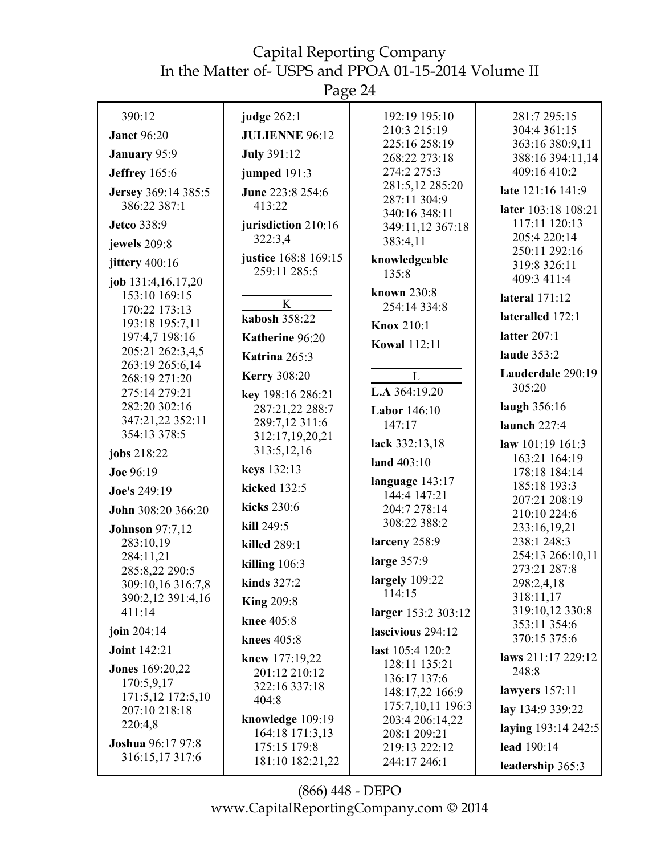| 390:12                                               | judge 262:1                          | 192:19 195:10                                    | 281:7 295:15                                 |
|------------------------------------------------------|--------------------------------------|--------------------------------------------------|----------------------------------------------|
| <b>Janet 96:20</b>                                   | <b>JULIENNE 96:12</b>                | 210:3 215:19                                     | 304:4 361:15                                 |
| January 95:9                                         | <b>July 391:12</b>                   | 225:16 258:19<br>268:22 273:18                   | 363:16 380:9,11<br>388:16 394:11,14          |
| <b>Jeffrey</b> 165:6                                 | jumped $191:3$                       | 274:2 275:3                                      | 409:16 410:2                                 |
| Jersey 369:14 385:5<br>386:22 387:1                  | June 223:8 254:6<br>413:22           | 281:5,12 285:20<br>287:11 304:9<br>340:16 348:11 | late 121:16 141:9<br>later 103:18 108:21     |
| <b>Jetco</b> 338:9<br>jewels 209:8                   | jurisdiction 210:16<br>322:3,4       | 349:11,12 367:18<br>383:4,11                     | 117:11 120:13<br>205:4 220:14                |
| jittery 400:16                                       | justice 168:8 169:15<br>259:11 285:5 | knowledgeable<br>135:8                           | 250:11 292:16<br>319:8 326:11<br>409:3 411:4 |
| job 131:4,16,17,20<br>153:10 169:15<br>170:22 173:13 | K<br>kabosh 358:22                   | known 230:8<br>254:14 334:8                      | lateral 171:12<br>lateralled 172:1           |
| 193:18 195:7,11<br>197:4,7 198:16                    | Katherine 96:20                      | <b>Knox 210:1</b>                                | latter $207:1$                               |
| 205:21 262:3,4,5<br>263:19 265:6,14                  | Katrina 265:3                        | <b>Kowal 112:11</b>                              | laude 353:2                                  |
| 268:19 271:20                                        | <b>Kerry 308:20</b>                  | $\mathbf{L}$                                     | Lauderdale 290:19                            |
| 275:14 279:21                                        | key 198:16 286:21                    | L.A 364:19,20                                    | 305:20                                       |
| 282:20 302:16                                        | 287:21,22 288:7                      | <b>Labor</b> 146:10                              | laugh 356:16                                 |
| 347:21,22 352:11<br>354:13 378:5                     | 289:7,12 311:6<br>312:17,19,20,21    | 147:17                                           | launch $227:4$                               |
| jobs 218:22                                          | 313:5,12,16                          | lack 332:13,18                                   | law 101:19 161:3<br>163:21 164:19            |
| Joe 96:19                                            | keys 132:13                          | land 403:10                                      | 178:18 184:14                                |
| Joe's 249:19                                         | kicked 132:5                         | language $143:17$<br>144:4 147:21                | 185:18 193:3                                 |
| John 308:20 366:20                                   | kicks 230:6                          | 204:7 278:14                                     | 207:21 208:19<br>210:10 224:6                |
| <b>Johnson</b> 97:7,12                               | kill 249:5                           | 308:22 388:2                                     | 233:16,19,21                                 |
| 283:10,19                                            | killed 289:1                         | larceny 258:9                                    | 238:1 248:3                                  |
| 284:11,21<br>285:8,22 290:5                          | killing $106:3$                      | large 357:9                                      | 254:13 266:10,11<br>273:21 287:8             |
| 309:10,16 316:7,8                                    | kinds $327:2$                        | largely 109:22                                   | 298:2,4,18                                   |
| 390:2,12 391:4,16                                    | <b>King 209:8</b>                    | 114:15                                           | 318:11,17                                    |
| 411:14                                               | knee 405:8                           | larger 153:2 303:12                              | 319:10,12 330:8<br>353:11 354:6              |
| join 204:14                                          | knees 405:8                          | lascivious 294:12                                | 370:15 375:6                                 |
| <b>Joint 142:21</b>                                  | knew 177:19,22                       | last $105:4 120:2$                               | laws 211:17 229:12                           |
| <b>Jones</b> 169:20,22                               | 201:12 210:12                        | 128:11 135:21<br>136:17 137:6                    | 248:8                                        |
| 170:5,9,17<br>171:5,12 172:5,10                      | 322:16 337:18                        | 148:17,22 166:9                                  | lawyers $157:11$                             |
| 207:10 218:18                                        | 404:8                                | 175:7,10,11 196:3                                | lay 134:9 339:22                             |
| 220:4,8                                              | knowledge 109:19<br>164:18 171:3,13  | 203:4 206:14,22<br>208:1 209:21                  | laying 193:14 242:5                          |
| <b>Joshua</b> 96:17 97:8<br>316:15,17317:6           | 175:15 179:8                         | 219:13 222:12                                    | lead 190:14                                  |
|                                                      | 181:10 182:21,22                     | 244:17 246:1                                     | leadership 365:3                             |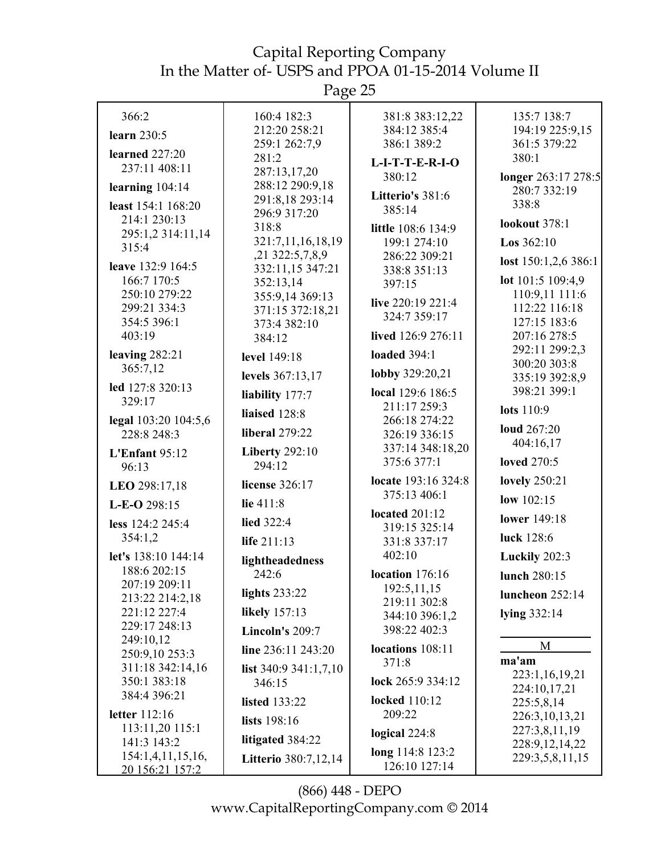Page 25

| 366:2                               | 160:4 182:3                         | 381:8 383:12,22                        | 135:7 138:7                     |
|-------------------------------------|-------------------------------------|----------------------------------------|---------------------------------|
| learn 230:5                         | 212:20 258:21                       | 384:12 385:4                           | 194:19 225:9,15                 |
| learned 227:20                      | 259:1 262:7,9                       | 386:1 389:2                            | 361:5 379:22                    |
| 237:11 408:11                       | 281:2<br>287:13,17,20               | $L-I-T-T-E-R-I-O$                      | 380:1                           |
| learning 104:14                     | 288:12 290:9,18                     | 380:12                                 | longer 263:17 278:5             |
| least 154:1 168:20                  | 291:8,18 293:14                     | Litterio's 381:6                       | 280:7 332:19<br>338:8           |
| 214:1 230:13                        | 296:9 317:20                        | 385:14                                 |                                 |
| 295:1,2 314:11,14                   | 318:8                               | little 108:6 134:9                     | <b>lookout</b> 378:1            |
| 315:4                               | 321:7,11,16,18,19                   | 199:1 274:10                           | <b>Los</b> $362:10$             |
| leave 132:9 164:5                   | ,21 322:5,7,8,9<br>332:11,15 347:21 | 286:22 309:21<br>338:8 351:13          | lost $150:1,2,6386:1$           |
| 166:7 170:5                         | 352:13,14                           | 397:15                                 | lot 101:5 109:4,9               |
| 250:10 279:22                       | 355:9,14 369:13                     | live 220:19 221:4                      | 110:9,11 111:6                  |
| 299:21 334:3                        | 371:15 372:18,21                    | 324:7 359:17                           | 112:22 116:18                   |
| 354:5 396:1<br>403:19               | 373:4 382:10                        | lived 126:9 276:11                     | 127:15 183:6<br>207:16 278:5    |
|                                     | 384:12                              |                                        | 292:11 299:2,3                  |
| leaving $282:21$<br>365:7,12        | level 149:18                        | <b>loaded</b> 394:1                    | 300:20 303:8                    |
|                                     | levels 367:13,17                    | lobby 329:20,21                        | 335:19 392:8,9                  |
| led 127:8 320:13<br>329:17          | liability 177:7                     | local 129:6 186:5                      | 398:21 399:1                    |
|                                     | liaised 128:8                       | 211:17 259:3                           | lots 110:9                      |
| legal 103:20 104:5,6<br>228:8 248:3 | <b>liberal</b> 279:22               | 266:18 274:22<br>326:19 336:15         | <b>loud</b> 267:20              |
| L'Enfant 95:12                      | <b>Liberty 292:10</b>               | 337:14 348:18,20                       | 404:16,17                       |
| 96:13                               | 294:12                              | 375:6 377:1                            | <b>loved</b> 270:5              |
| LEO 298:17,18                       | license 326:17                      | locate 193:16 324:8                    | <b>lovely</b> 250:21            |
| L-E-O 298:15                        | lie 411:8                           | 375:13 406:1                           | low $102:15$                    |
| less 124:2 245:4                    | <b>lied</b> 322:4                   | <b>located 201:12</b><br>319:15 325:14 | lower 149:18                    |
| 354:1,2                             | life 211:13                         | 331:8 337:17                           | luck 128:6                      |
| let's 138:10 144:14                 | lightheadedness                     | 402:10                                 | Luckily 202:3                   |
| 188:6 202:15                        | 242:6                               | location $176:16$                      | lunch 280:15                    |
| 207:19 209:11<br>213:22 214:2,18    | lights 233:22                       | 192:5,11,15                            | luncheon 252:14                 |
| 221:12 227:4                        | likely 157:13                       | 219:11 302:8                           | lying 332:14                    |
| 229:17 248:13                       | Lincoln's 209:7                     | 344:10 396:1,2<br>398:22 402:3         |                                 |
| 249:10,12                           |                                     | locations 108:11                       | M                               |
| 250:9,10 253:3                      | line 236:11 243:20                  | 371:8                                  | ma'am                           |
| 311:18 342:14,16<br>350:1 383:18    | list $340.9$ $341.1,7,10$           | lock 265:9 334:12                      | 223:1,16,19,21                  |
| 384:4 396:21                        | 346:15                              |                                        | 224:10,17,21                    |
| letter 112:16                       | <b>listed</b> 133:22                | locked 110:12<br>209:22                | 225:5,8,14                      |
| 113:11,20 115:1                     | lists 198:16                        |                                        | 226:3,10,13,21<br>227:3,8,11,19 |
| 141:3 143:2                         | litigated 384:22                    | logical $224:8$                        | 228:9, 12, 14, 22               |
| 154:1,4,11,15,16,                   | <b>Litterio</b> 380:7,12,14         | long 114:8 123:2                       | 229:3,5,8,11,15                 |
| 20 156:21 157:2                     |                                     | 126:10 127:14                          |                                 |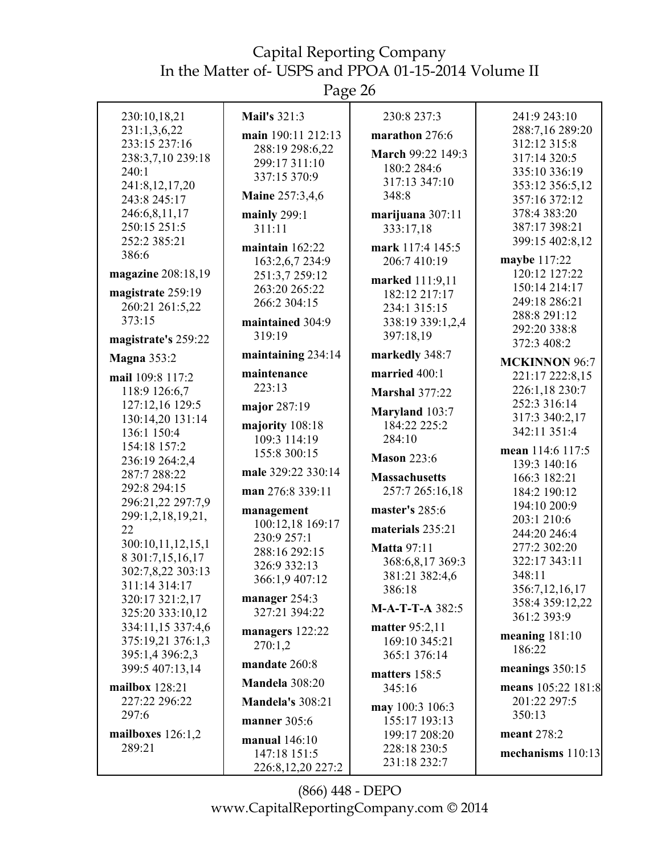Page 26

| 230:10,18,21                   | <b>Mail's 321:3</b>     | 230:8 237:3           | 241:9 243:10                   |
|--------------------------------|-------------------------|-----------------------|--------------------------------|
| 231:1,3,6,22                   |                         |                       | 288:7,16 289:20                |
| 233:15 237:16                  | main 190:11 212:13      | marathon 276:6        | 312:12 315:8                   |
| 238:3,7,10 239:18              | 288:19 298:6,22         | March 99:22 149:3     | 317:14 320:5                   |
| 240:1                          | 299:17 311:10           | 180:2 284:6           | 335:10 336:19                  |
| 241:8,12,17,20                 | 337:15 370:9            | 317:13 347:10         | 353:12 356:5,12                |
| 243:8 245:17                   | <b>Maine 257:3,4,6</b>  | 348:8                 | 357:16 372:12                  |
| 246:6,8,11,17                  | mainly $299:1$          | marijuana 307:11      | 378:4 383:20                   |
| 250:15 251:5                   | 311:11                  | 333:17,18             | 387:17 398:21                  |
| 252:2 385:21                   |                         |                       | 399:15 402:8,12                |
| 386:6                          | maintain $162:22$       | mark 117:4 145:5      |                                |
|                                | 163:2,6,7 234:9         | 206:7 410:19          | maybe 117:22                   |
| magazine 208:18,19             | 251:3,7 259:12          | marked 111:9,11       | 120:12 127:22                  |
| magistrate 259:19              | 263:20 265:22           | 182:12 217:17         | 150:14 214:17                  |
| 260:21 261:5,22                | 266:2 304:15            | 234:1 315:15          | 249:18 286:21                  |
| 373:15                         | maintained 304:9        | 338:19 339:1,2,4      | 288:8 291:12                   |
| magistrate's 259:22            | 319:19                  | 397:18,19             | 292:20 338:8<br>372:3 408:2    |
| <b>Magna 353:2</b>             | maintaining 234:14      | markedly 348:7        |                                |
|                                | maintenance             | married 400:1         | <b>MCKINNON 96:7</b>           |
| mail 109:8 117:2               | 223:13                  |                       | 221:17 222:8,15                |
| 118:9 126:6,7                  |                         | <b>Marshal 377:22</b> | 226:1,18 230:7<br>252:3 316:14 |
| 127:12,16 129:5                | major 287:19            | Maryland 103:7        | 317:3 340:2,17                 |
| 130:14,20 131:14               | majority 108:18         | 184:22 225:2          | 342:11 351:4                   |
| 136:1 150:4                    | 109:3 114:19            | 284:10                |                                |
| 154:18 157:2                   | 155:8 300:15            | <b>Mason 223:6</b>    | mean 114:6 117:5               |
| 236:19 264:2,4<br>287:7 288:22 | male 329:22 330:14      |                       | 139:3 140:16                   |
| 292:8 294:15                   |                         | <b>Massachusetts</b>  | 166:3 182:21                   |
| 296:21,22 297:7,9              | man 276:8 339:11        | 257:7 265:16,18       | 184:2 190:12                   |
| 299:1,2,18,19,21,              | management              | master's 285:6        | 194:10 200:9                   |
| 22                             | 100:12,18 169:17        | materials 235:21      | 203:1 210:6                    |
| 300:10,11,12,15,1              | 230:9 257:1             |                       | 244:20 246:4                   |
| 8 301:7,15,16,17               | 288:16 292:15           | <b>Matta 97:11</b>    | 277:2 302:20                   |
| 302:7,8,22 303:13              | 326:9 332:13            | 368:6,8,17 369:3      | 322:17 343:11                  |
| 311:14 314:17                  | 366:1,9 407:12          | 381:21 382:4,6        | 348:11                         |
| 320:17 321:2,17                | manager 254:3           | 386:18                | 356:7, 12, 16, 17              |
| 325:20 333:10,12               | 327:21 394:22           | M-A-T-T-A 382:5       | 358:4 359:12,22<br>361:2 393:9 |
| 334:11,15 337:4,6              |                         | matter 95:2,11        |                                |
| 375:19,21 376:1,3              | managers 122:22         | 169:10 345:21         | meaning 181:10                 |
| 395:1,4 396:2,3                | 270:1,2                 | 365:1 376:14          | 186:22                         |
| 399:5 407:13,14                | mandate 260:8           | matters 158:5         | meanings $350:15$              |
| mailbox 128:21                 | Mandela 308:20          | 345:16                | means 105:22 181:8             |
| 227:22 296:22                  | <b>Mandela's 308:21</b> | may 100:3 106:3       | 201:22 297:5                   |
| 297:6                          | manner 305:6            | 155:17 193:13         | 350:13                         |
| mailboxes $126:1,2$            |                         | 199:17 208:20         | meant 278:2                    |
| 289:21                         | manual 146:10           | 228:18 230:5          |                                |
|                                | 147:18 151:5            | 231:18 232:7          | mechanisms 110:13              |
|                                | 226:8,12,20 227:2       |                       |                                |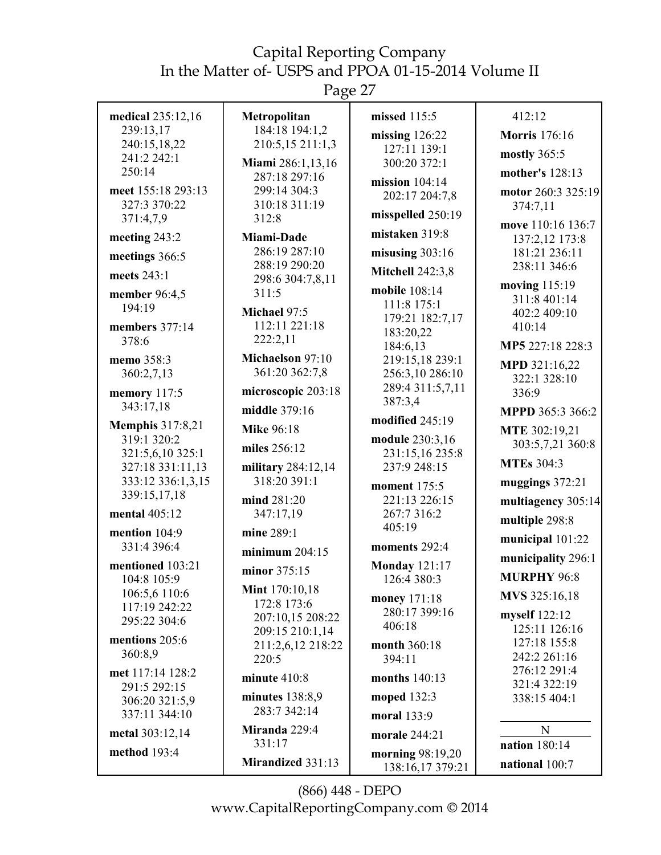Page 27

| medical 235:12,16               | Metropolitan                         | missed 115:5                         | 412:12                        |
|---------------------------------|--------------------------------------|--------------------------------------|-------------------------------|
| 239:13,17                       | 184:18 194:1,2                       | missing $126:22$                     | <b>Morris</b> 176:16          |
| 240:15,18,22<br>241:2 242:1     | 210:5,15 211:1,3                     | 127:11 139:1                         | mostly 365:5                  |
| 250:14                          | Miami 286:1,13,16                    | 300:20 372:1                         |                               |
|                                 | 287:18 297:16                        | mission $104:14$                     | mother's 128:13               |
| meet 155:18 293:13              | 299:14 304:3                         | 202:17 204:7,8                       | motor 260:3 325:19            |
| 327:3 370:22                    | 310:18 311:19<br>312:8               | misspelled 250:19                    | 374:7,11                      |
| 371:4,7,9                       |                                      | mistaken 319:8                       | move 110:16 136:7             |
| meeting 243:2                   | Miami-Dade<br>286:19 287:10          |                                      | 137:2,12 173:8                |
| meetings 366:5                  | 288:19 290:20                        | misusing $303:16$                    | 181:21 236:11<br>238:11 346:6 |
| meets 243:1                     | 298:6 304:7,8,11                     | <b>Mitchell 242:3,8</b>              | moving 115:19                 |
| member 96:4,5                   | 311:5                                | mobile 108:14                        | 311:8 401:14                  |
| 194:19                          | Michael 97:5                         | 111:8 175:1                          | 402:2 409:10                  |
| members 377:14                  | 112:11 221:18                        | 179:21 182:7,17                      | 410:14                        |
| 378:6                           | 222:2,11                             | 183:20,22<br>184:6,13                | MP5 227:18 228:3              |
| memo 358:3                      | Michaelson 97:10                     | 219:15,18 239:1                      |                               |
| 360:2,7,13                      | 361:20 362:7,8                       | 256:3,10 286:10                      | MPD 321:16,22                 |
| memory 117:5                    | microscopic 203:18                   | 289:4 311:5,7,11                     | 322:1 328:10<br>336:9         |
| 343:17,18                       | middle 379:16                        | 387:3,4                              |                               |
| <b>Memphis 317:8,21</b>         |                                      | modified 245:19                      | MPPD 365:3 366:2              |
| 319:1 320:2                     | <b>Mike 96:18</b>                    | module 230:3,16                      | MTE 302:19,21                 |
| 321:5,6,10 325:1                | miles 256:12                         | 231:15,16 235:8                      | 303:5,7,21 360:8              |
| 327:18 331:11,13                | military 284:12,14                   | 237:9 248:15                         | <b>MTEs 304:3</b>             |
| 333:12 336:1,3,15               | 318:20 391:1                         | <b>moment</b> 175:5                  | muggings $372:21$             |
| 339:15,17,18                    | mind 281:20                          | 221:13 226:15                        | multiagency 305:14            |
| mental 405:12                   | 347:17,19                            | 267:7 316:2                          |                               |
| mention 104:9                   | mine 289:1                           | 405:19                               | multiple 298:8                |
| 331:4 396:4                     | minimum $204:15$                     | moments 292:4                        | municipal 101:22              |
| mentioned 103:21                |                                      | <b>Monday 121:17</b>                 | municipality 296:1            |
| 104:8 105:9                     | minor 375:15                         | 126:4 380:3                          | <b>MURPHY 96:8</b>            |
| 106:5,6 110:6                   | <b>Mint</b> 170:10,18<br>172:8 173:6 | money 171:18                         | MVS 325:16,18                 |
| 117:19 242:22                   | 207:10,15 208:22                     | 280:17 399:16                        | myself 122:12                 |
| 295:22 304:6                    | 209:15 210:1,14                      | 406:18                               | 125:11 126:16                 |
| mentions 205:6                  | 211:2,6,12 218:22                    | month 360:18                         | 127:18 155:8                  |
| 360:8,9                         | 220:5                                | 394:11                               | 242:2 261:16                  |
| met 117:14 128:2                | minute $410:8$                       | months $140:13$                      | 276:12 291:4                  |
| 291:5 292:15                    | minutes $138:8.9$                    | moped 132:3                          | 321:4 322:19<br>338:15 404:1  |
| 306:20 321:5,9<br>337:11 344:10 | 283:7 342:14                         | moral 133:9                          |                               |
| metal 303:12,14                 | Miranda 229:4                        | morale 244:21                        | $\mathbf N$                   |
| method 193:4                    | 331:17                               |                                      | <b>nation</b> 180:14          |
|                                 | Mirandized 331:13                    | morning 98:19,20<br>138:16,17 379:21 | national 100:7                |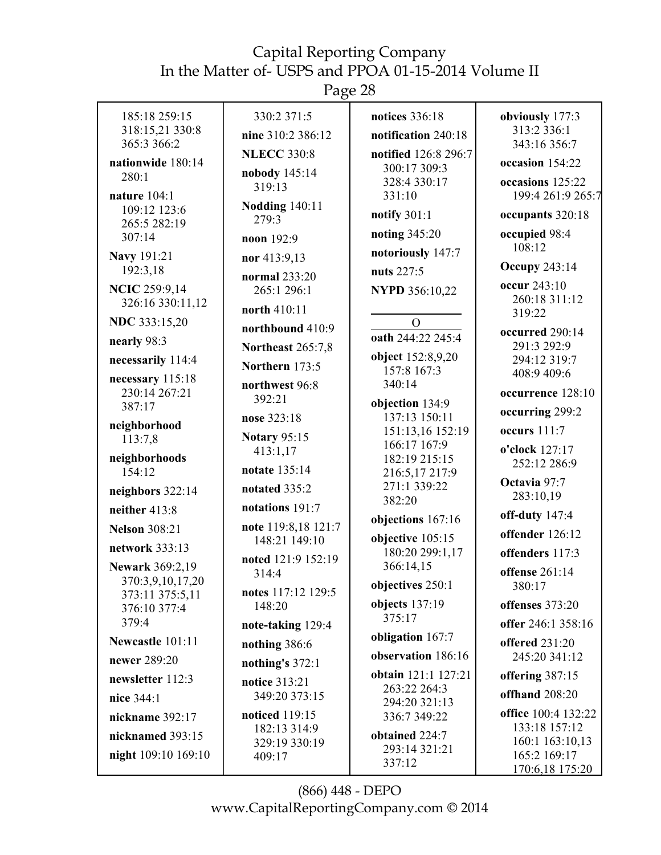Page 28

| 185:18 259:15<br>318:15,21 330:8<br>365:3 366:2<br>nationwide 180:14<br>280:1<br>nature $104:1$<br>109:12 123:6                                                                                                                                                                                                                                                                                                                                                                                        | 330:2 371:5<br>nine 310:2 386:12<br><b>NLECC 330:8</b><br>nobody 145:14<br>319:13<br><b>Nodding 140:11</b>                                                                                                                                                                                                                                                                                                                                                                                 | notices 336:18<br>notification 240:18<br>notified 126:8 296:7<br>300:17 309:3<br>328:4 330:17<br>331:10                                                                                                                                                                                                                                                                                                                                                                                                                                    | obviously 177:3<br>313:2 336:1<br>343:16 356:7<br>occasion 154:22<br>occasions 125:22<br>199:4 261:9 265:7                                                                                                                                                                                                                                                                                                                                                                                                    |
|--------------------------------------------------------------------------------------------------------------------------------------------------------------------------------------------------------------------------------------------------------------------------------------------------------------------------------------------------------------------------------------------------------------------------------------------------------------------------------------------------------|--------------------------------------------------------------------------------------------------------------------------------------------------------------------------------------------------------------------------------------------------------------------------------------------------------------------------------------------------------------------------------------------------------------------------------------------------------------------------------------------|--------------------------------------------------------------------------------------------------------------------------------------------------------------------------------------------------------------------------------------------------------------------------------------------------------------------------------------------------------------------------------------------------------------------------------------------------------------------------------------------------------------------------------------------|---------------------------------------------------------------------------------------------------------------------------------------------------------------------------------------------------------------------------------------------------------------------------------------------------------------------------------------------------------------------------------------------------------------------------------------------------------------------------------------------------------------|
| 265:5 282:19<br>307:14<br>Navy 191:21<br>192:3,18<br><b>NCIC 259:9,14</b><br>326:16 330:11,12<br>NDC 333:15,20<br>nearly 98:3<br>necessarily 114:4<br>necessary 115:18<br>230:14 267:21<br>387:17<br>neighborhood<br>113:7,8<br>neighborhoods<br>154:12<br>neighbors 322:14<br>neither 413:8<br><b>Nelson</b> 308:21<br>network 333:13<br><b>Newark 369:2,19</b><br>370:3,9,10,17,20<br>373:11 375:5,11<br>376:10 377:4<br>379:4<br>Newcastle 101:11<br>newer 289:20<br>newsletter 112:3<br>nice 344:1 | 279:3<br>noon 192:9<br>nor 413:9,13<br>normal 233:20<br>265:1 296:1<br>north 410:11<br>northbound 410:9<br><b>Northeast 265:7,8</b><br>Northern 173:5<br>northwest 96:8<br>392:21<br>nose 323:18<br><b>Notary 95:15</b><br>413:1,17<br>notate 135:14<br>notated 335:2<br>notations 191:7<br>note 119:8,18 121:7<br>148:21 149:10<br>noted 121:9 152:19<br>314:4<br>notes 117:12 129:5<br>148:20<br>note-taking 129:4<br>nothing 386:6<br>nothing's 372:1<br>notice 313:21<br>349:20 373:15 | notify $301:1$<br>noting 345:20<br>notoriously 147:7<br>nuts 227:5<br><b>NYPD 356:10,22</b><br>$\Omega$<br>oath 244:22 245:4<br>object 152:8,9,20<br>157:8 167:3<br>340:14<br>objection 134:9<br>137:13 150:11<br>151:13,16 152:19<br>166:17 167:9<br>182:19 215:15<br>216:5,17 217:9<br>271:1 339:22<br>382:20<br>objections 167:16<br>objective 105:15<br>180:20 299:1,17<br>366:14,15<br>objectives 250:1<br>objects 137:19<br>375:17<br>obligation 167:7<br>observation 186:16<br>obtain 121:1 127:21<br>263:22 264:3<br>294:20 321:13 | occupants 320:18<br>occupied 98:4<br>108:12<br><b>Occupy 243:14</b><br>occur 243:10<br>260:18 311:12<br>319:22<br>occurred 290:14<br>291:3 292:9<br>294:12 319:7<br>408:9 409:6<br>occurrence 128:10<br>occurring 299:2<br>occurs 111:7<br>o'clock 127:17<br>252:12 286:9<br>Octavia 97:7<br>283:10,19<br>off-duty $147:4$<br>offender 126:12<br>offenders 117:3<br>offense 261:14<br>380:17<br>offenses 373:20<br>offer 246:1 358:16<br>offered 231:20<br>245:20 341:12<br>offering 387:15<br>offhand 208:20 |
| nickname 392:17<br>nicknamed 393:15<br>night 109:10 169:10                                                                                                                                                                                                                                                                                                                                                                                                                                             | noticed 119:15<br>182:13 314:9<br>329:19 330:19<br>409:17                                                                                                                                                                                                                                                                                                                                                                                                                                  | 336:7 349:22<br>obtained 224:7<br>293:14 321:21<br>337:12                                                                                                                                                                                                                                                                                                                                                                                                                                                                                  | office 100:4 132:22<br>133:18 157:12<br>160:1 163:10,13<br>165:2 169:17<br>170:6,18 175:20                                                                                                                                                                                                                                                                                                                                                                                                                    |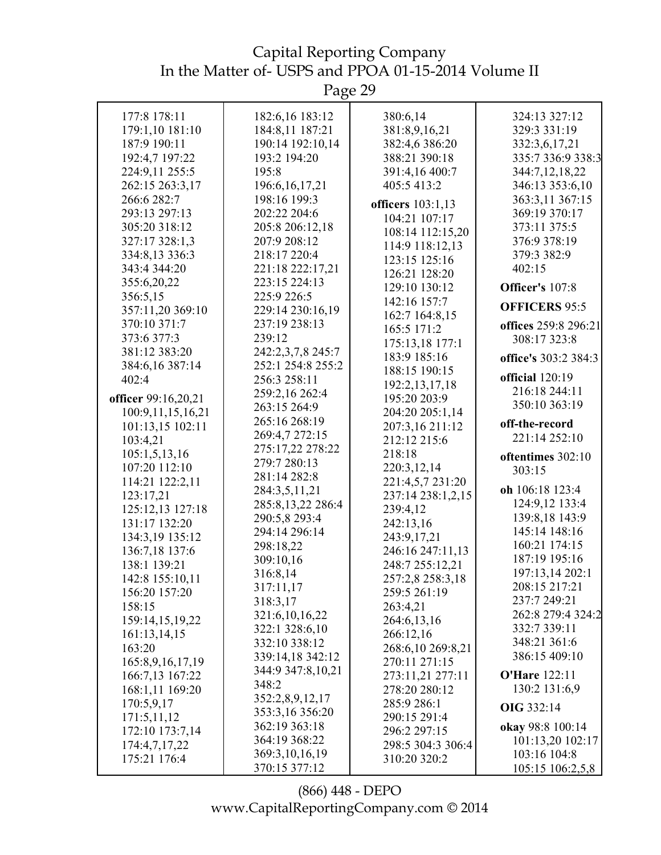Page 29

| 177:8 178:11        | 182:6,16 183:12   | 380:6,14          | 324:13 327:12        |
|---------------------|-------------------|-------------------|----------------------|
| 179:1,10 181:10     | 184:8,11 187:21   | 381:8,9,16,21     | 329:3 331:19         |
| 187:9 190:11        | 190:14 192:10,14  | 382:4,6 386:20    | 332:3,6,17,21        |
| 192:4,7 197:22      | 193:2 194:20      | 388:21 390:18     | 335:7 336:9 338:3    |
| 224:9,11 255:5      | 195:8             | 391:4,16 400:7    | 344:7,12,18,22       |
| 262:15 263:3,17     | 196:6, 16, 17, 21 | 405:5 413:2       | 346:13 353:6,10      |
| 266:6 282:7         | 198:16 199:3      |                   |                      |
|                     |                   | officers 103:1,13 | 363:3,11 367:15      |
| 293:13 297:13       | 202:22 204:6      | 104:21 107:17     | 369:19 370:17        |
| 305:20 318:12       | 205:8 206:12,18   | 108:14 112:15,20  | 373:11 375:5         |
| 327:17 328:1,3      | 207:9 208:12      | 114:9 118:12,13   | 376:9 378:19         |
| 334:8,13 336:3      | 218:17 220:4      | 123:15 125:16     | 379:3 382:9          |
| 343:4 344:20        | 221:18 222:17,21  | 126:21 128:20     | 402:15               |
| 355:6,20,22         | 223:15 224:13     | 129:10 130:12     | Officer's 107:8      |
| 356:5,15            | 225:9 226:5       | 142:16 157:7      |                      |
| 357:11,20 369:10    | 229:14 230:16,19  | 162:7 164:8,15    | <b>OFFICERS 95:5</b> |
| 370:10 371:7        | 237:19 238:13     | 165:5 171:2       | offices 259:8 296:21 |
| 373:6 377:3         | 239:12            | 175:13,18 177:1   | 308:17 323:8         |
| 381:12 383:20       | 242:2,3,7,8 245:7 | 183:9 185:16      | office's 303:2 384:3 |
| 384:6,16 387:14     | 252:1 254:8 255:2 | 188:15 190:15     |                      |
| 402:4               | 256:3 258:11      |                   | official 120:19      |
|                     | 259:2,16 262:4    | 192:2, 13, 17, 18 | 216:18 244:11        |
| officer 99:16,20,21 | 263:15 264:9      | 195:20 203:9      | 350:10 363:19        |
| 100:9,11,15,16,21   | 265:16 268:19     | 204:20 205:1,14   | off-the-record       |
| 101:13,15 102:11    | 269:4,7 272:15    | 207:3,16 211:12   |                      |
| 103:4,21            | 275:17,22 278:22  | 212:12 215:6      | 221:14 252:10        |
| 105:1,5,13,16       | 279:7 280:13      | 218:18            | oftentimes 302:10    |
| 107:20 112:10       | 281:14 282:8      | 220:3,12,14       | 303:15               |
| 114:21 122:2,11     |                   | 221:4,5,7 231:20  | oh 106:18 123:4      |
| 123:17,21           | 284:3,5,11,21     | 237:14 238:1,2,15 | 124:9,12 133:4       |
| 125:12,13 127:18    | 285:8,13,22 286:4 | 239:4,12          |                      |
| 131:17 132:20       | 290:5,8 293:4     | 242:13,16         | 139:8,18 143:9       |
| 134:3,19 135:12     | 294:14 296:14     | 243:9,17,21       | 145:14 148:16        |
| 136:7,18 137:6      | 298:18,22         | 246:16 247:11,13  | 160:21 174:15        |
| 138:1 139:21        | 309:10,16         | 248:7 255:12,21   | 187:19 195:16        |
| 142:8 155:10,11     | 316:8,14          | 257:2,8 258:3,18  | 197:13,14 202:1      |
| 156:20 157:20       | 317:11,17         | 259:5 261:19      | 208:15 217:21        |
| 158:15              | 318:3,17          | 263:4,21          | 237:7 249:21         |
| 159:14,15,19,22     | 321:6,10,16,22    | 264:6,13,16       | 262:8 279:4 324:2    |
| 161:13,14,15        | 322:1 328:6,10    | 266:12,16         | 332:7 339:11         |
| 163:20              | 332:10 338:12     | 268:6,10 269:8,21 | 348:21 361:6         |
|                     | 339:14,18 342:12  | 270:11 271:15     | 386:15 409:10        |
| 165:8,9,16,17,19    | 344:9 347:8,10,21 |                   | <b>O'Hare 122:11</b> |
| 166:7,13 167:22     | 348:2             | 273:11,21 277:11  |                      |
| 168:1,11 169:20     | 352:2,8,9,12,17   | 278:20 280:12     | 130:2 131:6,9        |
| 170:5,9,17          | 353:3,16 356:20   | 285:9 286:1       | <b>OIG 332:14</b>    |
| 171:5,11,12         | 362:19 363:18     | 290:15 291:4      | okay 98:8 100:14     |
| 172:10 173:7,14     | 364:19 368:22     | 296:2 297:15      | 101:13,20 102:17     |
| 174:4,7,17,22       | 369:3, 10, 16, 19 | 298:5 304:3 306:4 | 103:16 104:8         |
| 175:21 176:4        | 370:15 377:12     | 310:20 320:2      | 105:15 106:2,5,8     |
|                     |                   |                   |                      |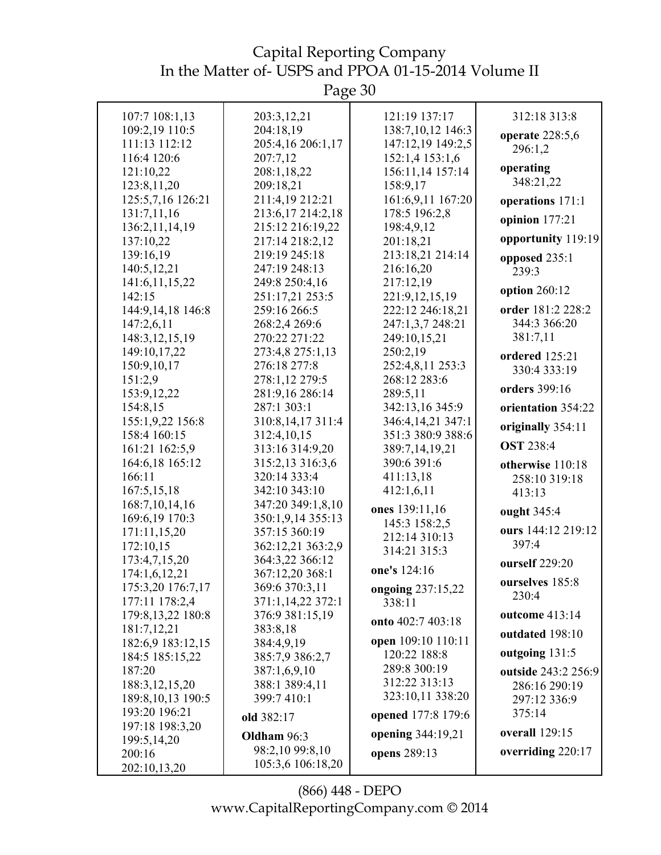Page 30

| 107:7 108:1,13                     | 203:3,12,21                       | 121:19 137:17                | 312:18 313:8                |
|------------------------------------|-----------------------------------|------------------------------|-----------------------------|
| 109:2,19 110:5                     | 204:18,19                         | 138:7,10,12 146:3            | operate 228:5,6             |
| 111:13 112:12                      | 205:4,16 206:1,17                 | 147:12,19 149:2,5            | 296:1,2                     |
| 116:4 120:6                        | 207:7,12                          | 152:1,4 153:1,6              |                             |
| 121:10,22                          | 208:1,18,22                       | 156:11,14 157:14             | operating                   |
| 123:8,11,20                        | 209:18,21                         | 158:9,17                     | 348:21,22                   |
| 125:5,7,16 126:21                  | 211:4,19 212:21                   | 161:6,9,11 167:20            | operations 171:1            |
| 131:7,11,16                        | 213:6,17 214:2,18                 | 178:5 196:2,8                | opinion 177:21              |
| 136:2, 11, 14, 19                  | 215:12 216:19,22                  | 198:4,9,12                   |                             |
| 137:10,22                          | 217:14 218:2,12                   | 201:18,21                    | opportunity 119:19          |
| 139:16,19                          | 219:19 245:18                     | 213:18,21 214:14             | opposed 235:1               |
| 140:5,12,21                        | 247:19 248:13                     | 216:16,20                    | 239:3                       |
| 141:6, 11, 15, 22                  | 249:8 250:4,16                    | 217:12,19                    | option 260:12               |
| 142:15                             | 251:17,21 253:5                   | 221:9,12,15,19               |                             |
| 144:9,14,18 146:8                  | 259:16 266:5                      | 222:12 246:18,21             | order 181:2 228:2           |
| 147:2,6,11                         | 268:2,4 269:6                     | 247:1,3,7 248:21             | 344:3 366:20<br>381:7,11    |
| 148:3, 12, 15, 19                  | 270:22 271:22                     | 249:10,15,21                 |                             |
| 149:10,17,22<br>150:9,10,17        | 273:4,8 275:1,13<br>276:18 277:8  | 250:2,19<br>252:4,8,11 253:3 | ordered 125:21              |
| 151:2,9                            | 278:1,12 279:5                    | 268:12 283:6                 | 330:4 333:19                |
| 153:9, 12, 22                      | 281:9,16 286:14                   | 289:5,11                     | orders 399:16               |
| 154:8,15                           | 287:1 303:1                       | 342:13,16 345:9              | orientation 354:22          |
| 155:1,9,22 156:8                   | 310:8,14,17 311:4                 | 346:4,14,21 347:1            |                             |
| 158:4 160:15                       | 312:4,10,15                       | 351:3 380:9 388:6            | originally 354:11           |
| 161:21 162:5,9                     | 313:16 314:9,20                   | 389:7,14,19,21               | <b>OST 238:4</b>            |
| 164:6,18 165:12                    | 315:2,13 316:3,6                  | 390:6 391:6                  | otherwise 110:18            |
| 166:11                             | 320:14 333:4                      | 411:13,18                    | 258:10 319:18               |
| 167:5,15,18                        | 342:10 343:10                     | 412:1,6,11                   | 413:13                      |
| 168:7, 10, 14, 16                  | 347:20 349:1,8,10                 | ones 139:11,16               | ought 345:4                 |
| 169:6,19 170:3                     | 350:1,9,14 355:13                 | 145:3 158:2,5                |                             |
| 171:11,15,20                       | 357:15 360:19                     | 212:14 310:13                | ours 144:12 219:12<br>397:4 |
| 172:10,15                          | 362:12,21 363:2,9                 | 314:21 315:3                 |                             |
| 173:4,7,15,20                      | 364:3,22 366:12                   | one's 124:16                 | ourself 229:20              |
| 174:1,6,12,21<br>175:3,20 176:7,17 | 367:12,20 368:1<br>369:6 370:3,11 |                              | ourselves 185:8             |
| 177:11 178:2,4                     | 371:1,14,22 372:1                 | ongoing 237:15,22<br>338:11  | 230:4                       |
| 179:8, 13, 22 180:8                | 376:9 381:15,19                   |                              | outcome 413:14              |
| 181:7,12,21                        | 383:8,18                          | onto 402:7 403:18            | outdated 198:10             |
| 182:6,9 183:12,15                  | 384:4,9,19                        | open 109:10 110:11           |                             |
| 184:5 185:15,22                    | 385:7,9 386:2,7                   | 120:22 188:8                 | outgoing 131:5              |
| 187:20                             | 387:1,6,9,10                      | 289:8 300:19                 | outside 243:2 256:9         |
| 188:3, 12, 15, 20                  | 388:1 389:4,11                    | 312:22 313:13                | 286:16 290:19               |
| 189:8, 10, 13 190:5                | 399:7 410:1                       | 323:10,11 338:20             | 297:12 336:9                |
| 193:20 196:21                      | old 382:17                        | opened 177:8 179:6           | 375:14                      |
| 197:18 198:3,20                    | Oldham 96:3                       | opening 344:19,21            | <b>overall</b> 129:15       |
| 199:5,14,20                        | 98:2,10 99:8,10                   |                              | overriding 220:17           |
| 200:16                             | 105:3,6 106:18,20                 | opens 289:13                 |                             |
| 202:10,13,20                       |                                   |                              |                             |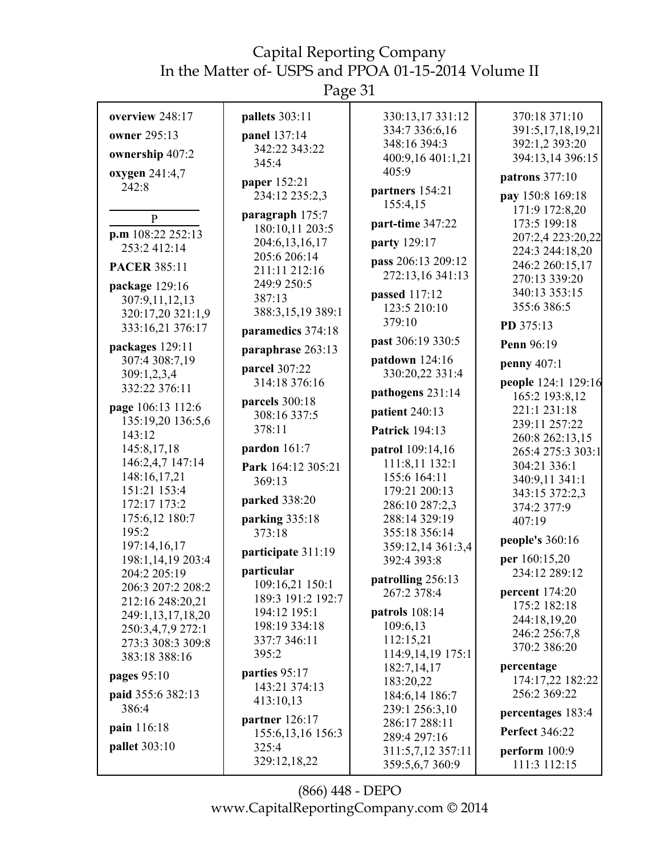Page 31

| overview 248:17       | pallets 303:11                     | 330:13,17 331:12                   | 370:18 371:10                         |
|-----------------------|------------------------------------|------------------------------------|---------------------------------------|
| owner 295:13          | panel 137:14                       | 334:7 336:6,16                     | 391:5,17,18,19,21                     |
|                       | 342:22 343:22                      | 348:16 394:3                       | 392:1,2 393:20                        |
| ownership 407:2       | 345:4                              | 400:9,16 401:1,21                  | 394:13,14 396:15                      |
| oxygen 241:4,7        | paper 152:21                       | 405:9                              | patrons 377:10                        |
| 242:8                 | 234:12 235:2,3                     | partners 154:21                    | pay 150:8 169:18                      |
|                       |                                    | 155:4,15                           | 171:9 172:8,20                        |
| $\mathbf{P}$          | paragraph 175:7<br>180:10,11 203:5 | part-time 347:22                   | 173:5 199:18                          |
| $p.m$ 108:22 252:13   | 204:6,13,16,17                     | party 129:17                       | 207:2,4 223:20,22                     |
| 253:2412:14           | 205:6 206:14                       |                                    | 224:3 244:18.20                       |
| <b>PACER 385:11</b>   | 211:11 212:16                      | pass 206:13 209:12                 | 246:2 260:15,17                       |
| package 129:16        | 249:9 250:5                        | 272:13,16 341:13                   | 270:13 339:20                         |
| 307:9,11,12,13        | 387:13                             | passed 117:12                      | 340:13 353:15                         |
| 320:17,20 321:1,9     | 388:3,15,19 389:1                  | 123:5 210:10                       | 355:6 386:5                           |
| 333:16,21 376:17      | paramedics 374:18                  | 379:10                             | PD 375:13                             |
| packages 129:11       | paraphrase 263:13                  | past 306:19 330:5                  | Penn 96:19                            |
| 307:4 308:7,19        |                                    | patdown 124:16                     | penny 407:1                           |
| 309:1,2,3,4           | parcel 307:22                      | 330:20,22 331:4                    |                                       |
| 332:22 376:11         | 314:18 376:16                      | pathogens 231:14                   | people 124:1 129:16<br>165:2 193:8,12 |
| page 106:13 112:6     | parcels 300:18                     |                                    | 221:1 231:18                          |
| 135:19,20 136:5,6     | 308:16 337:5                       | patient 240:13                     | 239:11 257:22                         |
| 143:12                | 378:11                             | <b>Patrick 194:13</b>              | 260:8 262:13,15                       |
| 145:8,17,18           | pardon 161:7                       | patrol 109:14,16                   | 265:4 275:3 303:1                     |
| 146:2,4,7 147:14      | Park 164:12 305:21                 | 111:8,11 132:1                     | 304:21 336:1                          |
| 148:16,17,21          | 369:13                             | 155:6 164:11                       | 340:9,11 341:1                        |
| 151:21 153:4          | parked 338:20                      | 179:21 200:13                      | 343:15 372:2,3                        |
| 172:17 173:2          |                                    | 286:10 287:2,3                     | 374:2 377:9                           |
| 175:6,12 180:7        | parking 335:18                     | 288:14 329:19                      | 407:19                                |
| 195:2<br>197:14,16,17 | 373:18                             | 355:18 356:14<br>359:12,14 361:3,4 | people's 360:16                       |
| 198:1,14,19 203:4     | participate 311:19                 | 392:4 393:8                        | per 160:15,20                         |
| 204:2 205:19          | particular                         |                                    | 234:12 289:12                         |
| 206:3 207:2 208:2     | 109:16,21 150:1                    | patrolling 256:13                  |                                       |
| 212:16 248:20,21      | 189:3 191:2 192:7                  | 267:2 378:4                        | percent $174:20$<br>175:2 182:18      |
| 249:1,13,17,18,20     | 194:12 195:1                       | patrols 108:14                     | 244:18,19,20                          |
| 250:3,4,7,9 272:1     | 198:19 334:18                      | 109:6,13                           | 246:2 256:7,8                         |
| 273:3 308:3 309:8     | 337:7 346:11                       | 112:15,21                          | 370:2 386:20                          |
| 383:18 388:16         | 395:2                              | 114:9,14,19 175:1                  | percentage                            |
| pages 95:10           | parties 95:17                      | 182:7,14,17<br>183:20,22           | 174:17,22 182:22                      |
| paid 355:6 382:13     | 143:21 374:13                      | 184:6,14 186:7                     | 256:2 369:22                          |
| 386:4                 | 413:10,13                          | 239:1 256:3,10                     |                                       |
| pain 116:18           | partner 126:17                     | 286:17 288:11                      | percentages 183:4                     |
|                       | 155:6, 13, 16 156:3                | 289:4 297:16                       | <b>Perfect 346:22</b>                 |
| <b>pallet</b> 303:10  | 325:4                              | 311:5,7,12 357:11                  | perform $100:9$                       |
|                       | 329:12,18,22                       | 359:5,6,7 360:9                    | 111:3 112:15                          |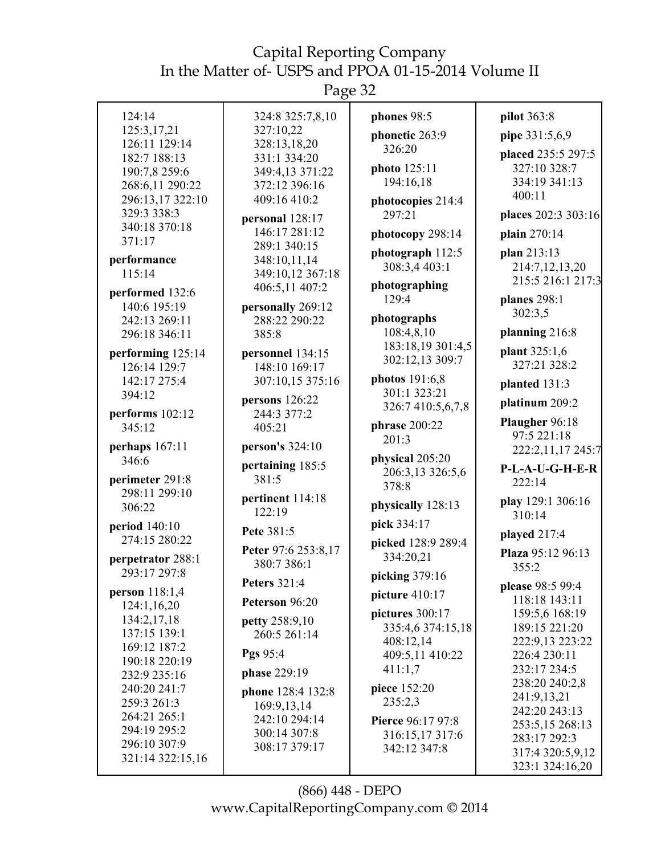Page 32

| 124:14                            | 324:8 325:7,8,10                 |                                 |                                     |
|-----------------------------------|----------------------------------|---------------------------------|-------------------------------------|
| 125:3,17,21                       | 327:10,22                        | phones 98:5                     | pilot 363:8                         |
| 126:11 129:14                     | 328:13,18,20                     | phonetic 263:9                  | pipe 331:5,6,9                      |
| 182:7 188:13                      | 331:1 334:20                     | 326:20                          | placed 235:5 297:5                  |
| 190:7,8 259:6                     | 349:4,13 371:22                  | photo 125:11                    | 327:10 328:7                        |
| 268:6,11 290:22                   | 372:12 396:16                    | 194:16,18                       | 334:19 341:13                       |
| 296:13,17 322:10                  | 409:16 410:2                     | photocopies 214:4               | 400:11                              |
| 329:3 338:3                       |                                  | 297:21                          | places 202:3 303:16                 |
| 340:18 370:18                     | personal 128:17                  |                                 |                                     |
| 371:17                            | 146:17 281:12<br>289:1 340:15    | photocopy 298:14                | plain 270:14                        |
| performance                       | 348:10,11,14                     | photograph 112:5                | plan 213:13                         |
| 115:14                            | 349:10,12 367:18                 | 308:3,4 403:1                   | 214:7,12,13,20                      |
|                                   | 406:5,11 407:2                   | photographing                   | 215:5 216:1 217:3                   |
| performed 132:6                   |                                  | 129:4                           | planes 298:1                        |
| 140:6 195:19                      | personally 269:12                |                                 | 302:3,5                             |
| 242:13 269:11                     | 288:22 290:22                    | photographs                     |                                     |
| 296:18 346:11                     | 385:8                            | 108:4,8,10<br>183:18,19 301:4,5 | planning 216:8                      |
| performing 125:14                 | personnel 134:15                 | 302:12,13 309:7                 | plant 325:1,6                       |
| 126:14 129:7                      | 148:10 169:17                    |                                 | 327:21 328:2                        |
| 142:17 275:4                      | 307:10,15 375:16                 | photos 191:6,8                  | planted 131:3                       |
| 394:12                            | persons 126:22                   | 301:1 323:21                    | platinum 209:2                      |
| performs 102:12                   | 244:3 377:2                      | 326:7 410:5,6,7,8               |                                     |
| 345:12                            | 405:21                           | phrase 200:22                   | Plaugher 96:18                      |
| perhaps 167:11                    | person's 324:10                  | 201:3                           | 97:5 221:18                         |
|                                   |                                  |                                 |                                     |
|                                   |                                  |                                 | 222:2,11,17 245:7                   |
| 346:6                             | pertaining 185:5                 | physical 205:20                 | P-L-A-U-G-H-E-R                     |
| perimeter 291:8                   | 381:5                            | 206:3,13 326:5,6<br>378:8       | 222:14                              |
| 298:11 299:10                     | pertinent 114:18                 |                                 | play 129:1 306:16                   |
| 306:22                            | 122:19                           | physically 128:13               | 310:14                              |
| period 140:10                     | Pete 381:5                       | pick 334:17                     |                                     |
| 274:15 280:22                     |                                  | picked 128:9 289:4              | played 217:4                        |
|                                   | Peter 97:6 253:8,17              | 334:20,21                       | Plaza 95:12 96:13                   |
| perpetrator 288:1<br>293:17 297:8 | 380:7 386:1                      |                                 | 355:2                               |
|                                   | <b>Peters</b> 321:4              | picking 379:16                  | please 98:5 99:4                    |
| person 118:1,4                    | Peterson 96:20                   | picture 410:17                  | 118:18 143:11                       |
| 124:1,16,20                       |                                  | pictures 300:17                 | 159:5,6 168:19                      |
| 134:2,17,18<br>137:15 139:1       | petty 258:9,10                   | 335:4,6 374:15,18               | 189:15 221:20                       |
| 169:12 187:2                      | 260:5 261:14                     | 408:12,14                       | 222:9,13 223:22                     |
| 190:18 220:19                     | Pgs 95:4                         | 409:5,11 410:22                 | 226:4 230:11                        |
| 232:9 235:16                      | phase 229:19                     | 411:1,7                         | 232:17 234:5                        |
| 240:20 241:7                      |                                  | piece 152:20                    | 238:20 240:2,8                      |
| 259:3 261:3                       | phone 128:4 132:8<br>169:9,13,14 | 235:2,3                         | 241:9,13,21                         |
| 264:21 265:1                      | 242:10 294:14                    | Pierce 96:17 97:8               | 242:20 243:13                       |
| 294:19 295:2                      | 300:14 307:8                     |                                 | 253:5,15 268:13                     |
| 296:10 307:9                      | 308:17 379:17                    | 316:15,17 317:6<br>342:12 347:8 | 283:17 292:3                        |
| 321:14 322:15,16                  |                                  |                                 | 317:4 320:5,9,12<br>323:1 324:16,20 |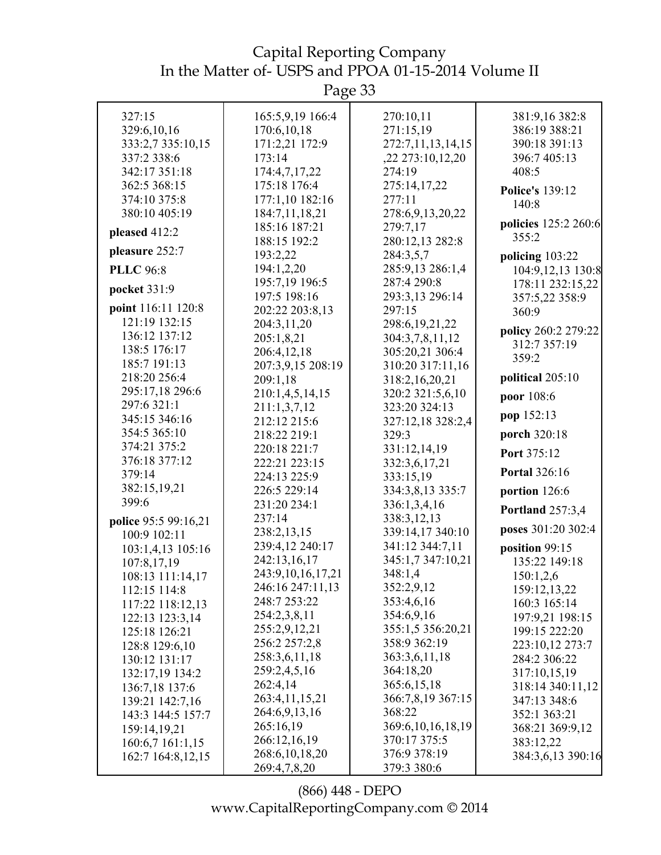Page 33

| 327:15                          | 165:5,9,19 166:4       | 270:10,11                   | 381:9,16 382:8          |
|---------------------------------|------------------------|-----------------------------|-------------------------|
| 329:6,10,16                     | 170:6,10,18            | 271:15,19                   | 386:19 388:21           |
| 333:2,7 335:10,15               | 171:2,21 172:9         | 272:7,11,13,14,15           | 390:18 391:13           |
| 337:2 338:6                     | 173:14                 | ,22 273:10,12,20            | 396:7 405:13            |
| 342:17 351:18                   | 174:4,7,17,22          | 274:19                      | 408:5                   |
| 362:5 368:15                    | 175:18 176:4           | 275:14,17,22                | <b>Police's 139:12</b>  |
| 374:10 375:8                    | 177:1,10 182:16        | 277:11                      | 140:8                   |
| 380:10 405:19                   | 184:7,11,18,21         | 278:6,9,13,20,22            |                         |
| pleased 412:2                   | 185:16 187:21          | 279:7,17                    | policies 125:2 260:6    |
|                                 | 188:15 192:2           | 280:12,13 282:8             | 355:2                   |
| pleasure 252:7                  | 193:2,22               | 284:3,5,7                   | policing 103:22         |
| <b>PLLC</b> 96:8                | 194:1,2,20             | 285:9,13 286:1,4            | 104:9,12,13 130:8       |
| pocket 331:9                    | 195:7,19 196:5         | 287:4 290:8                 | 178:11 232:15,22        |
|                                 | 197:5 198:16           | 293:3,13 296:14             | 357:5,22 358:9          |
| point 116:11 120:8              | 202:22 203:8,13        | 297:15                      | 360:9                   |
| 121:19 132:15                   | 204:3,11,20            | 298:6, 19, 21, 22           | policy 260:2 279:22     |
| 136:12 137:12                   | 205:1,8,21             | 304:3,7,8,11,12             | 312:7 357:19            |
| 138:5 176:17                    | 206:4,12,18            | 305:20,21 306:4             | 359:2                   |
| 185:7 191:13                    | 207:3,9,15 208:19      | 310:20 317:11,16            |                         |
| 218:20 256:4                    | 209:1,18               | 318:2,16,20,21              | political 205:10        |
| 295:17,18 296:6                 | 210:1,4,5,14,15        | 320:2 321:5,6,10            | poor 108:6              |
| 297:6 321:1                     | 211:1,3,7,12           | 323:20 324:13               | pop 152:13              |
| 345:15 346:16                   | 212:12 215:6           | 327:12,18 328:2,4           |                         |
| 354:5 365:10                    | 218:22 219:1           | 329:3                       | porch 320:18            |
| 374:21 375:2                    | 220:18 221:7           | 331:12,14,19                | Port 375:12             |
| 376:18 377:12                   | 222:21 223:15          | 332:3,6,17,21               | <b>Portal 326:16</b>    |
| 379:14                          | 224:13 225:9           | 333:15,19                   |                         |
| 382:15,19,21<br>399:6           | 226:5 229:14           | 334:3,8,13 335:7            | portion 126:6           |
|                                 | 231:20 234:1<br>237:14 | 336:1,3,4,16<br>338:3,12,13 | <b>Portland</b> 257:3,4 |
| police 95:5 99:16,21            | 238:2,13,15            | 339:14,17 340:10            | poses 301:20 302:4      |
| 100:9 102:11                    | 239:4,12 240:17        | 341:12 344:7,11             | position 99:15          |
| 103:1,4,13 105:16               | 242:13,16,17           | 345:1,7 347:10,21           | 135:22 149:18           |
| 107:8,17,19<br>108:13 111:14,17 | 243:9,10,16,17,21      | 348:1,4                     | 150:1,2,6               |
| 112:15 114:8                    | 246:16 247:11,13       | 352:2,9,12                  | 159:12,13,22            |
| 117:22 118:12,13                | 248:7 253:22           | 353:4,6,16                  | 160:3 165:14            |
| 122:13 123:3,14                 | 254:2,3,8,11           | 354:6,9,16                  | 197:9,21 198:15         |
| 125:18 126:21                   | 255:2,9,12,21          | 355:1,5 356:20,21           | 199:15 222:20           |
| 128:8 129:6,10                  | 256:2 257:2,8          | 358:9 362:19                | 223:10,12 273:7         |
| 130:12 131:17                   | 258:3,6,11,18          | 363:3,6,11,18               | 284:2 306:22            |
| 132:17,19 134:2                 | 259:2,4,5,16           | 364:18,20                   | 317:10,15,19            |
| 136:7,18 137:6                  | 262:4,14               | 365:6,15,18                 | 318:14 340:11,12        |
| 139:21 142:7,16                 | 263:4,11,15,21         | 366:7,8,19 367:15           | 347:13 348:6            |
| 143:3 144:5 157:7               | 264:6,9,13,16          | 368:22                      | 352:1 363:21            |
| 159:14,19,21                    | 265:16,19              | 369:6, 10, 16, 18, 19       | 368:21 369:9,12         |
| 160:6,7 161:1,15                | 266:12,16,19           | 370:17 375:5                | 383:12,22               |
| 162:7 164:8,12,15               | 268:6, 10, 18, 20      | 376:9 378:19                | 384:3,6,13 390:16       |
|                                 | 269:4,7,8,20           | 379:3 380:6                 |                         |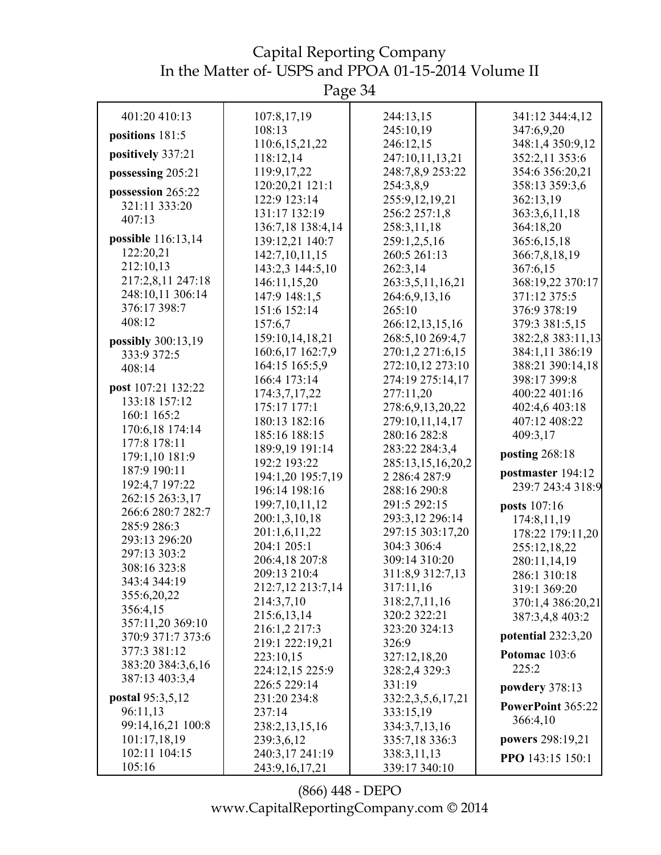| 401:20 410:13                    | 107:8,17,19                   | 244:13,15                       | 341:12 344:4,12                 |
|----------------------------------|-------------------------------|---------------------------------|---------------------------------|
| positions 181:5                  | 108:13                        | 245:10,19                       | 347:6,9,20                      |
|                                  | 110:6,15,21,22                | 246:12,15                       | 348:1,4 350:9,12                |
| positively 337:21                | 118:12,14                     | 247:10,11,13,21                 | 352:2,11 353:6                  |
| possessing 205:21                | 119:9,17,22                   | 248:7,8,9 253:22                | 354:6 356:20,21                 |
| possession 265:22                | 120:20,21 121:1               | 254:3,8,9                       | 358:13 359:3,6                  |
| 321:11 333:20                    | 122:9 123:14                  | 255:9,12,19,21                  | 362:13,19                       |
| 407:13                           | 131:17 132:19                 | 256:2 257:1,8                   | 363:3,6,11,18                   |
|                                  | 136:7,18 138:4,14             | 258:3,11,18                     | 364:18,20                       |
| possible 116:13,14               | 139:12,21 140:7               | 259:1,2,5,16                    | 365:6,15,18                     |
| 122:20,21                        | 142:7,10,11,15                | 260:5 261:13                    | 366:7,8,18,19                   |
| 212:10,13                        | 143:2,3 144:5,10              | 262:3,14                        | 367:6,15                        |
| 217:2,8,11 247:18                | 146:11,15,20                  | 263:3,5,11,16,21                | 368:19,22 370:17                |
| 248:10,11 306:14<br>376:17 398:7 | 147:9 148:1,5                 | 264:6,9,13,16                   | 371:12 375:5                    |
| 408:12                           | 151:6 152:14                  | 265:10                          | 376:9 378:19                    |
|                                  | 157:6,7                       | 266:12,13,15,16                 | 379:3 381:5,15                  |
| possibly 300:13,19               | 159:10,14,18,21               | 268:5,10 269:4,7                | 382:2,8 383:11,13               |
| 333:9 372:5                      | 160:6,17 162:7,9              | 270:1,2 271:6,15                | 384:1,11 386:19                 |
| 408:14                           | 164:15 165:5,9                | 272:10,12 273:10                | 388:21 390:14,18                |
| post 107:21 132:22               | 166:4 173:14                  | 274:19 275:14,17                | 398:17 399:8                    |
| 133:18 157:12                    | 174:3,7,17,22                 | 277:11,20                       | 400:22 401:16                   |
| 160:1 165:2                      | 175:17 177:1<br>180:13 182:16 | 278:6,9,13,20,22                | 402:4,6 403:18<br>407:12 408:22 |
| 170:6,18 174:14                  | 185:16 188:15                 | 279:10,11,14,17<br>280:16 282:8 | 409:3,17                        |
| 177:8 178:11                     | 189:9,19 191:14               | 283:22 284:3,4                  |                                 |
| 179:1,10 181:9                   | 192:2 193:22                  | 285:13,15,16,20,2               | posting 268:18                  |
| 187:9 190:11                     | 194:1,20 195:7,19             | 2 286:4 287:9                   | postmaster 194:12               |
| 192:4,7 197:22                   | 196:14 198:16                 | 288:16 290:8                    | 239:7 243:4 318:9               |
| 262:15 263:3,17                  | 199:7,10,11,12                | 291:5 292:15                    | posts 107:16                    |
| 266:6 280:7 282:7                | 200:1,3,10,18                 | 293:3,12 296:14                 | 174:8,11,19                     |
| 285:9 286:3                      | 201:1,6,11,22                 | 297:15 303:17,20                | 178:22 179:11,20                |
| 293:13 296:20                    | 204:1 205:1                   | 304:3 306:4                     | 255:12,18,22                    |
| 297:13 303:2                     | 206:4,18 207:8                | 309:14 310:20                   | 280:11,14,19                    |
| 308:16 323:8                     | 209:13 210:4                  | 311:8,9 312:7,13                | 286:1 310:18                    |
| 343:4 344:19                     | 212:7,12 213:7,14             | 317:11,16                       | 319:1 369:20                    |
| 355:6,20,22                      | 214:3,7,10                    | 318:2,7,11,16                   | 370:1,4 386:20,21               |
| 356:4,15                         | 215:6,13,14                   | 320:2 322:21                    | 387:3,4,8 403:2                 |
| 357:11,20 369:10                 | 216:1,2 217:3                 | 323:20 324:13                   |                                 |
| 370:9 371:7 373:6                | 219:1 222:19,21               | 326:9                           | potential $232:3,20$            |
| 377:3 381:12                     | 223:10,15                     | 327:12,18,20                    | Potomac 103:6                   |
| 383:20 384:3,6,16                | 224:12,15 225:9               | 328:2,4 329:3                   | 225:2                           |
| 387:13 403:3,4                   | 226:5 229:14                  | 331:19                          | powdery 378:13                  |
| postal 95:3,5,12                 | 231:20 234:8                  | 332:2,3,5,6,17,21               |                                 |
| 96:11,13                         | 237:14                        | 333:15,19                       | PowerPoint 365:22               |
| 99:14,16,21 100:8                | 238:2,13,15,16                | 334:3,7,13,16                   | 366:4,10                        |
| 101:17,18,19                     | 239:3,6,12                    | 335:7,18 336:3                  | powers 298:19,21                |
| 102:11 104:15                    | 240:3,17 241:19               | 338:3,11,13                     | PPO 143:15 150:1                |
| 105:16                           | 243:9, 16, 17, 21             | 339:17 340:10                   |                                 |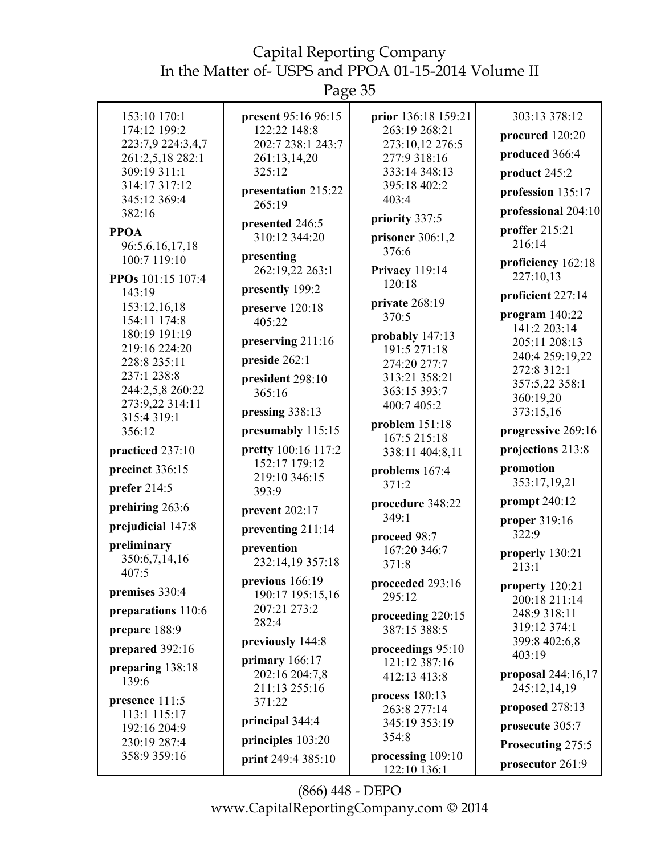Page 35

| 153:10 170:1                    | present 95:16 96:15    | prior 136:18 159:21             | 303:13 378:12            |
|---------------------------------|------------------------|---------------------------------|--------------------------|
| 174:12 199:2                    | 122:22 148:8           | 263:19 268:21                   | procured 120:20          |
| 223:7,9 224:3,4,7               | 202:7 238:1 243:7      | 273:10,12 276:5                 |                          |
| 261:2,5,18 282:1                | 261:13,14,20           | 277:9 318:16                    | produced 366:4           |
| 309:19 311:1                    | 325:12                 | 333:14 348:13                   | product 245:2            |
| 314:17 317:12                   | presentation 215:22    | 395:18 402:2                    | profession 135:17        |
| 345:12 369:4<br>382:16          | 265:19                 | 403:4                           | professional 204:10      |
|                                 | presented 246:5        | priority 337:5                  |                          |
| <b>PPOA</b>                     | 310:12 344:20          | prisoner $306:1,2$              | proffer 215:21<br>216:14 |
| 96:5,6,16,17,18<br>100:7 119:10 | presenting             | 376:6                           |                          |
|                                 | 262:19,22 263:1        | <b>Privacy</b> 119:14           | proficiency 162:18       |
| PPOs 101:15 107:4               | presently 199:2        | 120:18                          | 227:10,13                |
| 143:19                          |                        | private 268:19                  | proficient 227:14        |
| 153:12,16,18                    | preserve 120:18        | 370:5                           | program $140:22$         |
| 154:11 174:8<br>180:19 191:19   | 405:22                 |                                 | 141:2 203:14             |
| 219:16 224:20                   | preserving 211:16      | probably 147:13<br>191:5 271:18 | 205:11 208:13            |
| 228:8 235:11                    | preside 262:1          | 274:20 277:7                    | 240:4 259:19,22          |
| 237:1 238:8                     | president 298:10       | 313:21 358:21                   | 272:8 312:1              |
| 244:2,5,8 260:22                | 365:16                 | 363:15 393:7                    | 357:5,22 358:1           |
| 273:9,22 314:11                 |                        | 400:7 405:2                     | 360:19,20                |
| 315:4319:1                      | pressing 338:13        | problem $151:18$                | 373:15,16                |
| 356:12                          | presumably 115:15      | 167:5 215:18                    | progressive 269:16       |
| practiced 237:10                | pretty 100:16 117:2    | 338:11 404:8,11                 | projections 213:8        |
| precinct 336:15                 | 152:17 179:12          | problems 167:4                  | promotion                |
| prefer 214:5                    | 219:10 346:15<br>393:9 | 371:2                           | 353:17,19,21             |
| prehiring 263:6                 | prevent 202:17         | procedure 348:22                | prompt 240:12            |
|                                 |                        | 349:1                           | proper 319:16            |
| prejudicial 147:8               | preventing 211:14      | proceed 98:7                    | 322:9                    |
| preliminary                     | prevention             | 167:20 346:7                    | properly 130:21          |
| 350:6,7,14,16<br>407:5          | 232:14,19 357:18       | 371:8                           | 213:1                    |
|                                 | previous 166:19        | proceeded 293:16                | property 120:21          |
| premises 330:4                  | 190:17 195:15,16       | 295:12                          | 200:18 211:14            |
| preparations 110:6              | 207:21 273:2           | proceeding 220:15               | 248:9 318:11             |
| prepare 188:9                   | 282:4                  | 387:15 388:5                    | 319:12 374:1             |
| prepared 392:16                 | previously 144:8       | proceedings 95:10               | 399:8 402:6,8            |
|                                 | primary $166:17$       | 121:12 387:16                   | 403:19                   |
| preparing 138:18<br>139:6       | 202:16 204:7,8         | 412:13 413:8                    | proposal 244:16,17       |
|                                 | 211:13 255:16          | process $180:13$                | 245:12,14,19             |
| presence 111:5                  | 371:22                 | 263:8 277:14                    | proposed 278:13          |
| 113:1 115:17<br>192:16 204:9    | principal 344:4        | 345:19 353:19                   | prosecute 305:7          |
| 230:19 287:4                    | principles 103:20      | 354:8                           | Prosecuting 275:5        |
| 358:9 359:16                    | print 249:4 385:10     | processing 109:10               |                          |
|                                 |                        | 122:10 136:1                    | prosecutor 261:9         |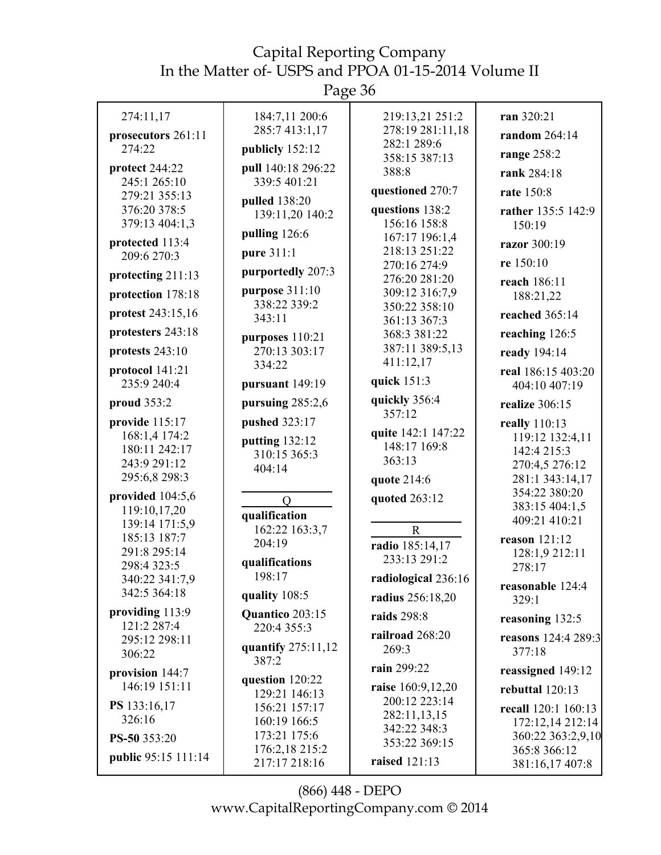Page 36

| 274:11,17                                                                         | 184:7,11 200:6<br>285:7 413:1,17                          | 219:13,21 251:2<br>278:19 281:11,18                         | ran 320:21                                                                           |
|-----------------------------------------------------------------------------------|-----------------------------------------------------------|-------------------------------------------------------------|--------------------------------------------------------------------------------------|
| prosecutors 261:11<br>274:22                                                      | publicly 152:12                                           | 282:1 289:6                                                 | random 264:14                                                                        |
|                                                                                   |                                                           | 358:15 387:13                                               | range 258:2                                                                          |
| protect 244:22<br>245:1 265:10                                                    | pull 140:18 296:22<br>339:5 401:21                        | 388:8                                                       | rank 284:18                                                                          |
| 279:21 355:13                                                                     |                                                           | questioned 270:7                                            | rate 150:8                                                                           |
| 376:20 378:5<br>379:13 404:1,3                                                    | pulled 138:20<br>139:11,20 140:2                          | questions 138:2<br>156:16 158:8                             | rather 135:5 142:9<br>150:19                                                         |
|                                                                                   | pulling 126:6                                             | 167:17 196:1,4                                              |                                                                                      |
| protected 113:4<br>209:6 270:3                                                    | pure 311:1                                                | 218:13 251:22                                               | razor 300:19<br>re 150:10                                                            |
| protecting 211:13                                                                 | purportedly 207:3                                         | 270:16 274:9<br>276:20 281:20                               |                                                                                      |
| protection 178:18                                                                 | purpose 311:10                                            | 309:12 316:7,9                                              | reach 186:11<br>188:21,22                                                            |
| protest 243:15,16                                                                 | 338:22 339:2                                              | 350:22 358:10                                               | reached $365:14$                                                                     |
|                                                                                   | 343:11                                                    | 361:13 367:3                                                |                                                                                      |
| protesters 243:18                                                                 | purposes 110:21                                           | 368:3 381:22                                                | reaching 126:5                                                                       |
| protests 243:10                                                                   | 270:13 303:17                                             | 387:11 389:5,13<br>411:12,17                                | ready 194:14                                                                         |
| protocol 141:21                                                                   | 334:22                                                    |                                                             | real 186:15 403:20                                                                   |
| 235:9 240:4                                                                       | pursuant 149:19                                           | quick 151:3                                                 | 404:10 407:19                                                                        |
| proud 353:2                                                                       | pursuing 285:2,6                                          | quickly 356:4<br>357:12                                     | realize 306:15                                                                       |
| provide 115:17<br>168:1,4 174:2<br>180:11 242:17<br>243:9 291:12<br>295:6,8 298:3 | pushed 323:17<br>putting 132:12<br>310:15 365:3<br>404:14 | quite 142:1 147:22<br>148:17 169:8<br>363:13<br>quote 214:6 | really 110:13<br>119:12 132:4,11<br>142:4 215:3<br>270:4,5 276:12<br>281:1 343:14,17 |
| provided 104:5,6<br>119:10,17,20<br>139:14 171:5,9                                | $\overline{O}$<br>qualification<br>162:22 163:3,7         | quoted 263:12<br>$\mathbf R$                                | 354:22 380:20<br>383:15 404:1,5<br>409:21 410:21                                     |
| 185:13 187:7<br>291:8 295:14<br>298:4 323:5                                       | 204:19<br>qualifications<br>198:17                        | radio 185:14,17<br>233:13 291:2                             | reason 121:12<br>128:1,9 212:11<br>278:17                                            |
| 340:22 341:7,9<br>342:5 364:18                                                    | quality 108:5                                             | radiological 236:16                                         | reasonable 124:4                                                                     |
| providing 113:9                                                                   |                                                           | radius 256:18,20                                            | 329:1                                                                                |
| 121:2 287:4                                                                       | Quantico 203:15<br>220:4 355:3                            | raids 298:8                                                 | reasoning 132:5                                                                      |
| 295:12 298:11<br>306:22                                                           | quantify 275:11,12                                        | railroad 268:20<br>269:3                                    | reasons 124:4 289:3<br>377:18                                                        |
| provision 144:7                                                                   | 387:2                                                     | rain 299:22                                                 | reassigned 149:12                                                                    |
| 146:19 151:11                                                                     | question 120:22                                           | raise 160:9,12,20                                           | rebuttal $120:13$                                                                    |
| PS 133:16,17                                                                      | 129:21 146:13                                             | 200:12 223:14                                               |                                                                                      |
| 326:16                                                                            | 156:21 157:17<br>160:19 166:5                             | 282:11,13,15                                                | recall 120:1 160:13                                                                  |
|                                                                                   | 173:21 175:6                                              | 342:22 348:3                                                | 172:12,14 212:14<br>360:22 363:2,9,10                                                |
| PS-50 353:20                                                                      | 176:2,18 215:2                                            | 353:22 369:15                                               | 365:8 366:12                                                                         |
| public 95:15 111:14                                                               | 217:17 218:16                                             | raised 121:13                                               | 381:16,17 407:8                                                                      |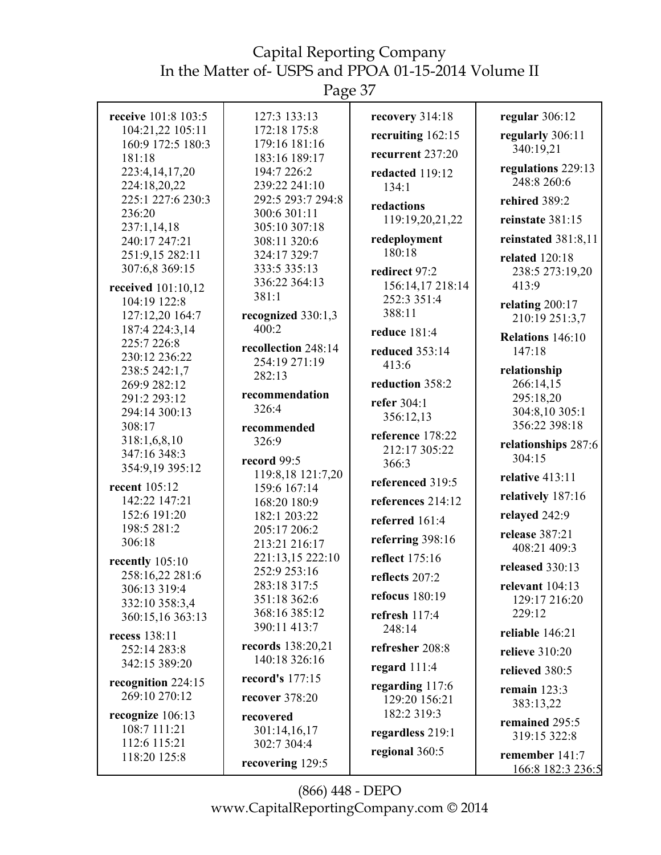Page 37

| receive 101:8 103:5                 | 127:3 133:13                     | recovery 314:18                   | regular 306:12          |
|-------------------------------------|----------------------------------|-----------------------------------|-------------------------|
| 104:21,22 105:11                    | 172:18 175:8                     | recruiting 162:15                 | regularly 306:11        |
| 160:9 172:5 180:3<br>181:18         | 179:16 181:16<br>183:16 189:17   | recurrent 237:20                  | 340:19,21               |
| 223:4,14,17,20                      | 194:7 226:2                      | redacted 119:12                   | regulations 229:13      |
| 224:18,20,22                        | 239:22 241:10                    | 134:1                             | 248:8 260:6             |
| 225:1 227:6 230:3                   | 292:5 293:7 294:8                | redactions                        | rehired 389:2           |
| 236:20                              | 300:6 301:11                     | 119:19,20,21,22                   | reinstate 381:15        |
| 237:1,14,18                         | 305:10 307:18                    |                                   |                         |
| 240:17 247:21                       | 308:11 320:6                     | redeployment                      | reinstated 381:8,11     |
| 251:9,15 282:11                     | 324:17 329:7                     | 180:18                            | <b>related</b> 120:18   |
| 307:6,8 369:15                      | 333:5 335:13                     | redirect 97:2                     | 238:5 273:19,20         |
| received 101:10,12                  | 336:22 364:13<br>381:1           | 156:14,17 218:14                  | 413:9                   |
| 104:19 122:8                        |                                  | 252:3 351:4<br>388:11             | relating 200:17         |
| 127:12,20 164:7                     | recognized 330:1,3               |                                   | 210:19 251:3,7          |
| 187:4 224:3,14<br>225:7 226:8       | 400:2                            | reduce 181:4                      | <b>Relations</b> 146:10 |
| 230:12 236:22                       | recollection 248:14              | <b>reduced</b> 353:14             | 147:18                  |
| 238:5 242:1,7                       | 254:19 271:19                    | 413:6                             | relationship            |
| 269:9 282:12                        | 282:13                           | reduction 358:2                   | 266:14,15               |
| 291:2 293:12                        | recommendation                   | refer 304:1                       | 295:18,20               |
| 294:14 300:13                       | 326:4                            | 356:12,13                         | 304:8,10 305:1          |
| 308:17                              | recommended                      |                                   | 356:22 398:18           |
| 318:1,6,8,10                        | 326:9                            | reference 178:22<br>212:17 305:22 | relationships 287:6     |
| 347:16 348:3                        | record 99:5                      | 366:3                             | 304:15                  |
| 354:9,19 395:12                     | 119:8,18 121:7,20                |                                   | relative 413:11         |
| recent 105:12                       | 159:6 167:14                     | referenced 319:5                  |                         |
| 142:22 147:21                       | 168:20 180:9                     | references 214:12                 | relatively 187:16       |
| 152:6 191:20                        | 182:1 203:22                     | referred 161:4                    | relayed 242:9           |
| 198:5 281:2<br>306:18               | 205:17 206:2                     | referring $398:16$                | release 387:21          |
|                                     | 213:21 216:17                    | reflect 175:16                    | 408:21 409:3            |
| recently 105:10                     | 221:13,15 222:10<br>252:9 253:16 |                                   | released 330:13         |
| 258:16,22 281:6<br>306:13 319:4     | 283:18 317:5                     | reflects 207:2                    | relevant 104:13         |
| 332:10 358:3,4                      | 351:18 362:6                     | refocus 180:19                    | 129:17 216:20           |
| 360:15,16 363:13                    | 368:16 385:12                    | refresh $117:4$                   | 229:12                  |
|                                     | 390:11 413:7                     | 248:14                            | reliable 146:21         |
| recess 138:11<br>252:14 283:8       | records 138:20,21                | refresher 208:8                   |                         |
| 342:15 389:20                       | 140:18 326:16                    |                                   | relieve 310:20          |
|                                     | record's 177:15                  | regard 111:4                      | relieved 380:5          |
| recognition 224:15<br>269:10 270:12 |                                  | regarding 117:6                   | remain $123:3$          |
|                                     | recover 378:20                   | 129:20 156:21                     | 383:13,22               |
| recognize 106:13                    | recovered                        | 182:2 319:3                       | remained 295:5          |
| 108:7 111:21                        | 301:14,16,17                     | regardless 219:1                  | 319:15 322:8            |
| 112:6 115:21<br>118:20 125:8        | 302:7 304:4                      | regional 360:5                    | remember 141:7          |
|                                     | recovering 129:5                 |                                   | 166:8 182:3 236:5       |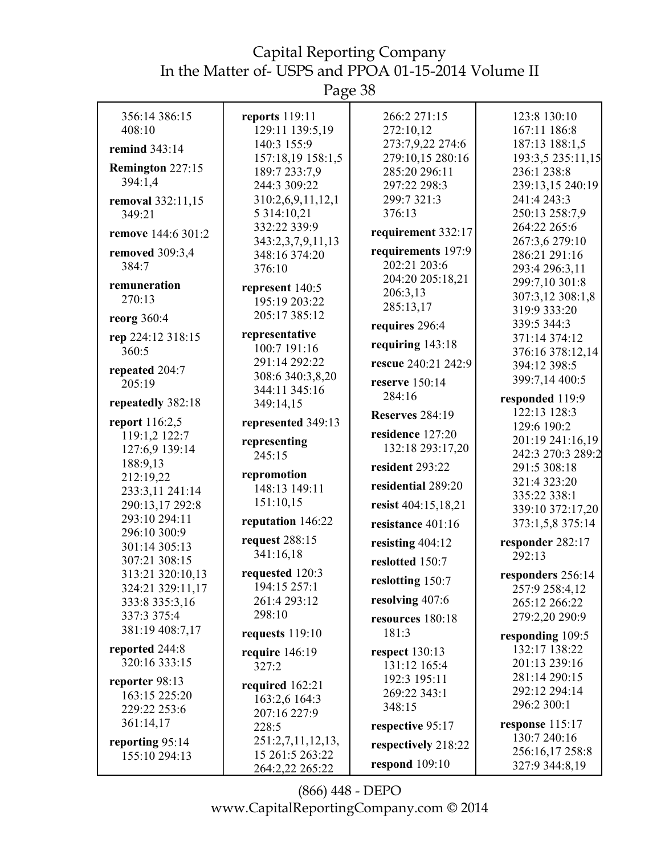Page 38

| 356:14 386:15                 | reports 119:11                       | 266:2 271:15                      | 123:8 130:10                          |
|-------------------------------|--------------------------------------|-----------------------------------|---------------------------------------|
| 408:10                        | 129:11 139:5,19                      | 272:10,12                         | 167:11 186:8                          |
| remind 343:14                 | 140:3 155:9                          | 273:7,9,22 274:6                  | 187:13 188:1,5                        |
| Remington 227:15              | 157:18,19 158:1,5                    | 279:10,15 280:16<br>285:20 296:11 | 193:3,5 235:11,15                     |
| 394:1,4                       | 189:7 233:7,9<br>244:3 309:22        | 297:22 298:3                      | 236:1 238:8                           |
|                               |                                      | 299:7 321:3                       | 239:13,15 240:19<br>241:4 243:3       |
| removal 332:11,15             | 310:2,6,9,11,12,1                    | 376:13                            | 250:13 258:7,9                        |
| 349:21                        | 5 3 14:10,21<br>332:22 339:9         |                                   | 264:22 265:6                          |
| remove 144:6 301:2            | 343:2,3,7,9,11,13                    | requirement 332:17                | 267:3,6 279:10                        |
| removed 309:3,4               | 348:16 374:20                        | requirements 197:9                | 286:21 291:16                         |
| 384:7                         | 376:10                               | 202:21 203:6                      | 293:4 296:3,11                        |
|                               |                                      | 204:20 205:18,21                  | 299:7,10 301:8                        |
| remuneration<br>270:13        | represent 140:5                      | 206:3,13                          | 307:3,12 308:1,8                      |
|                               | 195:19 203:22                        | 285:13,17                         | 319:9 333:20                          |
| reorg 360:4                   | 205:17 385:12                        | requires 296:4                    | 339:5 344:3                           |
| rep 224:12 318:15             | representative                       |                                   | 371:14 374:12                         |
| 360:5                         | 100:7 191:16                         | requiring $143:18$                | 376:16 378:12,14                      |
| repeated 204:7                | 291:14 292:22<br>308:6 340:3,8,20    | rescue 240:21 242:9               | 394:12 398:5                          |
| 205:19                        | 344:11 345:16                        | reserve 150:14                    | 399:7,14 400:5                        |
| repeatedly 382:18             | 349:14,15                            | 284:16                            | responded 119:9                       |
| <b>report</b> 116:2,5         | represented 349:13                   | <b>Reserves</b> 284:19            | 122:13 128:3                          |
| 119:1,2 122:7                 |                                      | residence 127:20                  | 129:6 190:2                           |
| 127:6,9 139:14                | representing<br>245:15               | 132:18 293:17,20                  | 201:19 241:16,19<br>242:3 270:3 289:2 |
| 188:9,13                      |                                      | resident 293:22                   | 291:5 308:18                          |
| 212:19,22                     | repromotion                          |                                   | 321:4 323:20                          |
| 233:3,11 241:14               | 148:13 149:11                        | residential 289:20                | 335:22 338:1                          |
| 290:13,17 292:8               | 151:10,15                            | resist 404:15,18,21               | 339:10 372:17,20                      |
| 293:10 294:11<br>296:10 300:9 | reputation 146:22                    | resistance 401:16                 | 373:1,5,8 375:14                      |
| 301:14 305:13                 | request 288:15                       | resisting 404:12                  | responder 282:17                      |
| 307:21 308:15                 | 341:16,18                            | reslotted 150:7                   | 292:13                                |
| 313:21 320:10,13              | requested 120:3                      |                                   | responders 256:14                     |
| 324:21 329:11,17              | 194:15 257:1                         | reslotting 150:7                  | 257:9 258:4,12                        |
| 333:8 335:3,16                | 261:4 293:12                         | resolving 407:6                   | 265:12 266:22                         |
| 337:3 375:4                   | 298:10                               | resources 180:18                  | 279:2,20 290:9                        |
| 381:19 408:7,17               | requests $119:10$                    | 181:3                             | responding 109:5                      |
| reported 244:8                | require $146:19$                     | respect $130:13$                  | 132:17 138:22                         |
| 320:16 333:15                 | 327:2                                | 131:12 165:4                      | 201:13 239:16                         |
| reporter 98:13                | required 162:21                      | 192:3 195:11                      | 281:14 290:15                         |
| 163:15 225:20                 | 163:2,6 164:3                        | 269:22 343:1                      | 292:12 294:14                         |
| 229:22 253:6                  | 207:16 227:9                         | 348:15                            | 296:2 300:1                           |
| 361:14,17                     | 228:5                                | respective 95:17                  | response $115:17$                     |
| reporting 95:14               | 251:2,7,11,12,13,<br>15 261:5 263:22 | respectively 218:22               | 130:7 240:16<br>256:16,17 258:8       |
| 155:10 294:13                 | 264:2,22 265:22                      | respond $109:10$                  | 327:9 344:8,19                        |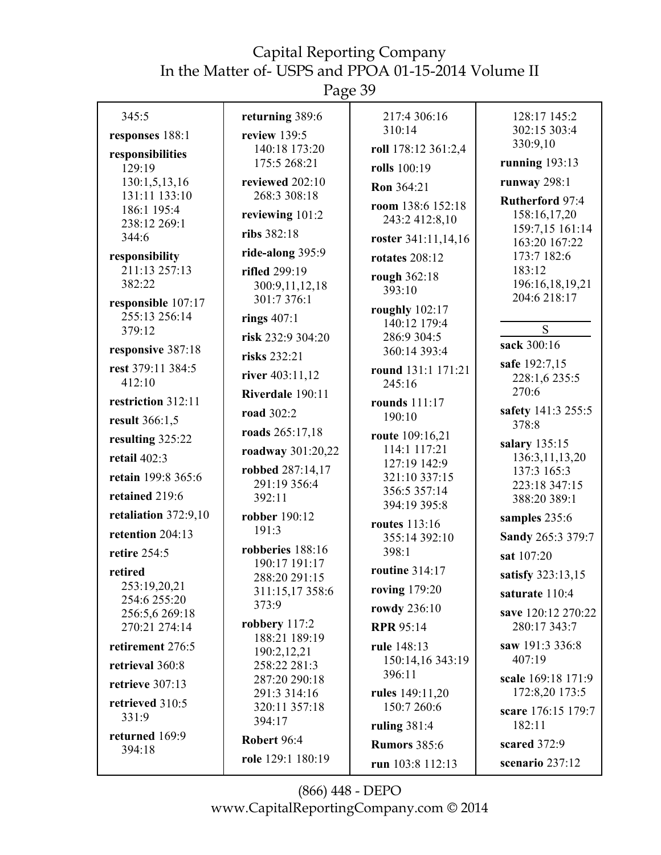| 345:5                           | returning 389:6                  | 217:4 306:16                   | 128:17 145:2                       |
|---------------------------------|----------------------------------|--------------------------------|------------------------------------|
| responses 188:1                 | review 139:5                     | 310:14                         | 302:15 303:4                       |
| responsibilities                | 140:18 173:20                    | roll 178:12 361:2,4            | 330:9,10                           |
| 129:19                          | 175:5 268:21                     | rolls 100:19                   | running $193:13$                   |
| 130:1,5,13,16                   | reviewed 202:10                  | Ron 364:21                     | runway $298:1$                     |
| 131:11 133:10<br>186:1 195:4    | 268:3 308:18                     | room 138:6 152:18              | <b>Rutherford 97:4</b>             |
| 238:12 269:1                    | reviewing 101:2                  | 243:2 412:8,10                 | 158:16,17,20                       |
| 344:6                           | ribs 382:18                      | roster 341:11,14,16            | 159:7,15 161:14<br>163:20 167:22   |
| responsibility                  | ride-along 395:9                 | <b>rotates</b> 208:12          | 173:7 182:6                        |
| 211:13 257:13                   | rifled 299:19                    | rough 362:18                   | 183:12                             |
| 382:22                          | 300:9,11,12,18                   | 393:10                         | 196:16,18,19,21                    |
| responsible 107:17              | 301:7 376:1                      | roughly 102:17                 | 204:6 218:17                       |
| 255:13 256:14<br>379:12         | rings $407:1$                    | 140:12 179:4                   | S                                  |
|                                 | risk 232:9 304:20                | 286:9 304:5                    | sack 300:16                        |
| responsive 387:18               | risks 232:21                     | 360:14 393:4                   | safe 192:7,15                      |
| rest 379:11 384:5<br>412:10     | river 403:11,12                  | round 131:1 171:21             | 228:1,6 235:5                      |
|                                 | Riverdale 190:11                 | 245:16                         | 270:6                              |
| restriction 312:11              | road 302:2                       | rounds 111:17<br>190:10        | safety 141:3 255:5                 |
| result 366:1,5                  | roads 265:17,18                  | route 109:16,21                | 378:8                              |
| resulting 325:22                | roadway 301:20,22                | 114:1 117:21                   | salary 135:15                      |
| retail $402:3$                  | robbed 287:14,17                 | 127:19 142:9                   | 136:3,11,13,20                     |
| retain 199:8 365:6              | 291:19 356:4                     | 321:10 337:15                  | 137:3 165:3<br>223:18 347:15       |
| retained 219:6                  | 392:11                           | 356:5 357:14<br>394:19 395:8   | 388:20 389:1                       |
| retaliation $372:9,10$          | robber 190:12                    |                                | samples 235:6                      |
| retention 204:13                | 191:3                            | routes 113:16<br>355:14 392:10 | Sandy 265:3 379:7                  |
| retire 254:5                    | robberies 188:16                 | 398:1                          | sat 107:20                         |
| retired                         | 190:17 191:17                    | routine 314:17                 | satisfy 323:13,15                  |
| 253:19,20,21                    | 288:20 291:15<br>311:15,17 358:6 | roving 179:20                  | saturate 110:4                     |
| 254:6 255:20                    | 373:9                            | rowdy 236:10                   |                                    |
| 256:5,6 269:18<br>270:21 274:14 | robbery 117:2                    | <b>RPR 95:14</b>               | save 120:12 270:22<br>280:17 343:7 |
| retirement 276:5                | 188:21 189:19                    | rule 148:13                    | saw 191:3 336:8                    |
|                                 | 190:2,12,21                      | 150:14,16 343:19               | 407:19                             |
| retrieval 360:8                 | 258:22 281:3<br>287:20 290:18    | 396:11                         | scale 169:18 171:9                 |
| retrieve 307:13                 | 291:3 314:16                     | rules 149:11,20                | 172:8,20 173:5                     |
| retrieved 310:5                 | 320:11 357:18                    | 150:7 260:6                    | scare 176:15 179:7                 |
| 331:9                           | 394:17                           | ruling 381:4                   | 182:11                             |
| returned 169:9<br>394:18        | Robert 96:4                      | <b>Rumors 385:6</b>            | scared 372:9                       |
|                                 | role 129:1 180:19                | run 103:8 112:13               | scenario 237:12                    |
|                                 |                                  |                                |                                    |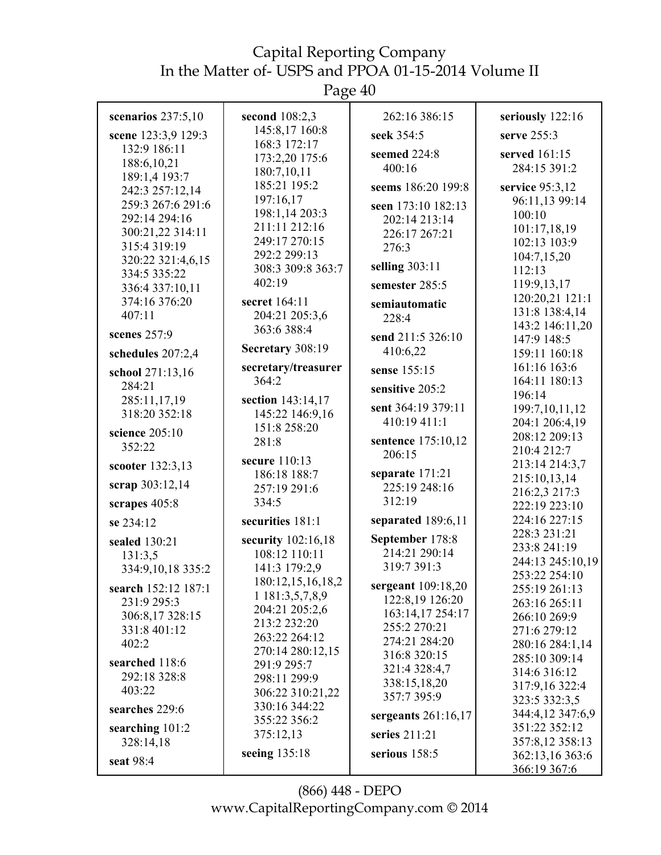| scenarios $237:5,10$             | second $108:2,3$              | 262:16 386:15                      | seriously 122:16                |
|----------------------------------|-------------------------------|------------------------------------|---------------------------------|
| scene 123:3,9 129:3              | 145:8,17 160:8                | seek 354:5                         | serve $255:3$                   |
| 132:9 186:11                     | 168:3 172:17                  | seemed 224:8                       | served 161:15                   |
| 188:6,10,21                      | 173:2,20 175:6<br>180:7,10,11 | 400:16                             | 284:15 391:2                    |
| 189:1,4 193:7                    | 185:21 195:2                  | seems 186:20 199:8                 | service 95:3,12                 |
| 242:3 257:12,14                  | 197:16,17                     |                                    | 96:11,13 99:14                  |
| 259:3 267:6 291:6                | 198:1,14 203:3                | seen 173:10 182:13                 | 100:10                          |
| 292:14 294:16                    | 211:11 212:16                 | 202:14 213:14                      | 101:17,18,19                    |
| 300:21,22 314:11<br>315:4 319:19 | 249:17 270:15                 | 226:17 267:21                      | 102:13 103:9                    |
| 320:22 321:4,6,15                | 292:2 299:13                  | 276:3                              | 104:7,15,20                     |
| 334:5 335:22                     | 308:3 309:8 363:7             | selling $303:11$                   | 112:13                          |
| 336:4 337:10,11                  | 402:19                        | semester 285:5                     | 119:9,13,17                     |
| 374:16 376:20                    | secret 164:11                 | semiautomatic                      | 120:20,21 121:1                 |
| 407:11                           | 204:21 205:3,6                | 228:4                              | 131:8 138:4,14                  |
|                                  | 363:6 388:4                   |                                    | 143:2 146:11,20                 |
| scenes 257:9                     |                               | send 211:5 326:10                  | 147:9 148:5                     |
| schedules 207:2,4                | Secretary 308:19              | 410:6,22                           | 159:11 160:18                   |
| school 271:13,16                 | secretary/treasurer           | sense 155:15                       | 161:16 163:6                    |
| 284:21                           | 364:2                         | sensitive 205:2                    | 164:11 180:13                   |
| 285:11,17,19                     | section 143:14,17             |                                    | 196:14                          |
| 318:20 352:18                    | 145:22 146:9,16               | sent 364:19 379:11<br>410:19 411:1 | 199:7, 10, 11, 12               |
| science 205:10                   | 151:8 258:20                  |                                    | 204:1 206:4,19<br>208:12 209:13 |
| 352:22                           | 281:8                         | sentence 175:10,12                 | 210:4 212:7                     |
| scooter 132:3,13                 | secure 110:13                 | 206:15                             | 213:14 214:3,7                  |
|                                  | 186:18 188:7                  | separate 171:21                    | 215:10,13,14                    |
| scrap 303:12,14                  | 257:19 291:6                  | 225:19 248:16                      | 216:2,3 217:3                   |
| scrapes 405:8                    | 334:5                         | 312:19                             | 222:19 223:10                   |
| se 234:12                        | securities 181:1              | separated $189:6,11$               | 224:16 227:15                   |
| sealed 130:21                    | security 102:16,18            | September 178:8                    | 228:3 231:21                    |
| 131:3,5                          | 108:12 110:11                 | 214:21 290:14                      | 233:8 241:19                    |
| 334:9,10,18 335:2                | 141:3 179:2,9                 | 319:7 391:3                        | 244:13 245:10,19                |
| search 152:12 187:1              | 180:12,15,16,18,2             | sergeant 109:18,20                 | 253:22 254:10                   |
| 231:9 295:3                      | 1 181:3,5,7,8,9               | 122:8,19 126:20                    | 255:19 261:13<br>263:16 265:11  |
| 306:8,17 328:15                  | 204:21 205:2,6                | 163:14,17 254:17                   | 266:10 269:9                    |
| 331:8 401:12                     | 213:2 232:20                  | 255:2 270:21                       | 271:6 279:12                    |
| 402:2                            | 263:22 264:12                 | 274:21 284:20                      | 280:16 284:1,14                 |
|                                  | 270:14 280:12,15              | 316:8 320:15                       | 285:10 309:14                   |
| searched 118:6<br>292:18 328:8   | 291:9 295:7                   | 321:4 328:4,7                      | 314:6 316:12                    |
| 403:22                           | 298:11 299:9                  | 338:15,18,20                       | 317:9,16 322:4                  |
|                                  | 306:22 310:21,22              | 357:7 395:9                        | 323:5 332:3,5                   |
| searches 229:6                   | 330:16 344:22<br>355:22 356:2 | sergeants $261:16,17$              | 344:4,12 347:6,9                |
| searching 101:2                  | 375:12,13                     | series 211:21                      | 351:22 352:12                   |
| 328:14,18                        |                               |                                    | 357:8,12 358:13                 |
| seat 98:4                        | seeing 135:18                 | serious $158:5$                    | 362:13,16 363:6                 |
|                                  |                               |                                    | 366:19 367:6                    |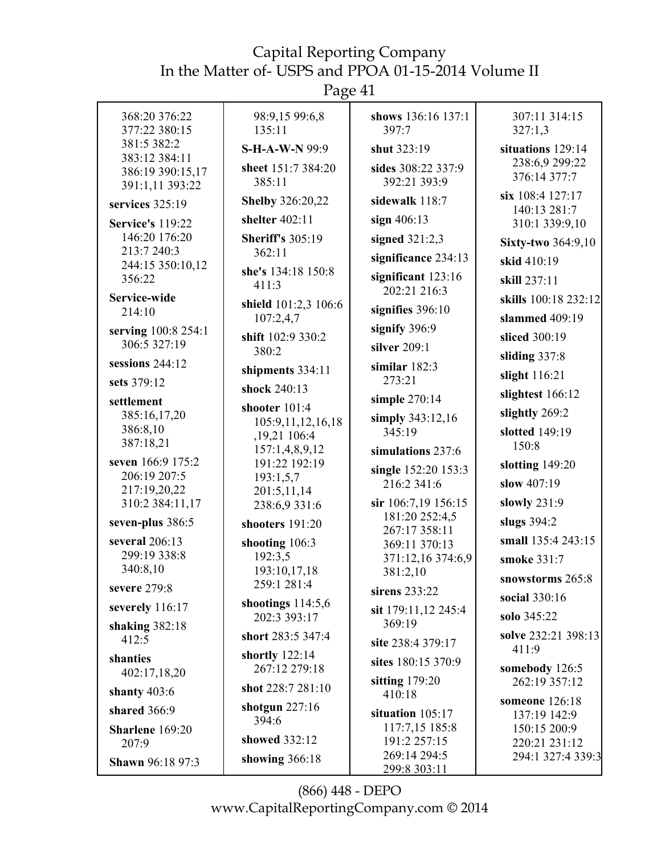Page 41

| 368:20 376:22<br>377:22 380:15                       | 98:9,15 99:6,8<br>135:11          | shows 136:16 137:1<br>397:7        | 307:11 314:15<br>327:1,3         |
|------------------------------------------------------|-----------------------------------|------------------------------------|----------------------------------|
| 381:5 382:2                                          | <b>S-H-A-W-N 99:9</b>             | shut 323:19                        | situations 129:14                |
| 383:12 384:11<br>386:19 390:15,17<br>391:1,11 393:22 | sheet 151:7 384:20<br>385:11      | sides 308:22 337:9<br>392:21 393:9 | 238:6,9 299:22<br>376:14 377:7   |
| services 325:19                                      | <b>Shelby 326:20,22</b>           | sidewalk 118:7                     | six 108:4 127:17<br>140:13 281:7 |
| <b>Service's 119:22</b>                              | shelter 402:11                    | sign $406:13$                      | 310:1 339:9,10                   |
| 146:20 176:20<br>213:7 240:3                         | <b>Sheriff's 305:19</b><br>362:11 | signed $321:2,3$                   | <b>Sixty-two 364:9,10</b>        |
| 244:15 350:10,12                                     |                                   | significance 234:13                | skid 410:19                      |
| 356:22                                               | she's 134:18 150:8<br>411:3       | significant 123:16<br>202:21 216:3 | skill 237:11                     |
| Service-wide                                         | shield 101:2,3 106:6              |                                    | skills 100:18 232:12             |
| 214:10                                               | 107:2,4,7                         | signifies $396:10$                 | slammed 409:19                   |
| serving 100:8 254:1                                  | shift 102:9 330:2                 | signify 396:9                      | sliced 300:19                    |
| 306:5 327:19                                         | 380:2                             | silver 209:1                       | sliding 337:8                    |
| sessions 244:12                                      | shipments 334:11                  | similar $182:3$                    | slight 116:21                    |
| sets 379:12                                          | shock 240:13                      | 273:21                             | slightest 166:12                 |
| settlement                                           | shooter 101:4                     | simple 270:14                      |                                  |
| 385:16,17,20                                         | 105:9,11,12,16,18                 | simply 343:12,16                   | slightly 269:2                   |
| 386:8,10<br>387:18,21                                | ,19,21 106:4                      | 345:19                             | slotted 149:19                   |
|                                                      | 157:1,4,8,9,12                    | simulations 237:6                  | 150:8                            |
| seven 166:9 175:2                                    | 191:22 192:19                     | single 152:20 153:3                | slotting $149:20$                |
| 206:19 207:5                                         | 193:1,5,7                         | 216:2 341:6                        | slow 407:19                      |
| 217:19,20,22<br>310:2 384:11,17                      | 201:5,11,14                       | sir 106:7,19 156:15                | slowly $231:9$                   |
| seven-plus 386:5                                     | 238:6,9 331:6<br>shooters 191:20  | 181:20 252:4,5                     | slugs 394:2                      |
| several 206:13                                       | shooting 106:3                    | 267:17 358:11                      | small 135:4 243:15               |
| 299:19 338:8                                         | 192:3,5                           | 369:11 370:13<br>371:12,16 374:6,9 | smoke 331:7                      |
| 340:8,10                                             | 193:10,17,18                      | 381:2,10                           |                                  |
| severe 279:8                                         | 259:1 281:4                       | sirens 233:22                      | snowstorms 265:8                 |
| severely 116:17                                      | shootings $114:5,6$               | sit 179:11,12 245:4                | social 330:16                    |
| shaking 382:18                                       | 202:3 393:17                      | 369:19                             | solo 345:22                      |
| 412:5                                                | short 283:5 347:4                 | site 238:4 379:17                  | solve 232:21 398:13<br>411:9     |
| shanties                                             | shortly $122:14$                  | sites 180:15 370:9                 |                                  |
| 402:17,18,20                                         | 267:12 279:18                     | sitting $179:20$                   | somebody 126:5<br>262:19 357:12  |
| shanty 403:6                                         | shot 228:7 281:10                 | 410:18                             | someone 126:18                   |
| shared 366:9                                         | shotgun $227:16$                  | situation $105:17$                 | 137:19 142:9                     |
| Sharlene 169:20                                      | 394:6                             | 117:7,15 185:8                     | 150:15 200:9                     |
| 207:9                                                | showed 332:12                     | 191:2 257:15                       | 220:21 231:12                    |
| <b>Shawn 96:18 97:3</b>                              | showing $366:18$                  | 269:14 294:5<br>299:8 303:11       | 294:1 327:4 339:3                |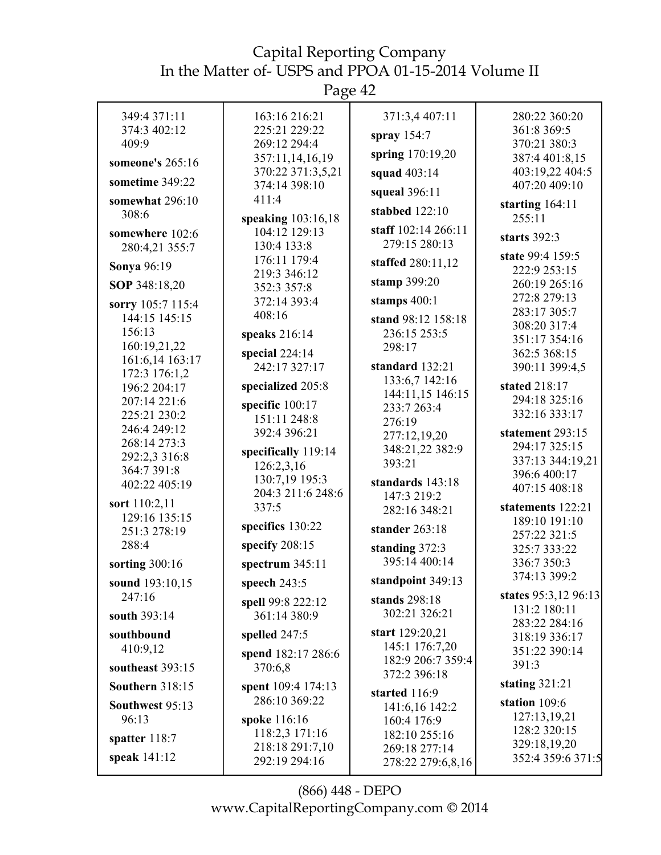Page 42

| 349:4 371:11                  | 163:16 216:21                     | 371:3,4 407:11                    | 280:22 360:20                  |
|-------------------------------|-----------------------------------|-----------------------------------|--------------------------------|
| 374:3 402:12                  | 225:21 229:22                     | spray $154:7$                     | 361:8 369:5                    |
| 409:9                         | 269:12 294:4<br>357:11,14,16,19   | spring 170:19,20                  | 370:21 380:3<br>387:4 401:8,15 |
| someone's 265:16              | 370:22 371:3,5,21                 | squad 403:14                      | 403:19,22 404:5                |
| sometime 349:22               | 374:14 398:10                     | squeal 396:11                     | 407:20 409:10                  |
| somewhat 296:10               | 411:4                             |                                   | starting 164:11                |
| 308:6                         | speaking 103:16,18                | stabbed $122:10$                  | 255:11                         |
| somewhere 102:6               | 104:12 129:13                     | staff 102:14 266:11               | starts 392:3                   |
| 280:4,21 355:7                | 130:4 133:8                       | 279:15 280:13                     | state 99:4 159:5               |
| Sonya 96:19                   | 176:11 179:4<br>219:3 346:12      | staffed 280:11,12                 | 222:9 253:15                   |
| SOP 348:18,20                 | 352:3 357:8                       | stamp 399:20                      | 260:19 265:16                  |
| sorry 105:7 115:4             | 372:14 393:4                      | stamps $400:1$                    | 272:8 279:13                   |
| 144:15 145:15                 | 408:16                            | stand 98:12 158:18                | 283:17 305:7                   |
| 156:13                        | speaks 216:14                     | 236:15 253:5                      | 308:20 317:4                   |
| 160:19,21,22                  | special $224:14$                  | 298:17                            | 351:17 354:16<br>362:5 368:15  |
| 161:6,14 163:17               | 242:17 327:17                     | standard 132:21                   | 390:11 399:4,5                 |
| 172:3 176:1,2                 | specialized 205:8                 | 133:6,7 142:16                    | stated 218:17                  |
| 196:2 204:17<br>207:14 221:6  |                                   | 144:11,15 146:15                  | 294:18 325:16                  |
| 225:21 230:2                  | specific 100:17<br>151:11 248:8   | 233:7 263:4                       | 332:16 333:17                  |
| 246:4 249:12                  | 392:4 396:21                      | 276:19                            | statement 293:15               |
| 268:14 273:3                  |                                   | 277:12,19,20<br>348:21,22 382:9   | 294:17 325:15                  |
| 292:2,3 316:8                 | specifically 119:14<br>126:2,3,16 | 393:21                            | 337:13 344:19,21               |
| 364:7 391:8                   | 130:7,19 195:3                    | standards 143:18                  | 396:6 400:17                   |
| 402:22 405:19                 | 204:3 211:6 248:6                 | 147:3 219:2                       | 407:15 408:18                  |
| sort 110:2,11                 | 337:5                             | 282:16 348:21                     | statements 122:21              |
| 129:16 135:15<br>251:3 278:19 | specifics 130:22                  | stander 263:18                    | 189:10 191:10                  |
| 288:4                         | specify 208:15                    | standing 372:3                    | 257:22 321:5<br>325:7 333:22   |
| sorting 300:16                | spectrum $345:11$                 | 395:14 400:14                     | 336:7 350:3                    |
|                               |                                   | standpoint 349:13                 | 374:13 399:2                   |
| sound 193:10,15<br>247:16     | speech $243:5$                    |                                   | states 95:3,12 96:13           |
|                               | spell 99:8 222:12                 | stands 298:18<br>302:21 326:21    | 131:2 180:11                   |
| south 393:14                  | 361:14 380:9                      |                                   | 283:22 284:16                  |
| southbound                    | spelled 247:5                     | start 129:20,21<br>145:1 176:7,20 | 318:19 336:17                  |
| 410:9,12                      | spend 182:17 286:6                | 182:9 206:7 359:4                 | 351:22 390:14                  |
| southeast 393:15              | 370:6.8                           | 372:2 396:18                      | 391:3                          |
| <b>Southern 318:15</b>        | spent 109:4 174:13                | started 116:9                     | stating $321:21$               |
| Southwest 95:13               | 286:10 369:22                     | 141:6,16 142:2                    | station 109:6                  |
| 96:13                         | spoke 116:16                      | 160:4 176:9                       | 127:13,19,21                   |
| spatter 118:7                 | 118:2,3 171:16                    | 182:10 255:16                     | 128:2 320:15<br>329:18,19,20   |
| speak 141:12                  | 218:18 291:7,10                   | 269:18 277:14                     | 352:4 359:6 371:5              |
|                               | 292:19 294:16                     | 278:22 279:6,8,16                 |                                |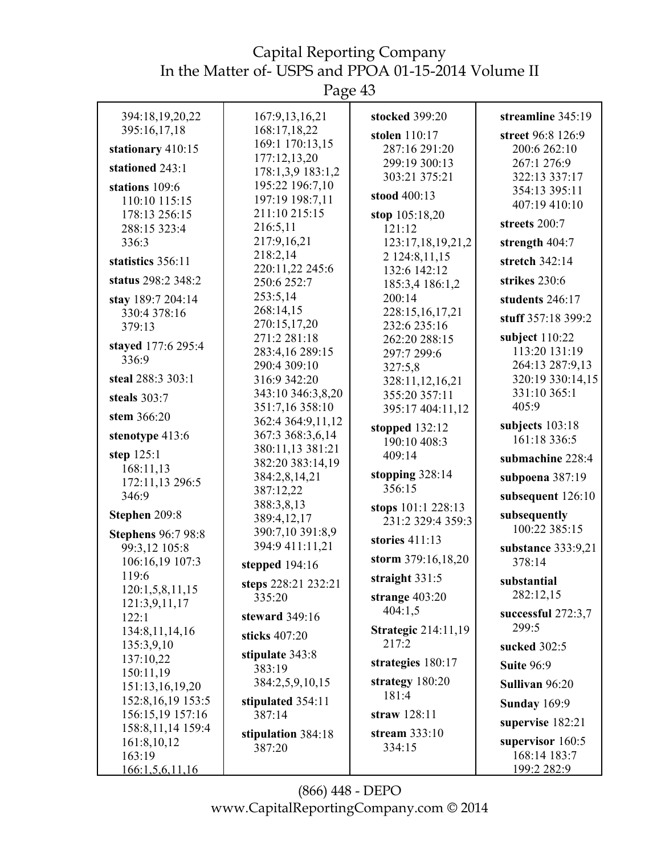| 394:18,19,20,22                            | 167:9, 13, 16, 21                  | stocked 399:20                   | streamline 345:19                 |
|--------------------------------------------|------------------------------------|----------------------------------|-----------------------------------|
| 395:16,17,18                               | 168:17,18,22                       | stolen 110:17                    | street 96:8 126:9                 |
| stationary 410:15                          | 169:1 170:13,15                    | 287:16 291:20                    | 200:6 262:10                      |
| stationed 243:1                            | 177:12,13,20                       | 299:19 300:13                    | 267:1 276:9                       |
|                                            | 178:1,3,9 183:1,2                  | 303:21 375:21                    | 322:13 337:17                     |
| stations 109:6                             | 195:22 196:7,10<br>197:19 198:7,11 | stood 400:13                     | 354:13 395:11                     |
| 110:10 115:15<br>178:13 256:15             | 211:10 215:15                      |                                  | 407:19 410:10                     |
| 288:15 323:4                               | 216:5,11                           | stop 105:18,20<br>121:12         | streets 200:7                     |
| 336:3                                      | 217:9,16,21                        | 123:17,18,19,21,2                | strength 404:7                    |
|                                            | 218:2,14                           | 2 124:8,11,15                    |                                   |
| statistics 356:11                          | 220:11,22 245:6                    | 132:6 142:12                     | stretch 342:14                    |
| status 298:2 348:2                         | 250:6 252:7                        | 185:3,4 186:1,2                  | strikes 230:6                     |
| stay 189:7 204:14                          | 253:5,14                           | 200:14                           | students 246:17                   |
| 330:4 378:16                               | 268:14,15                          | 228:15,16,17,21                  | stuff 357:18 399:2                |
| 379:13                                     | 270:15,17,20                       | 232:6 235:16                     |                                   |
| stayed 177:6 295:4                         | 271:2 281:18                       | 262:20 288:15                    | subject $110:22$<br>113:20 131:19 |
| 336:9                                      | 283:4,16 289:15<br>290:4 309:10    | 297:7 299:6                      | 264:13 287:9,13                   |
| steal 288:3 303:1                          | 316:9 342:20                       | 327:5,8<br>328:11,12,16,21       | 320:19 330:14,15                  |
|                                            | 343:10 346:3,8,20                  | 355:20 357:11                    | 331:10 365:1                      |
| steals 303:7                               | 351:7,16 358:10                    | 395:17 404:11,12                 | 405:9                             |
| stem 366:20                                | 362:4 364:9,11,12                  |                                  | subjects 103:18                   |
| stenotype 413:6                            | 367:3 368:3,6,14                   | stopped $132:12$<br>190:10 408:3 | 161:18 336:5                      |
| step $125:1$                               | 380:11,13 381:21                   | 409:14                           |                                   |
| 168:11,13                                  | 382:20 383:14,19                   |                                  | submachine 228:4                  |
| 172:11,13 296:5                            | 384:2,8,14,21                      | stopping $328:14$<br>356:15      | subpoena 387:19                   |
| 346:9                                      | 387:12,22                          |                                  | subsequent 126:10                 |
| Stephen 209:8                              | 388:3,8,13<br>389:4,12,17          | stops 101:1 228:13               | subsequently                      |
|                                            | 390:7,10 391:8,9                   | 231:2 329:4 359:3                | 100:22 385:15                     |
| <b>Stephens</b> 96:7 98:8<br>99:3,12 105:8 | 394:9 411:11,21                    | stories 411:13                   | substance 333:9,21                |
| 106:16,19 107:3                            |                                    | storm 379:16,18,20               | 378:14                            |
| 119:6                                      | stepped $194:16$                   | straight 331:5                   |                                   |
| 120:1,5,8,11,15                            | steps 228:21 232:21                |                                  | substantial<br>282:12,15          |
| 121:3,9,11,17                              | 335:20                             | strange 403:20<br>404:1,5        |                                   |
| 122:1                                      | steward 349:16                     |                                  | successful 272:3,7                |
| 134:8, 11, 14, 16                          | sticks 407:20                      | <b>Strategic 214:11,19</b>       | 299:5                             |
| 135:3,9,10                                 | stipulate 343:8                    | 217:2                            | sucked 302:5                      |
| 137:10,22                                  | 383:19                             | strategies 180:17                | <b>Suite 96:9</b>                 |
| 150:11,19<br>151:13,16,19,20               | 384:2,5,9,10,15                    | strategy $180:20$                | Sullivan 96:20                    |
| 152:8, 16, 19 153:5                        | stipulated 354:11                  | 181:4                            | <b>Sunday 169:9</b>               |
| 156:15,19 157:16                           | 387:14                             | straw 128:11                     |                                   |
| 158:8, 11, 14 159:4                        | stipulation 384:18                 | stream $333:10$                  | supervise 182:21                  |
| 161:8,10,12                                | 387:20                             | 334:15                           | supervisor 160:5                  |
| 163:19                                     |                                    |                                  | 168:14 183:7                      |
| 166:1,5,6,11,16                            |                                    |                                  | 199:2 282:9                       |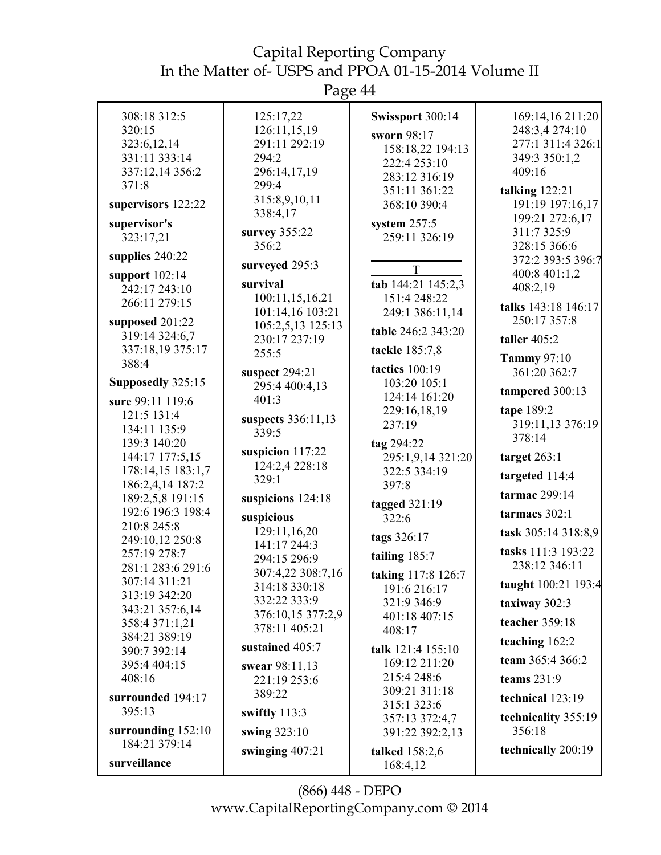| 308:18 312:5                       | 125:17,22                             | Swissport 300:14              | 169:14,16 211:20    |
|------------------------------------|---------------------------------------|-------------------------------|---------------------|
| 320:15                             | 126:11,15,19                          |                               | 248:3,4 274:10      |
| 323:6,12,14                        | 291:11 292:19                         | sworn 98:17                   | 277:1 311:4 326:1   |
| 331:11 333:14                      | 294:2                                 | 158:18,22 194:13              | 349:3 350:1,2       |
| 337:12,14 356:2                    | 296:14,17,19                          | 222:4 253:10                  | 409:16              |
| 371:8                              | 299:4                                 | 283:12 316:19                 |                     |
|                                    |                                       | 351:11 361:22                 | talking $122:21$    |
| supervisors 122:22                 | 315:8,9,10,11<br>338:4,17             | 368:10 390:4                  | 191:19 197:16,17    |
| supervisor's                       |                                       | system $257:5$                | 199:21 272:6,17     |
| 323:17,21                          | survey 355:22                         | 259:11 326:19                 | 311:7 325:9         |
|                                    | 356:2                                 |                               | 328:15 366:6        |
| supplies 240:22                    | surveyed 295:3                        | T                             | 372:2 393:5 396:7   |
| support $102:14$                   | survival                              | tab 144:21 145:2,3            | 400:8 401:1,2       |
| 242:17 243:10                      |                                       |                               | 408:2,19            |
| 266:11 279:15                      | 100:11,15,16,21                       | 151:4 248:22                  | talks 143:18 146:17 |
| supposed 201:22                    | 101:14,16 103:21<br>105:2,5,13 125:13 | 249:1 386:11,14               | 250:17 357:8        |
| 319:14 324:6,7                     | 230:17 237:19                         | table 246:2 343:20            | taller $405:2$      |
| 337:18,19 375:17                   | 255:5                                 | tackle 185:7,8                |                     |
| 388:4                              |                                       |                               | <b>Tammy 97:10</b>  |
|                                    | suspect 294:21                        | <b>tactics</b> 100:19         | 361:20 362:7        |
| Supposedly 325:15                  | 295:4 400:4,13                        | 103:20 105:1                  | tampered 300:13     |
| sure 99:11 119:6                   | 401:3                                 | 124:14 161:20                 |                     |
| 121:5 131:4                        | suspects 336:11,13                    | 229:16,18,19                  | tape 189:2          |
| 134:11 135:9                       | 339:5                                 | 237:19                        | 319:11,13 376:19    |
| 139:3 140:20                       |                                       | tag 294:22                    | 378:14              |
| 144:17 177:5,15                    | suspicion 117:22                      | 295:1,9,14 321:20             | target $263:1$      |
| 178:14,15 183:1,7                  | 124:2,4 228:18                        | 322:5 334:19                  |                     |
| 186:2,4,14 187:2                   | 329:1                                 | 397:8                         | targeted 114:4      |
| 189:2,5,8 191:15                   | suspicions 124:18                     | tagged $321:19$               | tarmac 299:14       |
| 192:6 196:3 198:4                  | suspicious                            | 322:6                         | tarmacs 302:1       |
| 210:8 245:8                        | 129:11,16,20                          | tags 326:17                   | task 305:14 318:8,9 |
| 249:10,12 250:8                    | 141:17 244:3                          |                               | tasks 111:3 193:22  |
| 257:19 278:7                       | 294:15 296:9                          | tailing 185:7                 | 238:12 346:11       |
| 281:1 283:6 291:6<br>307:14 311:21 | 307:4,22 308:7,16                     | taking 117:8 126:7            |                     |
| 313:19 342:20                      | 314:18 330:18                         | 191:6 216:17                  | taught 100:21 193:4 |
| 343:21 357:6,14                    | 332:22 333:9                          | 321:9 346:9                   | taxiway 302:3       |
| 358:4 371:1,21                     | 376:10,15 377:2,9                     | 401:18 407:15                 | teacher 359:18      |
| 384:21 389:19                      | 378:11 405:21                         | 408:17                        |                     |
| 390:7 392:14                       | sustained 405:7                       | talk 121:4 155:10             | teaching 162:2      |
| 395:4 404:15                       | swear 98:11,13                        | 169:12 211:20                 | team 365:4 366:2    |
| 408:16                             | 221:19 253:6                          | 215:4 248:6                   | teams $231:9$       |
| surrounded 194:17                  | 389:22                                | 309:21 311:18                 | technical 123:19    |
| 395:13                             | swiftly 113:3                         | 315:1 323:6<br>357:13 372:4,7 | technicality 355:19 |
| surrounding 152:10                 | swing 323:10                          | 391:22 392:2,13               | 356:18              |
| 184:21 379:14                      |                                       |                               | technically 200:19  |
| surveillance                       | swinging $407:21$                     | talked 158:2,6<br>168:4,12    |                     |
|                                    |                                       |                               |                     |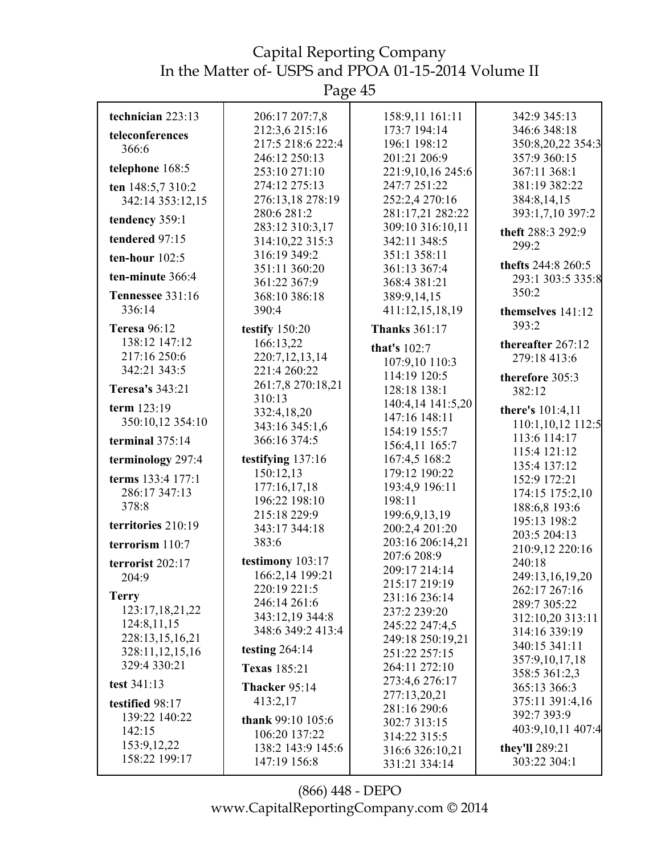| technician 223:13                | 206:17 207:7,8                     | 158:9,11 161:11                      | 342:9 345:13                          |
|----------------------------------|------------------------------------|--------------------------------------|---------------------------------------|
| teleconferences                  | 212:3,6 215:16                     | 173:7 194:14                         | 346:6 348:18                          |
| 366:6                            | 217:5 218:6 222:4                  | 196:1 198:12                         | 350:8,20,22 354:3                     |
|                                  | 246:12 250:13                      | 201:21 206:9                         | 357:9 360:15                          |
| telephone 168:5                  | 253:10 271:10                      | 221:9,10,16 245:6                    | 367:11 368:1                          |
| ten 148:5,7 310:2                | 274:12 275:13                      | 247:7 251:22                         | 381:19 382:22                         |
| 342:14 353:12,15                 | 276:13,18 278:19                   | 252:2,4 270:16                       | 384:8,14,15                           |
| tendency 359:1                   | 280:6 281:2<br>283:12 310:3,17     | 281:17,21 282:22<br>309:10 316:10,11 | 393:1,7,10 397:2                      |
| tendered 97:15                   | 314:10,22 315:3                    | 342:11 348:5                         | theft 288:3 292:9<br>299:2            |
| ten-hour $102:5$                 | 316:19 349:2                       | 351:1 358:11                         | thefts 244:8 260:5                    |
| ten-minute 366:4                 | 351:11 360:20<br>361:22 367:9      | 361:13 367:4<br>368:4 381:21         | 293:1 303:5 335:8                     |
| <b>Tennessee 331:16</b>          | 368:10 386:18                      | 389:9,14,15                          | 350:2                                 |
| 336:14                           | 390:4                              | 411:12,15,18,19                      | themselves 141:12                     |
| <b>Teresa 96:12</b>              | testify 150:20                     | <b>Thanks</b> 361:17                 | 393:2                                 |
| 138:12 147:12                    | 166:13,22                          | that's 102:7                         | thereafter 267:12                     |
| 217:16 250:6                     | 220:7,12,13,14                     | 107:9,10 110:3                       | 279:18 413:6                          |
| 342:21 343:5                     | 221:4 260:22                       | 114:19 120:5                         | therefore 305:3                       |
| Teresa's 343:21                  | 261:7,8 270:18,21                  | 128:18 138:1                         | 382:12                                |
| term 123:19                      | 310:13                             | 140:4,14 141:5,20                    |                                       |
| 350:10,12 354:10                 | 332:4,18,20                        | 147:16 148:11                        | there's 101:4,11<br>110:1,10,12 112:5 |
| terminal 375:14                  | 343:16 345:1,6<br>366:16 374:5     | 154:19 155:7                         | 113:6 114:17                          |
|                                  |                                    | 156:4,11 165:7                       | 115:4 121:12                          |
| terminology 297:4                | testifying 137:16                  | 167:4,5 168:2                        | 135:4 137:12                          |
| terms 133:4 177:1                | 150:12,13                          | 179:12 190:22                        | 152:9 172:21                          |
| 286:17 347:13                    | 177:16,17,18<br>196:22 198:10      | 193:4,9 196:11<br>198:11             | 174:15 175:2,10                       |
| 378:8                            | 215:18 229:9                       | 199:6,9,13,19                        | 188:6,8 193:6                         |
| territories 210:19               | 343:17 344:18                      | 200:2,4 201:20                       | 195:13 198:2                          |
| terrorism 110:7                  | 383:6                              | 203:16 206:14,21                     | 203:5 204:13                          |
| terrorist 202:17                 | testimony 103:17                   | 207:6 208:9                          | 210:9,12 220:16<br>240:18             |
| 204:9                            | 166:2,14 199:21                    | 209:17 214:14                        | 249:13,16,19,20                       |
|                                  | 220:19 221:5                       | 215:17 219:19                        | 262:17 267:16                         |
| <b>Terry</b>                     | 246:14 261:6                       | 231:16 236:14                        | 289:7 305:22                          |
| 123:17,18,21,22<br>124:8,11,15   | 343:12,19 344:8                    | 237:2 239:20<br>245:22 247:4,5       | 312:10,20 313:11                      |
| 228:13,15,16,21                  | 348:6 349:2 413:4                  | 249:18 250:19,21                     | 314:16 339:19                         |
| 328:11,12,15,16                  | testing $264:14$                   | 251:22 257:15                        | 340:15 341:11                         |
| 329:4 330:21                     | <b>Texas</b> 185:21                | 264:11 272:10                        | 357:9,10,17,18                        |
| test 341:13                      | Thacker 95:14                      | 273:4,6 276:17                       | 358:5 361:2,3<br>365:13 366:3         |
|                                  | 413:2,17                           | 277:13,20,21                         | 375:11 391:4,16                       |
| testified 98:17<br>139:22 140:22 |                                    | 281:16 290:6                         | 392:7 393:9                           |
| 142:15                           | thank 99:10 105:6<br>106:20 137:22 | 302:7 313:15                         | 403:9,10,11 407:4                     |
| 153:9, 12, 22                    | 138:2 143:9 145:6                  | 314:22 315:5                         | they'll 289:21                        |
| 158:22 199:17                    | 147:19 156:8                       | 316:6 326:10,21<br>331:21 334:14     | 303:22 304:1                          |
|                                  |                                    |                                      |                                       |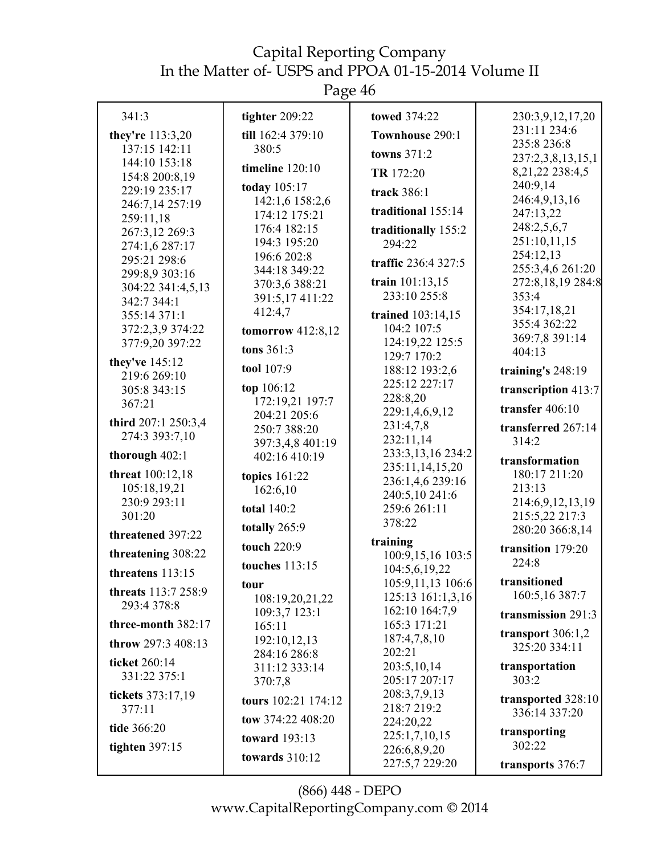| 341:3                           | tighter 209:22                  | towed 374:22                       | 230:3,9,12,17,20                     |
|---------------------------------|---------------------------------|------------------------------------|--------------------------------------|
| they're 113:3,20                | till 162:4 379:10               | Townhouse 290:1                    | 231:11 234:6                         |
| 137:15 142:11                   | 380:5                           | towns 371:2                        | 235:8 236:8                          |
| 144:10 153:18<br>154:8 200:8,19 | timeline $120:10$               | TR 172:20                          | 237:2,3,8,13,15,1<br>8,21,22 238:4,5 |
| 229:19 235:17                   | today 105:17                    | track 386:1                        | 240:9,14                             |
| 246:7,14 257:19                 | 142:1,6 158:2,6                 |                                    | 246:4,9,13,16                        |
| 259:11,18                       | 174:12 175:21                   | traditional 155:14                 | 247:13,22                            |
| 267:3,12 269:3                  | 176:4 182:15                    | traditionally 155:2                | 248:2,5,6,7                          |
| 274:1,6 287:17                  | 194:3 195:20                    | 294:22                             | 251:10,11,15                         |
| 295:21 298:6                    | 196:6 202:8                     | traffic 236:4 327:5                | 254:12,13                            |
| 299:8,9 303:16                  | 344:18 349:22                   |                                    | 255:3,4,6 261:20                     |
| 304:22 341:4,5,13               | 370:3,6 388:21                  | train $101:13,15$<br>233:10 255:8  | 272:8,18,19 284:8                    |
| 342:7 344:1                     | 391:5,17 411:22                 |                                    | 353:4<br>354:17,18,21                |
| 355:14 371:1                    | 412:4,7                         | trained 103:14,15                  | 355:4 362:22                         |
| 372:2,3,9 374:22                | tomorrow $412:8,12$             | 104:2 107:5                        | 369:7,8 391:14                       |
| 377:9,20 397:22                 | tons 361:3                      | 124:19,22 125:5<br>129:7 170:2     | 404:13                               |
| they've 145:12                  | tool 107:9                      | 188:12 193:2,6                     | training's $248:19$                  |
| 219:6 269:10                    |                                 | 225:12 227:17                      |                                      |
| 305:8 343:15                    | top 106:12                      | 228:8,20                           | transcription 413:7                  |
| 367:21                          | 172:19,21 197:7<br>204:21 205:6 | 229:1,4,6,9,12                     | transfer $406:10$                    |
| third 207:1 250:3,4             | 250:7 388:20                    | 231:4,7,8                          | transferred 267:14                   |
| 274:3 393:7,10                  | 397:3,4,8 401:19                | 232:11,14                          | 314:2                                |
| thorough 402:1                  | 402:16 410:19                   | 233:3,13,16 234:2                  | transformation                       |
| <b>threat</b> 100:12,18         | topics 161:22                   | 235:11,14,15,20                    | 180:17 211:20                        |
| 105:18,19,21                    | 162:6,10                        | 236:1,4,6 239:16                   | 213:13                               |
| 230:9 293:11                    |                                 | 240:5,10 241:6                     | 214:6,9,12,13,19                     |
| 301:20                          | <b>total</b> 140:2              | 259:6 261:11                       | 215:5,22 217:3                       |
| threatened 397:22               | totally 265:9                   | 378:22                             | 280:20 366:8,14                      |
| threatening 308:22              | touch 220:9                     | training                           | transition 179:20                    |
|                                 | <b>touches</b> 113:15           | 100:9,15,16 103:5<br>104:5,6,19,22 | 224:8                                |
| threatens 113:15                | tour                            | 105:9,11,13 106:6                  | transitioned                         |
| threats 113:7 258:9             | 108:19,20,21,22                 | 125:13 161:1,3,16                  | 160:5,16 387:7                       |
| 293:4 378:8                     | 109:3,7 123:1                   | 162:10 164:7,9                     | transmission 291:3                   |
| three-month 382:17              | 165:11                          | 165:3 171:21                       |                                      |
| throw 297:3 408:13              | 192:10,12,13                    | 187:4,7,8,10                       | transport $306:1,2$                  |
|                                 | 284:16 286:8                    | 202:21                             | 325:20 334:11                        |
| ticket 260:14<br>331:22 375:1   | 311:12 333:14                   | 203:5,10,14                        | transportation                       |
|                                 | 370:7,8                         | 205:17 207:17                      | 303:2                                |
| tickets 373:17,19               | tours 102:21 174:12             | 208:3,7,9,13                       | transported 328:10                   |
| 377:11                          | tow 374:22 408:20               | 218:7 219:2                        | 336:14 337:20                        |
| tide 366:20                     |                                 | 224:20,22<br>225:1,7,10,15         | transporting                         |
| tighten $397:15$                | <b>toward</b> 193:13            | 226:6,8,9,20                       | 302:22                               |
|                                 | towards 310:12                  | 227:5,7 229:20                     | transports 376:7                     |
|                                 |                                 |                                    |                                      |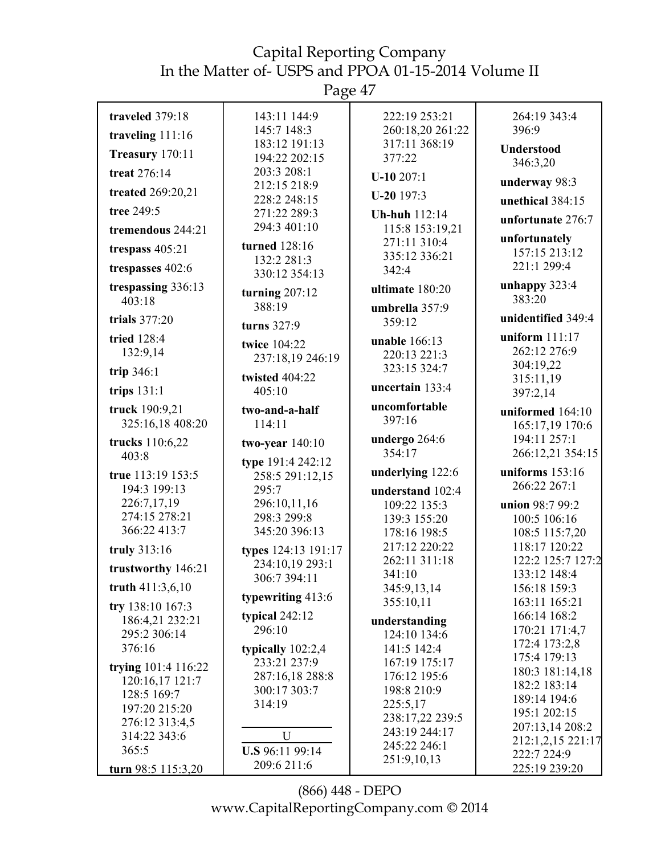Page 47

|                                        | ັ                              |                               |                                   |
|----------------------------------------|--------------------------------|-------------------------------|-----------------------------------|
| traveled 379:18                        | 143:11 144:9                   | 222:19 253:21                 | 264:19 343:4                      |
| traveling 111:16                       | 145:7 148:3                    | 260:18,20 261:22              | 396:9                             |
| Treasury 170:11                        | 183:12 191:13                  | 317:11 368:19                 | Understood                        |
| treat 276:14                           | 194:22 202:15<br>203:3 208:1   | 377:22                        | 346:3,20                          |
|                                        | 212:15 218:9                   | $U-10207:1$                   | underway 98:3                     |
| treated 269:20,21                      | 228:2 248:15                   | $U-20$ 197:3                  | unethical 384:15                  |
| tree 249:5                             | 271:22 289:3                   | <b>Uh-huh</b> 112:14          | unfortunate 276:7                 |
| tremendous 244:21                      | 294:3 401:10                   | 115:8 153:19,21               |                                   |
| trespass 405:21                        | turned 128:16                  | 271:11 310:4<br>335:12 336:21 | unfortunately<br>157:15 213:12    |
| trespasses 402:6                       | 132:2 281:3<br>330:12 354:13   | 342:4                         | 221:1 299:4                       |
| trespassing 336:13                     |                                | ultimate 180:20               | unhappy $323:4$                   |
| 403:18                                 | turning 207:12<br>388:19       |                               | 383:20                            |
| trials 377:20                          |                                | umbrella 357:9<br>359:12      | unidentified 349:4                |
| tried 128:4                            | turns 327:9                    |                               | uniform $111:17$                  |
| 132:9,14                               | twice 104:22                   | unable 166:13<br>220:13 221:3 | 262:12 276:9                      |
| trip 346:1                             | 237:18,19 246:19               | 323:15 324:7                  | 304:19,22                         |
|                                        | twisted 404:22                 | uncertain 133:4               | 315:11,19                         |
| trips $131:1$                          | 405:10                         |                               | 397:2,14                          |
| truck 190:9,21                         | two-and-a-half                 | uncomfortable<br>397:16       | uniformed 164:10                  |
| 325:16,18 408:20                       | 114:11                         |                               | 165:17,19 170:6                   |
| trucks 110:6,22                        | two-year $140:10$              | undergo 264:6<br>354:17       | 194:11 257:1<br>266:12,21 354:15  |
| 403:8                                  | type 191:4 242:12              |                               |                                   |
| true 113:19 153:5                      | 258:5 291:12,15                | underlying 122:6              | uniforms $153:16$<br>266:22 267:1 |
| 194:3 199:13<br>226:7,17,19            | 295:7                          | understand 102:4              |                                   |
| 274:15 278:21                          | 296:10,11,16<br>298:3 299:8    | 109:22 135:3<br>139:3 155:20  | union 98:7 99:2<br>100:5 106:16   |
| 366:22 413:7                           | 345:20 396:13                  | 178:16 198:5                  | 108:5 115:7,20                    |
| truly 313:16                           | types 124:13 191:17            | 217:12 220:22                 | 118:17 120:22                     |
| trustworthy 146:21                     | 234:10,19 293:1                | 262:11 311:18                 | 122:2 125:7 127:2                 |
|                                        | 306:7 394:11                   | 341:10                        | 133:12 148:4                      |
| truth 411:3,6,10                       | typewriting 413:6              | 345:9,13,14<br>355:10,11      | 156:18 159:3                      |
| try 138:10 167:3                       | typical 242:12                 |                               | 163:11 165:21<br>166:14 168:2     |
| 186:4,21 232:21                        | 296:10                         | understanding                 | 170:21 171:4,7                    |
| 295:2 306:14<br>376:16                 | typically 102:2,4              | 124:10 134:6<br>141:5 142:4   | 172:4 173:2,8                     |
|                                        | 233:21 237:9                   | 167:19 175:17                 | 175:4 179:13                      |
| trying 101:4 116:22<br>120:16,17 121:7 | 287:16,18 288:8                | 176:12 195:6                  | 180:3 181:14,18                   |
| 128:5 169:7                            | 300:17 303:7                   | 198:8 210:9                   | 182:2 183:14                      |
| 197:20 215:20                          | 314:19                         | 225:5,17                      | 189:14 194:6<br>195:1 202:15      |
| 276:12 313:4,5                         |                                | 238:17,22 239:5               | 207:13,14 208:2                   |
| 314:22 343:6                           | U                              | 243:19 244:17<br>245:22 246:1 | 212:1,2,15 221:17                 |
| 365:5                                  |                                |                               |                                   |
|                                        | U.S 96:11 99:14<br>209:6 211:6 | 251:9,10,13                   | 222:7 224:9                       |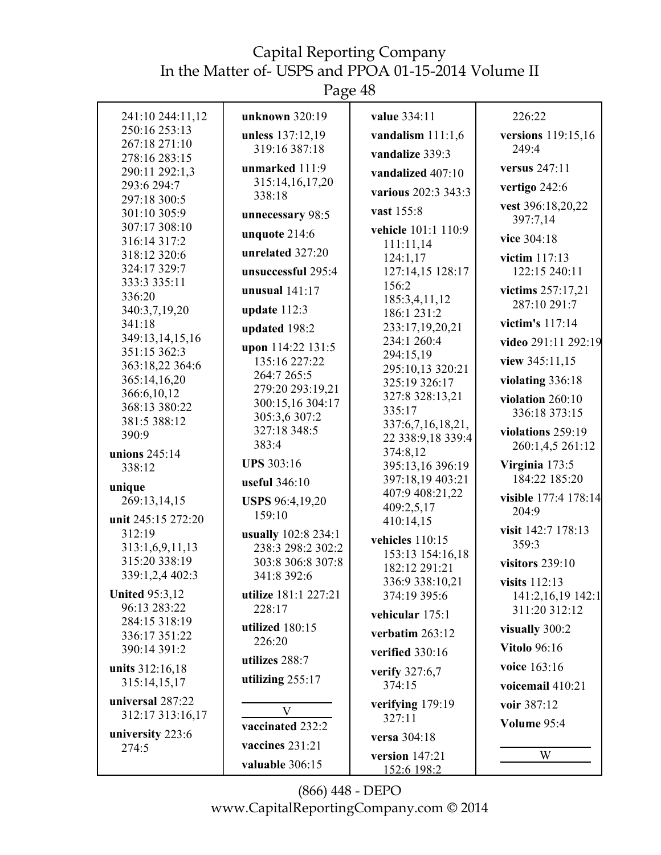Page 48

| 241:10 244:11,12                | unknown 320:19                    | value 334:11                        | 226:22               |
|---------------------------------|-----------------------------------|-------------------------------------|----------------------|
| 250:16 253:13                   | unless 137:12,19                  | vandalism $111:1,6$                 | versions 119:15,16   |
| 267:18 271:10<br>278:16 283:15  | 319:16 387:18                     | vandalize 339:3                     | 249:4                |
| 290:11 292:1,3                  | unmarked 111:9                    | vandalized 407:10                   | versus 247:11        |
| 293:6 294:7                     | 315:14,16,17,20<br>338:18         | various 202:3 343:3                 | vertigo 242:6        |
| 297:18 300:5<br>301:10 305:9    |                                   | vast 155:8                          | vest 396:18,20,22    |
| 307:17 308:10                   | unnecessary 98:5                  | vehicle 101:1 110:9                 | 397:7,14             |
| 316:14 317:2                    | unquote 214:6                     | 111:11,14                           | vice 304:18          |
| 318:12 320:6                    | unrelated 327:20                  | 124:1,17                            | victim 117:13        |
| 324:17 329:7                    | unsuccessful 295:4                | 127:14,15 128:17                    | 122:15 240:11        |
| 333:3 335:11<br>336:20          | unusual $141:17$                  | 156:2                               | victims 257:17,21    |
| 340:3,7,19,20                   | update $112:3$                    | 185:3,4,11,12<br>186:1 231:2        | 287:10 291:7         |
| 341:18                          | updated 198:2                     | 233:17,19,20,21                     | victim's 117:14      |
| 349:13,14,15,16                 | upon 114:22 131:5                 | 234:1 260:4                         | video 291:11 292:19  |
| 351:15 362:3<br>363:18,22 364:6 | 135:16 227:22                     | 294:15,19                           | view 345:11,15       |
| 365:14,16,20                    | 264:7 265:5                       | 295:10,13 320:21<br>325:19 326:17   | violating 336:18     |
| 366:6,10,12                     | 279:20 293:19,21                  | 327:8 328:13,21                     | violation $260:10$   |
| 368:13 380:22                   | 300:15,16 304:17<br>305:3,6 307:2 | 335:17                              | 336:18 373:15        |
| 381:5 388:12<br>390:9           | 327:18 348:5                      | 337:6,7,16,18,21,                   | violations 259:19    |
|                                 | 383:4                             | 22 338:9,18 339:4<br>374:8,12       | 260:1,4,5 261:12     |
| unions 245:14<br>338:12         | <b>UPS</b> 303:16                 | 395:13,16 396:19                    | Virginia 173:5       |
|                                 | useful 346:10                     | 397:18,19 403:21                    | 184:22 185:20        |
| unique<br>269:13,14,15          | USPS 96:4,19,20                   | 407:9 408:21,22                     | visible 177:4 178:14 |
| unit 245:15 272:20              | 159:10                            | 409:2,5,17                          | 204:9                |
| 312:19                          | usually 102:8 234:1               | 410:14,15                           | visit 142:7 178:13   |
| 313:1,6,9,11,13                 | 238:3 298:2 302:2                 | vehicles 110:15<br>153:13 154:16,18 | 359:3                |
| 315:20 338:19                   | 303:8 306:8 307:8                 | 182:12 291:21                       | visitors $239:10$    |
| 339:1,2,4 402:3                 | 341:8 392:6                       | 336:9 338:10,21                     | visits 112:13        |
| <b>United 95:3,12</b>           | utilize 181:1 227:21              | 374:19 395:6                        | 141:2,16,19 142:1    |
| 96:13 283:22<br>284:15 318:19   | 228:17                            | vehicular 175:1                     | 311:20 312:12        |
| 336:17 351:22                   | utilized 180:15                   | verbatim 263:12                     | visually 300:2       |
| 390:14 391:2                    | 226:20                            | verified 330:16                     | <b>Vitolo 96:16</b>  |
| units 312:16,18                 | utilizes 288:7                    | verify 327:6,7                      | voice 163:16         |
| 315:14,15,17                    | utilizing 255:17                  | 374:15                              | voicemail 410:21     |
| universal 287:22                | V                                 | verifying 179:19                    | voir 387:12          |
| 312:17 313:16,17                | vaccinated 232:2                  | 327:11                              | Volume 95:4          |
| university 223:6                |                                   | versa 304:18                        |                      |
| 274:5                           | vaccines 231:21                   | version $147:21$                    | W                    |
|                                 | valuable 306:15                   | 152:6 198:2                         |                      |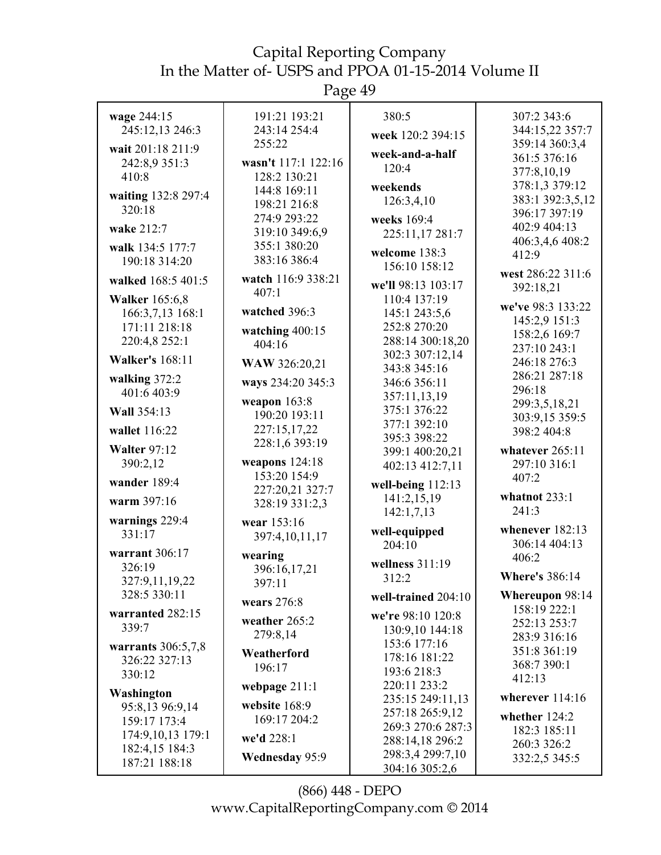Page 49

| wage 244:15<br>245:12,13 246:3<br>wait 201:18 211:9<br>242:8,9 351:3<br>410:8<br>waiting 132:8 297:4<br>320:18<br>wake 212:7<br>walk 134:5 177:7<br>190:18 314:20 | 191:21 193:21<br>243:14 254:4<br>255:22<br>wasn't 117:1 122:16<br>128:2 130:21<br>144:8 169:11<br>198:21 216:8<br>274:9 293:22<br>319:10 349:6,9<br>355:1 380:20<br>383:16 386:4 | 380:5<br>week 120:2 394:15<br>week-and-a-half<br>120:4<br>weekends<br>126:3,4,10<br>weeks 169:4<br>225:11,17 281:7<br>welcome 138:3                                      | 307:2 343:6<br>344:15,22 357:7<br>359:14 360:3,4<br>361:5 376:16<br>377:8,10,19<br>378:1,3 379:12<br>383:1 392:3,5,12<br>396:17 397:19<br>402:9 404:13<br>406:3,4,6 408:2<br>412:9 |
|-------------------------------------------------------------------------------------------------------------------------------------------------------------------|----------------------------------------------------------------------------------------------------------------------------------------------------------------------------------|--------------------------------------------------------------------------------------------------------------------------------------------------------------------------|------------------------------------------------------------------------------------------------------------------------------------------------------------------------------------|
| walked 168:5 401:5<br><b>Walker</b> 165:6,8<br>166:3,7,13 168:1<br>171:11 218:18<br>220:4,8 252:1                                                                 | watch 116:9 338:21<br>407:1<br>watched 396:3<br>watching 400:15<br>404:16                                                                                                        | 156:10 158:12<br>we'll 98:13 103:17<br>110:4 137:19<br>145:1 243:5,6<br>252:8 270:20<br>288:14 300:18,20<br>302:3 307:12,14                                              | west 286:22 311:6<br>392:18,21<br>we've 98:3 133:22<br>145:2,9 151:3<br>158:2,6 169:7<br>237:10 243:1                                                                              |
| <b>Walker's 168:11</b><br>walking 372:2<br>401:6 403:9<br>Wall 354:13<br>wallet 116:22<br><b>Walter 97:12</b><br>390:2,12<br>wander 189:4<br>warm 397:16          | WAW 326:20,21<br>ways 234:20 345:3<br>weapon $163:8$<br>190:20 193:11<br>227:15,17,22<br>228:1,6 393:19<br>weapons $124:18$<br>153:20 154:9<br>227:20,21 327:7<br>328:19 331:2,3 | 343:8 345:16<br>346:6 356:11<br>357:11,13,19<br>375:1 376:22<br>377:1 392:10<br>395:3 398:22<br>399:1 400:20,21<br>402:13 412:7,11<br>well-being $112:13$<br>141:2,15,19 | 246:18 276:3<br>286:21 287:18<br>296:18<br>299:3,5,18,21<br>303:9,15 359:5<br>398:2 404:8<br>whatever 265:11<br>297:10 316:1<br>407:2<br>whatnot 233:1<br>241:3                    |
| warnings 229:4<br>331:17<br>warrant 306:17<br>326:19<br>327:9,11,19,22<br>328:5 330:11<br>warranted 282:15<br>339:7<br>warrants $306:5,7,8$<br>326:22 327:13      | wear 153:16<br>397:4,10,11,17<br>wearing<br>396:16,17,21<br>397:11<br>wears $276:8$<br>weather 265:2<br>279:8,14<br>Weatherford<br>196:17                                        | 142:1,7,13<br>well-equipped<br>204:10<br>wellness $311:19$<br>312:2<br>well-trained 204:10<br>we're 98:10 120:8<br>130:9,10 144:18<br>153:6 177:16<br>178:16 181:22      | whenever 182:13<br>306:14 404:13<br>406:2<br><b>Where's 386:14</b><br>Whereupon 98:14<br>158:19 222:1<br>252:13 253:7<br>283:9 316:16<br>351:8 361:19<br>368:7 390:1               |
| 330:12<br>Washington<br>95:8,13 96:9,14<br>159:17 173:4<br>174:9,10,13 179:1<br>182:4,15 184:3<br>187:21 188:18                                                   | webpage 211:1<br>website 168:9<br>169:17 204:2<br>we'd 228:1<br><b>Wednesday 95:9</b>                                                                                            | 193:6 218:3<br>220:11 233:2<br>235:15 249:11,13<br>257:18 265:9,12<br>269:3 270:6 287:3<br>288:14,18 296:2<br>298:3,4 299:7,10<br>304:16 305:2,6                         | 412:13<br>wherever $114:16$<br>whether $124:2$<br>182:3 185:11<br>260:3 326:2<br>332:2,5 345:5                                                                                     |